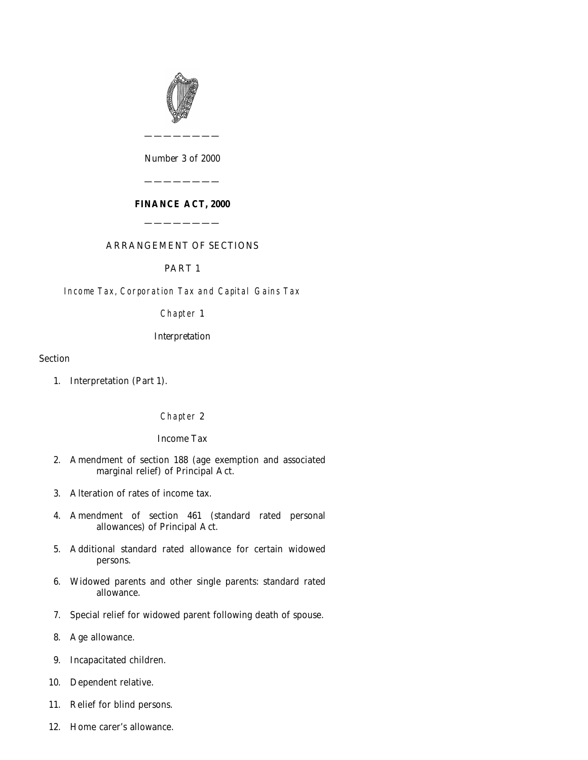

*Number* 3 *of* 2000

————————

# **FINANCE ACT, 2000**

————————

————————

# ARRANGEMENT OF SECTIONS

PART 1

Income Tax, Corporation Tax and Capital Gains Tax

Chapter 1

*Interpretation*

# Section

[1. Interpretation \(](#page-10-0)*Part 1*).

Chapter 2

*Income Tax*

- [2. Amendment of section 188 \(age exemption and associated](#page-10-0) marginal relief) of Principal Act.
- [3. Alteration of rates of income tax.](#page-10-0)
- [4. Amendment of section 461 \(standard rated personal](#page-13-0) allowances) of Principal Act.
- [5. Additional standard rated allowance for certain widowed](#page-13-0) persons.
- [6. Widowed parents and other single parents: standard rated](#page-14-0) allowance.
- [7. Special relief for widowed parent following death of spouse.](#page-14-0)
- [8. Age allowance.](#page-16-0)
- [9. Incapacitated children.](#page-17-0)
- [10. Dependent relative.](#page-20-0)
- [11. Relief for blind persons.](#page-22-0)
- [12. Home carer's allowance.](#page-23-0)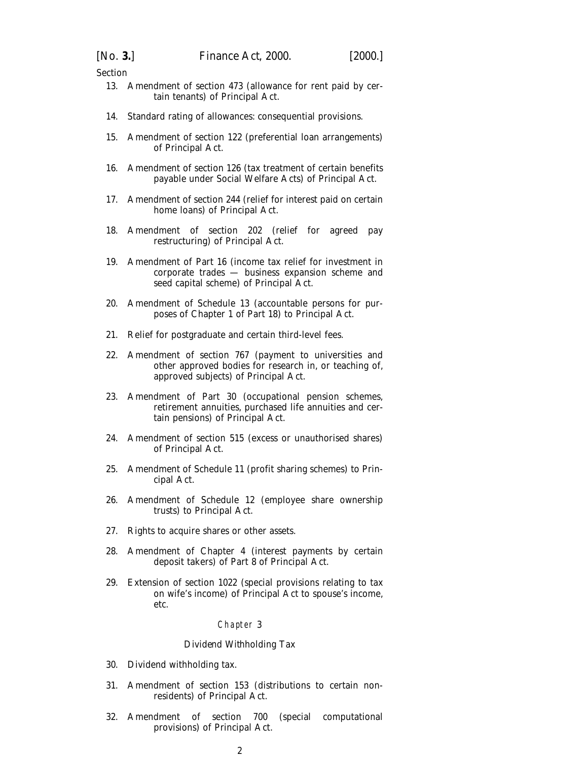- [13. Amendment of section 473 \(allowance for rent paid by cer](#page-26-0)tain tenants) of Principal Act.
- [14. Standard rating of allowances: consequential provisions.](#page-27-0)
- [15. Amendment of section 122 \(preferential loan arrangements\)](#page-27-0) of Principal Act.
- [16. Amendment of section 126 \(tax treatment of certain benefits](#page-28-0) payable under Social Welfare Acts) of Principal Act.
- [17. Amendment of section 244 \(relief for interest paid on certain](#page-28-0) home loans) of Principal Act.
- [18. Amendment of section 202 \(relief for agreed pay](#page-30-0) restructuring) of Principal Act.
- [19. Amendment of Part 16 \(income tax relief for investment in](#page-31-0) corporate trades — business expansion scheme and seed capital scheme) of Principal Act.
- [20. Amendment of Schedule 13 \(accountable persons for pur](#page-31-0)poses of Chapter 1 of Part 18) to Principal Act.
- [21. Relief for postgraduate and certain third-level fees.](#page-32-0)
- [22. Amendment of section 767 \(payment to universities and](#page-39-0) other approved bodies for research in, or teaching of, approved subjects) of Principal Act.
- [23. Amendment of Part 30 \(occupational pension schemes,](#page-40-0) retirement annuities, purchased life annuities and certain pensions) of Principal Act.
- [24. Amendment of section 515 \(excess or unauthorised shares\)](#page-48-0) of Principal Act.
- [25. Amendment of Schedule 11 \(profit sharing schemes\) to Prin](#page-48-0)cipal Act.
- [26. Amendment of Schedule 12 \(employee share ownership](#page-48-0) trusts) to Principal Act.
- [27. Rights to acquire shares or other assets.](#page-49-0)
- [28. Amendment of Chapter 4 \(interest payments by certain](#page-51-0) deposit takers) of Part 8 of Principal Act.
- [29. Extension of section 1022 \(special provisions relating to tax](#page-52-0) on wife's income) of Principal Act to spouse's income, etc.

#### Chapter 3

#### *Dividend Withholding Tax*

- [30. Dividend withholding tax.](#page-54-0)
- [31. Amendment of section 153 \(distributions to certain non](#page-74-0)residents) of Principal Act.
- [32. Amendment of section 700 \(special computational](#page-77-0) provisions) of Principal Act.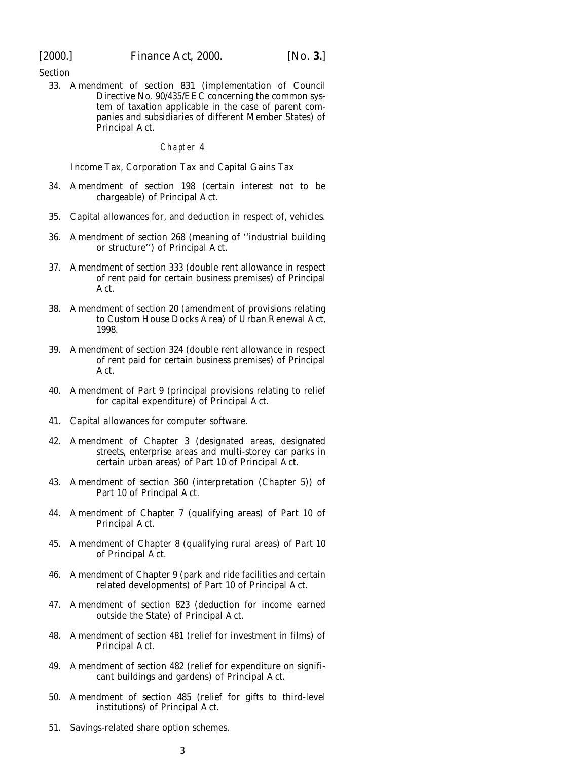[33. Amendment of section 831 \(implementation of Council](#page-77-0) Directive No. 90/435/EEC concerning the common system of taxation applicable in the case of parent companies and subsidiaries of different Member States) of Principal Act.

### Chapter 4

*Income Tax, Corporation Tax and Capital Gains Tax*

- [34. Amendment of section 198 \(certain interest not to be](#page-78-0) chargeable) of Principal Act.
- [35. Capital allowances for, and deduction in respect of, vehicles.](#page-79-0)
- [36. Amendment of section 268 \(meaning of ''industrial building](#page-79-0) or structure'') of Principal Act.
- [37. Amendment of section 333 \(double rent allowance in respect](#page-80-0) of rent paid for certain business premises) of Principal Act.
- [38. Amendment of section 20 \(amendment of provisions relating](#page-80-0) to Custom House Docks Area) of Urban Renewal Act, 1998.
- [39. Amendment of section 324 \(double rent allowance in respect](#page-80-0) of rent paid for certain business premises) of Principal Act.
- [40. Amendment of Part 9 \(principal provisions relating to relief](#page-81-0) for capital expenditure) of Principal Act.
- [41. Capital allowances for computer software.](#page-83-0)
- [42. Amendment of Chapter 3 \(designated areas, designated](#page-84-0) streets, enterprise areas and multi-storey car parks in certain urban areas) of Part 10 of Principal Act.
- [43. Amendment of section 360 \(interpretation \(Chapter 5\)\) of](#page-87-0) Part 10 of Principal Act.
- [44. Amendment of Chapter 7 \(qualifying areas\) of Part 10 of](#page-87-0) Principal Act.
- [45. Amendment of Chapter 8 \(qualifying rural areas\) of Part 10](#page-90-0) of Principal Act.
- [46. Amendment of Chapter 9 \(park and ride facilities and certain](#page-92-0) related developments) of Part 10 of Principal Act.
- [47. Amendment of section 823 \(deduction for income earned](#page-93-0) outside the State) of Principal Act.
- [48. Amendment of section 481 \(relief for investment in films\) of](#page-93-0) Principal Act.
- [49. Amendment of section 482 \(relief for expenditure on signifi](#page-94-0)cant buildings and gardens) of Principal Act.
- [50. Amendment of section 485 \(relief for gifts to third-level](#page-95-0) institutions) of Principal Act.
- [51. Savings-related share option schemes.](#page-100-0)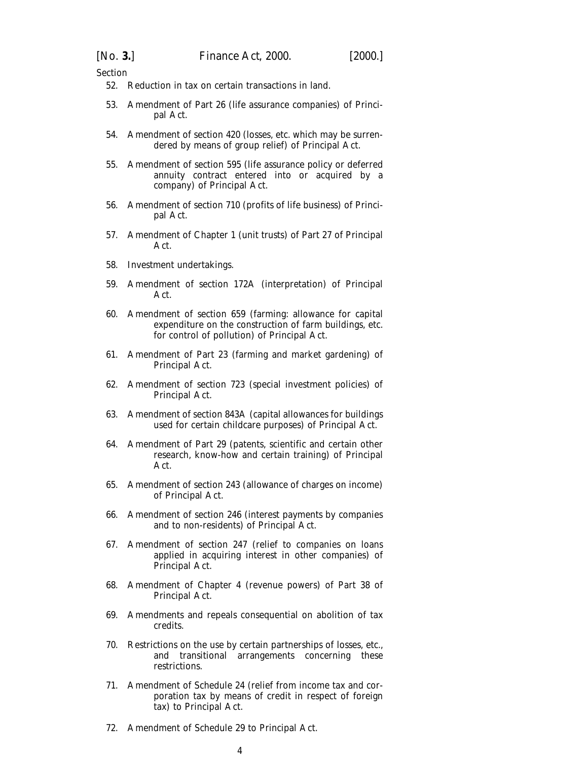- [52. Reduction in tax on certain transactions in land.](#page-101-0)
- [53. Amendment of Part 26 \(life assurance companies\) of Princi](#page-107-0)pal Act.
- [54. Amendment of section 420 \(losses, etc. which may be surren](#page-120-0)dered by means of group relief) of Principal Act.
- [55. Amendment of section 595 \(life assurance policy or deferred](#page-121-0) annuity contract entered into or acquired by a company) of Principal Act.
- [56. Amendment of section 710 \(profits of life business\) of Princi](#page-121-0)pal Act.
- [57. Amendment of Chapter 1 \(unit trusts\) of Part 27 of Principal](#page-121-0) Act.
- [58. Investment undertakings.](#page-122-0)
- [59. Amendment of section 172A \(interpretation\) of Principal](#page-156-0) Act.
- [60. Amendment of section 659 \(farming: allowance for capital](#page-157-0) expenditure on the construction of farm buildings, etc. for control of pollution) of Principal Act.
- [61. Amendment of Part 23 \(farming and market gardening\) of](#page-159-0) Principal Act.
- [62. Amendment of section 723 \(special investment policies\) of](#page-166-0) Principal Act.
- [63. Amendment of section 843A \(capital allowances for buildings](#page-166-0) used for certain childcare purposes) of Principal Act.
- [64. Amendment of Part 29 \(patents, scientific and certain other](#page-167-0) research, know-how and certain training) of Principal Act.
- [65. Amendment of section 243 \(allowance of charges on income\)](#page-172-0) of Principal Act.
- [66. Amendment of section 246 \(interest payments by companies](#page-173-0) and to non-residents) of Principal Act.
- [67. Amendment of section 247 \(relief to companies on loans](#page-173-0) applied in acquiring interest in other companies) of Principal Act.
- [68. Amendment of Chapter 4 \(revenue powers\) of Part 38 of](#page-173-0) Principal Act.
- [69. Amendments and repeals consequential on abolition of tax](#page-183-0) credits.
- [70. Restrictions on the use by certain partnerships of losses, etc.,](#page-183-0) and transitional arrangements concerning these restrictions.
- [71. Amendment of Schedule 24 \(relief from income tax and cor](#page-188-0)poration tax by means of credit in respect of foreign tax) to Principal Act.
- [72. Amendment of Schedule 29 to Principal Act.](#page-189-0)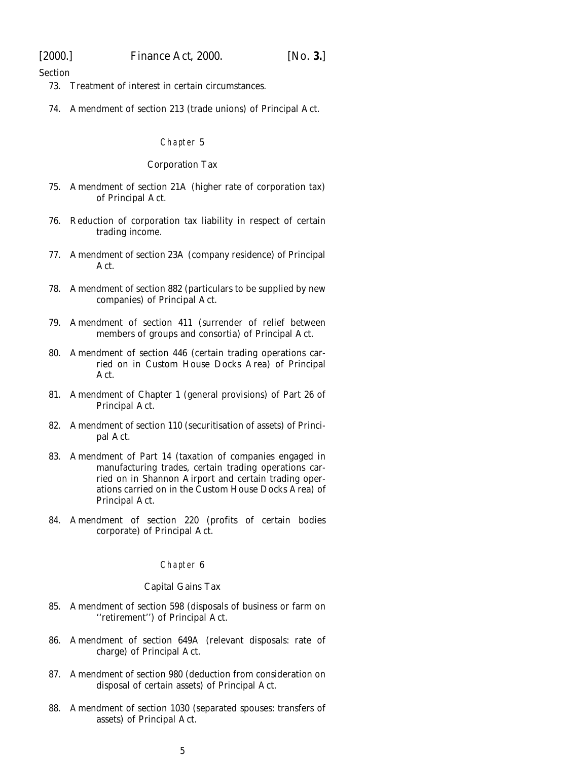- [73. Treatment of interest in certain circumstances.](#page-189-0)
- [74. Amendment of section 213 \(trade unions\) of Principal Act.](#page-191-0)

# Chapter 5

#### *Corporation Tax*

- [75. Amendment of section 21A \(higher rate of corporation tax\)](#page-192-0) of Principal Act.
- [76. Reduction of corporation tax liability in respect of certain](#page-194-0) trading income.
- [77. Amendment of section 23A \(company residence\) of Principal](#page-198-0) Act.
- [78. Amendment of section 882 \(particulars to be supplied by new](#page-199-0) companies) of Principal Act.
- [79. Amendment of section 411 \(surrender of relief between](#page-199-0) members of groups and consortia) of Principal Act.
- [80. Amendment of section 446 \(certain trading operations car](#page-199-0)ried on in Custom House Docks Area) of Principal Act.
- [81. Amendment of Chapter 1 \(general provisions\) of Part 26 of](#page-201-0) Principal Act.
- [82. Amendment of section 110 \(securitisation of assets\) of Princi](#page-203-0)pal Act.
- [83. Amendment of Part 14 \(taxation of companies engaged in](#page-204-0) manufacturing trades, certain trading operations carried on in Shannon Airport and certain trading operations carried on in the Custom House Docks Area) of Principal Act.
- [84. Amendment of section 220 \(profits of certain bodies](#page-205-0) corporate) of Principal Act.

# Chapter 6

#### *Capital Gains Tax*

- [85. Amendment of section 598 \(disposals of business or farm on](#page-206-0) ''retirement'') of Principal Act.
- [86. Amendment of section 649A \(relevant disposals: rate of](#page-206-0) charge) of Principal Act.
- [87. Amendment of section 980 \(deduction from consideration on](#page-207-0) disposal of certain assets) of Principal Act.
- [88. Amendment of section 1030 \(separated spouses: transfers of](#page-209-0) assets) of Principal Act.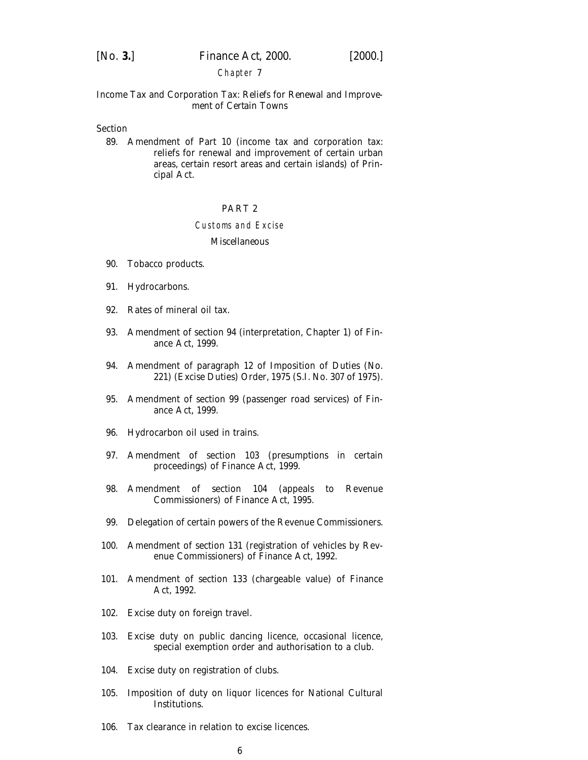#### Chapter 7

#### *Income Tax and Corporation Tax: Reliefs for Renewal and Improvement of Certain Towns*

#### Section

[89. Amendment of Part 10 \(income tax and corporation tax:](#page-209-0) reliefs for renewal and improvement of certain urban areas, certain resort areas and certain islands) of Principal Act.

#### PART 2

#### Customs and Excise

#### *Miscellaneous*

- [90. Tobacco products.](#page-243-0)
- [91. Hydrocarbons.](#page-244-0)
- [92. Rates of mineral oil tax.](#page-244-0)
- [93. Amendment of section 94 \(interpretation, Chapter 1\) of Fin](#page-245-0)ance Act, 1999.
- [94. Amendment of paragraph 12 of Imposition of Duties \(No.](#page-246-0) 221) (Excise Duties) Order, 1975 (S.I. No. 307 of 1975).
- [95. Amendment of section 99 \(passenger road services\) of Fin](#page-247-0)ance Act, 1999.
- [96. Hydrocarbon oil used in trains.](#page-247-0)
- [97. Amendment of section 103 \(presumptions in certain](#page-248-0) proceedings) of Finance Act, 1999.
- [98. Amendment of section 104 \(appeals to Revenue](#page-248-0) Commissioners) of Finance Act, 1995.
- [99. Delegation of certain powers of the Revenue Commissioners.](#page-249-0)
- [100. Amendment of section 131 \(registration of vehicles by Rev](#page-250-0)enue Commissioners) of Finance Act, 1992.
- [101. Amendment of section 133 \(chargeable value\) of Finance](#page-250-0) Act, 1992.
- [102. Excise duty on foreign travel.](#page-250-0)
- [103. Excise duty on public dancing licence, occasional licence,](#page-250-0) special exemption order and authorisation to a club.
- [104. Excise duty on registration of clubs.](#page-251-0)
- [105. Imposition of duty on liquor licences for National Cultural](#page-251-0) Institutions.
- [106. Tax clearance in relation to excise licences.](#page-251-0)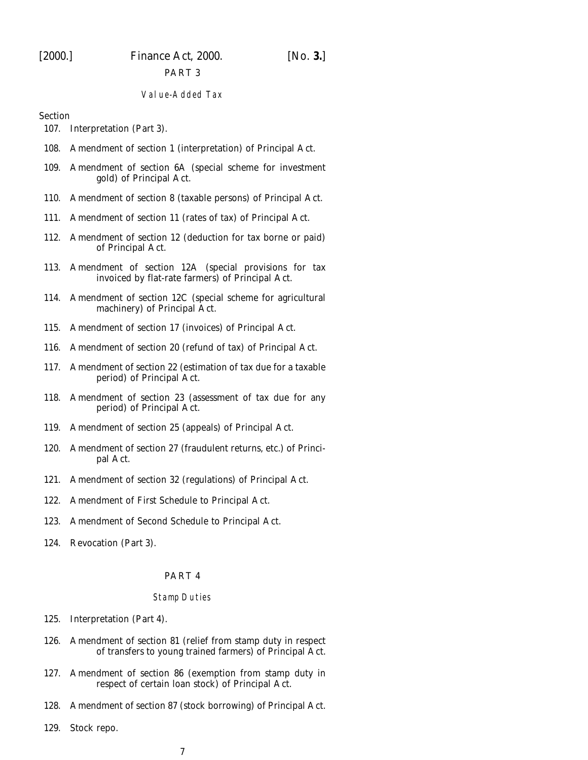# Value-Added Tax

Section

- [107. Interpretation \(](#page-251-0)*Part 3*).
- [108. Amendment of section 1 \(interpretation\) of Principal Act.](#page-252-0)
- [109. Amendment of section 6A \(special scheme for investment](#page-252-0) gold) of Principal Act.
- [110. Amendment of section 8 \(taxable persons\) of Principal Act.](#page-252-0)
- [111. Amendment of section 11 \(rates of tax\) of Principal Act.](#page-254-0)
- [112. Amendment of section 12 \(deduction for tax borne or paid\)](#page-254-0) of Principal Act.
- [113. Amendment of section 12A \(special provisions for tax](#page-256-0) invoiced by flat-rate farmers) of Principal Act.
- [114. Amendment of section 12C \(special scheme for agricultural](#page-256-0) machinery) of Principal Act.
- [115. Amendment of section 17 \(invoices\) of Principal Act.](#page-257-0)
- [116. Amendment of section 20 \(refund of tax\) of Principal Act.](#page-257-0)
- [117. Amendment of section 22 \(estimation of tax due for a taxable](#page-258-0) period) of Principal Act.
- [118. Amendment of section 23 \(assessment of tax due for any](#page-258-0) period) of Principal Act.
- [119. Amendment of section 25 \(appeals\) of Principal Act.](#page-258-0)
- [120. Amendment of section 27 \(fraudulent returns, etc.\) of Princi](#page-258-0)pal Act.
- [121. Amendment of section 32 \(regulations\) of Principal Act.](#page-258-0)
- [122. Amendment of First Schedule to Principal Act.](#page-258-0)
- [123. Amendment of Second Schedule to Principal Act.](#page-258-0)
- [124. Revocation](#page-259-0) *(Part 3).*

# PART 4

#### Stamp Duties

- [125. Interpretation \(](#page-259-0)*Part 4*).
- [126. Amendment of section 81 \(relief from stamp duty in respect](#page-259-0) of transfers to young trained farmers) of Principal Act.
- [127. Amendment of section 86 \(exemption from stamp duty in](#page-260-0) respect of certain loan stock) of Principal Act.
- [128. Amendment of section 87 \(stock borrowing\) of Principal Act.](#page-261-0)
- [129. Stock repo.](#page-261-0)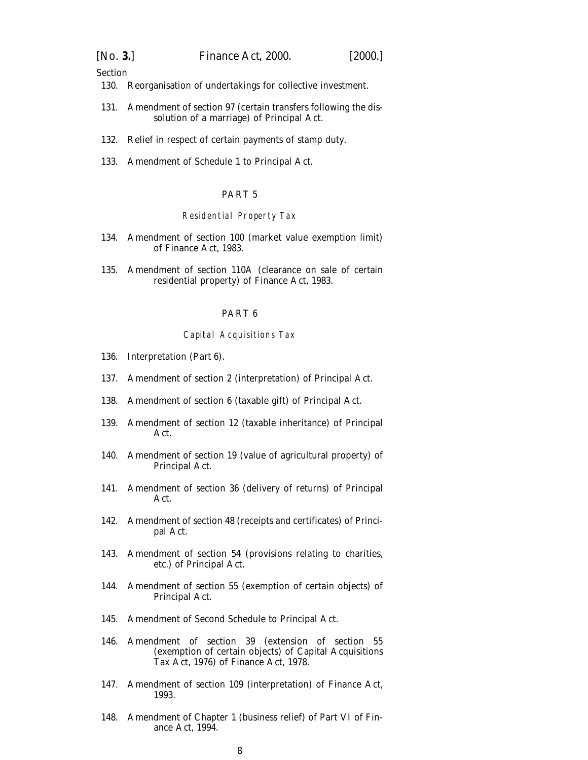| [ $No. 3$ .] | Finance Act, 2000. | [2000.] |
|--------------|--------------------|---------|
|--------------|--------------------|---------|

- [130. Reorganisation of undertakings for collective investment.](#page-263-0)
- [131. Amendment of section 97 \(certain transfers following the dis](#page-263-0)solution of a marriage) of Principal Act.
- [132. Relief in respect of certain payments of stamp duty.](#page-263-0)
- [133. Amendment of Schedule 1 to Principal Act.](#page-264-0)

# PART 5

# Residential Property Tax

- [134. Amendment of section 100 \(market value exemption limit\)](#page-265-0) of Finance Act, 1983.
- [135. Amendment of section 110A \(clearance on sale of certain](#page-265-0) residential property) of Finance Act, 1983.

# PART 6

#### Capital Acquisitions Tax

- [136. Interpretation \(](#page-265-0)*Part 6*).
- [137. Amendment of section 2 \(interpretation\) of Principal Act.](#page-265-0)
- [138. Amendment of section 6 \(taxable gift\) of Principal Act.](#page-266-0)
- [139. Amendment of section 12 \(taxable inheritance\) of Principal](#page-267-0) Act.
- [140. Amendment of section 19 \(value of agricultural property\) of](#page-269-0) Principal Act.
- [141. Amendment of section 36 \(delivery of returns\) of Principal](#page-270-0) Act.
- [142. Amendment of section 48 \(receipts and certificates\) of Princi](#page-271-0)pal Act.
- [143. Amendment of section 54 \(provisions relating to charities,](#page-273-0) etc.) of Principal Act.
- [144. Amendment of section 55 \(exemption of certain objects\) of](#page-273-0) Principal Act.
- [145. Amendment of Second Schedule to Principal Act.](#page-273-0)
- [146. Amendment of section 39 \(extension of section 55](#page-275-0) (exemption of certain objects) of Capital Acquisitions Tax Act, 1976) of Finance Act, 1978.
- [147. Amendment of section 109 \(interpretation\) of Finance Act,](#page-276-0) 1993.
- [148. Amendment of Chapter 1 \(business relief\) of Part VI of Fin](#page-276-0)ance Act, 1994.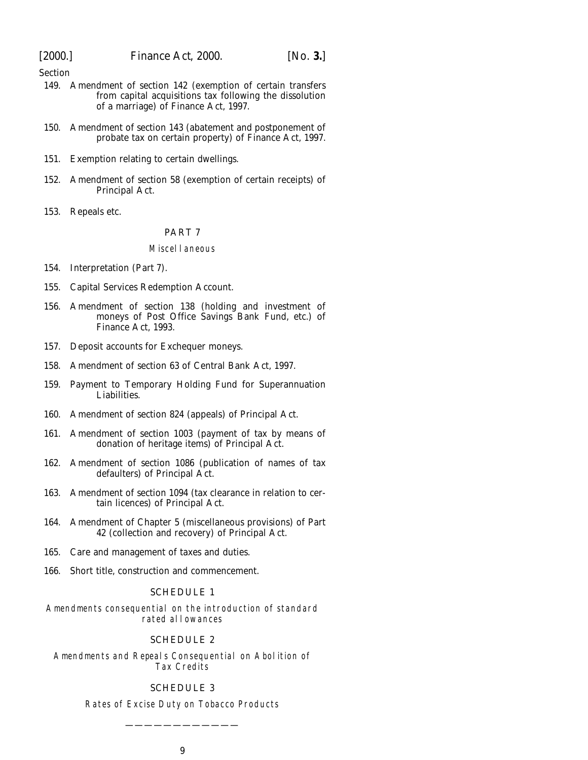- [149. Amendment of section 142 \(exemption of certain transfers](#page-277-0) from capital acquisitions tax following the dissolution of a marriage) of Finance Act, 1997.
- [150. Amendment of section 143 \(abatement and postponement of](#page-278-0) probate tax on certain property) of Finance Act, 1997.
- [151. Exemption relating to certain dwellings.](#page-278-0)
- [152. Amendment of section 58 \(exemption of certain receipts\) of](#page-280-0) Principal Act.
- [153. Repeals etc.](#page-280-0)

#### PART 7

# Miscellaneous

- [154. Interpretation \(](#page-280-0)*Part 7*).
- [155. Capital Services Redemption Account.](#page-280-0)
- [156. Amendment of section 138 \(holding and investment of](#page-281-0) moneys of Post Office Savings Bank Fund, etc.) of Finance Act, 1993.
- [157. Deposit accounts for Exchequer moneys.](#page-281-0)
- [158. Amendment of section 63 of Central Bank Act, 1997.](#page-282-0)
- [159. Payment to Temporary Holding Fund for Superannuation](#page-282-0) Liabilities.
- [160. Amendment of section 824 \(appeals\) of Principal Act.](#page-282-0)
- [161. Amendment of section 1003 \(payment of tax by means of](#page-282-0) donation of heritage items) of Principal Act.
- [162. Amendment of section 1086 \(publication of names of tax](#page-283-0) defaulters) of Principal Act.
- [163. Amendment of section 1094 \(tax clearance in relation to cer](#page-284-0)tain licences) of Principal Act.
- [164. Amendment of Chapter 5 \(miscellaneous provisions\) of Part](#page-284-0) 42 (collection and recovery) of Principal Act.
- [165. Care and management of taxes and duties.](#page-286-0)
- [166. Short title, construction and commencement.](#page-287-0)

# [SCHEDULE 1](#page-288-0)

Amendments consequential on the introduction of standard rated allowances

# [SCHEDULE 2](#page-289-0)

Amendments and Repeals Consequential on Abolition of Tax Credits

#### [SCHEDULE 3](#page-297-0)

Rates of Excise Duty on Tobacco Products

————————————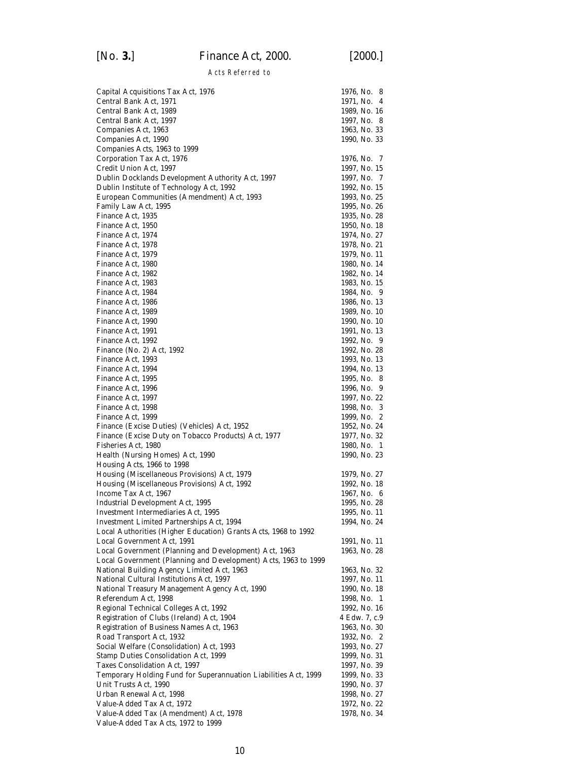# [*No.* **3.**] *Finance Act,* 2000. [2000.]

# Acts Referred to

| Capital Acquisitions Tax Act, 1976                                                      | 1976, No. 8                  |
|-----------------------------------------------------------------------------------------|------------------------------|
| Central Bank Act, 1971                                                                  | 1971, No. 4                  |
| Central Bank Act, 1989                                                                  | 1989, No. 16                 |
| Central Bank Act, 1997                                                                  | 1997, No. 8                  |
| Companies Act, 1963                                                                     | 1963, No. 33                 |
| Companies Act, 1990                                                                     | 1990, No. 33                 |
| Companies Acts, 1963 to 1999                                                            |                              |
| Corporation Tax Act, 1976                                                               | 1976, No. 7                  |
| Credit Union Act, 1997                                                                  | 1997, No. 15                 |
| Dublin Docklands Development Authority Act, 1997                                        | 1997, No. 7                  |
| Dublin Institute of Technology Act, 1992                                                | 1992, No. 15                 |
| European Communities (Amendment) Act, 1993                                              | 1993, No. 25                 |
| Family Law Act, 1995                                                                    | 1995, No. 26                 |
| Finance Act, 1935                                                                       | 1935, No. 28                 |
| Finance Act, 1950                                                                       | 1950, No. 18                 |
| Finance Act, 1974                                                                       | 1974, No. 27                 |
| Finance Act, 1978                                                                       | 1978, No. 21                 |
| Finance Act, 1979                                                                       | 1979, No. 11                 |
| Finance Act, 1980<br>Finance Act, 1982                                                  | 1980, No. 14<br>1982, No. 14 |
| Finance Act, 1983                                                                       | 1983, No. 15                 |
| Finance Act, 1984                                                                       | 1984, No. 9                  |
| Finance Act, 1986                                                                       | 1986, No. 13                 |
| Finance Act, 1989                                                                       | 1989, No. 10                 |
| Finance Act, 1990                                                                       | 1990, No. 10                 |
| Finance Act, 1991                                                                       | 1991, No. 13                 |
| Finance Act, 1992                                                                       | 1992, No. 9                  |
| Finance (No. 2) Act, 1992                                                               | 1992, No. 28                 |
| Finance Act, 1993                                                                       | 1993, No. 13                 |
| Finance Act, 1994                                                                       | 1994, No. 13                 |
| Finance Act, 1995                                                                       | 1995, No. 8                  |
| Finance Act, 1996                                                                       | 1996, No. 9                  |
| Finance Act, 1997                                                                       | 1997, No. 22                 |
| Finance Act, 1998                                                                       | 1998, No. 3                  |
| Finance Act, 1999                                                                       | 1999, No. 2                  |
| Finance (Excise Duties) (Vehicles) Act, 1952                                            | 1952, No. 24                 |
| Finance (Excise Duty on Tobacco Products) Act, 1977                                     | 1977, No. 32                 |
| Fisheries Act, 1980                                                                     | 1980, No. 1                  |
| Health (Nursing Homes) Act, 1990                                                        | 1990, No. 23                 |
| Housing Acts, 1966 to 1998                                                              |                              |
| Housing (Miscellaneous Provisions) Act, 1979                                            | 1979, No. 27                 |
| Housing (Miscellaneous Provisions) Act, 1992                                            | 1992, No. 18                 |
| Income Tax Act, 1967                                                                    | 1967, No. 6                  |
| <b>Industrial Development Act, 1995</b>                                                 | 1995, No. 28                 |
| Investment Intermediaries Act, 1995<br><b>Investment Limited Partnerships Act, 1994</b> | 1995, No. 11<br>1994, No. 24 |
| Local Authorities (Higher Education) Grants Acts, 1968 to 1992                          |                              |
| Local Government Act, 1991                                                              | 1991, No. 11                 |
| Local Government (Planning and Development) Act, 1963                                   | 1963, No. 28                 |
| Local Government (Planning and Development) Acts, 1963 to 1999                          |                              |
| National Building Agency Limited Act, 1963                                              | 1963, No. 32                 |
| National Cultural Institutions Act, 1997                                                | 1997, No. 11                 |
| National Treasury Management Agency Act, 1990                                           | 1990, No. 18                 |
| Referendum Act, 1998                                                                    | 1998, No. 1                  |
| Regional Technical Colleges Act, 1992                                                   | 1992, No. 16                 |
| Registration of Clubs (Ireland) Act, 1904                                               | 4 Edw. 7, c.9                |
| Registration of Business Names Act, 1963                                                | 1963, No. 30                 |
| Road Transport Act, 1932                                                                | 1932, No. 2                  |
| Social Welfare (Consolidation) Act, 1993                                                | 1993, No. 27                 |
| Stamp Duties Consolidation Act, 1999                                                    | 1999, No. 31                 |
| Taxes Consolidation Act, 1997                                                           | 1997, No. 39                 |
| Temporary Holding Fund for Superannuation Liabilities Act, 1999                         | 1999, No. 33                 |
| Unit Trusts Act, 1990                                                                   | 1990, No. 37                 |
| Urban Renewal Act, 1998                                                                 | 1998, No. 27                 |
| Value-Added Tax Act, 1972                                                               | 1972, No. 22                 |
| Value-Added Tax (Amendment) Act, 1978                                                   | 1978, No. 34                 |
| Value-Added Tax Acts, 1972 to 1999                                                      |                              |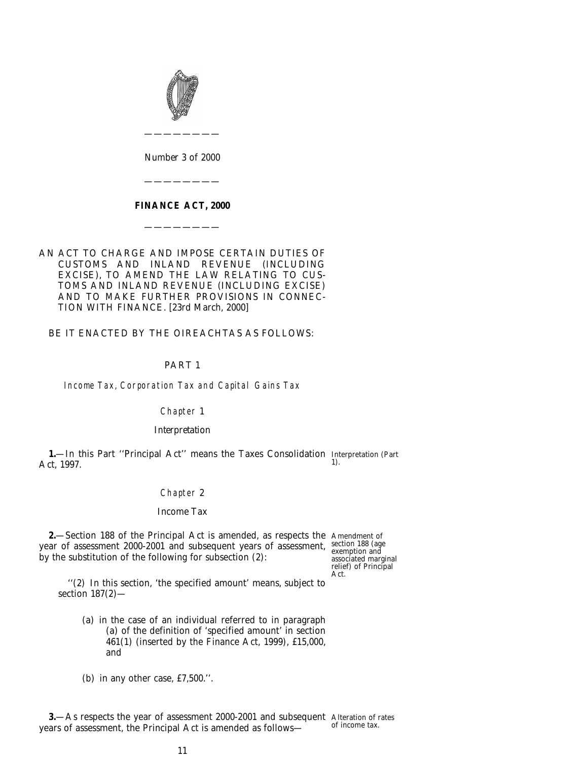<span id="page-10-0"></span>

*Number* 3 *of* 2000

————————

# **FINANCE ACT, 2000**

————————

————————

# AN ACT TO CHARGE AND IMPOSE CERTAIN DUTIES OF CUSTOMS AND INLAND REVENUE (INCLUDING EXCISE), TO AMEND THE LAW RELATING TO CUS-TOMS AND INLAND REVENUE (INCLUDING EXCISE) AND TO MAKE FURTHER PROVISIONS IN CONNEC-TION WITH FINANCE. [23*rd March,* 2000]

# BE IT ENACTED BY THE OIREACHTAS AS FOLLOWS:

# PART 1

Income Tax, Corporation Tax and Capital Gains Tax

#### Chapter 1

# *Interpretation*

**1.**—In this Part ''Principal Act'' means the Taxes Consolidation Interpretation (*Part* Act, 1997. *1*).

# Chapter 2

#### *Income Tax*

**2.**—Section 188 of the Principal Act is amended, as respects the Amendment of year of assessment 2000-2001 and subsequent years of assessment, section 188 (age by the substitution of the following for subsection (2):

exemption and associated marginal relief) of Principal Act.

''(2) In this section, 'the specified amount' means, subject to section 187(2)—

- (*a*) in the case of an individual referred to in paragraph (*a*) of the definition of 'specified amount' in section 461(1) (inserted by the Finance Act, 1999), £15,000, and
- (*b*) in any other case, £7,500.''.

**3.**—As respects the year of assessment 2000-2001 and subsequent Alteration of rates years of assessment, the Principal Act is amended as follows of income tax.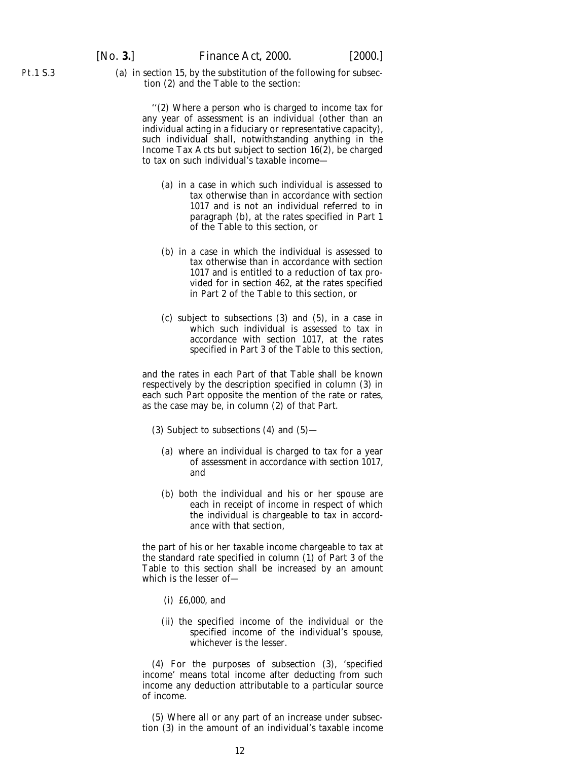- Pt.1 S.3
- (*a*) in section 15, by the substitution of the following for subsection (2) and the Table to the section:

''(2) Where a person who is charged to income tax for any year of assessment is an individual (other than an individual acting in a fiduciary or representative capacity), such individual shall, notwithstanding anything in the Income Tax Acts but subject to section 16(2), be charged to tax on such individual's taxable income—

- (*a*) in a case in which such individual is assessed to tax otherwise than in accordance with section 1017 and is not an individual referred to in paragraph (*b*), at the rates specified in Part 1 of the Table to this section, or
- (*b*) in a case in which the individual is assessed to tax otherwise than in accordance with section 1017 and is entitled to a reduction of tax provided for in section 462, at the rates specified in Part 2 of the Table to this section, or
- (*c*) subject to subsections (3) and (5), in a case in which such individual is assessed to tax in accordance with section 1017, at the rates specified in Part 3 of the Table to this section,

and the rates in each Part of that Table shall be known respectively by the description specified in column (3) in each such Part opposite the mention of the rate or rates, as the case may be, in column (2) of that Part.

- (3) Subject to subsections  $(4)$  and  $(5)$ 
	- (*a*) where an individual is charged to tax for a year of assessment in accordance with section 1017, and
	- (*b*) both the individual and his or her spouse are each in receipt of income in respect of which the individual is chargeable to tax in accordance with that section,

the part of his or her taxable income chargeable to tax at the standard rate specified in column (1) of Part 3 of the Table to this section shall be increased by an amount which is the lesser of—

- (i) £6,000, and
- (ii) the specified income of the individual or the specified income of the individual's spouse, whichever is the lesser.

(4) For the purposes of subsection (3), 'specified income' means total income after deducting from such income any deduction attributable to a particular source of income.

(5) Where all or any part of an increase under subsection (3) in the amount of an individual's taxable income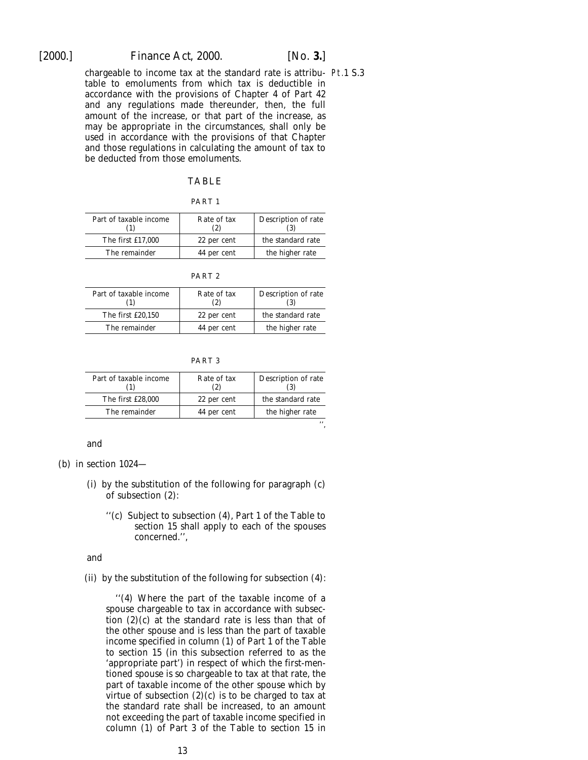# [2000.] *Finance Act,* 2000. [*No.* **3.**]

chargeable to income tax at the standard rate is attribu- Pt.1 S.3 table to emoluments from which tax is deductible in accordance with the provisions of Chapter 4 of Part 42 and any regulations made thereunder, then, the full amount of the increase, or that part of the increase, as may be appropriate in the circumstances, shall only be used in accordance with the provisions of that Chapter and those regulations in calculating the amount of tax to be deducted from those emoluments.

#### TABLE

|--|--|

| Part of taxable income | Rate of tax<br>(2) | Description of rate |
|------------------------|--------------------|---------------------|
| The first £17,000      | 22 per cent        | the standard rate   |
| The remainder          | 44 per cent        | the higher rate     |

|--|--|

| Part of taxable income | Rate of tax<br>(2) | Description of rate |
|------------------------|--------------------|---------------------|
| The first £20,150      | 22 per cent        | the standard rate   |
| The remainder          | 44 per cent        | the higher rate     |

|--|--|

| Part of taxable income | Rate of tax<br>(2) | Description of rate |
|------------------------|--------------------|---------------------|
| The first $£28,000$    | 22 per cent        | the standard rate   |
| The remainder          | 44 per cent        | the higher rate     |
|                        |                    | , 1                 |

and

(*b*) in section 1024—

- (i) by the substitution of the following for paragraph (*c*) of subsection (2):
	- ''(*c*) Subject to subsection (4), Part 1 of the Table to section 15 shall apply to each of the spouses concerned.'',

and

(ii) by the substitution of the following for subsection (4):

''(4) Where the part of the taxable income of a spouse chargeable to tax in accordance with subsection (2)(*c*) at the standard rate is less than that of the other spouse and is less than the part of taxable income specified in column (1) of Part 1 of the Table to section 15 (in this subsection referred to as the 'appropriate part') in respect of which the first-mentioned spouse is so chargeable to tax at that rate, the part of taxable income of the other spouse which by virtue of subsection  $(2)(c)$  is to be charged to tax at the standard rate shall be increased, to an amount not exceeding the part of taxable income specified in column (1) of Part 3 of the Table to section 15 in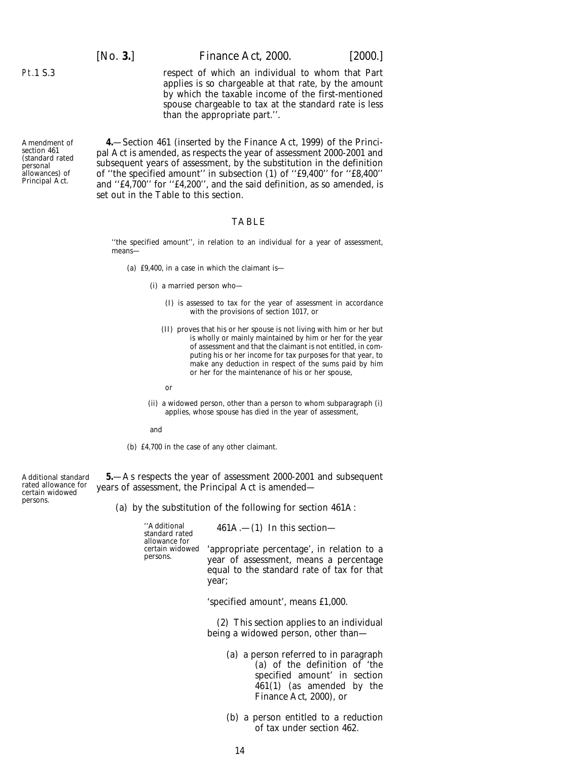[*No.* **3.**] *Finance Act,* 2000. [2000.]

respect of which an individual to whom that Part applies is so chargeable at that rate, by the amount by which the taxable income of the first-mentioned spouse chargeable to tax at the standard rate is less than the appropriate part.''.

**4.**—Section 461 (inserted by the Finance Act, 1999) of the Principal Act is amended, as respects the year of assessment 2000-2001 and subsequent years of assessment, by the substitution in the definition of ''the specified amount'' in subsection (1) of ''£9,400'' for ''£8,400'' and ''£4,700'' for ''£4,200'', and the said definition, as so amended, is set out in the Table to this section.

#### TABLE

''the specified amount'', in relation to an individual for a year of assessment, means—

(*a*) £9,400, in a case in which the claimant is—

(i) a married person who—

- (I) is assessed to tax for the year of assessment in accordance with the provisions of section 1017, or
- (II) proves that his or her spouse is not living with him or her but is wholly or mainly maintained by him or her for the year of assessment and that the claimant is not entitled, in computing his or her income for tax purposes for that year, to make any deduction in respect of the sums paid by him or her for the maintenance of his or her spouse,

or

(ii) a widowed person, other than a person to whom subparagraph (i) applies, whose spouse has died in the year of assessment,

and

(*b*) £4,700 in the case of any other claimant.

Additional standard rated allowance for certain widowed persons.

**5.**—As respects the year of assessment 2000-2001 and subsequent years of assessment, the Principal Act is amended—

(*a*) by the substitution of the following for section 461A:

''Additional 461A.—(1) In this section— standard rated allowance for certain widowed 'appropriate percentage', in relation to a year of assessment, means a percentage equal to the standard rate of tax for that year;

'specified amount', means £1,000.

(2) This section applies to an individual being a widowed person, other than—

- (*a*) a person referred to in paragraph (*a*) of the definition of 'the specified amount' in section 461(1) (as amended by the *Finance Act, 2000*), or
- (*b*) a person entitled to a reduction of tax under section 462.

14

<span id="page-13-0"></span>Pt.1 S.3

Amendment of section 461 (standard rated personal allowances) of Principal Act.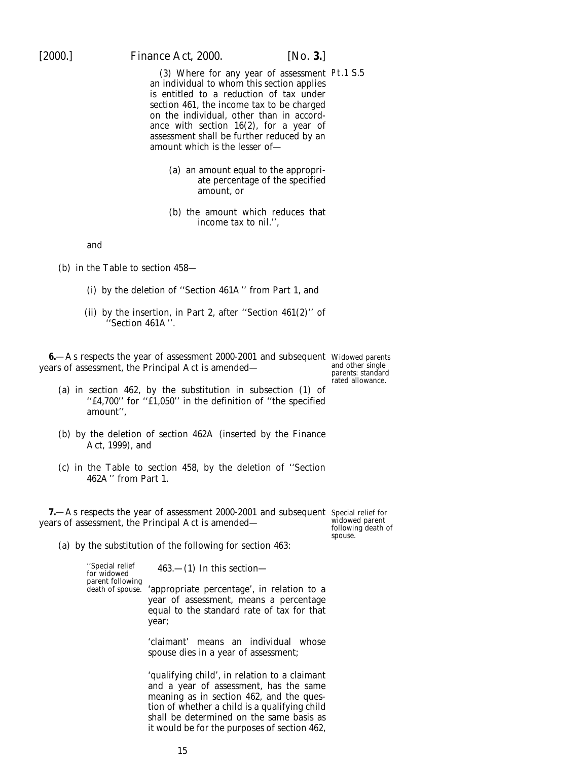#### <span id="page-14-0"></span>[2000.] *Finance Act,* 2000. [*No.* **3.**]

(3) Where for any year of assessment Pt.1 S.5 an individual to whom this section applies is entitled to a reduction of tax under section 461, the income tax to be charged on the individual, other than in accordance with section 16(2), for a year of assessment shall be further reduced by an amount which is the lesser of—

- (*a*) an amount equal to the appropriate percentage of the specified amount, or
- (*b*) the amount which reduces that income tax to nil.'',

and

(*b*) in the Table to section 458—

- (i) by the deletion of ''Section 461A'' from Part 1, and
- (ii) by the insertion, in Part 2, after ''Section 461(2)'' of ''Section 461A''.

**6.**—As respects the year of assessment 2000-2001 and subsequent Widowed parents years of assessment, the Principal Act is amended—

and other single parents: standard rated allowance.

- (*a*) in section 462, by the substitution in subsection (1) of ''£4,700'' for ''£1,050'' in the definition of ''the specified amount'',
- (*b*) by the deletion of section 462A (inserted by the Finance Act, 1999), and
- (*c*) in the Table to section 458, by the deletion of ''Section 462A'' from Part 1.

**7.**—As respects the year of assessment 2000-2001 and subsequent Special relief for years of assessment, the Principal Act is amended—

widowed parent following death of spouse.

(*a*) by the substitution of the following for section 463:

| "Special relief<br>for widowed       | $463$ — $(1)$ In this section—                                                                                                                   |
|--------------------------------------|--------------------------------------------------------------------------------------------------------------------------------------------------|
| parent following<br>death of spouse. | 'appropriate percentage', in relation to a<br>year of assessment, means a percentage<br>equal to the standard rate of tax for that<br>year;<br>. |

'claimant' means an individual whose spouse dies in a year of assessment;

'qualifying child', in relation to a claimant and a year of assessment, has the same meaning as in section 462, and the question of whether a child is a qualifying child shall be determined on the same basis as it would be for the purposes of section 462,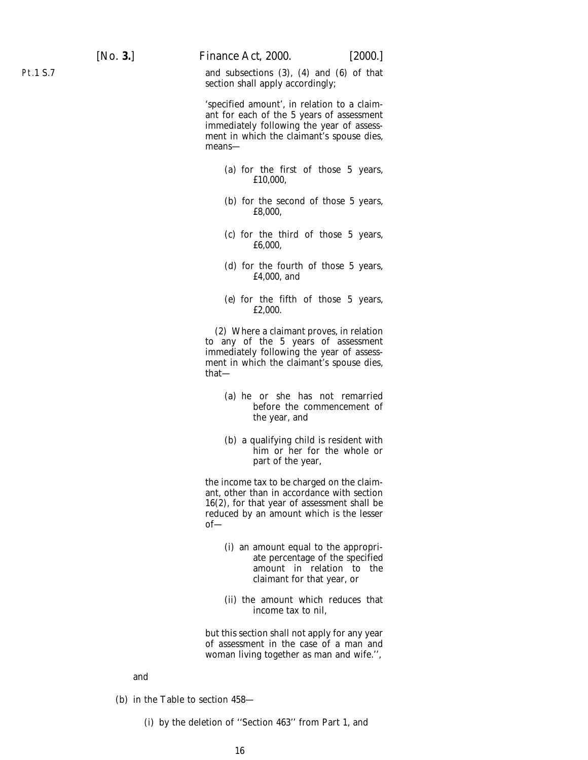Pt.1 S.7

[*No.* **3.**] *Finance Act,* 2000. [2000.]

and subsections (3), (4) and (6) of that section shall apply accordingly;

'specified amount', in relation to a claimant for each of the 5 years of assessment immediately following the year of assessment in which the claimant's spouse dies, means—

- (*a*) for the first of those 5 years, £10,000,
- (*b*) for the second of those 5 years, £8,000,
- (*c*) for the third of those 5 years, £6,000,
- (*d*) for the fourth of those 5 years, £4,000, and
- (*e*) for the fifth of those 5 years, £2,000.

(2) Where a claimant proves, in relation to any of the 5 years of assessment immediately following the year of assessment in which the claimant's spouse dies, that—

- (*a*) he or she has not remarried before the commencement of the year, and
- (*b*) a qualifying child is resident with him or her for the whole or part of the year,

the income tax to be charged on the claimant, other than in accordance with section 16(2), for that year of assessment shall be reduced by an amount which is the lesser of—

- (i) an amount equal to the appropriate percentage of the specified amount in relation to the claimant for that year, or
- (ii) the amount which reduces that income tax to nil,

but this section shall not apply for any year of assessment in the case of a man and woman living together as man and wife.'',

and

- (*b*) in the Table to section 458—
	- (i) by the deletion of ''Section 463'' from Part 1, and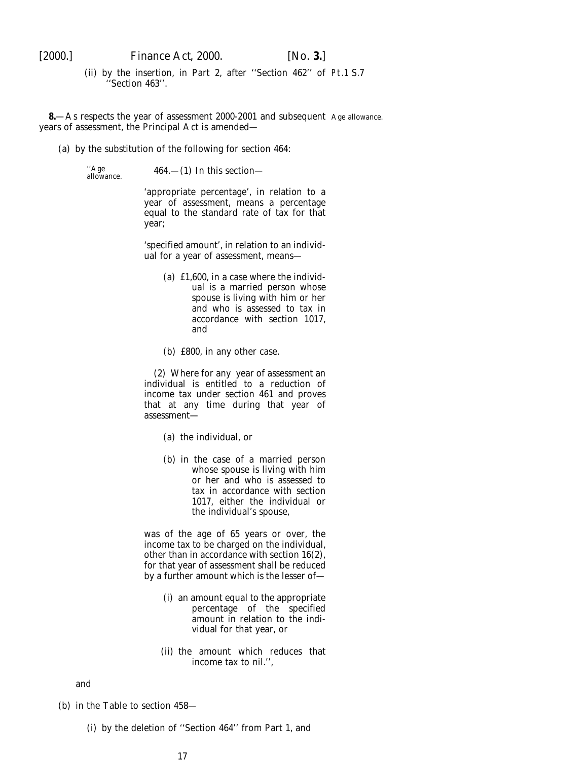<span id="page-16-0"></span>

(ii) by the insertion, in Part 2, after ''Section 462'' of Pt.1 S.7 ''Section 463''.

**8.**—As respects the year of assessment 2000-2001 and subsequent Age allowance.years of assessment, the Principal Act is amended—

(*a*) by the substitution of the following for section 464:

"Age  $464$ — $(1)$  In this section—

'appropriate percentage', in relation to a year of assessment, means a percentage equal to the standard rate of tax for that year;

'specified amount', in relation to an individual for a year of assessment, means—

- (*a*) £1,600, in a case where the individual is a married person whose spouse is living with him or her and who is assessed to tax in accordance with section 1017, and
- (*b*) £800, in any other case.

(2) Where for any year of assessment an individual is entitled to a reduction of income tax under section 461 and proves that at any time during that year of assessment—

- (*a*) the individual, or
- (*b*) in the case of a married person whose spouse is living with him or her and who is assessed to tax in accordance with section 1017, either the individual or the individual's spouse,

was of the age of 65 years or over, the income tax to be charged on the individual, other than in accordance with section 16(2), for that year of assessment shall be reduced by a further amount which is the lesser of—

- (i) an amount equal to the appropriate percentage of the specified amount in relation to the individual for that year, or
- (ii) the amount which reduces that income tax to nil.'',

and

- (*b*) in the Table to section 458—
	- (i) by the deletion of ''Section 464'' from Part 1, and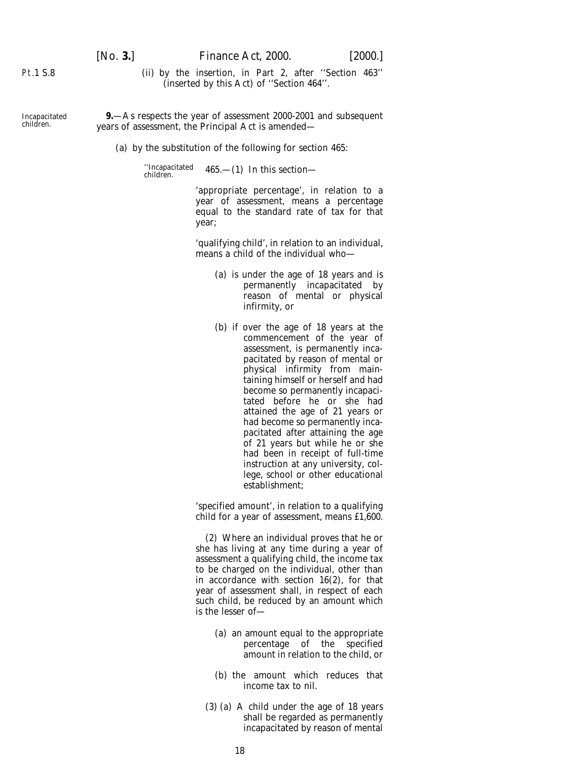(ii) by the insertion, in Part 2, after ''Section 463'' (inserted by this Act) of ''Section 464''.

Incapacitated children.

<span id="page-17-0"></span>Pt.1 S.8

**9.**—As respects the year of assessment 2000-2001 and subsequent years of assessment, the Principal Act is amended—

(*a*) by the substitution of the following for section 465:

''Incapacitated 465.—(1) In this section— children.

'appropriate percentage', in relation to a year of assessment, means a percentage equal to the standard rate of tax for that year;

'qualifying child', in relation to an individual, means a child of the individual who—

- (*a*) is under the age of 18 years and is permanently incapacitated by reason of mental or physical infirmity, or
- (*b*) if over the age of 18 years at the commencement of the year of assessment, is permanently incapacitated by reason of mental or physical infirmity from maintaining himself or herself and had become so permanently incapacitated before he or she had attained the age of 21 years or had become so permanently incapacitated after attaining the age of 21 years but while he or she had been in receipt of full-time instruction at any university, college, school or other educational establishment;

'specified amount', in relation to a qualifying child for a year of assessment, means £1,600.

(2) Where an individual proves that he or she has living at any time during a year of assessment a qualifying child, the income tax to be charged on the individual, other than in accordance with section 16(2), for that year of assessment shall, in respect of each such child, be reduced by an amount which is the lesser of—

- (*a*) an amount equal to the appropriate percentage of the specified amount in relation to the child, or
- (*b*) the amount which reduces that income tax to nil.
- (3) (*a*) A child under the age of 18 years shall be regarded as permanently incapacitated by reason of mental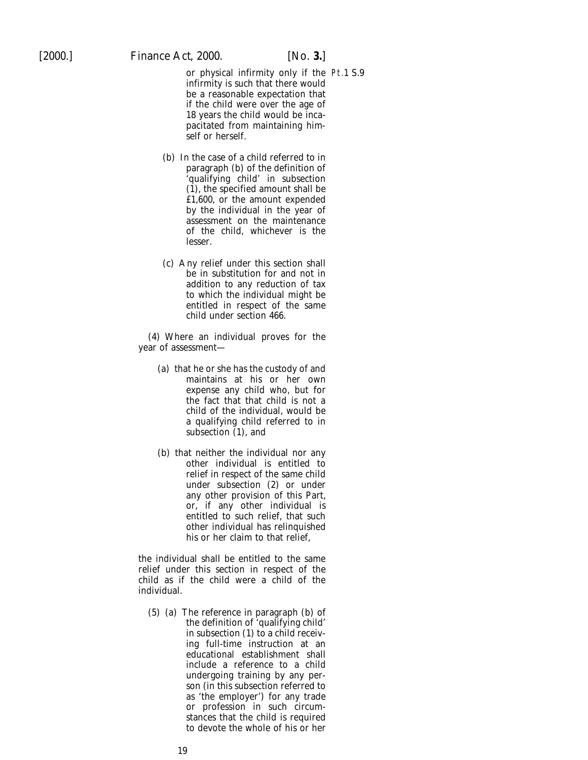or physical infirmity only if the Pt.1 S.9 infirmity is such that there would be a reasonable expectation that if the child were over the age of 18 years the child would be incapacitated from maintaining himself or herself.

- (*b*) In the case of a child referred to in paragraph (*b*) of the definition of 'qualifying child' in subsection  $(1)$ , the specified amount shall be £1,600, or the amount expended by the individual in the year of assessment on the maintenance of the child, whichever is the lesser.
- (*c*) Any relief under this section shall be in substitution for and not in addition to any reduction of tax to which the individual might be entitled in respect of the same child under section 466.

(4) Where an individual proves for the year of assessment—

- (*a*) that he or she has the custody of and maintains at his or her own expense any child who, but for the fact that that child is not a child of the individual, would be a qualifying child referred to in subsection (1), and
- (*b*) that neither the individual nor any other individual is entitled to relief in respect of the same child under subsection (2) or under any other provision of this Part, or, if any other individual is entitled to such relief, that such other individual has relinquished his or her claim to that relief.

the individual shall be entitled to the same relief under this section in respect of the child as if the child were a child of the individual.

(5) (*a*) The reference in paragraph (*b*) of the definition of 'qualifying child' in subsection (1) to a child receiving full-time instruction at an educational establishment shall include a reference to a child undergoing training by any person (in this subsection referred to as 'the employer') for any trade or profession in such circumstances that the child is required to devote the whole of his or her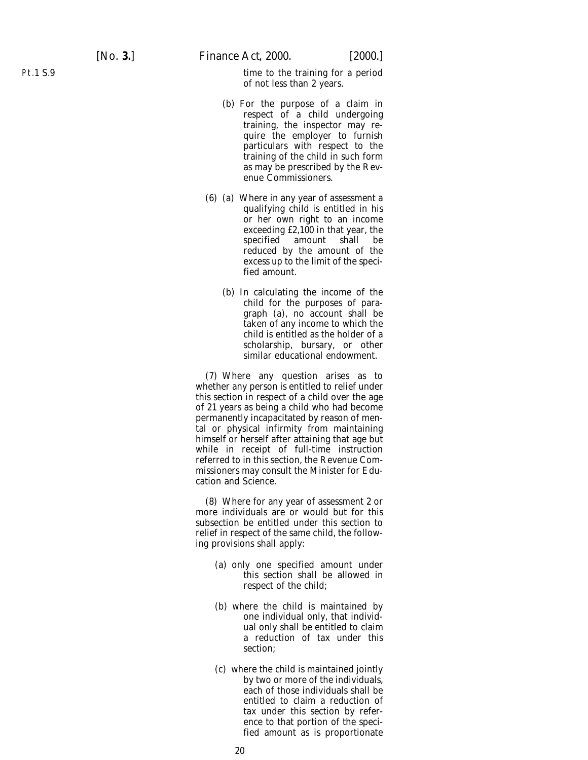time to the training for a period of not less than 2 years.

- ( *b*) For the purpose of a claim in respect of a child undergoing training, the inspector may require the employer to furnish particulars with respect to the training of the child in such form as may be prescribed by the Revenue Commissioners.
- (6) ( *a*) Where in any year of assessment a qualifying child is entitled in his or her own right to an income exceeding £2,100 in that year, the specified amount shall be reduced by the amount of the excess up to the limit of the specified amount.
	- ( *b*) In calculating the income of the child for the purposes of paragraph (*a*), no account shall be taken of any income to which the child is entitled as the holder of a scholarship, bursary, or other similar educational endowment.

(7) Where any question arises as to whether any person is entitled to relief under this section in respect of a child over the age of 21 years as being a child who had become permanently incapacitated by reason of mental or physical infirmity from maintaining himself or herself after attaining that age but while in receipt of full-time instruction referred to in this section, the Revenue Commissioners may consult the Minister for Education and Science.

(8) Where for any year of assessment 2 or more individuals are or would but for this subsection be entitled under this section to relief in respect of the same child, the following provisions shall apply:

- (*a*) only one specified amount under this section shall be allowed in respect of the child;
- ( *b*) where the child is maintained by one individual only, that individual only shall be entitled to claim a reduction of tax under this section;
- ( *c*) where the child is maintained jointly by two or more of the individuals, each of those individuals shall be entitled to claim a reduction of tax under this section by reference to that portion of the specified amount as is proportionate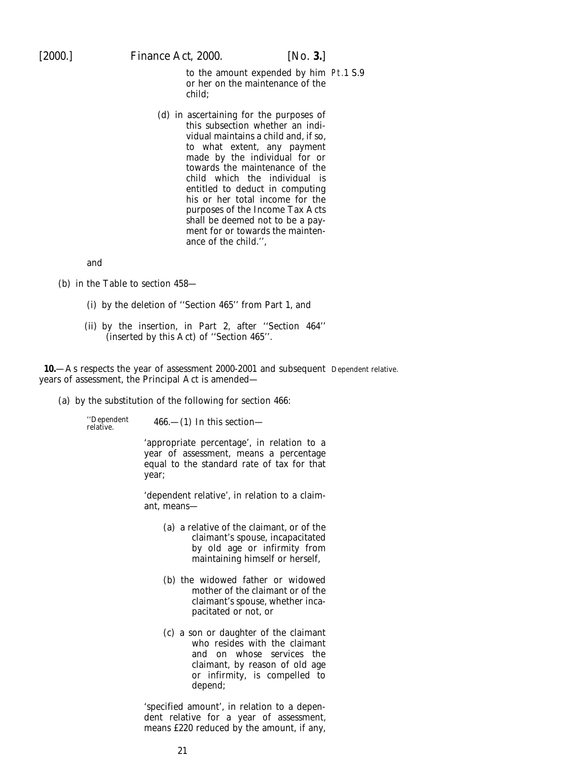to the amount expended by him Pt.1 S.9 or her on the maintenance of the child;

<span id="page-20-0"></span>(*d*) in ascertaining for the purposes of this subsection whether an individual maintains a child and, if so, to what extent, any payment made by the individual for or towards the maintenance of the child which the individual is entitled to deduct in computing his or her total income for the purposes of the Income Tax Acts shall be deemed not to be a payment for or towards the maintenance of the child.'',

and

(*b*) in the Table to section 458—

- (i) by the deletion of ''Section 465'' from Part 1, and
- (ii) by the insertion, in Part 2, after ''Section 464'' (inserted by this Act) of ''Section 465''.

**10.**—As respects the year of assessment 2000-2001 and subsequent Dependent relative.years of assessment, the Principal Act is amended—

(*a*) by the substitution of the following for section 466:

"Dependent  $466$ .—(1) In this section—

'appropriate percentage', in relation to a year of assessment, means a percentage equal to the standard rate of tax for that year;

'dependent relative', in relation to a claimant, means—

- (*a*) a relative of the claimant, or of the claimant's spouse, incapacitated by old age or infirmity from maintaining himself or herself,
- (*b*) the widowed father or widowed mother of the claimant or of the claimant's spouse, whether incapacitated or not, or
- (*c*) a son or daughter of the claimant who resides with the claimant and on whose services the claimant, by reason of old age or infirmity, is compelled to depend;

'specified amount', in relation to a dependent relative for a year of assessment, means £220 reduced by the amount, if any,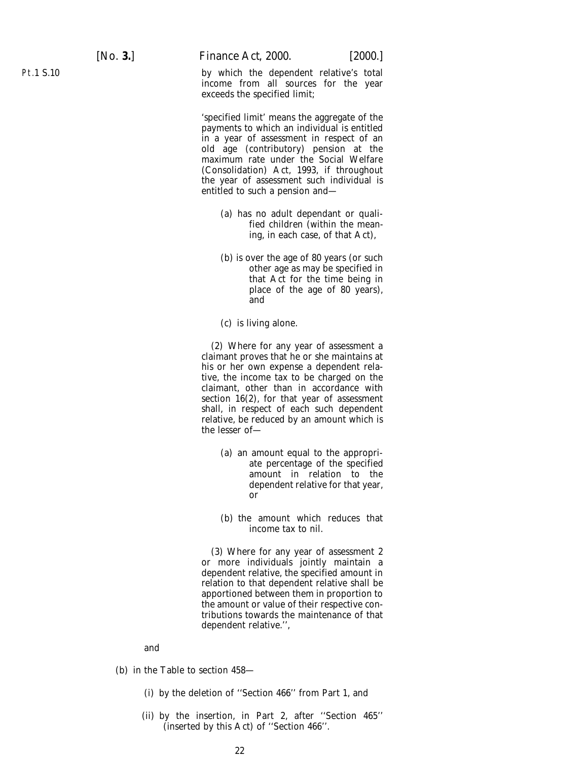Pt.1 S.10

[*No.* **3.**] *Finance Act,* 2000. [2000.]

by which the dependent relative's total income from all sources for the year exceeds the specified limit;

'specified limit' means the aggregate of the payments to which an individual is entitled in a year of assessment in respect of an old age (contributory) pension at the maximum rate under the Social Welfare (Consolidation) Act, 1993, if throughout the year of assessment such individual is entitled to such a pension and—

- (*a*) has no adult dependant or qualified children (within the meaning, in each case, of that Act),
- (*b*) is over the age of 80 years (or such other age as may be specified in that Act for the time being in place of the age of 80 years), and
- (*c*) is living alone.

(2) Where for any year of assessment a claimant proves that he or she maintains at his or her own expense a dependent relative, the income tax to be charged on the claimant, other than in accordance with section 16(2), for that year of assessment shall, in respect of each such dependent relative, be reduced by an amount which is the lesser of—

- (*a*) an amount equal to the appropriate percentage of the specified amount in relation to the dependent relative for that year, or
- (*b*) the amount which reduces that income tax to nil.

(3) Where for any year of assessment 2 or more individuals jointly maintain a dependent relative, the specified amount in relation to that dependent relative shall be apportioned between them in proportion to the amount or value of their respective contributions towards the maintenance of that dependent relative.'',

and

- (*b*) in the Table to section 458—
	- (i) by the deletion of ''Section 466'' from Part 1, and
	- (ii) by the insertion, in Part 2, after ''Section 465'' (inserted by this Act) of ''Section 466''.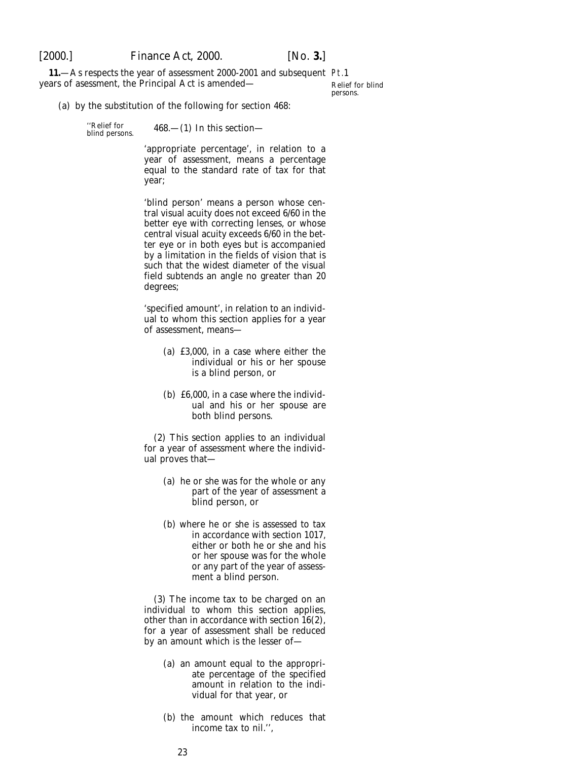<span id="page-22-0"></span>

**11.**—As respects the year of assessment 2000-2001 and subsequent Pt.1 years of asessment, the Principal Act is amended—

Relief for blind persons.

(*a*) by the substitution of the following for section 468:

"Relief for  $468$ —(1) In this section—<br>blind persons.

'appropriate percentage', in relation to a year of assessment, means a percentage equal to the standard rate of tax for that year;

'blind person' means a person whose central visual acuity does not exceed 6/60 in the better eye with correcting lenses, or whose central visual acuity exceeds 6/60 in the better eye or in both eyes but is accompanied by a limitation in the fields of vision that is such that the widest diameter of the visual field subtends an angle no greater than 20 degrees;

'specified amount', in relation to an individual to whom this section applies for a year of assessment, means—

- (*a*) £3,000, in a case where either the individual or his or her spouse is a blind person, or
- (*b*) £6,000, in a case where the individual and his or her spouse are both blind persons.

(2) This section applies to an individual for a year of assessment where the individual proves that—

- (*a*) he or she was for the whole or any part of the year of assessment a blind person, or
- (*b*) where he or she is assessed to tax in accordance with section 1017, either or both he or she and his or her spouse was for the whole or any part of the year of assessment a blind person.

(3) The income tax to be charged on an individual to whom this section applies, other than in accordance with section 16(2), for a year of assessment shall be reduced by an amount which is the lesser of—

- (*a*) an amount equal to the appropriate percentage of the specified amount in relation to the individual for that year, or
- (*b*) the amount which reduces that income tax to nil.'',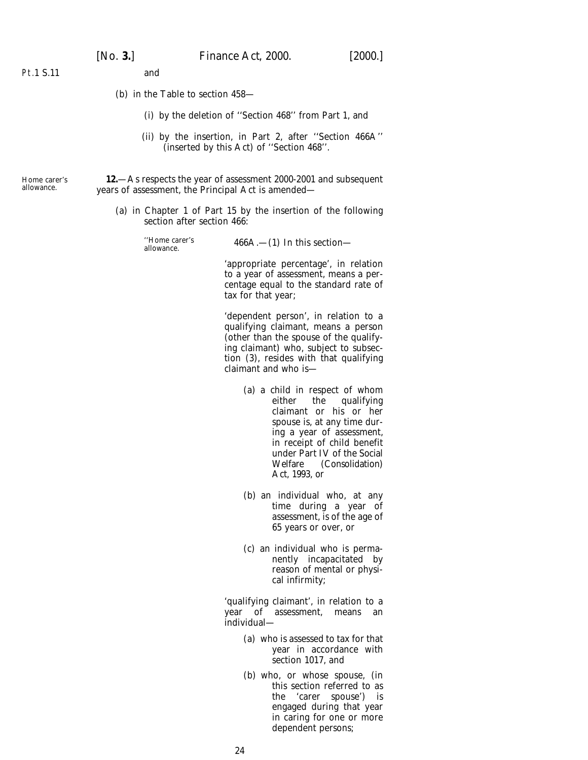and

- (*b*) in the Table to section 458—
	- (i) by the deletion of ''Section 468'' from Part 1, and
	- (ii) by the insertion, in Part 2, after ''Section 466A'' (inserted by this Act) of ''Section 468''.

Home carer's allowance.

<span id="page-23-0"></span>Pt.1 S.11

**12.**—As respects the year of assessment 2000-2001 and subsequent years of assessment, the Principal Act is amended—

(*a*) in Chapter 1 of Part 15 by the insertion of the following section after section 466:

''Home carer's 466A.—(1) In this section— allowance.

'appropriate percentage', in relation to a year of assessment, means a percentage equal to the standard rate of tax for that year;

'dependent person', in relation to a qualifying claimant, means a person (other than the spouse of the qualifying claimant) who, subject to subsection (3), resides with that qualifying claimant and who is—

- (*a*) a child in respect of whom<br>either the qualifying qualifying claimant or his or her spouse is, at any time during a year of assessment, in receipt of child benefit under Part IV of the Social Welfare (Consolidation) Act, 1993, or
- (*b*) an individual who, at any time during a year of assessment, is of the age of 65 years or over, or
- (*c*) an individual who is permanently incapacitated by reason of mental or physical infirmity;

'qualifying claimant', in relation to a year of assessment, means an individual—

- (*a*) who is assessed to tax for that year in accordance with section 1017, and
- (*b*) who, or whose spouse, (in this section referred to as the 'carer spouse') is engaged during that year in caring for one or more dependent persons;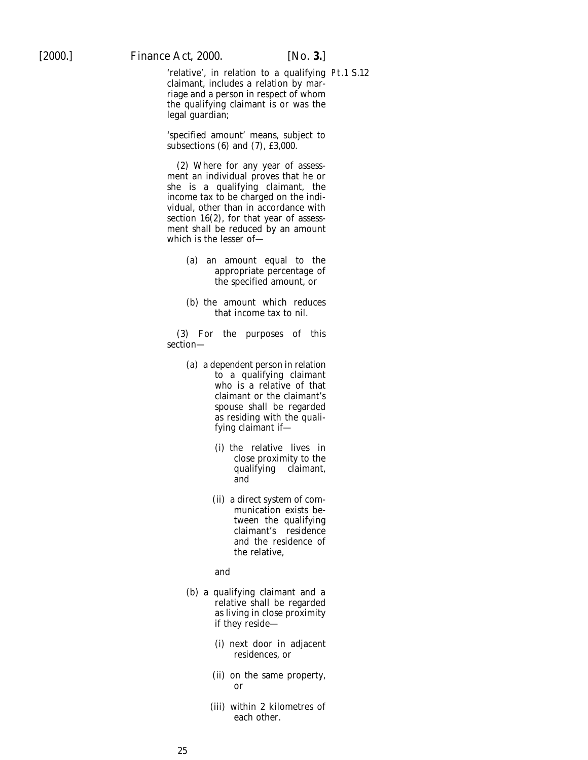'relative', in relation to a qualifying Pt.1 S.12 claimant, includes a relation by marriage and a person in respect of whom the qualifying claimant is or was the legal guardian;

'specified amount' means, subject to subsections (6) and (7), £3,000.

(2) Where for any year of assessment an individual proves that he or she is a qualifying claimant, the income tax to be charged on the individual, other than in accordance with section 16(2), for that year of assessment shall be reduced by an amount which is the lesser of—

- (*a*) an amount equal to the appropriate percentage of the specified amount, or
- (*b*) the amount which reduces that income tax to nil.

(3) For the purposes of this section—

- (*a*) a dependent person in relation to a qualifying claimant who is a relative of that claimant or the claimant's spouse shall be regarded as residing with the qualifying claimant if—
	- (i) the relative lives in close proximity to the qualifying claimant, and
	- (ii) a direct system of communication exists between the qualifying claimant's residence and the residence of the relative,

#### and

- (*b*) a qualifying claimant and a relative shall be regarded as living in close proximity if they reside—
	- (i) next door in adjacent residences, or
	- (ii) on the same property, or
	- (iii) within 2 kilometres of each other.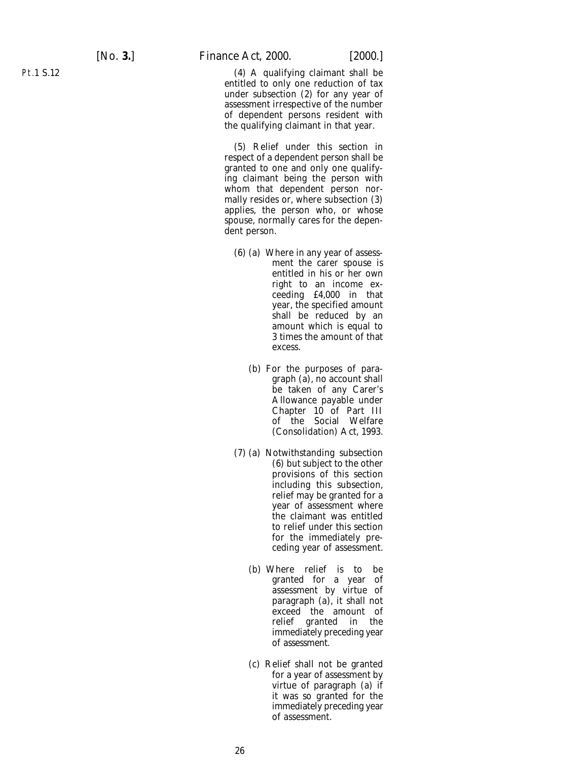(4) A qualifying claimant shall be entitled to only one reduction of tax under subsection (2) for any year of assessment irrespective of the number of dependent persons resident with the qualifying claimant in that year.

(5) Relief under this section in respect of a dependent person shall be granted to one and only one qualifying claimant being the person with whom that dependent person normally resides or, where subsection (3) applies, the person who, or whose spouse, normally cares for the dependent person.

- (6) ( *a*) Where in any year of assessment the carer spouse is entitled in his or her own right to an income exceeding £4,000 in that year, the specified amount shall be reduced by an amount which is equal to 3 times the amount of that excess.
	- ( *b*) For the purposes of paragraph (*a*), no account shall be taken of any Carer's Allowance payable under Chapter 10 of Part III of the Social Welfare (Consolidation) Act, 1993.
- (7) ( *a*) Notwithstanding subsection (6) but subject to the other provisions of this section including this subsection, relief may be granted for a year of assessment where the claimant was entitled to relief under this section for the immediately preceding year of assessment.
	- ( *b*) Where relief is to be granted for a year of assessment by virtue of paragraph ( *a*), it shall not exceed the amount of relief granted in the immediately preceding year of assessment.
	- ( *c*) Relief shall not be granted for a year of assessment by virtue of paragraph ( *a*) if it was so granted for the immediately preceding year of assessment.

Pt.1 S.12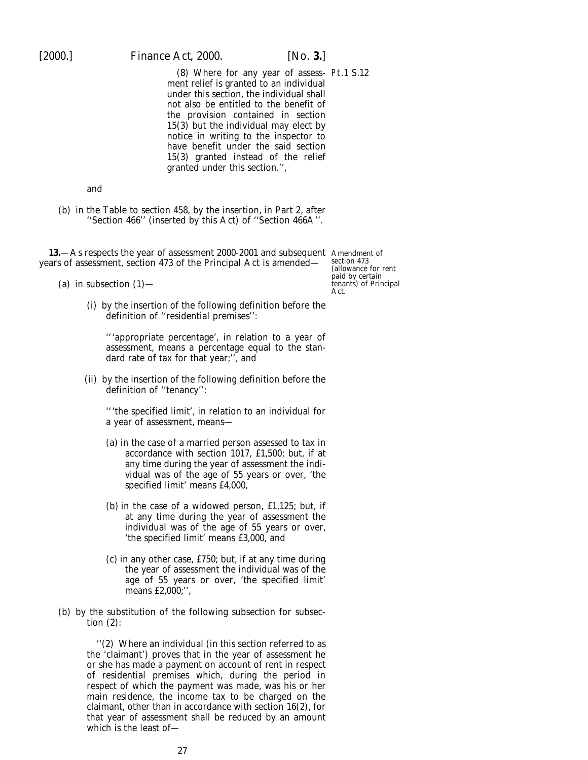<span id="page-26-0"></span>(8) Where for any year of assess- Pt.1 S.12 ment relief is granted to an individual under this section, the individual shall not also be entitled to the benefit of the provision contained in section 15(3) but the individual may elect by notice in writing to the inspector to have benefit under the said section 15(3) granted instead of the relief granted under this section.'',

and

(*b*) in the Table to section 458, by the insertion, in Part 2, after ''Section 466'' (inserted by this Act) of ''Section 466A''.

**13.**—As respects the year of assessment 2000-2001 and subsequent Amendment of years of assessment, section 473 of the Principal Act is amended—

(*a*) in subsection  $(1)$ —

(i) by the insertion of the following definition before the definition of ''residential premises'':

'''appropriate percentage', in relation to a year of assessment, means a percentage equal to the standard rate of tax for that year;", and

(ii) by the insertion of the following definition before the definition of ''tenancy'':

'''the specified limit', in relation to an individual for a year of assessment, means—

- (*a*) in the case of a married person assessed to tax in accordance with section 1017, £1,500; but, if at any time during the year of assessment the individual was of the age of 55 years or over, 'the specified limit' means £4,000,
- (*b*) in the case of a widowed person, £1,125; but, if at any time during the year of assessment the individual was of the age of 55 years or over, 'the specified limit' means £3,000, and
- (*c*) in any other case, £750; but, if at any time during the year of assessment the individual was of the age of 55 years or over, 'the specified limit' means £2,000;'',
- (*b*) by the substitution of the following subsection for subsection (2):

''(2) Where an individual (in this section referred to as the 'claimant') proves that in the year of assessment he or she has made a payment on account of rent in respect of residential premises which, during the period in respect of which the payment was made, was his or her main residence, the income tax to be charged on the claimant, other than in accordance with section 16(2), for that year of assessment shall be reduced by an amount which is the least of—

section 473 (allowance for rent paid by certain tenants) of Principal Act.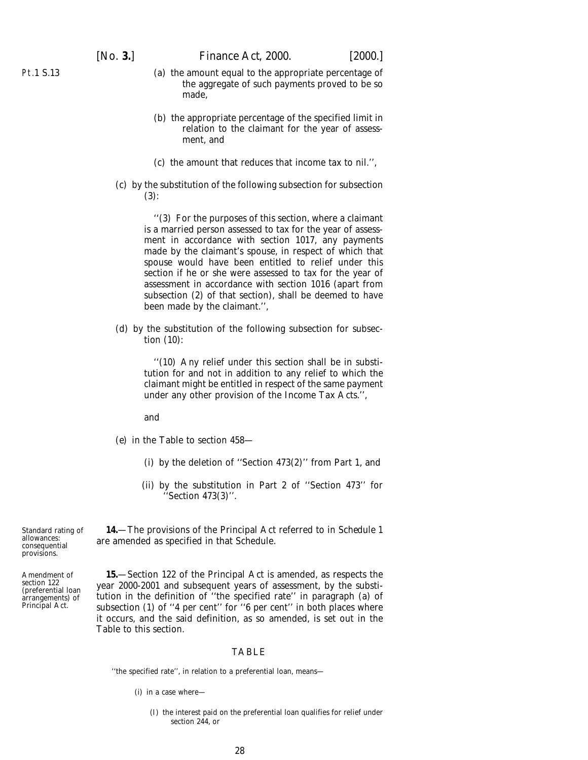<span id="page-27-0"></span>Pt.1 S.13

- (*a*) the amount equal to the appropriate percentage of the aggregate of such payments proved to be so made,
- (*b*) the appropriate percentage of the specified limit in relation to the claimant for the year of assessment, and
- (*c*) the amount that reduces that income tax to nil.'',
- (*c*) by the substitution of the following subsection for subsection (3):

''(3) For the purposes of this section, where a claimant is a married person assessed to tax for the year of assessment in accordance with section 1017, any payments made by the claimant's spouse, in respect of which that spouse would have been entitled to relief under this section if he or she were assessed to tax for the year of assessment in accordance with section 1016 (apart from subsection (2) of that section), shall be deemed to have been made by the claimant.'',

(*d*) by the substitution of the following subsection for subsection (10):

> ''(10) Any relief under this section shall be in substitution for and not in addition to any relief to which the claimant might be entitled in respect of the same payment under any other provision of the Income Tax Acts.'',

and

- (*e*) in the Table to section 458—
	- (i) by the deletion of ''Section 473(2)'' from Part 1, and
	- (ii) by the substitution in Part 2 of ''Section 473'' for ''Section 473(3)''.

**14.**—The provisions of the Principal Act referred to in *Schedule 1* are amended as specified in that Schedule.

**15.**—Section 122 of the Principal Act is amended, as respects the year 2000-2001 and subsequent years of assessment, by the substitution in the definition of ''the specified rate'' in paragraph (*a*) of subsection (1) of ''4 per cent'' for ''6 per cent'' in both places where it occurs, and the said definition, as so amended, is set out in the Table to this section.

#### TABLE

''the specified rate'', in relation to a preferential loan, means—

(i) in a case where—

(I) the interest paid on the preferential loan qualifies for relief under section 244, or

Standard rating of allowances: consequential provisions.

Amendment of section 122 (preferential loan arrangements) of Principal Act.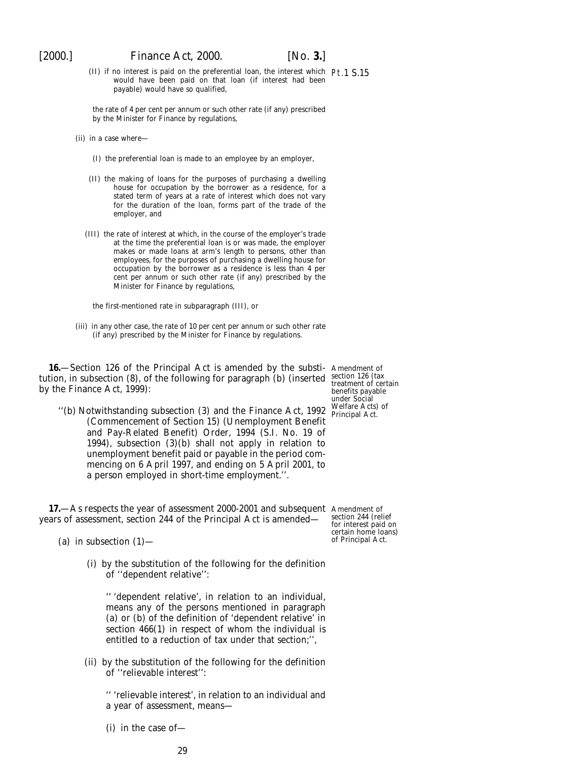<span id="page-28-0"></span>(II) if no interest is paid on the preferential loan, the interest which Pt.1 S.15 would have been paid on that loan (if interest had been payable) would have so qualified,

the rate of 4 per cent per annum or such other rate (if any) prescribed by the Minister for Finance by regulations,

- (ii) in a case where—
	- (I) the preferential loan is made to an employee by an employer,
	- (II) the making of loans for the purposes of purchasing a dwelling house for occupation by the borrower as a residence, for a stated term of years at a rate of interest which does not vary for the duration of the loan, forms part of the trade of the employer, and
	- (III) the rate of interest at which, in the course of the employer's trade at the time the preferential loan is or was made, the employer makes or made loans at arm's length to persons, other than employees, for the purposes of purchasing a dwelling house for occupation by the borrower as a residence is less than 4 per cent per annum or such other rate (if any) prescribed by the Minister for Finance by regulations,

the first-mentioned rate in subparagraph (III), or

(iii) in any other case, the rate of 10 per cent per annum or such other rate (if any) prescribed by the Minister for Finance by regulations.

**16.**—Section 126 of the Principal Act is amended by the substi-Amendment of tution, in subsection  $(8)$ , of the following for paragraph  $(b)$  (inserted section 126 (tax by the Finance Act, 1999):

"(b) Notwithstanding subsection (3) and the Finance Act, 1992 Principal Act. (Commencement of Section 15) (Unemployment Benefit and Pay-Related Benefit) Order, 1994 (S.I. No. 19 of 1994), subsection (3)(*b*) shall not apply in relation to unemployment benefit paid or payable in the period commencing on 6 April 1997, and ending on 5 April 2001, to a person employed in short-time employment.''.

treatment of certain benefits payable under Social Welfare Acts) of

**17.**—As respects the year of assessment 2000-2001 and subsequent Amendment of years of assessment, section 244 of the Principal Act is amended—

(*a*) in subsection  $(1)$ —

(i) by the substitution of the following for the definition of ''dependent relative'':

'' 'dependent relative', in relation to an individual, means any of the persons mentioned in paragraph (*a*) or (*b*) of the definition of 'dependent relative' in section 466(1) in respect of whom the individual is entitled to a reduction of tax under that section;'',

(ii) by the substitution of the following for the definition of ''relievable interest'':

'' 'relievable interest', in relation to an individual and a year of assessment, means—

(i) in the case of—

section 244 (relief for interest paid on certain home loans) of Principal Act.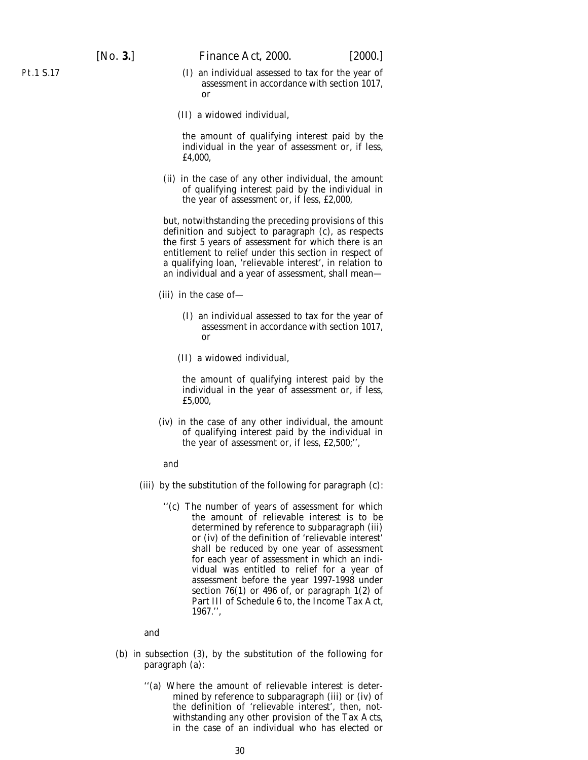Pt.1 S.17

- (I) an individual assessed to tax for the year of assessment in accordance with section 1017, or
- (II) a widowed individual,

the amount of qualifying interest paid by the individual in the year of assessment or, if less, £4,000,

(ii) in the case of any other individual, the amount of qualifying interest paid by the individual in the year of assessment or, if less, £2,000,

but, notwithstanding the preceding provisions of this definition and subject to paragraph (*c*), as respects the first 5 years of assessment for which there is an entitlement to relief under this section in respect of a qualifying loan, 'relievable interest', in relation to an individual and a year of assessment, shall mean—

- (iii) in the case of—
	- (I) an individual assessed to tax for the year of assessment in accordance with section 1017, or
	- (II) a widowed individual,

the amount of qualifying interest paid by the individual in the year of assessment or, if less, £5,000,

- (iv) in the case of any other individual, the amount of qualifying interest paid by the individual in the year of assessment or, if less, £2,500;'',
- and
- (iii) by the substitution of the following for paragraph (*c*):
	- ''(*c*) The number of years of assessment for which the amount of relievable interest is to be determined by reference to subparagraph (iii) or (iv) of the definition of 'relievable interest' shall be reduced by one year of assessment for each year of assessment in which an individual was entitled to relief for a year of assessment before the year 1997-1998 under section 76(1) or 496 of, or paragraph 1(2) of Part III of Schedule 6 to, the Income Tax Act, 1967.'',

#### and

- (*b*) in subsection (3), by the substitution of the following for paragraph (*a*):
	- ''(*a*) Where the amount of relievable interest is determined by reference to subparagraph (iii) or (iv) of the definition of 'relievable interest', then, notwithstanding any other provision of the Tax Acts, in the case of an individual who has elected or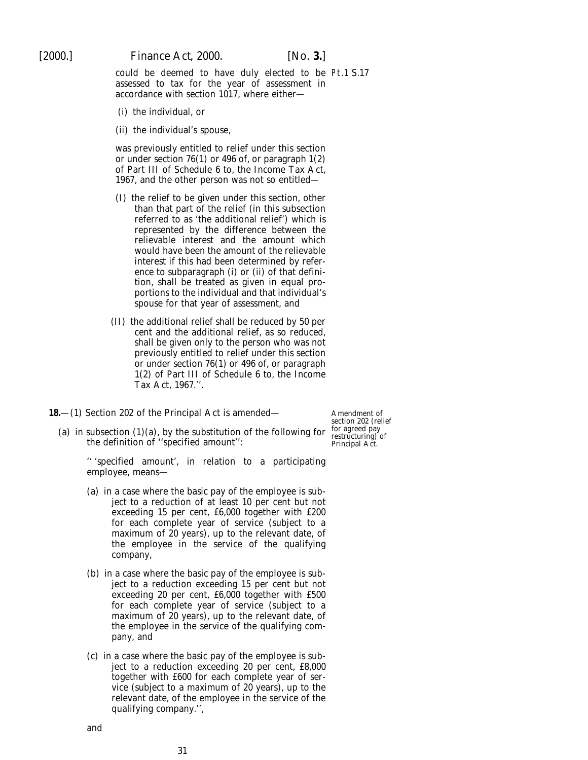<span id="page-30-0"></span>could be deemed to have duly elected to be Pt.1 S.17 assessed to tax for the year of assessment in accordance with section 1017, where either—

- (i) the individual, or
- (ii) the individual's spouse,

was previously entitled to relief under this section or under section 76(1) or 496 of, or paragraph 1(2) of Part III of Schedule 6 to, the Income Tax Act, 1967, and the other person was not so entitled—

- (I) the relief to be given under this section, other than that part of the relief (in this subsection referred to as 'the additional relief') which is represented by the difference between the relievable interest and the amount which would have been the amount of the relievable interest if this had been determined by reference to subparagraph (i) or (ii) of that definition, shall be treated as given in equal proportions to the individual and that individual's spouse for that year of assessment, and
- (II) the additional relief shall be reduced by 50 per cent and the additional relief, as so reduced, shall be given only to the person who was not previously entitled to relief under this section or under section 76(1) or 496 of, or paragraph 1(2) of Part III of Schedule 6 to, the Income Tax Act, 1967.''.

**18.**—(1) Section 202 of the Principal Act is amended—

(*a*) in subsection  $(1)(a)$ , by the substitution of the following for the definition of ''specified amount'':

Amendment of section 202 (relief for agreed pay restructuring) of Principal Act.

'' 'specified amount', in relation to a participating employee, means—

- (*a*) in a case where the basic pay of the employee is subject to a reduction of at least 10 per cent but not exceeding 15 per cent, £6,000 together with £200 for each complete year of service (subject to a maximum of 20 years), up to the relevant date, of the employee in the service of the qualifying company,
- (*b*) in a case where the basic pay of the employee is subject to a reduction exceeding 15 per cent but not exceeding 20 per cent, £6,000 together with £500 for each complete year of service (subject to a maximum of 20 years), up to the relevant date, of the employee in the service of the qualifying company, and
- (*c*) in a case where the basic pay of the employee is subject to a reduction exceeding 20 per cent, £8,000 together with £600 for each complete year of service (subject to a maximum of 20 years), up to the relevant date, of the employee in the service of the qualifying company.'',

and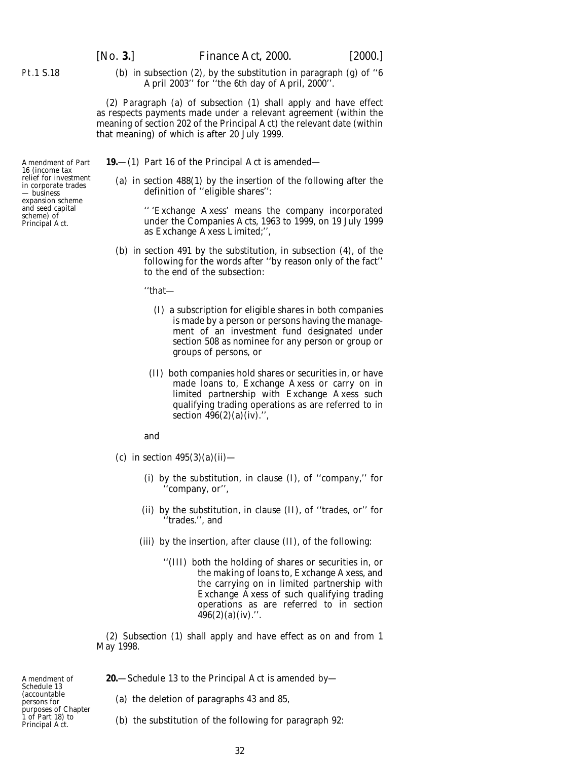(*b*) in subsection (2), by the substitution in paragraph (*g*) of ''6 April 2003'' for ''the 6th day of April, 2000''.

(2) *Paragraph (a)* of *subsection (1)* shall apply and have effect as respects payments made under a relevant agreement (within the meaning of section 202 of the Principal Act) the relevant date (within that meaning) of which is after 20 July 1999.

Amendment of Part 16 (income tax relief for investment in corporate trades — business expansion scheme and seed capital scheme) of Principal Act.

<span id="page-31-0"></span>Pt.1 S.18

- **19.**—(1) Part 16 of the Principal Act is amended—
	- (*a*) in section 488(1) by the insertion of the following after the definition of ''eligible shares'':

'' 'Exchange Axess' means the company incorporated under the Companies Acts, 1963 to 1999, on 19 July 1999 as Exchange Axess Limited;'',

(*b*) in section 491 by the substitution, in subsection (4), of the following for the words after ''by reason only of the fact'' to the end of the subsection:

''that—

- (I) a subscription for eligible shares in both companies is made by a person or persons having the management of an investment fund designated under section 508 as nominee for any person or group or groups of persons, or
- (II) both companies hold shares or securities in, or have made loans to, Exchange Axess or carry on in limited partnership with Exchange Axess such qualifying trading operations as are referred to in section 496(2)(*a*)(iv).'',

and

- (*c*) in section  $495(3)(a)(ii)$ 
	- (i) by the substitution, in clause (I), of ''company,'' for ''company, or'',
	- (ii) by the substitution, in clause (II), of ''trades, or'' for ''trades.'', and
	- (iii) by the insertion, after clause (II), of the following:
		- ''(III) both the holding of shares or securities in, or the making of loans to, Exchange Axess, and the carrying on in limited partnership with Exchange Axess of such qualifying trading operations as are referred to in section 496(2)(*a*)(iv).''.

(2) *Subsection (1)* shall apply and have effect as on and from 1 May 1998.

Amendment of Schedule 13 (accountable persons for purposes of Chapter 1 of Part 18) to Principal Act.

**20.**—Schedule 13 to the Principal Act is amended by—

- (*a*) the deletion of paragraphs 43 and 85,
- (*b*) the substitution of the following for paragraph 92: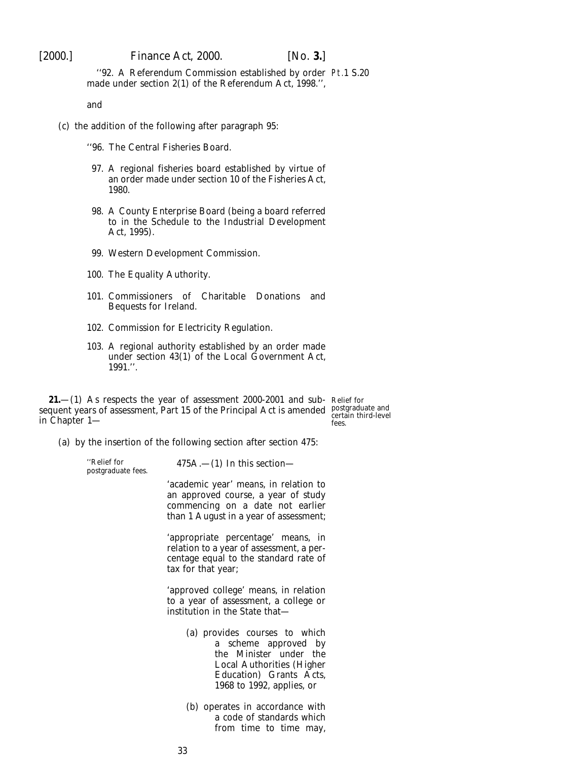<span id="page-32-0"></span>

''92. A Referendum Commission established by order Pt.1 S.20 made under section 2(1) of the Referendum Act, 1998.'',

and

- (*c*) the addition of the following after paragraph 95:
	- ''96. The Central Fisheries Board.
	- 97. A regional fisheries board established by virtue of an order made under section 10 of the Fisheries Act, 1980.
	- 98. A County Enterprise Board (being a board referred to in the Schedule to the Industrial Development Act, 1995).
	- 99. Western Development Commission.
	- 100. The Equality Authority.
	- 101. Commissioners of Charitable Donations and Bequests for Ireland.
	- 102. Commission for Electricity Regulation.
	- 103. A regional authority established by an order made under section 43(1) of the Local Government Act, 1991.''.

**21.**—(1) As respects the year of assessment 2000-2001 and sub-Relieffor sequent years of assessment, Part 15 of the Principal Act is amended postgraduate and certain third-level in Chapter 1—

fees.

(*a*) by the insertion of the following section after section 475:

| "Relief for<br>postgraduate fees. | $475A$ , --(1) In this section-                                                                                                                                             |
|-----------------------------------|-----------------------------------------------------------------------------------------------------------------------------------------------------------------------------|
|                                   | 'academic year' means, in relation to<br>an approved course, a year of study<br>commencing on a date not earlier<br>than 1 August in a year of assessment;                  |
|                                   | 'appropriate percentage' means, in<br>relation to a year of assessment, a per-<br>centage equal to the standard rate of<br>tax for that year;                               |
|                                   | 'approved college' means, in relation<br>to a year of assessment, a college or<br>institution in the State that-                                                            |
|                                   | (a) provides courses to which<br>a scheme approved by<br>the Minister under the<br><b>Local Authorities (Higher</b><br>Education) Grants Acts,<br>1968 to 1992, applies, or |
|                                   | (b) operates in accordance with<br>a code of standards which<br>from time to time may,                                                                                      |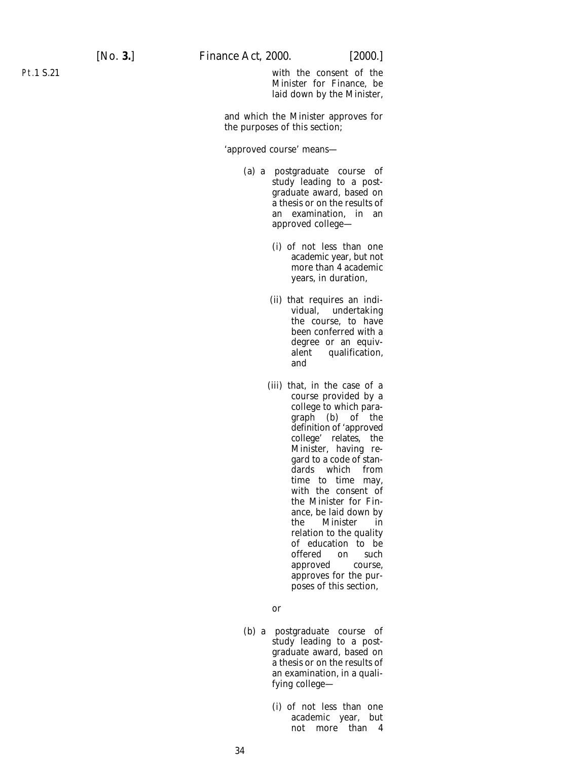Pt.1 S.21

with the consent of the Minister for Finance, be laid down by the Minister,

and which the Minister approves for the purposes of this section;

'approved course' means—

- (*a*) a postgraduate course of study leading to a postgraduate award, based on a thesis or on the results of an examination, in an approved college—
	- (i) of not less than one academic year, but not more than 4 academic years, in duration,
	- (ii) that requires an individual, undertaking the course, to have been conferred with a degree or an equiv-<br>alent qualification, qualification, and
	- (iii) that, in the case of a course provided by a college to which paragraph (*b*) of the definition of 'approved college' relates, the Minister, having regard to a code of standards which from time to time may, with the consent of the Minister for Finance, be laid down by<br>the Minister in Minister in relation to the quality of education to be offered on such approved course, approves for the purposes of this section,

or

- ( *b*) a postgraduate course of study leading to a postgraduate award, based on a thesis or on the results of an examination, in a qualifying college—
	- (i) of not less than one academic year, but not more than 4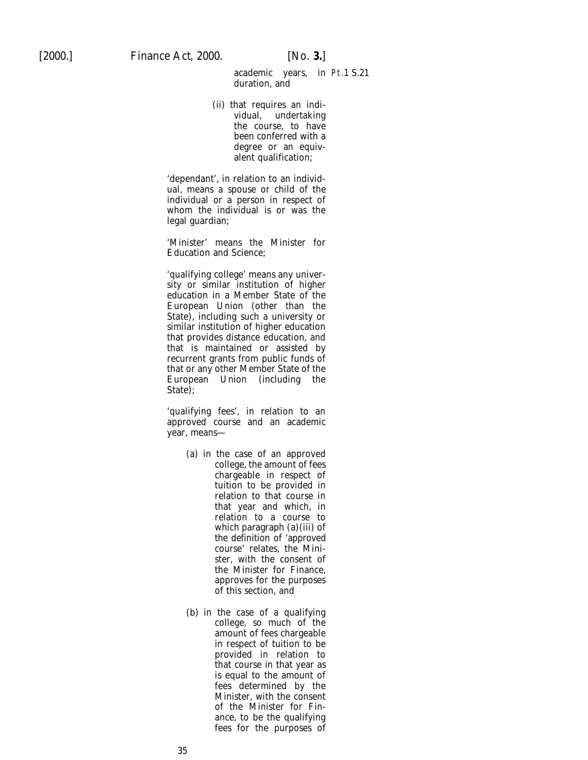academic years, in Pt.1 S.21 duration, and

(ii) that requires an individual, undertaking the course, to have been conferred with a degree or an equivalent qualification;

'dependant', in relation to an individual, means a spouse or child of the individual or a person in respect of whom the individual is or was the legal guardian;

'Minister' means the Minister for Education and Science;

'qualifying college' means any university or similar institution of higher education in a Member State of the European Union (other than the State), including such a university or similar institution of higher education that provides distance education, and that is maintained or assisted by recurrent grants from public funds of that or any other Member State of the European Union (including the State<sub>)</sub>;

'qualifying fees', in relation to an approved course and an academic year, means—

- (*a*) in the case of an approved college, the amount of fees chargeable in respect of tuition to be provided in relation to that course in that year and which, in relation to a course to which paragraph (*a*)(iii) of the definition of 'approved course' relates, the Minister, with the consent of the Minister for Finance, approves for the purposes of this section, and
- (*b*) in the case of a qualifying college, so much of the amount of fees chargeable in respect of tuition to be provided in relation to that course in that year as is equal to the amount of fees determined by the Minister, with the consent of the Minister for Finance, to be the qualifying fees for the purposes of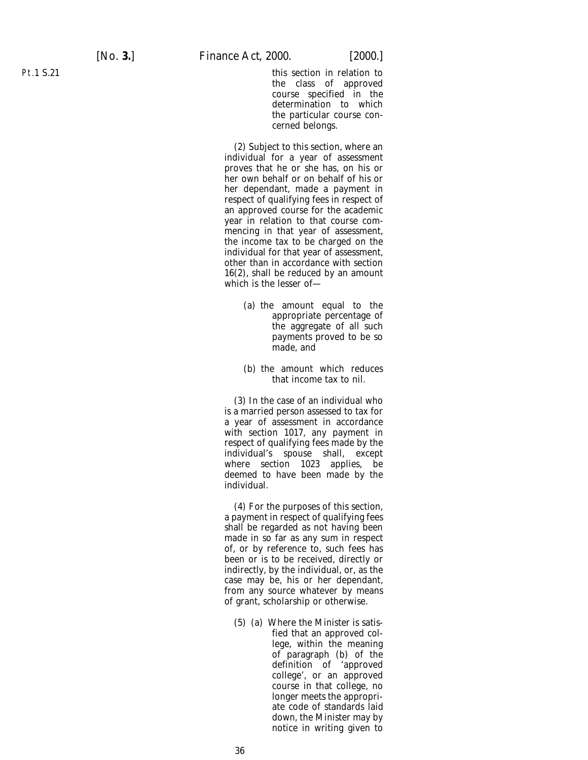Pt.1 S.21

this section in relation to the class of approved course specified in the determination to which the particular course concerned belongs.

(2) Subject to this section, where an individual for a year of assessment proves that he or she has, on his or her own behalf or on behalf of his or her dependant, made a payment in respect of qualifying fees in respect of an approved course for the academic year in relation to that course commencing in that year of assessment, the income tax to be charged on the individual for that year of assessment, other than in accordance with section 16(2), shall be reduced by an amount which is the lesser of—

- (*a*) the amount equal to the appropriate percentage of the aggregate of all such payments proved to be so made, and
- ( *b*) the amount which reduces that income tax to nil.

(3) In the case of an individual who is a married person assessed to tax for a year of assessment in accordance with section 1017, any payment in respect of qualifying fees made by the individual's spouse shall, except where section 1023 applies, be deemed to have been made by the individual.

(4) For the purposes of this section, a payment in respect of qualifying fees shall be regarded as not having been made in so far as any sum in respect of, or by reference to, such fees has been or is to be received, directly or indirectly, by the individual, or, as the case may be, his or her dependant, from any source whatever by means of grant, scholarship or otherwise.

(5) ( *a*) Where the Minister is satisfied that an approved college, within the meaning of paragraph ( *b*) of the definition of 'approved college', or an approved course in that college, no longer meets the appropriate code of standards laid down, the Minister may by notice in writing given to

36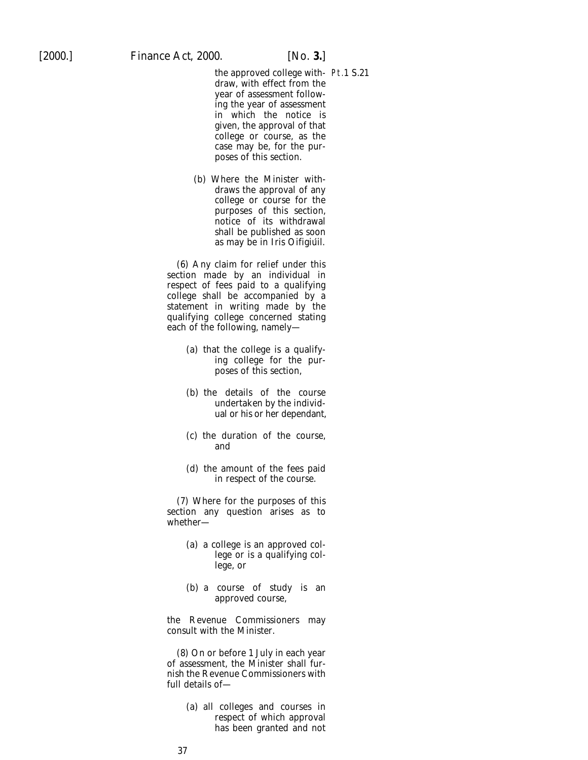- the approved college with- Pt.1 S.21 draw, with effect from the year of assessment following the year of assessment in which the notice is given, the approval of that college or course, as the case may be, for the purposes of this section.
- (*b*) Where the Minister withdraws the approval of any college or course for the purposes of this section, notice of its withdrawal shall be published as soon as may be in Iris Oifigiúil.

(6) Any claim for relief under this section made by an individual in respect of fees paid to a qualifying college shall be accompanied by a statement in writing made by the qualifying college concerned stating each of the following, namely—

- (*a*) that the college is a qualifying college for the purposes of this section,
- (*b*) the details of the course undertaken by the individual or his or her dependant,
- (*c*) the duration of the course, and
- (*d*) the amount of the fees paid in respect of the course.

(7) Where for the purposes of this section any question arises as to whether—

- (*a*) a college is an approved college or is a qualifying college, or
- (*b*) a course of study is an approved course,

the Revenue Commissioners may consult with the Minister.

(8) On or before 1 July in each year of assessment, the Minister shall furnish the Revenue Commissioners with full details of—

> (*a*) all colleges and courses in respect of which approval has been granted and not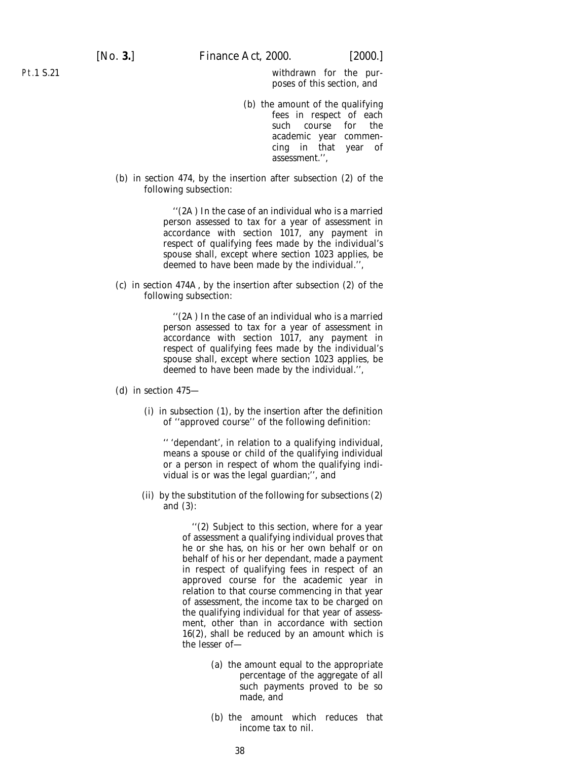withdrawn for the purposes of this section, and

- (*b*) the amount of the qualifying fees in respect of each such course for the academic year commencing in that year of assessment.'',
- (*b*) in section 474, by the insertion after subsection (2) of the following subsection:

''(2A) In the case of an individual who is a married person assessed to tax for a year of assessment in accordance with section 1017, any payment in respect of qualifying fees made by the individual's spouse shall, except where section 1023 applies, be deemed to have been made by the individual.'',

(*c*) in section 474A, by the insertion after subsection (2) of the following subsection:

> ''(2A) In the case of an individual who is a married person assessed to tax for a year of assessment in accordance with section 1017, any payment in respect of qualifying fees made by the individual's spouse shall, except where section 1023 applies, be deemed to have been made by the individual.'',

- (*d*) in section 475—
	- (i) in subsection (1), by the insertion after the definition of ''approved course'' of the following definition:

'' 'dependant', in relation to a qualifying individual, means a spouse or child of the qualifying individual or a person in respect of whom the qualifying individual is or was the legal guardian;'', and

(ii) by the substitution of the following for subsections (2) and (3):

> ''(2) Subject to this section, where for a year of assessment a qualifying individual proves that he or she has, on his or her own behalf or on behalf of his or her dependant, made a payment in respect of qualifying fees in respect of an approved course for the academic year in relation to that course commencing in that year of assessment, the income tax to be charged on the qualifying individual for that year of assessment, other than in accordance with section 16(2), shall be reduced by an amount which is the lesser of—

- (*a*) the amount equal to the appropriate percentage of the aggregate of all such payments proved to be so made, and
- (*b*) the amount which reduces that income tax to nil.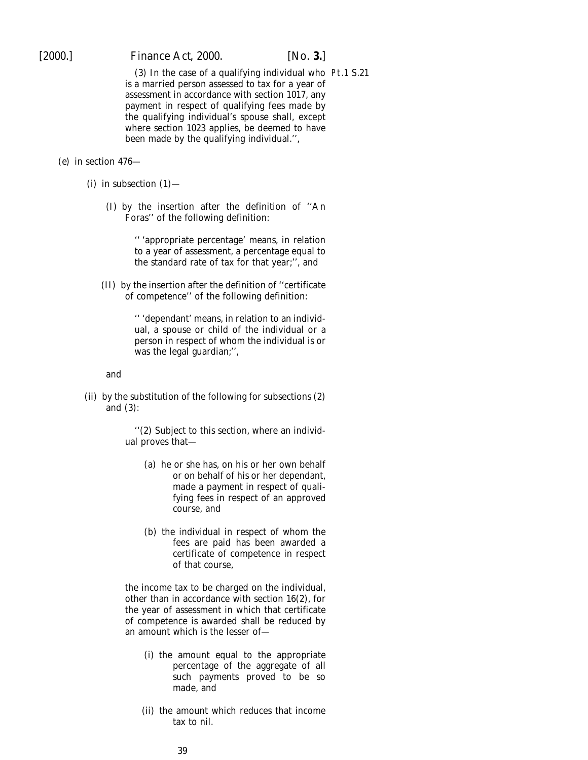[2000.] *Finance Act,* 2000. [*No.* **3.**]

(3) In the case of a qualifying individual who Pt.1 S.21 is a married person assessed to tax for a year of assessment in accordance with section 1017, any payment in respect of qualifying fees made by the qualifying individual's spouse shall, except where section 1023 applies, be deemed to have been made by the qualifying individual.'',

### (*e*) in section 476—

- (i) in subsection  $(1)$ 
	- (I) by the insertion after the definition of ''An Foras'' of the following definition:

'' 'appropriate percentage' means, in relation to a year of assessment, a percentage equal to the standard rate of tax for that year;'', and

(II) by the insertion after the definition of ''certificate of competence'' of the following definition:

> '' 'dependant' means, in relation to an individual, a spouse or child of the individual or a person in respect of whom the individual is or was the legal guardian;'',

and

(ii) by the substitution of the following for subsections (2) and (3):

> ''(2) Subject to this section, where an individual proves that—

- (*a*) he or she has, on his or her own behalf or on behalf of his or her dependant, made a payment in respect of qualifying fees in respect of an approved course, and
- (*b*) the individual in respect of whom the fees are paid has been awarded a certificate of competence in respect of that course,

the income tax to be charged on the individual, other than in accordance with section 16(2), for the year of assessment in which that certificate of competence is awarded shall be reduced by an amount which is the lesser of—

- (i) the amount equal to the appropriate percentage of the aggregate of all such payments proved to be so made, and
- (ii) the amount which reduces that income tax to nil.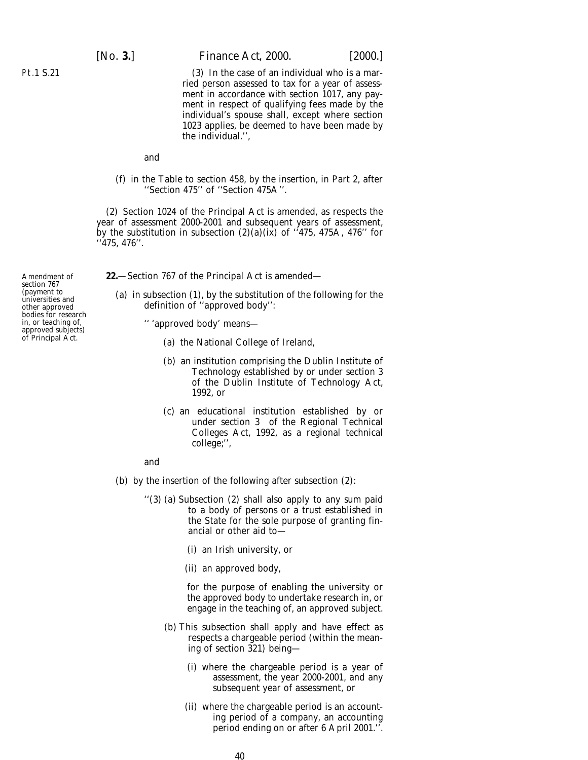[*No.* **3.**] *Finance Act,* 2000. [2000.]

(3) In the case of an individual who is a married person assessed to tax for a year of assessment in accordance with section 1017, any payment in respect of qualifying fees made by the individual's spouse shall, except where section 1023 applies, be deemed to have been made by the individual.'',

and

(*f*) in the Table to section 458, by the insertion, in Part 2, after ''Section 475'' of ''Section 475A''.

(2) Section 1024 of the Principal Act is amended, as respects the year of assessment 2000-2001 and subsequent years of assessment, by the substitution in subsection (2)(*a*)(ix) of ''475, 475A, 476'' for ''475, 476''.

**22.**—Section 767 of the Principal Act is amended—

(*a*) in subsection (1), by the substitution of the following for the definition of ''approved body'':

'' 'approved body' means—

- (*a*) the National College of Ireland,
- (*b*) an institution comprising the Dublin Institute of Technology established by or under section 3 of the Dublin Institute of Technology Act, 1992, or
- (*c*) an educational institution established by or under section 3 of the Regional Technical Colleges Act, 1992, as a regional technical college;'',

and

- (*b*) by the insertion of the following after subsection (2):
	- ''(3) (*a*) Subsection (2) shall also apply to any sum paid to a body of persons or a trust established in the State for the sole purpose of granting financial or other aid to—
		- (i) an Irish university, or
		- (ii) an approved body,

for the purpose of enabling the university or the approved body to undertake research in, or engage in the teaching of, an approved subject.

- (*b*) This subsection shall apply and have effect as respects a chargeable period (within the meaning of section 321) being—
	- (i) where the chargeable period is a year of assessment, the year 2000-2001, and any subsequent year of assessment, or
	- (ii) where the chargeable period is an accounting period of a company, an accounting period ending on or after 6 April 2001."

Amendment of section 767 (payment to universities and other approved bodies for research in, or teaching of, approved subjects) of Principal Act.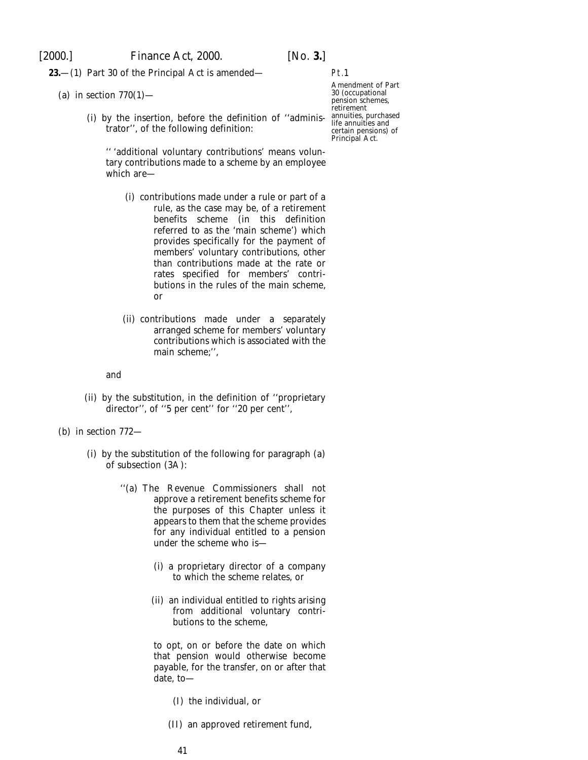**23.**—(1) Part 30 of the Principal Act is amended—

(*a*) in section 770(1)—

(i) by the insertion, before the definition of ''administrator'', of the following definition:

'' 'additional voluntary contributions' means voluntary contributions made to a scheme by an employee which are—

- (i) contributions made under a rule or part of a rule, as the case may be, of a retirement benefits scheme (in this definition referred to as the 'main scheme') which provides specifically for the payment of members' voluntary contributions, other than contributions made at the rate or rates specified for members' contributions in the rules of the main scheme, or
- (ii) contributions made under a separately arranged scheme for members' voluntary contributions which is associated with the main scheme;'',

#### and

- (ii) by the substitution, in the definition of ''proprietary director'', of ''5 per cent'' for ''20 per cent'',
- (*b*) in section 772—
	- (i) by the substitution of the following for paragraph (*a*) of subsection (3A):
		- ''(*a*) The Revenue Commissioners shall not approve a retirement benefits scheme for the purposes of this Chapter unless it appears to them that the scheme provides for any individual entitled to a pension under the scheme who is—
			- (i) a proprietary director of a company to which the scheme relates, or
			- (ii) an individual entitled to rights arising from additional voluntary contributions to the scheme,

to opt, on or before the date on which that pension would otherwise become payable, for the transfer, on or after that date, to—

- (I) the individual, or
- (II) an approved retirement fund,

Amendment of Part 30 (occupational pension schemes, retirement annuities, purchased life annuities and certain pensions) of Principal Act.

Pt.1

41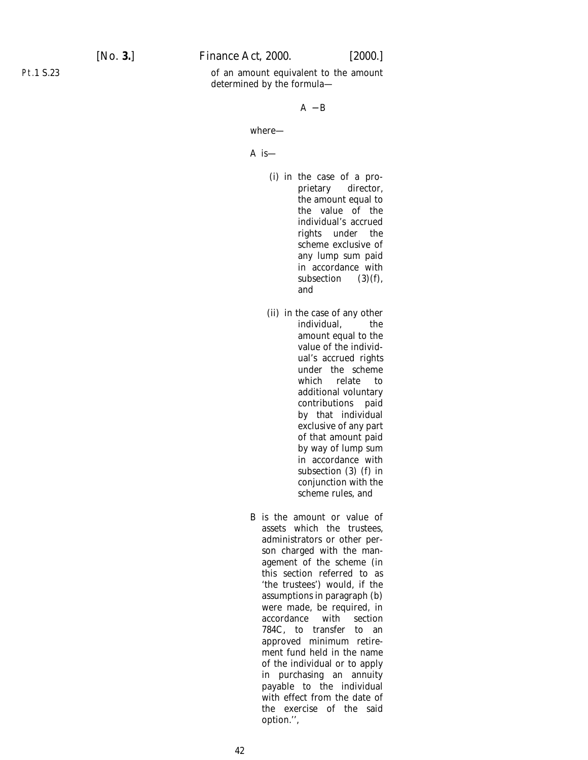of an amount equivalent to the amount determined by the formula—

 $A - B$ 

where—

A is—

- (i) in the case of a pro-<br>prietary director. prietary the amount equal to the value of the individual's accrued rights under the scheme exclusive of any lump sum paid in accordance with subsection  $(3)(f)$ , and
- (ii) in the case of any other individual, the amount equal to the value of the individual's accrued rights under the scheme which relate to additional voluntary contributions paid by that individual exclusive of any part of that amount paid by way of lump sum in accordance with subsection (3) (*f*) in conjunction with the scheme rules, and
- B is the amount or value of assets which the trustees, administrators or other person charged with the management of the scheme (in this section referred to as 'the trustees') would, if the assumptions in paragraph (*b*) were made, be required, in accordance with section 784C, to transfer to an approved minimum retirement fund held in the name of the individual or to apply in purchasing an annuity payable to the individual with effect from the date of the exercise of the said option.'',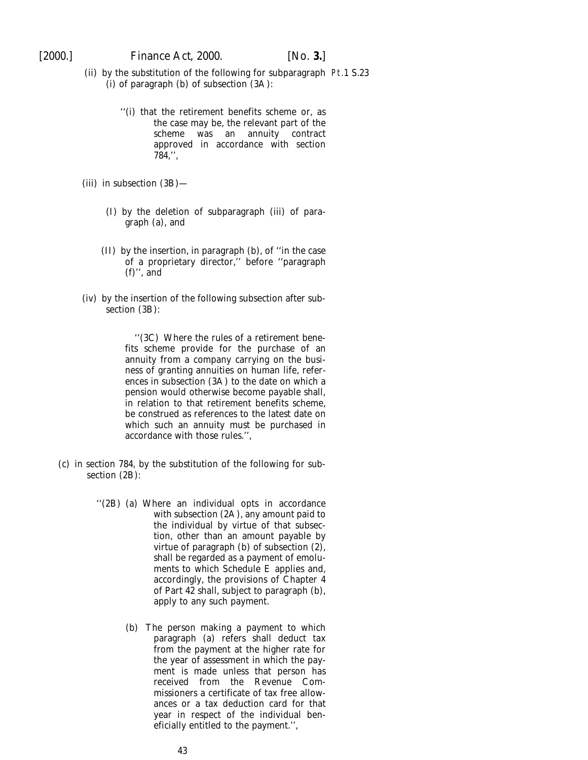[2000.] *Finance Act,* 2000. [*No.* **3.**]

- (ii) by the substitution of the following for subparagraph Pt.1 S.23 (i) of paragraph (*b*) of subsection (3A):
	- ''(i) that the retirement benefits scheme or, as the case may be, the relevant part of the scheme was an annuity contract approved in accordance with section 784,'',
- (iii) in subsection  $(3B)$ 
	- (I) by the deletion of subparagraph (iii) of paragraph (*a*), and
	- (II) by the insertion, in paragraph (*b*), of ''in the case of a proprietary director,'' before ''paragraph (*f*)'', and
- (iv) by the insertion of the following subsection after subsection (3B):

''(3C) Where the rules of a retirement benefits scheme provide for the purchase of an annuity from a company carrying on the business of granting annuities on human life, references in subsection (3A) to the date on which a pension would otherwise become payable shall, in relation to that retirement benefits scheme, be construed as references to the latest date on which such an annuity must be purchased in accordance with those rules.'',

- (*c*) in section 784, by the substitution of the following for subsection (2B):
	- ''(2B) (*a*) Where an individual opts in accordance with subsection (2A), any amount paid to the individual by virtue of that subsection, other than an amount payable by virtue of paragraph (*b*) of subsection (2), shall be regarded as a payment of emoluments to which Schedule E applies and, accordingly, the provisions of Chapter 4 of Part 42 shall, subject to paragraph (*b*), apply to any such payment.
		- (*b*) The person making a payment to which paragraph (*a*) refers shall deduct tax from the payment at the higher rate for the year of assessment in which the payment is made unless that person has received from the Revenue Commissioners a certificate of tax free allowances or a tax deduction card for that year in respect of the individual beneficially entitled to the payment.'',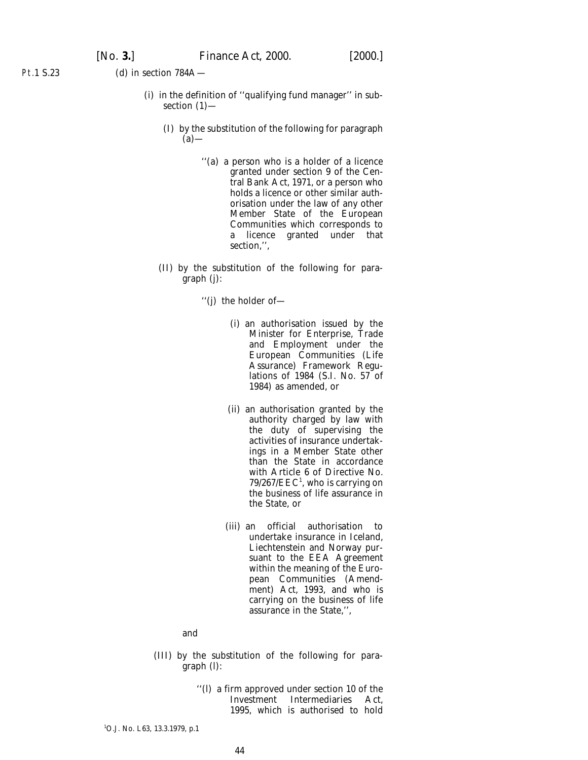Pt.1 S.23 (*d*) in section 784A—

- (i) in the definition of ''qualifying fund manager'' in subsection  $(1)$ —
	- (I) by the substitution of the following for paragraph (*a*)—
		- ''(*a*) a person who is a holder of a licence granted under section 9 of the Central Bank Act, 1971, or a person who holds a licence or other similar authorisation under the law of any other Member State of the European Communities which corresponds to a licence granted under that section,'',
	- (II) by the substitution of the following for paragraph (*j*):

''(*j*) the holder of—

- (i) an authorisation issued by the Minister for Enterprise, Trade and Employment under the European Communities (Life Assurance) Framework Regulations of 1984 (S.I. No. 57 of 1984) as amended, or
- (ii) an authorisation granted by the authority charged by law with the duty of supervising the activities of insurance undertakings in a Member State other than the State in accordance with Article 6 of Directive No.  $79/267/EEC<sup>1</sup>$ , who is carrying on the business of life assurance in the State, or
- (iii) an official authorisation to undertake insurance in Iceland, Liechtenstein and Norway pursuant to the EEA Agreement within the meaning of the European Communities (Amendment) Act, 1993, and who is carrying on the business of life assurance in the State,'',

and

- (III) by the substitution of the following for paragraph (*l*):
	- ''(*l*) a firm approved under section 10 of the Investment Intermediaries Act, 1995, which is authorised to hold

1 O.J. No. L63, 13.3.1979, p.1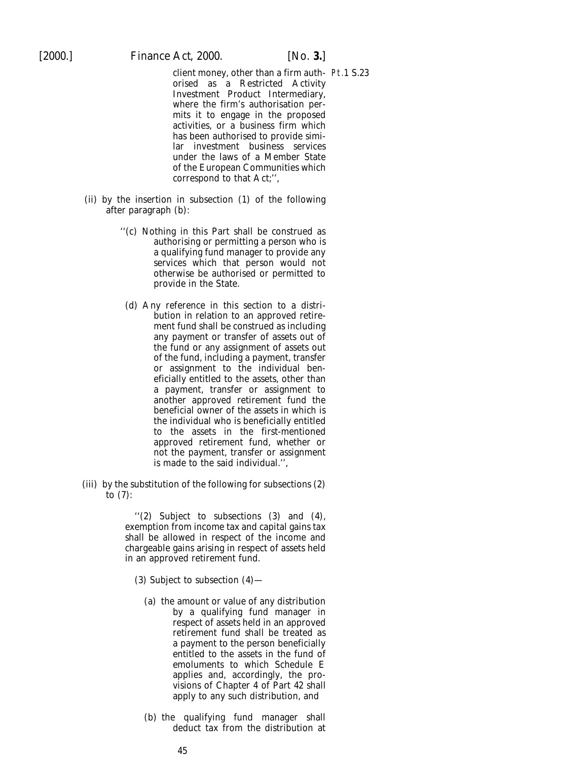client money, other than a firm auth- Pt.1 S.23 orised as a Restricted Activity Investment Product Intermediary, where the firm's authorisation permits it to engage in the proposed activities, or a business firm which has been authorised to provide similar investment business services under the laws of a Member State of the European Communities which correspond to that Act;'',

- (ii) by the insertion in subsection (1) of the following after paragraph (*b*):
	- ''(*c*) Nothing in this Part shall be construed as authorising or permitting a person who is a qualifying fund manager to provide any services which that person would not otherwise be authorised or permitted to provide in the State.
		- (*d*) Any reference in this section to a distribution in relation to an approved retirement fund shall be construed as including any payment or transfer of assets out of the fund or any assignment of assets out of the fund, including a payment, transfer or assignment to the individual beneficially entitled to the assets, other than a payment, transfer or assignment to another approved retirement fund the beneficial owner of the assets in which is the individual who is beneficially entitled to the assets in the first-mentioned approved retirement fund, whether or not the payment, transfer or assignment is made to the said individual.'',
- (iii) by the substitution of the following for subsections (2) to (7):

''(2) Subject to subsections (3) and (4), exemption from income tax and capital gains tax shall be allowed in respect of the income and chargeable gains arising in respect of assets held in an approved retirement fund.

- (3) Subject to subsection (4)—
	- (*a*) the amount or value of any distribution by a qualifying fund manager in respect of assets held in an approved retirement fund shall be treated as a payment to the person beneficially entitled to the assets in the fund of emoluments to which Schedule E applies and, accordingly, the provisions of Chapter 4 of Part 42 shall apply to any such distribution, and
	- (*b*) the qualifying fund manager shall deduct tax from the distribution at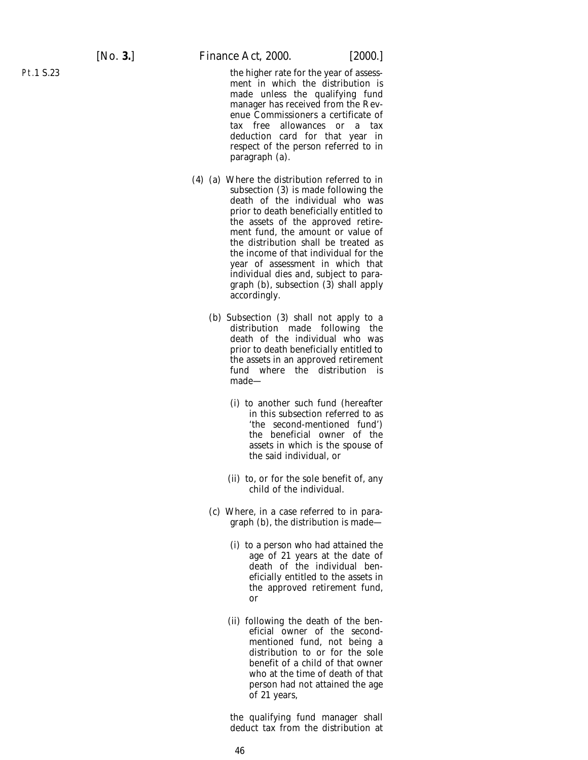the higher rate for the year of assessment in which the distribution is made unless the qualifying fund manager has received from the Revenue Commissioners a certificate of tax free allowances or a tax deduction card for that year in respect of the person referred to in paragraph (*a*).

- (4) (*a*) Where the distribution referred to in subsection (3) is made following the death of the individual who was prior to death beneficially entitled to the assets of the approved retirement fund, the amount or value of the distribution shall be treated as the income of that individual for the year of assessment in which that individual dies and, subject to paragraph (*b*), subsection (3) shall apply accordingly.
	- (*b*) Subsection (3) shall not apply to a distribution made following the death of the individual who was prior to death beneficially entitled to the assets in an approved retirement fund where the distribution is made—
		- (i) to another such fund (hereafter in this subsection referred to as 'the second-mentioned fund') the beneficial owner of the assets in which is the spouse of the said individual, or
		- (ii) to, or for the sole benefit of, any child of the individual.
	- (*c*) Where, in a case referred to in paragraph (*b*), the distribution is made—
		- (i) to a person who had attained the age of 21 years at the date of death of the individual beneficially entitled to the assets in the approved retirement fund, or
		- (ii) following the death of the beneficial owner of the secondmentioned fund, not being a distribution to or for the sole benefit of a child of that owner who at the time of death of that person had not attained the age of 21 years,

the qualifying fund manager shall deduct tax from the distribution at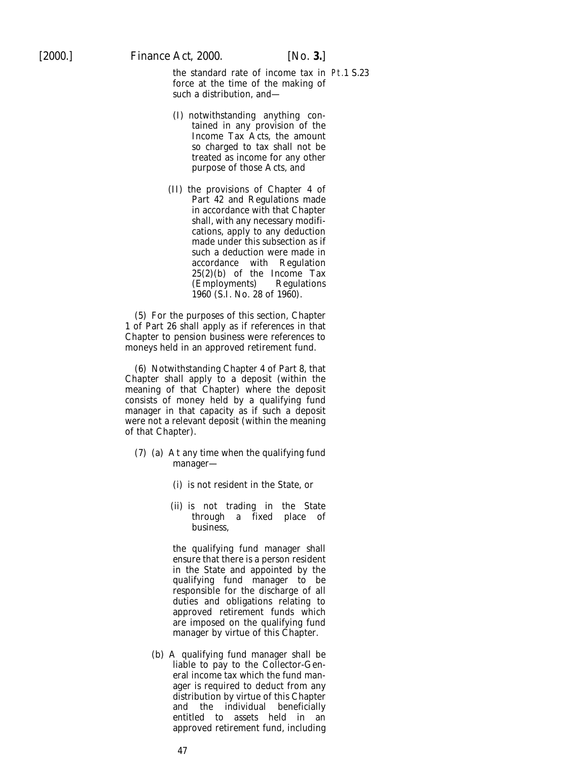the standard rate of income tax in Pt.1 S.23 force at the time of the making of such a distribution, and—

- (I) notwithstanding anything contained in any provision of the Income Tax Acts, the amount so charged to tax shall not be treated as income for any other purpose of those Acts, and
- (II) the provisions of Chapter 4 of Part 42 and Regulations made in accordance with that Chapter shall, with any necessary modifications, apply to any deduction made under this subsection as if such a deduction were made in accordance with Regulation 25(2)(*b*) of the Income Tax (Employments) Regulations 1960 (S.I. No. 28 of 1960).

(5) For the purposes of this section, Chapter 1 of Part 26 shall apply as if references in that Chapter to pension business were references to moneys held in an approved retirement fund.

(6) Notwithstanding Chapter 4 of Part 8, that Chapter shall apply to a deposit (within the meaning of that Chapter) where the deposit consists of money held by a qualifying fund manager in that capacity as if such a deposit were not a relevant deposit (within the meaning of that Chapter).

- (7) (*a*) At any time when the qualifying fund manager—
	- (i) is not resident in the State, or
	- (ii) is not trading in the State through a fixed place of business,

the qualifying fund manager shall ensure that there is a person resident in the State and appointed by the qualifying fund manager to be responsible for the discharge of all duties and obligations relating to approved retirement funds which are imposed on the qualifying fund manager by virtue of this Chapter.

(*b*) A qualifying fund manager shall be liable to pay to the Collector-General income tax which the fund manager is required to deduct from any distribution by virtue of this Chapter and the individual beneficially entitled to assets held in an approved retirement fund, including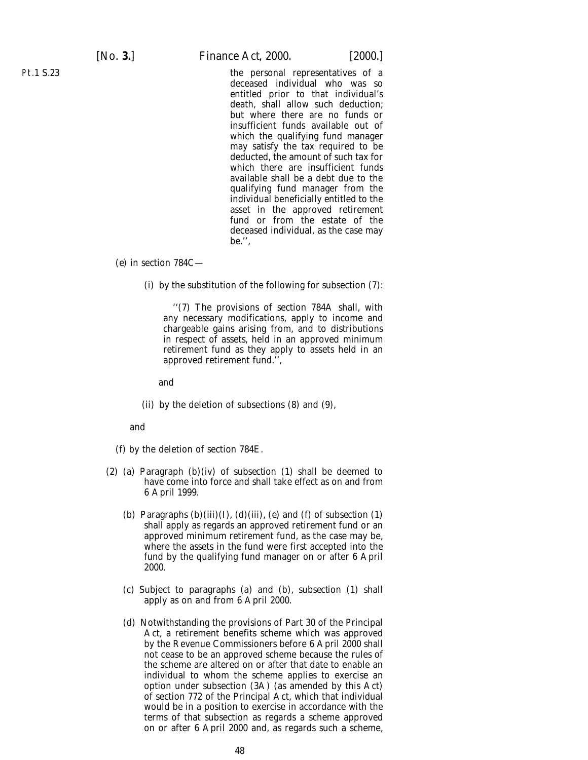the personal representatives of a deceased individual who was so entitled prior to that individual's death, shall allow such deduction; but where there are no funds or insufficient funds available out of which the qualifying fund manager may satisfy the tax required to be deducted, the amount of such tax for which there are insufficient funds available shall be a debt due to the qualifying fund manager from the individual beneficially entitled to the asset in the approved retirement fund or from the estate of the deceased individual, as the case may be.'',

(*e*) in section 784C—

(i) by the substitution of the following for subsection (7):

''(7) The provisions of section 784A shall, with any necessary modifications, apply to income and chargeable gains arising from, and to distributions in respect of assets, held in an approved minimum retirement fund as they apply to assets held in an approved retirement fund.'',

and

(ii) by the deletion of subsections (8) and (9),

and

- (*f*) by the deletion of section 784E.
- (2) (*a*) *Paragraph (b)(iv)* of *subsection (1)* shall be deemed to have come into force and shall take effect as on and from 6 April 1999.
	- (*b*) *Paragraphs (b)(iii)(I)*, *(d)(iii)*, *(e)* and *(f)* of *subsection (1)* shall apply as regards an approved retirement fund or an approved minimum retirement fund, as the case may be, where the assets in the fund were first accepted into the fund by the qualifying fund manager on or after 6 April 2000.
	- (*c*) Subject to *paragraphs (a)* and *(b)*, *subsection (1)* shall apply as on and from 6 April 2000.
	- (*d*) Notwithstanding the provisions of Part 30 of the Principal Act, a retirement benefits scheme which was approved by the Revenue Commissioners before 6 April 2000 shall not cease to be an approved scheme because the rules of the scheme are altered on or after that date to enable an individual to whom the scheme applies to exercise an option under subsection (3A) (as amended by this Act) of section 772 of the Principal Act, which that individual would be in a position to exercise in accordance with the terms of that subsection as regards a scheme approved on or after 6 April 2000 and, as regards such a scheme,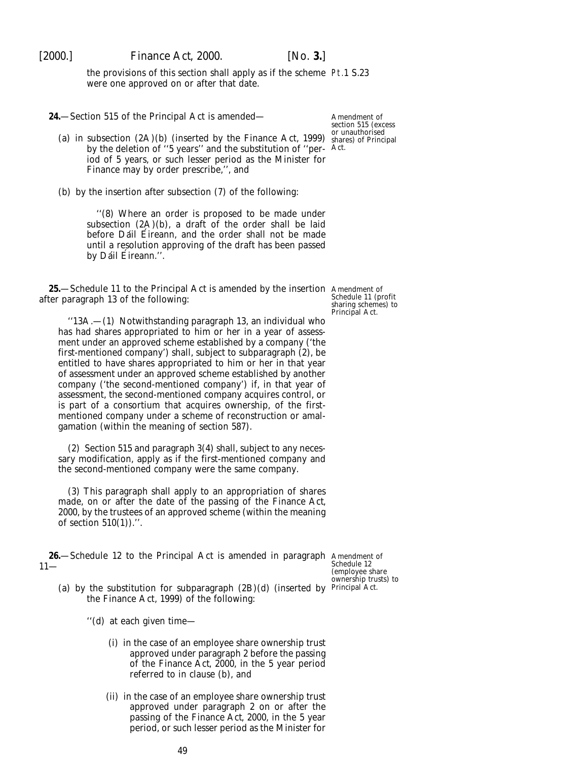[2000.] *Finance Act,* 2000. [*No.* **3.**]

the provisions of this section shall apply as if the scheme Pt.1 S.23 were one approved on or after that date.

**24.**—Section 515 of the Principal Act is amended—

- (*a*) in subsection  $(2A)(b)$  (inserted by the Finance Act, 1999) shares) of Principal by the deletion of ''5 years'' and the substitution of ''per-Act. iod of 5 years, or such lesser period as the Minister for Finance may by order prescribe,'', and
- (*b*) by the insertion after subsection (7) of the following:

''(8) Where an order is proposed to be made under subsection  $(2A)(b)$ , a draft of the order shall be laid before Dáil Éireann, and the order shall not be made until a resolution approving of the draft has been passed by Dáil Éireann.".

25.—Schedule 11 to the Principal Act is amended by the insertion Amendment of schedule 11 (profit<br>ter paragraph 13 of the following after paragraph 13 of the following:

''13A.—(1) Notwithstanding paragraph 13, an individual who has had shares appropriated to him or her in a year of assessment under an approved scheme established by a company ('the first-mentioned company') shall, subject to subparagraph (2), be entitled to have shares appropriated to him or her in that year of assessment under an approved scheme established by another company ('the second-mentioned company') if, in that year of assessment, the second-mentioned company acquires control, or is part of a consortium that acquires ownership, of the firstmentioned company under a scheme of reconstruction or amalgamation (within the meaning of section 587).

(2) Section 515 and paragraph 3(4) shall, subject to any necessary modification, apply as if the first-mentioned company and the second-mentioned company were the same company.

(3) This paragraph shall apply to an appropriation of shares made, on or after the date of the passing of the *Finance Act, 2000*, by the trustees of an approved scheme (within the meaning of section 510(1)).''.

**26.**—Schedule 12 to the Principal Act is amended in paragraph Amendment of 11—

Schedule 12 (employee share ownership trusts) to

- (*a*) by the substitution for subparagraph (2B)(*d*) (inserted by Principal Act.the Finance Act, 1999) of the following:
	- ''(*d*) at each given time—
		- (i) in the case of an employee share ownership trust approved under paragraph 2 before the passing of the *Finance Act, 2000*, in the 5 year period referred to in clause (*b*), and
		- (ii) in the case of an employee share ownership trust approved under paragraph 2 on or after the passing of the *Finance Act, 2000*, in the 5 year period, or such lesser period as the Minister for

Amendment of section 515 (excess or unauthorised

sharing schemes) to Principal Act.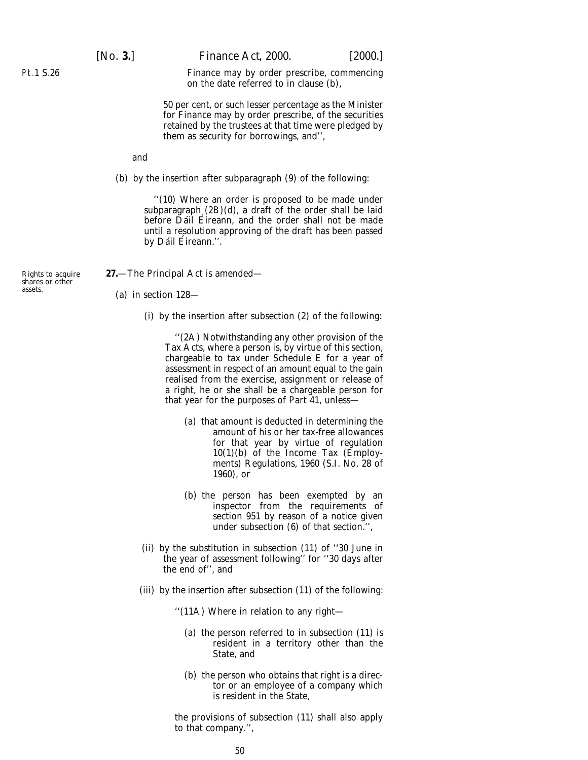[*No.* **3.**] *Finance Act,* 2000. [2000.]

Finance may by order prescribe, commencing on the date referred to in clause (*b*),

50 per cent, or such lesser percentage as the Minister for Finance may by order prescribe, of the securities retained by the trustees at that time were pledged by them as security for borrowings, and'',

and

(*b*) by the insertion after subparagraph (9) of the following:

''(10) Where an order is proposed to be made under subparagraph (2B)(*d*), a draft of the order shall be laid before Dail Eireann, and the order shall not be made until a resolution approving of the draft has been passed by Dáil Éireann.".

**27.**—The Principal Act is amended—

shares or other assets.

Rights to acquire

(*a*) in section 128—

(i) by the insertion after subsection (2) of the following:

''(2A) Notwithstanding any other provision of the Tax Acts, where a person is, by virtue of this section, chargeable to tax under Schedule E for a year of assessment in respect of an amount equal to the gain realised from the exercise, assignment or release of a right, he or she shall be a chargeable person for that year for the purposes of Part 41, unless—

- (*a*) that amount is deducted in determining the amount of his or her tax-free allowances for that year by virtue of regulation 10(1)(*b*) of the Income Tax (Employments) Regulations, 1960 (S.I. No. 28 of 1960), or
- (*b*) the person has been exempted by an inspector from the requirements of section 951 by reason of a notice given under subsection (6) of that section.'',
- (ii) by the substitution in subsection (11) of ''30 June in the year of assessment following'' for ''30 days after the end of'', and
- (iii) by the insertion after subsection (11) of the following:
	- ''(11A) Where in relation to any right—
		- (*a*) the person referred to in subsection (11) is resident in a territory other than the State, and
		- (*b*) the person who obtains that right is a director or an employee of a company which is resident in the State,

the provisions of subsection (11) shall also apply to that company.'',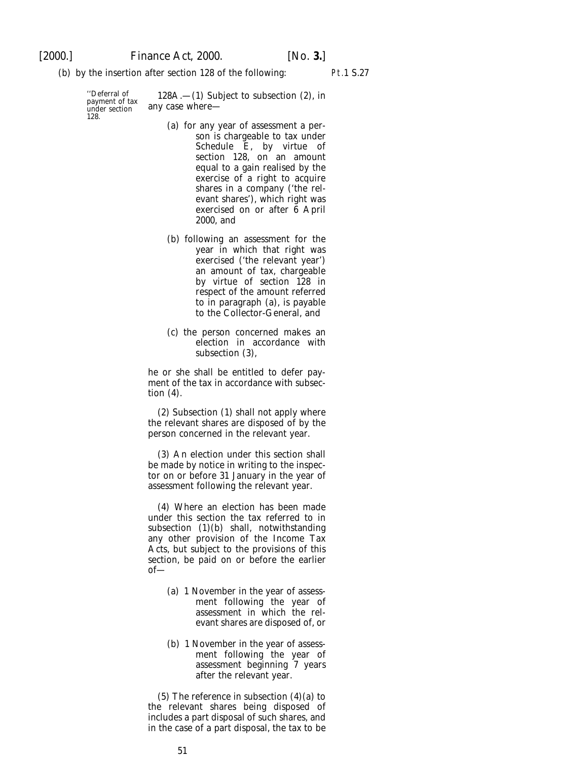(*b*) by the insertion after section 128 of the following: Pt.1 S.27

128.

"Deferral of  $128A$ .—(1) Subject to subsection (2), in payment of tax any case where any case where—

- (*a*) for any year of assessment a person is chargeable to tax under Schedule E, by virtue of section 128, on an amount equal to a gain realised by the exercise of a right to acquire shares in a company ('the relevant shares'), which right was exercised on or after 6 April 2000, and
- (*b*) following an assessment for the year in which that right was exercised ('the relevant year') an amount of tax, chargeable by virtue of section 128 in respect of the amount referred to in paragraph (*a*), is payable to the Collector-General, and
- (*c*) the person concerned makes an election in accordance with subsection (3),

he or she shall be entitled to defer payment of the tax in accordance with subsection (4).

(2) Subsection (1) shall not apply where the relevant shares are disposed of by the person concerned in the relevant year.

(3) An election under this section shall be made by notice in writing to the inspector on or before 31 January in the year of assessment following the relevant year.

(4) Where an election has been made under this section the tax referred to in subsection (1)(*b*) shall, notwithstanding any other provision of the Income Tax Acts, but subject to the provisions of this section, be paid on or before the earlier of—

- (*a*) 1 November in the year of assessment following the year of assessment in which the relevant shares are disposed of, or
- (*b*) 1 November in the year of assessment following the year of assessment beginning 7 years after the relevant year.

(5) The reference in subsection (4)(*a*) to the relevant shares being disposed of includes a part disposal of such shares, and in the case of a part disposal, the tax to be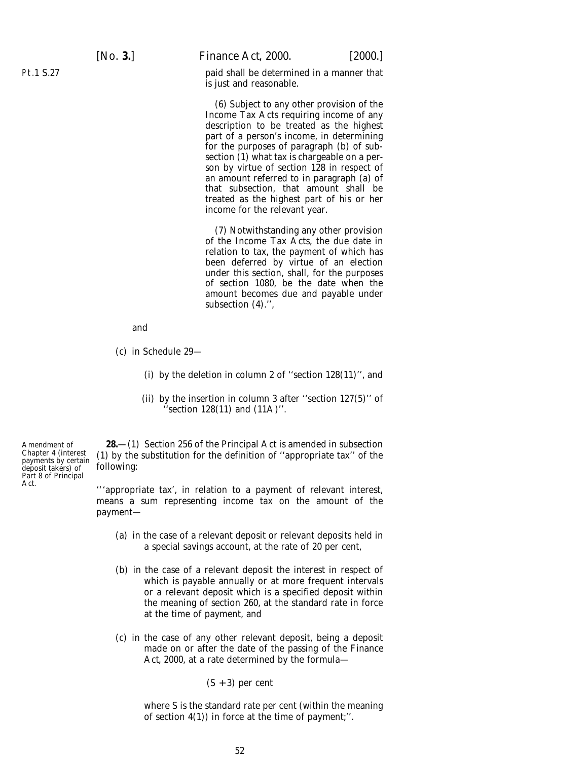[*No.* **3.**] *Finance Act,* 2000. [2000.]

paid shall be determined in a manner that is just and reasonable.

(6) Subject to any other provision of the Income Tax Acts requiring income of any description to be treated as the highest part of a person's income, in determining for the purposes of paragraph (*b*) of subsection (1) what tax is chargeable on a person by virtue of section 128 in respect of an amount referred to in paragraph (*a*) of that subsection, that amount shall be treated as the highest part of his or her income for the relevant year.

(7) Notwithstanding any other provision of the Income Tax Acts, the due date in relation to tax, the payment of which has been deferred by virtue of an election under this section, shall, for the purposes of section 1080, be the date when the amount becomes due and payable under subsection (4).'',

and

- (*c*) in Schedule 29—
	- (i) by the deletion in column 2 of ''section 128(11)'', and
	- (ii) by the insertion in column 3 after ''section 127(5)'' of ''section 128(11) and (11A)''.

**28.**—(1) Section 256 of the Principal Act is amended in subsection (1) by the substitution for the definition of ''appropriate tax'' of the following:

'''appropriate tax', in relation to a payment of relevant interest, means a sum representing income tax on the amount of the payment—

- (*a*) in the case of a relevant deposit or relevant deposits held in a special savings account, at the rate of 20 per cent,
- (*b*) in the case of a relevant deposit the interest in respect of which is payable annually or at more frequent intervals or a relevant deposit which is a specified deposit within the meaning of section 260, at the standard rate in force at the time of payment, and
- (*c*) in the case of any other relevant deposit, being a deposit made on or after the date of the passing of the *Finance Act, 2000*, at a rate determined by the formula—

 $(S + 3)$  per cent

where S is the standard rate per cent (within the meaning of section 4(1)) in force at the time of payment;''.

Amendment of Chapter 4 (interest payments by certain deposit takers) of Part 8 of Principal Act.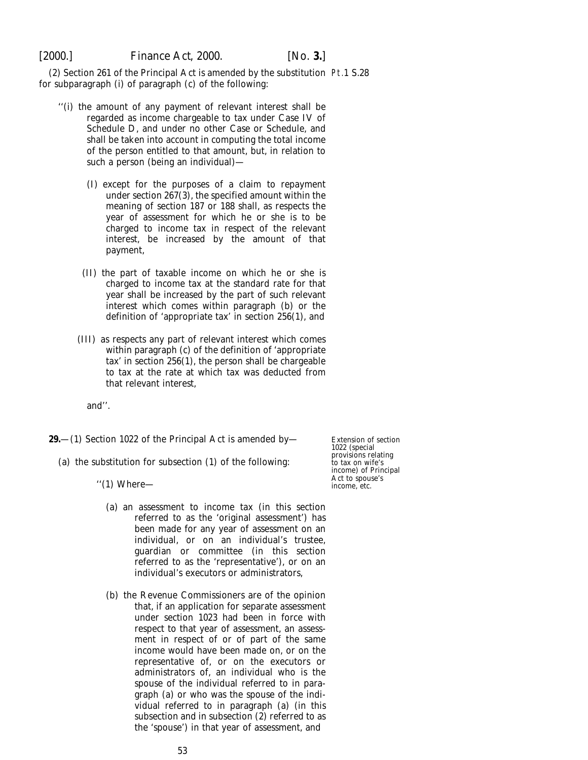(2) Section 261 of the Principal Act is amended by the substitution Pt.1 S.28 for subparagraph (i) of paragraph (*c*) of the following:

- ''(i) the amount of any payment of relevant interest shall be regarded as income chargeable to tax under Case IV of Schedule D, and under no other Case or Schedule, and shall be taken into account in computing the total income of the person entitled to that amount, but, in relation to such a person (being an individual)—
	- (I) except for the purposes of a claim to repayment under section 267(3), the specified amount within the meaning of section 187 or 188 shall, as respects the year of assessment for which he or she is to be charged to income tax in respect of the relevant interest, be increased by the amount of that payment,
	- (II) the part of taxable income on which he or she is charged to income tax at the standard rate for that year shall be increased by the part of such relevant interest which comes within paragraph (*b*) or the definition of 'appropriate tax' in section 256(1), and
	- (III) as respects any part of relevant interest which comes within paragraph (*c*) of the definition of 'appropriate tax' in section 256(1), the person shall be chargeable to tax at the rate at which tax was deducted from that relevant interest,

and''.

- **29.**—(1) Section 1022 of the Principal Act is amended by—
	- (*a*) the substitution for subsection (1) of the following:
		- $''(1)$  Where—
			- (*a*) an assessment to income tax (in this section referred to as the 'original assessment') has been made for any year of assessment on an individual, or on an individual's trustee, guardian or committee (in this section referred to as the 'representative'), or on an individual's executors or administrators,
			- (*b*) the Revenue Commissioners are of the opinion that, if an application for separate assessment under section 1023 had been in force with respect to that year of assessment, an assessment in respect of or of part of the same income would have been made on, or on the representative of, or on the executors or administrators of, an individual who is the spouse of the individual referred to in paragraph (*a*) or who was the spouse of the individual referred to in paragraph (*a*) (in this subsection and in subsection (2) referred to as the 'spouse') in that year of assessment, and

Extension of section 1022 (special provisions relating to tax on wife's income) of Principal Act to spouse's income, etc.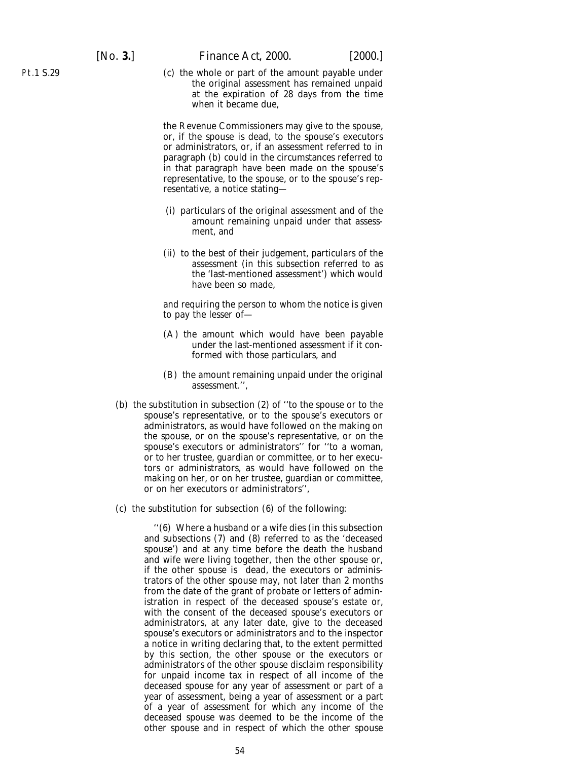(*c*) the whole or part of the amount payable under the original assessment has remained unpaid at the expiration of 28 days from the time when it became due,

the Revenue Commissioners may give to the spouse, or, if the spouse is dead, to the spouse's executors or administrators, or, if an assessment referred to in paragraph (*b*) could in the circumstances referred to in that paragraph have been made on the spouse's representative, to the spouse, or to the spouse's representative, a notice stating—

- (i) particulars of the original assessment and of the amount remaining unpaid under that assessment, and
- (ii) to the best of their judgement, particulars of the assessment (in this subsection referred to as the 'last-mentioned assessment') which would have been so made,

and requiring the person to whom the notice is given to pay the lesser of—

- (A) the amount which would have been payable under the last-mentioned assessment if it conformed with those particulars, and
- (B) the amount remaining unpaid under the original assessment.'',
- (*b*) the substitution in subsection (2) of ''to the spouse or to the spouse's representative, or to the spouse's executors or administrators, as would have followed on the making on the spouse, or on the spouse's representative, or on the spouse's executors or administrators'' for ''to a woman, or to her trustee, guardian or committee, or to her executors or administrators, as would have followed on the making on her, or on her trustee, guardian or committee, or on her executors or administrators'',
- (*c*) the substitution for subsection (6) of the following:

''(6) Where a husband or a wife dies (in this subsection and subsections (7) and (8) referred to as the 'deceased spouse') and at any time before the death the husband and wife were living together, then the other spouse or, if the other spouse is dead, the executors or administrators of the other spouse may, not later than 2 months from the date of the grant of probate or letters of administration in respect of the deceased spouse's estate or, with the consent of the deceased spouse's executors or administrators, at any later date, give to the deceased spouse's executors or administrators and to the inspector a notice in writing declaring that, to the extent permitted by this section, the other spouse or the executors or administrators of the other spouse disclaim responsibility for unpaid income tax in respect of all income of the deceased spouse for any year of assessment or part of a year of assessment, being a year of assessment or a part of a year of assessment for which any income of the deceased spouse was deemed to be the income of the other spouse and in respect of which the other spouse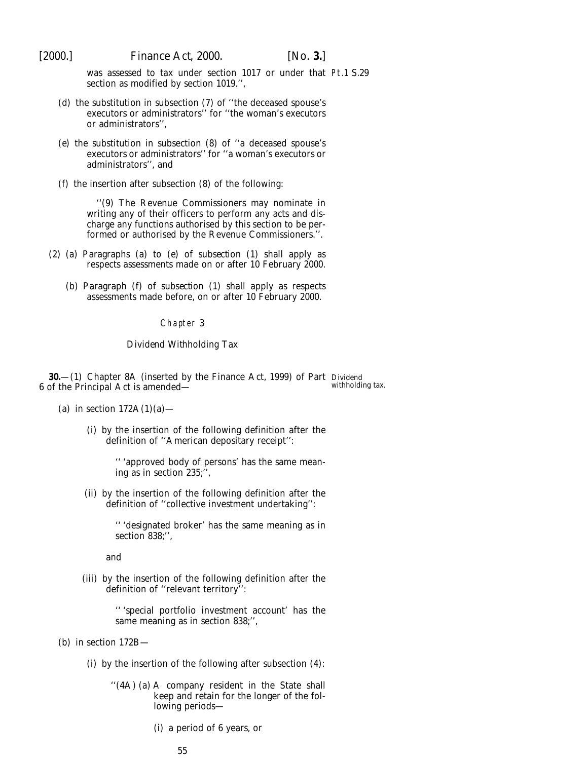was assessed to tax under section 1017 or under that Pt.1 S.29 section as modified by section 1019.'',

- (*d*) the substitution in subsection (7) of ''the deceased spouse's executors or administrators'' for ''the woman's executors or administrators'',
- (*e*) the substitution in subsection (8) of ''a deceased spouse's executors or administrators'' for ''a woman's executors or administrators'', and
- (*f*) the insertion after subsection (8) of the following:

''(9) The Revenue Commissioners may nominate in writing any of their officers to perform any acts and discharge any functions authorised by this section to be performed or authorised by the Revenue Commissioners.''.

- (2) (*a*) *Paragraphs (a)* to *(e)* of *subsection (1)* shall apply as respects assessments made on or after 10 February 2000.
	- (*b*) *Paragraph (f)* of *subsection (1)* shall apply as respects assessments made before, on or after 10 February 2000.

# Chapter 3

### *Dividend Withholding Tax*

**30.** - (1) Chapter 8A (inserted by the Finance Act, 1999) of Part Dividend 6 of the Principal Act is amended withholding tax.

- (*a*) in section 172A(1)(*a*)—
	- (i) by the insertion of the following definition after the definition of ''American depositary receipt'':

'' 'approved body of persons' has the same meaning as in section 235;'',

(ii) by the insertion of the following definition after the definition of ''collective investment undertaking'':

> '' 'designated broker' has the same meaning as in section 838;'',

and

(iii) by the insertion of the following definition after the definition of ''relevant territory'':

> '' 'special portfolio investment account' has the same meaning as in section 838;'',

# (*b*) in section 172B—

- (i) by the insertion of the following after subsection (4):
	- ''(4A) (*a*) A company resident in the State shall keep and retain for the longer of the following periods—
		- (i) a period of 6 years, or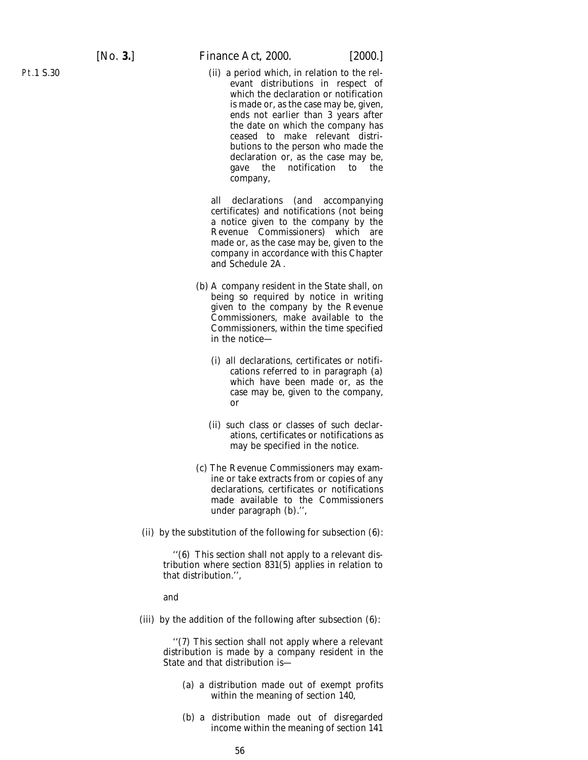(ii) a period which, in relation to the relevant distributions in respect of which the declaration or notification is made or, as the case may be, given, ends not earlier than 3 years after the date on which the company has ceased to make relevant distributions to the person who made the declaration or, as the case may be,<br>gave the notification to the notification to company,

all declarations (and accompanying certificates) and notifications (not being a notice given to the company by the Revenue Commissioners) which are made or, as the case may be, given to the company in accordance with this Chapter and Schedule 2A.

- (*b*) A company resident in the State shall, on being so required by notice in writing given to the company by the Revenue Commissioners, make available to the Commissioners, within the time specified in the notice—
	- (i) all declarations, certificates or notifications referred to in paragraph (*a*) which have been made or, as the case may be, given to the company, or
	- (ii) such class or classes of such declarations, certificates or notifications as may be specified in the notice.
- (*c*) The Revenue Commissioners may examine or take extracts from or copies of any declarations, certificates or notifications made available to the Commissioners under paragraph (*b*).'',
- (ii) by the substitution of the following for subsection (6):

''(6) This section shall not apply to a relevant distribution where section 831(5) applies in relation to that distribution.'',

and

(iii) by the addition of the following after subsection (6):

''(7) This section shall not apply where a relevant distribution is made by a company resident in the State and that distribution is—

- (*a*) a distribution made out of exempt profits within the meaning of section 140,
- (*b*) a distribution made out of disregarded income within the meaning of section 141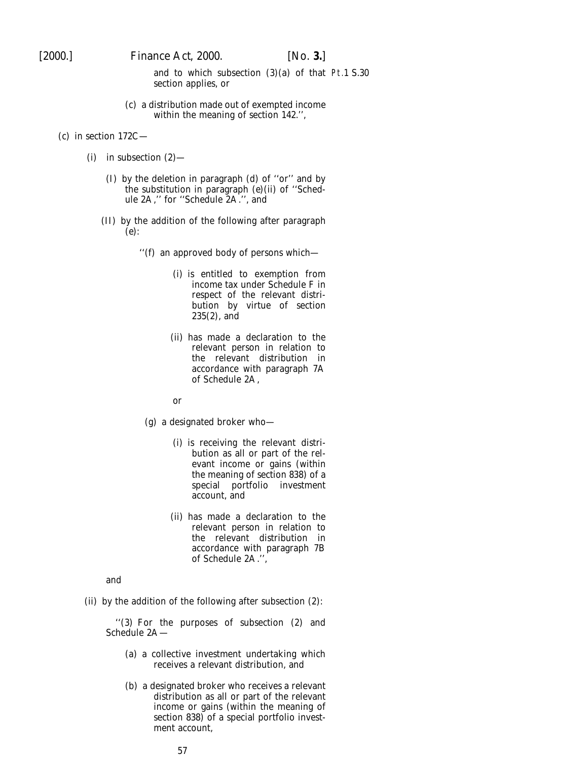and to which subsection (3)(*a*) of that Pt.1 S.30 section applies, or

- (*c*) a distribution made out of exempted income within the meaning of section 142.'',
- (*c*) in section 172C—
	- (i) in subsection (2)—
		- (I) by the deletion in paragraph (*d*) of ''or'' and by the substitution in paragraph (*e*)(ii) of ''Schedule 2A,'' for ''Schedule 2A.'', and
		- (II) by the addition of the following after paragraph (*e*):
			- ''(*f*) an approved body of persons which—
				- (i) is entitled to exemption from income tax under Schedule F in respect of the relevant distribution by virtue of section 235(2), and
				- (ii) has made a declaration to the relevant person in relation to the relevant distribution in accordance with paragraph 7A of Schedule 2A,
				- or
				- (*g*) a designated broker who—
					- (i) is receiving the relevant distribution as all or part of the relevant income or gains (within the meaning of section 838) of a special portfolio investment account, and
					- (ii) has made a declaration to the relevant person in relation to the relevant distribution in accordance with paragraph 7B of Schedule 2A.'',

## and

(ii) by the addition of the following after subsection (2):

''(3) For the purposes of subsection (2) and Schedule 2A—

- (*a*) a collective investment undertaking which receives a relevant distribution, and
- (*b*) a designated broker who receives a relevant distribution as all or part of the relevant income or gains (within the meaning of section 838) of a special portfolio investment account,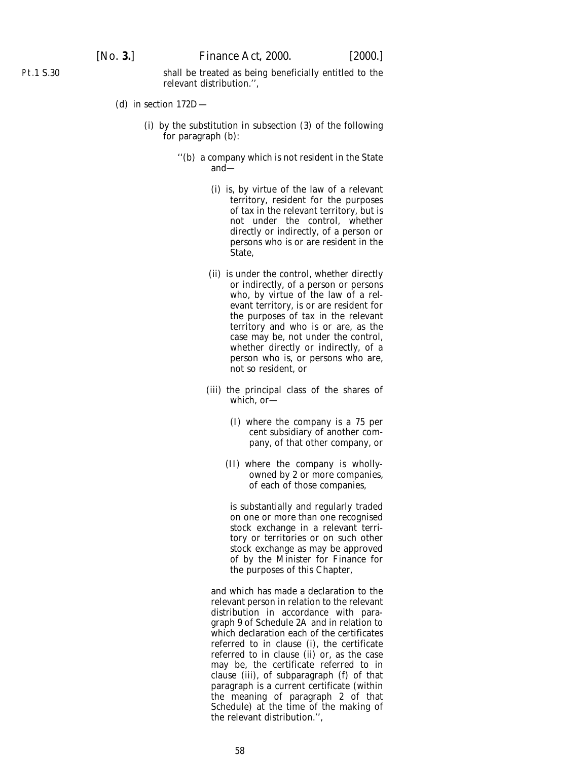shall be treated as being beneficially entitled to the relevant distribution.'',

- (*d*) in section 172D—
	- (i) by the substitution in subsection (3) of the following for paragraph (*b*):
		- ''(*b*) a company which is not resident in the State and—
			- (i) is, by virtue of the law of a relevant territory, resident for the purposes of tax in the relevant territory, but is not under the control, whether directly or indirectly, of a person or persons who is or are resident in the State,
			- (ii) is under the control, whether directly or indirectly, of a person or persons who, by virtue of the law of a relevant territory, is or are resident for the purposes of tax in the relevant territory and who is or are, as the case may be, not under the control, whether directly or indirectly, of a person who is, or persons who are, not so resident, or
			- (iii) the principal class of the shares of which, or—
				- (I) where the company is a 75 per cent subsidiary of another company, of that other company, or
				- (II) where the company is whollyowned by 2 or more companies, of each of those companies,

is substantially and regularly traded on one or more than one recognised stock exchange in a relevant territory or territories or on such other stock exchange as may be approved of by the Minister for Finance for the purposes of this Chapter,

and which has made a declaration to the relevant person in relation to the relevant distribution in accordance with paragraph 9 of Schedule 2A and in relation to which declaration each of the certificates referred to in clause (i), the certificate referred to in clause (ii) or, as the case may be, the certificate referred to in clause (iii), of subparagraph (*f*) of that paragraph is a current certificate (within the meaning of paragraph 2 of that Schedule) at the time of the making of the relevant distribution.'',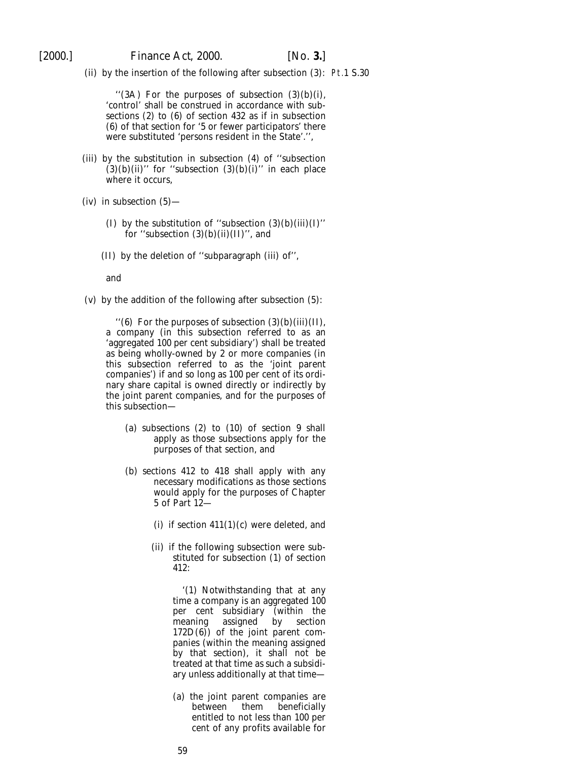(ii) by the insertion of the following after subsection (3): Pt.1 S.30

"(3A) For the purposes of subsection  $(3)(b)(i)$ , 'control' shall be construed in accordance with subsections (2) to (6) of section 432 as if in subsection (6) of that section for '5 or fewer participators' there were substituted 'persons resident in the State'.'',

- (iii) by the substitution in subsection (4) of ''subsection  $(3)(b)(ii)$ " for "subsection  $(3)(b)(i)$ " in each place where it occurs,
- (iv) in subsection  $(5)$ 
	- (I) by the substitution of "subsection  $(3)(b)(iii)(I)$ " for "subsection  $(3)(b)(ii)(II)$ ", and
	- (II) by the deletion of ''subparagraph (iii) of'',

and

(v) by the addition of the following after subsection (5):

 $\lq\lq$ (6) For the purposes of subsection  $(3)(b)(iii)(II)$ , a company (in this subsection referred to as an 'aggregated 100 per cent subsidiary') shall be treated as being wholly-owned by 2 or more companies (in this subsection referred to as the 'joint parent companies') if and so long as 100 per cent of its ordinary share capital is owned directly or indirectly by the joint parent companies, and for the purposes of this subsection—

- (*a*) subsections (2) to (10) of section 9 shall apply as those subsections apply for the purposes of that section, and
- (*b*) sections 412 to 418 shall apply with any necessary modifications as those sections would apply for the purposes of Chapter 5 of Part 12—
	- (i) if section  $411(1)(c)$  were deleted, and
	- (ii) if the following subsection were substituted for subsection (1) of section 412:

'(1) Notwithstanding that at any time a company is an aggregated 100 per cent subsidiary (within the meaning assigned by section 172D(6)) of the joint parent companies (within the meaning assigned by that section), it shall not be treated at that time as such a subsidiary unless additionally at that time—

(*a*) the joint parent companies are between them beneficially entitled to not less than 100 per cent of any profits available for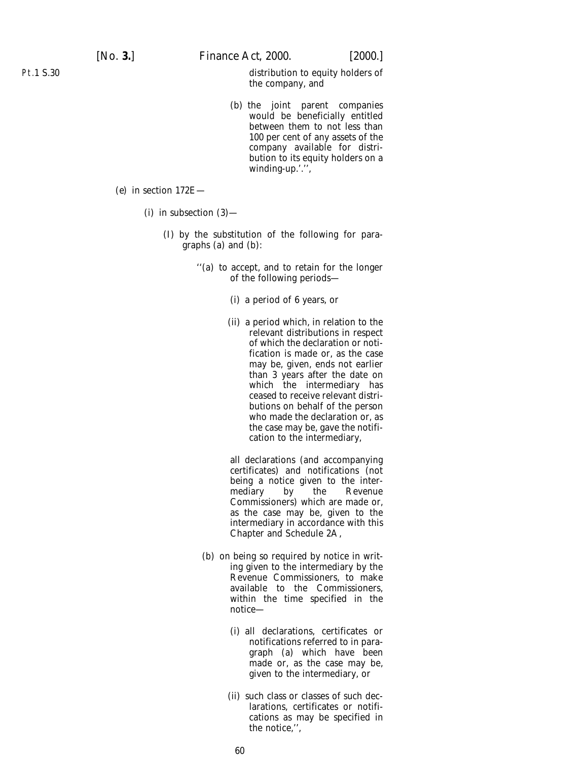distribution to equity holders of the company, and

- (*b*) the joint parent companies would be beneficially entitled between them to not less than 100 per cent of any assets of the company available for distribution to its equity holders on a winding-up.'.'',
- (*e*) in section 172E—
	- (i) in subsection (3)—
		- (I) by the substitution of the following for paragraphs (*a*) and (*b*):
			- ''(*a*) to accept, and to retain for the longer of the following periods—
				- (i) a period of 6 years, or
				- (ii) a period which, in relation to the relevant distributions in respect of which the declaration or notification is made or, as the case may be, given, ends not earlier than 3 years after the date on which the intermediary has ceased to receive relevant distributions on behalf of the person who made the declaration or, as the case may be, gave the notification to the intermediary,

all declarations (and accompanying certificates) and notifications (not being a notice given to the intermediary by the Revenue Commissioners) which are made or, as the case may be, given to the intermediary in accordance with this Chapter and Schedule 2A,

- (*b*) on being so required by notice in writing given to the intermediary by the Revenue Commissioners, to make available to the Commissioners, within the time specified in the notice—
	- (i) all declarations, certificates or notifications referred to in paragraph (*a*) which have been made or, as the case may be, given to the intermediary, or
	- (ii) such class or classes of such declarations, certificates or notifications as may be specified in the notice,'',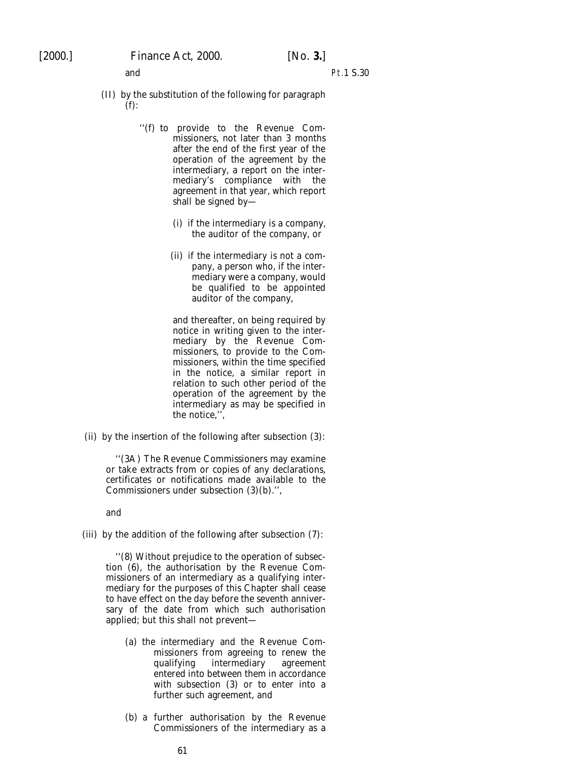and Pt.1 S.30

- (II) by the substitution of the following for paragraph (*f*):
	- ''(*f*) to provide to the Revenue Commissioners, not later than 3 months after the end of the first year of the operation of the agreement by the intermediary, a report on the intermediary's compliance with the agreement in that year, which report shall be signed by—
		- (i) if the intermediary is a company, the auditor of the company, or
		- (ii) if the intermediary is not a company, a person who, if the intermediary were a company, would be qualified to be appointed auditor of the company,

and thereafter, on being required by notice in writing given to the intermediary by the Revenue Commissioners, to provide to the Commissioners, within the time specified in the notice, a similar report in relation to such other period of the operation of the agreement by the intermediary as may be specified in the notice,'',

(ii) by the insertion of the following after subsection (3):

''(3A) The Revenue Commissioners may examine or take extracts from or copies of any declarations, certificates or notifications made available to the Commissioners under subsection (3)(*b*).'',

and

(iii) by the addition of the following after subsection (7):

''(8) Without prejudice to the operation of subsection (6), the authorisation by the Revenue Commissioners of an intermediary as a qualifying intermediary for the purposes of this Chapter shall cease to have effect on the day before the seventh anniversary of the date from which such authorisation applied; but this shall not prevent—

- (*a*) the intermediary and the Revenue Commissioners from agreeing to renew the qualifying intermediary agreement entered into between them in accordance with subsection (3) or to enter into a further such agreement, and
- (*b*) a further authorisation by the Revenue Commissioners of the intermediary as a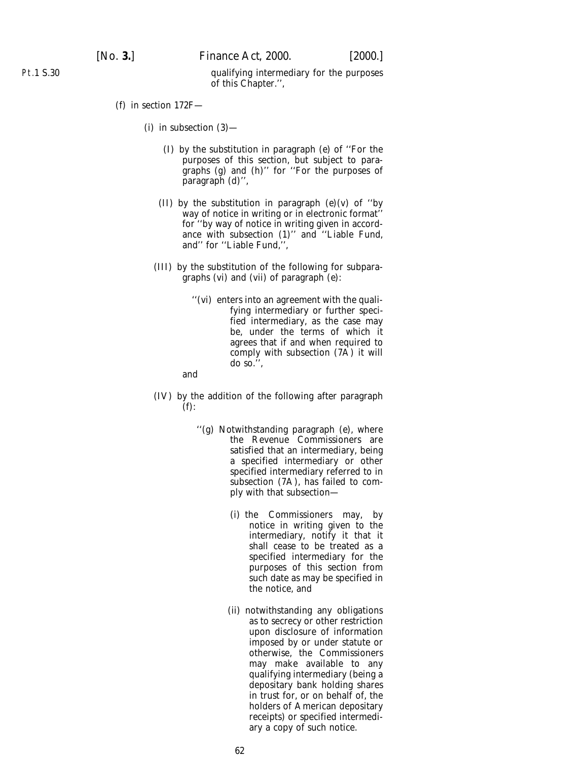qualifying intermediary for the purposes of this Chapter.'',

- (*f*) in section 172F—
	- (i) in subsection  $(3)$ 
		- (I) by the substitution in paragraph (*e*) of ''For the purposes of this section, but subject to paragraphs (*g*) and (*h*)'' for ''For the purposes of paragraph (*d*)'',
		- (II) by the substitution in paragraph  $(e)(v)$  of "by way of notice in writing or in electronic format'' for ''by way of notice in writing given in accordance with subsection (1)'' and ''Liable Fund, and'' for ''Liable Fund,'',
		- (III) by the substitution of the following for subparagraphs (vi) and (vii) of paragraph (*e*):
			- ''(vi) enters into an agreement with the qualifying intermediary or further specified intermediary, as the case may be, under the terms of which it agrees that if and when required to comply with subsection (7A) it will  $\frac{d}{d}$  oso.
			- and
		- (IV) by the addition of the following after paragraph (*f*):
			- ''(*g*) Notwithstanding paragraph (*e*), where the Revenue Commissioners are satisfied that an intermediary, being a specified intermediary or other specified intermediary referred to in subsection (7A), has failed to comply with that subsection—
				- (i) the Commissioners may, by notice in writing given to the intermediary, notify it that it shall cease to be treated as a specified intermediary for the purposes of this section from such date as may be specified in the notice, and
				- (ii) notwithstanding any obligations as to secrecy or other restriction upon disclosure of information imposed by or under statute or otherwise, the Commissioners may make available to any qualifying intermediary (being a depositary bank holding shares in trust for, or on behalf of, the holders of American depositary receipts) or specified intermediary a copy of such notice.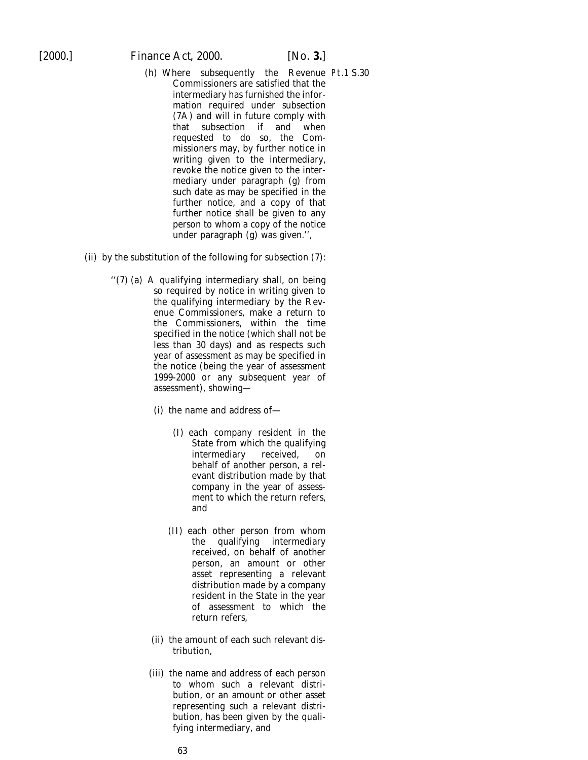- (*h*) Where subsequently the Revenue Pt.1 S.30 Commissioners are satisfied that the intermediary has furnished the information required under subsection (7A) and will in future comply with that subsection if and when requested to do so, the Commissioners may, by further notice in writing given to the intermediary, revoke the notice given to the intermediary under paragraph (*g*) from such date as may be specified in the further notice, and a copy of that further notice shall be given to any person to whom a copy of the notice under paragraph (*g*) was given.'',
- (ii) by the substitution of the following for subsection (7):
	- ''(7) (*a*) A qualifying intermediary shall, on being so required by notice in writing given to the qualifying intermediary by the Revenue Commissioners, make a return to the Commissioners, within the time specified in the notice (which shall not be less than 30 days) and as respects such year of assessment as may be specified in the notice (being the year of assessment 1999-2000 or any subsequent year of assessment), showing—
		- (i) the name and address of—
			- (I) each company resident in the State from which the qualifying intermediary received, on behalf of another person, a relevant distribution made by that company in the year of assessment to which the return refers, and
			- (II) each other person from whom the qualifying intermediary received, on behalf of another person, an amount or other asset representing a relevant distribution made by a company resident in the State in the year of assessment to which the return refers,
		- (ii) the amount of each such relevant distribution,
		- (iii) the name and address of each person to whom such a relevant distribution, or an amount or other asset representing such a relevant distribution, has been given by the qualifying intermediary, and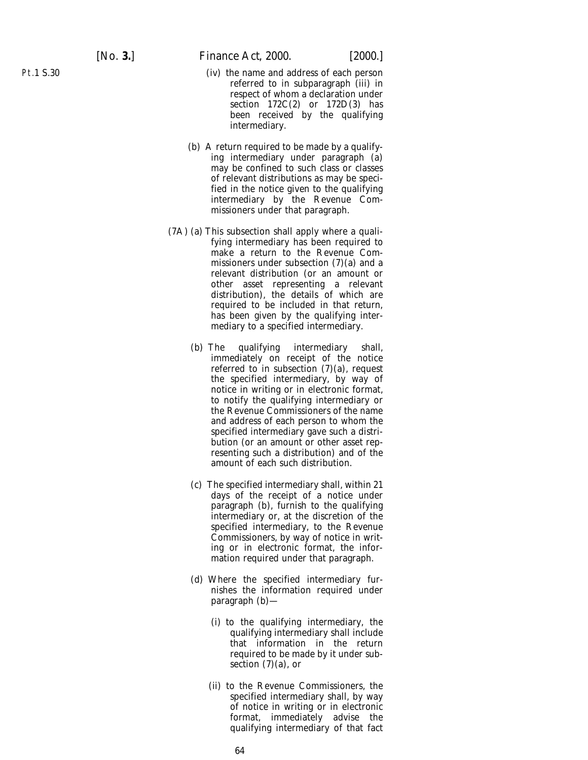- (iv) the name and address of each person referred to in subparagraph (iii) in respect of whom a declaration under section 172C(2) or 172D(3) has been received by the qualifying intermediary.
- (*b*) A return required to be made by a qualifying intermediary under paragraph (*a*) may be confined to such class or classes of relevant distributions as may be specified in the notice given to the qualifying intermediary by the Revenue Commissioners under that paragraph.
- (7A) (*a*) This subsection shall apply where a qualifying intermediary has been required to make a return to the Revenue Commissioners under subsection (7)(*a*) and a relevant distribution (or an amount or other asset representing a relevant distribution), the details of which are required to be included in that return, has been given by the qualifying intermediary to a specified intermediary.
	- (*b*) The qualifying intermediary shall, immediately on receipt of the notice referred to in subsection (7)(*a*), request the specified intermediary, by way of notice in writing or in electronic format, to notify the qualifying intermediary or the Revenue Commissioners of the name and address of each person to whom the specified intermediary gave such a distribution (or an amount or other asset representing such a distribution) and of the amount of each such distribution.
	- (*c*) The specified intermediary shall, within 21 days of the receipt of a notice under paragraph (*b*), furnish to the qualifying intermediary or, at the discretion of the specified intermediary, to the Revenue Commissioners, by way of notice in writing or in electronic format, the information required under that paragraph.
	- (*d*) Where the specified intermediary furnishes the information required under paragraph (*b*)—
		- (i) to the qualifying intermediary, the qualifying intermediary shall include that information in the return required to be made by it under subsection  $(7)(a)$ , or
		- (ii) to the Revenue Commissioners, the specified intermediary shall, by way of notice in writing or in electronic format, immediately advise the qualifying intermediary of that fact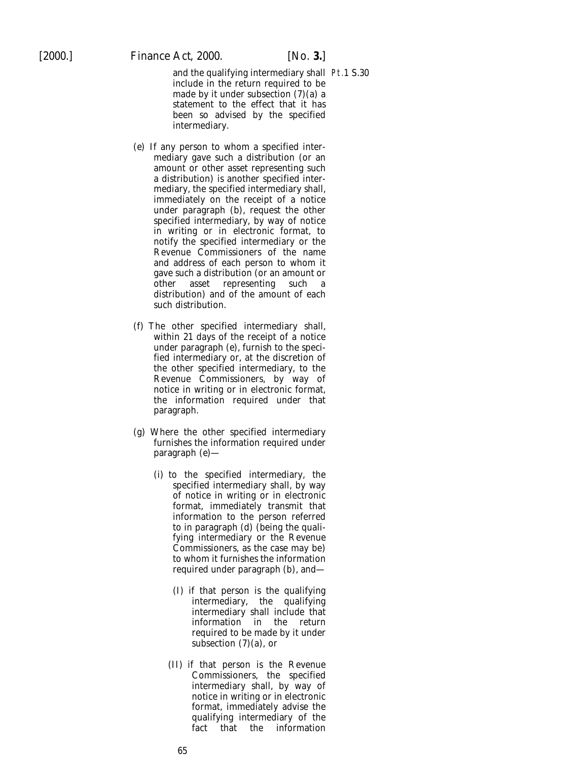- and the qualifying intermediary shall Pt.1 S.30 include in the return required to be made by it under subsection (7)(*a*) a statement to the effect that it has been so advised by the specified intermediary.
- (*e*) If any person to whom a specified intermediary gave such a distribution (or an amount or other asset representing such a distribution) is another specified intermediary, the specified intermediary shall, immediately on the receipt of a notice under paragraph (*b*), request the other specified intermediary, by way of notice in writing or in electronic format, to notify the specified intermediary or the Revenue Commissioners of the name and address of each person to whom it gave such a distribution (or an amount or other asset representing such a distribution) and of the amount of each such distribution.
- (*f*) The other specified intermediary shall, within 21 days of the receipt of a notice under paragraph (*e*), furnish to the specified intermediary or, at the discretion of the other specified intermediary, to the Revenue Commissioners, by way of notice in writing or in electronic format, the information required under that paragraph.
- (*g*) Where the other specified intermediary furnishes the information required under paragraph (*e*)—
	- (i) to the specified intermediary, the specified intermediary shall, by way of notice in writing or in electronic format, immediately transmit that information to the person referred to in paragraph (*d*) (being the qualifying intermediary or the Revenue Commissioners, as the case may be) to whom it furnishes the information required under paragraph (*b*), and—
		- (I) if that person is the qualifying intermediary, the qualifying intermediary shall include that information in the return required to be made by it under subsection  $(7)(a)$ , or
		- (II) if that person is the Revenue Commissioners, the specified intermediary shall, by way of notice in writing or in electronic format, immediately advise the qualifying intermediary of the fact that the information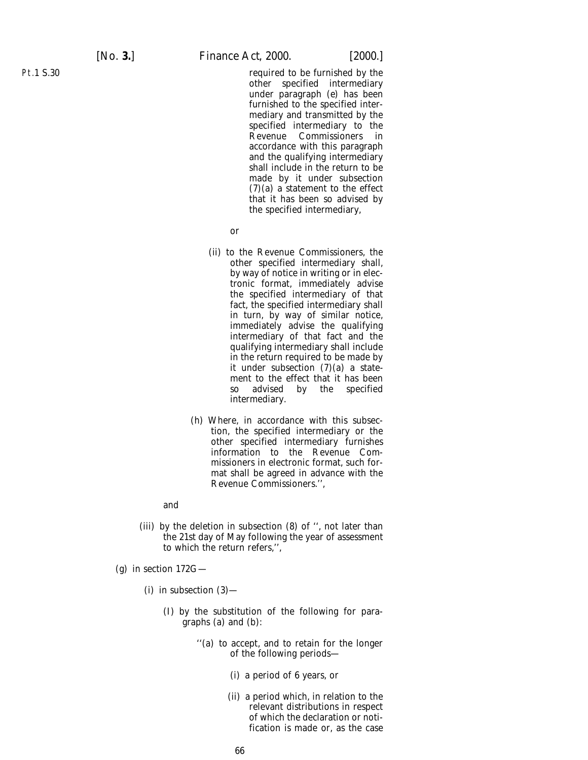required to be furnished by the other specified intermediary under paragraph (*e*) has been furnished to the specified intermediary and transmitted by the specified intermediary to the Revenue Commissioners in accordance with this paragraph and the qualifying intermediary shall include in the return to be made by it under subsection (7)(*a*) a statement to the effect that it has been so advised by the specified intermediary,

- or
- (ii) to the Revenue Commissioners, the other specified intermediary shall, by way of notice in writing or in electronic format, immediately advise the specified intermediary of that fact, the specified intermediary shall in turn, by way of similar notice, immediately advise the qualifying intermediary of that fact and the qualifying intermediary shall include in the return required to be made by it under subsection  $(7)(a)$  a statement to the effect that it has been so advised by the specified intermediary.
- (*h*) Where, in accordance with this subsection, the specified intermediary or the other specified intermediary furnishes information to the Revenue Commissioners in electronic format, such format shall be agreed in advance with the Revenue Commissioners.'',

and

- (iii) by the deletion in subsection (8) of '', not later than the 21st day of May following the year of assessment to which the return refers,'',
- (*g*) in section 172G—
	- (i) in subsection (3)—
		- (I) by the substitution of the following for paragraphs (*a*) and (*b*):
			- ''(*a*) to accept, and to retain for the longer of the following periods—
				- (i) a period of 6 years, or
				- (ii) a period which, in relation to the relevant distributions in respect of which the declaration or notification is made or, as the case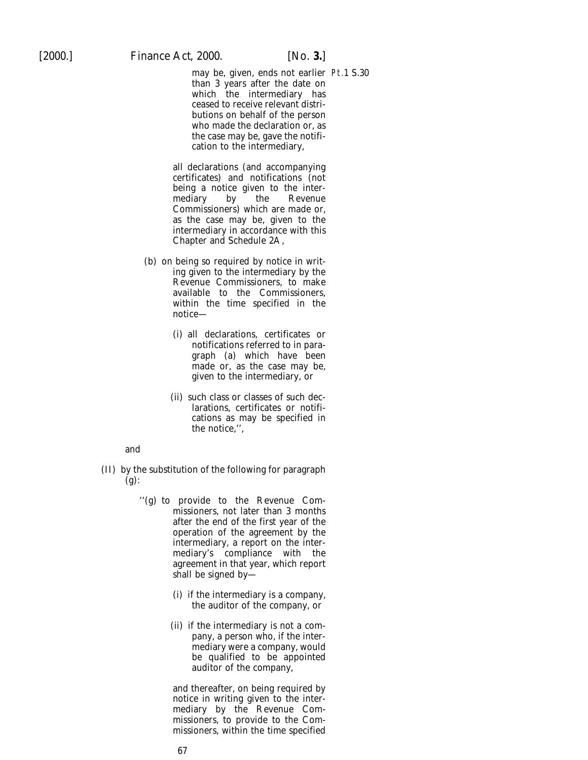may be, given, ends not earlier Pt.1 S.30 than 3 years after the date on which the intermediary has ceased to receive relevant distributions on behalf of the person who made the declaration or, as the case may be, gave the notification to the intermediary,

all declarations (and accompanying certificates) and notifications (not being a notice given to the intermediary by the Revenue Commissioners) which are made or, as the case may be, given to the intermediary in accordance with this Chapter and Schedule 2A,

- (*b*) on being so required by notice in writing given to the intermediary by the Revenue Commissioners, to make available to the Commissioners, within the time specified in the notice—
	- (i) all declarations, certificates or notifications referred to in paragraph (*a*) which have been made or, as the case may be, given to the intermediary, or
	- (ii) such class or classes of such declarations, certificates or notifications as may be specified in the notice,'',

#### and

- (II) by the substitution of the following for paragraph (*g*):
	- ''(*g*) to provide to the Revenue Commissioners, not later than 3 months after the end of the first year of the operation of the agreement by the intermediary, a report on the intermediary's compliance with the agreement in that year, which report shall be signed by—
		- (i) if the intermediary is a company, the auditor of the company, or
		- (ii) if the intermediary is not a company, a person who, if the intermediary were a company, would be qualified to be appointed auditor of the company,

and thereafter, on being required by notice in writing given to the intermediary by the Revenue Commissioners, to provide to the Commissioners, within the time specified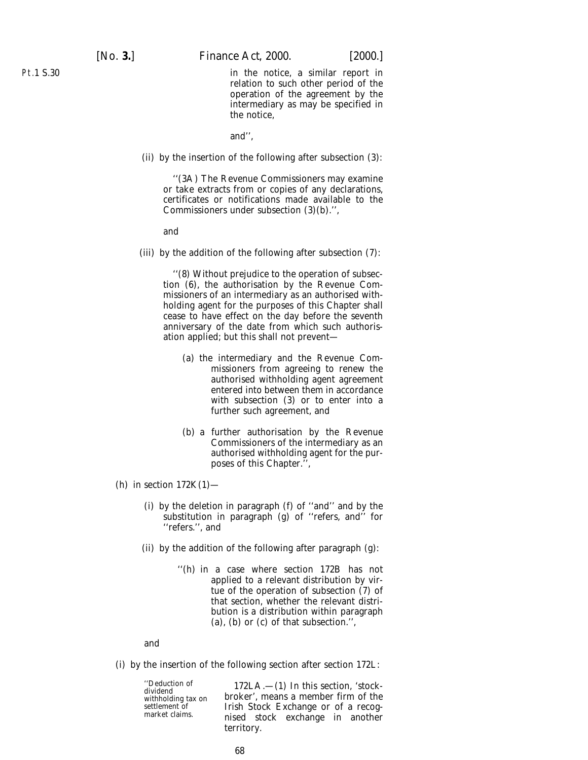in the notice, a similar report in relation to such other period of the operation of the agreement by the intermediary as may be specified in the notice,

and'',

(ii) by the insertion of the following after subsection (3):

''(3A) The Revenue Commissioners may examine or take extracts from or copies of any declarations, certificates or notifications made available to the Commissioners under subsection (3)(*b*).'',

and

(iii) by the addition of the following after subsection (7):

''(8) Without prejudice to the operation of subsection (6), the authorisation by the Revenue Commissioners of an intermediary as an authorised withholding agent for the purposes of this Chapter shall cease to have effect on the day before the seventh anniversary of the date from which such authorisation applied; but this shall not prevent—

- (*a*) the intermediary and the Revenue Commissioners from agreeing to renew the authorised withholding agent agreement entered into between them in accordance with subsection (3) or to enter into a further such agreement, and
- (*b*) a further authorisation by the Revenue Commissioners of the intermediary as an authorised withholding agent for the purposes of this Chapter.'',
- (*h*) in section 172K(1)—
	- (i) by the deletion in paragraph (*f*) of ''and'' and by the substitution in paragraph (*g*) of ''refers, and'' for ''refers.'', and
	- (ii) by the addition of the following after paragraph (*g*):
		- ''(*h*) in a case where section 172B has not applied to a relevant distribution by virtue of the operation of subsection (7) of that section, whether the relevant distribution is a distribution within paragraph (*a*), (*b*) or (*c*) of that subsection.'',

and

(*i*) by the insertion of the following section after section 172L:

"Deduction of 172LA.—(1) In this section, 'stock-<br>
dividend<br>
withholding tax on broker', means a member firm of the withholding tax on broker', means a member firm of the settlement of Irish Stock Exchange or of a recogmarket claims. nised stock exchange in another territory.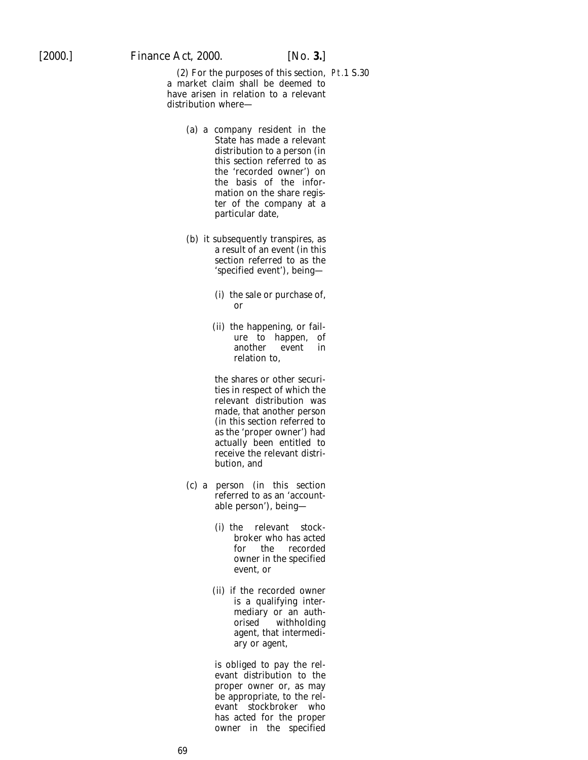(2) For the purposes of this section, Pt.1 S.30 a market claim shall be deemed to have arisen in relation to a relevant distribution where—

- (*a*) a company resident in the State has made a relevant distribution to a person (in this section referred to as the 'recorded owner') on the basis of the information on the share register of the company at a particular date,
- (*b*) it subsequently transpires, as a result of an event (in this section referred to as the 'specified event'), being—
	- (i) the sale or purchase of, or
	- (ii) the happening, or failure to happen, of another event in relation to,

the shares or other securities in respect of which the relevant distribution was made, that another person (in this section referred to as the 'proper owner') had actually been entitled to receive the relevant distribution, and

- (*c*) a person (in this section referred to as an 'accountable person'), being—
	- (i) the relevant stockbroker who has acted for the recorded owner in the specified event, or
	- (ii) if the recorded owner is a qualifying intermediary or an authorised withholding agent, that intermediary or agent,

is obliged to pay the relevant distribution to the proper owner or, as may be appropriate, to the relevant stockbroker who has acted for the proper owner in the specified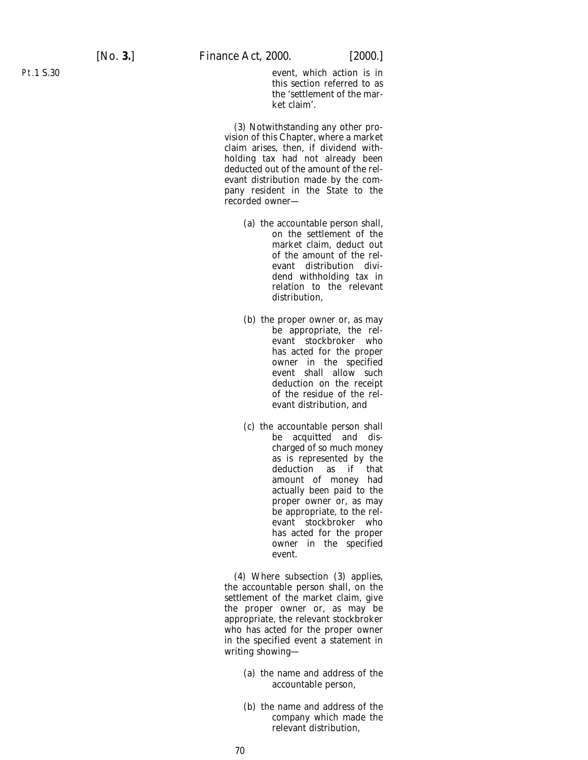event, which action is in this section referred to as the 'settlement of the market claim'.

(3) Notwithstanding any other provision of this Chapter, where a market claim arises, then, if dividend withholding tax had not already been deducted out of the amount of the relevant distribution made by the company resident in the State to the recorded owner—

- (*a*) the accountable person shall, on the settlement of the market claim, deduct out of the amount of the relevant distribution dividend withholding tax in relation to the relevant distribution,
- ( *b*) the proper owner or, as may be appropriate, the relevant stockbroker who has acted for the proper owner in the specified event shall allow such deduction on the receipt of the residue of the relevant distribution, and
- ( *c*) the accountable person shall be acquitted and discharged of so much money as is represented by the deduction as if that amount of money had actually been paid to the proper owner or, as may be appropriate, to the relevant stockbroker who has acted for the proper owner in the specified event.

(4) Where subsection (3) applies, the accountable person shall, on the settlement of the market claim, give the proper owner or, as may be appropriate, the relevant stockbroker who has acted for the proper owner in the specified event a statement in writing showing—

- (*a*) the name and address of the accountable person,
- ( *b*) the name and address of the company which made the relevant distribution,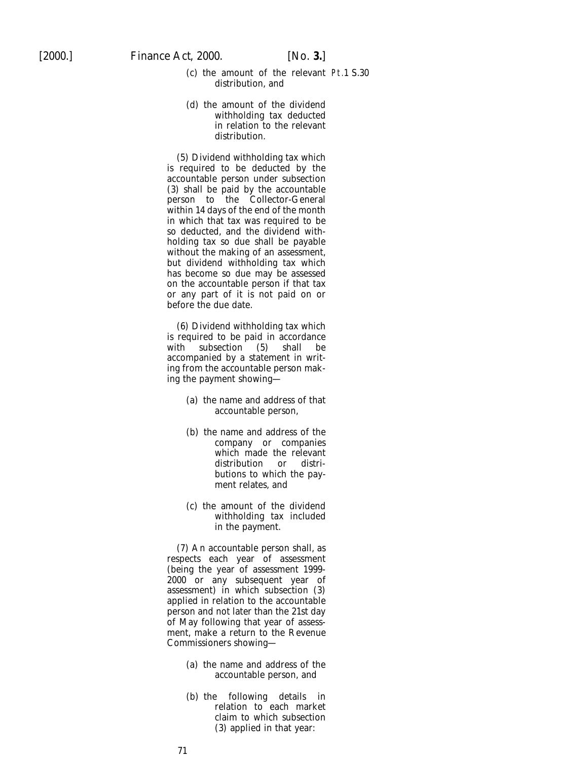- (*c*) the amount of the relevant Pt.1 S.30 distribution, and
- (*d*) the amount of the dividend withholding tax deducted in relation to the relevant distribution.

(5) Dividend withholding tax which is required to be deducted by the accountable person under subsection (3) shall be paid by the accountable person to the Collector-General within 14 days of the end of the month in which that tax was required to be so deducted, and the dividend withholding tax so due shall be payable without the making of an assessment, but dividend withholding tax which has become so due may be assessed on the accountable person if that tax or any part of it is not paid on or before the due date.

(6) Dividend withholding tax which is required to be paid in accordance with subsection (5) shall be accompanied by a statement in writing from the accountable person making the payment showing—

- (*a*) the name and address of that accountable person,
- (*b*) the name and address of the company or companies which made the relevant distribution or distributions to which the payment relates, and
- (*c*) the amount of the dividend withholding tax included in the payment.

(7) An accountable person shall, as respects each year of assessment (being the year of assessment 1999- 2000 or any subsequent year of assessment) in which subsection (3) applied in relation to the accountable person and not later than the 21st day of May following that year of assessment, make a return to the Revenue Commissioners showing—

- (*a*) the name and address of the accountable person, and
- (*b*) the following details in relation to each market claim to which subsection (3) applied in that year: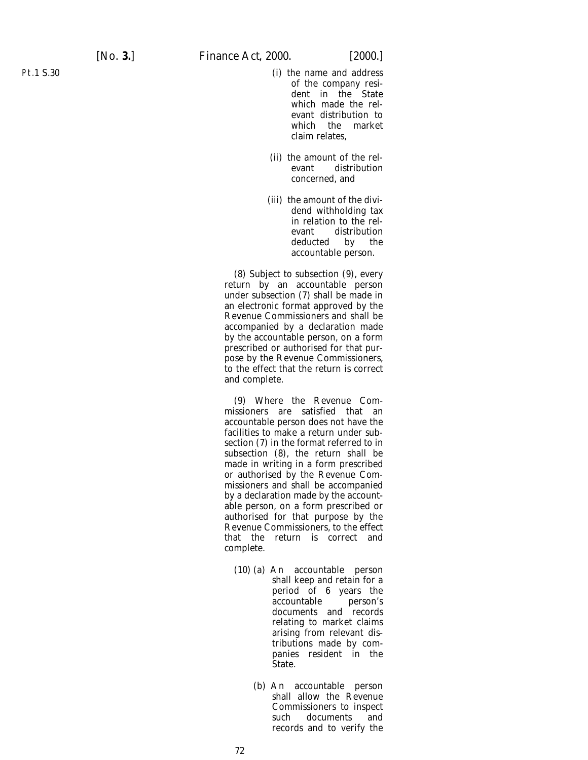- (i) the name and address of the company resident in the State which made the relevant distribution to which the market claim relates,
- (ii) the amount of the relevant distribution distribution concerned, and
- (iii) the amount of the dividend withholding tax in relation to the relevant distribution deducted by the accountable person.

(8) Subject to subsection (9), every return by an accountable person under subsection (7) shall be made in an electronic format approved by the Revenue Commissioners and shall be accompanied by a declaration made by the accountable person, on a form prescribed or authorised for that purpose by the Revenue Commissioners, to the effect that the return is correct and complete.

(9) Where the Revenue Commissioners are satisfied that an accountable person does not have the facilities to make a return under subsection (7) in the format referred to in subsection (8), the return shall be made in writing in a form prescribed or authorised by the Revenue Commissioners and shall be accompanied by a declaration made by the accountable person, on a form prescribed or authorised for that purpose by the Revenue Commissioners, to the effect that the return is correct and complete.

- (10) ( *a*) An accountable person shall keep and retain for a period of 6 years the accountable person's documents and records relating to market claims arising from relevant distributions made by companies resident in the State.
	- ( *b*) An accountable person shall allow the Revenue Commissioners to inspect such documents and records and to verify the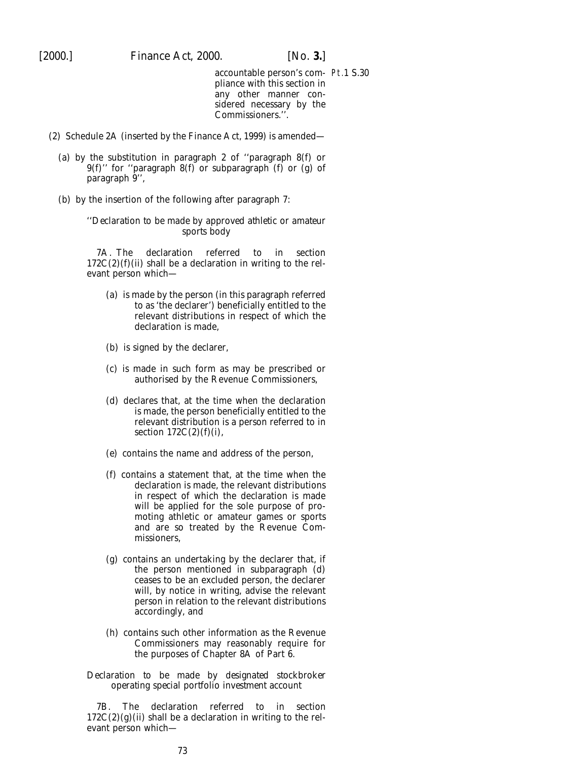accountable person's com- Pt.1 S.30 pliance with this section in any other manner considered necessary by the Commissioners.''.

- (2) Schedule 2A (inserted by the Finance Act, 1999) is amended—
	- (*a*) by the substitution in paragraph 2 of ''paragraph 8(*f*) or 9(*f*)'' for ''paragraph 8(*f*) or subparagraph (*f*) or (*g*) of paragraph 9'',
	- (*b*) by the insertion of the following after paragraph 7:

''*Declaration to be made by approved athletic or amateur sports body*

7A. The declaration referred to in section  $172C(2)(f)(ii)$  shall be a declaration in writing to the relevant person which—

- (*a*) is made by the person (in this paragraph referred to as 'the declarer') beneficially entitled to the relevant distributions in respect of which the declaration is made,
- (*b*) is signed by the declarer,
- (*c*) is made in such form as may be prescribed or authorised by the Revenue Commissioners,
- (*d*) declares that, at the time when the declaration is made, the person beneficially entitled to the relevant distribution is a person referred to in section  $172C(2)(f)(i)$ ,
- (*e*) contains the name and address of the person,
- (*f*) contains a statement that, at the time when the declaration is made, the relevant distributions in respect of which the declaration is made will be applied for the sole purpose of promoting athletic or amateur games or sports and are so treated by the Revenue Commissioners,
- (*g*) contains an undertaking by the declarer that, if the person mentioned in subparagraph (*d*) ceases to be an excluded person, the declarer will, by notice in writing, advise the relevant person in relation to the relevant distributions accordingly, and
- (*h*) contains such other information as the Revenue Commissioners may reasonably require for the purposes of Chapter 8A of Part 6.

## *Declaration to be made by designated stockbroker operating special portfolio investment account*

7B. The declaration referred to in section  $172C(2)(g)(ii)$  shall be a declaration in writing to the relevant person which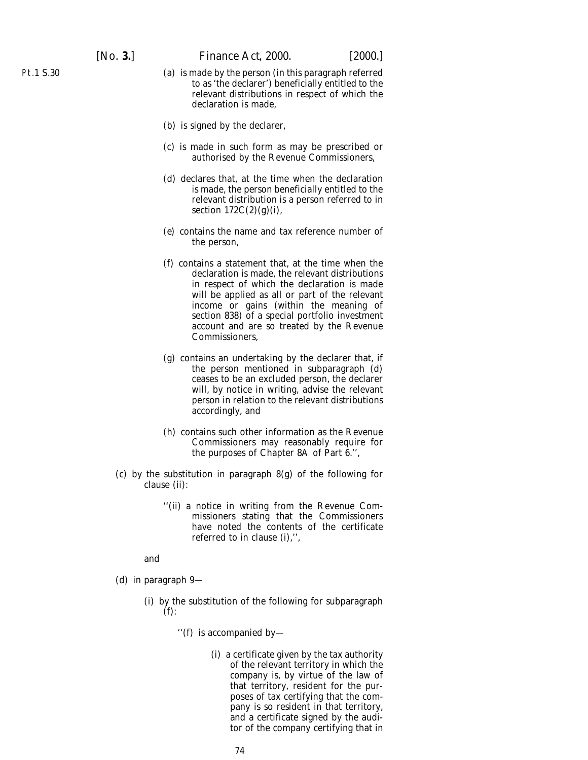Pt.1 S.30

[*No.* **3.**] *Finance Act,* 2000. [2000.]

- (*a*) is made by the person (in this paragraph referred to as 'the declarer') beneficially entitled to the relevant distributions in respect of which the declaration is made,
- (*b*) is signed by the declarer,
- (*c*) is made in such form as may be prescribed or authorised by the Revenue Commissioners,
- (*d*) declares that, at the time when the declaration is made, the person beneficially entitled to the relevant distribution is a person referred to in section 172C(2)(*g*)(i),
- (*e*) contains the name and tax reference number of the person,
- (*f*) contains a statement that, at the time when the declaration is made, the relevant distributions in respect of which the declaration is made will be applied as all or part of the relevant income or gains (within the meaning of section 838) of a special portfolio investment account and are so treated by the Revenue Commissioners,
- (*g*) contains an undertaking by the declarer that, if the person mentioned in subparagraph (*d*) ceases to be an excluded person, the declarer will, by notice in writing, advise the relevant person in relation to the relevant distributions accordingly, and
- (*h*) contains such other information as the Revenue Commissioners may reasonably require for the purposes of Chapter 8A of Part 6.'',
- (*c*) by the substitution in paragraph 8(*g*) of the following for clause (ii):
	- ''(ii) a notice in writing from the Revenue Commissioners stating that the Commissioners have noted the contents of the certificate referred to in clause (i),'',

## and

- (*d*) in paragraph 9—
	- (i) by the substitution of the following for subparagraph (*f*):
		- ''(*f*) is accompanied by—
			- (i) a certificate given by the tax authority of the relevant territory in which the company is, by virtue of the law of that territory, resident for the purposes of tax certifying that the company is so resident in that territory, and a certificate signed by the auditor of the company certifying that in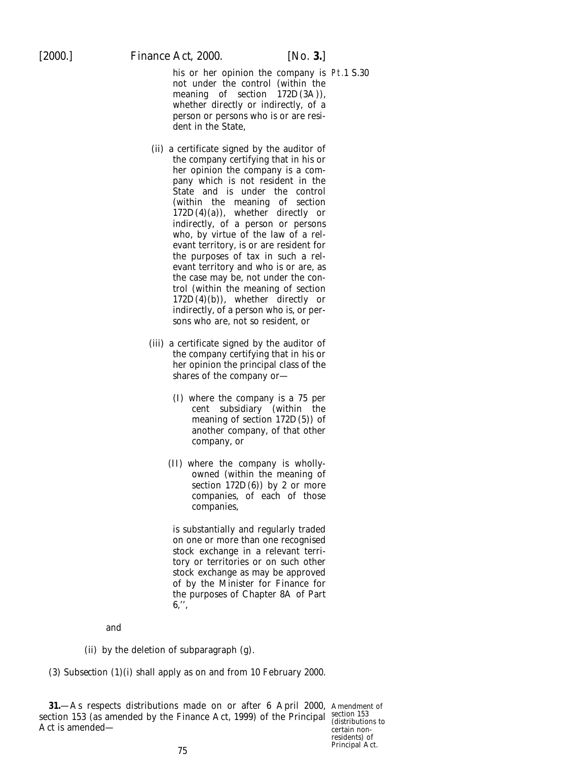his or her opinion the company is Pt.1 S.30 not under the control (within the meaning of section 172D(3A)), whether directly or indirectly, of a person or persons who is or are resident in the State,

- (ii) a certificate signed by the auditor of the company certifying that in his or her opinion the company is a company which is not resident in the State and is under the control (within the meaning of section 172D(4)(*a*)), whether directly or indirectly, of a person or persons who, by virtue of the law of a relevant territory, is or are resident for the purposes of tax in such a relevant territory and who is or are, as the case may be, not under the control (within the meaning of section 172D(4)(*b*)), whether directly or indirectly, of a person who is, or persons who are, not so resident, or
- (iii) a certificate signed by the auditor of the company certifying that in his or her opinion the principal class of the shares of the company or—
	- (I) where the company is a 75 per cent subsidiary (within the meaning of section 172D(5)) of another company, of that other company, or
	- (II) where the company is whollyowned (within the meaning of section 172D(6)) by 2 or more companies, of each of those companies,

is substantially and regularly traded on one or more than one recognised stock exchange in a relevant territory or territories or on such other stock exchange as may be approved of by the Minister for Finance for the purposes of Chapter 8A of Part  $6,$ '',

and

(ii) by the deletion of subparagraph (*g*).

(3) *Subsection (1)(i)* shall apply as on and from 10 February 2000.

**31.**—As respects distributions made on or after 6 April 2000, Amendment of section 153 (as amended by the Finance Act, 1999) of the Principal  $\frac{\text{section }153}{\text{distribution}}$ Act is amended—

(distributions to certain nonresidents) of Principal Act.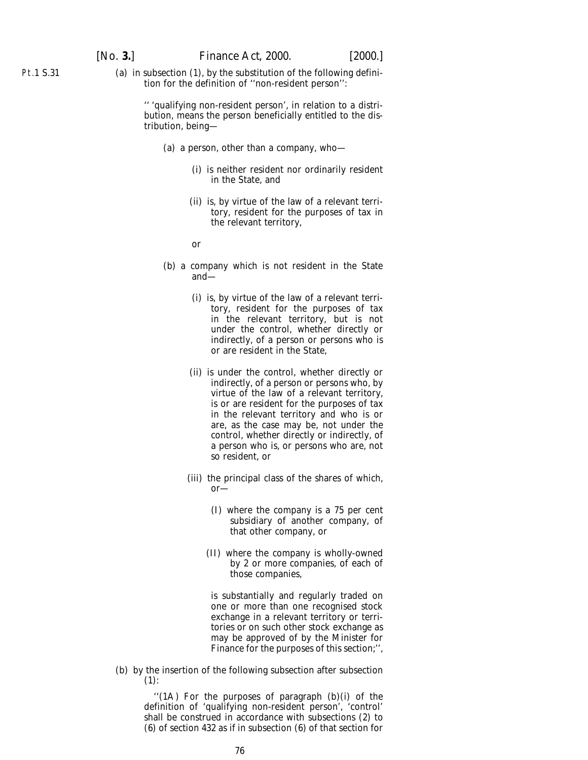(*a*) in subsection (1), by the substitution of the following definition for the definition of ''non-resident person'':

> '' 'qualifying non-resident person', in relation to a distribution, means the person beneficially entitled to the distribution, being—

- (*a*) a person, other than a company, who—
	- (i) is neither resident nor ordinarily resident in the State, and
	- (ii) is, by virtue of the law of a relevant territory, resident for the purposes of tax in the relevant territory,

or

- (*b*) a company which is not resident in the State and—
	- (i) is, by virtue of the law of a relevant territory, resident for the purposes of tax in the relevant territory, but is not under the control, whether directly or indirectly, of a person or persons who is or are resident in the State,
	- (ii) is under the control, whether directly or indirectly, of a person or persons who, by virtue of the law of a relevant territory, is or are resident for the purposes of tax in the relevant territory and who is or are, as the case may be, not under the control, whether directly or indirectly, of a person who is, or persons who are, not so resident, or
	- (iii) the principal class of the shares of which, or—
		- (I) where the company is a 75 per cent subsidiary of another company, of that other company, or
		- (II) where the company is wholly-owned by 2 or more companies, of each of those companies,

is substantially and regularly traded on one or more than one recognised stock exchange in a relevant territory or territories or on such other stock exchange as may be approved of by the Minister for Finance for the purposes of this section;'',

(*b*) by the insertion of the following subsection after subsection  $(1)$ :

> ''(1A) For the purposes of paragraph (*b*)(i) of the definition of 'qualifying non-resident person', 'control' shall be construed in accordance with subsections (2) to (6) of section 432 as if in subsection (6) of that section for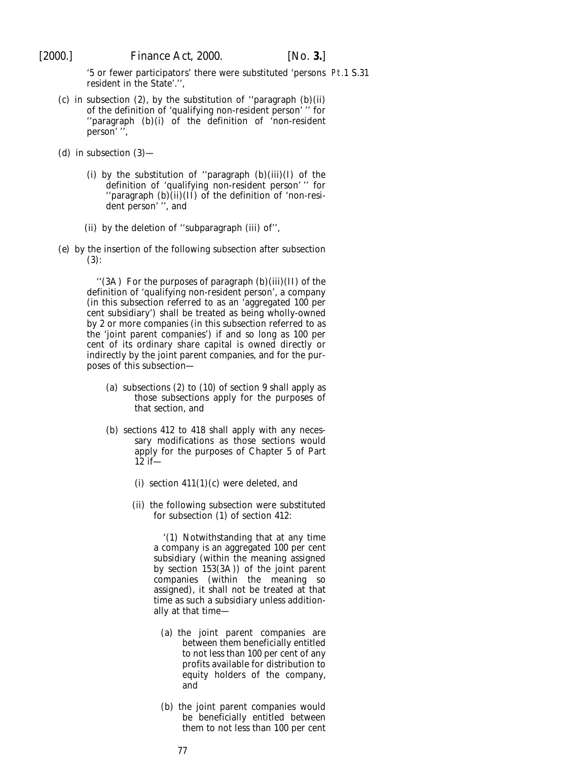'5 or fewer participators' there were substituted 'persons Pt.1 S.31 resident in the State'.'',

- (*c*) in subsection (2), by the substitution of "paragraph  $(b)$  (ii) of the definition of 'qualifying non-resident person' '' for ''paragraph (*b*)(i) of the definition of 'non-resident person' '',
- (*d*) in subsection (3)—
	- (i) by the substitution of "paragraph  $(b)$ (iii)(I) of the definition of 'qualifying non-resident person' '' for "paragraph  $(b)$ (ii)(II) of the definition of 'non-resident person' '', and
	- (ii) by the deletion of ''subparagraph (iii) of'',
- (*e*) by the insertion of the following subsection after subsection  $(3)$ :

''(3A) For the purposes of paragraph (*b*)(iii)(II) of the definition of 'qualifying non-resident person', a company (in this subsection referred to as an 'aggregated 100 per cent subsidiary') shall be treated as being wholly-owned by 2 or more companies (in this subsection referred to as the 'joint parent companies') if and so long as 100 per cent of its ordinary share capital is owned directly or indirectly by the joint parent companies, and for the purposes of this subsection—

- (*a*) subsections (2) to (10) of section 9 shall apply as those subsections apply for the purposes of that section, and
- (*b*) sections 412 to 418 shall apply with any necessary modifications as those sections would apply for the purposes of Chapter 5 of Part 12 if—
	- (i) section  $411(1)(c)$  were deleted, and
	- (ii) the following subsection were substituted for subsection (1) of section 412:

'(1) Notwithstanding that at any time a company is an aggregated 100 per cent subsidiary (within the meaning assigned by section 153(3A)) of the joint parent companies (within the meaning so assigned), it shall not be treated at that time as such a subsidiary unless additionally at that time—

- (*a*) the joint parent companies are between them beneficially entitled to not less than 100 per cent of any profits available for distribution to equity holders of the company, and
- (*b*) the joint parent companies would be beneficially entitled between them to not less than 100 per cent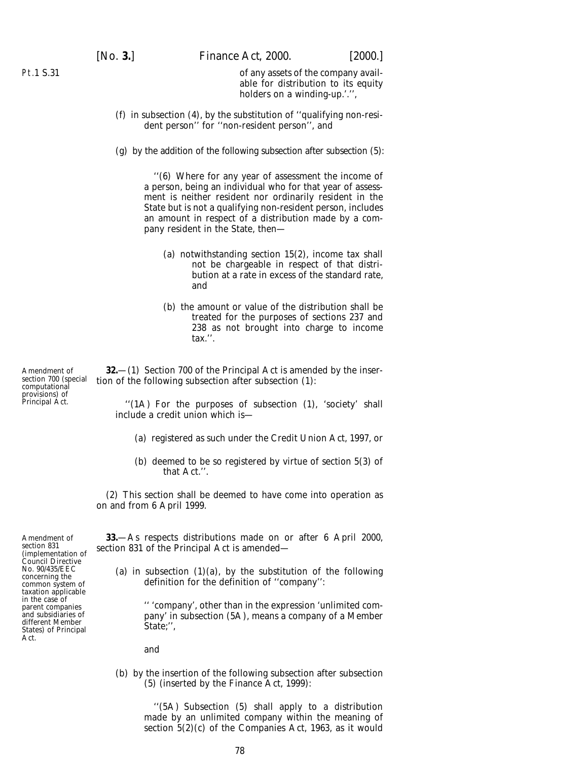of any assets of the company available for distribution to its equity holders on a winding-up.'.'',

- (*f*) in subsection (4), by the substitution of ''qualifying non-resident person'' for ''non-resident person'', and
- (*g*) by the addition of the following subsection after subsection (5):

''(6) Where for any year of assessment the income of a person, being an individual who for that year of assessment is neither resident nor ordinarily resident in the State but is not a qualifying non-resident person, includes an amount in respect of a distribution made by a company resident in the State, then—

- (*a*) notwithstanding section 15(2), income tax shall not be chargeable in respect of that distribution at a rate in excess of the standard rate, and
- (*b*) the amount or value of the distribution shall be treated for the purposes of sections 237 and 238 as not brought into charge to income tax.''.

**32.**—(1) Section 700 of the Principal Act is amended by the insertion of the following subsection after subsection (1):

> "(1A) For the purposes of subsection (1), 'society' shall include a credit union which is—

- (*a*) registered as such under the Credit Union Act, 1997, or
- (*b*) deemed to be so registered by virtue of section 5(3) of that Act.''.

(2) This section shall be deemed to have come into operation as on and from 6 April 1999.

**33.**—As respects distributions made on or after 6 April 2000, section 831 of the Principal Act is amended—

(*a*) in subsection  $(1)(a)$ , by the substitution of the following definition for the definition of ''company'':

'' 'company', other than in the expression 'unlimited company' in subsection (5A), means a company of a Member State;'',

and

(*b*) by the insertion of the following subsection after subsection (5) (inserted by the Finance Act, 1999):

''(5A) Subsection (5) shall apply to a distribution made by an unlimited company within the meaning of section 5(2)(*c*) of the Companies Act, 1963, as it would

Amendment of section 700 (special computational provisions) of Principal Act.

Pt.1 S.31

Amendment of section 831 (implementation of Council Directive No. 90/435/EEC concerning the common system of taxation applicable in the case of parent companies and subsidiaries of different Member States) of Principal Act.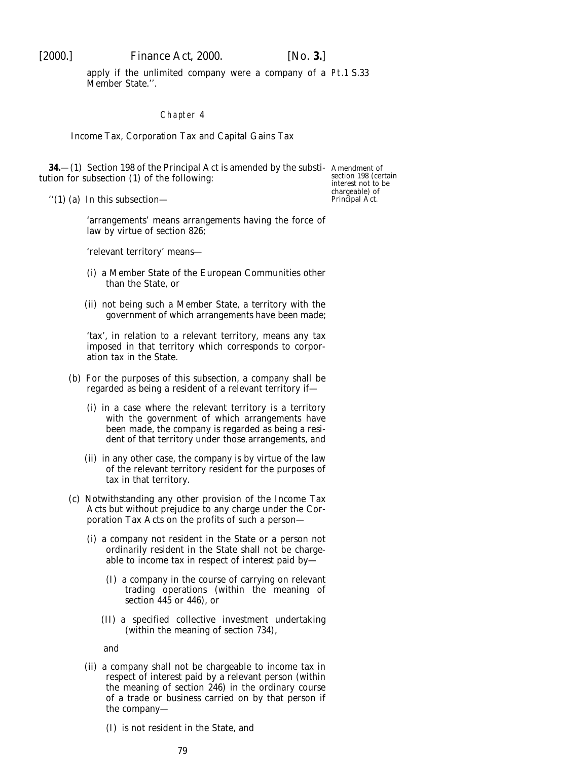[2000.] *Finance Act,* 2000. [*No.* **3.**]

apply if the unlimited company were a company of a Pt.1 S.33 Member State.''.

## Chapter 4

*Income Tax, Corporation Tax and Capital Gains Tax*

**34.**—(1) Section 198 of the Principal Act is amended by the substi- Amendment of tution for subsection (1) of the following:

''(1) (*a*) In this subsection—

'arrangements' means arrangements having the force of law by virtue of section 826;

'relevant territory' means—

- (i) a Member State of the European Communities other than the State, or
- (ii) not being such a Member State, a territory with the government of which arrangements have been made;

'tax', in relation to a relevant territory, means any tax imposed in that territory which corresponds to corporation tax in the State.

- (*b*) For the purposes of this subsection, a company shall be regarded as being a resident of a relevant territory if—
	- (i) in a case where the relevant territory is a territory with the government of which arrangements have been made, the company is regarded as being a resident of that territory under those arrangements, and
	- (ii) in any other case, the company is by virtue of the law of the relevant territory resident for the purposes of tax in that territory.
- (*c*) Notwithstanding any other provision of the Income Tax Acts but without prejudice to any charge under the Corporation Tax Acts on the profits of such a person—
	- (i) a company not resident in the State or a person not ordinarily resident in the State shall not be chargeable to income tax in respect of interest paid by—
		- (I) a company in the course of carrying on relevant trading operations (within the meaning of section  $44\overline{5}$  or  $446$ ), or
		- (II) a specified collective investment undertaking (within the meaning of section 734),

and

- (ii) a company shall not be chargeable to income tax in respect of interest paid by a relevant person (within the meaning of section 246) in the ordinary course of a trade or business carried on by that person if the company—
	- (I) is not resident in the State, and

section 198 (certain interest not to be chargeable) of Principal Act.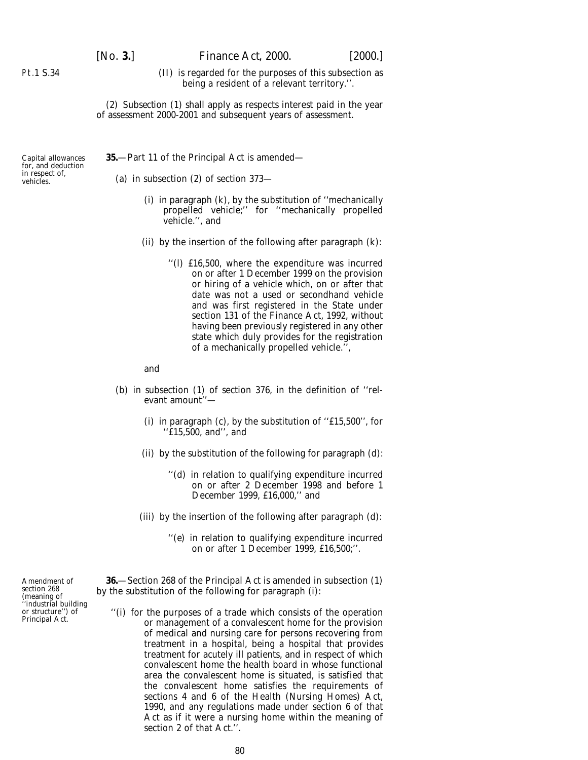(II) is regarded for the purposes of this subsection as being a resident of a relevant territory.''.

(2) *Subsection (1)* shall apply as respects interest paid in the year of assessment 2000-2001 and subsequent years of assessment.

**35.**—Part 11 of the Principal Act is amended—

- (*a*) in subsection (2) of section 373—
	- (i) in paragraph (*k*), by the substitution of ''mechanically propelled vehicle;'' for ''mechanically propelled vehicle.'', and
	- (ii) by the insertion of the following after paragraph (*k*):
		- ''(*l*) £16,500, where the expenditure was incurred on or after 1 December 1999 on the provision or hiring of a vehicle which, on or after that date was not a used or secondhand vehicle and was first registered in the State under section 131 of the Finance Act, 1992, without having been previously registered in any other state which duly provides for the registration of a mechanically propelled vehicle.'',

## and

- (*b*) in subsection (1) of section 376, in the definition of ''relevant amount''—
	- (i) in paragraph (*c*), by the substitution of ''£15,500'', for ''£15,500, and'', and
	- (ii) by the substitution of the following for paragraph (*d*):
		- ''(*d*) in relation to qualifying expenditure incurred on or after 2 December 1998 and before 1 December 1999, £16,000,'' and
	- (iii) by the insertion of the following after paragraph (*d*):
		- ''(*e*) in relation to qualifying expenditure incurred on or after 1 December 1999, £16,500;''.

**36.**—Section 268 of the Principal Act is amended in subsection (1) by the substitution of the following for paragraph (i):

''(i) for the purposes of a trade which consists of the operation or management of a convalescent home for the provision of medical and nursing care for persons recovering from treatment in a hospital, being a hospital that provides treatment for acutely ill patients, and in respect of which convalescent home the health board in whose functional area the convalescent home is situated, is satisfied that the convalescent home satisfies the requirements of sections 4 and 6 of the Health (Nursing Homes) Act, 1990, and any regulations made under section 6 of that Act as if it were a nursing home within the meaning of section 2 of that Act.''.

Amendment of section 268 (meaning of ''industrial building or structure'') of Principal Act.

Pt.1 S.34

Capital allowances for, and deduction in respect of, vehicles.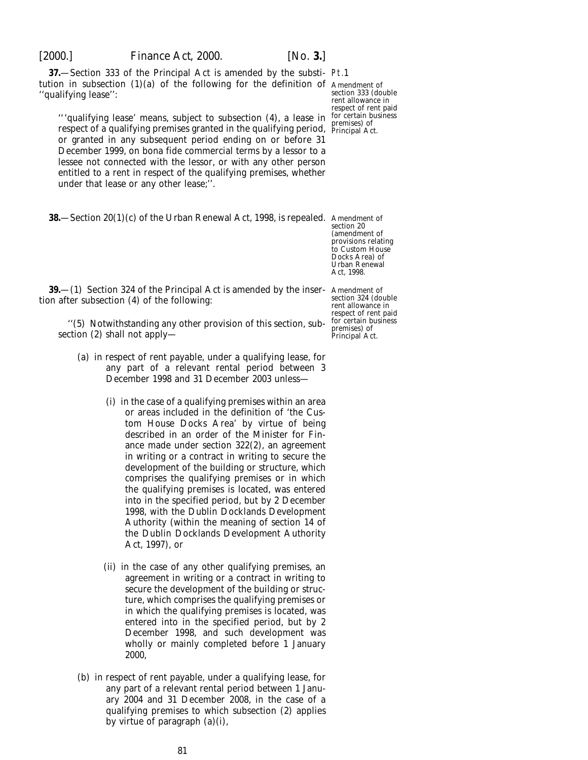**37.**—Section 333 of the Principal Act is amended by the substi-Pt.1 tution in subsection (1)(*a*) of the following for the definition of Amendment of ''qualifying lease'':

"'qualifying lease' means, subject to subsection  $(4)$ , a lease in for certain business respect of a qualifying premises granted in the qualifying period, premises) of Principal Act. or granted in any subsequent period ending on or before 31 December 1999, on bona fide commercial terms by a lessor to a lessee not connected with the lessor, or with any other person entitled to a rent in respect of the qualifying premises, whether under that lease or any other lease;''.

**38.**—Section 20(1)(*c*) of the Urban Renewal Act, 1998, is repealed. Amendment of

section 333 (double rent allowance in respect of rent paid

section 20 (amendment of provisions relating to Custom House Docks Area) of Urban Renewal Act, 1998.

**39.**—(1) Section 324 of the Principal Act is amended by the inser- Amendment of tion after subsection (4) of the following:

''(5) Notwithstanding any other provision of this section, subsection (2) shall not apply—

- (*a*) in respect of rent payable, under a qualifying lease, for any part of a relevant rental period between 3 December 1998 and 31 December 2003 unless—
	- (i) in the case of a qualifying premises within an area or areas included in the definition of 'the Custom House Docks Area' by virtue of being described in an order of the Minister for Finance made under section 322(2), an agreement in writing or a contract in writing to secure the development of the building or structure, which comprises the qualifying premises or in which the qualifying premises is located, was entered into in the specified period, but by 2 December 1998, with the Dublin Docklands Development Authority (within the meaning of section 14 of the Dublin Docklands Development Authority Act, 1997), or
	- (ii) in the case of any other qualifying premises, an agreement in writing or a contract in writing to secure the development of the building or structure, which comprises the qualifying premises or in which the qualifying premises is located, was entered into in the specified period, but by 2 December 1998, and such development was wholly or mainly completed before 1 January 2000,
- (*b*) in respect of rent payable, under a qualifying lease, for any part of a relevant rental period between 1 January 2004 and 31 December 2008, in the case of a qualifying premises to which subsection (2) applies by virtue of paragraph (*a*)(i),

section 324 (double rent allowance in respect of rent paid for certain business premises) of Principal Act.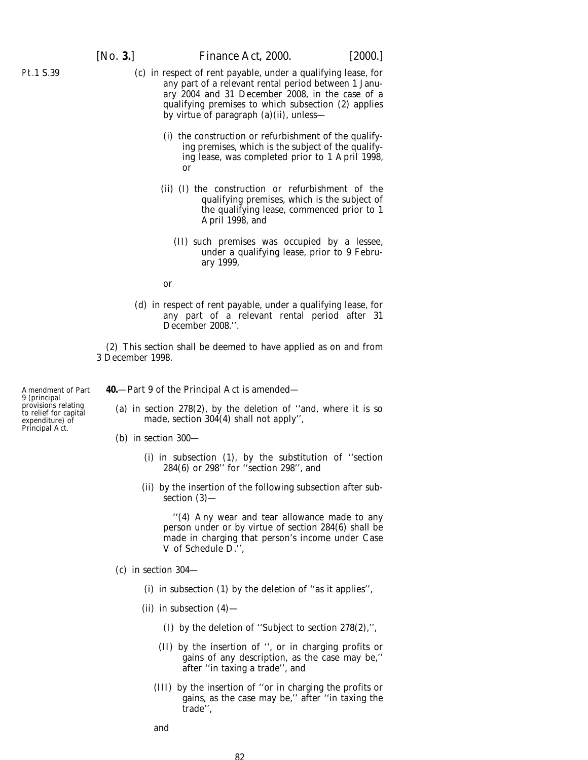- (*c*) in respect of rent payable, under a qualifying lease, for any part of a relevant rental period between 1 January 2004 and 31 December 2008, in the case of a qualifying premises to which subsection (2) applies by virtue of paragraph (*a*)(ii), unless—
	- (i) the construction or refurbishment of the qualifying premises, which is the subject of the qualifying lease, was completed prior to 1 April 1998, or
	- (ii) (I) the construction or refurbishment of the qualifying premises, which is the subject of the qualifying lease, commenced prior to 1 April 1998, and
		- (II) such premises was occupied by a lessee, under a qualifying lease, prior to 9 February 1999,
	- or
- (*d*) in respect of rent payable, under a qualifying lease, for any part of a relevant rental period after 31 December 2008.''.

(2) This section shall be deemed to have applied as on and from 3 December 1998.

**40.**—Part 9 of the Principal Act is amended—

- (*a*) in section 278(2), by the deletion of ''and, where it is so made, section 304(4) shall not apply'',
- (*b*) in section 300—
	- (i) in subsection (1), by the substitution of ''section 284(6) or 298'' for ''section 298'', and
	- (ii) by the insertion of the following subsection after subsection (3)—

''(4) Any wear and tear allowance made to any person under or by virtue of section 284(6) shall be made in charging that person's income under Case V of Schedule D.'',

- (*c*) in section 304—
	- (i) in subsection (1) by the deletion of ''as it applies'',
	- (ii) in subsection  $(4)$ 
		- (I) by the deletion of ''Subject to section 278(2),'',
		- (II) by the insertion of '', or in charging profits or gains of any description, as the case may be,'' after ''in taxing a trade'', and
		- (III) by the insertion of ''or in charging the profits or gains, as the case may be,'' after ''in taxing the trade'',

and

82

Amendment of Part 9 (principal provisions relating to relief for capital expenditure) of Principal Act.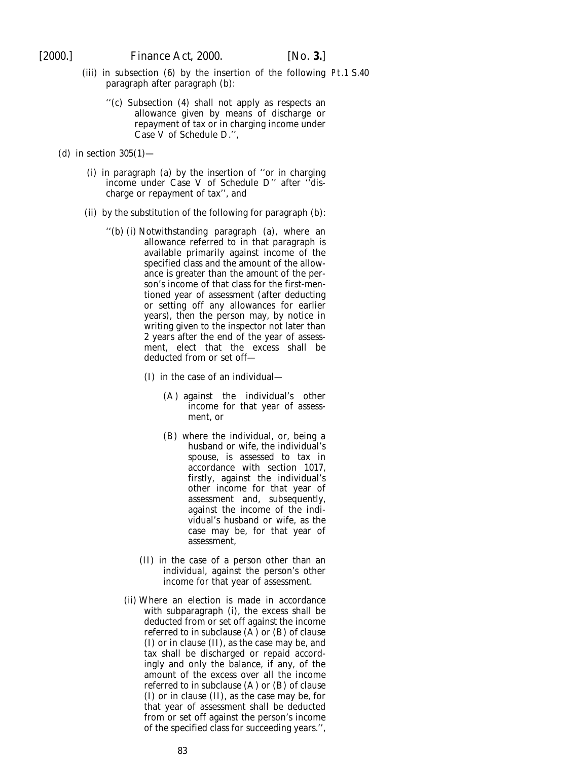- (iii) in subsection (6) by the insertion of the following Pt.1 S.40 paragraph after paragraph (*b*):
	- ''(*c*) Subsection (4) shall not apply as respects an allowance given by means of discharge or repayment of tax or in charging income under Case V of Schedule D.'',
- (*d*) in section 305(1)—
	- (i) in paragraph (*a*) by the insertion of ''or in charging income under Case V of Schedule D'' after ''discharge or repayment of tax'', and
	- (ii) by the substitution of the following for paragraph (*b*):
		- ''(*b*) (i) Notwithstanding paragraph (*a*), where an allowance referred to in that paragraph is available primarily against income of the specified class and the amount of the allowance is greater than the amount of the person's income of that class for the first-mentioned year of assessment (after deducting or setting off any allowances for earlier years), then the person may, by notice in writing given to the inspector not later than 2 years after the end of the year of assessment, elect that the excess shall be deducted from or set off—
			- (I) in the case of an individual—
				- (A) against the individual's other income for that year of assessment, or
				- (B) where the individual, or, being a husband or wife, the individual's spouse, is assessed to tax in accordance with section 1017, firstly, against the individual's other income for that year of assessment and, subsequently, against the income of the individual's husband or wife, as the case may be, for that year of assessment,
			- (II) in the case of a person other than an individual, against the person's other income for that year of assessment.
			- (ii) Where an election is made in accordance with subparagraph (i), the excess shall be deducted from or set off against the income referred to in subclause (A) or (B) of clause (I) or in clause (II), as the case may be, and tax shall be discharged or repaid accordingly and only the balance, if any, of the amount of the excess over all the income referred to in subclause (A) or (B) of clause (I) or in clause (II), as the case may be, for that year of assessment shall be deducted from or set off against the person's income of the specified class for succeeding years.'',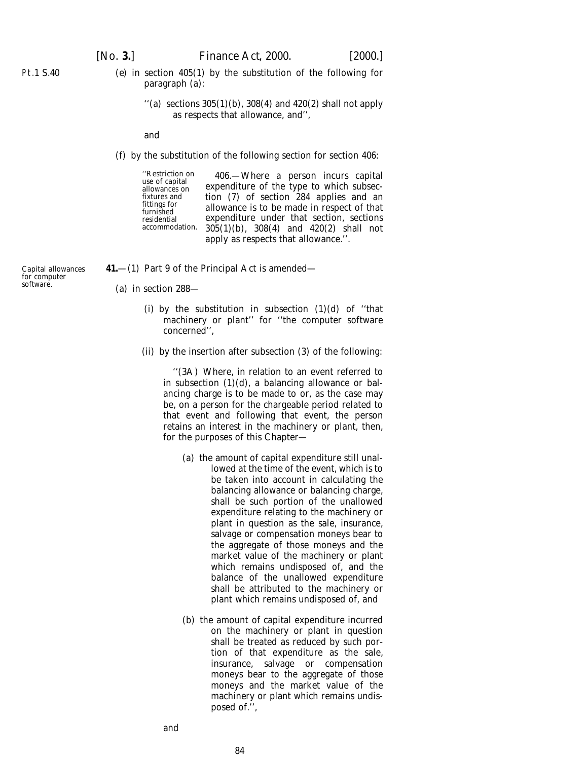Pt.1 S.40

- (*e*) in section 405(1) by the substitution of the following for paragraph (*a*):
	- $''(a)$  sections 305(1)(*b*), 308(4) and 420(2) shall not apply as respects that allowance, and'',

and

(*f*) by the substitution of the following section for section 406:

"Restriction on 406.—Where a person incurs capital<br>allowances on expenditure of the type to which subsec-<br>fixtures and tion (7) of section 284 applies and an fittings for allowance is to be made in respect of that furnished expenditure under that section, sections residential expenditure under that section, sections accommodation.  $305(1)$  (b)  $308(4)$  and  $420(2)$  shall not  $305(1)(b)$ ,  $308(4)$  and  $420(2)$  shall not apply as respects that allowance.''.

**41.**—(1) Part 9 of the Principal Act is amended—

- (*a*) in section 288—
	- (i) by the substitution in subsection  $(1)(d)$  of "that machinery or plant'' for ''the computer software concerned'',
	- (ii) by the insertion after subsection (3) of the following:

''(3A) Where, in relation to an event referred to in subsection  $(1)(d)$ , a balancing allowance or balancing charge is to be made to or, as the case may be, on a person for the chargeable period related to that event and following that event, the person retains an interest in the machinery or plant, then, for the purposes of this Chapter—

- (*a*) the amount of capital expenditure still unallowed at the time of the event, which is to be taken into account in calculating the balancing allowance or balancing charge, shall be such portion of the unallowed expenditure relating to the machinery or plant in question as the sale, insurance, salvage or compensation moneys bear to the aggregate of those moneys and the market value of the machinery or plant which remains undisposed of, and the balance of the unallowed expenditure shall be attributed to the machinery or plant which remains undisposed of, and
- (*b*) the amount of capital expenditure incurred on the machinery or plant in question shall be treated as reduced by such portion of that expenditure as the sale, insurance, salvage or compensation moneys bear to the aggregate of those moneys and the market value of the machinery or plant which remains undisposed of.'',

Capital allowances for computer software.

and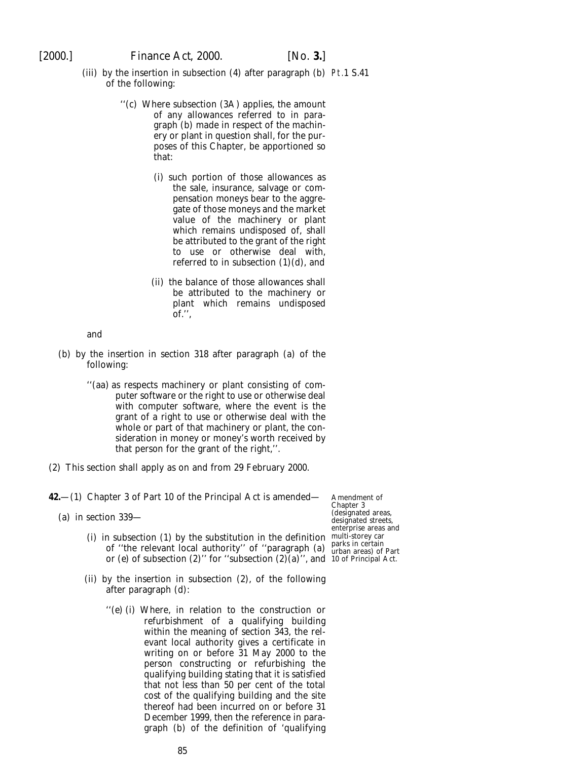[2000.] *Finance Act,* 2000. [*No.* **3.**]

- (iii) by the insertion in subsection (4) after paragraph (*b*) Pt.1 S.41 of the following:
	- ''(*c*) Where subsection (3A) applies, the amount of any allowances referred to in paragraph (*b*) made in respect of the machinery or plant in question shall, for the purposes of this Chapter, be apportioned so that:
		- (i) such portion of those allowances as the sale, insurance, salvage or compensation moneys bear to the aggregate of those moneys and the market value of the machinery or plant which remains undisposed of, shall be attributed to the grant of the right to use or otherwise deal with, referred to in subsection (1)(*d*), and
		- (ii) the balance of those allowances shall be attributed to the machinery or plant which remains undisposed of.'',

and

- (*b*) by the insertion in section 318 after paragraph (*a*) of the following:
	- ''(*aa*) as respects machinery or plant consisting of computer software or the right to use or otherwise deal with computer software, where the event is the grant of a right to use or otherwise deal with the whole or part of that machinery or plant, the consideration in money or money's worth received by that person for the grant of the right,''.
- (2) This section shall apply as on and from 29 February 2000.
- **42.**—(1) Chapter 3 of Part 10 of the Principal Act is amended—
	- (*a*) in section 339—
		- (i) in subsection (1) by the substitution in the definition of ''the relevant local authority'' of ''paragraph (*a*) urban areas) of Part or (*e*) of subsection (2)'' for ''subsection (2)(*a*)'', and 10 of Principal Act.
		- (ii) by the insertion in subsection (2), of the following after paragraph (*d*):
			- ''(*e*) (i) Where, in relation to the construction or refurbishment of a qualifying building within the meaning of section 343, the relevant local authority gives a certificate in writing on or before 31 May 2000 to the person constructing or refurbishing the qualifying building stating that it is satisfied that not less than 50 per cent of the total cost of the qualifying building and the site thereof had been incurred on or before 31 December 1999, then the reference in paragraph (*b*) of the definition of 'qualifying

Amendment of Chapter 3 (designated areas, designated streets, enterprise areas and multi-storey car parks in certain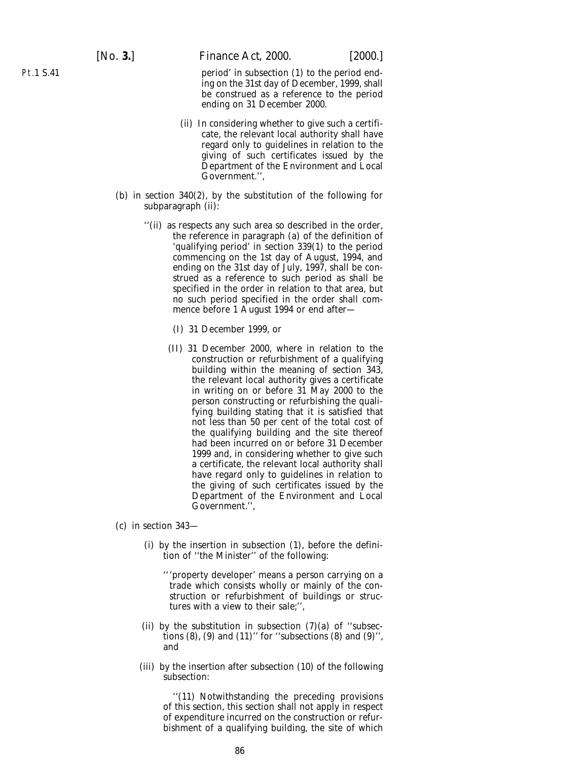[*No.* **3.**] *Finance Act,* 2000. [2000.]

period' in subsection (1) to the period ending on the 31st day of December, 1999, shall be construed as a reference to the period ending on 31 December 2000.

- (ii) In considering whether to give such a certificate, the relevant local authority shall have regard only to guidelines in relation to the giving of such certificates issued by the Department of the Environment and Local Government.'',
- (*b*) in section 340(2), by the substitution of the following for subparagraph (ii):
	- ''(ii) as respects any such area so described in the order, the reference in paragraph (*a*) of the definition of 'qualifying period' in section 339(1) to the period commencing on the 1st day of August, 1994, and ending on the 31st day of July, 1997, shall be construed as a reference to such period as shall be specified in the order in relation to that area, but no such period specified in the order shall commence before 1 August 1994 or end after—
		- (I) 31 December 1999, or
		- (II) 31 December 2000, where in relation to the construction or refurbishment of a qualifying building within the meaning of section 343, the relevant local authority gives a certificate in writing on or before 31 May 2000 to the person constructing or refurbishing the qualifying building stating that it is satisfied that not less than 50 per cent of the total cost of the qualifying building and the site thereof had been incurred on or before 31 December 1999 and, in considering whether to give such a certificate, the relevant local authority shall have regard only to guidelines in relation to the giving of such certificates issued by the Department of the Environment and Local Government.'',
- (*c*) in section 343—
	- (i) by the insertion in subsection (1), before the definition of ''the Minister'' of the following:

'''property developer' means a person carrying on a trade which consists wholly or mainly of the construction or refurbishment of buildings or structures with a view to their sale;'',

- (ii) by the substitution in subsection  $(7)(a)$  of "subsections  $(8)$ ,  $(9)$  and  $(11)'$  for "subsections  $(8)$  and  $(9)$ ", and
- (iii) by the insertion after subsection (10) of the following subsection:

''(11) Notwithstanding the preceding provisions of this section, this section shall not apply in respect of expenditure incurred on the construction or refurbishment of a qualifying building, the site of which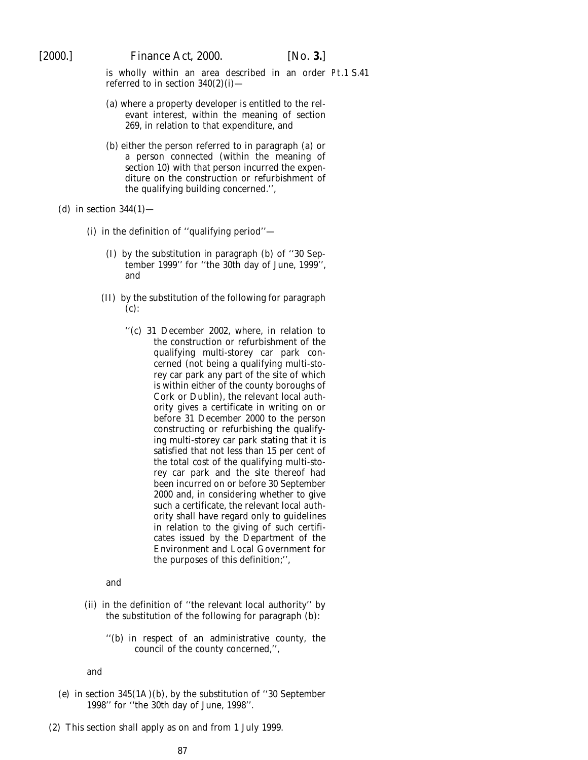is wholly within an area described in an order Pt.1 S.41 referred to in section  $340(2)(i)$ —

- (*a*) where a property developer is entitled to the relevant interest, within the meaning of section 269, in relation to that expenditure, and
- (*b*) either the person referred to in paragraph (*a*) or a person connected (within the meaning of section 10) with that person incurred the expenditure on the construction or refurbishment of the qualifying building concerned.'',

(*d*) in section 344(1)—

- (i) in the definition of ''qualifying period''—
	- (I) by the substitution in paragraph (*b*) of ''30 September 1999'' for ''the 30th day of June, 1999'', and
	- (II) by the substitution of the following for paragraph (*c*):
		- ''(*c*) 31 December 2002, where, in relation to the construction or refurbishment of the qualifying multi-storey car park concerned (not being a qualifying multi-storey car park any part of the site of which is within either of the county boroughs of Cork or Dublin), the relevant local authority gives a certificate in writing on or before 31 December 2000 to the person constructing or refurbishing the qualifying multi-storey car park stating that it is satisfied that not less than 15 per cent of the total cost of the qualifying multi-storey car park and the site thereof had been incurred on or before 30 September 2000 and, in considering whether to give such a certificate, the relevant local authority shall have regard only to guidelines in relation to the giving of such certificates issued by the Department of the Environment and Local Government for the purposes of this definition;'',

and

- (ii) in the definition of ''the relevant local authority'' by the substitution of the following for paragraph (*b*):
	- ''(*b*) in respect of an administrative county, the council of the county concerned,'',

and

- (*e*) in section 345(1A)(*b*), by the substitution of ''30 September 1998'' for ''the 30th day of June, 1998''.
- (2) This section shall apply as on and from 1 July 1999.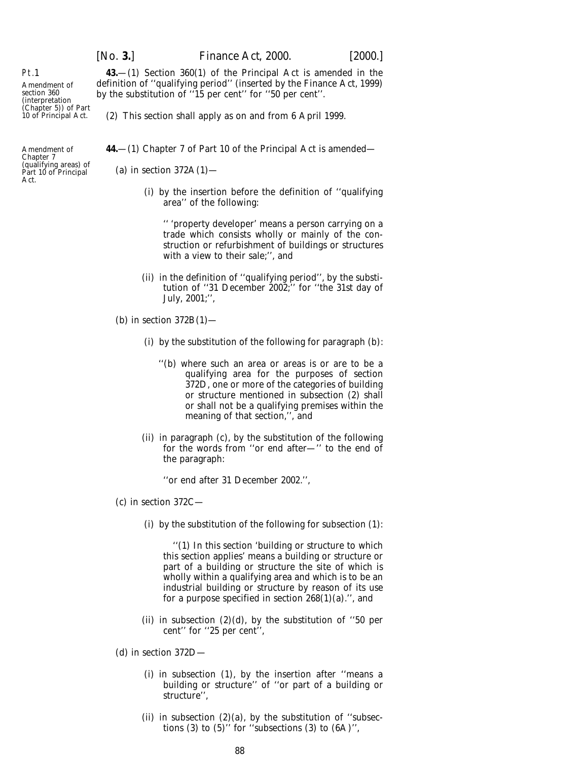**43.**—(1) Section 360(1) of the Principal Act is amended in the definition of ''qualifying period'' (inserted by the Finance Act, 1999) by the substitution of ''15 per cent'' for ''50 per cent''.

section 360 (interpretation (Chapter 5)) of Part 10 of Principal Act.

Amendment of

Pt.1

Amendment of Chapter 7 (qualifying areas) of Part 10 of Principal Act.

(2) This section shall apply as on and from 6 April 1999.

**44.**—(1) Chapter 7 of Part 10 of the Principal Act is amended—

(*a*) in section 372A(1)—

(i) by the insertion before the definition of ''qualifying area'' of the following:

'' 'property developer' means a person carrying on a trade which consists wholly or mainly of the construction or refurbishment of buildings or structures with a view to their sale;'', and

- (ii) in the definition of ''qualifying period'', by the substitution of ''31 December 2002;'' for ''the 31st day of July, 2001;'',
- (*b*) in section 372B(1)—
	- (i) by the substitution of the following for paragraph (*b*):
		- ''(*b*) where such an area or areas is or are to be a qualifying area for the purposes of section 372D, one or more of the categories of building or structure mentioned in subsection (2) shall or shall not be a qualifying premises within the meaning of that section,'', and
	- (ii) in paragraph (*c*), by the substitution of the following for the words from ''or end after—'' to the end of the paragraph:

''or end after 31 December 2002.'',

- (*c*) in section 372C—
	- (i) by the substitution of the following for subsection (1):

''(1) In this section 'building or structure to which this section applies' means a building or structure or part of a building or structure the site of which is wholly within a qualifying area and which is to be an industrial building or structure by reason of its use for a purpose specified in section  $268(1)(a)$ .", and

- (ii) in subsection  $(2)(d)$ , by the substitution of "50 per cent'' for ''25 per cent'',
- (*d*) in section 372D—
	- (i) in subsection (1), by the insertion after ''means a building or structure'' of ''or part of a building or structure'',
	- (ii) in subsection  $(2)(a)$ , by the substitution of "subsections (3) to  $(5)$ " for "subsections (3) to  $(6A)$ ",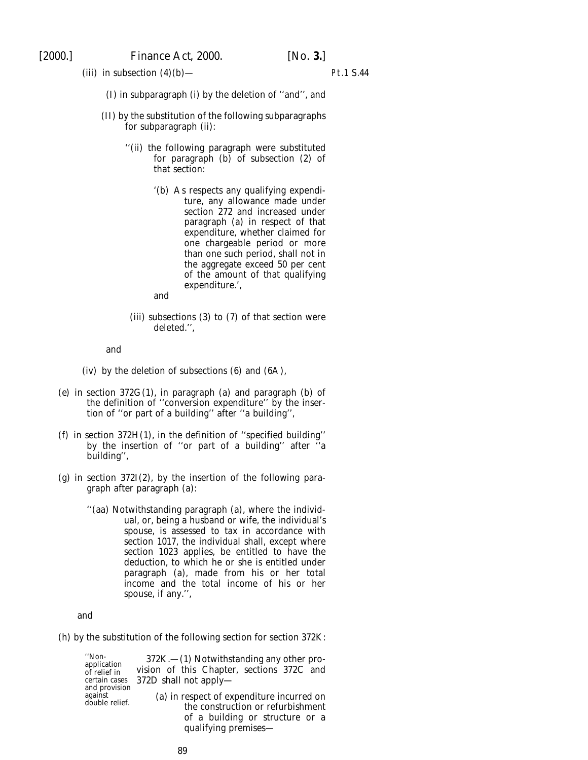(iii) in subsection  $(4)(b)$ — Pt.1 S.44

- (I) in subparagraph (i) by the deletion of ''and'', and
- (II) by the substitution of the following subparagraphs for subparagraph (ii):
	- ''(ii) the following paragraph were substituted for paragraph (*b*) of subsection (2) of that section:
		- '(*b*) As respects any qualifying expenditure, any allowance made under section 272 and increased under paragraph (*a*) in respect of that expenditure, whether claimed for one chargeable period or more than one such period, shall not in the aggregate exceed 50 per cent of the amount of that qualifying expenditure.',

and

(iii) subsections (3) to (7) of that section were deleted.'',

and

- (iv) by the deletion of subsections (6) and (6A),
- (*e*) in section 372G(1), in paragraph (*a*) and paragraph (*b*) of the definition of ''conversion expenditure'' by the insertion of ''or part of a building'' after ''a building'',
- (*f*) in section 372H(1), in the definition of ''specified building'' by the insertion of ''or part of a building'' after ''a building'',
- (*g*) in section 372I(2), by the insertion of the following paragraph after paragraph (*a*):
	- ''(*aa*) Notwithstanding paragraph (*a*), where the individual, or, being a husband or wife, the individual's spouse, is assessed to tax in accordance with section 1017, the individual shall, except where section 1023 applies, be entitled to have the deduction, to which he or she is entitled under paragraph (*a*), made from his or her total income and the total income of his or her spouse, if any.'',

and

(*h*) by the substitution of the following section for section 372K:

| "Non-<br>application<br>of relief in<br>certain cases<br>and provision<br>against<br>double relief. | $372K$ .—(1) Notwithstanding any other pro-<br>vision of this Chapter, sections 372C and<br>372D shall not apply-                         |
|-----------------------------------------------------------------------------------------------------|-------------------------------------------------------------------------------------------------------------------------------------------|
|                                                                                                     | (a) in respect of expenditure incurred on<br>the construction or refurbishment<br>of a building or structure or a<br>qualifying premises- |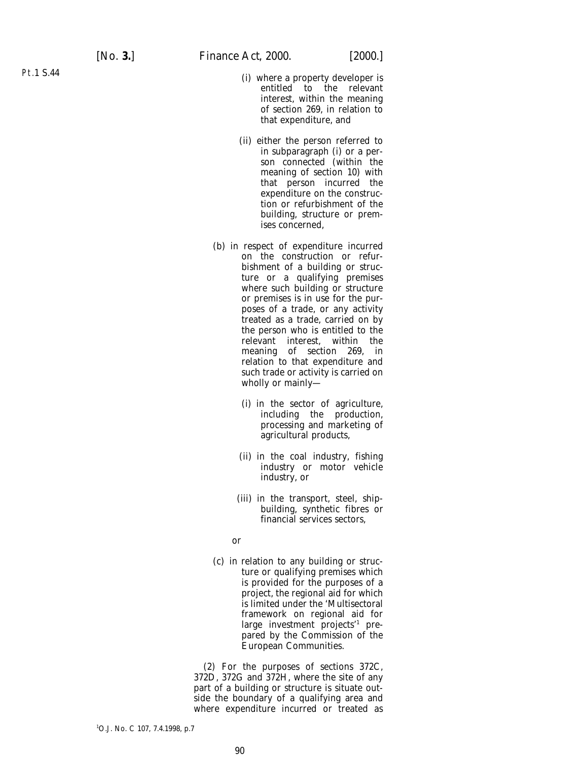- (i) where a property developer is entitled to the relevant interest, within the meaning of section 269, in relation to that expenditure, and
- (ii) either the person referred to in subparagraph (i) or a person connected (within the meaning of section 10) with that person incurred the expenditure on the construction or refurbishment of the building, structure or premises concerned,
- (*b*) in respect of expenditure incurred on the construction or refurbishment of a building or structure or a qualifying premises where such building or structure or premises is in use for the purposes of a trade, or any activity treated as a trade, carried on by the person who is entitled to the relevant interest, within the meaning of section 269, in relation to that expenditure and such trade or activity is carried on wholly or mainly—
	- (i) in the sector of agriculture, including the production, processing and marketing of agricultural products,
	- (ii) in the coal industry, fishing industry or motor vehicle industry, or
	- (iii) in the transport, steel, shipbuilding, synthetic fibres or financial services sectors,
	- or
- (*c*) in relation to any building or structure or qualifying premises which is provided for the purposes of a project, the regional aid for which is limited under the 'Multisectoral framework on regional aid for large investment projects'1 prepared by the Commission of the European Communities.

(2) For the purposes of sections 372C, 372D, 372G and 372H, where the site of any part of a building or structure is situate outside the boundary of a qualifying area and where expenditure incurred or treated as

Pt.1 S.44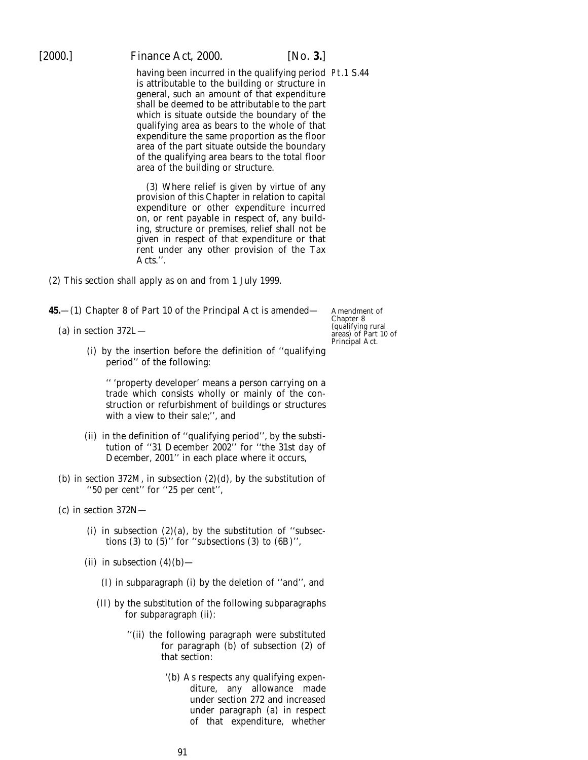[2000.] *Finance Act,* 2000. [*No.* **3.**]

having been incurred in the qualifying period Pt.1 S.44 is attributable to the building or structure in general, such an amount of that expenditure shall be deemed to be attributable to the part which is situate outside the boundary of the qualifying area as bears to the whole of that expenditure the same proportion as the floor area of the part situate outside the boundary of the qualifying area bears to the total floor area of the building or structure.

(3) Where relief is given by virtue of any provision of this Chapter in relation to capital expenditure or other expenditure incurred on, or rent payable in respect of, any building, structure or premises, relief shall not be given in respect of that expenditure or that rent under any other provision of the Tax Acts.''.

- (2) This section shall apply as on and from 1 July 1999.
- **45.**—(1) Chapter 8 of Part 10 of the Principal Act is amended—
	- (*a*) in section 372L—
		- (i) by the insertion before the definition of ''qualifying period'' of the following:

'' 'property developer' means a person carrying on a trade which consists wholly or mainly of the construction or refurbishment of buildings or structures with a view to their sale;'', and

- (ii) in the definition of ''qualifying period'', by the substitution of ''31 December 2002'' for ''the 31st day of December, 2001'' in each place where it occurs,
- (*b*) in section 372M, in subsection  $(2)(d)$ , by the substitution of ''50 per cent'' for ''25 per cent'',
- (*c*) in section 372N—
	- (i) in subsection  $(2)(a)$ , by the substitution of "subsections  $(3)$  to  $(5)$ " for "subsections  $(3)$  to  $(6B)$ ",
	- (ii) in subsection  $(4)(b)$ 
		- (I) in subparagraph (i) by the deletion of ''and'', and
		- (II) by the substitution of the following subparagraphs for subparagraph (ii):
			- ''(ii) the following paragraph were substituted for paragraph (*b*) of subsection (2) of that section:
				- '(*b*) As respects any qualifying expenditure, any allowance made under section 272 and increased under paragraph (*a*) in respect of that expenditure, whether

Amendment of Chapter 8 (qualifying rural areas) of Part 10 of Principal Act.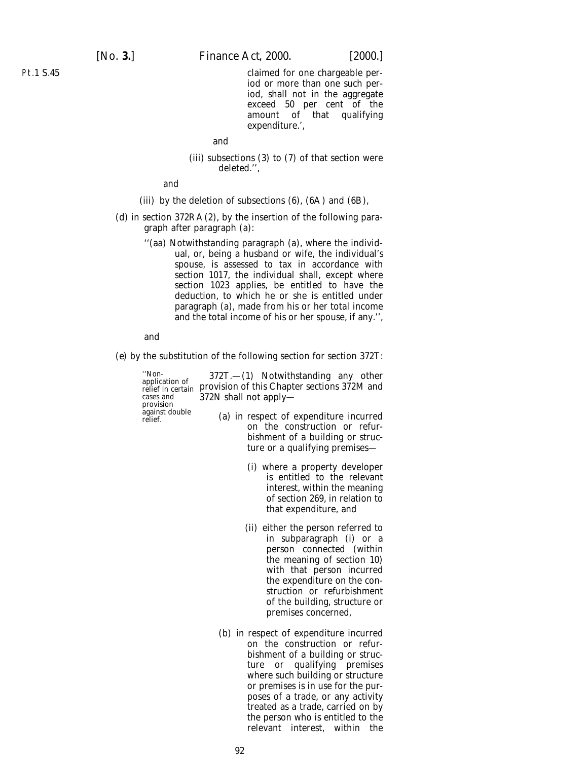Pt.1 S.45

claimed for one chargeable period or more than one such period, shall not in the aggregate exceed 50 per cent of the amount of that qualifying expenditure.',

# and

(iii) subsections (3) to (7) of that section were deleted.'',

and

- (iii) by the deletion of subsections  $(6)$ ,  $(6A)$  and  $(6B)$ ,
- (*d*) in section 372RA(2), by the insertion of the following paragraph after paragraph (*a*):
	- ''(*aa*) Notwithstanding paragraph (*a*), where the individual, or, being a husband or wife, the individual's spouse, is assessed to tax in accordance with section 1017, the individual shall, except where section 1023 applies, be entitled to have the deduction, to which he or she is entitled under paragraph (*a*), made from his or her total income and the total income of his or her spouse, if any.'',

and

(*e*) by the substitution of the following section for section 372T:

"Non- $372T$ .—(1) Notwithstanding any other application of this Chapter application of  $372N$ reproduced in certain provision of this Chapter sections  $372M$  and cases and  $372N$  shall not apply cases and 372N shall not apply—<br>provision<br>against double  $\qquad \qquad (a)$  in normate of

- against double (*a*) in respect of expenditure incurred relief. on the construction or refurbishment of a building or structure or a qualifying premises—
	- (i) where a property developer is entitled to the relevant interest, within the meaning of section 269, in relation to that expenditure, and
	- (ii) either the person referred to in subparagraph (i) or a person connected (within the meaning of section 10) with that person incurred the expenditure on the construction or refurbishment of the building, structure or premises concerned,
	- (*b*) in respect of expenditure incurred on the construction or refurbishment of a building or structure or qualifying premises where such building or structure or premises is in use for the purposes of a trade, or any activity treated as a trade, carried on by the person who is entitled to the relevant interest, within the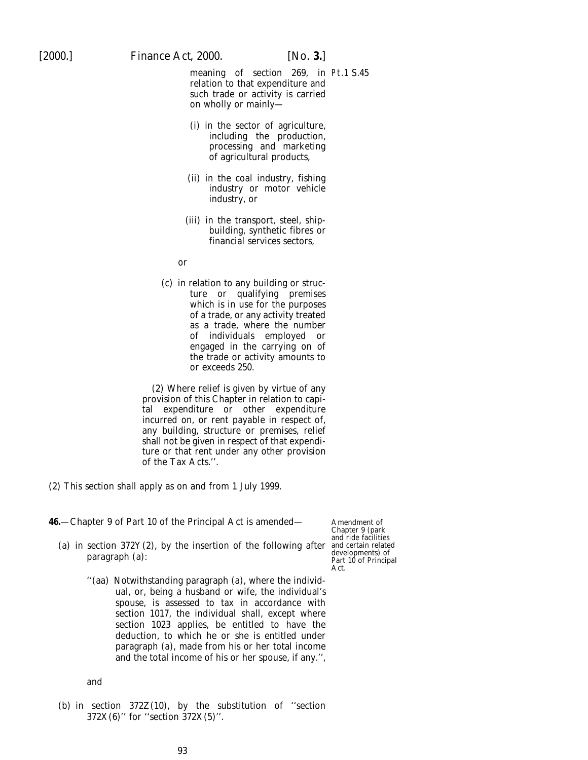meaning of section 269, in Pt.1 S.45 relation to that expenditure and such trade or activity is carried on wholly or mainly—

- (i) in the sector of agriculture, including the production, processing and marketing of agricultural products,
- (ii) in the coal industry, fishing industry or motor vehicle industry, or
- (iii) in the transport, steel, shipbuilding, synthetic fibres or financial services sectors,

or

(*c*) in relation to any building or structure or qualifying premises which is in use for the purposes of a trade, or any activity treated as a trade, where the number of individuals employed or engaged in the carrying on of the trade or activity amounts to or exceeds 250.

(2) Where relief is given by virtue of any provision of this Chapter in relation to capital expenditure or other expenditure incurred on, or rent payable in respect of, any building, structure or premises, relief shall not be given in respect of that expenditure or that rent under any other provision of the Tax Acts.''.

(2) This section shall apply as on and from 1 July 1999.

## **46.**—Chapter 9 of Part 10 of the Principal Act is amended—

Amendment of Chapter 9 (park and ride facilities and certain related developments) of Part 10 of Principal Act.

- (*a*) in section 372Y(2), by the insertion of the following after paragraph (*a*):
	- ''(*aa*) Notwithstanding paragraph (*a*), where the individual, or, being a husband or wife, the individual's spouse, is assessed to tax in accordance with section 1017, the individual shall, except where section 1023 applies, be entitled to have the deduction, to which he or she is entitled under paragraph (*a*), made from his or her total income and the total income of his or her spouse, if any.'',

and

(*b*) in section 372Z(10), by the substitution of ''section  $372X(6)$ " for "section  $372X(5)$ ".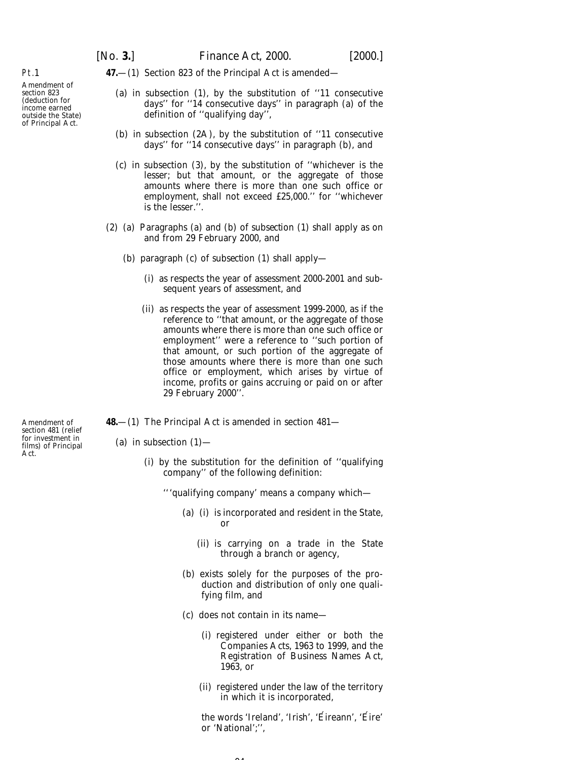Amendment of section 823 (deduction for income earned outside the State) of Principal Act.

Pt.1

- **47.**—(1) Section 823 of the Principal Act is amended—
	- (*a*) in subsection (1), by the substitution of ''11 consecutive days'' for ''14 consecutive days'' in paragraph (*a*) of the definition of ''qualifying day'',
	- (*b*) in subsection (2A), by the substitution of ''11 consecutive days'' for ''14 consecutive days'' in paragraph (*b*), and
	- (*c*) in subsection (3), by the substitution of ''whichever is the lesser; but that amount, or the aggregate of those amounts where there is more than one such office or employment, shall not exceed £25,000.'' for ''whichever is the lesser.''.
- (2) (*a*) *Paragraphs (a)* and *(b)* of *subsection (1)* shall apply as on and from 29 February 2000, and
	- (*b*) *paragraph (c)* of *subsection (1)* shall apply—
		- (i) as respects the year of assessment 2000-2001 and subsequent years of assessment, and
		- (ii) as respects the year of assessment 1999-2000, as if the reference to ''that amount, or the aggregate of those amounts where there is more than one such office or employment'' were a reference to ''such portion of that amount, or such portion of the aggregate of those amounts where there is more than one such office or employment, which arises by virtue of income, profits or gains accruing or paid on or after 29 February 2000''.

**48.**—(1) The Principal Act is amended in section 481—

(*a*) in subsection  $(1)$ —

(i) by the substitution for the definition of ''qualifying company'' of the following definition:

'''qualifying company' means a company which—

- (*a*) (i) is incorporated and resident in the State, or
	- (ii) is carrying on a trade in the State through a branch or agency,
- (*b*) exists solely for the purposes of the production and distribution of only one qualifying film, and
- (*c*) does not contain in its name—
	- (i) registered under either or both the Companies Acts, 1963 to 1999, and the Registration of Business Names Act, 1963, or
	- (ii) registered under the law of the territory in which it is incorporated,

the words 'Ireland', 'Irish', 'Éireann', 'Éire' or 'National';'',

Amendment of section 481 (relief for investment in films) of Principal Act.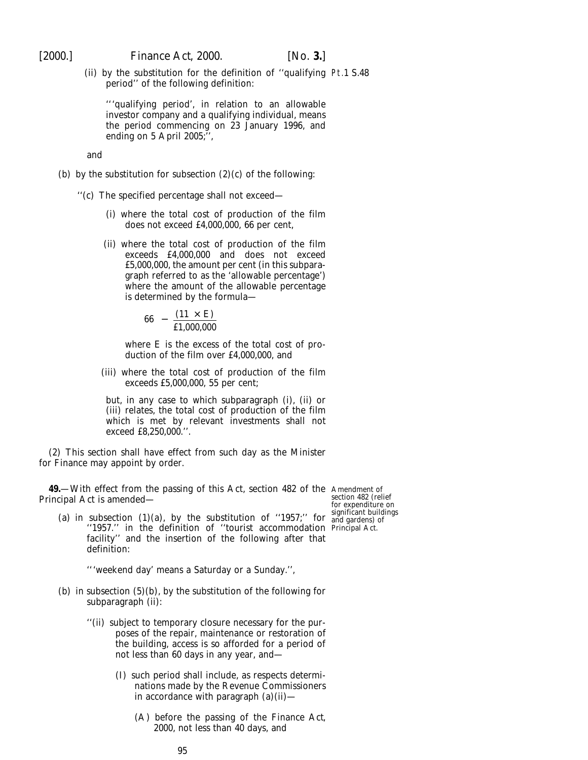(ii) by the substitution for the definition of ''qualifying Pt.1 S.48 period'' of the following definition:

'''qualifying period', in relation to an allowable investor company and a qualifying individual, means the period commencing on 23 January 1996, and ending on 5 April 2005;'',

and

- (*b*) by the substitution for subsection  $(2)(c)$  of the following:
	- ''(*c*) The specified percentage shall not exceed—
		- (i) where the total cost of production of the film does not exceed £4,000,000, 66 per cent,
		- (ii) where the total cost of production of the film exceeds £4,000,000 and does not exceed £5,000,000, the amount per cent (in this subparagraph referred to as the 'allowable percentage') where the amount of the allowable percentage is determined by the formula—

$$
66 - \frac{(11 \times E)}{£1,000,000}
$$

where E is the excess of the total cost of production of the film over £4,000,000, and

(iii) where the total cost of production of the film exceeds £5,000,000, 55 per cent;

but, in any case to which subparagraph (i), (ii) or (iii) relates, the total cost of production of the film which is met by relevant investments shall not exceed £8,250,000.''.

(2) This section shall have effect from such day as the Minister for Finance may appoint by order.

**49.**—With effect from the passing of this Act, section 482 of the Amendment of Principal Act is amended—

- section 482 (relief for expenditure on
- (*a*) in subsection (1)(*a*), by the substitution of "1957;" for significant buildings "1957." in the definition of "tourist accommodation Principal Act. facility'' and the insertion of the following after that definition:

'''weekend day' means a Saturday or a Sunday.'',

- (*b*) in subsection  $(5)(b)$ , by the substitution of the following for subparagraph (ii):
	- ''(ii) subject to temporary closure necessary for the purposes of the repair, maintenance or restoration of the building, access is so afforded for a period of not less than 60 days in any year, and—
		- (I) such period shall include, as respects determinations made by the Revenue Commissioners in accordance with paragraph (*a*)(ii)-
			- (A) before the passing of the *Finance Act, 2000*, not less than 40 days, and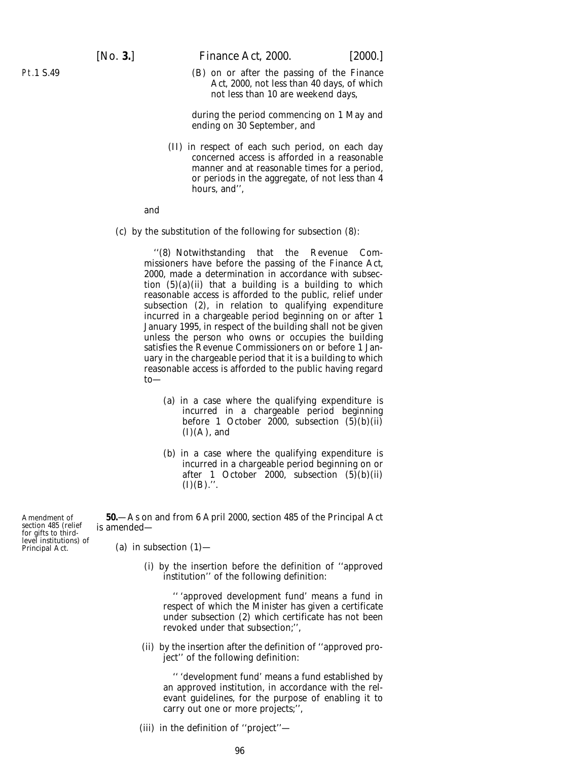(B) on or after the passing of the *Finance Act, 2000*, not less than 40 days, of which not less than 10 are weekend days,

during the period commencing on 1 May and ending on 30 September, and

(II) in respect of each such period, on each day concerned access is afforded in a reasonable manner and at reasonable times for a period, or periods in the aggregate, of not less than 4 hours, and'',

and

(*c*) by the substitution of the following for subsection (8):

''(8) Notwithstanding that the Revenue Commissioners have before the passing of the *Finance Act, 2000*, made a determination in accordance with subsection  $(5)(a)(ii)$  that a building is a building to which reasonable access is afforded to the public, relief under subsection (2), in relation to qualifying expenditure incurred in a chargeable period beginning on or after 1 January 1995, in respect of the building shall not be given unless the person who owns or occupies the building satisfies the Revenue Commissioners on or before 1 January in the chargeable period that it is a building to which reasonable access is afforded to the public having regard to—

- (*a*) in a case where the qualifying expenditure is incurred in a chargeable period beginning before 1 October 2000, subsection  $(5)(b)(ii)$  $(I)(A)$ , and
- (*b*) in a case where the qualifying expenditure is incurred in a chargeable period beginning on or after 1 October 2000, subsection  $(5)(b)(ii)$  $(I)(B)$ .".

Amendment of **50.**—As on and from 6 April 2000, section 485 of the Principal Act is amended—

section 485 (relief for gifts to third-level institutions) of Principal Act.

(*a*) in subsection  $(1)$ —

(i) by the insertion before the definition of ''approved institution'' of the following definition:

'' 'approved development fund' means a fund in respect of which the Minister has given a certificate under subsection (2) which certificate has not been revoked under that subsection;'',

(ii) by the insertion after the definition of ''approved project'' of the following definition:

'' 'development fund' means a fund established by an approved institution, in accordance with the relevant guidelines, for the purpose of enabling it to carry out one or more projects;'',

(iii) in the definition of ''project''—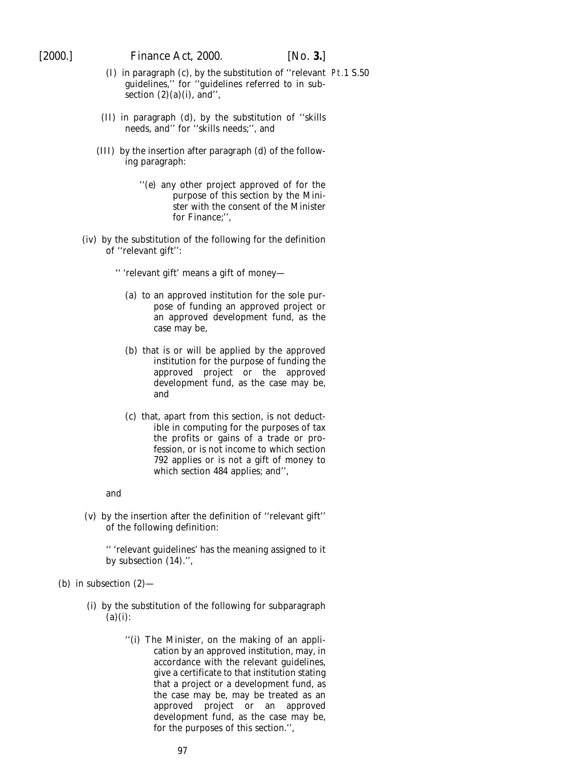- (I) in paragraph (*c*), by the substitution of ''relevant Pt.1 S.50 guidelines,'' for ''guidelines referred to in subsection  $(2)(a)(i)$ , and<sup>"</sup>,
- (II) in paragraph (*d*), by the substitution of ''skills needs, and'' for ''skills needs;'', and
- (III) by the insertion after paragraph (*d*) of the following paragraph:
	- ''(*e*) any other project approved of for the purpose of this section by the Minister with the consent of the Minister for Finance;'',
- (iv) by the substitution of the following for the definition of ''relevant gift'':
	- '' 'relevant gift' means a gift of money—
		- (*a*) to an approved institution for the sole purpose of funding an approved project or an approved development fund, as the case may be,
		- (*b*) that is or will be applied by the approved institution for the purpose of funding the approved project or the approved development fund, as the case may be, and
		- (*c*) that, apart from this section, is not deductible in computing for the purposes of tax the profits or gains of a trade or profession, or is not income to which section 792 applies or is not a gift of money to which section 484 applies; and'',

### and

(v) by the insertion after the definition of ''relevant gift'' of the following definition:

'' 'relevant guidelines' has the meaning assigned to it by subsection (14).'',

- (*b*) in subsection (2)—
	- (i) by the substitution of the following for subparagraph  $(a)(i)$ :
		- ''(i) The Minister, on the making of an application by an approved institution, may, in accordance with the relevant guidelines, give a certificate to that institution stating that a project or a development fund, as the case may be, may be treated as an approved project or an approved development fund, as the case may be, for the purposes of this section.'',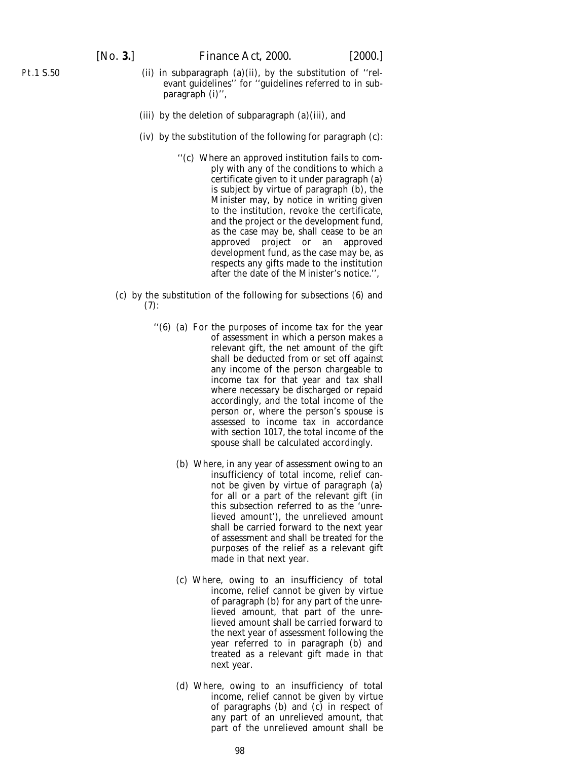- (ii) in subparagraph (*a*)(ii), by the substitution of ''relevant guidelines'' for ''guidelines referred to in subparagraph (i)'',
- (iii) by the deletion of subparagraph (*a*)(iii), and
- (iv) by the substitution of the following for paragraph (*c*):
	- ''(*c*) Where an approved institution fails to comply with any of the conditions to which a certificate given to it under paragraph (*a*) is subject by virtue of paragraph (*b*), the Minister may, by notice in writing given to the institution, revoke the certificate, and the project or the development fund, as the case may be, shall cease to be an approved project or an approved development fund, as the case may be, as respects any gifts made to the institution after the date of the Minister's notice.'',
- (*c*) by the substitution of the following for subsections (6) and  $(7):$ 
	- ''(6) (*a*) For the purposes of income tax for the year of assessment in which a person makes a relevant gift, the net amount of the gift shall be deducted from or set off against any income of the person chargeable to income tax for that year and tax shall where necessary be discharged or repaid accordingly, and the total income of the person or, where the person's spouse is assessed to income tax in accordance with section 1017, the total income of the spouse shall be calculated accordingly.
		- (*b*) Where, in any year of assessment owing to an insufficiency of total income, relief cannot be given by virtue of paragraph (*a*) for all or a part of the relevant gift (in this subsection referred to as the 'unrelieved amount'), the unrelieved amount shall be carried forward to the next year of assessment and shall be treated for the purposes of the relief as a relevant gift made in that next year.
		- (*c*) Where, owing to an insufficiency of total income, relief cannot be given by virtue of paragraph (*b*) for any part of the unrelieved amount, that part of the unrelieved amount shall be carried forward to the next year of assessment following the year referred to in paragraph (*b*) and treated as a relevant gift made in that next year.
		- (*d*) Where, owing to an insufficiency of total income, relief cannot be given by virtue of paragraphs  $(b)$  and  $(c)$  in respect of any part of an unrelieved amount, that part of the unrelieved amount shall be

Pt.1 S.50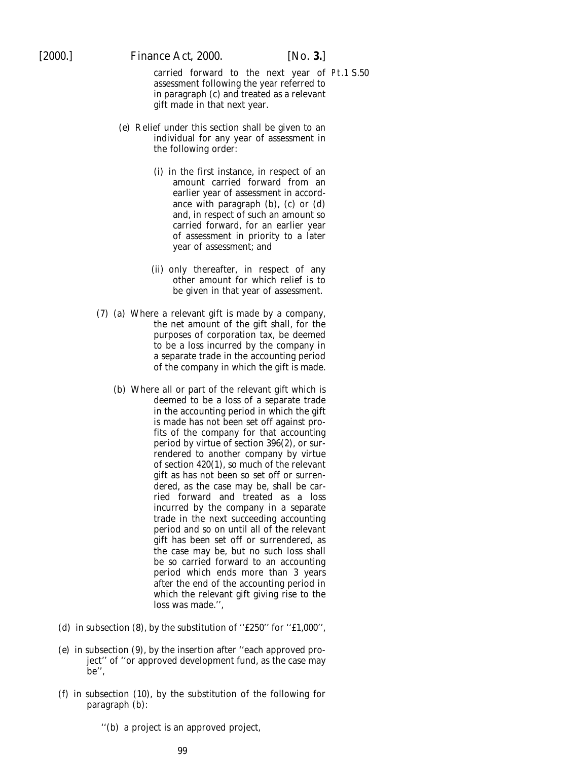[2000.] *Finance Act,* 2000. [*No.* **3.**]

carried forward to the next year of Pt.1 S.50 assessment following the year referred to in paragraph (*c*) and treated as a relevant gift made in that next year.

- (*e*) Relief under this section shall be given to an individual for any year of assessment in the following order:
	- (i) in the first instance, in respect of an amount carried forward from an earlier year of assessment in accordance with paragraph (*b*), (*c*) or (*d*) and, in respect of such an amount so carried forward, for an earlier year of assessment in priority to a later year of assessment; and
	- (ii) only thereafter, in respect of any other amount for which relief is to be given in that year of assessment.
- (7) (*a*) Where a relevant gift is made by a company, the net amount of the gift shall, for the purposes of corporation tax, be deemed to be a loss incurred by the company in a separate trade in the accounting period of the company in which the gift is made.
	- (*b*) Where all or part of the relevant gift which is deemed to be a loss of a separate trade in the accounting period in which the gift is made has not been set off against profits of the company for that accounting period by virtue of section 396(2), or surrendered to another company by virtue of section 420(1), so much of the relevant gift as has not been so set off or surrendered, as the case may be, shall be carried forward and treated as a loss incurred by the company in a separate trade in the next succeeding accounting period and so on until all of the relevant gift has been set off or surrendered, as the case may be, but no such loss shall be so carried forward to an accounting period which ends more than 3 years after the end of the accounting period in which the relevant gift giving rise to the loss was made.'',
- (*d*) in subsection (8), by the substitution of ''£250'' for ''£1,000'',
- (*e*) in subsection (9), by the insertion after ''each approved project'' of ''or approved development fund, as the case may be'',
- (*f*) in subsection (10), by the substitution of the following for paragraph (*b*):

''(*b*) a project is an approved project,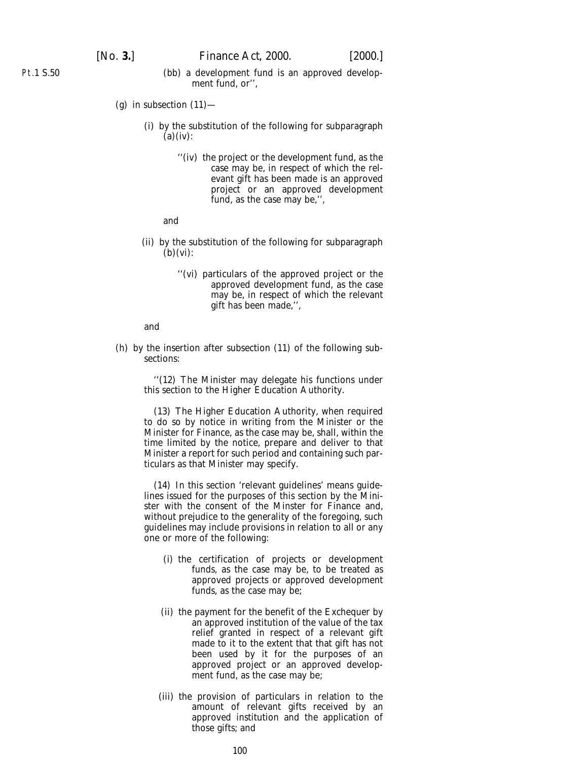- (*bb*) a development fund is an approved development fund, or'',
- (*g*) in subsection  $(11)$ 
	- (i) by the substitution of the following for subparagraph (*a*)(iv):
		- ''(iv) the project or the development fund, as the case may be, in respect of which the relevant gift has been made is an approved project or an approved development fund, as the case may be,'',

and

- (ii) by the substitution of the following for subparagraph  $(b)(vi):$ 
	- ''(vi) particulars of the approved project or the approved development fund, as the case may be, in respect of which the relevant gift has been made,'',

and

(*h*) by the insertion after subsection (11) of the following subsections:

> ''(12) The Minister may delegate his functions under this section to the Higher Education Authority.

> (13) The Higher Education Authority, when required to do so by notice in writing from the Minister or the Minister for Finance, as the case may be, shall, within the time limited by the notice, prepare and deliver to that Minister a report for such period and containing such particulars as that Minister may specify.

> (14) In this section 'relevant guidelines' means guidelines issued for the purposes of this section by the Minister with the consent of the Minster for Finance and, without prejudice to the generality of the foregoing, such guidelines may include provisions in relation to all or any one or more of the following:

- (i) the certification of projects or development funds, as the case may be, to be treated as approved projects or approved development funds, as the case may be;
- (ii) the payment for the benefit of the Exchequer by an approved institution of the value of the tax relief granted in respect of a relevant gift made to it to the extent that that gift has not been used by it for the purposes of an approved project or an approved development fund, as the case may be;
- (iii) the provision of particulars in relation to the amount of relevant gifts received by an approved institution and the application of those gifts; and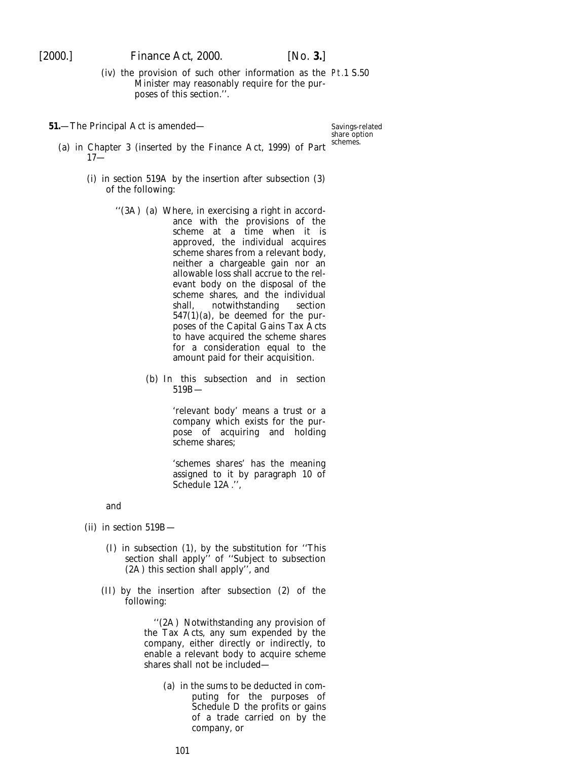(iv) the provision of such other information as the Pt.1 S.50 Minister may reasonably require for the purposes of this section.''.

**51.**—The Principal Act is amended—

Savings-related share option schemes.

- (*a*) in Chapter 3 (inserted by the Finance Act, 1999) of Part 17—
	- (i) in section 519A by the insertion after subsection (3) of the following:
		- ''(3A) (*a*) Where, in exercising a right in accordance with the provisions of the scheme at a time when it is approved, the individual acquires scheme shares from a relevant body, neither a chargeable gain nor an allowable loss shall accrue to the relevant body on the disposal of the scheme shares, and the individual shall, notwithstanding section  $547(1)(a)$ , be deemed for the purposes of the Capital Gains Tax Acts to have acquired the scheme shares for a consideration equal to the amount paid for their acquisition.
			- (*b*) In this subsection and in section 519B—

'relevant body' means a trust or a company which exists for the purpose of acquiring and holding scheme shares;

'schemes shares' has the meaning assigned to it by paragraph 10 of Schedule 12A.'',

and

- (ii) in section 519B—
	- (I) in subsection (1), by the substitution for ''This section shall apply'' of ''Subject to subsection (2A) this section shall apply'', and
	- (II) by the insertion after subsection (2) of the following:

''(2A) Notwithstanding any provision of the Tax Acts, any sum expended by the company, either directly or indirectly, to enable a relevant body to acquire scheme shares shall not be included—

> (*a*) in the sums to be deducted in computing for the purposes of Schedule D the profits or gains of a trade carried on by the company, or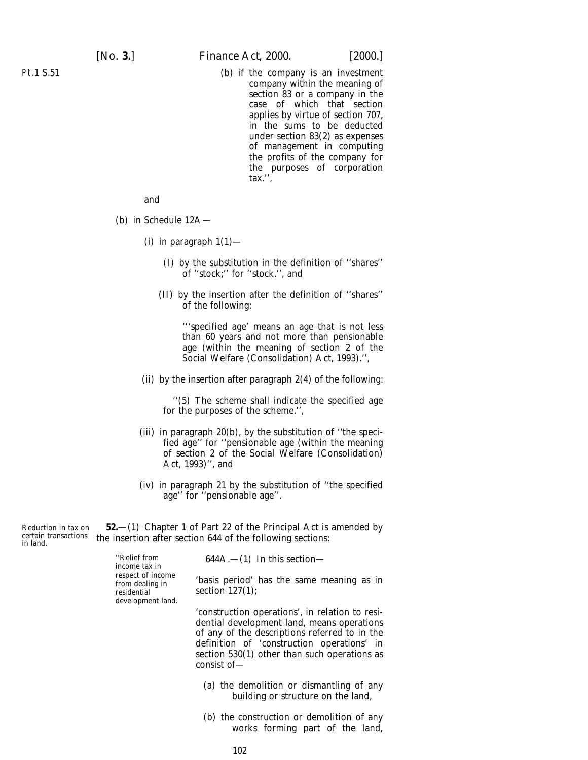(*b*) if the company is an investment company within the meaning of section 83 or a company in the case of which that section applies by virtue of section 707, in the sums to be deducted under section 83(2) as expenses of management in computing the profits of the company for the purposes of corporation tax.'',

## and

- (*b*) in Schedule 12A—
	- (i) in paragraph  $1(1)$ 
		- (I) by the substitution in the definition of ''shares'' of ''stock;'' for ''stock.'', and
		- (II) by the insertion after the definition of ''shares'' of the following:

'''specified age' means an age that is not less than 60 years and not more than pensionable age (within the meaning of section 2 of the Social Welfare (Consolidation) Act, 1993).'',

(ii) by the insertion after paragraph 2(4) of the following:

''(5) The scheme shall indicate the specified age for the purposes of the scheme.'',

- (iii) in paragraph  $20(b)$ , by the substitution of "the specified age'' for ''pensionable age (within the meaning of section 2 of the Social Welfare (Consolidation) Act, 1993)'', and
- (iv) in paragraph 21 by the substitution of ''the specified age'' for ''pensionable age''.

Reduction in tax on certain transactions **52.**—(1) Chapter 1 of Part 22 of the Principal Act is amended by the insertion after section 644 of the following sections:

| "Relief from<br>income tax in<br>respect of income<br>from dealing in<br>residential<br>development land. | $644A$ .—(1) In this section—<br>'basis period' has the same meaning as in<br>section $127(1)$ ; |
|-----------------------------------------------------------------------------------------------------------|--------------------------------------------------------------------------------------------------|
|                                                                                                           | 'construction operations', in relation to resi-<br>dential development land, means operations    |

of any of the descriptions referred to in the definition of 'construction operations' in section 530(1) other than such operations as consist of—

- (*a*) the demolition or dismantling of any building or structure on the land,
- (*b*) the construction or demolition of any works forming part of the land,

in land.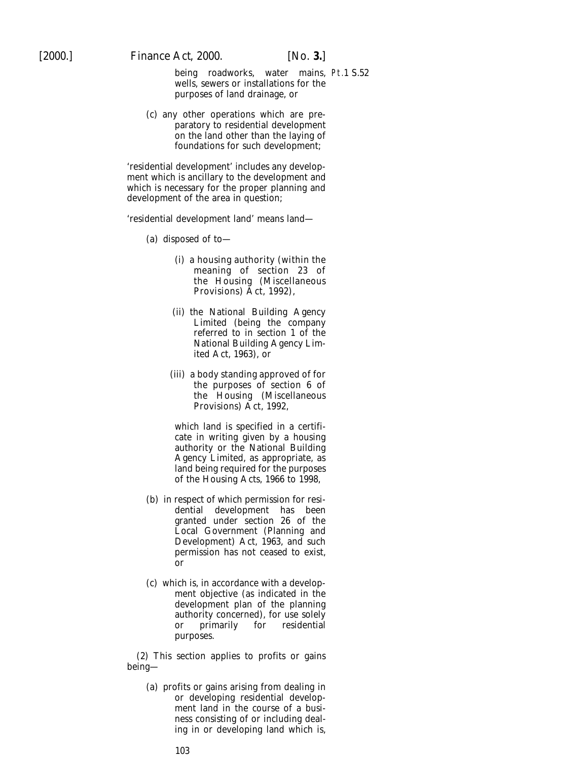being roadworks, water mains, Pt.1 S.52 wells, sewers or installations for the purposes of land drainage, or

(*c*) any other operations which are preparatory to residential development on the land other than the laying of foundations for such development;

'residential development' includes any development which is ancillary to the development and which is necessary for the proper planning and development of the area in question;

'residential development land' means land—

- (*a*) disposed of to—
	- (i) a housing authority (within the meaning of section 23 of the Housing (Miscellaneous Provisions) Act, 1992),
	- (ii) the National Building Agency Limited (being the company referred to in section 1 of the National Building Agency Limited Act, 1963), or
	- (iii) a body standing approved of for the purposes of section 6 of the Housing (Miscellaneous Provisions) Act, 1992,

which land is specified in a certificate in writing given by a housing authority or the National Building Agency Limited, as appropriate, as land being required for the purposes of the Housing Acts, 1966 to 1998,

- (*b*) in respect of which permission for residential development has been granted under section 26 of the Local Government (Planning and Development) Act, 1963, and such permission has not ceased to exist, or
- (*c*) which is, in accordance with a development objective (as indicated in the development plan of the planning authority concerned), for use solely or primarily for residential purposes.

(2) This section applies to profits or gains being—

(*a*) profits or gains arising from dealing in or developing residential development land in the course of a business consisting of or including dealing in or developing land which is,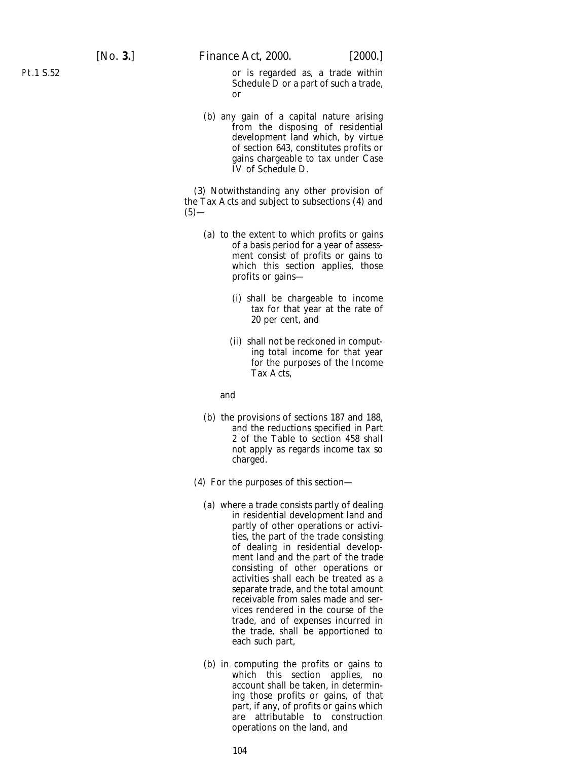Pt.1 S.52

or is regarded as, a trade within Schedule D or a part of such a trade, or

(*b*) any gain of a capital nature arising from the disposing of residential development land which, by virtue of section 643, constitutes profits or gains chargeable to tax under Case IV of Schedule D.

(3) Notwithstanding any other provision of the Tax Acts and subject to subsections (4) and  $(5)$ —

- (*a*) to the extent to which profits or gains of a basis period for a year of assessment consist of profits or gains to which this section applies, those profits or gains—
	- (i) shall be chargeable to income tax for that year at the rate of 20 per cent, and
	- (ii) shall not be reckoned in computing total income for that year for the purposes of the Income Tax Acts,

## and

- (*b*) the provisions of sections 187 and 188, and the reductions specified in Part 2 of the Table to section 458 shall not apply as regards income tax so charged.
- (4) For the purposes of this section—
	- (*a*) where a trade consists partly of dealing in residential development land and partly of other operations or activities, the part of the trade consisting of dealing in residential development land and the part of the trade consisting of other operations or activities shall each be treated as a separate trade, and the total amount receivable from sales made and services rendered in the course of the trade, and of expenses incurred in the trade, shall be apportioned to each such part,
	- (*b*) in computing the profits or gains to which this section applies, no account shall be taken, in determining those profits or gains, of that part, if any, of profits or gains which are attributable to construction operations on the land, and

104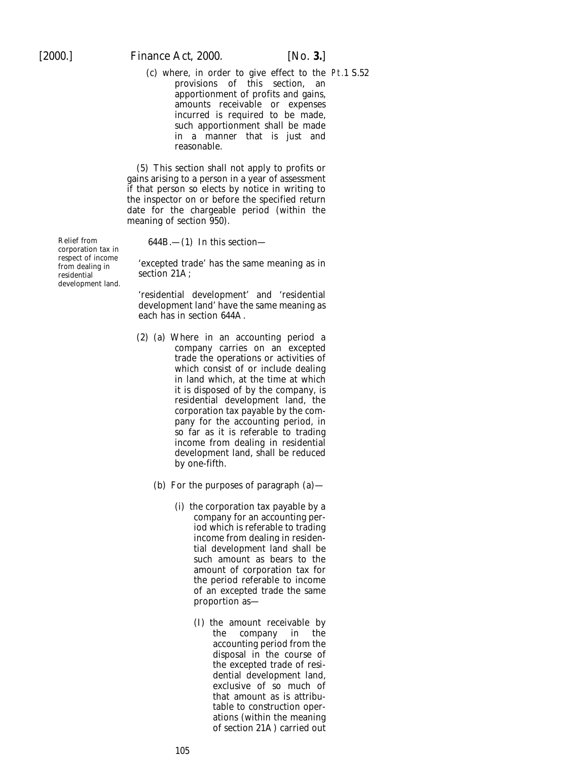(*c*) where, in order to give effect to the Pt.1 S.52 provisions of this section, an apportionment of profits and gains, amounts receivable or expenses incurred is required to be made, such apportionment shall be made in a manner that is just and reasonable.

(5) This section shall not apply to profits or gains arising to a person in a year of assessment if that person so elects by notice in writing to the inspector on or before the specified return date for the chargeable period (within the meaning of section 950).

respect of income<br>from dealing in the 'excepted trade' has the same meaning as in<br>residential section 21A; section 21A;

> 'residential development' and 'residential development land' have the same meaning as each has in section 644A.

- (2) (*a*) Where in an accounting period a company carries on an excepted trade the operations or activities of which consist of or include dealing in land which, at the time at which it is disposed of by the company, is residential development land, the corporation tax payable by the company for the accounting period, in so far as it is referable to trading income from dealing in residential development land, shall be reduced by one-fifth.
	- (*b*) For the purposes of paragraph (*a*)—
		- (i) the corporation tax payable by a company for an accounting period which is referable to trading income from dealing in residential development land shall be such amount as bears to the amount of corporation tax for the period referable to income of an excepted trade the same proportion as—
			- (I) the amount receivable by the company in the accounting period from the disposal in the course of the excepted trade of residential development land, exclusive of so much of that amount as is attributable to construction operations (within the meaning of section 21A) carried out

Relief from  $644B$ .—(1) In this section—<br>corporation tax in<br>respect of income development land.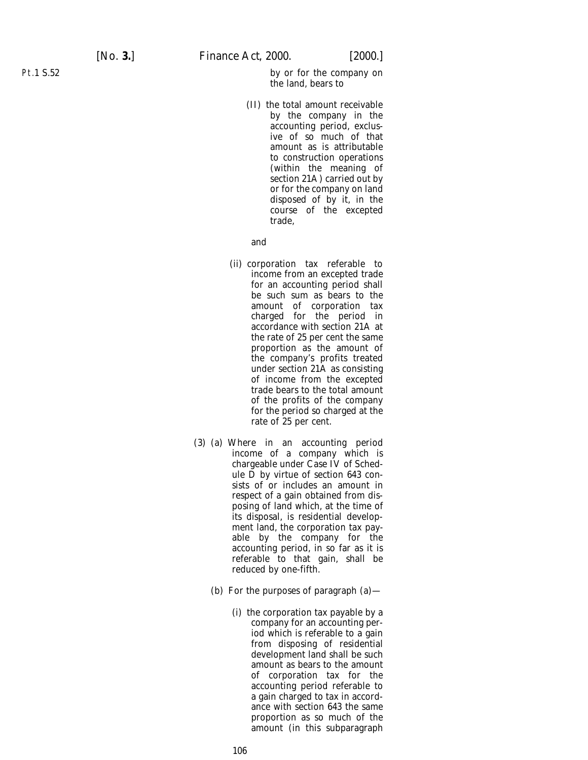by or for the company on the land, bears to

(II) the total amount receivable by the company in the accounting period, exclusive of so much of that amount as is attributable to construction operations (within the meaning of section 21A) carried out by or for the company on land disposed of by it, in the course of the excepted trade,

and

- (ii) corporation tax referable to income from an excepted trade for an accounting period shall be such sum as bears to the amount of corporation tax charged for the period in accordance with section 21A at the rate of 25 per cent the same proportion as the amount of the company's profits treated under section 21A as consisting of income from the excepted trade bears to the total amount of the profits of the company for the period so charged at the rate of 25 per cent.
- (3) ( *a*) Where in an accounting period income of a company which is chargeable under Case IV of Schedule D by virtue of section 643 consists of or includes an amount in respect of a gain obtained from disposing of land which, at the time of its disposal, is residential development land, the corporation tax payable by the company for the accounting period, in so far as it is referable to that gain, shall be reduced by one-fifth.
	- ( *b*) For the purposes of paragraph ( *a*)—
		- (i) the corporation tax payable by a company for an accounting period which is referable to a gain from disposing of residential development land shall be such amount as bears to the amount of corporation tax for the accounting period referable to a gain charged to tax in accordance with section 643 the same proportion as so much of the amount (in this subparagraph

Pt.1 S.52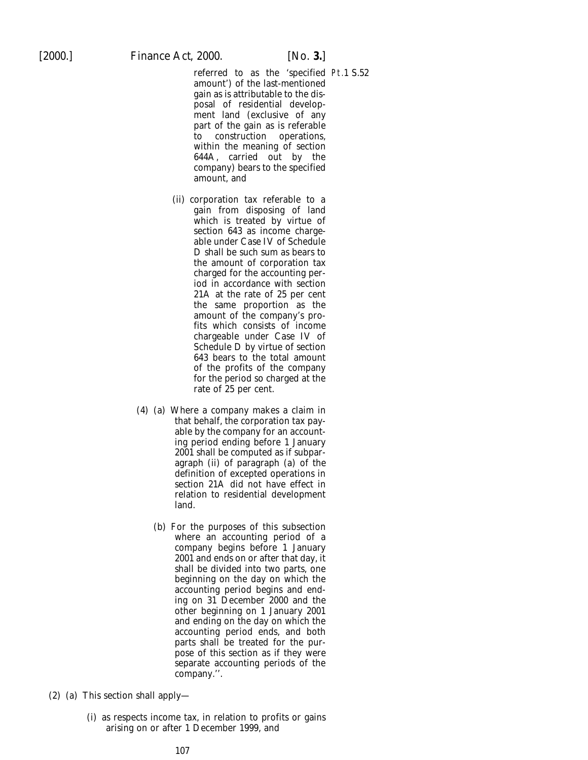referred to as the 'specified Pt.1 S.52 amount') of the last-mentioned gain as is attributable to the disposal of residential development land (exclusive of any part of the gain as is referable to construction operations, within the meaning of section 644A, carried out by the company) bears to the specified amount, and

- (ii) corporation tax referable to a gain from disposing of land which is treated by virtue of section 643 as income chargeable under Case IV of Schedule D shall be such sum as bears to the amount of corporation tax charged for the accounting period in accordance with section 21A at the rate of 25 per cent the same proportion as the amount of the company's profits which consists of income chargeable under Case IV of Schedule D by virtue of section 643 bears to the total amount of the profits of the company for the period so charged at the rate of 25 per cent.
- (4) (*a*) Where a company makes a claim in that behalf, the corporation tax payable by the company for an accounting period ending before 1 January 2001 shall be computed as if subparagraph (ii) of paragraph (*a*) of the definition of excepted operations in section 21A did not have effect in relation to residential development land.
	- (*b*) For the purposes of this subsection where an accounting period of a company begins before 1 January 2001 and ends on or after that day, it shall be divided into two parts, one beginning on the day on which the accounting period begins and ending on 31 December 2000 and the other beginning on 1 January 2001 and ending on the day on which the accounting period ends, and both parts shall be treated for the purpose of this section as if they were separate accounting periods of the company.''.
- (2) (*a*) This section shall apply—
	- (i) as respects income tax, in relation to profits or gains arising on or after 1 December 1999, and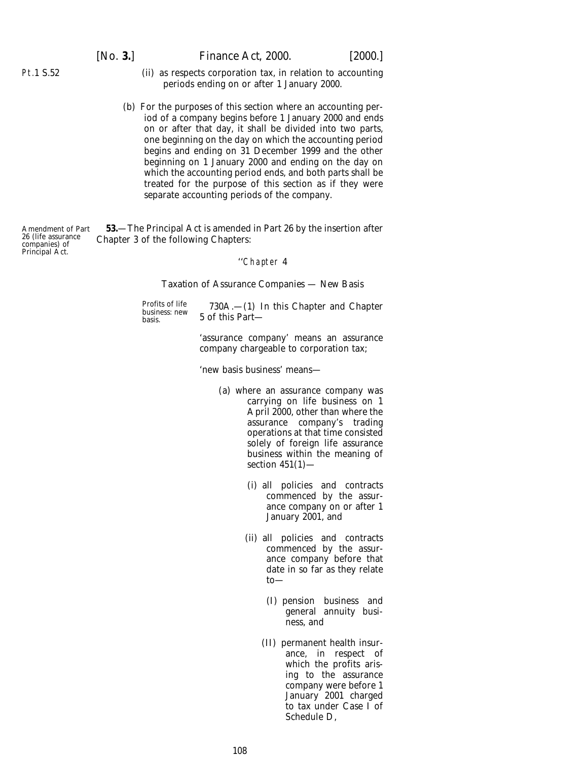[*No.* **3.**] *Finance Act,* 2000. [2000.]

- (ii) as respects corporation tax, in relation to accounting periods ending on or after 1 January 2000.
- (*b*) For the purposes of this section where an accounting period of a company begins before 1 January 2000 and ends on or after that day, it shall be divided into two parts, one beginning on the day on which the accounting period begins and ending on 31 December 1999 and the other beginning on 1 January 2000 and ending on the day on which the accounting period ends, and both parts shall be treated for the purpose of this section as if they were separate accounting periods of the company.

Amendment of Part 26 (life assurance companies) of Principal Act. **53.**—The Principal Act is amended in Part 26 by the insertion after Chapter 3 of the following Chapters:

### ''Chapter 4

*Taxation of Assurance Companies — New Basis*

Profits of life 730A.—(1) In this Chapter and Chapter business: new 5 of this Part— 5 of this Part-

> 'assurance company' means an assurance company chargeable to corporation tax;

'new basis business' means—

- (*a*) where an assurance company was carrying on life business on 1 April 2000, other than where the assurance company's trading operations at that time consisted solely of foreign life assurance business within the meaning of section  $451(1)$ —
	- (i) all policies and contracts commenced by the assurance company on or after 1 January 2001, and
	- (ii) all policies and contracts commenced by the assurance company before that date in so far as they relate to—
		- (I) pension business and general annuity business, and
		- (II) permanent health insurance, in respect of which the profits arising to the assurance company were before 1 January 2001 charged to tax under Case I of Schedule D,

Pt.1 S.52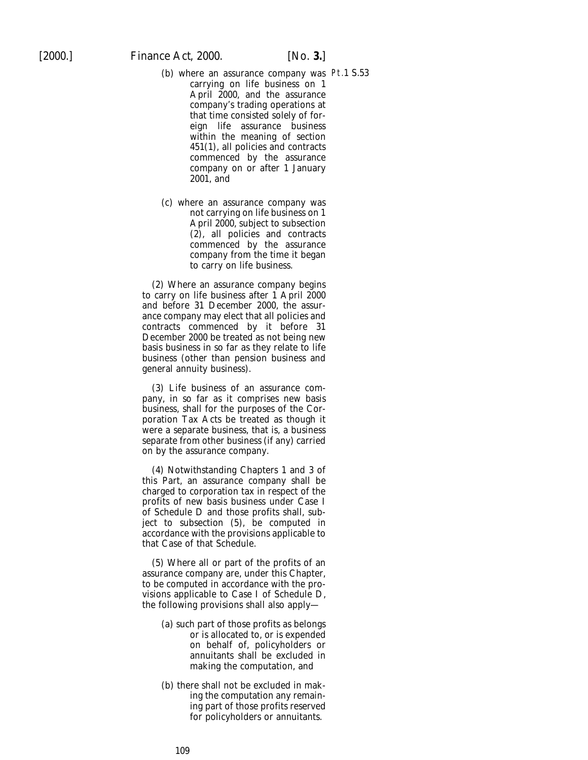- (*b*) where an assurance company was Pt.1 S.53 carrying on life business on 1 April 2000, and the assurance company's trading operations at that time consisted solely of foreign life assurance business within the meaning of section 451(1), all policies and contracts commenced by the assurance company on or after 1 January 2001, and
- (*c*) where an assurance company was not carrying on life business on 1 April 2000, subject to subsection (2), all policies and contracts commenced by the assurance company from the time it began to carry on life business.

(2) Where an assurance company begins to carry on life business after 1 April 2000 and before 31 December 2000, the assurance company may elect that all policies and contracts commenced by it before 31 December 2000 be treated as not being new basis business in so far as they relate to life business (other than pension business and general annuity business).

(3) Life business of an assurance company, in so far as it comprises new basis business, shall for the purposes of the Corporation Tax Acts be treated as though it were a separate business, that is, a business separate from other business (if any) carried on by the assurance company.

(4) Notwithstanding Chapters 1 and 3 of this Part, an assurance company shall be charged to corporation tax in respect of the profits of new basis business under Case I of Schedule D and those profits shall, subject to subsection (5), be computed in accordance with the provisions applicable to that Case of that Schedule.

(5) Where all or part of the profits of an assurance company are, under this Chapter, to be computed in accordance with the provisions applicable to Case I of Schedule D, the following provisions shall also apply—

- (*a*) such part of those profits as belongs or is allocated to, or is expended on behalf of, policyholders or annuitants shall be excluded in making the computation, and
- (*b*) there shall not be excluded in making the computation any remaining part of those profits reserved for policyholders or annuitants.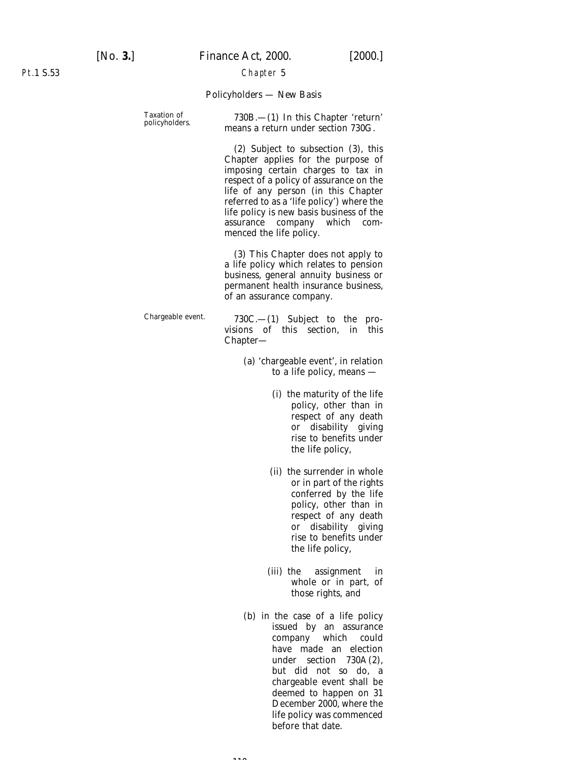# Chapter 5

### *Policyholders — New Basis*

Taxation of 730B.—(1) In this Chapter 'return' policyholders. means a return under section 730G.

(2) Subject to subsection (3), this Chapter applies for the purpose of imposing certain charges to tax in respect of a policy of assurance on the life of any person (in this Chapter referred to as a 'life policy') where the life policy is new basis business of the assurance company which commenced the life policy.

(3) This Chapter does not apply to a life policy which relates to pension business, general annuity business or permanent health insurance business, of an assurance company.

Chargeable event.  $730C$ .  $- (1)$  Subject to the provisions of this section, in this Chapter—

- (*a*) 'chargeable event', in relation to a life policy, means —
	- (i) the maturity of the life policy, other than in respect of any death or disability giving rise to benefits under the life policy,
	- (ii) the surrender in whole or in part of the rights conferred by the life policy, other than in respect of any death or disability giving rise to benefits under the life policy,
	- (iii) the assignment in whole or in part, of those rights, and
- (*b*) in the case of a life policy issued by an assurance company which could have made an election under section 730A(2), but did not so do, a chargeable event shall be deemed to happen on 31 December 2000, where the life policy was commenced before that date.

110<sup>1</sup>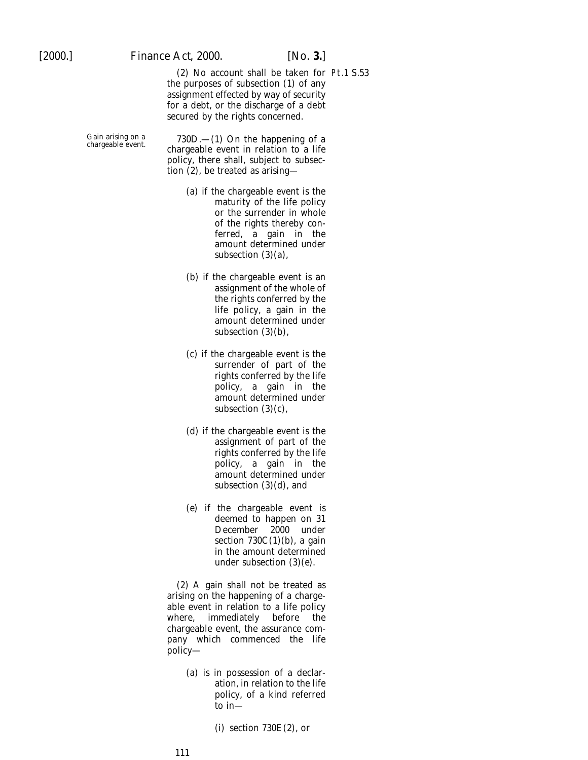(2) No account shall be taken for Pt.1 S.53 the purposes of subsection (1) of any assignment effected by way of security for a debt, or the discharge of a debt secured by the rights concerned.

Gain arising on a 730D.—(1) On the happening of a chargeable event.<br>chargeable event in relation to a life policy, there shall, subject to subsection (2), be treated as arising—

- (*a*) if the chargeable event is the maturity of the life policy or the surrender in whole of the rights thereby conferred, a gain in the amount determined under subsection (3)(*a*),
- (*b*) if the chargeable event is an assignment of the whole of the rights conferred by the life policy, a gain in the amount determined under subsection (3)(*b*),
- (*c*) if the chargeable event is the surrender of part of the rights conferred by the life policy, a gain in the amount determined under subsection (3)(*c*),
- (*d*) if the chargeable event is the assignment of part of the rights conferred by the life policy, a gain in the amount determined under subsection (3)(*d*), and
- (*e*) if the chargeable event is deemed to happen on 31 December 2000 under section  $730C(1)(b)$ , a gain in the amount determined under subsection (3)(*e*).

(2) A gain shall not be treated as arising on the happening of a chargeable event in relation to a life policy where, immediately before the chargeable event, the assurance company which commenced the life policy—

- (*a*) is in possession of a declaration, in relation to the life policy, of a kind referred to in—
	- (i) section 730E(2), or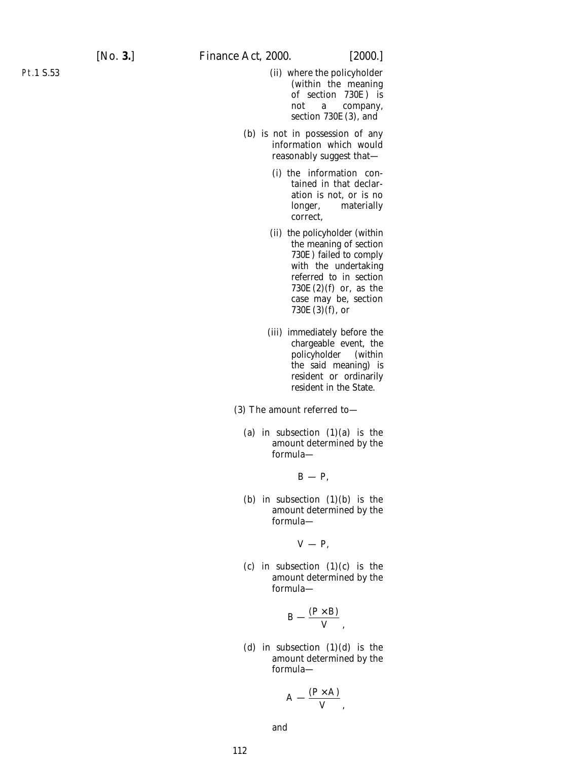- (ii) where the policyholder (within the meaning of section 730E) is not a company, section 730E(3), and
- (*b*) is not in possession of any information which would reasonably suggest that—
	- (i) the information contained in that declaration is not, or is no longer, materially correct,
	- (ii) the policyholder (within the meaning of section 730E) failed to comply with the undertaking referred to in section  $730E(2)(f)$  or, as the case may be, section 730E(3)(*f*), or
	- (iii) immediately before the chargeable event, the policyholder (within the said meaning) is resident or ordinarily resident in the State.
- (3) The amount referred to—
	- (*a*) in subsection  $(1)(a)$  is the amount determined by the formula—

 $B - P$ .

(*b*) in subsection  $(1)(b)$  is the amount determined by the formula—

 $V - P$ ,

(*c*) in subsection  $(1)(c)$  is the amount determined by the formula—

$$
B - \frac{(P \times B)}{V}
$$

(*d*) in subsection  $(1)(d)$  is the amount determined by the formula—

$$
A - \frac{(P \times A)}{V},
$$

and

112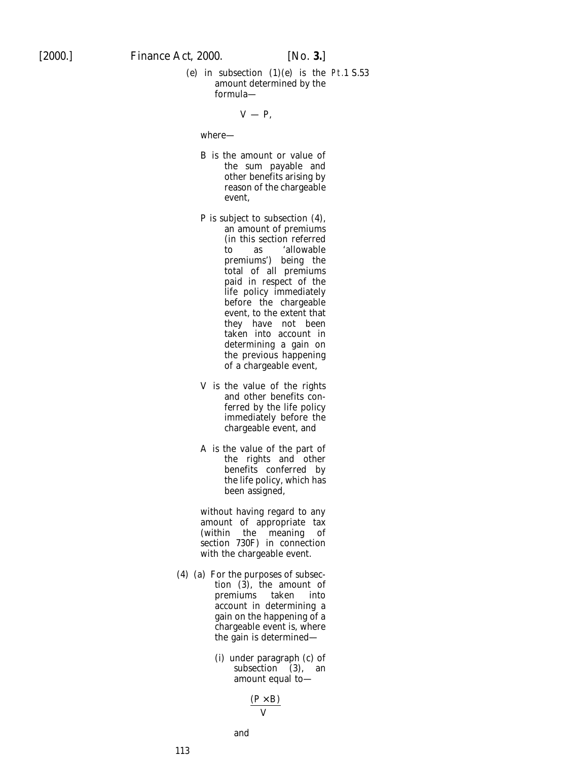(*e*) in subsection (1)(*e*) is the Pt.1 S.53 amount determined by the formula—

 $V - P$ .

where—

- B is the amount or value of the sum payable and other benefits arising by reason of the chargeable event,
- P is subject to subsection (4), an amount of premiums (in this section referred to as 'allowable premiums') being the total of all premiums paid in respect of the life policy immediately before the chargeable event, to the extent that they have not been taken into account in determining a gain on the previous happening of a chargeable event,
- V is the value of the rights and other benefits conferred by the life policy immediately before the chargeable event, and
- A is the value of the part of the rights and other benefits conferred by the life policy, which has been assigned,

without having regard to any amount of appropriate tax (within the meaning of section 730F) in connection with the chargeable event.

- (4) (*a*) For the purposes of subsection (3), the amount of premiums taken into account in determining a gain on the happening of a chargeable event is, where the gain is determined—
	- (i) under paragraph (*c*) of subsection (3), an amount equal to—

$$
\frac{(P \times B)}{V}
$$

and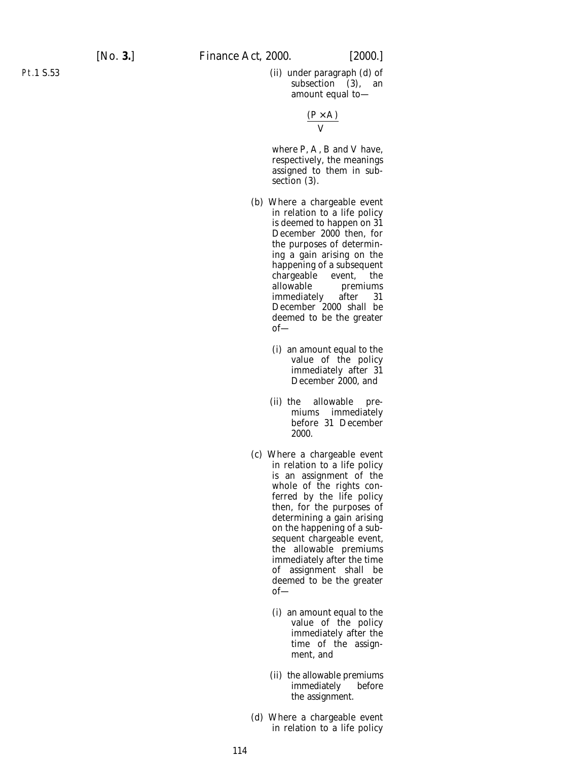(ii) under paragraph ( *d*) of subsection (3), an amount equal to—

$$
\frac{(P \times A)}{V}
$$

where P, A, B and V have, respectively, the meanings assigned to them in subsection (3).

- ( *b*) Where a chargeable event in relation to a life policy is deemed to happen on 31 December 2000 then, for the purposes of determining a gain arising on the happening of a subsequent chargeable event, the allowable premiums<br>
immediately after 31 immediately after 31 December 2000 shall be deemed to be the greater of—
	- (i) an amount equal to the value of the policy immediately after 31 December 2000, and
	- (ii) the allowable premiums immediately before 31 December 2000.
- ( *c*) Where a chargeable event in relation to a life policy is an assignment of the whole of the rights conferred by the life policy then, for the purposes of determining a gain arising on the happening of a subsequent chargeable event, the allowable premiums immediately after the time of assignment shall be deemed to be the greater of—
	- (i) an amount equal to the value of the policy immediately after the time of the assignment, and
	- (ii) the allowable premiums immediately before the assignment.
- ( *d*) Where a chargeable event in relation to a life policy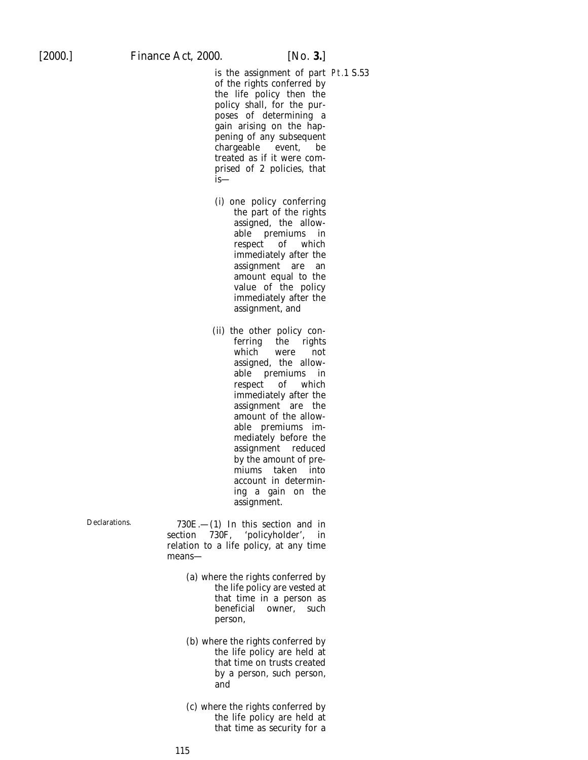is the assignment of part Pt.1 S.53 of the rights conferred by the life policy then the policy shall, for the purposes of determining a gain arising on the happening of any subsequent chargeable event, be treated as if it were comprised of 2 policies, that is—

- (i) one policy conferring the part of the rights assigned, the allowable premiums in respect of immediately after the assignment are an amount equal to the value of the policy immediately after the assignment, and
- (ii) the other policy conferring the rights which were not assigned, the allowable premiums in respect of which immediately after the assignment are the amount of the allowable premiums immediately before the assignment reduced by the amount of premiums taken into account in determining a gain on the assignment.

Declarations. 730E.—(1) In this section and in section 730F, 'policyholder', in relation to a life policy, at any time means—

- (*a*) where the rights conferred by the life policy are vested at that time in a person as beneficial owner, such person,
- (*b*) where the rights conferred by the life policy are held at that time on trusts created by a person, such person, and
- (*c*) where the rights conferred by the life policy are held at that time as security for a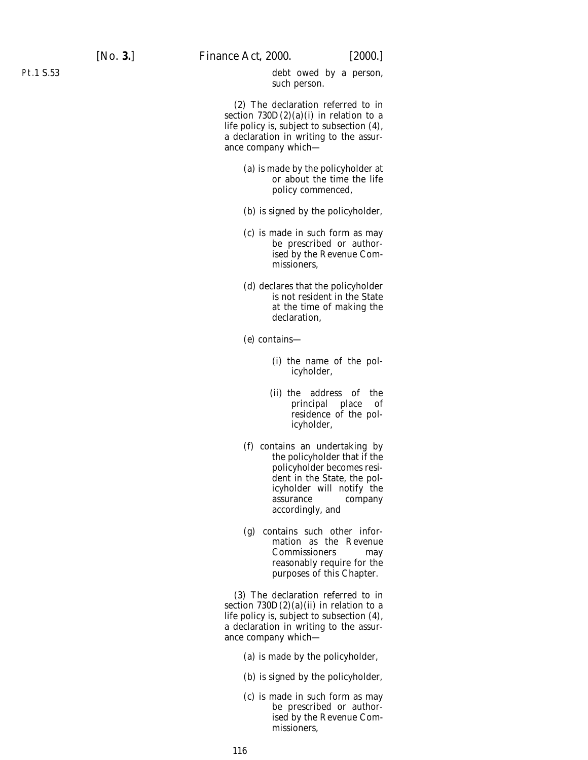debt owed by a person, such person.

(2) The declaration referred to in section  $730D(2)(a)(i)$  in relation to a life policy is, subject to subsection (4), a declaration in writing to the assurance company which—

- (*a*) is made by the policyholder at or about the time the life policy commenced,
- (*b*) is signed by the policyholder,
- (*c*) is made in such form as may be prescribed or authorised by the Revenue Commissioners,
- (*d*) declares that the policyholder is not resident in the State at the time of making the declaration,
- (*e*) contains—
	- (i) the name of the policyholder,
	- (ii) the address of the principal place of residence of the policyholder,
- (*f*) contains an undertaking by the policyholder that if the policyholder becomes resident in the State, the policyholder will notify the assurance company accordingly, and
- (*g*) contains such other information as the Revenue Commissioners may reasonably require for the purposes of this Chapter.

(3) The declaration referred to in section  $730D(2)(a)(ii)$  in relation to a life policy is, subject to subsection (4), a declaration in writing to the assurance company which—

- (*a*) is made by the policyholder,
- (*b*) is signed by the policyholder,
- (*c*) is made in such form as may be prescribed or authorised by the Revenue Commissioners,

Pt.1 S.53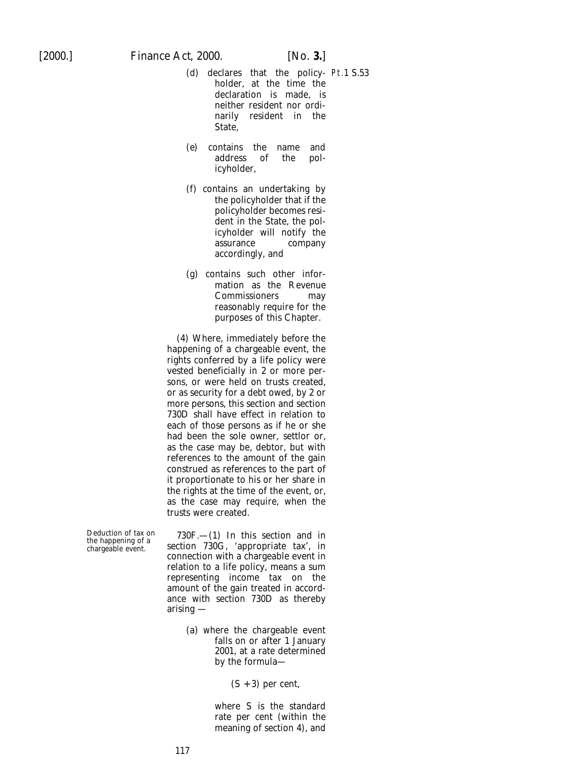- (*d*) declares that the policy- Pt.1 S.53 holder, at the time the declaration is made, is neither resident nor ordinarily resident in the State,
- (*e*) contains the name and address of the policyholder,
- (*f*) contains an undertaking by the policyholder that if the policyholder becomes resident in the State, the policyholder will notify the assurance company accordingly, and
- (*g*) contains such other information as the Revenue Commissioners may reasonably require for the purposes of this Chapter.

(4) Where, immediately before the happening of a chargeable event, the rights conferred by a life policy were vested beneficially in 2 or more persons, or were held on trusts created, or as security for a debt owed, by 2 or more persons, this section and section 730D shall have effect in relation to each of those persons as if he or she had been the sole owner, settlor or, as the case may be, debtor, but with references to the amount of the gain construed as references to the part of it proportionate to his or her share in the rights at the time of the event, or, as the case may require, when the trusts were created.

Deduction of tax on 730F.—(1) In this section and in<br>the happening of a section 730G, 'appropriate tax', in section 730G, 'appropriate tax', in connection with a chargeable event in relation to a life policy, means a sum representing income tax on the amount of the gain treated in accordance with section 730D as thereby arising —

> (*a*) where the chargeable event falls on or after 1 January 2001, at a rate determined by the formula—

> > $(S + 3)$  per cent,

where S is the standard rate per cent (within the meaning of section 4), and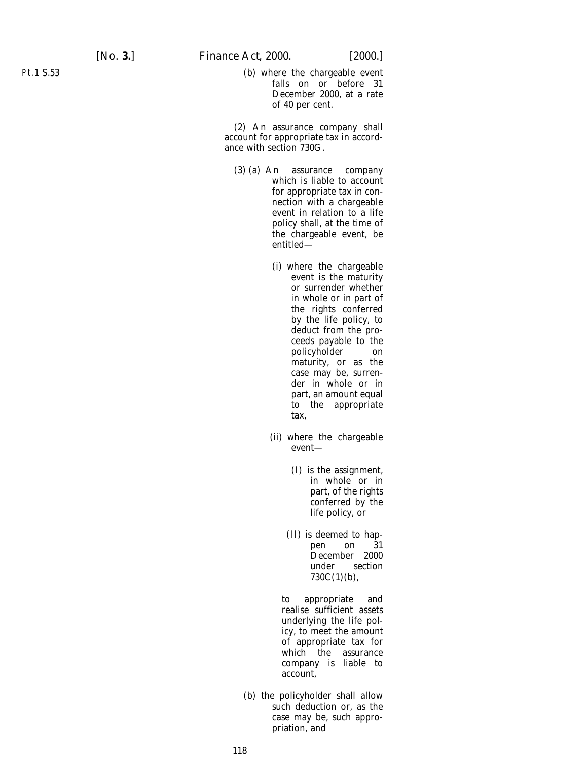falls on or before 31 December 2000, at a rate of 40 per cent.

(2) An assurance company shall account for appropriate tax in accordance with section 730G.

- $(3)$   $(a)$  An assurance company which is liable to account for appropriate tax in connection with a chargeable event in relation to a life policy shall, at the time of the chargeable event, be entitled—
- (b) where the chargeable event<br>
falls on or before 31<br>
December 2000, at a rate<br>
of 40 per cent.<br>
(2) An assurance company shall<br>
count for appropriate tax in accord-<br>
count for appropriate tax in accord-<br>
for appropriate (i) where the chargeable event is the maturity or surrender whether in whole or in part of the rights conferred by the life policy, to deduct from the proceeds payable to the policyholder on maturity, or as the case may be, surrender in whole or in part, an amount equal to the appropriate tax,
	- (ii) where the chargeable event—
		- (I) is the assignment, in whole or in part, of the rights conferred by the life policy, or
		- (II) is deemed to happen on 31 December 2000 under section 730C(1)( *b*),

to appropriate and realise sufficient assets underlying the life policy, to meet the amount of appropriate tax for which the assurance company is liable to account,

( *b*) the policyholder shall allow such deduction or, as the case may be, such appropriation, and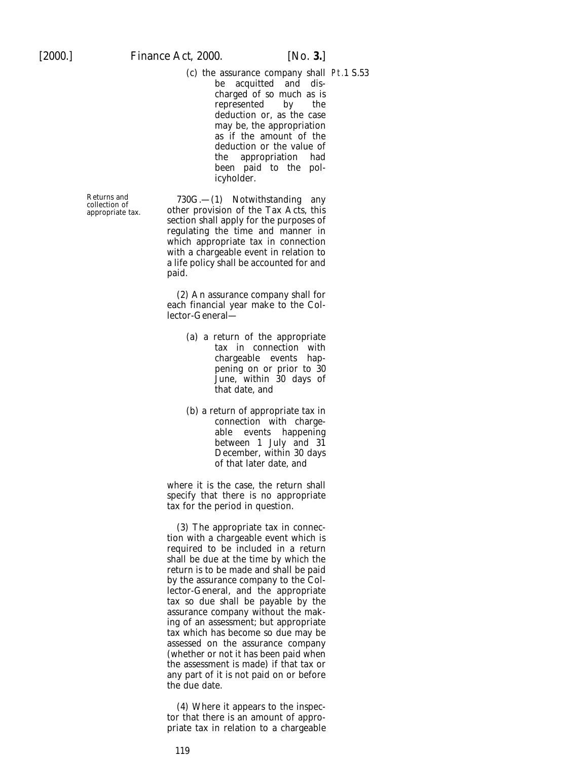(*c*) the assurance company shall Pt.1 S.53 be acquitted and discharged of so much as is represented by the deduction or, as the case may be, the appropriation as if the amount of the deduction or the value of the appropriation had been paid to the policyholder.

Returns and 730G.—(1) Notwithstanding any collection of appropriate tax. other provision of the Tax Acts, this section shall apply for the purposes of regulating the time and manner in which appropriate tax in connection with a chargeable event in relation to a life policy shall be accounted for and paid.

> (2) An assurance company shall for each financial year make to the Collector-General—

- (*a*) a return of the appropriate tax in connection with chargeable events happening on or prior to 30 June, within 30 days of that date, and
- (*b*) a return of appropriate tax in connection with chargeable events happening between 1 July and 31 December, within 30 days of that later date, and

where it is the case, the return shall specify that there is no appropriate tax for the period in question.

(3) The appropriate tax in connection with a chargeable event which is required to be included in a return shall be due at the time by which the return is to be made and shall be paid by the assurance company to the Collector-General, and the appropriate tax so due shall be payable by the assurance company without the making of an assessment; but appropriate tax which has become so due may be assessed on the assurance company (whether or not it has been paid when the assessment is made) if that tax or any part of it is not paid on or before the due date.

(4) Where it appears to the inspector that there is an amount of appropriate tax in relation to a chargeable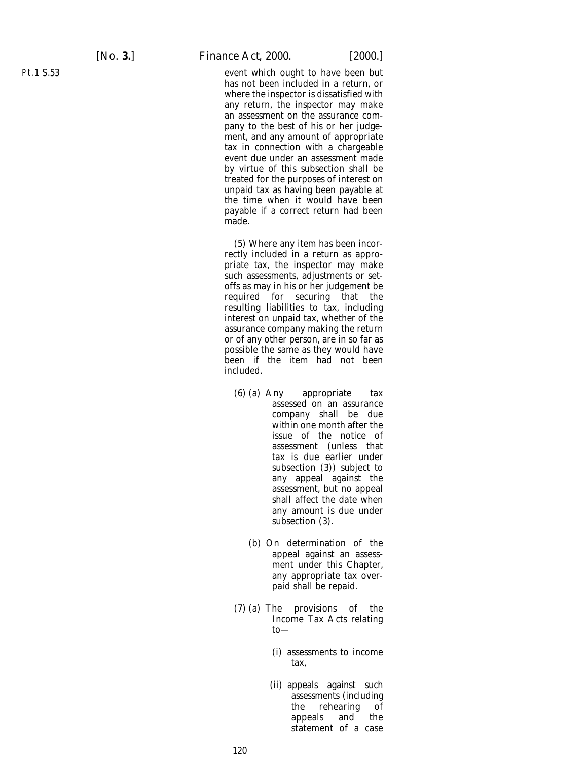event which ought to have been but has not been included in a return, or where the inspector is dissatisfied with any return, the inspector may make an assessment on the assurance company to the best of his or her judgement, and any amount of appropriate tax in connection with a chargeable event due under an assessment made by virtue of this subsection shall be treated for the purposes of interest on unpaid tax as having been payable at the time when it would have been payable if a correct return had been made.

(5) Where any item has been incorrectly included in a return as appropriate tax, the inspector may make such assessments, adjustments or setoffs as may in his or her judgement be required for securing that the resulting liabilities to tax, including interest on unpaid tax, whether of the assurance company making the return or of any other person, are in so far as possible the same as they would have been if the item had not been included.

- $(6)$   $(a)$  Any appropriate tax assessed on an assurance company shall be due within one month after the issue of the notice of assessment (unless that tax is due earlier under subsection (3)) subject to any appeal against the assessment, but no appeal shall affect the date when any amount is due under subsection (3).
	- ( *b*) On determination of the appeal against an assessment under this Chapter, any appropriate tax overpaid shall be repaid.
- $(7)$   $(a)$  The provisions of the Income Tax Acts relating to—
	- (i) assessments to income tax,
	- (ii) appeals against such assessments (including the rehearing of appeals and the statement of a case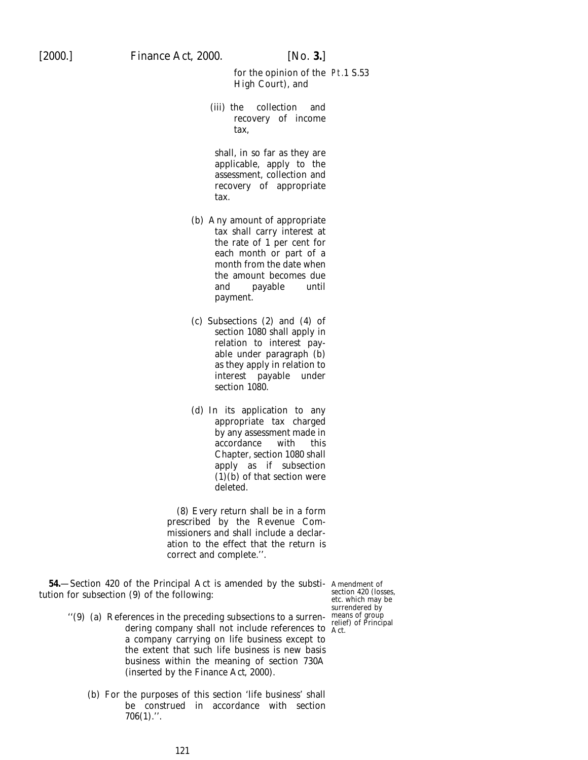for the opinion of the Pt.1 S.53 High Court), and

(iii) the collection and recovery of income tax,

shall, in so far as they are applicable, apply to the assessment, collection and recovery of appropriate tax.

- (*b*) Any amount of appropriate tax shall carry interest at the rate of 1 per cent for each month or part of a month from the date when the amount becomes due and payable until payment.
- (*c*) Subsections (2) and (4) of section 1080 shall apply in relation to interest payable under paragraph (*b*) as they apply in relation to interest payable under section 1080.
- (*d*) In its application to any appropriate tax charged by any assessment made in accordance with this Chapter, section 1080 shall apply as if subsection (1)(*b*) of that section were deleted.

(8) Every return shall be in a form prescribed by the Revenue Commissioners and shall include a declaration to the effect that the return is correct and complete.''.

**54.**—Section 420 of the Principal Act is amended by the substi- Amendment of tution for subsection (9) of the following:

- ''(9) (*a*) References in the preceding subsections to a surren-means of group relief) of Principal dering company shall not include references to Act. a company carrying on life business except to the extent that such life business is new basis business within the meaning of section 730A (inserted by the *Finance Act, 2000*).
	- (*b*) For the purposes of this section 'life business' shall be construed in accordance with section  $706(1)$ .".

section 420 (losses, etc. which may be surrendered by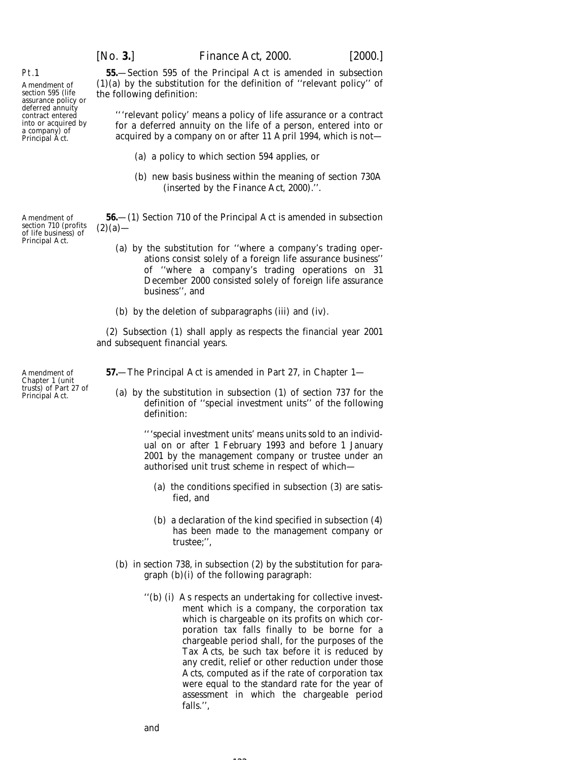**55.**—Section 595 of the Principal Act is amended in subsection (1)(*a*) by the substitution for the definition of ''relevant policy'' of the following definition:

'''relevant policy' means a policy of life assurance or a contract for a deferred annuity on the life of a person, entered into or acquired by a company on or after 11 April 1994, which is not—

- (*a*) a policy to which section 594 applies, or
- (*b*) new basis business within the meaning of section 730A (inserted by the *Finance Act, 2000*).''.

**56.**—(1) Section 710 of the Principal Act is amended in subsection  $(2)(a)$ —

- (*a*) by the substitution for ''where a company's trading operations consist solely of a foreign life assurance business'' of ''where a company's trading operations on 31 December 2000 consisted solely of foreign life assurance business'', and
- (*b*) by the deletion of subparagraphs (iii) and (iv).

(2) *Subsection (1)* shall apply as respects the financial year 2001 and subsequent financial years.

- **57.**—The Principal Act is amended in Part 27, in Chapter 1—
	- (*a*) by the substitution in subsection (1) of section 737 for the definition of ''special investment units'' of the following definition:

'''special investment units' means units sold to an individual on or after 1 February 1993 and before 1 January 2001 by the management company or trustee under an authorised unit trust scheme in respect of which—

- (*a*) the conditions specified in subsection (3) are satisfied, and
- (*b*) a declaration of the kind specified in subsection (4) has been made to the management company or trustee;'',
- (*b*) in section 738, in subsection (2) by the substitution for paragraph (*b*)(i) of the following paragraph:

 $122$ 

''(*b*) (i) As respects an undertaking for collective investment which is a company, the corporation tax which is chargeable on its profits on which corporation tax falls finally to be borne for a chargeable period shall, for the purposes of the Tax Acts, be such tax before it is reduced by any credit, relief or other reduction under those Acts, computed as if the rate of corporation tax were equal to the standard rate for the year of assessment in which the chargeable period falls.'',

Amendment of Chapter 1 (unit trusts) of Part 27 of Principal Act.

section 595 (life assurance policy or deferred annuity contract entered into or acquired by a company) of Principal Act.

Amendment of

Pt.1

Amendment of section 710 (profits of life business) of Principal Act.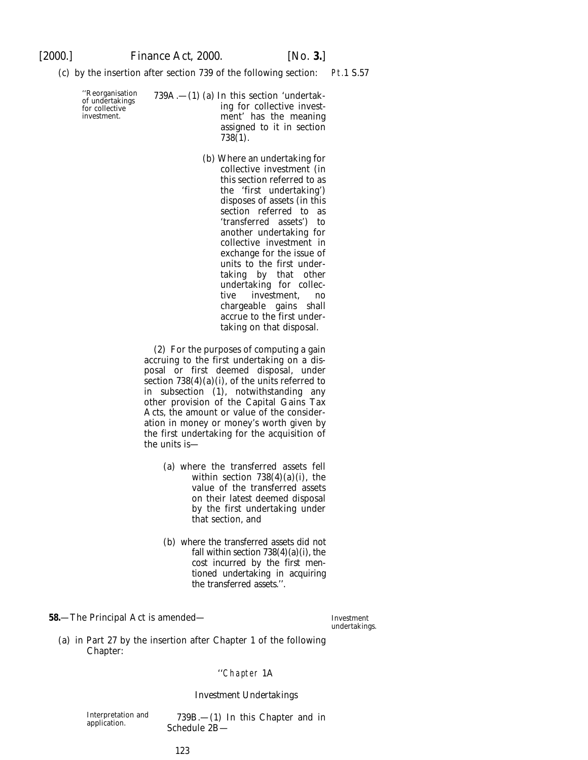(*c*) by the insertion after section 739 of the following section: Pt.1 S.57

"Reorganisation 739A.—(1) (*a*) In this section 'undertak-<br>of undertakings ing for collective invest-<br>investment. **in**g for collective invest-<br>investment. ment' has the meaning assigned to it in section  $738(1)$ .

> (*b*) Where an undertaking for collective investment (in this section referred to as the 'first undertaking') disposes of assets (in this section referred to as 'transferred assets') to another undertaking for collective investment in exchange for the issue of units to the first undertaking by that other undertaking for collective investment, no chargeable gains shall accrue to the first undertaking on that disposal.

(2) For the purposes of computing a gain accruing to the first undertaking on a disposal or first deemed disposal, under section  $738(4)(a)(i)$ , of the units referred to in subsection (1), notwithstanding any other provision of the Capital Gains Tax Acts, the amount or value of the consideration in money or money's worth given by the first undertaking for the acquisition of the units is—

- (*a*) where the transferred assets fell within section  $738(4)(a)(i)$ , the value of the transferred assets on their latest deemed disposal by the first undertaking under that section, and
- (*b*) where the transferred assets did not fall within section 738(4)(*a*)(i), the cost incurred by the first mentioned undertaking in acquiring the transferred assets.''.

**58.**—The Principal Act is amended—

Investment undertakings.

(*a*) in Part 27 by the insertion after Chapter 1 of the following Chapter:

# ''Chapter 1A

## *Investment Undertakings*

Interpretation and 739B.—(1) In this Chapter and in Schedule 2B—

123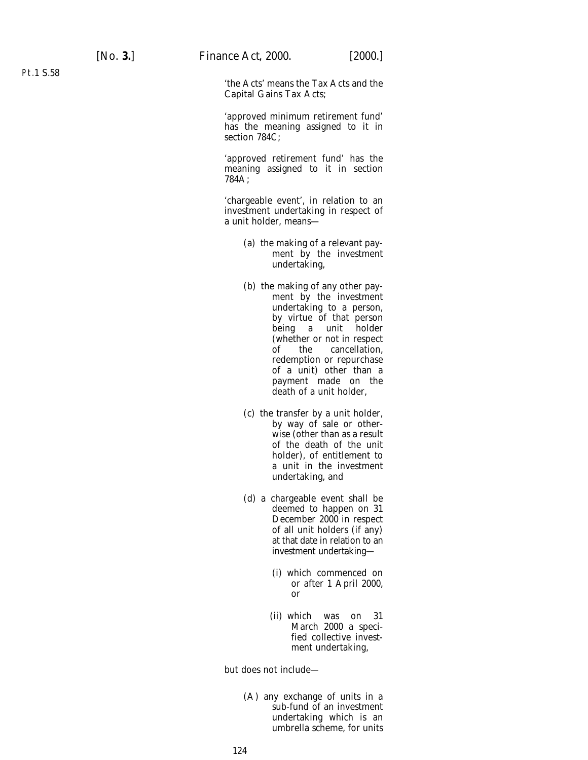'the Acts' means the Tax Acts and the Capital Gains Tax Acts;

'approved minimum retirement fund' has the meaning assigned to it in section 784C;

'approved retirement fund' has the meaning assigned to it in section 784A;

'chargeable event', in relation to an investment undertaking in respect of a unit holder, means—

- (*a*) the making of a relevant payment by the investment undertaking,
- (*b*) the making of any other payment by the investment undertaking to a person, by virtue of that person being a unit holder (whether or not in respect of the cancellation, redemption or repurchase of a unit) other than a payment made on the death of a unit holder,
- (*c*) the transfer by a unit holder, by way of sale or otherwise (other than as a result of the death of the unit holder), of entitlement to a unit in the investment undertaking, and
- (*d*) a chargeable event shall be deemed to happen on 31 December 2000 in respect of all unit holders (if any) at that date in relation to an investment undertaking—
	- (i) which commenced on or after 1 April 2000, or
	- (ii) which was on 31 March 2000 a specified collective investment undertaking,

but does not include—

(A) any exchange of units in a sub-fund of an investment undertaking which is an umbrella scheme, for units

Pt.1 S.58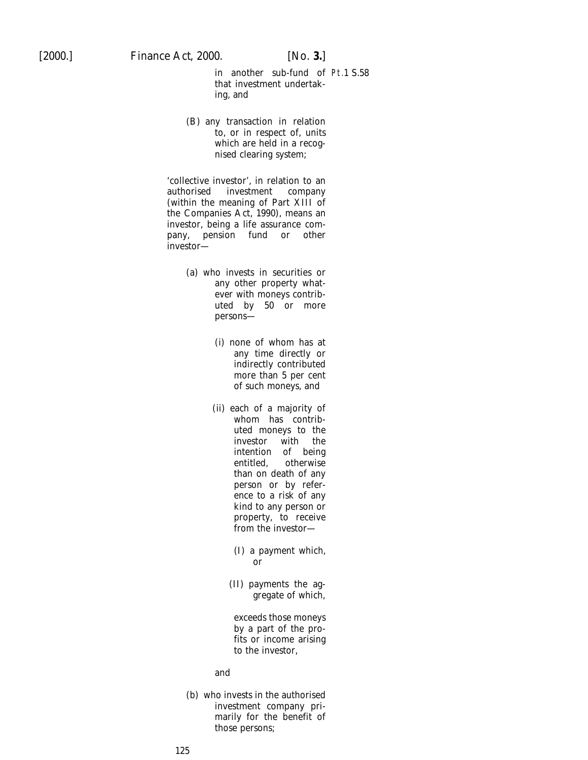in another sub-fund of Pt.1 S.58 that investment undertaking, and

(B) any transaction in relation to, or in respect of, units which are held in a recognised clearing system;

'collective investor', in relation to an authorised investment company (within the meaning of Part XIII of the Companies Act, 1990), means an investor, being a life assurance company, pension fund or other investor—

- (*a*) who invests in securities or any other property whatever with moneys contributed by 50 or more persons—
	- (i) none of whom has at any time directly or indirectly contributed more than 5 per cent of such moneys, and
	- (ii) each of a majority of whom has contributed moneys to the investor with the intention of being entitled, otherwise than on death of any person or by reference to a risk of any kind to any person or property, to receive from the investor—
		- (I) a payment which, or
		- (II) payments the aggregate of which,

exceeds those moneys by a part of the profits or income arising to the investor,

#### and

(*b*) who invests in the authorised investment company primarily for the benefit of those persons;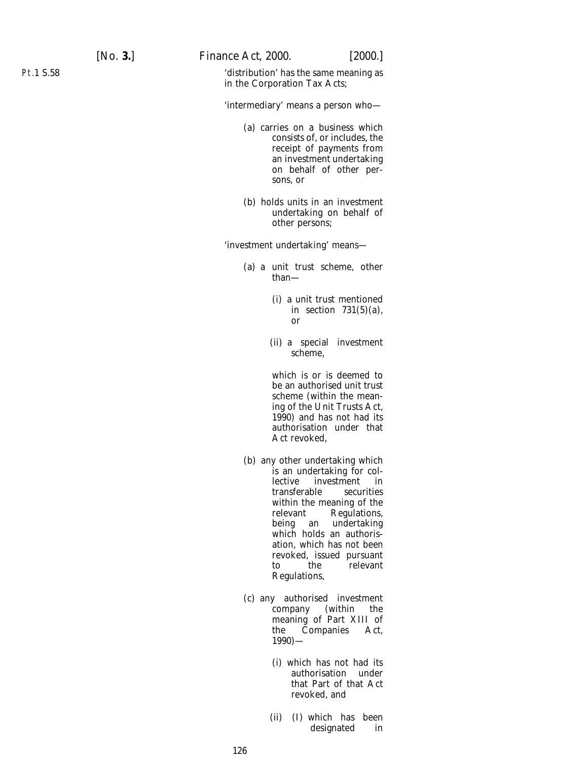[*No.* **3.**] *Finance Act,* 2000. [2000.]

'distribution' has the same meaning as in the Corporation Tax Acts;

'intermediary' means a person who—

- (*a*) carries on a business which consists of, or includes, the receipt of payments from an investment undertaking on behalf of other persons, or
- (*b*) holds units in an investment undertaking on behalf of other persons;

'investment undertaking' means—

- (*a*) a unit trust scheme, other than—
	- (i) a unit trust mentioned in section 731(5)(*a*), or
	- (ii) a special investment scheme,

which is or is deemed to be an authorised unit trust scheme (within the meaning of the Unit Trusts Act, 1990) and has not had its authorisation under that Act revoked,

- (*b*) any other undertaking which is an undertaking for colinvestment in transferable securities within the meaning of the<br>relevant Regulations. Regulations, being an undertaking which holds an authorisation, which has not been revoked, issued pursuant to the relevant Regulations,
- (*c*) any authorised investment company (within the meaning of Part XIII of the Companies Act,  $1990$ )—
	- (i) which has not had its authorisation under that Part of that Act revoked, and
	- (ii) (I) which has been designated in

Pt.1 S.58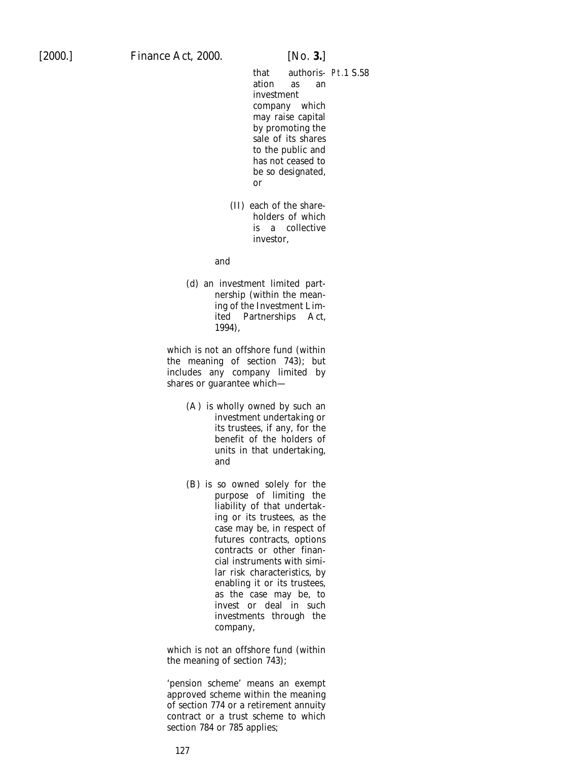that authoris- Pt.1 S.58 ation as an investment company which may raise capital by promoting the sale of its shares to the public and has not ceased to be so designated, or

(II) each of the shareholders of which is a collective investor,

and

(*d*) an investment limited partnership (within the meaning of the Investment Limited Partnerships Act, 1994),

which is not an offshore fund (within the meaning of section 743); but includes any company limited by shares or guarantee which—

- (A) is wholly owned by such an investment undertaking or its trustees, if any, for the benefit of the holders of units in that undertaking, and
- (B) is so owned solely for the purpose of limiting the liability of that undertaking or its trustees, as the case may be, in respect of futures contracts, options contracts or other financial instruments with similar risk characteristics, by enabling it or its trustees, as the case may be, to invest or deal in such investments through the company,

which is not an offshore fund (within the meaning of section 743);

'pension scheme' means an exempt approved scheme within the meaning of section 774 or a retirement annuity contract or a trust scheme to which section 784 or 785 applies;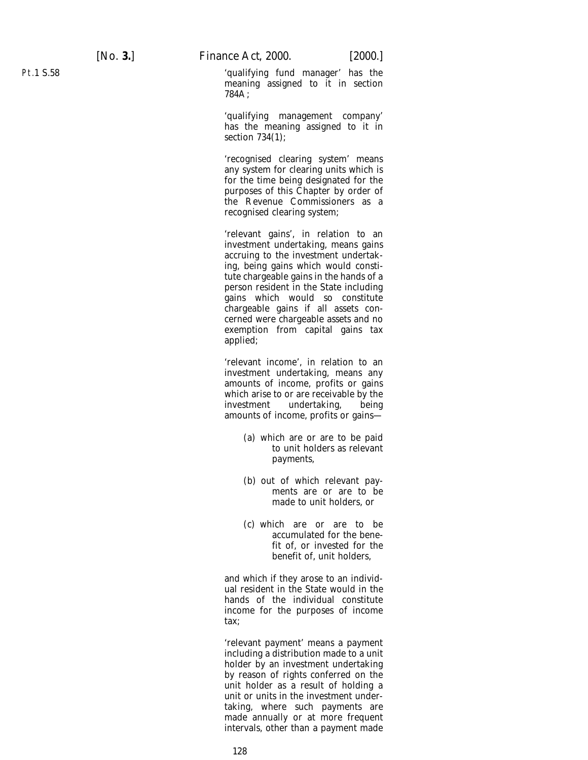'qualifying fund manager' has the meaning assigned to it in section 784A;

'qualifying management company' has the meaning assigned to it in section 734(1);

'recognised clearing system' means any system for clearing units which is for the time being designated for the purposes of this Chapter by order of the Revenue Commissioners as a recognised clearing system;

'relevant gains', in relation to an investment undertaking, means gains accruing to the investment undertaking, being gains which would constitute chargeable gains in the hands of a person resident in the State including gains which would so constitute chargeable gains if all assets concerned were chargeable assets and no exemption from capital gains tax applied;

'relevant income', in relation to an investment undertaking, means any amounts of income, profits or gains which arise to or are receivable by the investment undertaking, being amounts of income, profits or gains—

- (*a*) which are or are to be paid to unit holders as relevant payments,
- ( *b*) out of which relevant payments are or are to be made to unit holders, or
- ( *c*) which are or are to be accumulated for the benefit of, or invested for the benefit of, unit holders,

and which if they arose to an individual resident in the State would in the hands of the individual constitute income for the purposes of income tax;

'relevant payment' means a payment including a distribution made to a unit holder by an investment undertaking by reason of rights conferred on the unit holder as a result of holding a unit or units in the investment undertaking, where such payments are made annually or at more frequent intervals, other than a payment made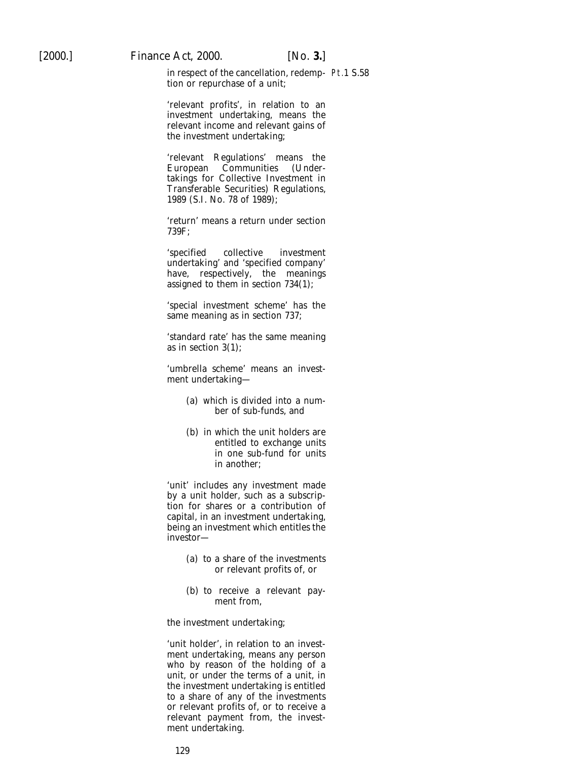in respect of the cancellation, redemp- Pt.1 S.58 tion or repurchase of a unit;

'relevant profits', in relation to an investment undertaking, means the relevant income and relevant gains of the investment undertaking;

'relevant Regulations' means the Communities (Undertakings for Collective Investment in Transferable Securities) Regulations, 1989 (S.I. No. 78 of 1989);

'return' means a return under section 739F;

'specified collective investment undertaking' and 'specified company' have, respectively, the meanings assigned to them in section 734(1);

'special investment scheme' has the same meaning as in section 737;

'standard rate' has the same meaning as in section 3(1);

'umbrella scheme' means an investment undertaking—

- (*a*) which is divided into a number of sub-funds, and
- (*b*) in which the unit holders are entitled to exchange units in one sub-fund for units in another;

'unit' includes any investment made by a unit holder, such as a subscription for shares or a contribution of capital, in an investment undertaking, being an investment which entitles the investor—

- (*a*) to a share of the investments or relevant profits of, or
- (*b*) to receive a relevant payment from,

the investment undertaking;

'unit holder', in relation to an investment undertaking, means any person who by reason of the holding of a unit, or under the terms of a unit, in the investment undertaking is entitled to a share of any of the investments or relevant profits of, or to receive a relevant payment from, the investment undertaking.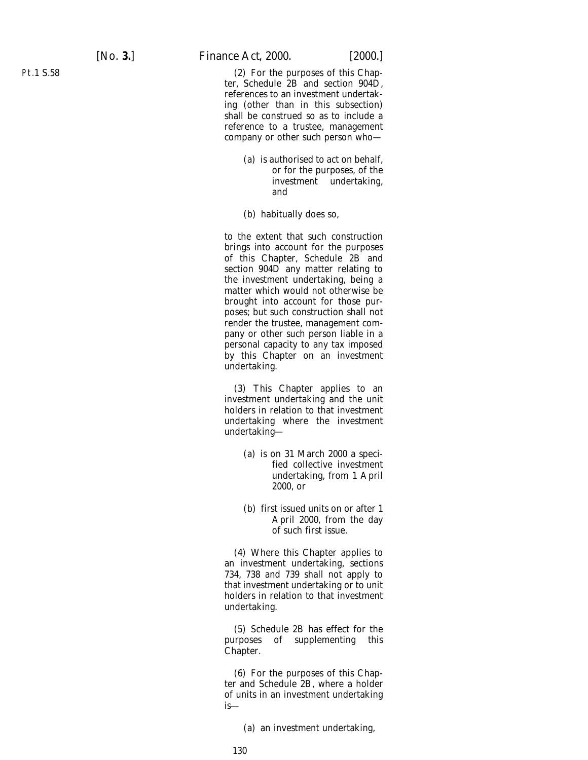Pt.1 S.58

(2) For the purposes of this Chapter, Schedule 2B and section 904D, references to an investment undertaking (other than in this subsection) shall be construed so as to include a reference to a trustee, management company or other such person who—

- (*a*) is authorised to act on behalf, or for the purposes, of the investment undertaking, and
- (*b*) habitually does so,

to the extent that such construction brings into account for the purposes of this Chapter, Schedule 2B and section 904D any matter relating to the investment undertaking, being a matter which would not otherwise be brought into account for those purposes; but such construction shall not render the trustee, management company or other such person liable in a personal capacity to any tax imposed by this Chapter on an investment undertaking.

(3) This Chapter applies to an investment undertaking and the unit holders in relation to that investment undertaking where the investment undertaking—

- (*a*) is on 31 March 2000 a specified collective investment undertaking, from 1 April 2000, or
- (*b*) first issued units on or after 1 April 2000, from the day of such first issue.

(4) Where this Chapter applies to an investment undertaking, sections 734, 738 and 739 shall not apply to that investment undertaking or to unit holders in relation to that investment undertaking.

(5) Schedule 2B has effect for the purposes of supplementing this Chapter.

(6) For the purposes of this Chapter and Schedule 2B, where a holder of units in an investment undertaking is—

(*a*) an investment undertaking,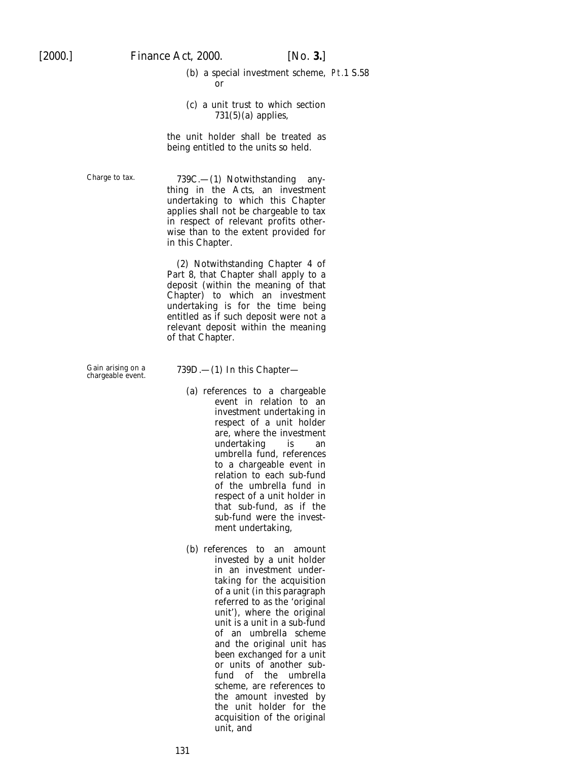(*b*) a special investment scheme, Pt.1 S.58 or

the unit holder shall be treated as being entitled to the units so held.

Charge to tax.  $739C - (1)$  Notwithstanding anything in the Acts, an investment undertaking to which this Chapter applies shall not be chargeable to tax in respect of relevant profits otherwise than to the extent provided for in this Chapter.

> (2) Notwithstanding Chapter 4 of Part 8, that Chapter shall apply to a deposit (within the meaning of that Chapter) to which an investment undertaking is for the time being entitled as if such deposit were not a relevant deposit within the meaning of that Chapter.

Gain arising on a 739D.—(1) In this Chapter—<br>chargeable event.

- (*a*) references to a chargeable event in relation to an investment undertaking in respect of a unit holder are, where the investment undertaking is an umbrella fund, references to a chargeable event in relation to each sub-fund of the umbrella fund in respect of a unit holder in that sub-fund, as if the sub-fund were the investment undertaking,
- (*b*) references to an amount invested by a unit holder in an investment undertaking for the acquisition of a unit (in this paragraph referred to as the 'original unit'), where the original unit is a unit in a sub-fund of an umbrella scheme and the original unit has been exchanged for a unit or units of another subfund of the umbrella scheme, are references to the amount invested by the unit holder for the acquisition of the original unit, and

<sup>(</sup>*c*) a unit trust to which section 731(5)(*a*) applies,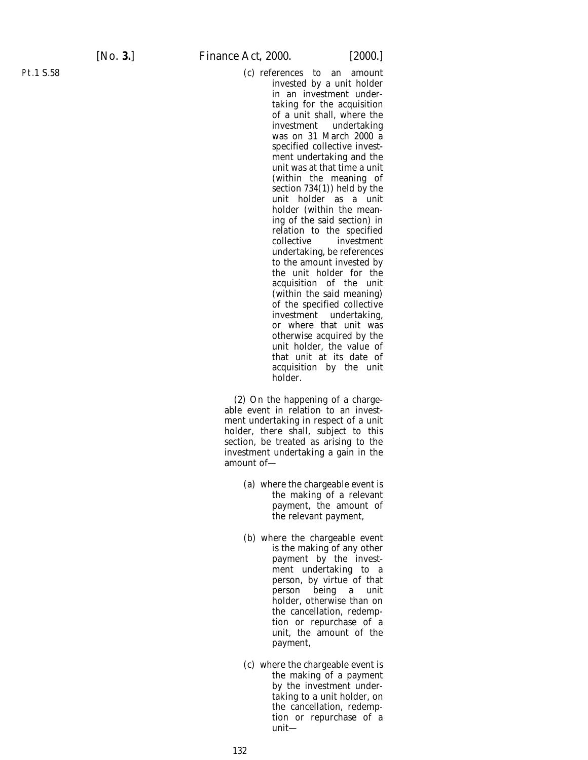(*c*) references to an amount moderation in the acquisition for the acquisition for the acquisition of a unit shall, where the moderation wass on 31 March 2000 a met undertaking specified collective investment undertaking invested by a unit holder in an investment undertaking for the acquisition of a unit shall, where the undertaking was on 31 March 2000 a specified collective investment undertaking and the unit was at that time a unit (within the meaning of section 734(1)) held by the unit holder as a unit holder (within the meaning of the said section) in relation to the specified collective investment undertaking, be references to the amount invested by the unit holder for the acquisition of the unit (within the said meaning) of the specified collective investment undertaking, or where that unit was otherwise acquired by the unit holder, the value of that unit at its date of acquisition by the unit holder.

(2) On the happening of a chargeable event in relation to an investment undertaking in respect of a unit holder, there shall, subject to this section, be treated as arising to the investment undertaking a gain in the amount of—

- (*a*) where the chargeable event is the making of a relevant payment, the amount of the relevant payment,
- ( *b*) where the chargeable event is the making of any other payment by the investment undertaking to a person, by virtue of that<br>person being a unit person being a unit holder, otherwise than on the cancellation, redemption or repurchase of a unit, the amount of the payment,
- ( *c*) where the chargeable event is the making of a payment by the investment undertaking to a unit holder, on the cancellation, redemption or repurchase of a unit—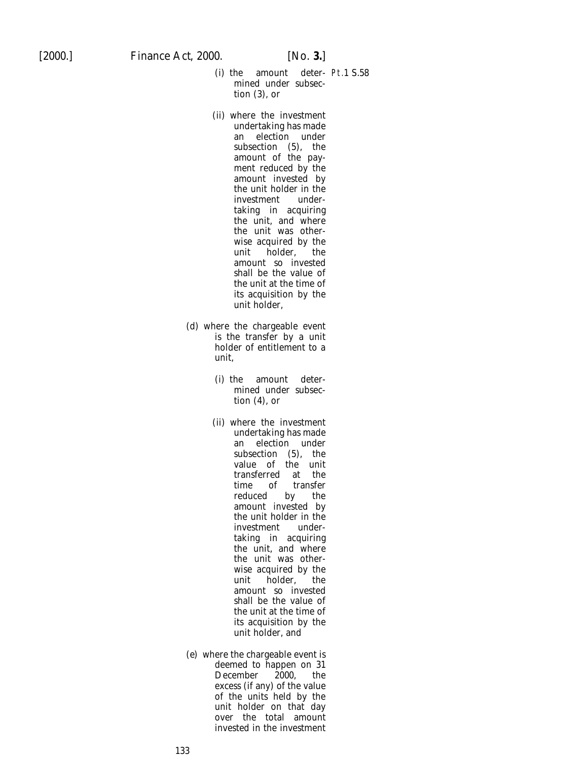- (i) the amount deter- Pt.1 S.58 mined under subsection (3), or
- (ii) where the investment undertaking has made<br>an election under election under subsection (5), the amount of the payment reduced by the amount invested by the unit holder in the investment undertaking in acquiring the unit, and where the unit was otherwise acquired by the unit holder, the amount so invested shall be the value of the unit at the time of its acquisition by the unit holder,
- (*d*) where the chargeable event is the transfer by a unit holder of entitlement to a unit,
	- (i) the amount determined under subsection (4), or
	- (ii) where the investment undertaking has made an election under subsection (5), the value of the unit transferred at the time of transfer reduced by the amount invested by the unit holder in the investment taking in acquiring the unit, and where the unit was otherwise acquired by the unit holder, the amount so invested shall be the value of the unit at the time of its acquisition by the unit holder, and
- (*e*) where the chargeable event is deemed to happen on 31 December 2000, the excess (if any) of the value of the units held by the unit holder on that day over the total amount invested in the investment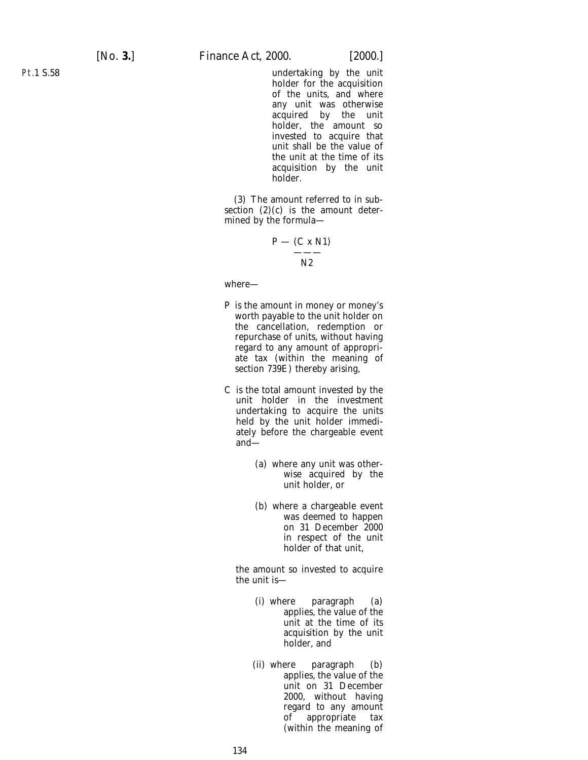Pt.1 S.58

undertaking by the unit holder for the acquisition of the units, and where any unit was otherwise acquired by the unit holder, the amount so invested to acquire that unit shall be the value of the unit at the time of its acquisition by the unit holder.

(3) The amount referred to in subsection  $(2)(c)$  is the amount determined by the formula—

$$
\frac{P - (C \times N1)}{N2}
$$

where—

- P is the amount in money or money's worth payable to the unit holder on the cancellation, redemption or repurchase of units, without having regard to any amount of appropriate tax (within the meaning of section 739E) thereby arising,
- C is the total amount invested by the unit holder in the investment undertaking to acquire the units held by the unit holder immediately before the chargeable event and—<br>(*a*) where any unit was other
	- wise acquired by the unit holder, or
	- ( *b*) where a chargeable event was deemed to happen on 31 December 2000 in respect of the unit holder of that unit,

the amount so invested to acquire the unit is—

- (i) where paragraph ( *a*) applies, the value of the unit at the time of its acquisition by the unit holder, and
- (ii) where paragraph ( *b* ) applies, the value of the unit on 31 December 2000, without having regard to any amount of appropriate tax (within the meaning of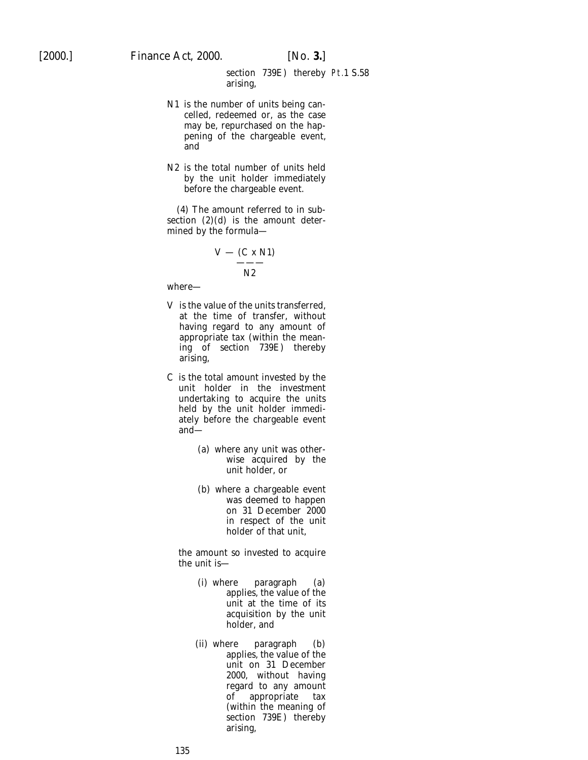## section 739E) thereby Pt.1 S.58 arising,

- N1 is the number of units being cancelled, redeemed or, as the case may be, repurchased on the happening of the chargeable event, and
- N2 is the total number of units held by the unit holder immediately before the chargeable event.

(4) The amount referred to in subsection  $(2)(d)$  is the amount determined by the formula—

$$
V - (C \times N1)
$$
  

$$
N2
$$

where—

- V is the value of the units transferred, at the time of transfer, without having regard to any amount of appropriate tax (within the meaning of section 739E) thereby arising,
- C is the total amount invested by the unit holder in the investment undertaking to acquire the units held by the unit holder immediately before the chargeable event and—
	- (*a*) where any unit was otherwise acquired by the unit holder, or
	- (*b*) where a chargeable event was deemed to happen on 31 December 2000 in respect of the unit holder of that unit,

the amount so invested to acquire the unit is—

- (i) where paragraph (*a*) applies, the value of the unit at the time of its acquisition by the unit holder, and
- (ii) where paragraph (*b*) applies, the value of the unit on 31 December 2000, without having regard to any amount of appropriate tax (within the meaning of section 739E) thereby arising,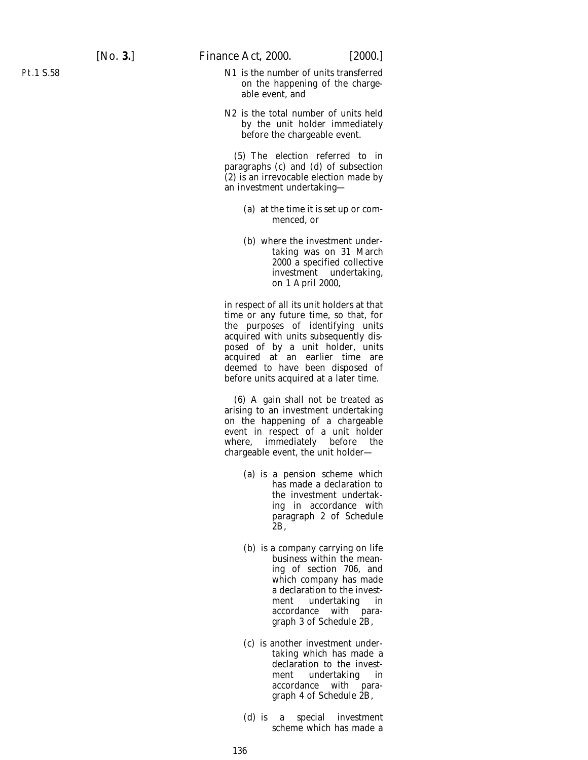Pt.1 S.58

] *Finance Act,* 2000. [2000.]

- N1 is the number of units transferred on the happening of the chargeable event, and
- N2 is the total number of units held by the unit holder immediately before the chargeable event.

(5) The election referred to in paragraphs ( *c*) and ( *d*) of subsection (2) is an irrevocable election made by an investment undertaking—

- (*a*) at the time it is set up or commenced, or
- (*b*) where the investment undertaking was on 31 March 2000 a specified collective investment undertaking, on 1 April 2000,

in respect of all its unit holders at that time or any future time, so that, for the purposes of identifying units acquired with units subsequently disposed of by a unit holder, units acquired at an earlier time are deemed to have been disposed of before units acquired at a later time.

(6) A gain shall not be treated as arising to an investment undertaking on the happening of a chargeable event in respect of a unit holder where, immediately before the chargeable event, the unit holder—

- (*a*) is a pension scheme which has made a declaration to the investment undertaking in accordance with paragraph 2 of Schedule  $\mathbf{\hat{2}B}$
- ( *b*) is a company carrying on life business within the meaning of section 706, and which company has made a declaration to the investment undertaking in accordance with paragraph 3 of Schedule 2B,
- ( *c*) is another investment undertaking which has made a declaration to the investment undertaking in accordance with paragraph 4 of Schedule  $2B$ ,
- ( *d*) is a special investment scheme which has made a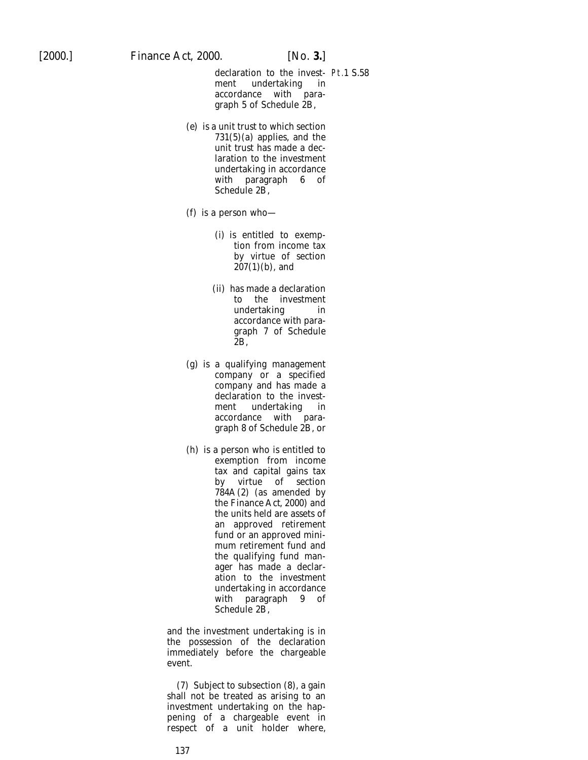declaration to the invest- Pt.1 S.58 ment undertaking in accordance with paragraph 5 of Schedule 2B,

- (*e*) is a unit trust to which section  $731(5)(a)$  applies, and the unit trust has made a declaration to the investment undertaking in accordance with paragraph 6 of Schedule 2B,
- (*f*) is a person who—
	- (i) is entitled to exemption from income tax by virtue of section 207(1)(*b*), and
	- (ii) has made a declaration to the investment undertaking in accordance with paragraph 7 of Schedule  $\overline{2}B$ .
- (*g*) is a qualifying management company or a specified company and has made a declaration to the investment undertaking in accordance with paragraph 8 of Schedule 2B, or
- (*h*) is a person who is entitled to exemption from income tax and capital gains tax by virtue of section  $784A(2)$  (as amended by the *Finance Act, 2000*) and the units held are assets of an approved retirement fund or an approved minimum retirement fund and the qualifying fund manager has made a declaration to the investment undertaking in accordance with paragraph 9 of Schedule 2B,

and the investment undertaking is in the possession of the declaration immediately before the chargeable event.

(7) Subject to subsection (8), a gain shall not be treated as arising to an investment undertaking on the happening of a chargeable event in respect of a unit holder where,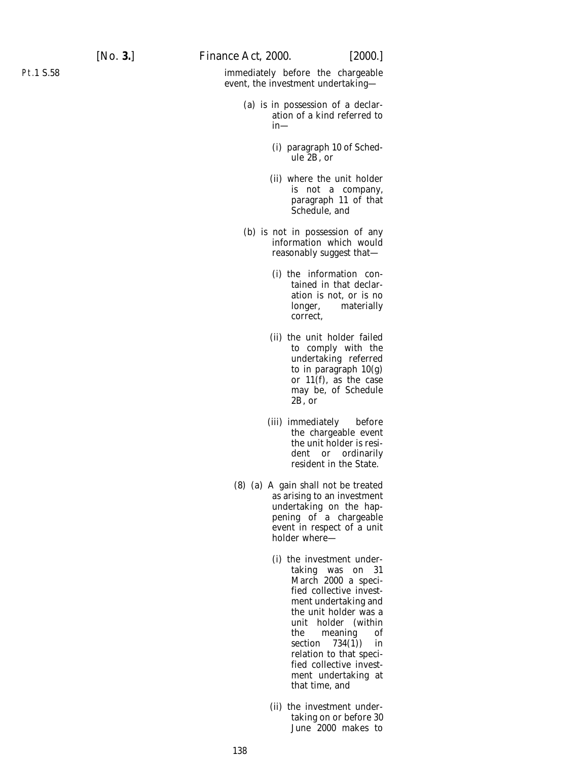immediately before the chargeable event, the investment undertaking—

- (*a*) is in possession of a declaration of a kind referred to in—
	- (i) paragraph 10 of Schedule 2B, or
	- (ii) where the unit holder is not a company, paragraph 11 of that Schedule, and
- ( *b*) is not in possession of any information which would reasonably suggest that—
	- (i) the information contained in that declaration is not, or is no longer, materially correct,
	- (ii) the unit holder failed to comply with the undertaking referred to in paragraph 10( *g*) or 11( *f*), as the case may be, of Schedule 2B, or
	- (iii) immediately before the chargeable event the unit holder is resident or ordinarily resident in the State.
- (8) ( *a*) A gain shall not be treated as arising to an investment undertaking on the happening of a chargeable event in respect of a unit holder where—
	- (i) the investment undertaking was on 31 March 2000 a specified collective investment undertaking and the unit holder was a unit holder (within the meaning of section  $734(1)$  in  $734(1)$ ) in relation to that specified collective investment undertaking at that time, and
	- (ii) the investment undertaking on or before 30 June 2000 makes to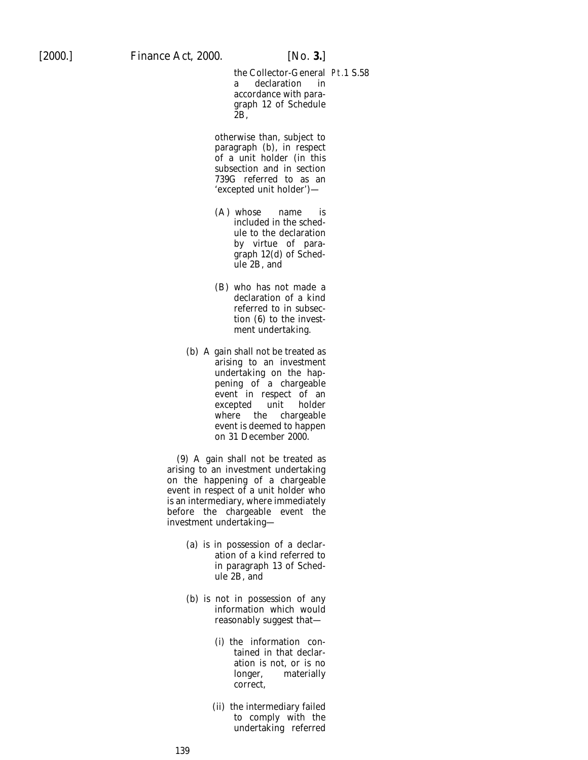the Collector-General Pt.1 S.58 a declaration in accordance with paragraph 12 of Schedule  $\tilde{z}B$ ,

otherwise than, subject to paragraph (*b*), in respect of a unit holder (in this subsection and in section 739G referred to as an 'excepted unit holder')—

- (A) whose name is included in the schedule to the declaration by virtue of paragraph 12(*d*) of Schedule 2B, and
- (B) who has not made a declaration of a kind referred to in subsection (6) to the investment undertaking.
- (*b*) A gain shall not be treated as arising to an investment undertaking on the happening of a chargeable event in respect of an excepted unit holder where the chargeable event is deemed to happen on 31 December 2000.

(9) A gain shall not be treated as arising to an investment undertaking on the happening of a chargeable event in respect of a unit holder who is an intermediary, where immediately before the chargeable event the investment undertaking—

- (*a*) is in possession of a declaration of a kind referred to in paragraph 13 of Schedule 2B, and
- (*b*) is not in possession of any information which would reasonably suggest that—
	- (i) the information contained in that declaration is not, or is no longer, materially correct,
	- (ii) the intermediary failed to comply with the undertaking referred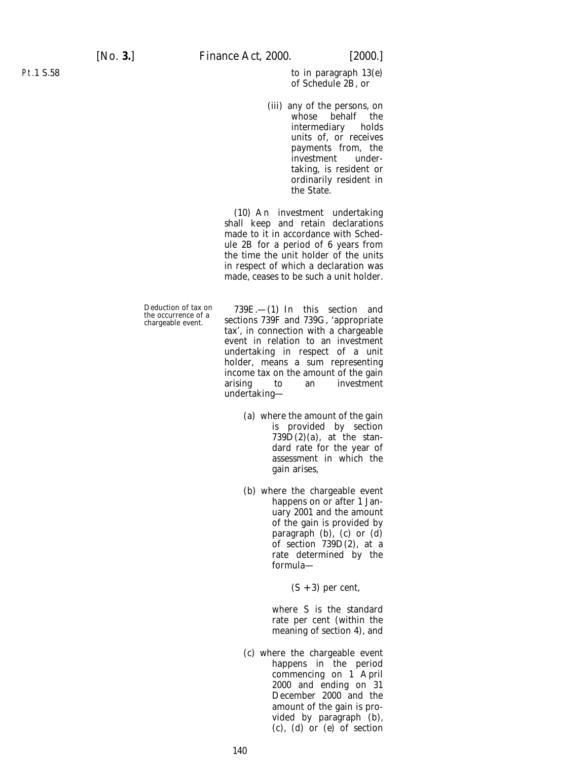to in paragraph 13(*e*) of Schedule 2B, or

(iii) any of the persons, on whose behalf the intermediary holds units of, or receives payments from, the investment undertaking, is resident or ordinarily resident in the State.

(10) An investment undertaking shall keep and retain declarations made to it in accordance with Schedule 2B for a period of 6 years from the time the unit holder of the units in respect of which a declaration was made, ceases to be such a unit holder.

Deduction of tax on 739E.—(1) In this section and the occurrence of a chargeable event. sections 739F and 739G, 'appropriate tax', in connection with a chargeable event in relation to an investment undertaking in respect of a unit holder, means a sum representing income tax on the amount of the gain arising to an investment undertaking—

- (*a*) where the amount of the gain is provided by section  $739D(2)(a)$ , at the standard rate for the year of assessment in which the gain arises,
- (*b*) where the chargeable event happens on or after 1 January 2001 and the amount of the gain is provided by paragraph (*b*), (*c*) or (*d*) of section  $739D(2)$ , at a rate determined by the formula—

 $(S + 3)$  per cent,

where S is the standard rate per cent (within the meaning of section 4), and

(*c*) where the chargeable event happens in the period commencing on 1 April 2000 and ending on 31 December 2000 and the amount of the gain is provided by paragraph (*b*), (*c*), (*d*) or (*e*) of section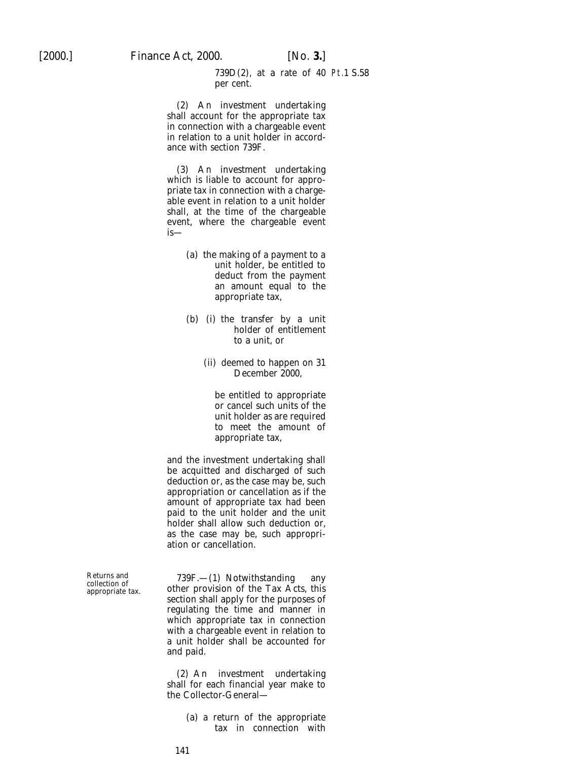739D(2), at a rate of 40 Pt.1 S.58 per cent.

(2) An investment undertaking shall account for the appropriate tax in connection with a chargeable event in relation to a unit holder in accordance with section 739F.

(3) An investment undertaking which is liable to account for appropriate tax in connection with a chargeable event in relation to a unit holder shall, at the time of the chargeable event, where the chargeable event is—

- (*a*) the making of a payment to a unit holder, be entitled to deduct from the payment an amount equal to the appropriate tax,
- (*b*) (i) the transfer by a unit holder of entitlement to a unit, or
	- (ii) deemed to happen on 31 December 2000,

be entitled to appropriate or cancel such units of the unit holder as are required to meet the amount of appropriate tax,

and the investment undertaking shall be acquitted and discharged of such deduction or, as the case may be, such appropriation or cancellation as if the amount of appropriate tax had been paid to the unit holder and the unit holder shall allow such deduction or, as the case may be, such appropriation or cancellation.

Returns and 739F.—(1) Notwithstanding any collection of appropriate tax. other provision of the Tax Acts, this section shall apply for the purposes of regulating the time and manner in which appropriate tax in connection with a chargeable event in relation to a unit holder shall be accounted for and paid.

> (2) An investment undertaking shall for each financial year make to the Collector-General—

> > (*a*) a return of the appropriate tax in connection with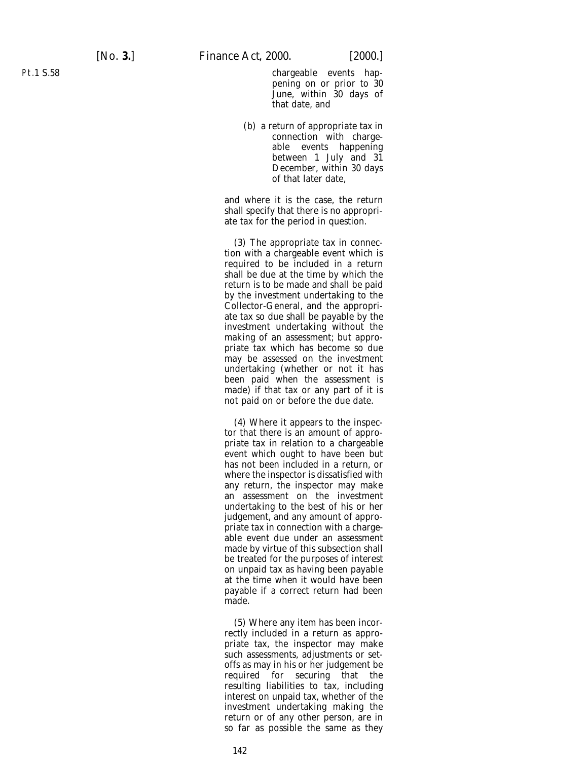chargeable events happening on or prior to 30 June, within 30 days of that date, and

( *b*) a return of appropriate tax in connection with chargeable events happening between 1 July and 31 December, within 30 days of that later date,

and where it is the case, the return shall specify that there is no appropriate tax for the period in question.

(3) The appropriate tax in connection with a chargeable event which is required to be included in a return shall be due at the time by which the return is to be made and shall be paid by the investment undertaking to the Collector-General, and the appropriate tax so due shall be payable by the investment undertaking without the making of an assessment; but appropriate tax which has become so due may be assessed on the investment undertaking (whether or not it has been paid when the assessment is made) if that tax or any part of it is not paid on or before the due date.

(4) Where it appears to the inspector that there is an amount of appropriate tax in relation to a chargeable event which ought to have been but has not been included in a return, or where the inspector is dissatisfied with any return, the inspector may make an assessment on the investment undertaking to the best of his or her judgement, and any amount of appropriate tax in connection with a chargeable event due under an assessment made by virtue of this subsection shall be treated for the purposes of interest on unpaid tax as having been payable at the time when it would have been payable if a correct return had been made.

(5) Where any item has been incorrectly included in a return as appropriate tax, the inspector may make such assessments, adjustments or setoffs as may in his or her judgement be required for securing that the resulting liabilities to tax, including interest on unpaid tax, whether of the investment undertaking making the return or of any other person, are in so far as possible the same as they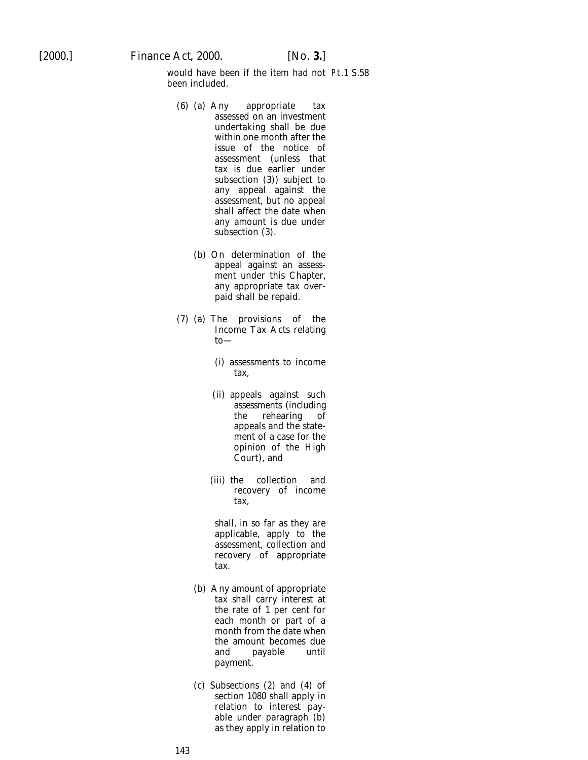would have been if the item had not Pt.1 S.58 been included.

- (6) (*a*) Any appropriate tax assessed on an investment undertaking shall be due within one month after the issue of the notice of assessment (unless that tax is due earlier under subsection (3)) subject to any appeal against the assessment, but no appeal shall affect the date when any amount is due under subsection (3).
	- (*b*) On determination of the appeal against an assessment under this Chapter, any appropriate tax overpaid shall be repaid.
- (7) (*a*) The provisions of the Income Tax Acts relating to—
	- (i) assessments to income tax,
	- (ii) appeals against such assessments (including the rehearing of appeals and the statement of a case for the opinion of the High Court), and
	- (iii) the collection and recovery of income tax,

shall, in so far as they are applicable, apply to the assessment, collection and recovery of appropriate tax.

- (*b*) Any amount of appropriate tax shall carry interest at the rate of 1 per cent for each month or part of a month from the date when the amount becomes due and payable until payment.
- (*c*) Subsections (2) and (4) of section 1080 shall apply in relation to interest payable under paragraph (*b*) as they apply in relation to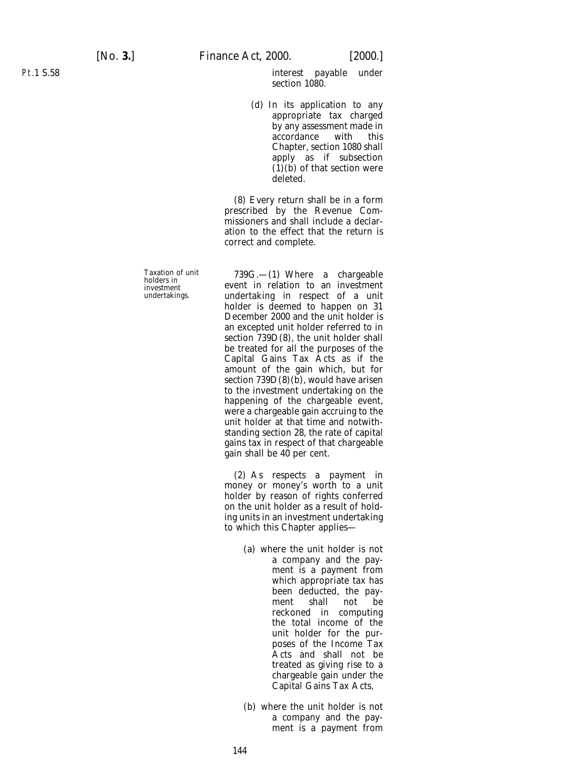Pt.1 S.58

interest payable under section 1080.

(*d*) In its application to any appropriate tax charged by any assessment made in<br>accordance with this accordance Chapter, section 1080 shall apply as if subsection  $(i)(\check{b})$  of that section were deleted.

(8) Every return shall be in a form prescribed by the Revenue Commissioners and shall include a declaration to the effect that the return is correct and complete.

Taxation of unit 739G.—(1) Where a chargeable holders in event in relation to an investment undertakings. undertaking in respect of a unit undertaking in respect of a unit holder is deemed to happen on 31 December 2000 and the unit holder is an excepted unit holder referred to in section 739D(8), the unit holder shall be treated for all the purposes of the Capital Gains Tax Acts as if the amount of the gain which, but for section  $739D(8)(\check{b})$ , would have arisen to the investment undertaking on the happening of the chargeable event, were a chargeable gain accruing to the unit holder at that time and notwithstanding section 28, the rate of capital gains tax in respect of that chargeable gain shall be 40 per cent.

> (2) As respects a payment in money or money's worth to a unit holder by reason of rights conferred on the unit holder as a result of holding units in an investment undertaking to which this Chapter applies—

- (*a*) where the unit holder is not a company and the payment is a payment from which appropriate tax has been deducted, the payment shall not be reckoned in computing the total income of the unit holder for the purposes of the Income Tax Acts and shall not be treated as giving rise to a chargeable gain under the Capital Gains Tax Acts,
- (*b*) where the unit holder is not a company and the payment is a payment from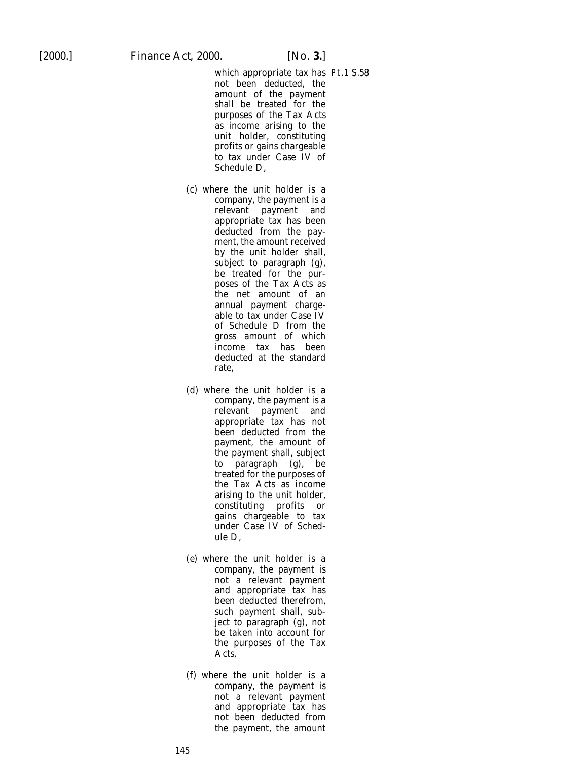which appropriate tax has Pt.1 S.58 not been deducted, the amount of the payment shall be treated for the purposes of the Tax Acts as income arising to the unit holder, constituting profits or gains chargeable to tax under Case IV of Schedule D,

- (*c*) where the unit holder is a company, the payment is a relevant payment and appropriate tax has been deducted from the payment, the amount received by the unit holder shall, subject to paragraph (*g*), be treated for the purposes of the Tax Acts as the net amount of an annual payment chargeable to tax under Case IV of Schedule D from the gross amount of which income tax has been deducted at the standard rate,
- (*d*) where the unit holder is a company, the payment is a<br>relevant payment and relevant payment appropriate tax has not been deducted from the payment, the amount of the payment shall, subject to paragraph (*g*), be treated for the purposes of the Tax Acts as income arising to the unit holder, constituting profits or gains chargeable to tax under Case IV of Schedule D,
- (*e*) where the unit holder is a company, the payment is not a relevant payment and appropriate tax has been deducted therefrom, such payment shall, subject to paragraph (*g*), not be taken into account for the purposes of the Tax Acts,
- (*f*) where the unit holder is a company, the payment is not a relevant payment and appropriate tax has not been deducted from the payment, the amount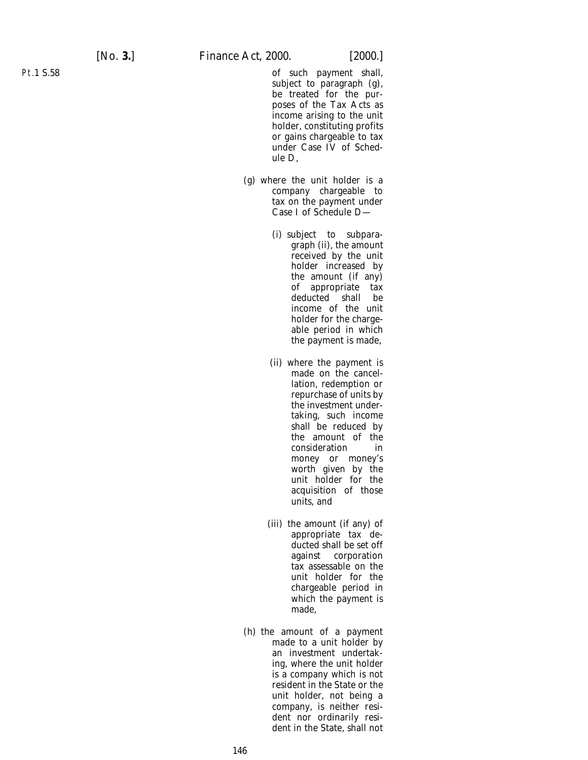Pt.1 S.58

of such payment shall, subject to paragraph (*g*), be treated for the purposes of the Tax Acts as income arising to the unit holder, constituting profits or gains chargeable to tax under Case IV of Schedule D,

- (*g*) where the unit holder is a company chargeable to tax on the payment under Case I of Schedule D—
	- (i) subject to subparagraph (ii), the amount received by the unit holder increased by the amount (if any) of appropriate tax deducted shall be income of the unit holder for the chargeable period in which the payment is made,
	- (ii) where the payment is made on the cancellation, redemption or repurchase of units by the investment undertaking, such income shall be reduced by the amount of the consideration in money or money's worth given by the unit holder for the acquisition of those units, and
	- (iii) the amount (if any) of appropriate tax deducted shall be set off against corporation tax assessable on the unit holder for the chargeable period in which the payment is made,
- (*h*) the amount of a payment made to a unit holder by an investment undertaking, where the unit holder is a company which is not resident in the State or the unit holder, not being a company, is neither resident nor ordinarily resident in the State, shall not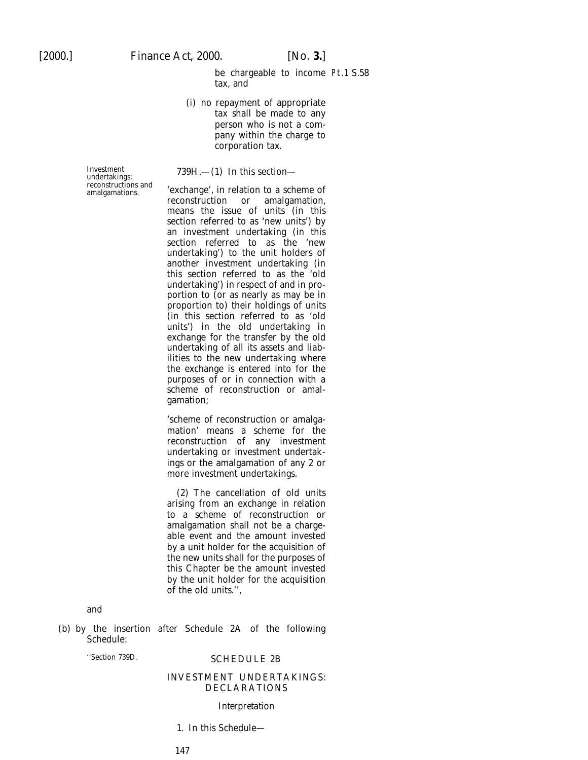be chargeable to income Pt.1 S.58 tax, and

(*i*) no repayment of appropriate tax shall be made to any person who is not a company within the charge to corporation tax.

Investment 739H.—(1) In this section—<br>
reconstructions and

reconstructions and 'exchange', in relation to a scheme of amalgamation. amalgamation, means the issue of units (in this section referred to as 'new units') by an investment undertaking (in this section referred to as the 'new undertaking') to the unit holders of another investment undertaking (in this section referred to as the 'old undertaking') in respect of and in proportion to (or as nearly as may be in proportion to) their holdings of units (in this section referred to as 'old units') in the old undertaking in exchange for the transfer by the old undertaking of all its assets and liabilities to the new undertaking where the exchange is entered into for the purposes of or in connection with a scheme of reconstruction or amalgamation;

> 'scheme of reconstruction or amalgamation' means a scheme for the reconstruction of any investment undertaking or investment undertakings or the amalgamation of any 2 or more investment undertakings.

> (2) The cancellation of old units arising from an exchange in relation to a scheme of reconstruction or amalgamation shall not be a chargeable event and the amount invested by a unit holder for the acquisition of the new units shall for the purposes of this Chapter be the amount invested by the unit holder for the acquisition of the old units.'',

#### and

(*b*) by the insertion after Schedule 2A of the following Schedule:

# ''Section 739D. SCHEDULE 2B

#### INVESTMENT UNDERTAKINGS: DECLARATIONS

#### *Interpretation*

1. In this Schedule—

147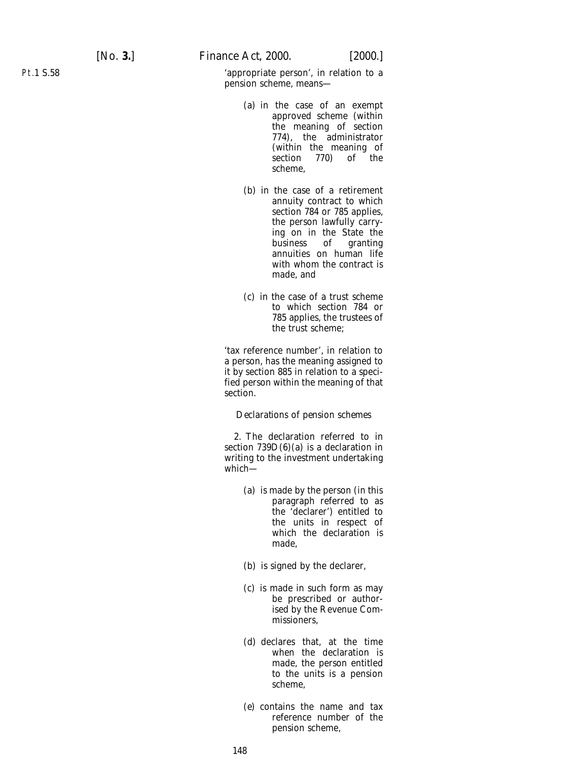'appropriate person', in relation to a pension scheme, means—

- (*a*) in the case of an exempt approved scheme (within the meaning of section 774), the administrator (within the meaning of<br>section 770) of the  $770$ ) of scheme,
- (*b*) in the case of a retirement annuity contract to which section 784 or 785 applies, the person lawfully carrying on in the State the<br>business of granting granting annuities on human life with whom the contract is made, and
- (*c*) in the case of a trust scheme to which section 784 or 785 applies, the trustees of the trust scheme;

'tax reference number', in relation to a person, has the meaning assigned to it by section 885 in relation to a specified person within the meaning of that section.

## *Declarations of pension schemes*

2. The declaration referred to in section  $739D(6)(a)$  is a declaration in writing to the investment undertaking which—

- (*a*) is made by the person (in this paragraph referred to as the 'declarer') entitled to the units in respect of which the declaration is made,
- (*b*) is signed by the declarer,
- (*c*) is made in such form as may be prescribed or authorised by the Revenue Commissioners,
- (*d*) declares that, at the time when the declaration is made, the person entitled to the units is a pension scheme,
- (*e*) contains the name and tax reference number of the pension scheme,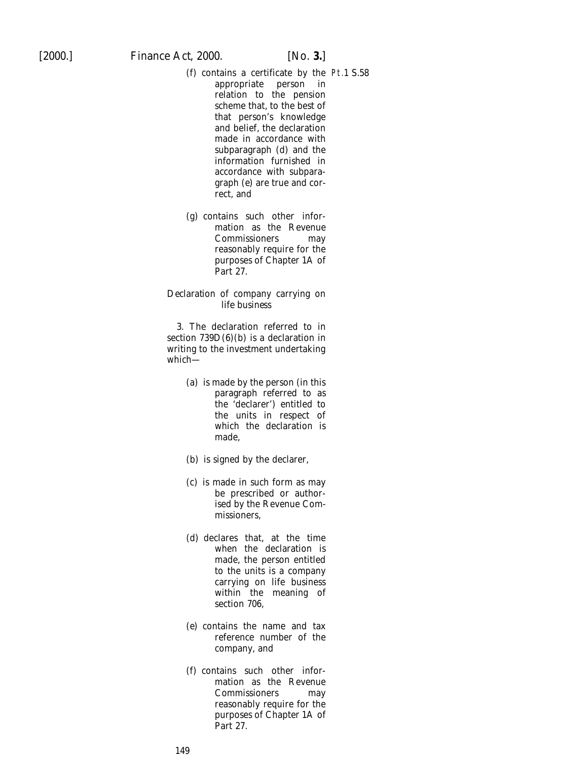- (*f*) contains a certificate by the Pt.1 S.58 person in relation to the pension scheme that, to the best of that person's knowledge and belief, the declaration made in accordance with subparagraph (*d*) and the information furnished in accordance with subparagraph (*e*) are true and correct, and
- (*g*) contains such other information as the Revenue Commissioners may reasonably require for the purposes of Chapter 1A of Part 27.

## *Declaration of company carrying on life business*

3. The declaration referred to in section  $739D(6)(b)$  is a declaration in writing to the investment undertaking which—

- (*a*) is made by the person (in this paragraph referred to as the 'declarer') entitled to the units in respect of which the declaration is made,
- (*b*) is signed by the declarer,
- (*c*) is made in such form as may be prescribed or authorised by the Revenue Commissioners,
- (*d*) declares that, at the time when the declaration is made, the person entitled to the units is a company carrying on life business within the meaning of section 706,
- (*e*) contains the name and tax reference number of the company, and
- (*f*) contains such other information as the Revenue Commissioners may reasonably require for the purposes of Chapter 1A of Part 27.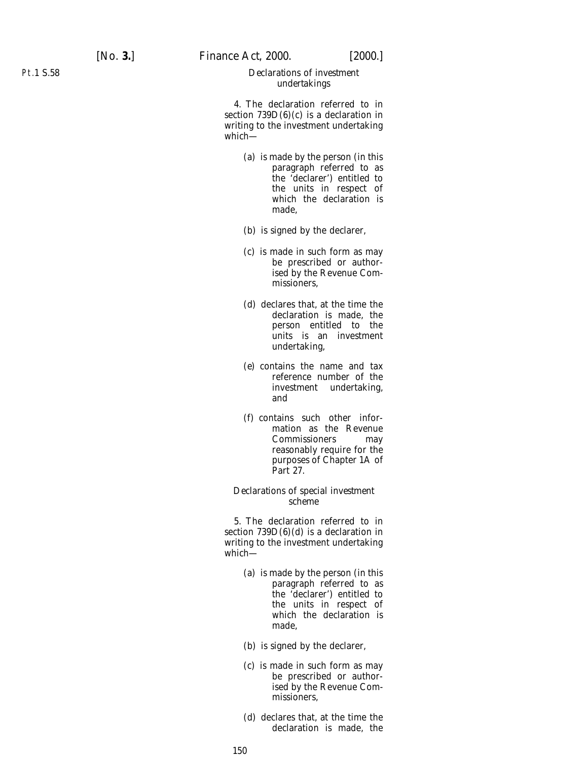## *Declarations of investment undertakings*

4. The declaration referred to in section  $739D(6)(c)$  is a declaration in writing to the investment undertaking which—

- (*a*) is made by the person (in this paragraph referred to as the 'declarer') entitled to the units in respect of which the declaration is made,
- (*b*) is signed by the declarer,
- (*c*) is made in such form as may be prescribed or authorised by the Revenue Commissioners,
- (*d*) declares that, at the time the declaration is made, the person entitled to the units is an investment undertaking,
- (*e*) contains the name and tax reference number of the investment undertaking, and
- (*f*) contains such other information as the Revenue Commissioners may reasonably require for the purposes of Chapter 1A of Part 27.

#### *Declarations of special investment scheme*

5. The declaration referred to in section  $739D(6)(d)$  is a declaration in writing to the investment undertaking which—

- (*a*) is made by the person (in this paragraph referred to as the 'declarer') entitled to the units in respect of which the declaration is made,
- (*b*) is signed by the declarer,
- (*c*) is made in such form as may be prescribed or authorised by the Revenue Commissioners,
- (*d*) declares that, at the time the declaration is made, the

Pt.1 S.58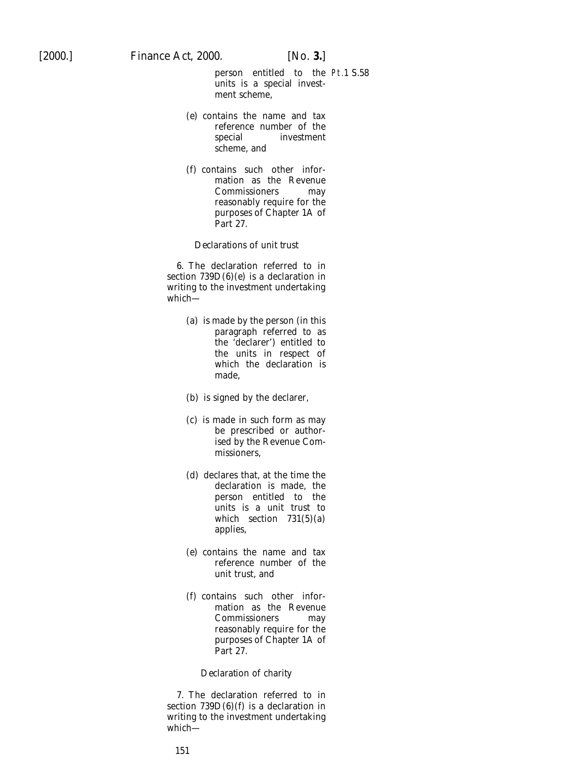person entitled to the Pt.1 S.58 units is a special investment scheme,

- (*e*) contains the name and tax reference number of the special investment scheme, and
- (*f*) contains such other information as the Revenue Commissioners may reasonably require for the purposes of Chapter 1A of Part 27.

## *Declarations of unit trust*

6. The declaration referred to in section 739D(6)(*e*) is a declaration in writing to the investment undertaking which—

- (*a*) is made by the person (in this paragraph referred to as the 'declarer') entitled to the units in respect of which the declaration is made,
- (*b*) is signed by the declarer,
- (*c*) is made in such form as may be prescribed or authorised by the Revenue Commissioners,
- (*d*) declares that, at the time the declaration is made, the person entitled to the units is a unit trust to which section 731(5)(*a*) applies,
- (*e*) contains the name and tax reference number of the unit trust, and
- (*f*) contains such other information as the Revenue Commissioners may reasonably require for the purposes of Chapter 1A of Part 27.

#### *Declaration of charity*

7. The declaration referred to in section 739D(6)(*f*) is a declaration in writing to the investment undertaking which—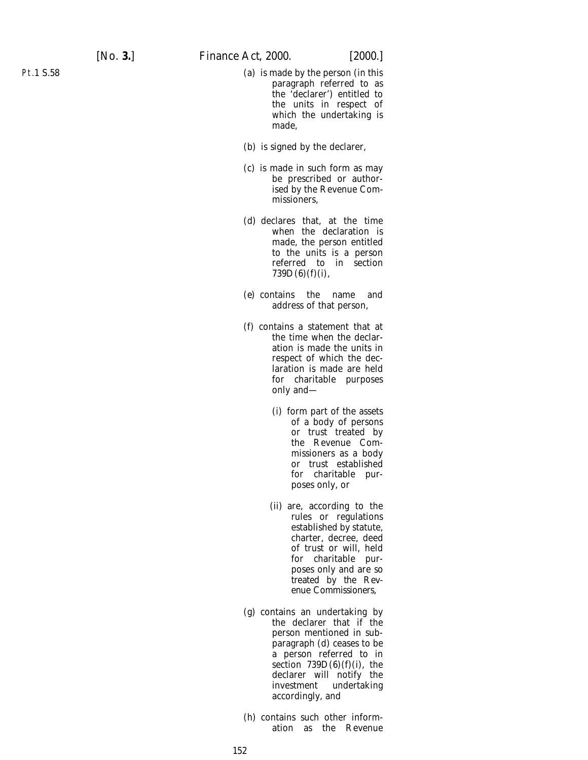- paragraph referred to as the 'declarer') entitled to the units in respect of which the undertaking is made,
- (*b*) is signed by the declarer,
- (*c*) is made in such form as may be prescribed or authorised by the Revenue Commissioners,
- ( *d*) declares that, at the time when the declaration is made, the person entitled to the units is a person referred to in section 739D(6)(*f*)(i),
- ( *e*) contains the name and address of that person,
- (*f*) contains a statement that at the time when the declaration is made the units in respect of which the declaration is made are held for charitable purposes only and—
	- (i) form part of the assets of a body of persons or trust treated by the Revenue Commissioners as a body or trust established for charitable purposes only, or
	- (ii) are, according to the rules or regulations established by statute, charter, decree, deed of trust or will, held for charitable purposes only and are so treated by the Revenue Commissioners,
- (a) is made by the person (in this conduction and by the person (in this conduction the declarer) entitled to the undertaking is the declarer) entitled to which made, (b) is signed by the declarer, (c) is made in such fo (*g*) contains an undertaking by the declarer that if the person mentioned in subparagraph (*d*) ceases to be a person referred to in section  $739D(6)(f)(i)$ , the declarer will notify the investment undertaking accordingly, and
	- (*h*) contains such other information as the Revenue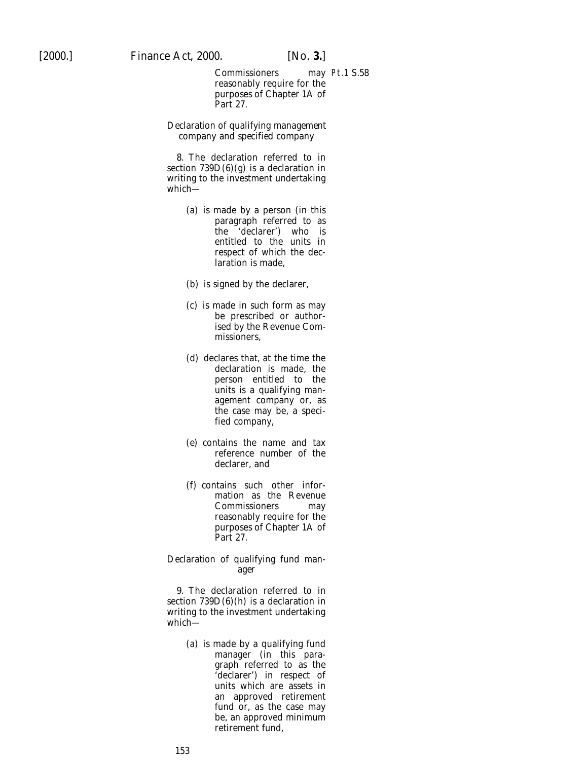Commissioners may Pt.1 S.58 reasonably require for the purposes of Chapter 1A of Part 27.

#### *Declaration of qualifying management company and specified company*

8. The declaration referred to in section  $739D(6)(g)$  is a declaration in writing to the investment undertaking which—

- (*a*) is made by a person (in this paragraph referred to as the 'declarer') who is entitled to the units in respect of which the declaration is made,
- (*b*) is signed by the declarer,
- (*c*) is made in such form as may be prescribed or authorised by the Revenue Commissioners,
- (*d*) declares that, at the time the declaration is made, the person entitled to the units is a qualifying management company or, as the case may be, a specified company,
- (*e*) contains the name and tax reference number of the declarer, and
- (*f*) contains such other information as the Revenue Commissioners may reasonably require for the purposes of Chapter 1A of Part 27.

*Declaration of qualifying fund manager*

9. The declaration referred to in section 739D(6)(*h*) is a declaration in writing to the investment undertaking which—

> (*a*) is made by a qualifying fund manager (in this paragraph referred to as the 'declarer') in respect of units which are assets in an approved retirement fund or, as the case may be, an approved minimum retirement fund,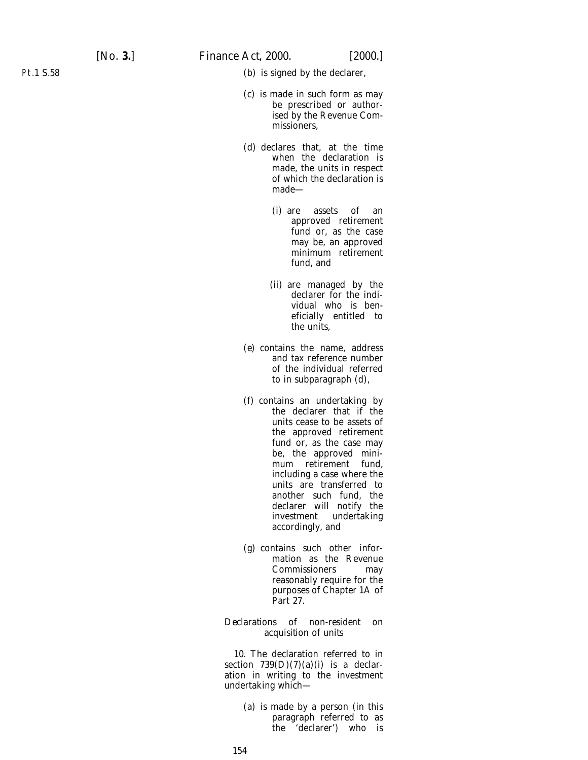Pt.1 S.58

- (*b*) is signed by the declarer,
- (*c*) is made in such form as may be prescribed or authorised by the Revenue Commissioners,
- (*d*) declares that, at the time when the declaration is made, the units in respect of which the declaration is made—
	- (i) are assets of an approved retirement fund or, as the case may be, an approved minimum retirement fund, and
	- (ii) are managed by the declarer for the individual who is beneficially entitled to the units,
- (*e*) contains the name, address and tax reference number of the individual referred to in subparagraph (*d*),
- (*f*) contains an undertaking by the declarer that if the units cease to be assets of the approved retirement fund or, as the case may be, the approved minimum retirement fund, including a case where the units are transferred to another such fund, the declarer will notify the investment undertaking accordingly, and
- (*g*) contains such other information as the Revenue Commissioners may reasonably require for the purposes of Chapter 1A of Part 27.

## *Declarations of non-resident on acquisition of units*

10. The declaration referred to in section  $739(D)(7)(a)(i)$  is a declaration in writing to the investment undertaking which—

> (*a*) is made by a person (in this paragraph referred to as the 'declarer') who is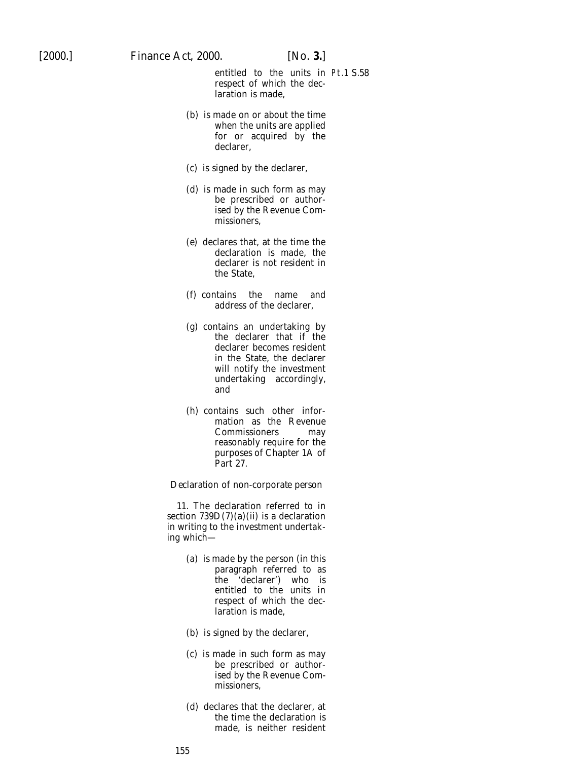entitled to the units in Pt.1 S.58 respect of which the declaration is made,

- (*b*) is made on or about the time when the units are applied for or acquired by the declarer,
- (*c*) is signed by the declarer,
- (*d*) is made in such form as may be prescribed or authorised by the Revenue Commissioners,
- (*e*) declares that, at the time the declaration is made, the declarer is not resident in the State,
- (*f*) contains the name and address of the declarer,
- (*g*) contains an undertaking by the declarer that if the declarer becomes resident in the State, the declarer will notify the investment undertaking accordingly, and
- (*h*) contains such other information as the Revenue Commissioners may reasonably require for the purposes of Chapter 1A of Part 27.

#### *Declaration of non-corporate person*

11. The declaration referred to in section  $739D(7)(a)$ (ii) is a declaration in writing to the investment undertaking which—

- (*a*) is made by the person (in this paragraph referred to as the 'declarer') who is entitled to the units in respect of which the declaration is made,
- (*b*) is signed by the declarer,
- (*c*) is made in such form as may be prescribed or authorised by the Revenue Commissioners,
- (*d*) declares that the declarer, at the time the declaration is made, is neither resident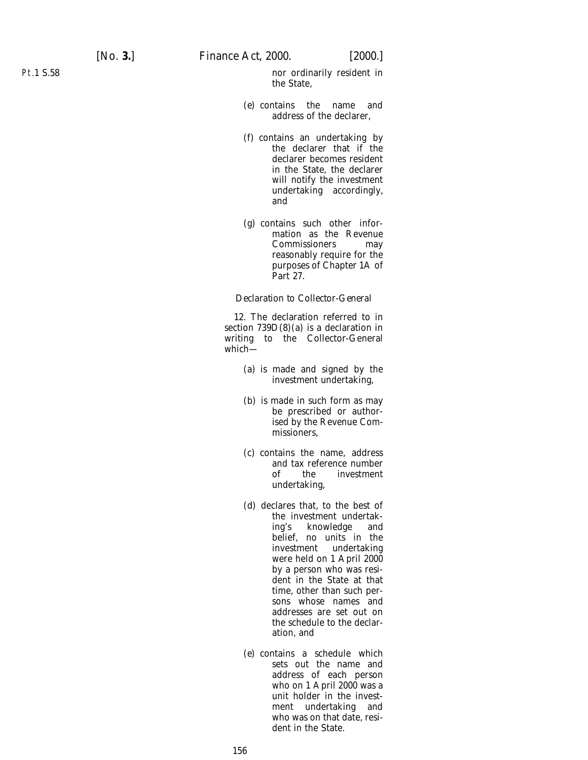nor ordinarily resident in the State,

- (*e*) contains the name and address of the declarer,
- (*f*) contains an undertaking by the declarer that if the declarer becomes resident in the State, the declarer will notify the investment undertaking accordingly, and
- (*g*) contains such other information as the Revenue Commissioners may reasonably require for the purposes of Chapter 1A of Part 27.

## *Declaration to Collector-General*

12. The declaration referred to in section 739D(8)(*a*) is a declaration in writing to the Collector-General which—

- (*a*) is made and signed by the investment undertaking,
- (*b*) is made in such form as may be prescribed or authorised by the Revenue Commissioners,
- (*c*) contains the name, address and tax reference number<br>of the investment investment undertaking,
- (*d*) declares that, to the best of the investment undertak-<br>ing's knowledge and knowledge and belief, no units in the investment undertaking were held on 1 April 2000 by a person who was resident in the State at that time, other than such persons whose names and addresses are set out on the schedule to the declaration, and
- (*e*) contains a schedule which sets out the name and address of each person who on 1 April 2000 was a unit holder in the investment undertaking and who was on that date, resident in the State.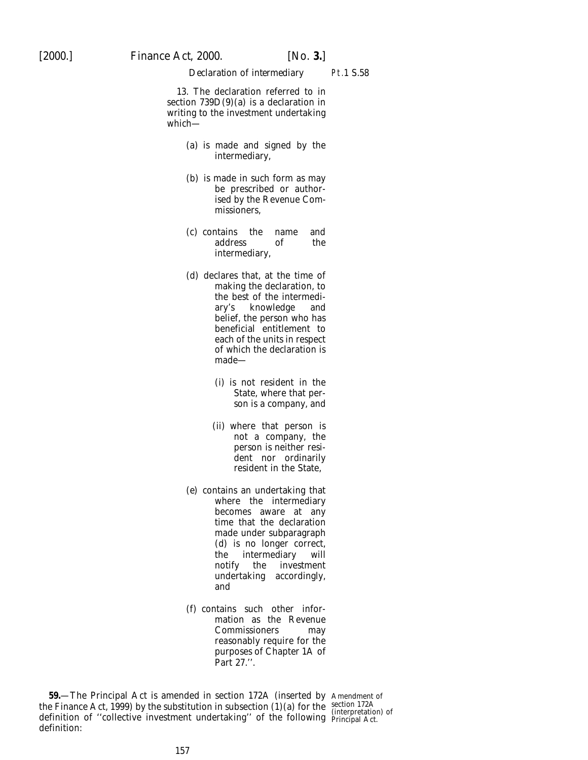## *Declaration of intermediary* Pt.1 S.58

13. The declaration referred to in section 739D(9)(*a*) is a declaration in writing to the investment undertaking which—

- (*a*) is made and signed by the intermediary,
- (*b*) is made in such form as may be prescribed or authorised by the Revenue Commissioners,
- (*c*) contains the name and address of the intermediary,
- (*d*) declares that, at the time of making the declaration, to the best of the intermediary's knowledge and knowledge and belief, the person who has beneficial entitlement to each of the units in respect of which the declaration is made—
	- (i) is not resident in the State, where that person is a company, and
	- (ii) where that person is not a company, the person is neither resident nor ordinarily resident in the State,
- (*e*) contains an undertaking that where the intermediary becomes aware at any time that the declaration made under subparagraph (*d*) is no longer correct, the intermediary will<br>notify the investment notify the investment undertaking accordingly, and
- (*f*) contains such other information as the Revenue Commissioners may reasonably require for the purposes of Chapter 1A of Part 27.''.

**59.**—The Principal Act is amended in section 172A (inserted by Amendment of the Finance Act, 1999) by the substitution in subsection  $(1)(a)$  for the section 172A definition of ''collective investment undertaking'' of the following (interpretation) of Principal Act.definition: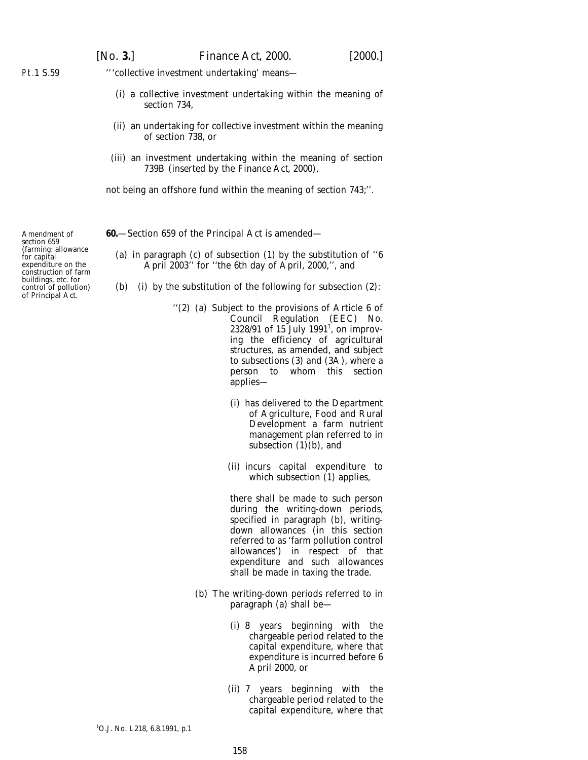'''collective investment undertaking' means—

- (i) a collective investment undertaking within the meaning of section 734,
- (ii) an undertaking for collective investment within the meaning of section 738, or
- (iii) an investment undertaking within the meaning of section 739B (inserted by the *Finance Act, 2000*),

not being an offshore fund within the meaning of section 743;''.

**60.**—Section 659 of the Principal Act is amended—

- (*a*) in paragraph (*c*) of subsection (1) by the substitution of ''6 April 2003'' for ''the 6th day of April, 2000,'', and
- (*b*) (i) by the substitution of the following for subsection (2):
	- ''(2) (*a*) Subject to the provisions of Article 6 of Council Regulation (EEC) No. 2328/91 of 15 July 1991<sup>1</sup>, on improving the efficiency of agricultural structures, as amended, and subject to subsections (3) and (3A), where a person to whom this section applies—
		- (i) has delivered to the Department of Agriculture, Food and Rural Development a farm nutrient management plan referred to in subsection  $(1)(b)$ , and
		- (ii) incurs capital expenditure to which subsection  $(1)$  applies,

there shall be made to such person during the writing-down periods, specified in paragraph (*b*), writingdown allowances (in this section referred to as 'farm pollution control allowances') in respect of that expenditure and such allowances shall be made in taxing the trade.

- (*b*) The writing-down periods referred to in paragraph (*a*) shall be—
	- (i) 8 years beginning with the chargeable period related to the capital expenditure, where that expenditure is incurred before 6 April 2000, or
	- (ii) 7 years beginning with the chargeable period related to the capital expenditure, where that

Amendment of section 659 (farming: allowance for capital expenditure on the construction of farm buildings, etc. for control of pollution) of Principal Act.

Pt.1 S.59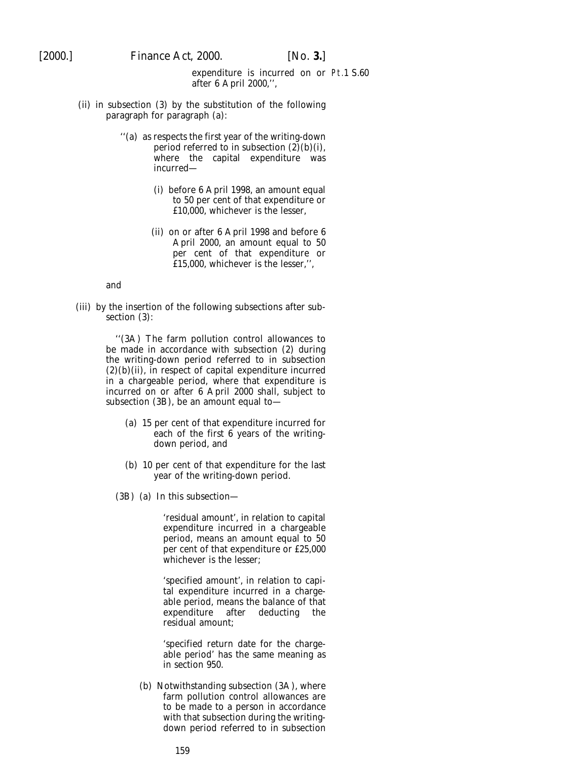expenditure is incurred on or Pt.1 S.60 after 6 April 2000,'',

- (ii) in subsection (3) by the substitution of the following paragraph for paragraph (*a*):
	- ''(*a*) as respects the first year of the writing-down period referred to in subsection  $(2)(b)(i)$ , where the capital expenditure was incurred—
		- (i) before 6 April 1998, an amount equal to 50 per cent of that expenditure or £10,000, whichever is the lesser,
		- (ii) on or after 6 April 1998 and before 6 April 2000, an amount equal to 50 per cent of that expenditure or £15,000, whichever is the lesser,'',

and

(iii) by the insertion of the following subsections after subsection (3):

> ''(3A) The farm pollution control allowances to be made in accordance with subsection (2) during the writing-down period referred to in subsection  $(2)(b)(ii)$ , in respect of capital expenditure incurred in a chargeable period, where that expenditure is incurred on or after 6 April 2000 shall, subject to subsection (3B), be an amount equal to—

- (*a*) 15 per cent of that expenditure incurred for each of the first 6 years of the writingdown period, and
- (*b*) 10 per cent of that expenditure for the last year of the writing-down period.
- (3B) (*a*) In this subsection—

'residual amount', in relation to capital expenditure incurred in a chargeable period, means an amount equal to 50 per cent of that expenditure or £25,000 whichever is the lesser;

'specified amount', in relation to capital expenditure incurred in a chargeable period, means the balance of that expenditure after deducting the residual amount;

'specified return date for the chargeable period' has the same meaning as in section 950.

(*b*) Notwithstanding subsection (3A), where farm pollution control allowances are to be made to a person in accordance with that subsection during the writingdown period referred to in subsection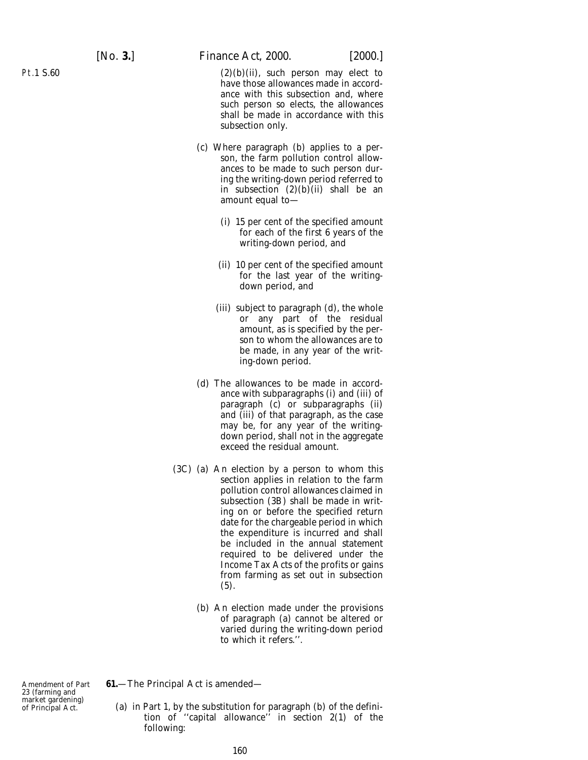Pt.1 S.60

 $(2)(b)(ii)$ , such person may elect to have those allowances made in accordance with this subsection and, where such person so elects, the allowances shall be made in accordance with this subsection only.

- (*c*) Where paragraph (*b*) applies to a person, the farm pollution control allowances to be made to such person during the writing-down period referred to in subsection  $(2)(b)(ii)$  shall be an amount equal to—
	- (i) 15 per cent of the specified amount for each of the first 6 years of the writing-down period, and
	- (ii) 10 per cent of the specified amount for the last year of the writingdown period, and
	- (iii) subject to paragraph (*d*), the whole or any part of the residual amount, as is specified by the person to whom the allowances are to be made, in any year of the writing-down period.
- (*d*) The allowances to be made in accordance with subparagraphs (i) and (iii) of paragraph (*c*) or subparagraphs (ii) and (iii) of that paragraph, as the case may be, for any year of the writingdown period, shall not in the aggregate exceed the residual amount.
- (3C) (*a*) An election by a person to whom this section applies in relation to the farm pollution control allowances claimed in subsection (3B) shall be made in writing on or before the specified return date for the chargeable period in which the expenditure is incurred and shall be included in the annual statement required to be delivered under the Income Tax Acts of the profits or gains from farming as set out in subsection (5).
	- (*b*) An election made under the provisions of paragraph (*a*) cannot be altered or varied during the writing-down period to which it refers.''.

Amendment of Part 23 (farming and market gardening) of Principal Act.

**61.**—The Principal Act is amended—

(*a*) in Part 1, by the substitution for paragraph (*b*) of the definition of ''capital allowance'' in section 2(1) of the following: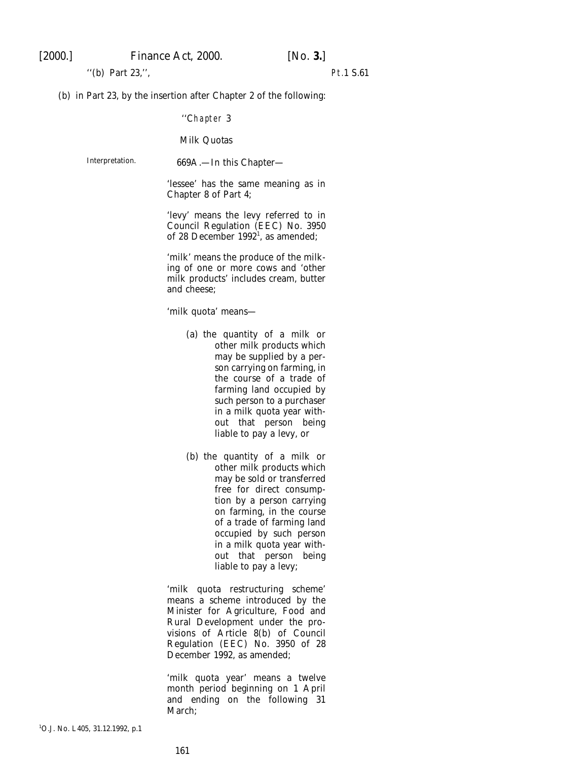''(*b*) Part 23,'', Pt.1 S.61

## (*b*) in Part 23, by the insertion after Chapter 2 of the following:

## ''Chapter 3

#### *Milk Quotas*

Interpretation. 669A.—In this Chapter—

'lessee' has the same meaning as in Chapter 8 of Part 4;

'levy' means the levy referred to in Council Regulation (EEC) No. 3950 of 28 December 19921 , as amended;

'milk' means the produce of the milking of one or more cows and 'other milk products' includes cream, butter and cheese;

'milk quota' means—

- (*a*) the quantity of a milk or other milk products which may be supplied by a person carrying on farming, in the course of a trade of farming land occupied by such person to a purchaser in a milk quota year without that person being liable to pay a levy, or
- (*b*) the quantity of a milk or other milk products which may be sold or transferred free for direct consumption by a person carrying on farming, in the course of a trade of farming land occupied by such person in a milk quota year without that person being liable to pay a levy;

'milk quota restructuring scheme' means a scheme introduced by the Minister for Agriculture, Food and Rural Development under the provisions of Article 8(*b*) of Council Regulation (EEC) No. 3950 of 28 December 1992, as amended;

'milk quota year' means a twelve month period beginning on 1 April and ending on the following 31 March;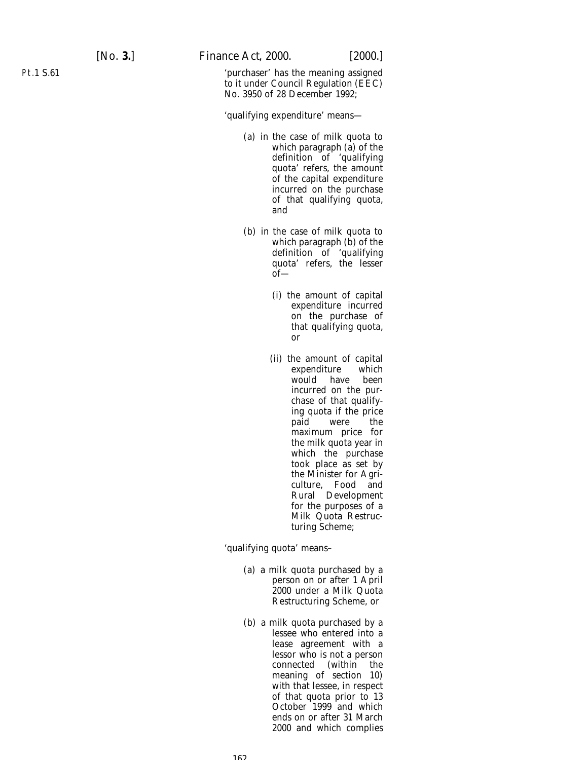'purchaser' has the meaning assigned to it under Council Regulation (EEC) No. 3950 of 28 December 1992;

'qualifying expenditure' means—

- (*a*) in the case of milk quota to which paragraph ( *a*) of the definition of 'qualifying quota' refers, the amount of the capital expenditure incurred on the purchase of that qualifying quota, and
- (*b*) in the case of milk quota to which paragraph  $(\tilde{b})$  of the definition of 'qualifying quota' refers, the lesser  $of$ 
	- (i) the amount of capital expenditure incurred on the purchase of that qualifying quota, or
	- (ii) the amount of capital expenditure which would have been incurred on the purchase of that qualifying quota if the price paid were maximum price for the milk quota year in which the purchase took place as set by the Minister for Agriculture, Food and Rural Development for the purposes of a Milk Quota Restructuring Scheme;

'qualifying quota' means–

- (*a*) a milk quota purchased by a person on or after 1 April 2000 under a Milk Quota Restructuring Scheme, or
- (*b*) a milk quota purchased by a lessee who entered into a lease agreement with a lessor who is not a person  $(within$  the meaning of section 10) with that lessee, in respect of that quota prior to 13 October 1999 and which ends on or after 31 March 2000 and which complies

Pt.1 S.61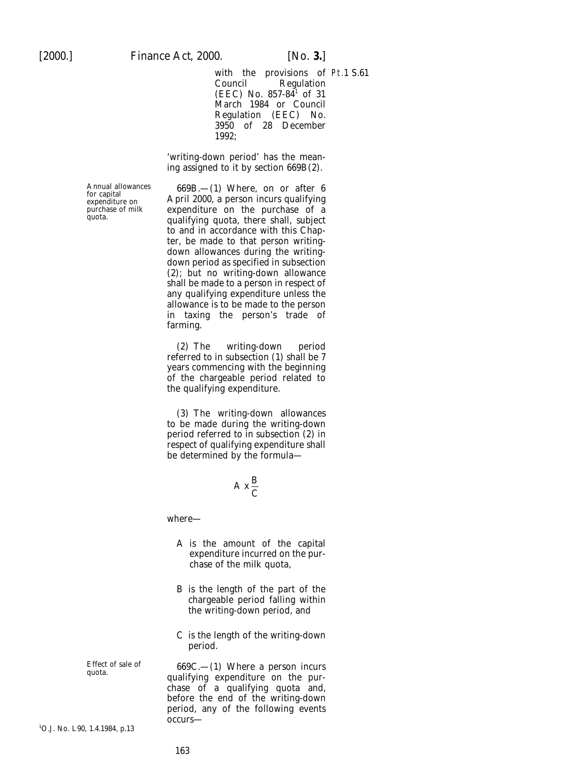with the provisions of Pt.1 S.61 Council Regulation (EEC) No.  $857-84^1$  of 31 March 1984 or Council Regulation (EEC) No. 3950 of 28 December 1992;

'writing-down period' has the meaning assigned to it by section 669B(2).

Annual allowances 669B.—(1) Where, on or after 6 for capital expenditure on April 2000, a person incurs qualifying expenditure on April 2000, a person incurs qualifying<br>purchase of milk expenditure on the purchase of a quota. qualifying quota, there shall, subject to and in accordance with this Chapter, be made to that person writingdown allowances during the writingdown period as specified in subsection (2); but no writing-down allowance shall be made to a person in respect of any qualifying expenditure unless the allowance is to be made to the person in taxing the person's trade of farming.

> (2) The writing-down period referred to in subsection (1) shall be 7 years commencing with the beginning of the chargeable period related to the qualifying expenditure.

> (3) The writing-down allowances to be made during the writing-down period referred to in subsection (2) in respect of qualifying expenditure shall be determined by the formula—

# $A x = B$  $\mathbf C$

where—

- A is the amount of the capital expenditure incurred on the purchase of the milk quota,
- B is the length of the part of the chargeable period falling within the writing-down period, and
- C is the length of the writing-down period.

Effect of sale of 669C.—(1) Where a person incurs quota. qualifying expenditure on the purchase of a qualifying quota and, before the end of the writing-down period, any of the following events

occurs— <sup>1</sup> O.J. No. L90, 1.4.1984, p.13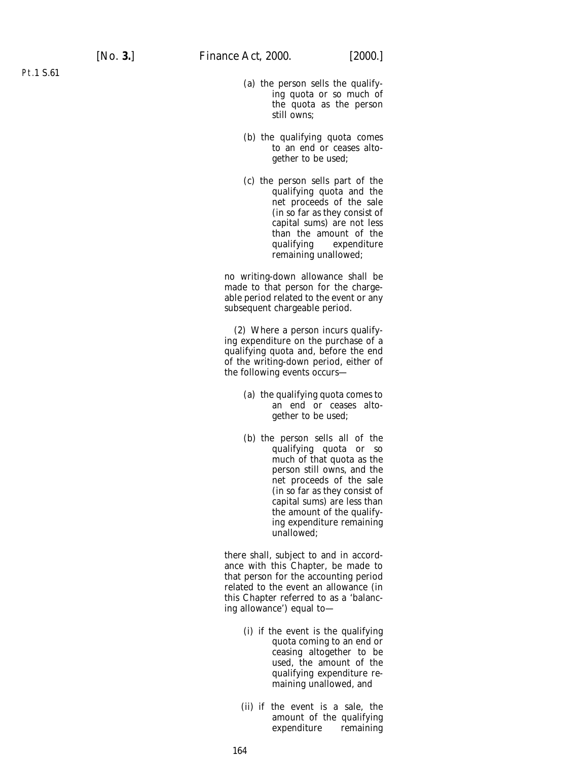- ing quota or so much of the quota as the person still owns;
- (*b*) the qualifying quota comes to an end or ceases altogether to be used;
- ( *c*) the person sells part of the qualifying quota and the net proceeds of the sale (in so far as they consist of capital sums) are not less than the amount of the qualifying expenditure remaining unallowed;

no writing-down allowance shall be made to that person for the chargeable period related to the event or any subsequent chargeable period.

(2) Where a person incurs qualifying expenditure on the purchase of a qualifying quota and, before the end of the writing-down period, either of the following events occurs—

- (*a*) the qualifying quota comes to an end or ceases altogether to be used;
- (a) the person sells the qualify-<br>the qualify-the qualify-<br>the qualify-<br>the quota as the person<br>still owns;<br>(b) the qualifying quota comes<br>gether to be used;<br>(c) the person sells part of the<br>qualifying quota and the<br>net pr (*b*) the person sells all of the qualifying quota or so much of that quota as the person still owns, and the net proceeds of the sale (in so far as they consist of capital sums) are less than the amount of the qualifying expenditure remaining unallowed;

there shall, subject to and in accordance with this Chapter, be made to that person for the accounting period related to the event an allowance (in this Chapter referred to as a 'balancing allowance') equal to—

- (i) if the event is the qualifying quota coming to an end or ceasing altogether to be used, the amount of the qualifying expenditure remaining unallowed, and
- (ii) if the event is a sale, the amount of the qualifying expenditure remaining

Pt.1 S.61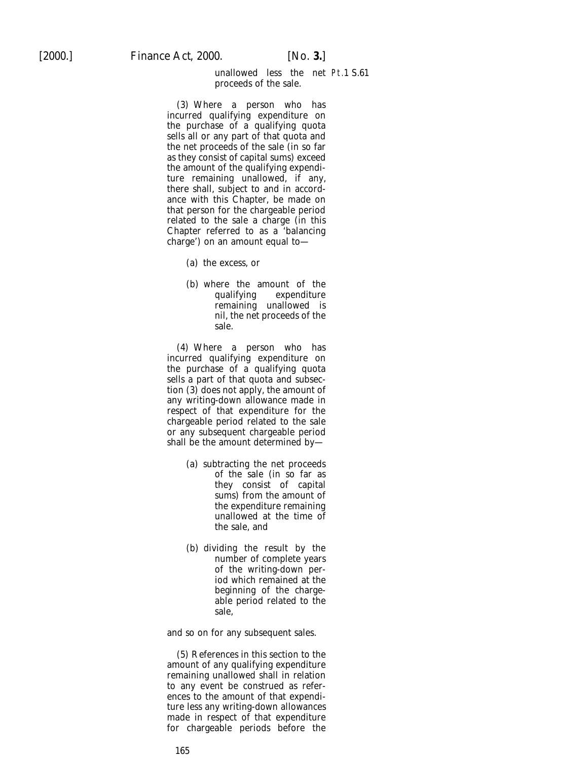## unallowed less the net Pt.1 S.61 proceeds of the sale.

(3) Where a person who has incurred qualifying expenditure on the purchase of a qualifying quota sells all or any part of that quota and the net proceeds of the sale (in so far as they consist of capital sums) exceed the amount of the qualifying expenditure remaining unallowed, if any, there shall, subject to and in accordance with this Chapter, be made on that person for the chargeable period related to the sale a charge (in this Chapter referred to as a 'balancing charge') on an amount equal to—

- (*a*) the excess, or
- (*b*) where the amount of the qualifying expenditure remaining unallowed is nil, the net proceeds of the sale.

(4) Where a person who has incurred qualifying expenditure on the purchase of a qualifying quota sells a part of that quota and subsection (3) does not apply, the amount of any writing-down allowance made in respect of that expenditure for the chargeable period related to the sale or any subsequent chargeable period shall be the amount determined by—

- (*a*) subtracting the net proceeds of the sale (in so far as they consist of capital sums) from the amount of the expenditure remaining unallowed at the time of the sale, and
- (*b*) dividing the result by the number of complete years of the writing-down period which remained at the beginning of the chargeable period related to the sale,

and so on for any subsequent sales.

(5) References in this section to the amount of any qualifying expenditure remaining unallowed shall in relation to any event be construed as references to the amount of that expenditure less any writing-down allowances made in respect of that expenditure for chargeable periods before the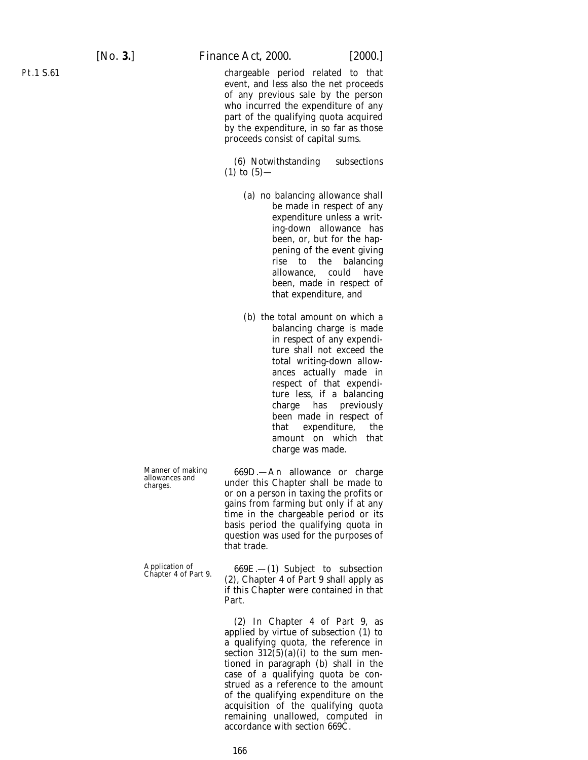chargeable period related to that event, and less also the net proceeds of any previous sale by the person who incurred the expenditure of any part of the qualifying quota acquired by the expenditure, in so far as those proceeds consist of capital sums.

(6) Notwithstanding subsections  $(1)$  to  $(5)$ —

- (*a*) no balancing allowance shall be made in respect of any expenditure unless a writing-down allowance has been, or, but for the happening of the event giving rise to the balancing allowance, could have been, made in respect of that expenditure, and
- (*b*) the total amount on which a balancing charge is made in respect of any expenditure shall not exceed the total writing-down allowances actually made in respect of that expenditure less, if a balancing charge has previously been made in respect of that expenditure, the amount on which that charge was made.

Manner of making 669D.—An allowance or charge allowances and under this Chapter shall be made to under this Chapter shall be made to or on a person in taxing the profits or gains from farming but only if at any time in the chargeable period or its basis period the qualifying quota in question was used for the purposes of that trade.

Application of 669E.—(1) Subject to subsection Chapter 4 of Part 9. (2), Chapter 4 of Part 9 shall apply as if this Chapter were contained in that Part.

> (2) In Chapter 4 of Part 9, as applied by virtue of subsection (1) to a qualifying quota, the reference in section  $312(5)(a)(i)$  to the sum mentioned in paragraph (*b*) shall in the case of a qualifying quota be construed as a reference to the amount of the qualifying expenditure on the acquisition of the qualifying quota remaining unallowed, computed in accordance with section 669C.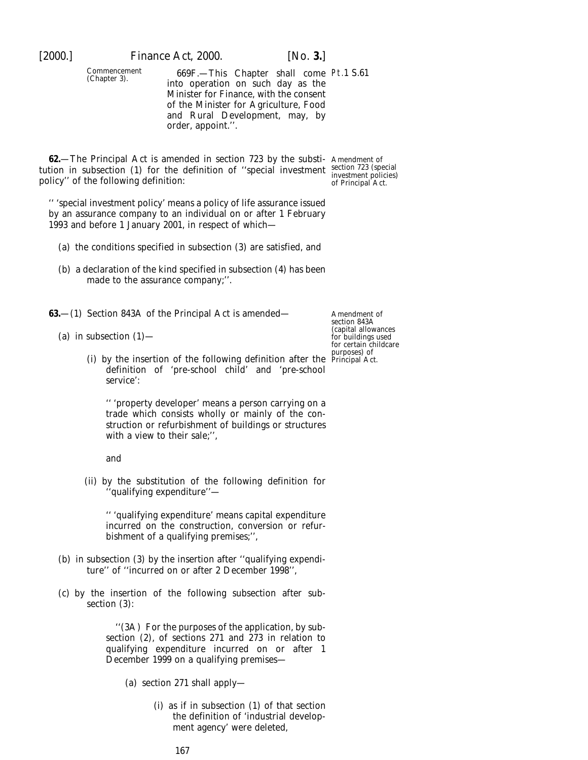[2000.] *Finance Act,* 2000. [*No.* **3.**]

Commencement 669F.—This Chapter shall come Pt.1 S.61 (Chapter 3). into operation on such day as the Minister for Finance, with the consent of the Minister for Agriculture, Food and Rural Development, may, by order, appoint.''.

**62.**—The Principal Act is amended in section 723 by the substi-Amendment of tution in subsection (1) for the definition of "special investment section 723 (special<br>investment policies) policy'' of the following definition:

of Principal Act.

'' 'special investment policy' means a policy of life assurance issued by an assurance company to an individual on or after 1 February 1993 and before 1 January 2001, in respect of which—

- (*a*) the conditions specified in subsection (3) are satisfied, and
- (*b*) a declaration of the kind specified in subsection (4) has been made to the assurance company;''.

**63.**—(1) Section 843A of the Principal Act is amended—

- (*a*) in subsection  $(1)$ 
	- (i) by the insertion of the following definition after the Principal Act. definition of 'pre-school child' and 'pre-school service':

'' 'property developer' means a person carrying on a trade which consists wholly or mainly of the construction or refurbishment of buildings or structures with a view to their sale;'',

and

(ii) by the substitution of the following definition for ''qualifying expenditure''—

'' 'qualifying expenditure' means capital expenditure incurred on the construction, conversion or refurbishment of a qualifying premises;'',

- (*b*) in subsection (3) by the insertion after ''qualifying expenditure'' of ''incurred on or after 2 December 1998'',
- (*c*) by the insertion of the following subsection after subsection (3):

''(3A) For the purposes of the application, by subsection (2), of sections 271 and 273 in relation to qualifying expenditure incurred on or after 1 December 1999 on a qualifying premises—

- (*a*) section 271 shall apply—
	- (i) as if in subsection (1) of that section the definition of 'industrial development agency' were deleted,

Amendment of section 843A (capital allowances for buildings used for certain childcare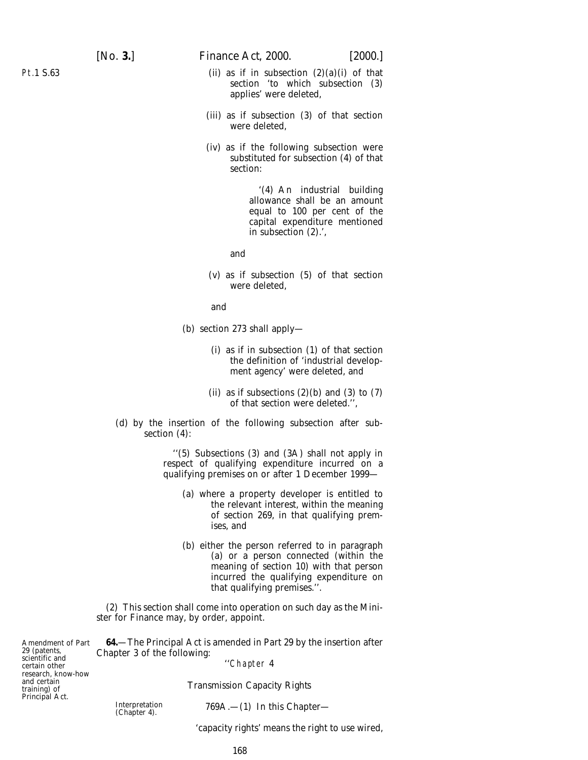- (ii) as if in subsection  $(2)(a)(i)$  of that section 'to which subsection (3) applies' were deleted,
- (iii) as if subsection (3) of that section were deleted,
- (iv) as if the following subsection were substituted for subsection (4) of that section:

'(4) An industrial building allowance shall be an amount equal to 100 per cent of the capital expenditure mentioned in subsection (2).',

and

(v) as if subsection (5) of that section were deleted,

and

- (*b*) section 273 shall apply—
	- (i) as if in subsection (1) of that section the definition of 'industrial development agency' were deleted, and
	- (ii) as if subsections  $(2)(b)$  and  $(3)$  to  $(7)$ of that section were deleted.'',
- (*d*) by the insertion of the following subsection after subsection (4):

''(5) Subsections (3) and (3A) shall not apply in respect of qualifying expenditure incurred on a qualifying premises on or after 1 December 1999—

- (*a*) where a property developer is entitled to the relevant interest, within the meaning of section 269, in that qualifying premises, and
- (*b*) either the person referred to in paragraph (*a*) or a person connected (within the meaning of section 10) with that person incurred the qualifying expenditure on that qualifying premises.''.

(2) This section shall come into operation on such day as the Minister for Finance may, by order, appoint.

**64.**—The Principal Act is amended in Part 29 by the insertion after Chapter 3 of the following:

''Chapter 4

*Transmission Capacity Rights*

Amendment of Part 29 (patents, scientific and certain other research, know-how and certain training) of Principal Act.

Interpretation 769A.—(1) In this Chapter— (Chapter 4).

'capacity rights' means the right to use wired,

Pt.1 S.63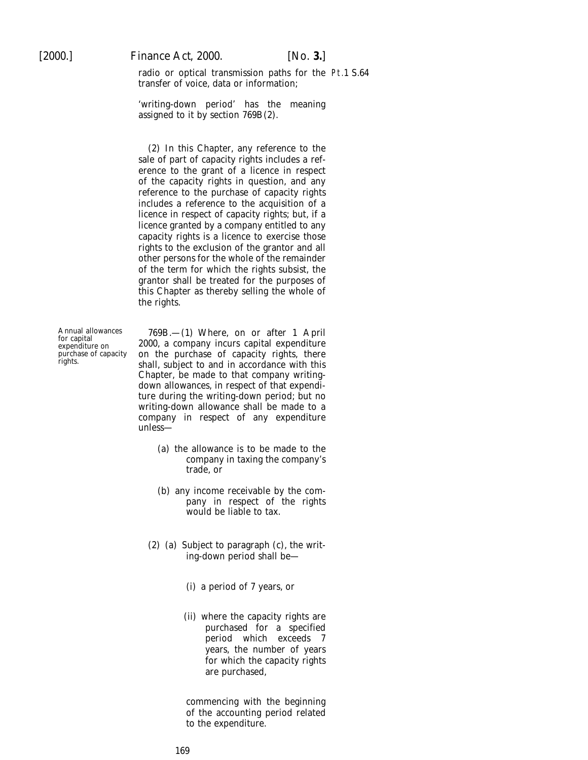[2000.] *Finance Act,* 2000. [*No.* **3.**]

radio or optical transmission paths for the Pt.1 S.64 transfer of voice, data or information;

'writing-down period' has the meaning assigned to it by section 769B(2).

(2) In this Chapter, any reference to the sale of part of capacity rights includes a reference to the grant of a licence in respect of the capacity rights in question, and any reference to the purchase of capacity rights includes a reference to the acquisition of a licence in respect of capacity rights; but, if a licence granted by a company entitled to any capacity rights is a licence to exercise those rights to the exclusion of the grantor and all other persons for the whole of the remainder of the term for which the rights subsist, the grantor shall be treated for the purposes of this Chapter as thereby selling the whole of the rights.

Annual allowances 769B.—(1) Where, on or after 1 April<br>for capital expenditure on 2000, a company incurs capital expenditure expenditure on 2000, a company incurs capital expenditure<br>purchase of capacity on the purchase of capacity rights, there  $\frac{m}{\pi}$  rights. shall, subject to and in accordance with this Chapter, be made to that company writingdown allowances, in respect of that expenditure during the writing-down period; but no writing-down allowance shall be made to a company in respect of any expenditure unless—

- (*a*) the allowance is to be made to the company in taxing the company's trade, or
- (*b*) any income receivable by the company in respect of the rights would be liable to tax.
- (2) (*a*) Subject to paragraph (*c*), the writing-down period shall be—
	- (i) a period of 7 years, or
	- (ii) where the capacity rights are purchased for a specified period which exceeds 7 years, the number of years for which the capacity rights are purchased,

commencing with the beginning of the accounting period related to the expenditure.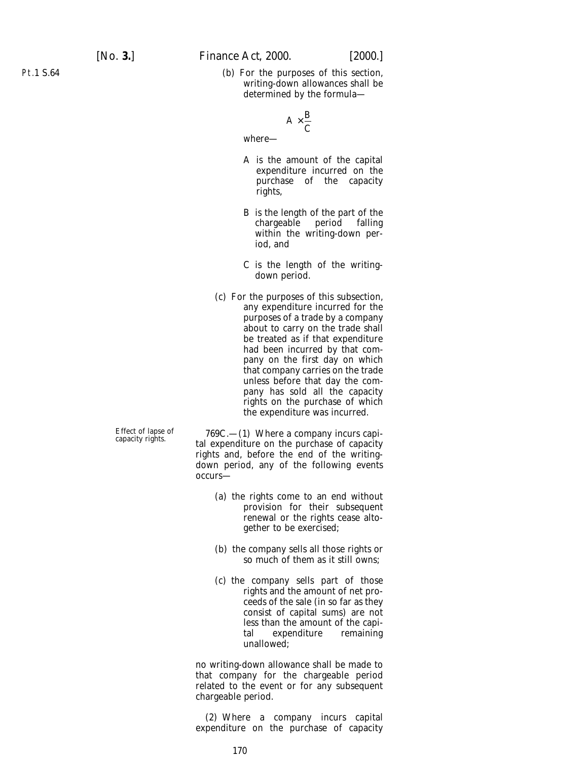(*b*) For the purposes of this section, writing-down allowances shall be determined by the formula—

$$
A \times \frac{B}{C}
$$

where—

- A is the amount of the capital expenditure incurred on the purchase of the capacity rights,
- B is the length of the part of the chargeable period falling within the writing-down period, and
- C is the length of the writingdown period.
- (*c*) For the purposes of this subsection, any expenditure incurred for the purposes of a trade by a company about to carry on the trade shall be treated as if that expenditure had been incurred by that company on the first day on which that company carries on the trade unless before that day the company has sold all the capacity rights on the purchase of which the expenditure was incurred.

Effect of lapse of 769C.—(1) Where a company incurs capi-<br>tal expenditure on the purchase of capacity rights and, before the end of the writingdown period, any of the following events occurs—

- (*a*) the rights come to an end without provision for their subsequent renewal or the rights cease altogether to be exercised;
- (*b*) the company sells all those rights or so much of them as it still owns;
- (*c*) the company sells part of those rights and the amount of net proceeds of the sale (in so far as they consist of capital sums) are not less than the amount of the capital expenditure remaining unallowed;

no writing-down allowance shall be made to that company for the chargeable period related to the event or for any subsequent chargeable period.

(2) Where a company incurs capital expenditure on the purchase of capacity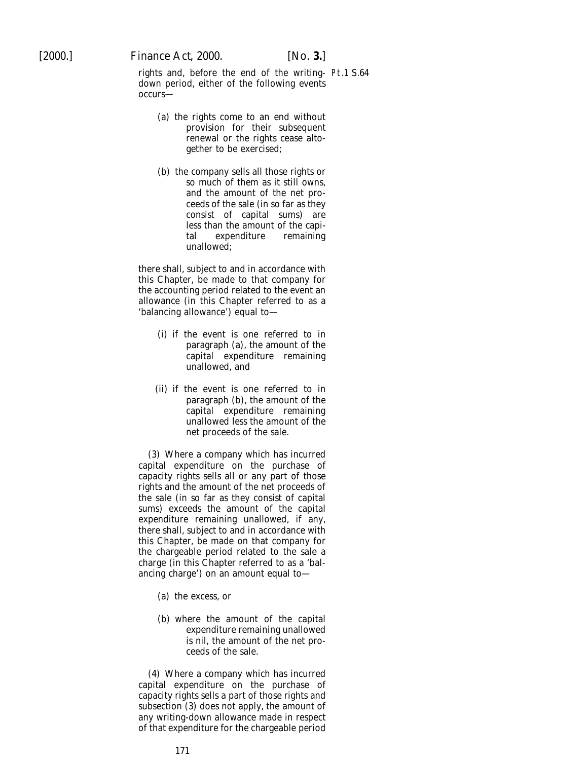[2000.] *Finance Act,* 2000. [*No.* **3.**]

rights and, before the end of the writing- Pt.1 S.64 down period, either of the following events occurs—

- (*a*) the rights come to an end without provision for their subsequent renewal or the rights cease altogether to be exercised;
- (*b*) the company sells all those rights or so much of them as it still owns, and the amount of the net proceeds of the sale (in so far as they consist of capital sums) are less than the amount of the capital expenditure remaining unallowed;

there shall, subject to and in accordance with this Chapter, be made to that company for the accounting period related to the event an allowance (in this Chapter referred to as a 'balancing allowance') equal to—

- (i) if the event is one referred to in paragraph (*a*), the amount of the capital expenditure remaining unallowed, and
- (ii) if the event is one referred to in paragraph (*b*), the amount of the capital expenditure remaining unallowed less the amount of the net proceeds of the sale.

(3) Where a company which has incurred capital expenditure on the purchase of capacity rights sells all or any part of those rights and the amount of the net proceeds of the sale (in so far as they consist of capital sums) exceeds the amount of the capital expenditure remaining unallowed, if any, there shall, subject to and in accordance with this Chapter, be made on that company for the chargeable period related to the sale a charge (in this Chapter referred to as a 'balancing charge') on an amount equal to—

- (*a*) the excess, or
- (*b*) where the amount of the capital expenditure remaining unallowed is nil, the amount of the net proceeds of the sale.

(4) Where a company which has incurred capital expenditure on the purchase of capacity rights sells a part of those rights and subsection (3) does not apply, the amount of any writing-down allowance made in respect of that expenditure for the chargeable period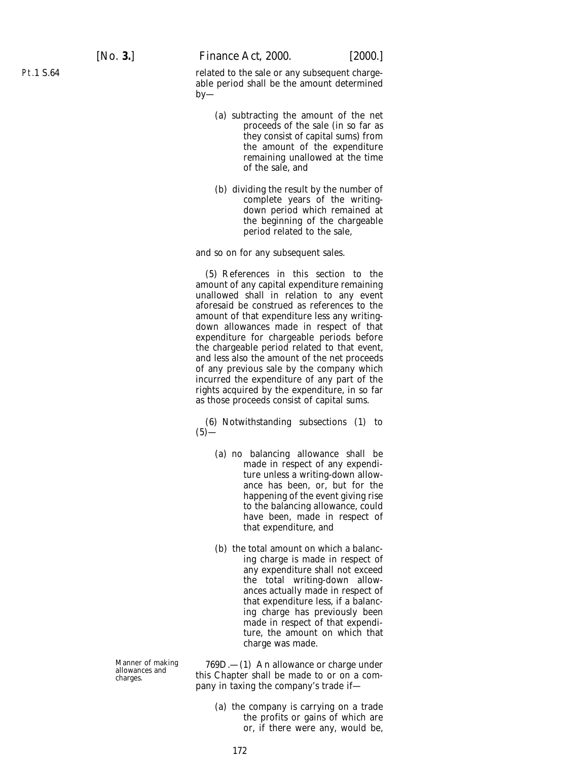Pt.1 S.64

related to the sale or any subsequent chargeable period shall be the amount determined by—

- (*a*) subtracting the amount of the net proceeds of the sale (in so far as they consist of capital sums) from the amount of the expenditure remaining unallowed at the time of the sale, and
- (*b*) dividing the result by the number of complete years of the writingdown period which remained at the beginning of the chargeable period related to the sale,

and so on for any subsequent sales.

(5) References in this section to the amount of any capital expenditure remaining unallowed shall in relation to any event aforesaid be construed as references to the amount of that expenditure less any writingdown allowances made in respect of that expenditure for chargeable periods before the chargeable period related to that event, and less also the amount of the net proceeds of any previous sale by the company which incurred the expenditure of any part of the rights acquired by the expenditure, in so far as those proceeds consist of capital sums.

(6) Notwithstanding subsections (1) to  $(5)$ —

- (*a*) no balancing allowance shall be made in respect of any expenditure unless a writing-down allowance has been, or, but for the happening of the event giving rise to the balancing allowance, could have been, made in respect of that expenditure, and
- (*b*) the total amount on which a balancing charge is made in respect of any expenditure shall not exceed the total writing-down allowances actually made in respect of that expenditure less, if a balancing charge has previously been made in respect of that expenditure, the amount on which that charge was made.

Manner of making 769D.—(1) An allowance or charge under allowances and this Chapter shall be made to or on a company in taxing the company's trade if—

> (*a*) the company is carrying on a trade the profits or gains of which are or, if there were any, would be,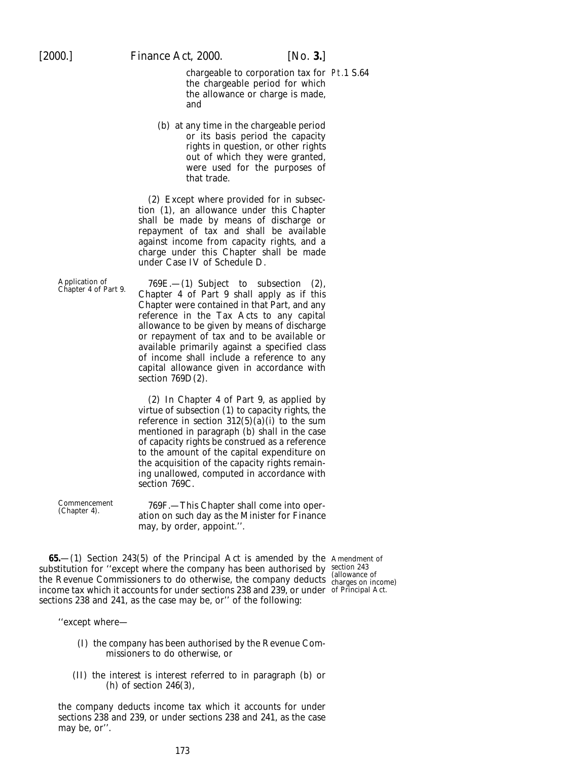chargeable to corporation tax for Pt.1 S.64 the chargeable period for which the allowance or charge is made, and

(*b*) at any time in the chargeable period or its basis period the capacity rights in question, or other rights out of which they were granted, were used for the purposes of that trade.

(2) Except where provided for in subsection (1), an allowance under this Chapter shall be made by means of discharge or repayment of tax and shall be available against income from capacity rights, and a charge under this Chapter shall be made under Case IV of Schedule D.

Application of 769E.—(1) Subject to subsection (2), Chapter 4 of Part 9. Chapter 4 of Part 9 shall apply as if this Chapter were contained in that Part, and any reference in the Tax Acts to any capital allowance to be given by means of discharge or repayment of tax and to be available or available primarily against a specified class of income shall include a reference to any capital allowance given in accordance with section 769D(2).

> (2) In Chapter 4 of Part 9, as applied by virtue of subsection (1) to capacity rights, the reference in section  $312(5)(a)(i)$  to the sum mentioned in paragraph (*b*) shall in the case of capacity rights be construed as a reference to the amount of the capital expenditure on the acquisition of the capacity rights remaining unallowed, computed in accordance with section 769C.

Commencement 769F.—This Chapter shall come into oper-<br>
chapter 4). <br>
ation on such day as the Minister for Finance may, by order, appoint.''.

**65.**—(1) Section 243(5) of the Principal Act is amended by the Amendment of substitution for "except where the company has been authorised by  $\frac{\text{section 243}}{\text{following}}$ the Revenue Commissioners to do otherwise, the company deducts  $\frac{1}{\text{charges on income}}$  (allowance of income tax which it accounts for under sections 238 and 239, or under of Principal Act.sections 238 and 241, as the case may be, or'' of the following:

''except where—

- (I) the company has been authorised by the Revenue Commissioners to do otherwise, or
- (II) the interest is interest referred to in paragraph (*b*) or (*h*) of section 246(3),

the company deducts income tax which it accounts for under sections 238 and 239, or under sections 238 and 241, as the case may be, or''.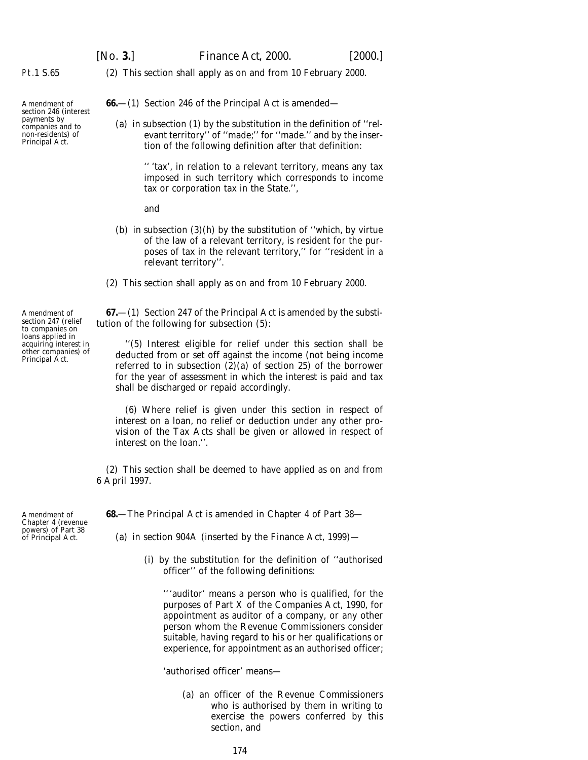[*No.* **3.**] *Finance Act,* 2000. [2000.]

(2) This section shall apply as on and from 10 February 2000.

Pt.1 S.65

Amendment of section 246 (interest payments by companies and to non-residents) of Principal Act.

Amendment of section 247 (relief to companies on loans applied in acquiring interest in other companies) of Principal Act.

- **66.**—(1) Section 246 of the Principal Act is amended—
	- (*a*) in subsection (1) by the substitution in the definition of ''relevant territory'' of ''made;'' for ''made.'' and by the insertion of the following definition after that definition:

'' 'tax', in relation to a relevant territory, means any tax imposed in such territory which corresponds to income tax or corporation tax in the State.'',

and

- (*b*) in subsection (3)(*h*) by the substitution of ''which, by virtue of the law of a relevant territory, is resident for the purposes of tax in the relevant territory,'' for ''resident in a relevant territory''.
- (2) This section shall apply as on and from 10 February 2000.

**67.**—(1) Section 247 of the Principal Act is amended by the substitution of the following for subsection (5):

''(5) Interest eligible for relief under this section shall be deducted from or set off against the income (not being income referred to in subsection (2)(*a*) of section 25) of the borrower for the year of assessment in which the interest is paid and tax shall be discharged or repaid accordingly.

(6) Where relief is given under this section in respect of interest on a loan, no relief or deduction under any other provision of the Tax Acts shall be given or allowed in respect of interest on the loan.''.

(2) This section shall be deemed to have applied as on and from 6 April 1997.

**68.**—The Principal Act is amended in Chapter 4 of Part 38—

(*a*) in section 904A (inserted by the Finance Act, 1999)—

- - (i) by the substitution for the definition of ''authorised officer'' of the following definitions:

'''auditor' means a person who is qualified, for the purposes of Part X of the Companies Act, 1990, for appointment as auditor of a company, or any other person whom the Revenue Commissioners consider suitable, having regard to his or her qualifications or experience, for appointment as an authorised officer;

'authorised officer' means—

(*a*) an officer of the Revenue Commissioners who is authorised by them in writing to exercise the powers conferred by this section, and

Amendment of Chapter 4 (revenue powers) of Part 38 of Principal Act.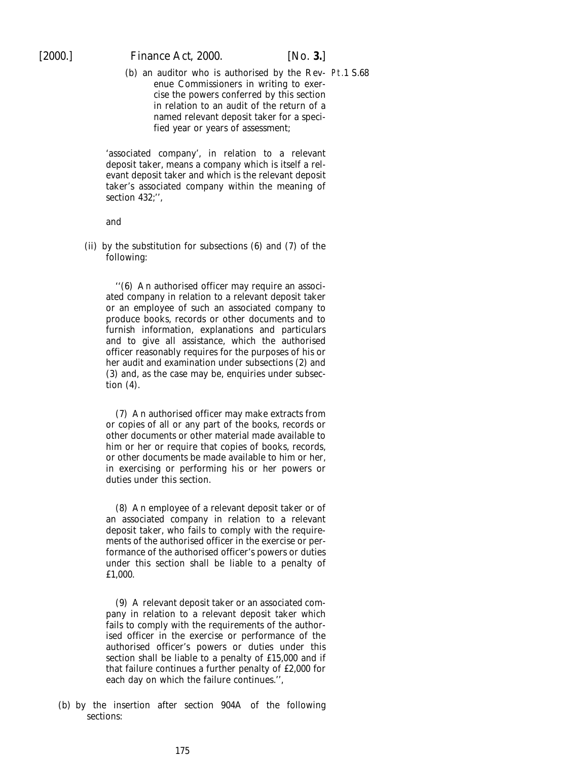[2000.] *Finance Act,* 2000. [*No.* **3.**]

(*b*) an auditor who is authorised by the Rev- Pt.1 S.68 enue Commissioners in writing to exercise the powers conferred by this section in relation to an audit of the return of a named relevant deposit taker for a specified year or years of assessment;

'associated company', in relation to a relevant deposit taker, means a company which is itself a relevant deposit taker and which is the relevant deposit taker's associated company within the meaning of section 432:".

and

(ii) by the substitution for subsections (6) and (7) of the following:

''(6) An authorised officer may require an associated company in relation to a relevant deposit taker or an employee of such an associated company to produce books, records or other documents and to furnish information, explanations and particulars and to give all assistance, which the authorised officer reasonably requires for the purposes of his or her audit and examination under subsections (2) and (3) and, as the case may be, enquiries under subsection (4).

(7) An authorised officer may make extracts from or copies of all or any part of the books, records or other documents or other material made available to him or her or require that copies of books, records, or other documents be made available to him or her, in exercising or performing his or her powers or duties under this section.

(8) An employee of a relevant deposit taker or of an associated company in relation to a relevant deposit taker, who fails to comply with the requirements of the authorised officer in the exercise or performance of the authorised officer's powers or duties under this section shall be liable to a penalty of £1,000.

(9) A relevant deposit taker or an associated company in relation to a relevant deposit taker which fails to comply with the requirements of the authorised officer in the exercise or performance of the authorised officer's powers or duties under this section shall be liable to a penalty of £15,000 and if that failure continues a further penalty of £2,000 for each day on which the failure continues.'',

(*b*) by the insertion after section 904A of the following sections: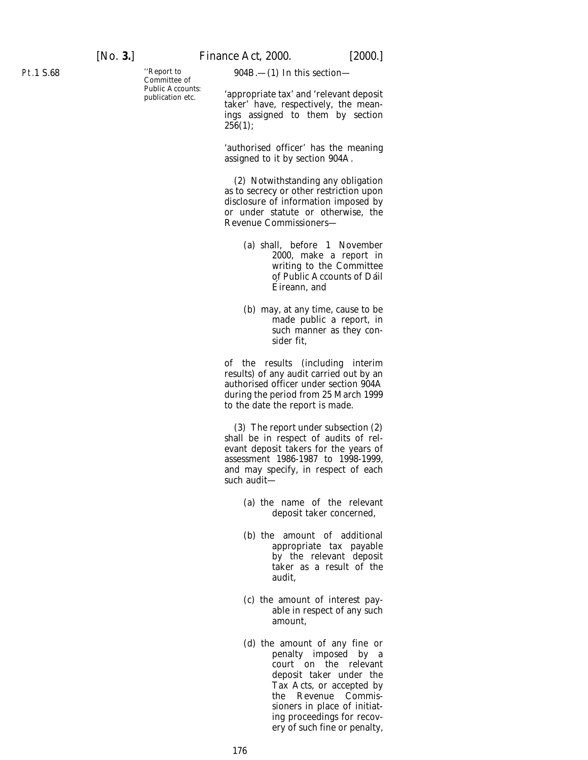Pt.1 S.68

''Report to 904B.—(1) In this section— Committee of

Publication etc. <sup>'</sup>appropriate tax' and 'relevant deposit taker' have, respectively, the meanings assigned to them by section  $256(1);$ 

> 'authorised officer' has the meaning assigned to it by section 904A.

> (2) Notwithstanding any obligation as to secrecy or other restriction upon disclosure of information imposed by or under statute or otherwise, the Revenue Commissioners—

- (*a*) shall, before 1 November 2000, make a report in writing to the Committee of Public Accounts of Dáil Éireann, and
- (*b*) may, at any time, cause to be made public a report, in such manner as they consider fit,

of the results (including interim results) of any audit carried out by an authorised officer under section 904A during the period from 25 March 1999 to the date the report is made.

(3) The report under subsection (2) shall be in respect of audits of relevant deposit takers for the years of assessment 1986-1987 to 1998-1999, and may specify, in respect of each such audit—

- (*a*) the name of the relevant deposit taker concerned,
- (*b*) the amount of additional appropriate tax payable by the relevant deposit taker as a result of the audit,
- (*c*) the amount of interest payable in respect of any such amount,
- (*d*) the amount of any fine or penalty imposed by a court on the relevant deposit taker under the Tax Acts, or accepted by the Revenue Commissioners in place of initiating proceedings for recovery of such fine or penalty,

176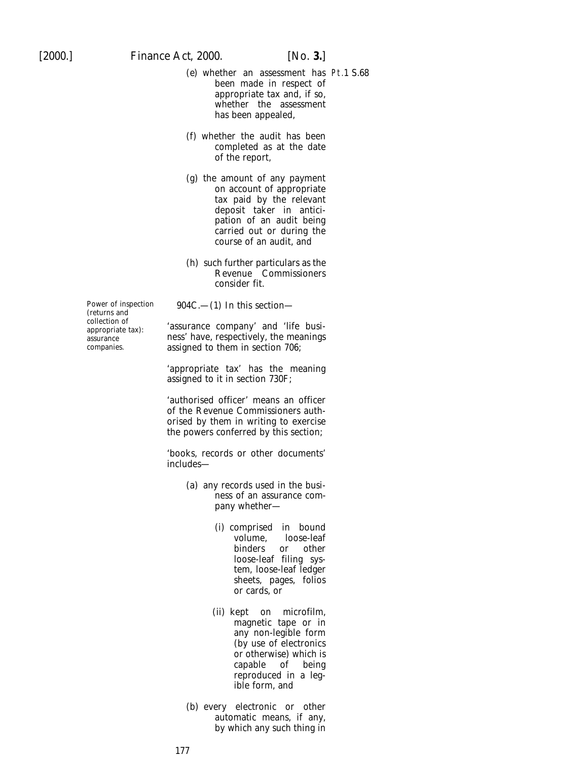- (*e*) whether an assessment has Pt.1 S.68 been made in respect of appropriate tax and, if so, whether the assessment has been appealed,
	- (*f*) whether the audit has been completed as at the date of the report,
	- (*g*) the amount of any payment on account of appropriate tax paid by the relevant deposit taker in anticipation of an audit being carried out or during the course of an audit, and
	- (*h*) such further particulars as the Revenue Commissioners consider fit.

Power of inspection 904C.—(1) In this section—<br>
(returns and collection of

 $\frac{1}{2}$  conection of  $\frac{1}{2}$  'assurance company' and 'life busiassurance and ness' have, respectively, the meanings<br>companies. assigned to them in section 706: assigned to them in section 706;

> 'appropriate tax' has the meaning assigned to it in section 730F;

> 'authorised officer' means an officer of the Revenue Commissioners authorised by them in writing to exercise the powers conferred by this section;

> 'books, records or other documents' includes—

- (*a*) any records used in the business of an assurance company whether—
	- (i) comprised in bound volume, loose-leaf binders or other loose-leaf filing system, loose-leaf ledger sheets, pages, folios or cards, or
	- (ii) kept on microfilm, magnetic tape or in any non-legible form (by use of electronics or otherwise) which is capable of being reproduced in a legible form, and
- (*b*) every electronic or other automatic means, if any, by which any such thing in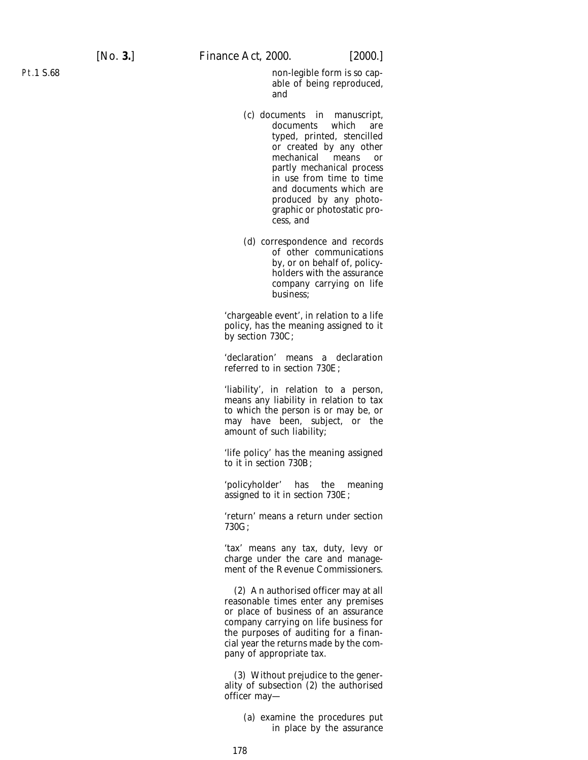non-legible form is so capable of being reproduced, and

- (*c*) documents in manuscript, documents which are typed, printed, stencilled or created by any other mechanical means or partly mechanical process in use from time to time and documents which are produced by any photographic or photostatic process, and
- (*d*) correspondence and records of other communications by, or on behalf of, policyholders with the assurance company carrying on life business;

'chargeable event', in relation to a life policy, has the meaning assigned to it by section 730C;

'declaration' means a declaration referred to in section 730E;

'liability', in relation to a person, means any liability in relation to tax to which the person is or may be, or may have been, subject, or the amount of such liability;

'life policy' has the meaning assigned to it in section 730B;

'policyholder' has the meaning assigned to it in section 730E;

'return' means a return under section 730G;

'tax' means any tax, duty, levy or charge under the care and management of the Revenue Commissioners.

(2) An authorised officer may at all reasonable times enter any premises or place of business of an assurance company carrying on life business for the purposes of auditing for a financial year the returns made by the company of appropriate tax.

(3) Without prejudice to the generality of subsection (2) the authorised officer may—

> (*a*) examine the procedures put in place by the assurance

Pt.1 S.68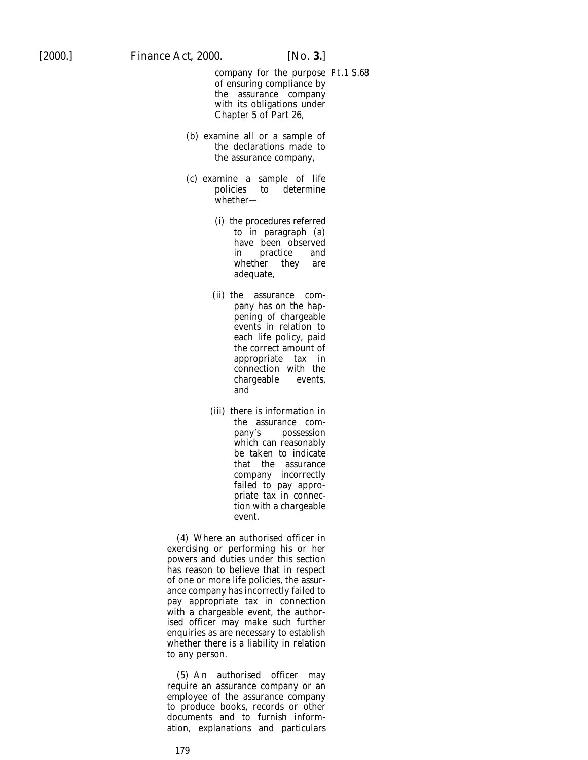- company for the purpose Pt.1 S.68 of ensuring compliance by the assurance company with its obligations under Chapter 5 of Part 26,
- (*b*) examine all or a sample of the declarations made to the assurance company,
- (*c*) examine a sample of life policies to determine whether—
	- (i) the procedures referred to in paragraph (*a*) have been observed in practice and whether they are adequate,
	- (ii) the assurance company has on the happening of chargeable events in relation to each life policy, paid the correct amount of appropriate tax in connection with the chargeable events, and
	- (iii) there is information in the assurance com-<br>pany's possession possession which can reasonably be taken to indicate that the assurance company incorrectly failed to pay appropriate tax in connection with a chargeable event.

(4) Where an authorised officer in exercising or performing his or her powers and duties under this section has reason to believe that in respect of one or more life policies, the assurance company has incorrectly failed to pay appropriate tax in connection with a chargeable event, the authorised officer may make such further enquiries as are necessary to establish whether there is a liability in relation to any person.

(5) An authorised officer may require an assurance company or an employee of the assurance company to produce books, records or other documents and to furnish information, explanations and particulars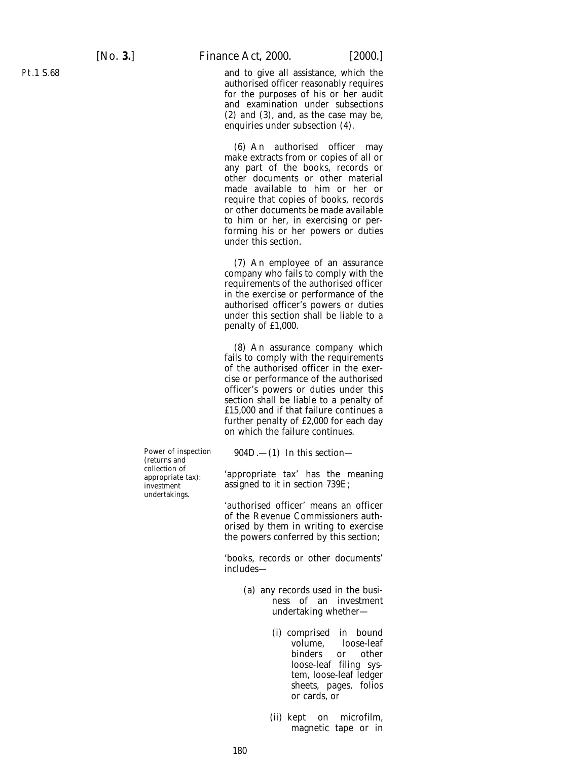Pt.1 S.68

and to give all assistance, which the authorised officer reasonably requires for the purposes of his or her audit and examination under subsections (2) and (3), and, as the case may be, enquiries under subsection (4).

(6) An authorised officer may make extracts from or copies of all or any part of the books, records or other documents or other material made available to him or her or require that copies of books, records or other documents be made available to him or her, in exercising or performing his or her powers or duties under this section.

(7) An employee of an assurance company who fails to comply with the requirements of the authorised officer in the exercise or performance of the authorised officer's powers or duties under this section shall be liable to a penalty of £1,000.

(8) An assurance company which fails to comply with the requirements of the authorised officer in the exercise or performance of the authorised officer's powers or duties under this section shall be liable to a penalty of £15,000 and if that failure continues a further penalty of £2,000 for each day on which the failure continues.

Power of inspection 904D.—(1) In this section—<br>
(returns and collection of undertakings.

conection of the 'appropriate tax' has the meaning<br>
appropriate tax' has the meaning<br>
investment assigned to it in section 739E; assigned to it in section 739E;

> 'authorised officer' means an officer of the Revenue Commissioners authorised by them in writing to exercise the powers conferred by this section;

> 'books, records or other documents' includes—

- (*a*) any records used in the business of an investment undertaking whether—
	- (i) comprised in bound loose-leaf binders or other loose-leaf filing system, loose-leaf ledger sheets, pages, folios or cards, or
	- (ii) kept on microfilm, magnetic tape or in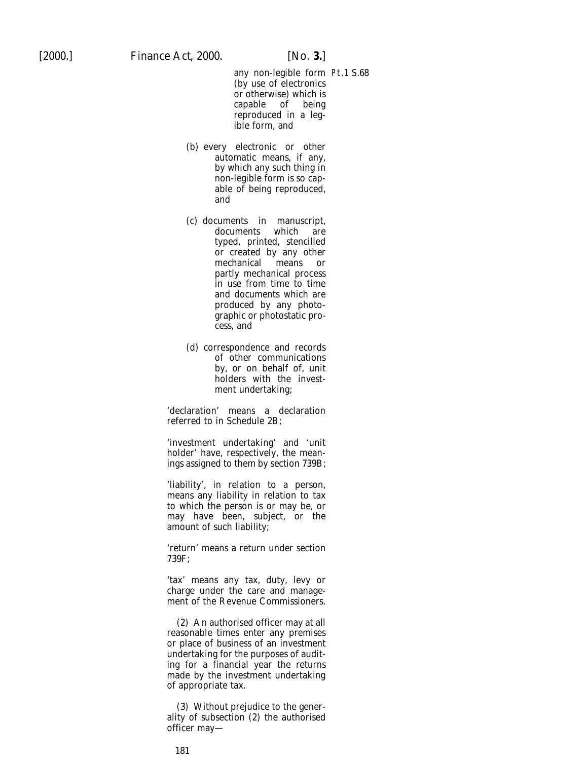- any non-legible form Pt.1 S.68 (by use of electronics or otherwise) which is capable of being reproduced in a legible form, and
- (*b*) every electronic or other automatic means, if any, by which any such thing in non-legible form is so capable of being reproduced, and
- (*c*) documents in manuscript, documents which are typed, printed, stencilled or created by any other mechanical means or partly mechanical process in use from time to time and documents which are produced by any photographic or photostatic process, and
- (*d*) correspondence and records of other communications by, or on behalf of, unit holders with the investment undertaking;

'declaration' means a declaration referred to in Schedule 2B;

'investment undertaking' and 'unit holder' have, respectively, the meanings assigned to them by section 739B;

'liability', in relation to a person, means any liability in relation to tax to which the person is or may be, or may have been, subject, or the amount of such liability;

'return' means a return under section 739F;

'tax' means any tax, duty, levy or charge under the care and management of the Revenue Commissioners.

(2) An authorised officer may at all reasonable times enter any premises or place of business of an investment undertaking for the purposes of auditing for a financial year the returns made by the investment undertaking of appropriate tax.

(3) Without prejudice to the generality of subsection (2) the authorised officer may—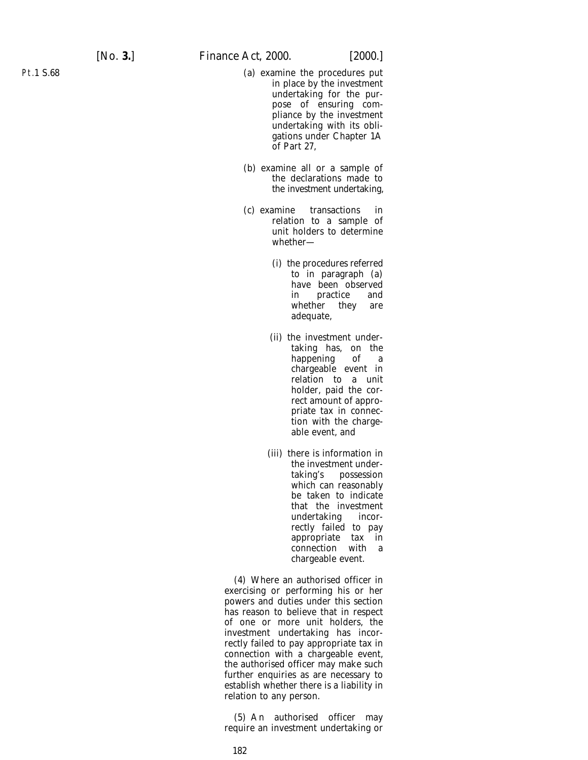- in place by the investment undertaking for the purpose of ensuring compliance by the investment undertaking with its obligations under Chapter 1A of Part 27,
- ( *b*) examine all or a sample of the declarations made to the investment undertaking,
- ( *c*) examine transactions in relation to a sample of unit holders to determine whether—
	- (i) the procedures referred to in paragraph ( *a*) have been observed in practice and whether they are adequate,
	- (ii) the investment undertaking has, on the happening of a chargeable event in relation to a unit holder, paid the correct amount of appropriate tax in connection with the chargeable event, and
	- (iii) there is information in the investment under-<br>taking's possession possession which can reasonably be taken to indicate that the investment undertaking incorrectly failed to pay appropriate tax in connection with a chargeable event.

(a) examine the procedures put<br>
in place by the investment<br>
undertaking for the pur-<br>
pose of ensuring com-<br>
plance by the investment<br>
undertaking with its obli-<br>
gations undertaking with its obli-<br>
of Part 27,<br>
(b) examin (4) Where an authorised officer in exercising or performing his or her powers and duties under this section has reason to believe that in respect of one or more unit holders, the investment undertaking has incorrectly failed to pay appropriate tax in connection with a chargeable event, the authorised officer may make such further enquiries as are necessary to establish whether there is a liability in relation to any person.

(5) An authorised officer may require an investment undertaking or

Pt.1 S.68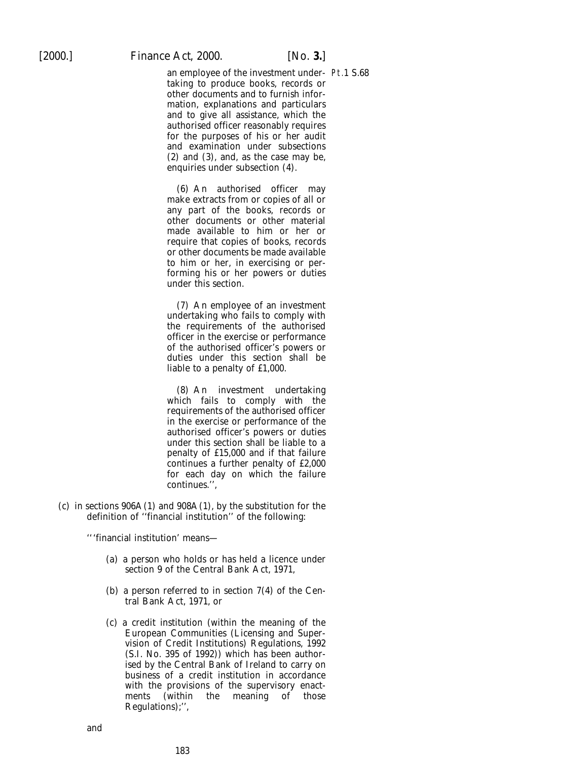an employee of the investment under- Pt.1 S.68 taking to produce books, records or other documents and to furnish information, explanations and particulars and to give all assistance, which the authorised officer reasonably requires for the purposes of his or her audit and examination under subsections (2) and (3), and, as the case may be, enquiries under subsection (4).

(6) An authorised officer may make extracts from or copies of all or any part of the books, records or other documents or other material made available to him or her or require that copies of books, records or other documents be made available to him or her, in exercising or performing his or her powers or duties under this section.

(7) An employee of an investment undertaking who fails to comply with the requirements of the authorised officer in the exercise or performance of the authorised officer's powers or duties under this section shall be liable to a penalty of £1,000.

(8) An investment undertaking which fails to comply with the requirements of the authorised officer in the exercise or performance of the authorised officer's powers or duties under this section shall be liable to a penalty of £15,000 and if that failure continues a further penalty of £2,000 for each day on which the failure continues.'',

(*c*) in sections 906A(1) and 908A(1), by the substitution for the definition of ''financial institution'' of the following:

'''financial institution' means—

- (*a*) a person who holds or has held a licence under section 9 of the Central Bank Act, 1971,
- (*b*) a person referred to in section 7(4) of the Central Bank Act, 1971, or
- (*c*) a credit institution (within the meaning of the European Communities (Licensing and Supervision of Credit Institutions) Regulations, 1992 (S.I. No. 395 of 1992)) which has been authorised by the Central Bank of Ireland to carry on business of a credit institution in accordance with the provisions of the supervisory enactments (within the meaning of those Regulations);'',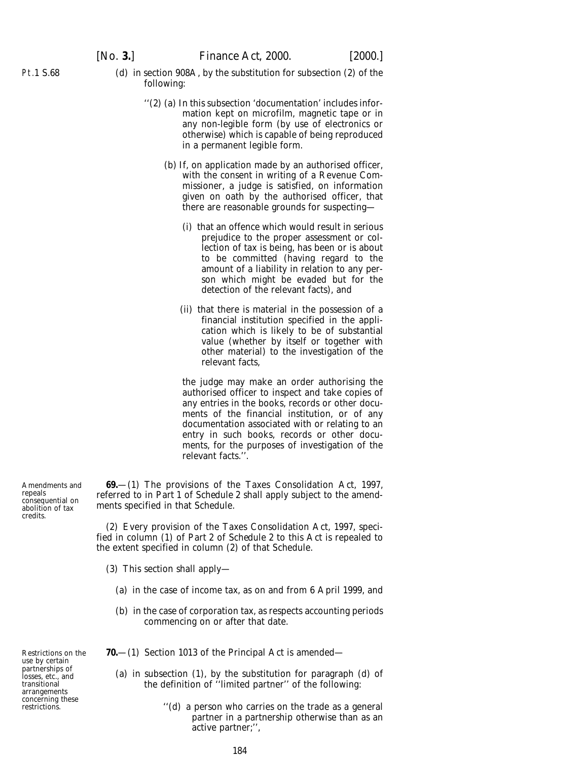- Pt.1 S.68
- (*d*) in section 908A, by the substitution for subsection (2) of the following:
	- ''(2) (*a*) In this subsection 'documentation' includes information kept on microfilm, magnetic tape or in any non-legible form (by use of electronics or otherwise) which is capable of being reproduced in a permanent legible form.
		- (*b*) If, on application made by an authorised officer, with the consent in writing of a Revenue Commissioner, a judge is satisfied, on information given on oath by the authorised officer, that there are reasonable grounds for suspecting—
			- (i) that an offence which would result in serious prejudice to the proper assessment or collection of tax is being, has been or is about to be committed (having regard to the amount of a liability in relation to any person which might be evaded but for the detection of the relevant facts), and
			- (ii) that there is material in the possession of a financial institution specified in the application which is likely to be of substantial value (whether by itself or together with other material) to the investigation of the relevant facts,

the judge may make an order authorising the authorised officer to inspect and take copies of any entries in the books, records or other documents of the financial institution, or of any documentation associated with or relating to an entry in such books, records or other documents, for the purposes of investigation of the relevant facts.''.

**69.**—(1) The provisions of the Taxes Consolidation Act, 1997, referred to in *Part 1* of *Schedule 2* shall apply subject to the amendments specified in that Schedule.

(2) Every provision of the Taxes Consolidation Act, 1997, specified in *column (1*) of *Part 2* of *Schedule 2* to this Act is repealed to the extent specified in *column (2*) of that Schedule.

- (3) This section shall apply—
	- (*a*) in the case of income tax, as on and from 6 April 1999, and
	- (*b*) in the case of corporation tax, as respects accounting periods commencing on or after that date.

**70.**—(1) Section 1013 of the Principal Act is amended—

- (*a*) in subsection (1), by the substitution for paragraph (*d*) of the definition of ''limited partner'' of the following:
	- ''(*d*) a person who carries on the trade as a general partner in a partnership otherwise than as an active partner;'',

Amendments and repeals consequential on abolition of tax credits.

Restrictions on the use by certain partnerships of losses, etc., and transitional arrangements concerning these restrictions.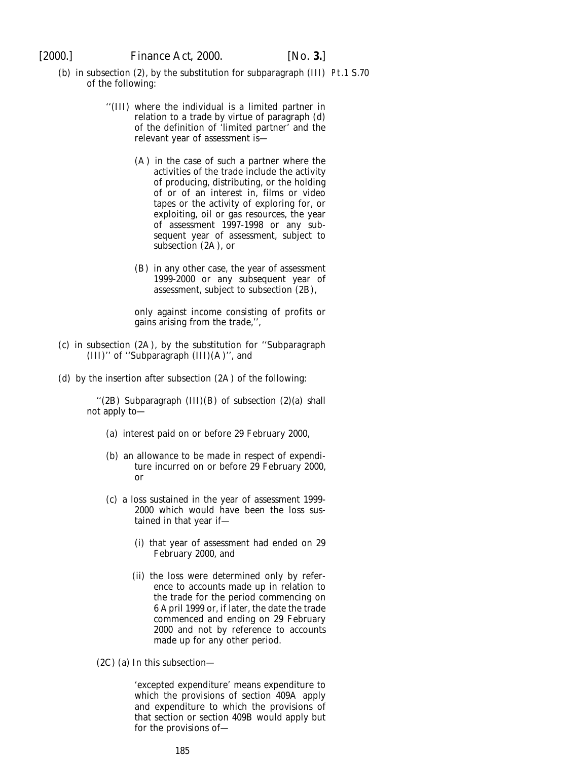- (*b*) in subsection (2), by the substitution for subparagraph (III) Pt.1 S.70 of the following:
	- ''(III) where the individual is a limited partner in relation to a trade by virtue of paragraph (*d*) of the definition of 'limited partner' and the relevant year of assessment is—
		- (A) in the case of such a partner where the activities of the trade include the activity of producing, distributing, or the holding of or of an interest in, films or video tapes or the activity of exploring for, or exploiting, oil or gas resources, the year of assessment 1997-1998 or any subsequent year of assessment, subject to subsection (2A), or
		- (B) in any other case, the year of assessment 1999-2000 or any subsequent year of assessment, subject to subsection (2B),

only against income consisting of profits or gains arising from the trade,'',

- (*c*) in subsection (2A), by the substitution for ''Subparagraph (III)" of "Subparagraph  $(III)(A)$ ", and
- (*d*) by the insertion after subsection (2A) of the following:

''(2B) Subparagraph (III)(B) of subsection (2)(*a*) shall not apply to—

- (*a*) interest paid on or before 29 February 2000,
- (*b*) an allowance to be made in respect of expenditure incurred on or before 29 February 2000, or
- (*c*) a loss sustained in the year of assessment 1999- 2000 which would have been the loss sustained in that year if—
	- (i) that year of assessment had ended on 29 February 2000, and
	- (ii) the loss were determined only by reference to accounts made up in relation to the trade for the period commencing on 6 April 1999 or, if later, the date the trade commenced and ending on 29 February 2000 and not by reference to accounts made up for any other period.
- (2C) (*a*) In this subsection—

'excepted expenditure' means expenditure to which the provisions of section 409A apply and expenditure to which the provisions of that section or section 409B would apply but for the provisions of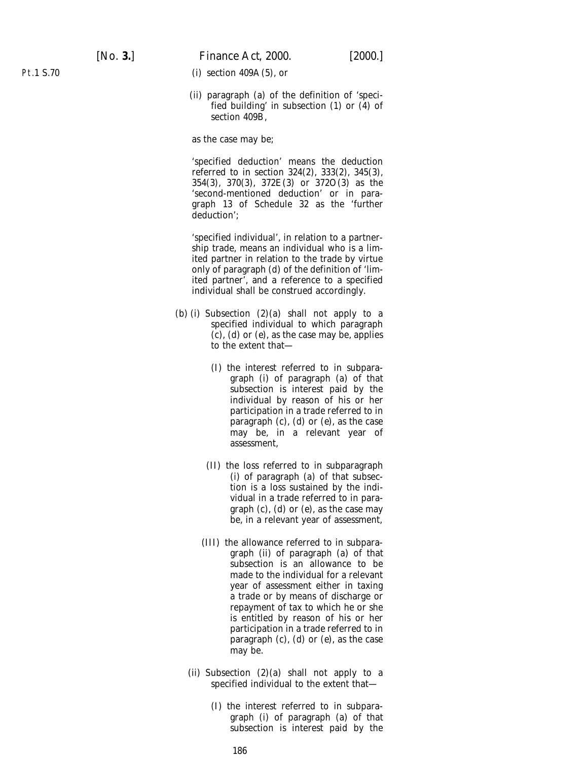Pt.1 S.70

- (i) section  $409A(5)$ , or
- (ii) paragraph (*a*) of the definition of 'specified building' in subsection  $(1)$  or  $(4)$  of section 409B,

as the case may be;

'specified deduction' means the deduction referred to in section 324(2), 333(2), 345(3), 354(3), 370(3), 372E(3) or 372O(3) as the 'second-mentioned deduction' or in paragraph 13 of Schedule 32 as the 'further deduction';

'specified individual', in relation to a partnership trade, means an individual who is a limited partner in relation to the trade by virtue only of paragraph (*d*) of the definition of 'limited partner', and a reference to a specified individual shall be construed accordingly.

- (*b*) (i) Subsection (2)(*a*) shall not apply to a specified individual to which paragraph (*c*), (*d*) or (*e*), as the case may be, applies to the extent that—
	- (I) the interest referred to in subparagraph (i) of paragraph (*a*) of that subsection is interest paid by the individual by reason of his or her participation in a trade referred to in paragraph (*c*), (*d*) or (*e*), as the case may be, in a relevant year of assessment,
	- (II) the loss referred to in subparagraph (i) of paragraph (*a*) of that subsection is a loss sustained by the individual in a trade referred to in paragraph (*c*), (*d*) or (*e*), as the case may be, in a relevant year of assessment,
	- (III) the allowance referred to in subparagraph (ii) of paragraph (*a*) of that subsection is an allowance to be made to the individual for a relevant year of assessment either in taxing a trade or by means of discharge or repayment of tax to which he or she is entitled by reason of his or her participation in a trade referred to in paragraph (*c*), (*d*) or (*e*), as the case may be.
	- (ii) Subsection (2)(*a*) shall not apply to a specified individual to the extent that—
		- (I) the interest referred to in subparagraph (i) of paragraph (*a*) of that subsection is interest paid by the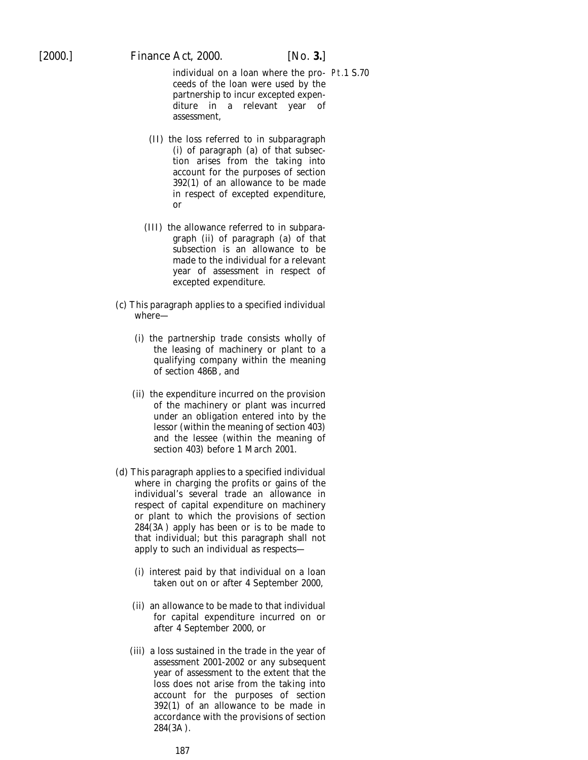individual on a loan where the pro- Pt.1 S.70 ceeds of the loan were used by the partnership to incur excepted expenditure in a relevant year of assessment,

- (II) the loss referred to in subparagraph (i) of paragraph (*a*) of that subsection arises from the taking into account for the purposes of section 392(1) of an allowance to be made in respect of excepted expenditure, or
- (III) the allowance referred to in subparagraph (ii) of paragraph (*a*) of that subsection is an allowance to be made to the individual for a relevant year of assessment in respect of excepted expenditure.
- (*c*) This paragraph applies to a specified individual where—
	- (i) the partnership trade consists wholly of the leasing of machinery or plant to a qualifying company within the meaning of section 486B, and
	- (ii) the expenditure incurred on the provision of the machinery or plant was incurred under an obligation entered into by the lessor (within the meaning of section 403) and the lessee (within the meaning of section 403) before 1 March 2001.
- (*d*) This paragraph applies to a specified individual where in charging the profits or gains of the individual's several trade an allowance in respect of capital expenditure on machinery or plant to which the provisions of section 284(3A) apply has been or is to be made to that individual; but this paragraph shall not apply to such an individual as respects—
	- (i) interest paid by that individual on a loan taken out on or after 4 September 2000,
	- (ii) an allowance to be made to that individual for capital expenditure incurred on or after 4 September 2000, or
	- (iii) a loss sustained in the trade in the year of assessment 2001-2002 or any subsequent year of assessment to the extent that the loss does not arise from the taking into account for the purposes of section 392(1) of an allowance to be made in accordance with the provisions of section 284(3A).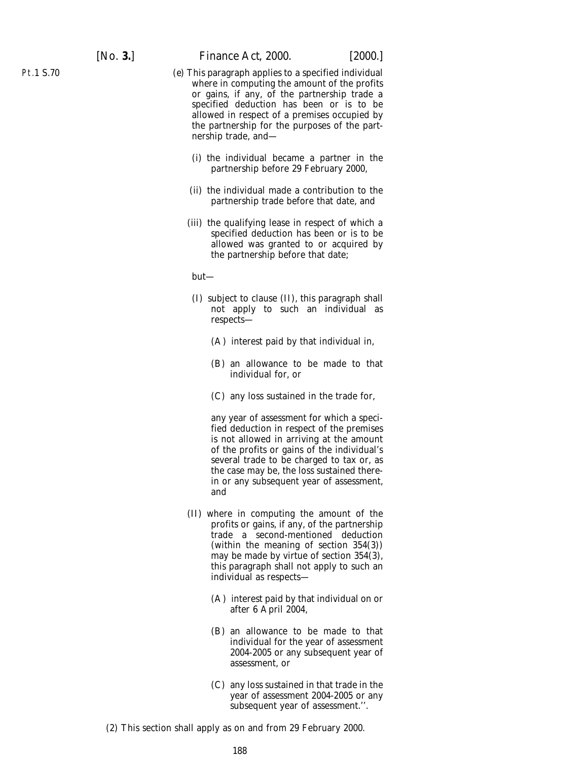Pt.1 S.70

# [*No.* **3.**] *Finance Act,* 2000. [2000.]

- (*e*) This paragraph applies to a specified individual where in computing the amount of the profits or gains, if any, of the partnership trade a specified deduction has been or is to be allowed in respect of a premises occupied by the partnership for the purposes of the partnership trade, and—
	- (i) the individual became a partner in the partnership before 29 February 2000,
	- (ii) the individual made a contribution to the partnership trade before that date, and
	- (iii) the qualifying lease in respect of which a specified deduction has been or is to be allowed was granted to or acquired by the partnership before that date;

but—

- (I) subject to clause (II), this paragraph shall not apply to such an individual as respects—
	- (A) interest paid by that individual in,
	- (B) an allowance to be made to that individual for, or
	- (C) any loss sustained in the trade for,

any year of assessment for which a specified deduction in respect of the premises is not allowed in arriving at the amount of the profits or gains of the individual's several trade to be charged to tax or, as the case may be, the loss sustained therein or any subsequent year of assessment, and

- (II) where in computing the amount of the profits or gains, if any, of the partnership trade a second-mentioned deduction (within the meaning of section 354(3)) may be made by virtue of section 354(3), this paragraph shall not apply to such an individual as respects—
	- (A) interest paid by that individual on or after 6 April 2004,
	- (B) an allowance to be made to that individual for the year of assessment 2004-2005 or any subsequent year of assessment, or
	- (C) any loss sustained in that trade in the year of assessment 2004-2005 or any subsequent year of assessment.''.
- (2) This section shall apply as on and from 29 February 2000.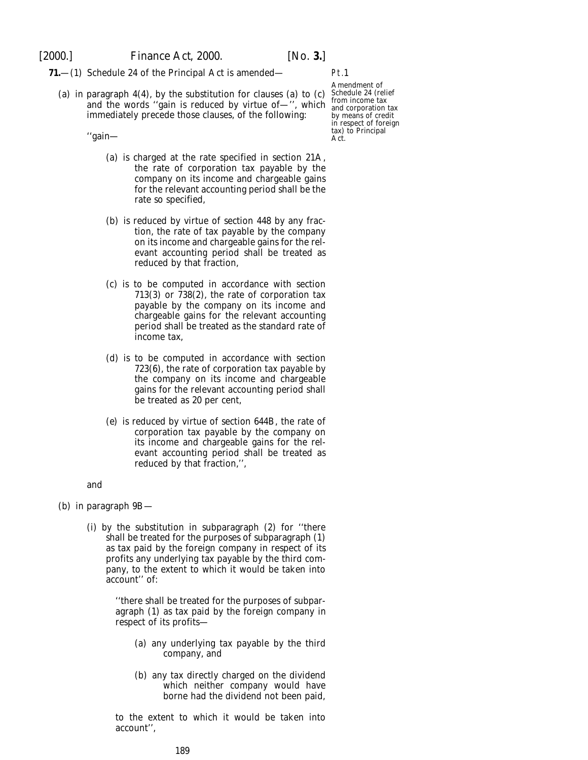**71.**—(1) Schedule 24 of the Principal Act is amended—

(*a*) in paragraph 4(4), by the substitution for clauses (*a*) to (*c*) and the words ''gain is reduced by virtue of—'', which immediately precede those clauses, of the following:

''gain—

- (*a*) is charged at the rate specified in section 21A, the rate of corporation tax payable by the company on its income and chargeable gains for the relevant accounting period shall be the rate so specified,
- (*b*) is reduced by virtue of section 448 by any fraction, the rate of tax payable by the company on its income and chargeable gains for the relevant accounting period shall be treated as reduced by that fraction,
- (*c*) is to be computed in accordance with section 713(3) or  $738(2)$ , the rate of corporation tax payable by the company on its income and chargeable gains for the relevant accounting period shall be treated as the standard rate of income tax,
- (*d*) is to be computed in accordance with section 723(6), the rate of corporation tax payable by the company on its income and chargeable gains for the relevant accounting period shall be treated as 20 per cent,
- (*e*) is reduced by virtue of section 644B, the rate of corporation tax payable by the company on its income and chargeable gains for the relevant accounting period shall be treated as reduced by that fraction,'',

and

- (*b*) in paragraph 9B—
	- (i) by the substitution in subparagraph (2) for ''there shall be treated for the purposes of subparagraph (1) as tax paid by the foreign company in respect of its profits any underlying tax payable by the third company, to the extent to which it would be taken into account'' of:

''there shall be treated for the purposes of subparagraph (1) as tax paid by the foreign company in respect of its profits—

- (*a*) any underlying tax payable by the third company, and
- (*b*) any tax directly charged on the dividend which neither company would have borne had the dividend not been paid,

to the extent to which it would be taken into account'',

Amendment of Schedule 24 (relief from income tax and corporation tax by means of credit in respect of foreign tax) to Principal Act.

Pt.1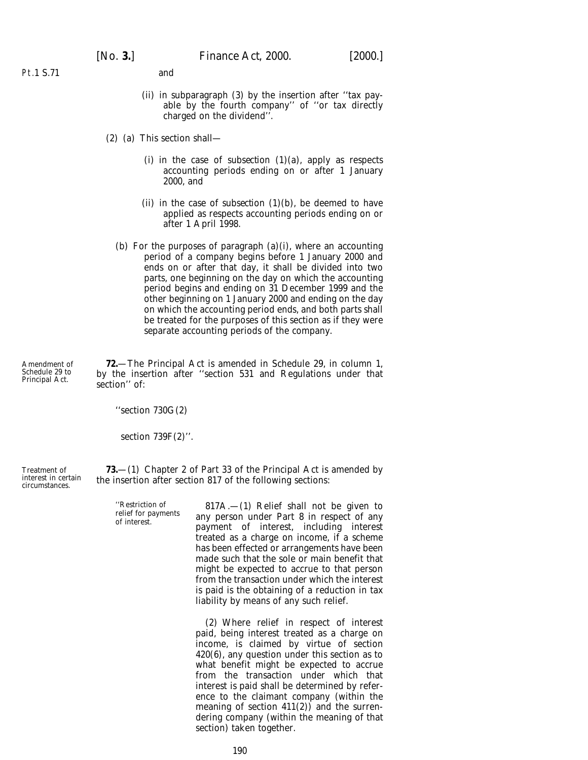and

- (ii) in subparagraph (3) by the insertion after ''tax payable by the fourth company'' of ''or tax directly charged on the dividend''.
- (2) (*a*) This section shall—
	- (i) in the case of *subsection*  $(1)(a)$ , apply as respects accounting periods ending on or after 1 January 2000, and
	- (ii) in the case of *subsection*  $(1)(b)$ , be deemed to have applied as respects accounting periods ending on or after 1 April 1998.
	- (*b*) For the purposes of *paragraph (a)(i)*, where an accounting period of a company begins before 1 January 2000 and ends on or after that day, it shall be divided into two parts, one beginning on the day on which the accounting period begins and ending on 31 December 1999 and the other beginning on 1 January 2000 and ending on the day on which the accounting period ends, and both parts shall be treated for the purposes of this section as if they were separate accounting periods of the company.

**72.**—The Principal Act is amended in Schedule 29, in column 1, by the insertion after ''section 531 and Regulations under that section'' of:

''section 730G(2)

section 739F(2)''.

Treatment of interest in certain circumstances.

Amendment of Schedule 29 to Principal Act.

> **73.**—(1) Chapter 2 of Part 33 of the Principal Act is amended by the insertion after section 817 of the following sections:

''Restriction of 817A.—(1) Relief shall not be given to relief for payments any person under Part 8 in respect of any of interest. payment of interest, including interest treated as a charge on income, if a scheme has been effected or arrangements have been made such that the sole or main benefit that might be expected to accrue to that person from the transaction under which the interest is paid is the obtaining of a reduction in tax liability by means of any such relief.

> (2) Where relief in respect of interest paid, being interest treated as a charge on income, is claimed by virtue of section 420(6), any question under this section as to what benefit might be expected to accrue from the transaction under which that interest is paid shall be determined by reference to the claimant company (within the meaning of section 411(2)) and the surrendering company (within the meaning of that section) taken together.

Pt.1 S.71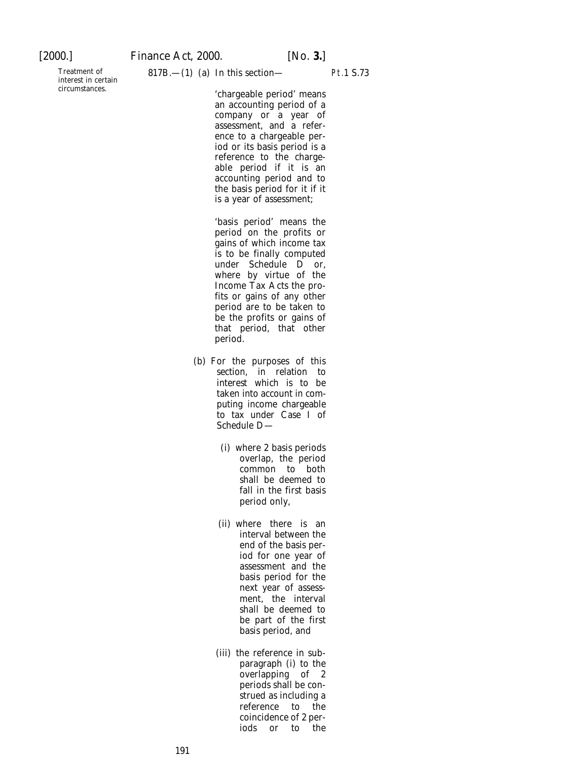interest in certain<br>circumstances.

Treatment of  $817B$ ,  $- (1)$  (*a*) In this section-<br>Pt.1 S.73

'chargeable period' means an accounting period of a company or a year of assessment, and a reference to a chargeable period or its basis period is a reference to the chargeable period if it is an accounting period and to the basis period for it if it is a year of assessment;

'basis period' means the period on the profits or gains of which income tax is to be finally computed under Schedule D or, where by virtue of the Income Tax Acts the profits or gains of any other period are to be taken to be the profits or gains of that period, that other period.

- (*b*) For the purposes of this section, in relation to interest which is to be taken into account in computing income chargeable to tax under Case I of Schedule D—
	- (i) where 2 basis periods overlap, the period common to both shall be deemed to fall in the first basis period only,
	- (ii) where there is an interval between the end of the basis period for one year of assessment and the basis period for the next year of assessment, the interval shall be deemed to be part of the first basis period, and
	- (iii) the reference in subparagraph (i) to the overlapping of 2 periods shall be construed as including a reference to the coincidence of 2 periods or to the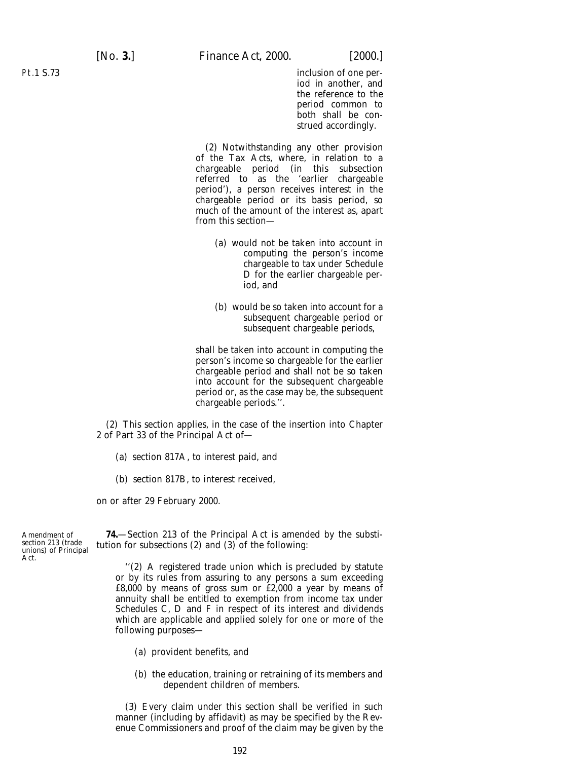inclusion of one period in another, and the reference to the period common to both shall be construed accordingly.

(2) Notwithstanding any other provision of the Tax Acts, where, in relation to a chargeable period (in this subsection referred to as the period'), a person receives interest in the chargeable period or its basis period, so much of the amount of the interest as, apart from this section—

- (*a*) would not be taken into account in computing the person's income chargeable to tax under Schedule D for the earlier chargeable period, and
- (*b*) would be so taken into account for a subsequent chargeable period or subsequent chargeable periods,

shall be taken into account in computing the person's income so chargeable for the earlier chargeable period and shall not be so taken into account for the subsequent chargeable period or, as the case may be, the subsequent chargeable periods.''.

(2) This section applies, in the case of the insertion into Chapter 2 of Part 33 of the Principal Act of—

- (*a*) section 817A, to interest paid, and
- (*b*) section 817B, to interest received,

on or after 29 February 2000.

Amendment of section 213 (trade unions) of Principal Act.

**74.**—Section 213 of the Principal Act is amended by the substitution for subsections  $(2)$  and  $(3)$  of the following:

''(2) A registered trade union which is precluded by statute or by its rules from assuring to any persons a sum exceeding £8,000 by means of gross sum or £2,000 a year by means of annuity shall be entitled to exemption from income tax under Schedules C, D and F in respect of its interest and dividends which are applicable and applied solely for one or more of the following purposes—

- (*a*) provident benefits, and
- (*b*) the education, training or retraining of its members and dependent children of members.

(3) Every claim under this section shall be verified in such manner (including by affidavit) as may be specified by the Revenue Commissioners and proof of the claim may be given by the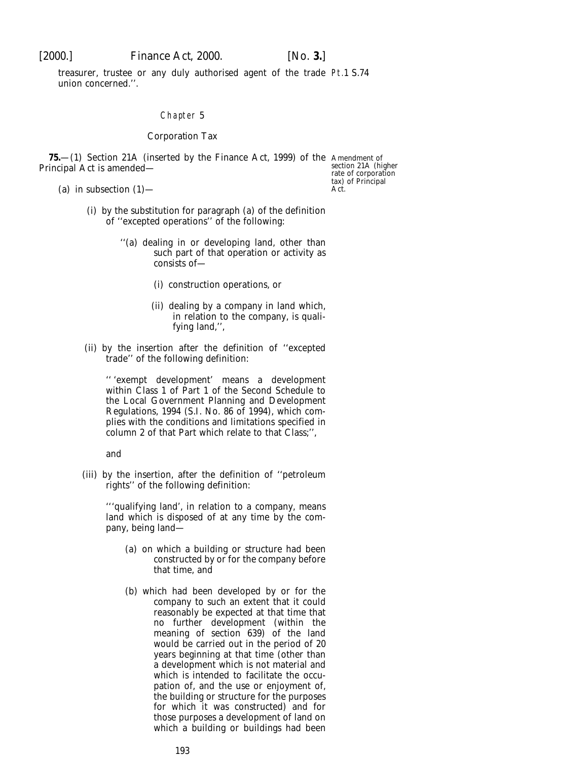treasurer, trustee or any duly authorised agent of the trade Pt.1 S.74 union concerned.''.

## Chapter 5

## *Corporation Tax*

**75.**—(1) Section 21A (inserted by the Finance Act, 1999) of the Amendment of Principal Act is amended—

(*a*) in subsection  $(1)$ —

- (i) by the substitution for paragraph (*a*) of the definition of ''excepted operations'' of the following:
	- ''(*a*) dealing in or developing land, other than such part of that operation or activity as consists of—
		- (i) construction operations, or
		- (ii) dealing by a company in land which, in relation to the company, is qualifying land,'',
- (ii) by the insertion after the definition of ''excepted trade'' of the following definition:

'' 'exempt development' means a development within Class 1 of Part 1 of the Second Schedule to the Local Government Planning and Development Regulations, 1994 (S.I. No. 86 of 1994), which complies with the conditions and limitations specified in column 2 of that Part which relate to that Class;'',

and

(iii) by the insertion, after the definition of ''petroleum rights'' of the following definition:

'''qualifying land', in relation to a company, means land which is disposed of at any time by the company, being land—

- (*a*) on which a building or structure had been constructed by or for the company before that time, and
- (*b*) which had been developed by or for the company to such an extent that it could reasonably be expected at that time that no further development (within the meaning of section 639) of the land would be carried out in the period of 20 years beginning at that time (other than a development which is not material and which is intended to facilitate the occupation of, and the use or enjoyment of, the building or structure for the purposes for which it was constructed) and for those purposes a development of land on which a building or buildings had been

section 21A (higher rate of corporation tax) of Principal Act.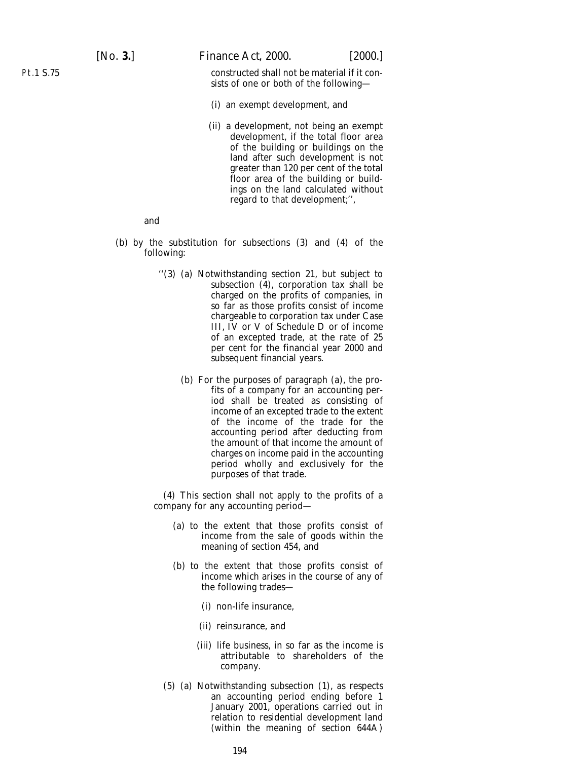Pt.1 S.75

[*No.* **3.**] *Finance Act,* 2000. [2000.]

constructed shall not be material if it consists of one or both of the following—

- (i) an exempt development, and
- (ii) a development, not being an exempt development, if the total floor area of the building or buildings on the land after such development is not greater than 120 per cent of the total floor area of the building or buildings on the land calculated without regard to that development;'',

#### and

- (*b*) by the substitution for subsections (3) and (4) of the following:
	- ''(3) (*a*) Notwithstanding section 21, but subject to subsection (4), corporation tax shall be charged on the profits of companies, in so far as those profits consist of income chargeable to corporation tax under Case III, IV or V of Schedule D or of income of an excepted trade, at the rate of 25 per cent for the financial year 2000 and subsequent financial years.
		- (*b*) For the purposes of paragraph (*a*), the profits of a company for an accounting period shall be treated as consisting of income of an excepted trade to the extent of the income of the trade for the accounting period after deducting from the amount of that income the amount of charges on income paid in the accounting period wholly and exclusively for the purposes of that trade.

(4) This section shall not apply to the profits of a company for any accounting period—

- (*a*) to the extent that those profits consist of income from the sale of goods within the meaning of section 454, and
- (*b*) to the extent that those profits consist of income which arises in the course of any of the following trades—
	- (i) non-life insurance,
	- (ii) reinsurance, and
	- (iii) life business, in so far as the income is attributable to shareholders of the company.
- (5) (*a*) Notwithstanding subsection (1), as respects an accounting period ending before 1 January 2001, operations carried out in relation to residential development land (within the meaning of section 644A)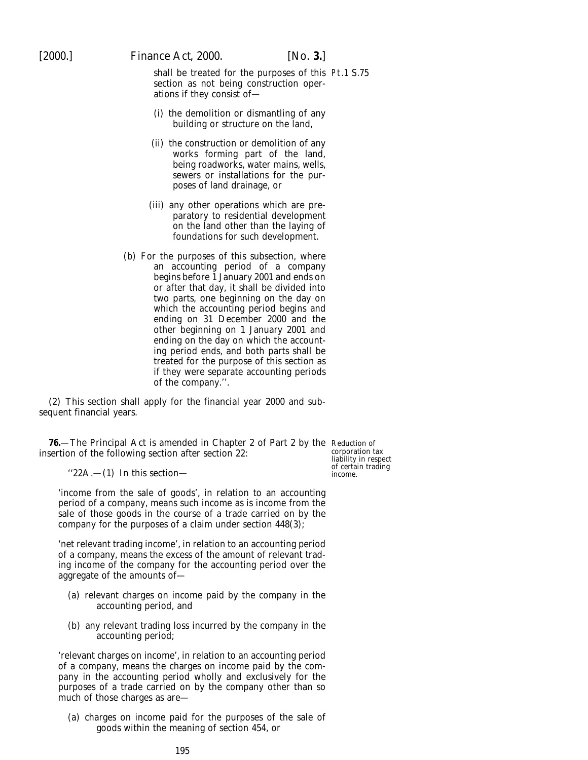shall be treated for the purposes of this Pt.1 S.75 section as not being construction operations if they consist of—

- (i) the demolition or dismantling of any building or structure on the land,
- (ii) the construction or demolition of any works forming part of the land, being roadworks, water mains, wells, sewers or installations for the purposes of land drainage, or
- (iii) any other operations which are preparatory to residential development on the land other than the laying of foundations for such development.
- (*b*) For the purposes of this subsection, where an accounting period of a company begins before 1 January 2001 and ends on or after that day, it shall be divided into two parts, one beginning on the day on which the accounting period begins and ending on 31 December 2000 and the other beginning on 1 January 2001 and ending on the day on which the accounting period ends, and both parts shall be treated for the purpose of this section as if they were separate accounting periods of the company.''.

(2) This section shall apply for the financial year 2000 and subsequent financial years.

**76.**—The Principal Act is amended in Chapter 2 of Part 2 by the Reduction of insertion of the following section after section 22:

 $"22A.$ —(1) In this section—

'income from the sale of goods', in relation to an accounting period of a company, means such income as is income from the sale of those goods in the course of a trade carried on by the company for the purposes of a claim under section 448(3);

'net relevant trading income', in relation to an accounting period of a company, means the excess of the amount of relevant trading income of the company for the accounting period over the aggregate of the amounts of—

- (*a*) relevant charges on income paid by the company in the accounting period, and
- (*b*) any relevant trading loss incurred by the company in the accounting period;

'relevant charges on income', in relation to an accounting period of a company, means the charges on income paid by the company in the accounting period wholly and exclusively for the purposes of a trade carried on by the company other than so much of those charges as are—

(*a*) charges on income paid for the purposes of the sale of goods within the meaning of section 454, or

corporation tax liability in respect of certain trading income.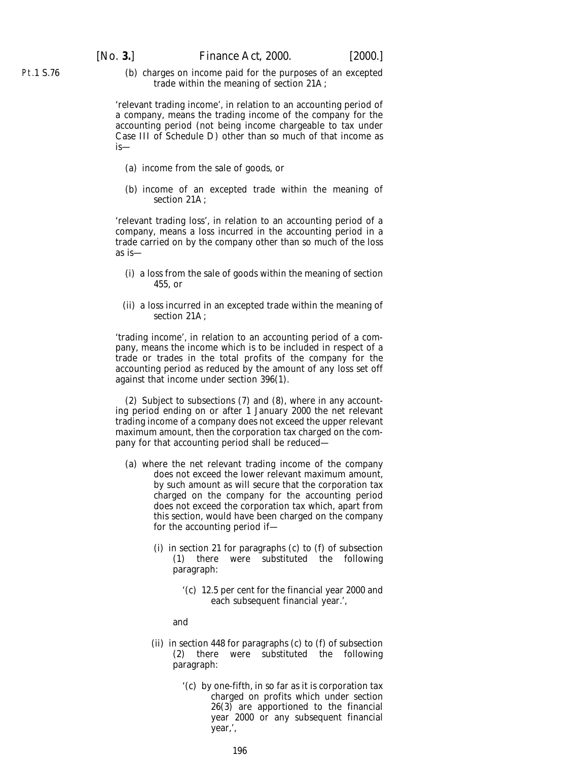(*b*) charges on income paid for the purposes of an excepted trade within the meaning of section 21A;

'relevant trading income', in relation to an accounting period of a company, means the trading income of the company for the accounting period (not being income chargeable to tax under Case III of Schedule D) other than so much of that income as is—

- (*a*) income from the sale of goods, or
- (*b*) income of an excepted trade within the meaning of section 21A;

'relevant trading loss', in relation to an accounting period of a company, means a loss incurred in the accounting period in a trade carried on by the company other than so much of the loss as is—

- (i) a loss from the sale of goods within the meaning of section 455, or
- (ii) a loss incurred in an excepted trade within the meaning of section 21A;

'trading income', in relation to an accounting period of a company, means the income which is to be included in respect of a trade or trades in the total profits of the company for the accounting period as reduced by the amount of any loss set off against that income under section 396(1).

(2) Subject to subsections (7) and (8), where in any accounting period ending on or after 1 January 2000 the net relevant trading income of a company does not exceed the upper relevant maximum amount, then the corporation tax charged on the company for that accounting period shall be reduced—

- (*a*) where the net relevant trading income of the company does not exceed the lower relevant maximum amount, by such amount as will secure that the corporation tax charged on the company for the accounting period does not exceed the corporation tax which, apart from this section, would have been charged on the company for the accounting period if—
	- (i) in section 21 for paragraphs (*c*) to (*f*) of subsection (1) there were substituted the following paragraph:
		- '(*c*) 12.5 per cent for the financial year 2000 and each subsequent financial year.',

and

(ii) in section 448 for paragraphs (*c*) to (*f*) of subsection (2) there were substituted the following paragraph:

196

'(*c*) by one-fifth, in so far as it is corporation tax charged on profits which under section 26(3) are apportioned to the financial year 2000 or any subsequent financial year,',

Pt.1 S.76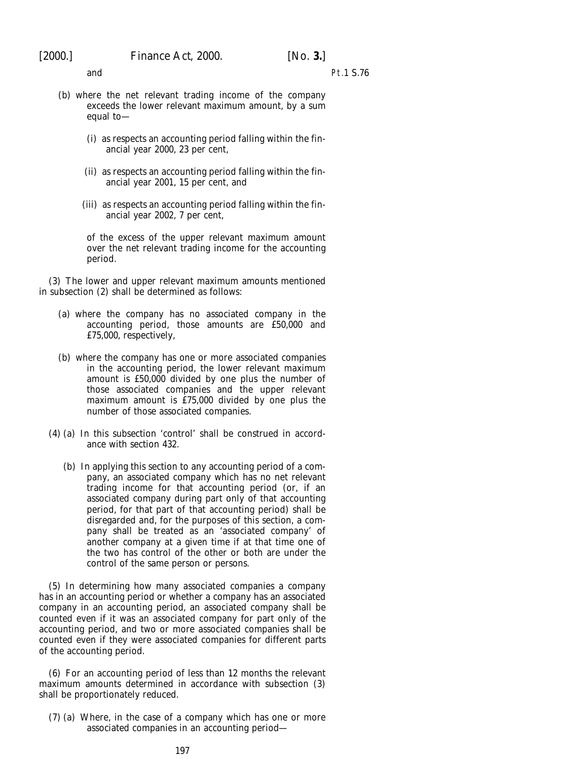and Pt.1 S.76

- (*b*) where the net relevant trading income of the company exceeds the lower relevant maximum amount, by a sum equal to—
	- (i) as respects an accounting period falling within the financial year 2000, 23 per cent,
	- (ii) as respects an accounting period falling within the financial year 2001, 15 per cent, and
	- (iii) as respects an accounting period falling within the financial year 2002, 7 per cent,

of the excess of the upper relevant maximum amount over the net relevant trading income for the accounting period.

(3) The lower and upper relevant maximum amounts mentioned in subsection (2) shall be determined as follows:

- (*a*) where the company has no associated company in the accounting period, those amounts are £50,000 and £75,000, respectively,
- (*b*) where the company has one or more associated companies in the accounting period, the lower relevant maximum amount is £50,000 divided by one plus the number of those associated companies and the upper relevant maximum amount is  $\tilde{f}$ 75,000 divided by one plus the number of those associated companies.
- (4) (*a*) In this subsection 'control' shall be construed in accordance with section 432.
	- (*b*) In applying this section to any accounting period of a company, an associated company which has no net relevant trading income for that accounting period (or, if an associated company during part only of that accounting period, for that part of that accounting period) shall be disregarded and, for the purposes of this section, a company shall be treated as an 'associated company' of another company at a given time if at that time one of the two has control of the other or both are under the control of the same person or persons.

(5) In determining how many associated companies a company has in an accounting period or whether a company has an associated company in an accounting period, an associated company shall be counted even if it was an associated company for part only of the accounting period, and two or more associated companies shall be counted even if they were associated companies for different parts of the accounting period.

(6) For an accounting period of less than 12 months the relevant maximum amounts determined in accordance with subsection (3) shall be proportionately reduced.

(7) (*a*) Where, in the case of a company which has one or more associated companies in an accounting period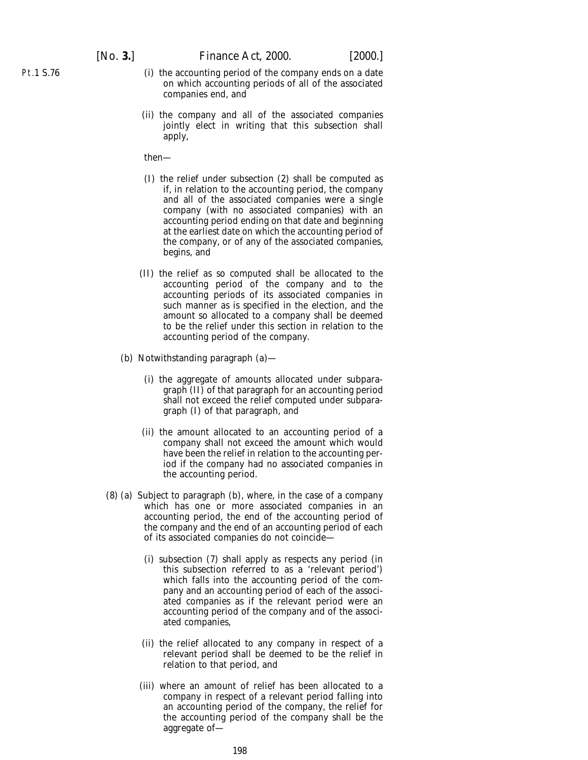Pt.1 S.76

- (i) the accounting period of the company ends on a date on which accounting periods of all of the associated companies end, and
- (ii) the company and all of the associated companies jointly elect in writing that this subsection shall apply,

## then—

- (I) the relief under subsection (2) shall be computed as if, in relation to the accounting period, the company and all of the associated companies were a single company (with no associated companies) with an accounting period ending on that date and beginning at the earliest date on which the accounting period of the company, or of any of the associated companies, begins, and
- (II) the relief as so computed shall be allocated to the accounting period of the company and to the accounting periods of its associated companies in such manner as is specified in the election, and the amount so allocated to a company shall be deemed to be the relief under this section in relation to the accounting period of the company.
- (*b*) Notwithstanding paragraph (*a*)—
	- (i) the aggregate of amounts allocated under subparagraph (II) of that paragraph for an accounting period shall not exceed the relief computed under subparagraph (I) of that paragraph, and
	- (ii) the amount allocated to an accounting period of a company shall not exceed the amount which would have been the relief in relation to the accounting period if the company had no associated companies in the accounting period.
- (8) (*a*) Subject to paragraph (*b*), where, in the case of a company which has one or more associated companies in an accounting period, the end of the accounting period of the company and the end of an accounting period of each of its associated companies do not coincide—
	- (i) subsection (7) shall apply as respects any period (in this subsection referred to as a 'relevant period') which falls into the accounting period of the company and an accounting period of each of the associated companies as if the relevant period were an accounting period of the company and of the associated companies,
	- (ii) the relief allocated to any company in respect of a relevant period shall be deemed to be the relief in relation to that period, and
	- (iii) where an amount of relief has been allocated to a company in respect of a relevant period falling into an accounting period of the company, the relief for the accounting period of the company shall be the aggregate of—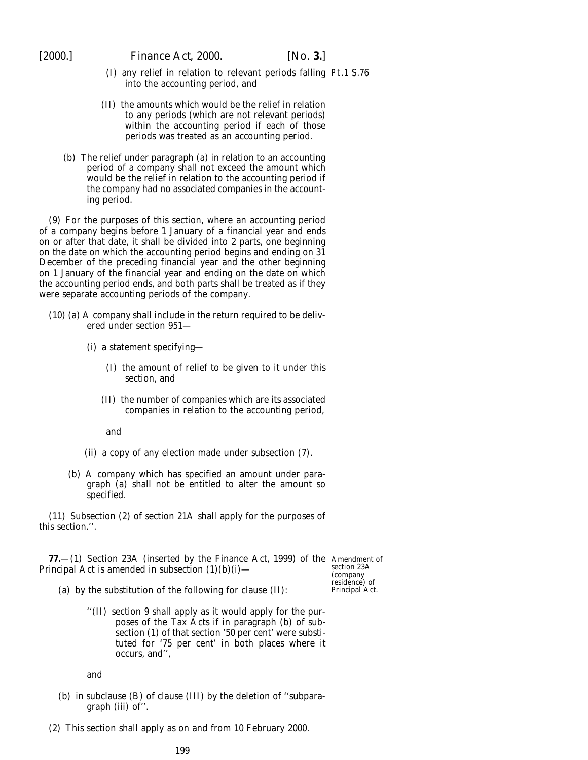- (I) any relief in relation to relevant periods falling Pt.1 S.76 into the accounting period, and
- (II) the amounts which would be the relief in relation to any periods (which are not relevant periods) within the accounting period if each of those periods was treated as an accounting period.
- (*b*) The relief under paragraph (*a*) in relation to an accounting period of a company shall not exceed the amount which would be the relief in relation to the accounting period if the company had no associated companies in the accounting period.

(9) For the purposes of this section, where an accounting period of a company begins before 1 January of a financial year and ends on or after that date, it shall be divided into 2 parts, one beginning on the date on which the accounting period begins and ending on 31 December of the preceding financial year and the other beginning on 1 January of the financial year and ending on the date on which the accounting period ends, and both parts shall be treated as if they were separate accounting periods of the company.

- (10) (*a*) A company shall include in the return required to be delivered under section 951—
	- (i) a statement specifying—
		- (I) the amount of relief to be given to it under this section, and
		- (II) the number of companies which are its associated companies in relation to the accounting period,

and

- (ii) a copy of any election made under subsection (7).
- (*b*) A company which has specified an amount under paragraph (*a*) shall not be entitled to alter the amount so specified.

(11) Subsection (2) of section 21A shall apply for the purposes of this section.''.

**77.**—(1) Section 23A (inserted by the Finance Act, 1999) of the Amendment of Principal Act is amended in subsection  $(1)(b)(i)$ —

section 23A (company residence) of Principal Act.

(*a*) by the substitution of the following for clause (II):

''(II) section 9 shall apply as it would apply for the purposes of the Tax Acts if in paragraph (*b*) of subsection (1) of that section '50 per cent' were substituted for '75 per cent' in both places where it occurs, and'',

and

- (*b*) in subclause (B) of clause (III) by the deletion of ''subparagraph (iii) of''.
- (2) This section shall apply as on and from 10 February 2000.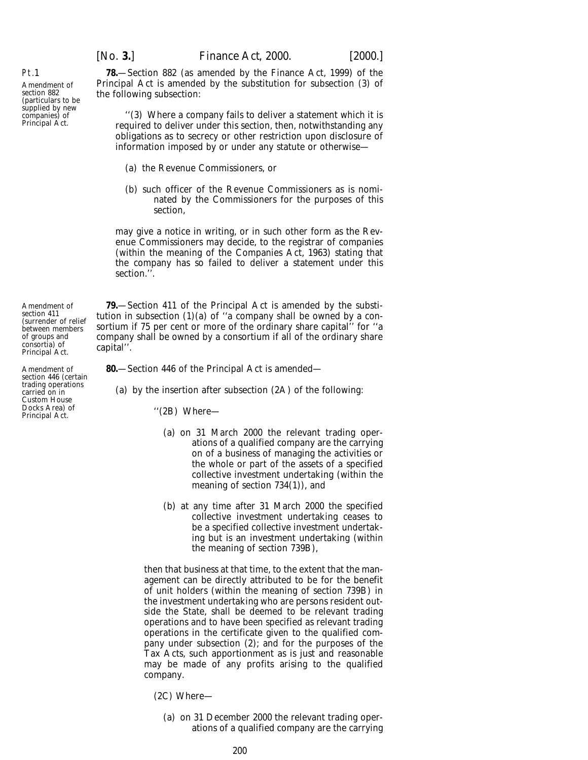[*No.* **3.**] *Finance Act,* 2000. [2000.]

**78.**—Section 882 (as amended by the Finance Act, 1999) of the Principal Act is amended by the substitution for subsection (3) of the following subsection:

''(3) Where a company fails to deliver a statement which it is required to deliver under this section, then, notwithstanding any obligations as to secrecy or other restriction upon disclosure of information imposed by or under any statute or otherwise—

- (*a*) the Revenue Commissioners, or
- (*b*) such officer of the Revenue Commissioners as is nominated by the Commissioners for the purposes of this section,

may give a notice in writing, or in such other form as the Revenue Commissioners may decide, to the registrar of companies (within the meaning of the Companies Act, 1963) stating that the company has so failed to deliver a statement under this section.''.

**79.**—Section 411 of the Principal Act is amended by the substitution in subsection  $(1)(a)$  of "a company shall be owned by a consortium if 75 per cent or more of the ordinary share capital'' for ''a company shall be owned by a consortium if all of the ordinary share capital''.

**80.**—Section 446 of the Principal Act is amended—

(*a*) by the insertion after subsection (2A) of the following:

- ''(2B) Where—
	- (*a*) on 31 March 2000 the relevant trading operations of a qualified company are the carrying on of a business of managing the activities or the whole or part of the assets of a specified collective investment undertaking (within the meaning of section 734(1)), and
	- (*b*) at any time after 31 March 2000 the specified collective investment undertaking ceases to be a specified collective investment undertaking but is an investment undertaking (within the meaning of section 739B),

then that business at that time, to the extent that the management can be directly attributed to be for the benefit of unit holders (within the meaning of section 739B) in the investment undertaking who are persons resident outside the State, shall be deemed to be relevant trading operations and to have been specified as relevant trading operations in the certificate given to the qualified company under subsection (2); and for the purposes of the Tax Acts, such apportionment as is just and reasonable may be made of any profits arising to the qualified company.

- (2C) Where—
	- (*a*) on 31 December 2000 the relevant trading operations of a qualified company are the carrying

Amendment of section 411 (surrender of relief between members of groups and consortia) of Principal Act.

Amendment of section 446 (certain trading operations carried on in Custom House Docks Area) of Principal Act.

Pt.1

Amendment of section 882 (particulars to be supplied by new companies) of Principal Act.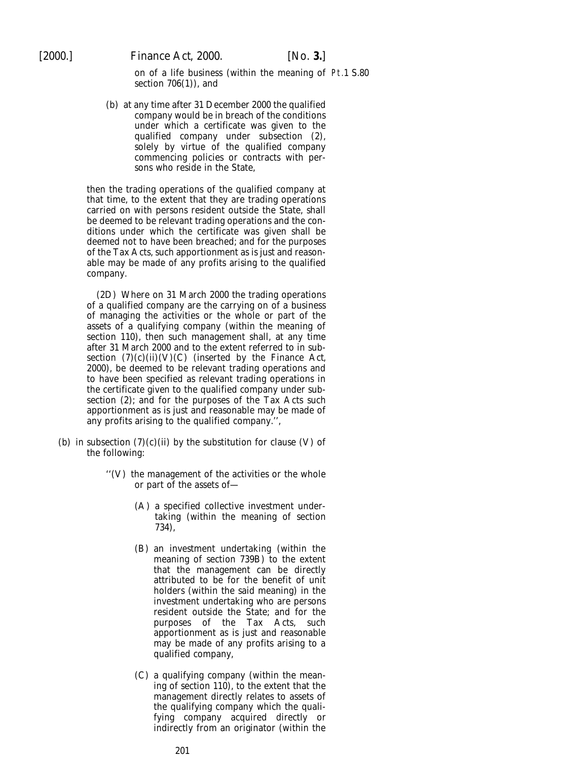on of a life business (within the meaning of Pt.1 S.80 section 706(1)), and

(*b*) at any time after 31 December 2000 the qualified company would be in breach of the conditions under which a certificate was given to the qualified company under subsection (2), solely by virtue of the qualified company commencing policies or contracts with persons who reside in the State,

then the trading operations of the qualified company at that time, to the extent that they are trading operations carried on with persons resident outside the State, shall be deemed to be relevant trading operations and the conditions under which the certificate was given shall be deemed not to have been breached; and for the purposes of the Tax Acts, such apportionment as is just and reasonable may be made of any profits arising to the qualified company.

(2D) Where on 31 March 2000 the trading operations of a qualified company are the carrying on of a business of managing the activities or the whole or part of the assets of a qualifying company (within the meaning of section 110), then such management shall, at any time after 31 March 2000 and to the extent referred to in subsection (7)(*c*)(ii)(V)(C) (inserted by the *Finance Act, 2000*), be deemed to be relevant trading operations and to have been specified as relevant trading operations in the certificate given to the qualified company under subsection (2); and for the purposes of the Tax Acts such apportionment as is just and reasonable may be made of any profits arising to the qualified company.'',

- (*b*) in subsection  $(7)(c)$  (ii) by the substitution for clause (V) of the following:
	- ''(V) the management of the activities or the whole or part of the assets of—
		- (A) a specified collective investment undertaking (within the meaning of section 734),
		- (B) an investment undertaking (within the meaning of section 739B) to the extent that the management can be directly attributed to be for the benefit of unit holders (within the said meaning) in the investment undertaking who are persons resident outside the State; and for the purposes of the Tax Acts, such apportionment as is just and reasonable may be made of any profits arising to a qualified company,
		- (C) a qualifying company (within the meaning of section 110), to the extent that the management directly relates to assets of the qualifying company which the qualifying company acquired directly or indirectly from an originator (within the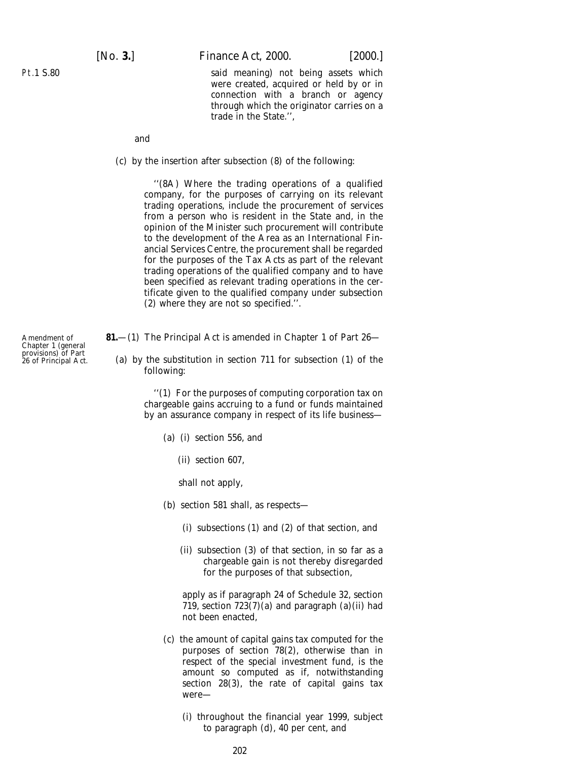said meaning) not being assets which were created, acquired or held by or in connection with a branch or agency through which the originator carries on a trade in the State.'',

and

(*c*) by the insertion after subsection (8) of the following:

''(8A) Where the trading operations of a qualified company, for the purposes of carrying on its relevant trading operations, include the procurement of services from a person who is resident in the State and, in the opinion of the Minister such procurement will contribute to the development of the Area as an International Financial Services Centre, the procurement shall be regarded for the purposes of the Tax Acts as part of the relevant trading operations of the qualified company and to have been specified as relevant trading operations in the certificate given to the qualified company under subsection (2) where they are not so specified.''.

**81.**—(1) The Principal Act is amended in Chapter 1 of Part 26—

(*a*) by the substitution in section 711 for subsection (1) of the following:

> ''(1) For the purposes of computing corporation tax on chargeable gains accruing to a fund or funds maintained by an assurance company in respect of its life business—

- (*a*) (i) section 556, and
	- (ii) section 607,

shall not apply,

- (*b*) section 581 shall, as respects—
	- (i) subsections (1) and (2) of that section, and
	- (ii) subsection (3) of that section, in so far as a chargeable gain is not thereby disregarded for the purposes of that subsection,

apply as if paragraph 24 of Schedule 32, section 719, section 723(7)(*a*) and paragraph (*a*)(ii) had not been enacted,

- (*c*) the amount of capital gains tax computed for the purposes of section 78(2), otherwise than in respect of the special investment fund, is the amount so computed as if, notwithstanding section 28(3), the rate of capital gains tax were—
	- (i) throughout the financial year 1999, subject to paragraph (*d*), 40 per cent, and

Amendment of Chapter 1 (general provisions) of Part 26 of Principal Act.

Pt.1 S.80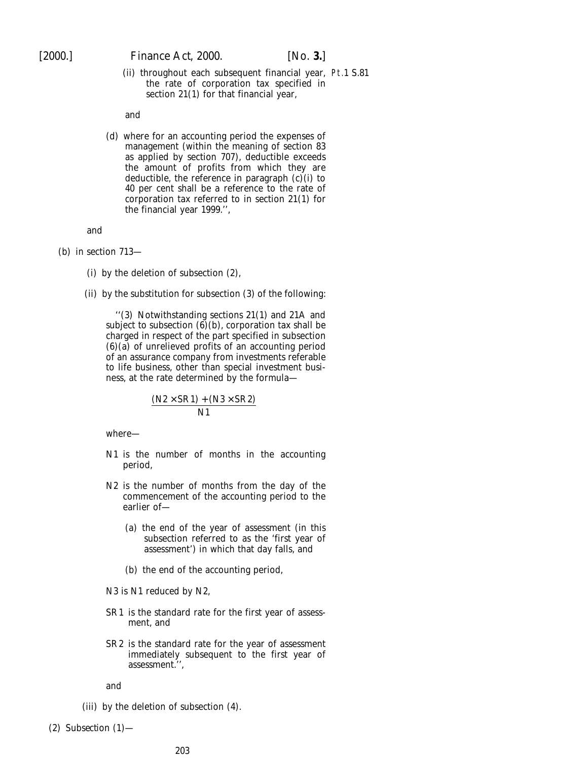(ii) throughout each subsequent financial year, Pt.1 S.81 the rate of corporation tax specified in section 21(1) for that financial year,

and

(*d*) where for an accounting period the expenses of management (within the meaning of section 83 as applied by section 707), deductible exceeds the amount of profits from which they are deductible, the reference in paragraph (*c*)(i) to 40 per cent shall be a reference to the rate of corporation tax referred to in section 21(1) for the financial year 1999.'',

and

- (*b*) in section 713—
	- (i) by the deletion of subsection (2),
	- (ii) by the substitution for subsection (3) of the following:

''(3) Notwithstanding sections 21(1) and 21A and subject to subsection  $(6)(b)$ , corporation tax shall be charged in respect of the part specified in subsection (6)(*a*) of unrelieved profits of an accounting period of an assurance company from investments referable to life business, other than special investment business, at the rate determined by the formula—

$$
\frac{(N2 \times SR1) + (N3 \times SR2)}{N1}
$$

where—

- N1 is the number of months in the accounting period,
- N2 is the number of months from the day of the commencement of the accounting period to the earlier of—
	- (*a*) the end of the year of assessment (in this subsection referred to as the 'first year of assessment') in which that day falls, and
	- (*b*) the end of the accounting period,

N3 is N1 reduced by N2,

- SR1 is the standard rate for the first year of assessment, and
- SR2 is the standard rate for the year of assessment immediately subsequent to the first year of assessment.'',

and

(iii) by the deletion of subsection (4).

(2) *Subsection (1)*—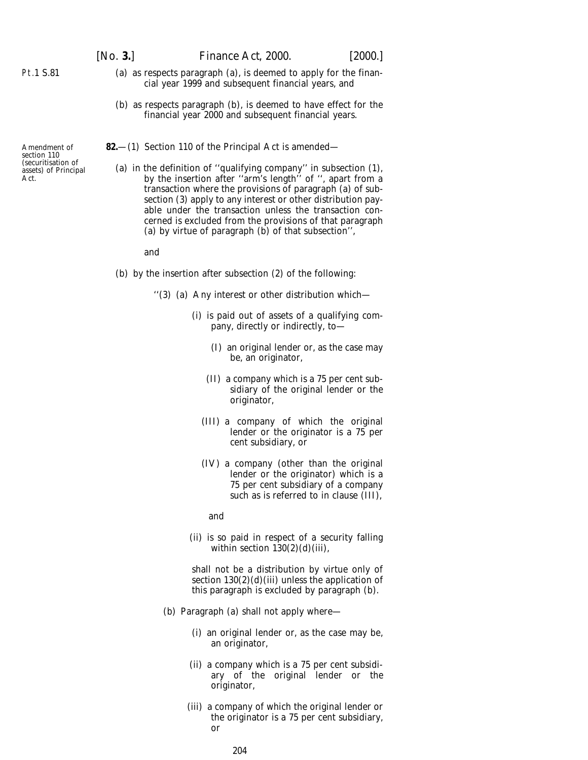- (*a*) as respects *paragraph (a)*, is deemed to apply for the financial year 1999 and subsequent financial years, and
- (*b*) as respects *paragraph (b)*, is deemed to have effect for the financial year 2000 and subsequent financial years.
- **82.**—(1) Section 110 of the Principal Act is amended—
	- (*a*) in the definition of ''qualifying company'' in subsection (1), by the insertion after ''arm's length'' of '', apart from a transaction where the provisions of paragraph (*a*) of subsection (3) apply to any interest or other distribution payable under the transaction unless the transaction concerned is excluded from the provisions of that paragraph (*a*) by virtue of paragraph (*b*) of that subsection'',

and

- (*b*) by the insertion after subsection (2) of the following:
	- ''(3) (*a*) Any interest or other distribution which—
		- (i) is paid out of assets of a qualifying company, directly or indirectly, to—
			- (I) an original lender or, as the case may be, an originator,
			- (II) a company which is a 75 per cent subsidiary of the original lender or the originator,
			- (III) a company of which the original lender or the originator is a 75 per cent subsidiary, or
			- (IV) a company (other than the original lender or the originator) which is a 75 per cent subsidiary of a company such as is referred to in clause (III),

and

(ii) is so paid in respect of a security falling within section  $130(2)(d)$ (iii),

shall not be a distribution by virtue only of section  $130(2)(d)$ (iii) unless the application of this paragraph is excluded by paragraph (*b*).

- (*b*) Paragraph (*a*) shall not apply where—
	- (i) an original lender or, as the case may be, an originator,
	- (ii) a company which is a 75 per cent subsidiary of the original lender or the originator,
	- (iii) a company of which the original lender or the originator is a 75 per cent subsidiary, or

Amendment of section 110 (securitisation of assets) of Principal Act.

Pt.1 S.81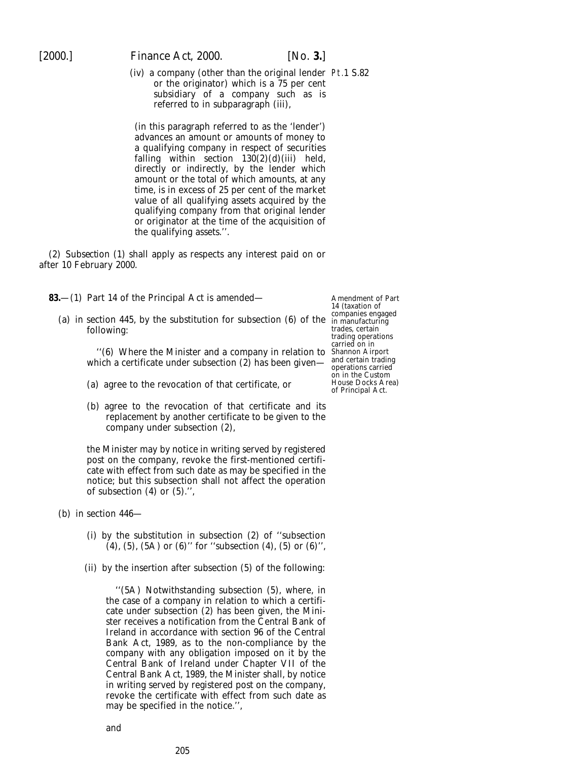(iv) a company (other than the original lender Pt.1 S.82 or the originator) which is a 75 per cent subsidiary of a company such as is referred to in subparagraph (iii),

(in this paragraph referred to as the 'lender') advances an amount or amounts of money to a qualifying company in respect of securities falling within section  $130(2)(d)(iii)$  held, directly or indirectly, by the lender which amount or the total of which amounts, at any time, is in excess of 25 per cent of the market value of all qualifying assets acquired by the qualifying company from that original lender or originator at the time of the acquisition of the qualifying assets.''.

(2) *Subsection (1)* shall apply as respects any interest paid on or after 10 February 2000.

- **83.**—(1) Part 14 of the Principal Act is amended—
	- (*a*) in section 445, by the substitution for subsection (6) of the in manufacturing following:

''(6) Where the Minister and a company in relation to Shannon Airport which a certificate under subsection  $(2)$  has been given-

- (*a*) agree to the revocation of that certificate, or
- (*b*) agree to the revocation of that certificate and its replacement by another certificate to be given to the company under subsection (2),

the Minister may by notice in writing served by registered post on the company, revoke the first-mentioned certificate with effect from such date as may be specified in the notice; but this subsection shall not affect the operation of subsection  $(4)$  or  $(5)$ .",

- (*b*) in section 446—
	- (i) by the substitution in subsection (2) of ''subsection  $(4)$ ,  $(5)$ ,  $(5A)$  or  $(6)$ " for "subsection  $(4)$ ,  $(5)$  or  $(6)$ ",
	- (ii) by the insertion after subsection (5) of the following:

''(5A) Notwithstanding subsection (5), where, in the case of a company in relation to which a certificate under subsection (2) has been given, the Minister receives a notification from the Central Bank of Ireland in accordance with section 96 of the Central Bank Act, 1989, as to the non-compliance by the company with any obligation imposed on it by the Central Bank of Ireland under Chapter VII of the Central Bank Act, 1989, the Minister shall, by notice in writing served by registered post on the company, revoke the certificate with effect from such date as may be specified in the notice.'',

14 (taxation of companies engaged trades, certain trading operations carried on in and certain trading operations carried on in the Custom House Docks Area) of Principal Act.

Amendment of Part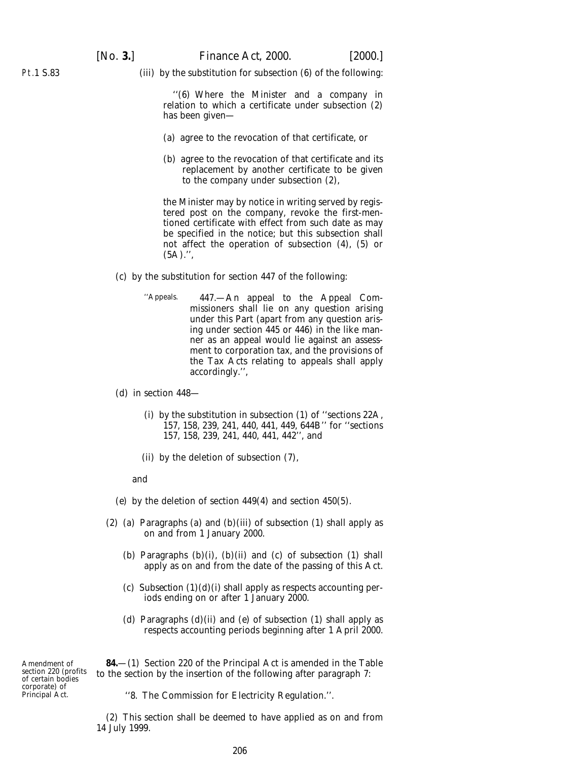(iii) by the substitution for subsection (6) of the following:

''(6) Where the Minister and a company in relation to which a certificate under subsection (2) has been given—

- (*a*) agree to the revocation of that certificate, or
- (*b*) agree to the revocation of that certificate and its replacement by another certificate to be given to the company under subsection (2),

the Minister may by notice in writing served by registered post on the company, revoke the first-mentioned certificate with effect from such date as may be specified in the notice; but this subsection shall not affect the operation of subsection (4), (5) or  $(5A)$ .",

- (*c*) by the substitution for section 447 of the following:
	- ''Appeals. 447.—An appeal to the Appeal Commissioners shall lie on any question arising under this Part (apart from any question arising under section 445 or 446) in the like manner as an appeal would lie against an assessment to corporation tax, and the provisions of the Tax Acts relating to appeals shall apply accordingly.'',
- (*d*) in section 448—
	- (i) by the substitution in subsection (1) of ''sections 22A, 157, 158, 239, 241, 440, 441, 449, 644B'' for ''sections 157, 158, 239, 241, 440, 441, 442'', and
	- (ii) by the deletion of subsection (7),

and

- (*e*) by the deletion of section 449(4) and section 450(5).
- (2) (*a*) *Paragraphs (a)* and *(b)(iii)* of *subsection (1)* shall apply as on and from 1 January 2000.
	- (*b*) *Paragraphs (b)(i)*, *(b)(ii)* and *(c)* of *subsection (1)* shall apply as on and from the date of the passing of this Act.
	- (*c*) *Subsection (1)(d)(i)* shall apply as respects accounting periods ending on or after 1 January 2000.
	- (*d*) *Paragraphs (d)(ii)* and *(e)* of *subsection (1)* shall apply as respects accounting periods beginning after 1 April 2000.

Amendment of section 220 (profits of certain bodies corporate) of Principal Act.

- **84.**—(1) Section 220 of the Principal Act is amended in the Table to the section by the insertion of the following after paragraph 7:
	- ''8. The Commission for Electricity Regulation.''.

(2) This section shall be deemed to have applied as on and from 14 July 1999.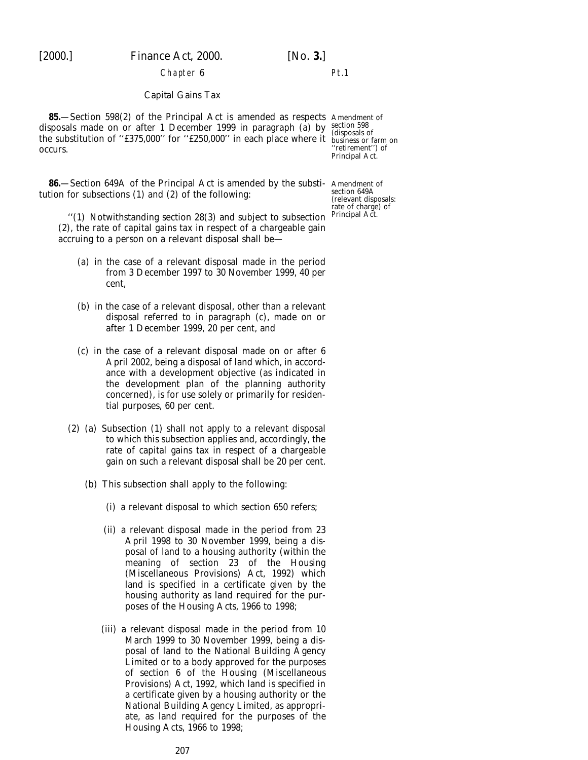## Chapter 6 Pt.1

## *Capital Gains Tax*

**85.**—Section 598(2) of the Principal Act is amended as respects Amendment of disposals made on or after 1 December 1999 in paragraph (*a*) by section 598 disposals made on or differ 1 December 1000 in paragraph (a) by (disposals of the substitution of "£375,000" for "£250,000" in each place where it business or farm on occurs.

**86.**—Section 649A of the Principal Act is amended by the substi- Amendment of tution for subsections (1) and (2) of the following:

"(1) Notwithstanding section 28(3) and subject to subsection Principal Act. (2), the rate of capital gains tax in respect of a chargeable gain accruing to a person on a relevant disposal shall be—

- (*a*) in the case of a relevant disposal made in the period from 3 December 1997 to 30 November 1999, 40 per cent,
- (*b*) in the case of a relevant disposal, other than a relevant disposal referred to in paragraph (*c*), made on or after 1 December 1999, 20 per cent, and
- (*c*) in the case of a relevant disposal made on or after 6 April 2002, being a disposal of land which, in accordance with a development objective (as indicated in the development plan of the planning authority concerned), is for use solely or primarily for residential purposes, 60 per cent.
- (2) (*a*) Subsection (1) shall not apply to a relevant disposal to which this subsection applies and, accordingly, the rate of capital gains tax in respect of a chargeable gain on such a relevant disposal shall be 20 per cent.
	- (*b*) This subsection shall apply to the following:
		- (i) a relevant disposal to which section 650 refers;
		- (ii) a relevant disposal made in the period from 23 April 1998 to 30 November 1999, being a disposal of land to a housing authority (within the meaning of section 23 of the Housing (Miscellaneous Provisions) Act, 1992) which land is specified in a certificate given by the housing authority as land required for the purposes of the Housing Acts, 1966 to 1998;
		- (iii) a relevant disposal made in the period from 10 March 1999 to 30 November 1999, being a disposal of land to the National Building Agency Limited or to a body approved for the purposes of section 6 of the Housing (Miscellaneous Provisions) Act, 1992, which land is specified in a certificate given by a housing authority or the National Building Agency Limited, as appropriate, as land required for the purposes of the Housing Acts, 1966 to 1998;

''retirement'') of Principal Act.

section 649A (relevant disposals: rate of charge) of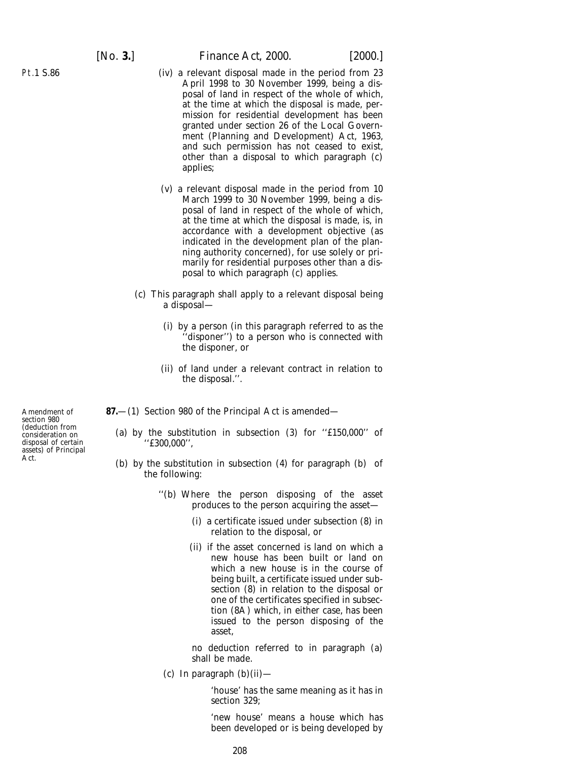Pt.1 S.86

## [*No.* **3.**] *Finance Act,* 2000. [2000.]

- (iv) a relevant disposal made in the period from 23 April 1998 to 30 November 1999, being a disposal of land in respect of the whole of which, at the time at which the disposal is made, permission for residential development has been granted under section 26 of the Local Government (Planning and Development) Act, 1963, and such permission has not ceased to exist, other than a disposal to which paragraph (*c*) applies;
- (v) a relevant disposal made in the period from 10 March 1999 to 30 November 1999, being a disposal of land in respect of the whole of which, at the time at which the disposal is made, is, in accordance with a development objective (as indicated in the development plan of the planning authority concerned), for use solely or primarily for residential purposes other than a disposal to which paragraph (*c*) applies.
- (*c*) This paragraph shall apply to a relevant disposal being a disposal—
	- (i) by a person (in this paragraph referred to as the ''disponer'') to a person who is connected with the disponer, or
	- (ii) of land under a relevant contract in relation to the disposal.''.

**87.**—(1) Section 980 of the Principal Act is amended—

- (*a*) by the substitution in subsection (3) for ''£150,000'' of ''£300,000'',
- (*b*) by the substitution in subsection (4) for paragraph (*b*) of the following:
	- ''(*b*) Where the person disposing of the asset produces to the person acquiring the asset—
		- (i) a certificate issued under subsection (8) in relation to the disposal, or
		- (ii) if the asset concerned is land on which a new house has been built or land on which a new house is in the course of being built, a certificate issued under subsection (8) in relation to the disposal or one of the certificates specified in subsection (8A) which, in either case, has been issued to the person disposing of the asset,

no deduction referred to in paragraph (*a*) shall be made.

(*c*) In paragraph  $(b)(ii)$ —

'house' has the same meaning as it has in section 329;

'new house' means a house which has been developed or is being developed by

Amendment of section 980 (deduction from consideration on disposal of certain assets) of Principal Act.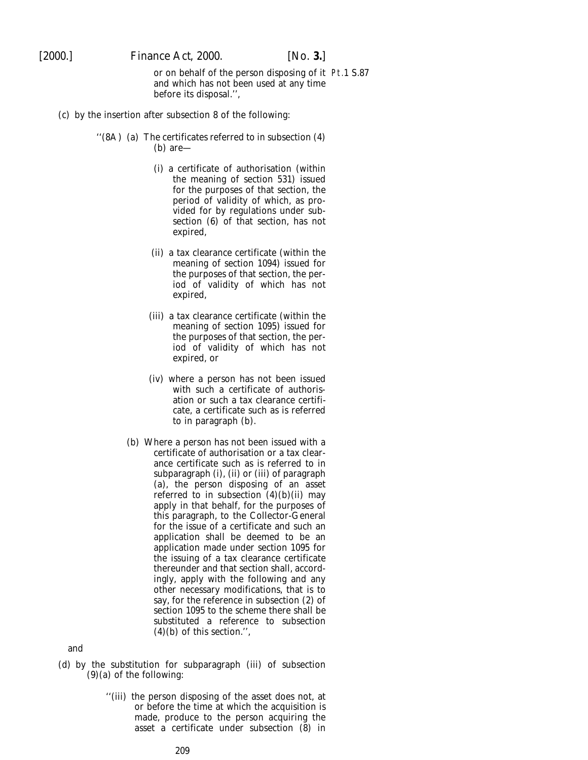or on behalf of the person disposing of it Pt.1 S.87 and which has not been used at any time before its disposal.'',

## (*c*) by the insertion after subsection 8 of the following:

- ''(8A) (*a*) The certificates referred to in subsection (4) (*b*) are—
	- (i) a certificate of authorisation (within the meaning of section 531) issued for the purposes of that section, the period of validity of which, as provided for by regulations under subsection (6) of that section, has not expired,
	- (ii) a tax clearance certificate (within the meaning of section 1094) issued for the purposes of that section, the period of validity of which has not expired,
	- (iii) a tax clearance certificate (within the meaning of section 1095) issued for the purposes of that section, the period of validity of which has not expired, or
	- (iv) where a person has not been issued with such a certificate of authorisation or such a tax clearance certificate, a certificate such as is referred to in paragraph (*b*).
	- (*b*) Where a person has not been issued with a certificate of authorisation or a tax clearance certificate such as is referred to in subparagraph (i), (ii) or (iii) of paragraph (*a*), the person disposing of an asset referred to in subsection  $(4)(b)(ii)$  may apply in that behalf, for the purposes of this paragraph, to the Collector-General for the issue of a certificate and such an application shall be deemed to be an application made under section 1095 for the issuing of a tax clearance certificate thereunder and that section shall, accordingly, apply with the following and any other necessary modifications, that is to say, for the reference in subsection (2) of section 1095 to the scheme there shall be substituted a reference to subsection  $(4)(b)$  of this section.",

and

- (*d*) by the substitution for subparagraph (iii) of subsection (9)(*a*) of the following:
	- ''(iii) the person disposing of the asset does not, at or before the time at which the acquisition is made, produce to the person acquiring the asset a certificate under subsection (8) in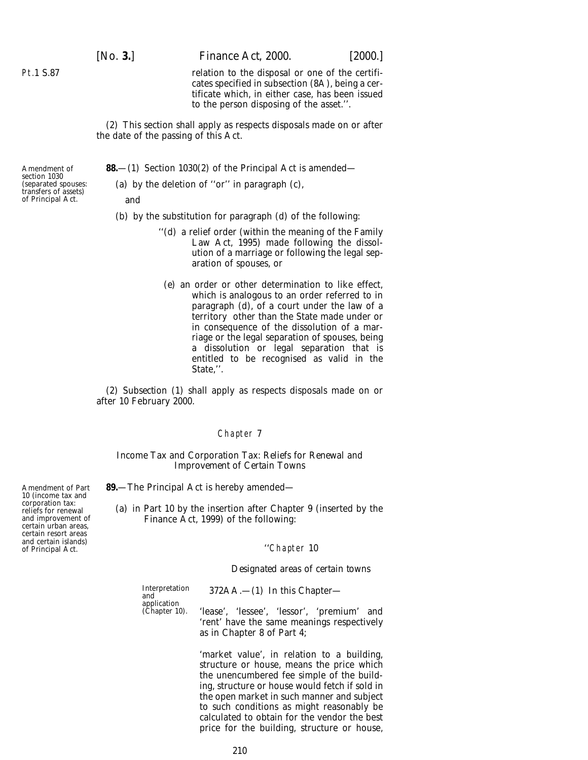[*No.* **3.**] *Finance Act,* 2000. [2000.]

relation to the disposal or one of the certificates specified in subsection (8A), being a certificate which, in either case, has been issued to the person disposing of the asset.''.

(2) This section shall apply as respects disposals made on or after the date of the passing of this Act.

**88.**—(1) Section 1030(2) of the Principal Act is amended—

(*a*) by the deletion of ''or'' in paragraph (*c*),

and

(*b*) by the substitution for paragraph (*d*) of the following:

- ''(*d*) a relief order (within the meaning of the Family Law Act, 1995) made following the dissolution of a marriage or following the legal separation of spouses, or
	- (*e*) an order or other determination to like effect, which is analogous to an order referred to in paragraph (*d*), of a court under the law of a territory other than the State made under or in consequence of the dissolution of a marriage or the legal separation of spouses, being a dissolution or legal separation that is entitled to be recognised as valid in the State,''.

(2) *Subsection (1)* shall apply as respects disposals made on or after 10 February 2000.

## Chapter 7

*Income Tax and Corporation Tax: Reliefs for Renewal and Improvement of Certain Towns*

**89.**—The Principal Act is hereby amended—

(*a*) in Part 10 by the insertion after Chapter 9 (inserted by the Finance Act, 1999) of the following:

## ''Chapter 10

*Designated areas of certain towns*

application<br>(Chapter 10).

Interpretation 372AA.—(1) In this Chapter— and

'lease', 'lessee', 'lessor', 'premium' and 'rent' have the same meanings respectively as in Chapter 8 of Part 4;

'market value', in relation to a building, structure or house, means the price which the unencumbered fee simple of the building, structure or house would fetch if sold in the open market in such manner and subject to such conditions as might reasonably be calculated to obtain for the vendor the best price for the building, structure or house,

Amendment of Part 10 (income tax and corporation tax: reliefs for renewal and improvement of certain urban areas, certain resort areas and certain islands) of Principal Act.

Amendment of section 1030 (separated spouses: transfers of assets) of Principal Act.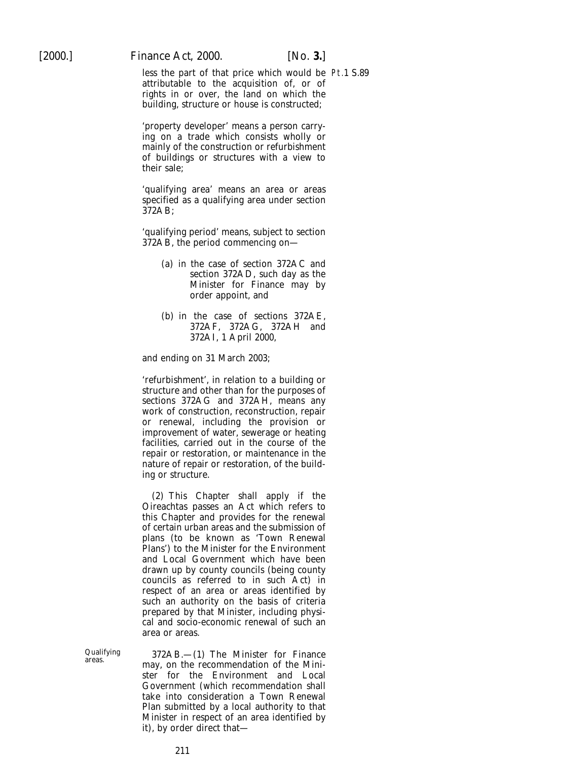less the part of that price which would be Pt.1 S.89 attributable to the acquisition of, or of rights in or over, the land on which the building, structure or house is constructed;

'property developer' means a person carrying on a trade which consists wholly or mainly of the construction or refurbishment of buildings or structures with a view to their sale;

'qualifying area' means an area or areas specified as a qualifying area under section 372AB;

'qualifying period' means, subject to section 372AB, the period commencing on—

- (*a*) in the case of section 372AC and section 372AD, such day as the Minister for Finance may by order appoint, and
- (*b*) in the case of sections 372AE, 372AF, 372AG, 372AH and 372AI, 1 April 2000,

and ending on 31 March 2003;

'refurbishment', in relation to a building or structure and other than for the purposes of sections 372AG and 372AH, means any work of construction, reconstruction, repair or renewal, including the provision or improvement of water, sewerage or heating facilities, carried out in the course of the repair or restoration, or maintenance in the nature of repair or restoration, of the building or structure.

(2) This Chapter shall apply if the Oireachtas passes an Act which refers to this Chapter and provides for the renewal of certain urban areas and the submission of plans (to be known as 'Town Renewal Plans') to the Minister for the Environment and Local Government which have been drawn up by county councils (being county councils as referred to in such Act) in respect of an area or areas identified by such an authority on the basis of criteria prepared by that Minister, including physical and socio-economic renewal of such an area or areas.

Qualifying 372AB.—(1) The Minister for Finance areas. may, on the recommendation of the Minister for the Environment and Local Government (which recommendation shall take into consideration a Town Renewal Plan submitted by a local authority to that Minister in respect of an area identified by it), by order direct that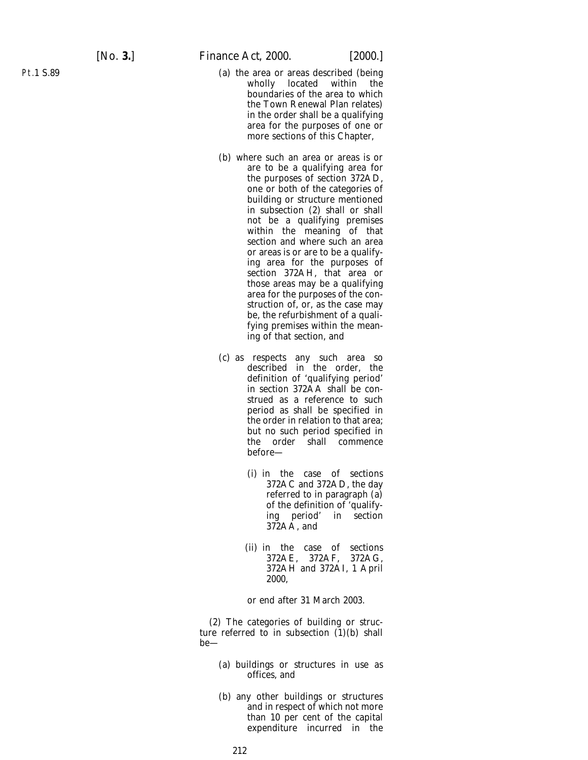Pt.1 S.89

- ( *a*) the area or areas described (being wholly located within the boundaries of the area to which the Town Renewal Plan relates) in the order shall be a qualifying area for the purposes of one or more sections of this Chapter,
- ( *b*) where such an area or areas is or are to be a qualifying area for the purposes of section 372AD, one or both of the categories of building or structure mentioned in subsection (2) shall or shall not be a qualifying premises within the meaning of that section and where such an area or areas is or are to be a qualifying area for the purposes of section 372AH, that area or those areas may be a qualifying area for the purposes of the construction of, or, as the case may be, the refurbishment of a qualifying premises within the meaning of that section, and
- ( *c*) as respects any such area so described in the order, the definition of 'qualifying period' in section 372AA shall be construed as a reference to such period as shall be specified in the order in relation to that area; but no such period specified in the order shall commence before—
	- (i) in the case of sections 372AC and 372AD, the day referred to in paragraph ( *a*) of the definition of 'qualifying period' in section 372AA, and
	- (ii) in the case of sections 372AE, 372AF, 372AG, 372AH and 372AI, 1 April 2000,

or end after 31 March 2003.

(2) The categories of building or structure referred to in subsection (1)(*b*) shall be—

- ( *a*) buildings or structures in use as offices, and
- ( *b*) any other buildings or structures and in respect of which not more than 10 per cent of the capital expenditure incurred in the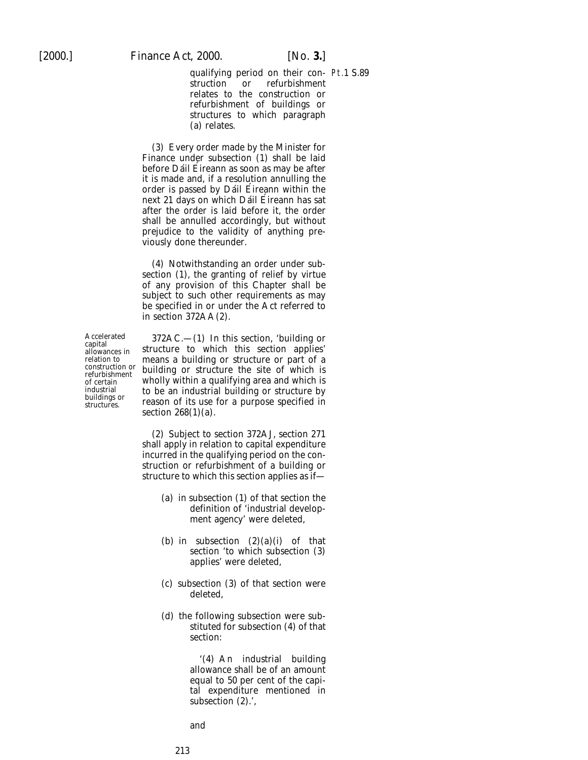qualifying period on their con- Pt.1 S.89 struction or refurbishment relates to the construction or refurbishment of buildings or structures to which paragraph (*a*) relates.

(3) Every order made by the Minister for Finance under subsection (1) shall be laid before Dáil Éireann as soon as may be after it is made and, if a resolution annulling the order is passed by Dáil Eireann within the next 21 days on which Dáil Éireann has sat after the order is laid before it, the order shall be annulled accordingly, but without prejudice to the validity of anything previously done thereunder.

(4) Notwithstanding an order under subsection (1), the granting of relief by virtue of any provision of this Chapter shall be subject to such other requirements as may be specified in or under the Act referred to in section 372AA(2).

Accelerated 372AC.—(1) In this section, 'building or capital structure to which this section applies' relation to means a building or structure or part of a relation to means a building or structure or part of a construction or building or structure the site of which is of certain wholly within a qualifying area and which is of certain wholly within a qualifying area and which is<br>industrial to be an industrial building or structure by industrial to be an industrial building or structure by buildings or reason of its use for a purpose specified in section 268(1)(*a*).

> (2) Subject to section 372AJ, section 271 shall apply in relation to capital expenditure incurred in the qualifying period on the construction or refurbishment of a building or structure to which this section applies as if—

- (*a*) in subsection (1) of that section the definition of 'industrial development agency' were deleted,
- (*b*) in subsection  $(2)(a)(i)$  of that section 'to which subsection (3) applies' were deleted,
- (*c*) subsection (3) of that section were deleted,
- (*d*) the following subsection were substituted for subsection (4) of that section:

'(4) An industrial building allowance shall be of an amount equal to 50 per cent of the capital expenditure mentioned in subsection (2).',

and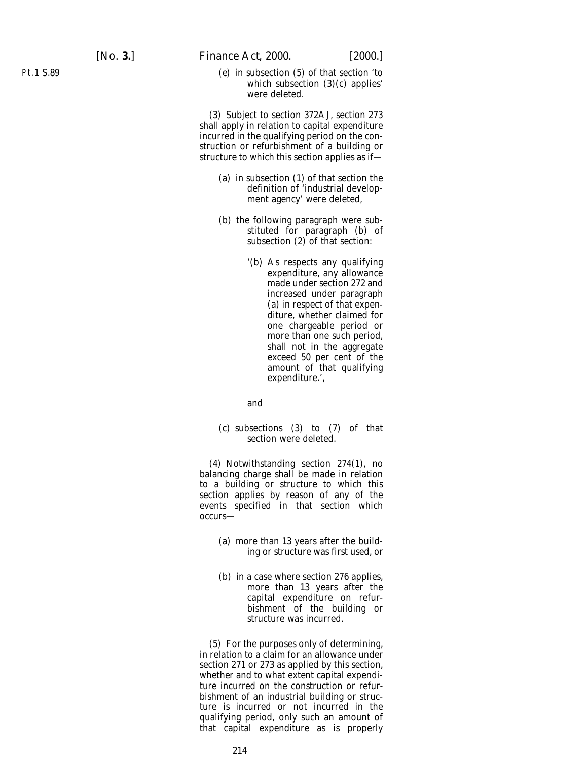[*No.* **3.**] *Finance Act,* 2000. [2000.]

(*e*) in subsection (5) of that section 'to which subsection (3)(*c*) applies' were deleted.

(3) Subject to section 372AJ, section 273 shall apply in relation to capital expenditure incurred in the qualifying period on the construction or refurbishment of a building or structure to which this section applies as if—

- (*a*) in subsection (1) of that section the definition of 'industrial development agency' were deleted,
- (*b*) the following paragraph were substituted for paragraph (*b*) of subsection (2) of that section:
	- '(*b*) As respects any qualifying expenditure, any allowance made under section 272 and increased under paragraph (*a*) in respect of that expenditure, whether claimed for one chargeable period or more than one such period, shall not in the aggregate exceed 50 per cent of the amount of that qualifying expenditure.',

and

(*c*) subsections (3) to (7) of that section were deleted.

(4) Notwithstanding section 274(1), no balancing charge shall be made in relation to a building or structure to which this section applies by reason of any of the events specified in that section which occurs—

- (*a*) more than 13 years after the building or structure was first used, or
- (*b*) in a case where section 276 applies, more than 13 years after the capital expenditure on refurbishment of the building or structure was incurred.

(5) For the purposes only of determining, in relation to a claim for an allowance under section 271 or 273 as applied by this section, whether and to what extent capital expenditure incurred on the construction or refurbishment of an industrial building or structure is incurred or not incurred in the qualifying period, only such an amount of that capital expenditure as is properly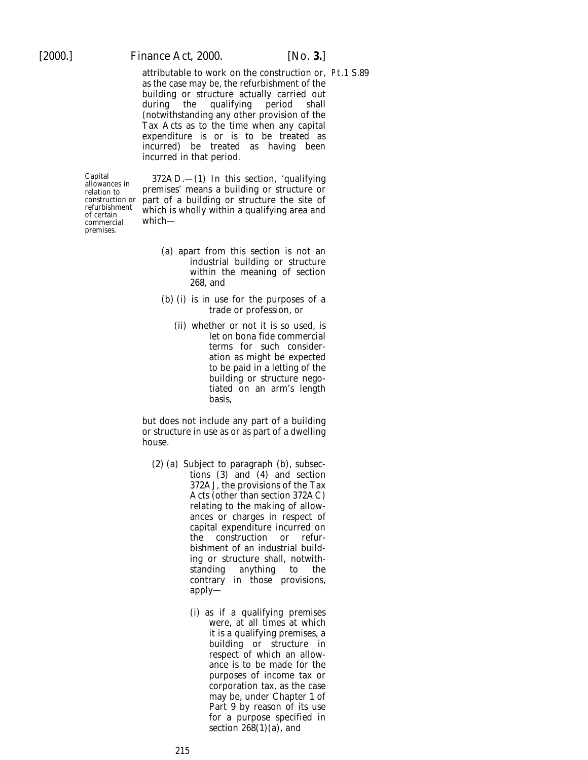attributable to work on the construction or, Pt.1 S.89 as the case may be, the refurbishment of the building or structure actually carried out during the qualifying period shall (notwithstanding any other provision of the Tax Acts as to the time when any capital expenditure is or is to be treated as incurred) be treated as having been incurred in that period.

commercial premises.

Capital 372AD.—(1) In this section, 'qualifying allowances in premises' means a building or structure or construction or part of a building or structure the site of refurbishment which is wholly within a qualifying area and of certain which is wholly within a qualifying area and

- (*a*) apart from this section is not an industrial building or structure within the meaning of section 268, and
- (*b*) (i) is in use for the purposes of a trade or profession, or
	- (ii) whether or not it is so used, is let on bona fide commercial terms for such consideration as might be expected to be paid in a letting of the building or structure negotiated on an arm's length basis,

but does not include any part of a building or structure in use as or as part of a dwelling house.

- (2) (*a*) Subject to paragraph (*b*), subsections  $(3)$  and  $(4)$  and section 372AJ, the provisions of the Tax Acts (other than section 372AC) relating to the making of allowances or charges in respect of capital expenditure incurred on the construction or refurbishment of an industrial building or structure shall, notwithstanding anything to the contrary in those provisions, apply—
	- (i) as if a qualifying premises were, at all times at which it is a qualifying premises, a building or structure in respect of which an allowance is to be made for the purposes of income tax or corporation tax, as the case may be, under Chapter 1 of Part 9 by reason of its use for a purpose specified in section 268(1)(*a*), and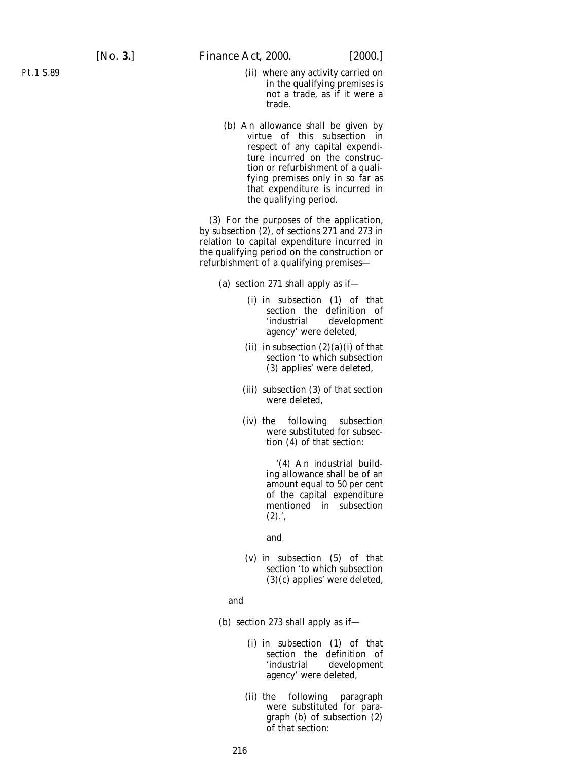[*No.* **3.**] *Finance Act,* 2000. [2000.]

- (ii) where any activity carried on in the qualifying premises is not a trade, as if it were a trade.
- (*b*) An allowance shall be given by virtue of this subsection in respect of any capital expenditure incurred on the construction or refurbishment of a qualifying premises only in so far as that expenditure is incurred in the qualifying period.

(3) For the purposes of the application, by subsection (2), of sections 271 and 273 in relation to capital expenditure incurred in the qualifying period on the construction or refurbishment of a qualifying premises—

(*a*) section 271 shall apply as if—

- (i) in subsection (1) of that section the definition of 'industrial development agency' were deleted,
- (ii) in subsection  $(2)(a)(i)$  of that section 'to which subsection (3) applies' were deleted,
- (iii) subsection (3) of that section were deleted,
- (iv) the following subsection were substituted for subsection (4) of that section:

'(4) An industrial building allowance shall be of an amount equal to 50 per cent of the capital expenditure mentioned in subsection  $(2).$ 

and

(v) in subsection (5) of that section 'to which subsection (3)(*c*) applies' were deleted,

#### and

(*b*) section 273 shall apply as if—

- (i) in subsection (1) of that section the definition of 'industrial development agency' were deleted,
- (ii) the following paragraph were substituted for paragraph (*b*) of subsection (2) of that section: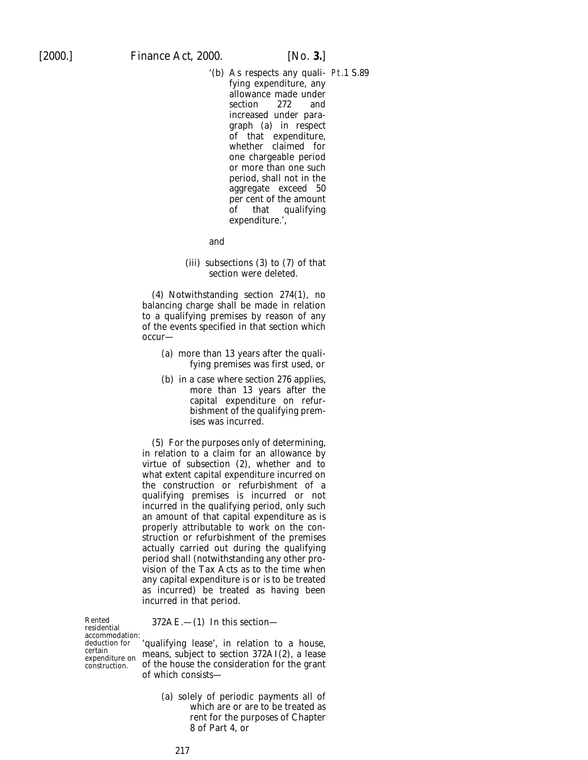'(*b*) As respects any quali- Pt.1 S.89 fying expenditure, any allowance made under<br>section 272 and section 272 and increased under paragraph (*a*) in respect of that expenditure, whether claimed for one chargeable period or more than one such period, shall not in the aggregate exceed 50 per cent of the amount of that qualifying expenditure.',

and

#### (iii) subsections (3) to (7) of that section were deleted.

(4) Notwithstanding section 274(1), no balancing charge shall be made in relation to a qualifying premises by reason of any of the events specified in that section which occur—

- (*a*) more than 13 years after the qualifying premises was first used, or
- (*b*) in a case where section 276 applies, more than 13 years after the capital expenditure on refurbishment of the qualifying premises was incurred.

(5) For the purposes only of determining, in relation to a claim for an allowance by virtue of subsection (2), whether and to what extent capital expenditure incurred on the construction or refurbishment of a qualifying premises is incurred or not incurred in the qualifying period, only such an amount of that capital expenditure as is properly attributable to work on the construction or refurbishment of the premises actually carried out during the qualifying period shall (notwithstanding any other provision of the Tax Acts as to the time when any capital expenditure is or is to be treated as incurred) be treated as having been incurred in that period.

accommodation:

# Rented 372AE.—(1) In this section— residential

deduction for 'qualifying lease', in relation to a house, certain means, subject to section 372AI(2), a lease expenditure on of the house the consideration for the grant of the house the consideration for the grant of which consists—

> (*a*) solely of periodic payments all of which are or are to be treated as rent for the purposes of Chapter 8 of Part 4, or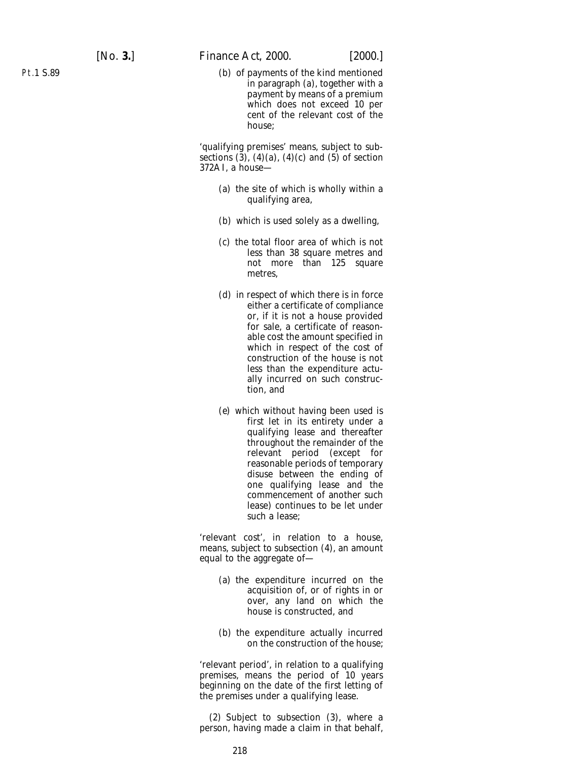( *b*) of payments of the kind mentioned in paragraph ( *a*), together with a payment by means of a premium which does not exceed 10 per cent of the relevant cost of the house;

'qualifying premises' means, subject to subsections  $(3)$ ,  $(4)(a)$ ,  $(4)(c)$  and  $(5)$  of section 372AI, a house—

- (*a*) the site of which is wholly within a qualifying area,
- ( *b*) which is used solely as a dwelling,
- ( *c*) the total floor area of which is not less than 38 square metres and not more than 125 square metres,
- ( *d*) in respect of which there is in force either a certificate of compliance or, if it is not a house provided for sale, a certificate of reasonable cost the amount specified in which in respect of the cost of construction of the house is not less than the expenditure actually incurred on such construction, and
- ( *e*) which without having been used is first let in its entirety under a qualifying lease and thereafter throughout the remainder of the relevant period (except for reasonable periods of temporary disuse between the ending of one qualifying lease and the commencement of another such lease) continues to be let under such a lease;

'relevant cost', in relation to a house, means, subject to subsection (4), an amount equal to the aggregate of—

- (*a*) the expenditure incurred on the acquisition of, or of rights in or over, any land on which the house is constructed, and
- ( *b*) the expenditure actually incurred on the construction of the house;

'relevant period', in relation to a qualifying premises, means the period of 10 years beginning on the date of the first letting of the premises under a qualifying lease.

(2) Subject to subsection (3), where a person, having made a claim in that behalf,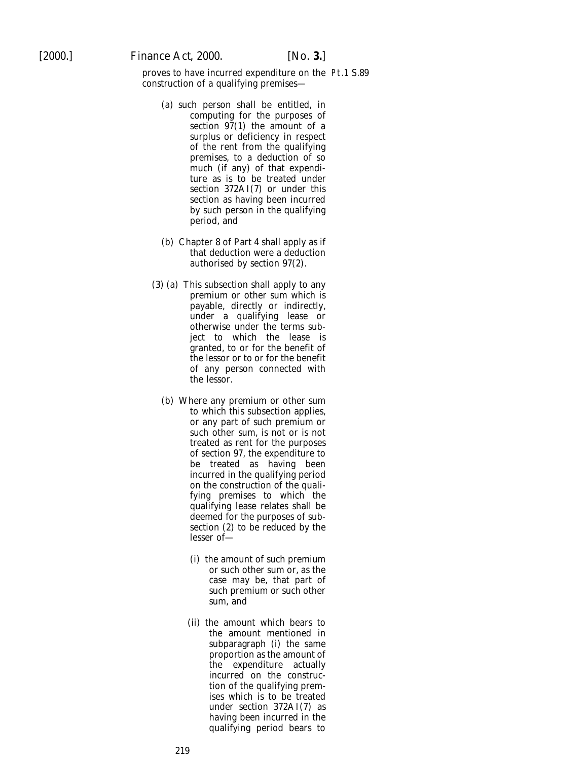proves to have incurred expenditure on the Pt.1 S.89 construction of a qualifying premises—

- (*a*) such person shall be entitled, in computing for the purposes of section 97(1) the amount of a surplus or deficiency in respect of the rent from the qualifying premises, to a deduction of so much (if any) of that expenditure as is to be treated under section 372AI(7) or under this section as having been incurred by such person in the qualifying period, and
- (*b*) Chapter 8 of Part 4 shall apply as if that deduction were a deduction authorised by section 97(2).
- (3) (*a*) This subsection shall apply to any premium or other sum which is payable, directly or indirectly, under a qualifying lease or otherwise under the terms subject to which the lease is granted, to or for the benefit of the lessor or to or for the benefit of any person connected with the lessor.
	- (*b*) Where any premium or other sum to which this subsection applies, or any part of such premium or such other sum, is not or is not treated as rent for the purposes of section 97, the expenditure to be treated as having been incurred in the qualifying period on the construction of the qualifying premises to which the qualifying lease relates shall be deemed for the purposes of subsection (2) to be reduced by the lesser of—
		- (i) the amount of such premium or such other sum or, as the case may be, that part of such premium or such other sum, and
		- (ii) the amount which bears to the amount mentioned in subparagraph (i) the same proportion as the amount of the expenditure actually incurred on the construction of the qualifying premises which is to be treated under section 372AI(7) as having been incurred in the qualifying period bears to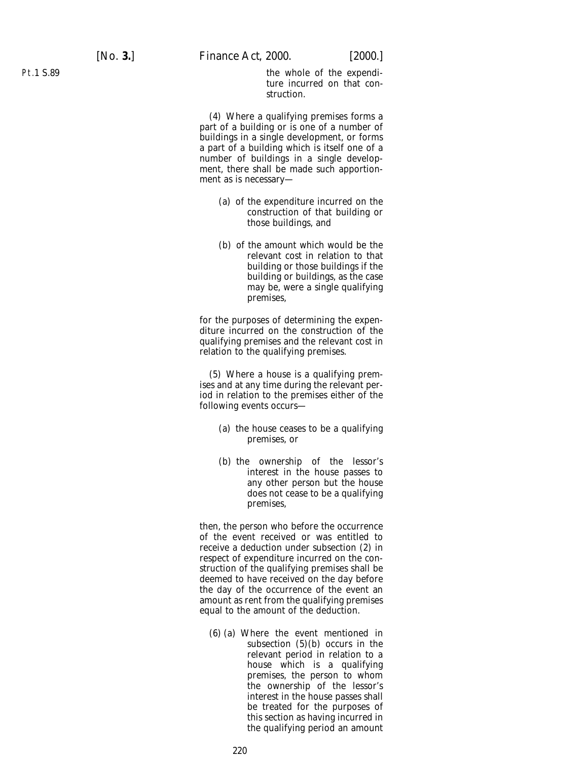] *Finance Act,* 2000. [2000.]

the whole of the expenditure incurred on that construction.

(4) Where a qualifying premises forms a part of a building or is one of a number of buildings in a single development, or forms a part of a building which is itself one of a number of buildings in a single development, there shall be made such apportionment as is necessary—

- (*a*) of the expenditure incurred on the construction of that building or those buildings, and
- ( *b*) of the amount which would be the relevant cost in relation to that building or those buildings if the building or buildings, as the case may be, were a single qualifying premises,

for the purposes of determining the expenditure incurred on the construction of the qualifying premises and the relevant cost in relation to the qualifying premises.

(5) Where a house is a qualifying premises and at any time during the relevant period in relation to the premises either of the following events occurs—

- (*a*) the house ceases to be a qualifying premises, or
- ( *b*) the ownership of the lessor's interest in the house passes to any other person but the house does not cease to be a qualifying premises,

then, the person who before the occurrence of the event received or was entitled to receive a deduction under subsection (2) in respect of expenditure incurred on the construction of the qualifying premises shall be deemed to have received on the day before the day of the occurrence of the event an amount as rent from the qualifying premises equal to the amount of the deduction.

(6) ( *a*) Where the event mentioned in subsection (5)( *b*) occurs in the relevant period in relation to a house which is a qualifying premises, the person to whom the ownership of the lessor's interest in the house passes shall be treated for the purposes of this section as having incurred in the qualifying period an amount

Pt.1 S.89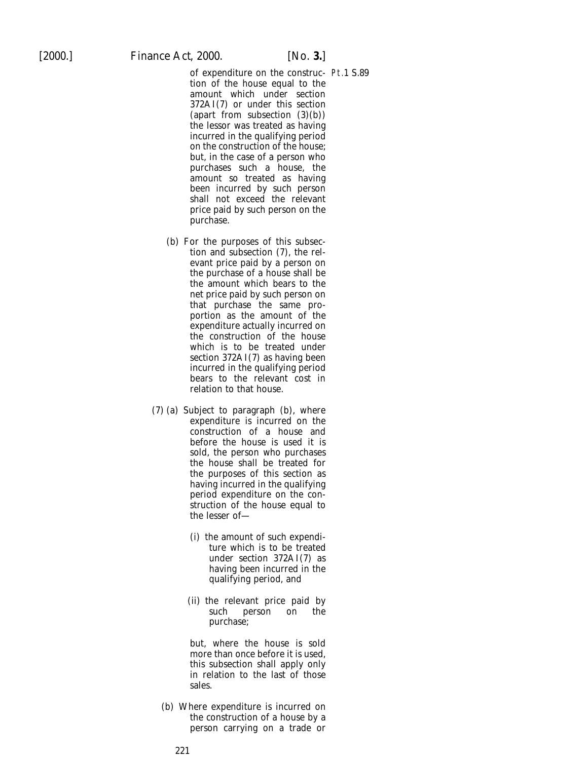of expenditure on the construc- Pt.1 S.89 tion of the house equal to the amount which under section 372AI(7) or under this section (apart from subsection  $(3)(b)$ ) the lessor was treated as having incurred in the qualifying period on the construction of the house; but, in the case of a person who purchases such a house, the amount so treated as having been incurred by such person shall not exceed the relevant price paid by such person on the purchase.

- (*b*) For the purposes of this subsection and subsection (7), the relevant price paid by a person on the purchase of a house shall be the amount which bears to the net price paid by such person on that purchase the same proportion as the amount of the expenditure actually incurred on the construction of the house which is to be treated under section 372AI(7) as having been incurred in the qualifying period bears to the relevant cost in relation to that house.
- (7) (*a*) Subject to paragraph (*b*), where expenditure is incurred on the construction of a house and before the house is used it is sold, the person who purchases the house shall be treated for the purposes of this section as having incurred in the qualifying period expenditure on the construction of the house equal to the lesser of—
	- (i) the amount of such expenditure which is to be treated under section 372AI(7) as having been incurred in the qualifying period, and
	- (ii) the relevant price paid by such person on the purchase;

but, where the house is sold more than once before it is used, this subsection shall apply only in relation to the last of those sales.

(*b*) Where expenditure is incurred on the construction of a house by a person carrying on a trade or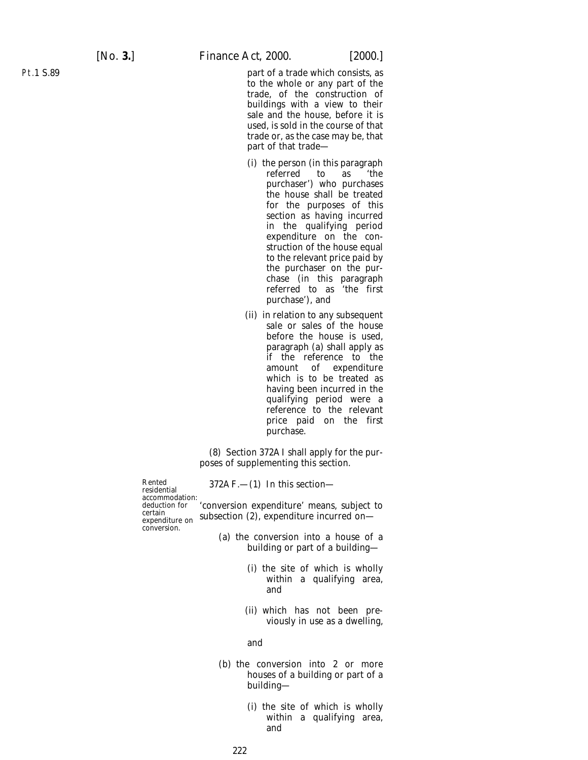Pt.1 S.89

part of a trade which consists, as to the whole or any part of the trade, of the construction of buildings with a view to their sale and the house, before it is used, is sold in the course of that trade or, as the case may be, that part of that trade—

- (i) the person (in this paragraph referred to as 'the purchaser') who purchases the house shall be treated for the purposes of this section as having incurred in the qualifying period expenditure on the construction of the house equal to the relevant price paid by the purchaser on the purchase (in this paragraph referred to as 'the first purchase'), and
- (ii) in relation to any subsequent sale or sales of the house before the house is used, paragraph (*a*) shall apply as if the reference to the amount of expenditure which is to be treated as having been incurred in the qualifying period were a reference to the relevant price paid on the first purchase.

(8) Section 372AI shall apply for the purposes of supplementing this section.

Rented 372AF.—(1) In this section— residential accommodation: deduction for 'conversion expenditure' means, subject to certain subsection (2), expenditure incurred on conversion.

- subsection  $(2)$ , expenditure incurred on-(*a*) the conversion into a house of a
	- building or part of a building—
		- (i) the site of which is wholly within a qualifying area, and
		- (ii) which has not been previously in use as a dwelling,

and

- (*b*) the conversion into 2 or more houses of a building or part of a building—
	- (i) the site of which is wholly within a qualifying area, and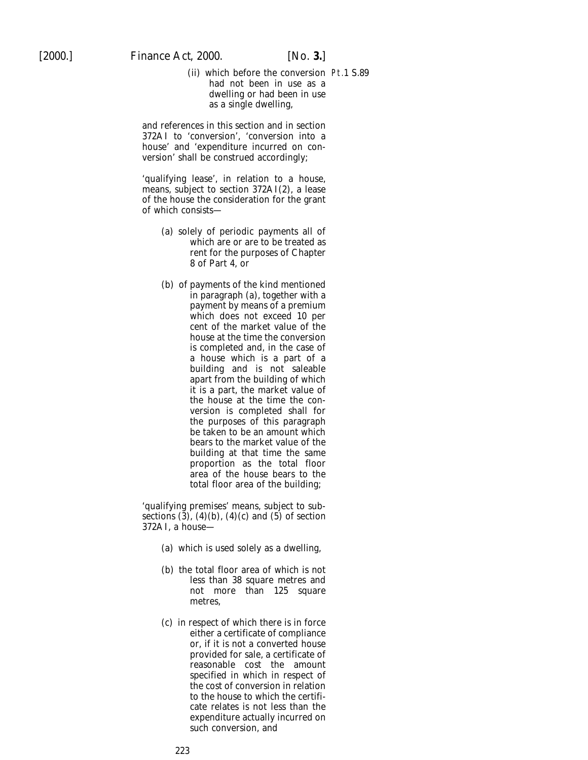(ii) which before the conversion Pt.1 S.89 had not been in use as a dwelling or had been in use as a single dwelling,

and references in this section and in section 372AI to 'conversion', 'conversion into a house' and 'expenditure incurred on conversion' shall be construed accordingly;

'qualifying lease', in relation to a house, means, subject to section 372AI(2), a lease of the house the consideration for the grant of which consists—

- (*a*) solely of periodic payments all of which are or are to be treated as rent for the purposes of Chapter 8 of Part 4, or
- (*b*) of payments of the kind mentioned in paragraph (*a*), together with a payment by means of a premium which does not exceed 10 per cent of the market value of the house at the time the conversion is completed and, in the case of a house which is a part of a building and is not saleable apart from the building of which it is a part, the market value of the house at the time the conversion is completed shall for the purposes of this paragraph be taken to be an amount which bears to the market value of the building at that time the same proportion as the total floor area of the house bears to the total floor area of the building;

'qualifying premises' means, subject to subsections (3),  $(4)(b)$ ,  $(4)(c)$  and (5) of section 372AI, a house—

- (*a*) which is used solely as a dwelling,
- (*b*) the total floor area of which is not less than 38 square metres and not more than 125 square metres,
- (*c*) in respect of which there is in force either a certificate of compliance or, if it is not a converted house provided for sale, a certificate of reasonable cost the amount specified in which in respect of the cost of conversion in relation to the house to which the certificate relates is not less than the expenditure actually incurred on such conversion, and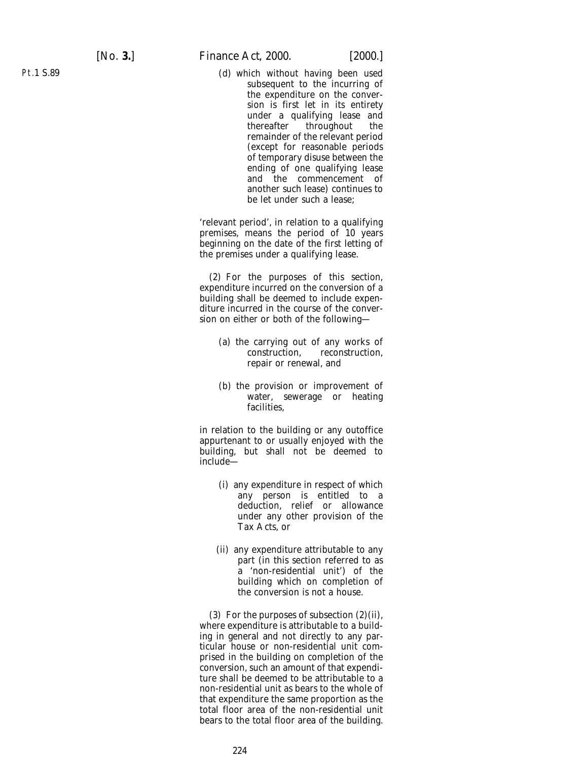( *d*) which without having been used subsequent to the incurring of the expenditure on the conversion is first let in its entirety under a qualifying lease and thereafter throughout the remainder of the relevant period (except for reasonable periods of temporary disuse between the ending of one qualifying lease and the commencement of another such lease) continues to be let under such a lease;

'relevant period', in relation to a qualifying premises, means the period of 10 years beginning on the date of the first letting of the premises under a qualifying lease.

(2) For the purposes of this section, expenditure incurred on the conversion of a building shall be deemed to include expenditure incurred in the course of the conversion on either or both of the following—

- (*a*) the carrying out of any works of construction, reconstruction, repair or renewal, and
- ( *b*) the provision or improvement of water, sewerage or heating facilities,

in relation to the building or any outoffice appurtenant to or usually enjoyed with the building, but shall not be deemed to include—

- (i) any expenditure in respect of which any person is entitled to a deduction, relief or allowance under any other provision of the Tax Acts, or
- (ii) any expenditure attributable to any part (in this section referred to as a 'non-residential unit') of the building which on completion of the conversion is not a house.

(3) For the purposes of subsection  $(2)(ii)$ , where expenditure is attributable to a building in general and not directly to any particular house or non-residential unit comprised in the building on completion of the conversion, such an amount of that expenditure shall be deemed to be attributable to a non-residential unit as bears to the whole of that expenditure the same proportion as the total floor area of the non-residential unit bears to the total floor area of the building.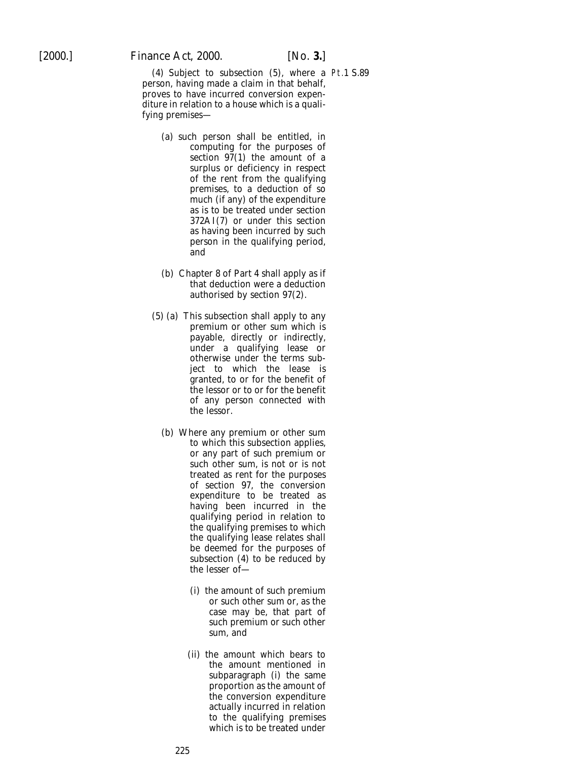(4) Subject to subsection (5), where a Pt.1 S.89 person, having made a claim in that behalf, proves to have incurred conversion expenditure in relation to a house which is a qualifying premises—

- (*a*) such person shall be entitled, in computing for the purposes of section  $97(1)$  the amount of a surplus or deficiency in respect of the rent from the qualifying premises, to a deduction of so much (if any) of the expenditure as is to be treated under section 372AI(7) or under this section as having been incurred by such person in the qualifying period, and
- (*b*) Chapter 8 of Part 4 shall apply as if that deduction were a deduction authorised by section 97(2).
- (5) (*a*) This subsection shall apply to any premium or other sum which is payable, directly or indirectly, under a qualifying lease or otherwise under the terms subject to which the lease is granted, to or for the benefit of the lessor or to or for the benefit of any person connected with the lessor.
	- (*b*) Where any premium or other sum to which this subsection applies, or any part of such premium or such other sum, is not or is not treated as rent for the purposes of section 97, the conversion expenditure to be treated as having been incurred in the qualifying period in relation to the qualifying premises to which the qualifying lease relates shall be deemed for the purposes of subsection (4) to be reduced by the lesser of—
		- (i) the amount of such premium or such other sum or, as the case may be, that part of such premium or such other sum, and
		- (ii) the amount which bears to the amount mentioned in subparagraph (i) the same proportion as the amount of the conversion expenditure actually incurred in relation to the qualifying premises which is to be treated under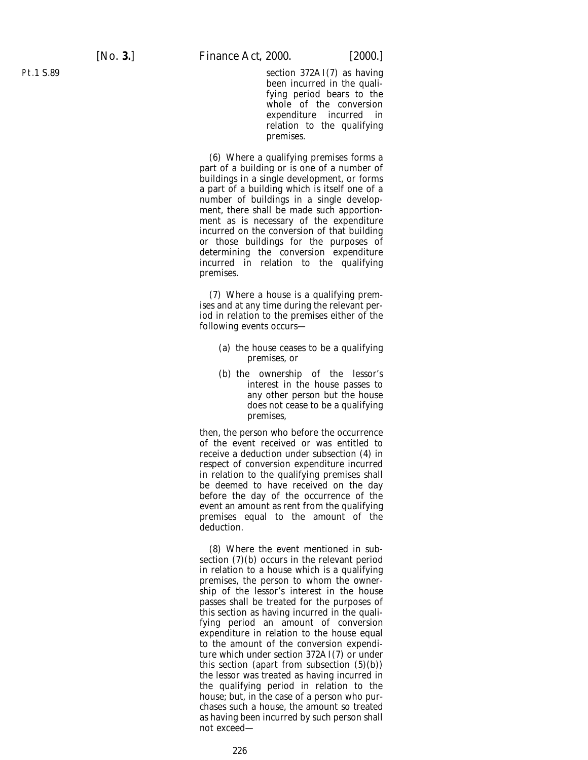section 372AI(7) as having been incurred in the qualifying period bears to the whole of the conversion expenditure incurred in relation to the qualifying premises.

(6) Where a qualifying premises forms a part of a building or is one of a number of buildings in a single development, or forms a part of a building which is itself one of a number of buildings in a single development, there shall be made such apportionment as is necessary of the expenditure incurred on the conversion of that building or those buildings for the purposes of determining the conversion expenditure incurred in relation to the qualifying premises.

(7) Where a house is a qualifying premises and at any time during the relevant period in relation to the premises either of the following events occurs—

- (*a*) the house ceases to be a qualifying premises, or
- ( *b*) the ownership of the lessor's interest in the house passes to any other person but the house does not cease to be a qualifying premises,

then, the person who before the occurrence of the event received or was entitled to receive a deduction under subsection (4) in respect of conversion expenditure incurred in relation to the qualifying premises shall be deemed to have received on the day before the day of the occurrence of the event an amount as rent from the qualifying premises equal to the amount of the deduction.

(8) Where the event mentioned in subsection (7)(*b*) occurs in the relevant period in relation to a house which is a qualifying premises, the person to whom the ownership of the lessor's interest in the house passes shall be treated for the purposes of this section as having incurred in the qualifying period an amount of conversion expenditure in relation to the house equal to the amount of the conversion expenditure which under section 372AI(7) or under this section (apart from subsection  $(5)(b)$ ) the lessor was treated as having incurred in the qualifying period in relation to the house; but, in the case of a person who purchases such a house, the amount so treated as having been incurred by such person shall not exceed—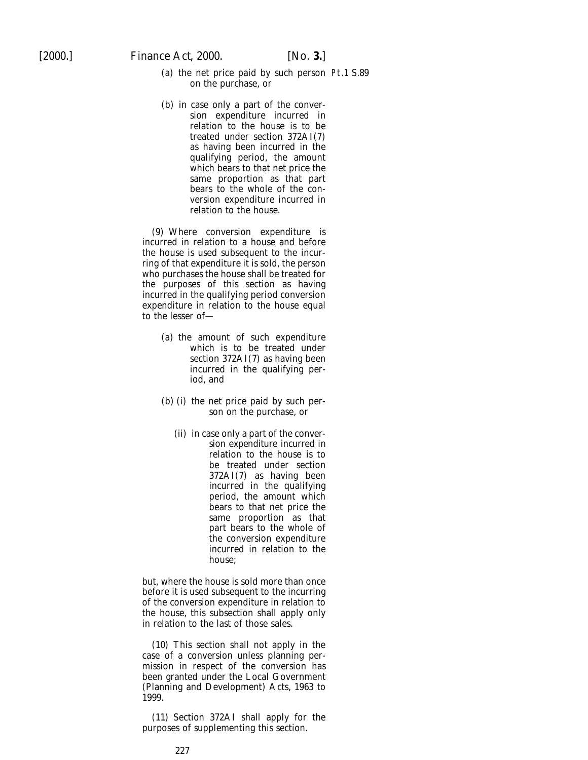- (*a*) the net price paid by such person Pt.1 S.89 on the purchase, or
- (*b*) in case only a part of the conversion expenditure incurred in relation to the house is to be treated under section 372AI(7) as having been incurred in the qualifying period, the amount which bears to that net price the same proportion as that part bears to the whole of the conversion expenditure incurred in relation to the house.

(9) Where conversion expenditure is incurred in relation to a house and before the house is used subsequent to the incurring of that expenditure it is sold, the person who purchases the house shall be treated for the purposes of this section as having incurred in the qualifying period conversion expenditure in relation to the house equal to the lesser of—

- (*a*) the amount of such expenditure which is to be treated under section 372AI(7) as having been incurred in the qualifying period, and
- (*b*) (i) the net price paid by such person on the purchase, or
	- (ii) in case only a part of the conversion expenditure incurred in relation to the house is to be treated under section 372AI(7) as having been incurred in the qualifying period, the amount which bears to that net price the same proportion as that part bears to the whole of the conversion expenditure incurred in relation to the house;

but, where the house is sold more than once before it is used subsequent to the incurring of the conversion expenditure in relation to the house, this subsection shall apply only in relation to the last of those sales.

(10) This section shall not apply in the case of a conversion unless planning permission in respect of the conversion has been granted under the Local Government (Planning and Development) Acts, 1963 to 1999.

(11) Section 372AI shall apply for the purposes of supplementing this section.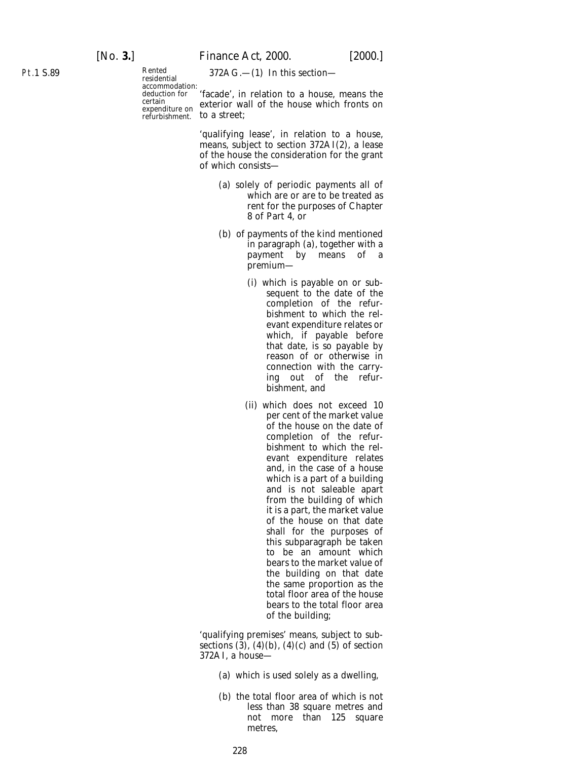accommodation:

Rented 372AG.—(1) In this section— residential

deduction for 'facade', in relation to a house, means the certain<br>expenditure on exterior wall of the house which fronts on<br>refurbishment to a street: refurbishment.

> 'qualifying lease', in relation to a house, means, subject to section 372AI(2), a lease of the house the consideration for the grant of which consists—

- (*a*) solely of periodic payments all of which are or are to be treated as rent for the purposes of Chapter 8 of Part 4, or
- (*b*) of payments of the kind mentioned in paragraph (*a*), together with a payment by means of a premium—
	- (i) which is payable on or subsequent to the date of the completion of the refurbishment to which the relevant expenditure relates or which, if payable before that date, is so payable by reason of or otherwise in connection with the carrying out of the refurbishment, and
	- (ii) which does not exceed 10 per cent of the market value of the house on the date of completion of the refurbishment to which the relevant expenditure relates and, in the case of a house which is a part of a building and is not saleable apart from the building of which it is a part, the market value of the house on that date shall for the purposes of this subparagraph be taken to be an amount which bears to the market value of the building on that date the same proportion as the total floor area of the house bears to the total floor area of the building;

'qualifying premises' means, subject to subsections  $(3)$ ,  $(4)(b)$ ,  $(4)(c)$  and  $(5)$  of section 372AI, a house—

- (*a*) which is used solely as a dwelling,
- (*b*) the total floor area of which is not less than 38 square metres and not more than 125 square metres,

Pt.1 S.89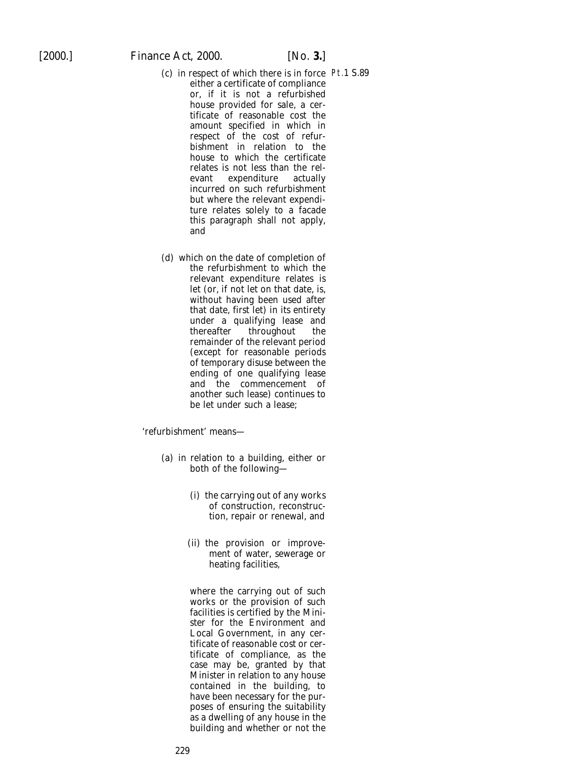- (*c*) in respect of which there is in force Pt.1 S.89 either a certificate of compliance or, if it is not a refurbished house provided for sale, a certificate of reasonable cost the amount specified in which in respect of the cost of refurbishment in relation to the house to which the certificate relates is not less than the relevant expenditure actually incurred on such refurbishment but where the relevant expenditure relates solely to a facade this paragraph shall not apply, and
- (*d*) which on the date of completion of the refurbishment to which the relevant expenditure relates is let (or, if not let on that date, is, without having been used after that date, first let) in its entirety under a qualifying lease and thereafter throughout the remainder of the relevant period (except for reasonable periods of temporary disuse between the ending of one qualifying lease and the commencement of another such lease) continues to be let under such a lease;

'refurbishment' means—

- (*a*) in relation to a building, either or both of the following—
	- (i) the carrying out of any works of construction, reconstruction, repair or renewal, and
	- (ii) the provision or improvement of water, sewerage or heating facilities,

where the carrying out of such works or the provision of such facilities is certified by the Minister for the Environment and Local Government, in any certificate of reasonable cost or certificate of compliance, as the case may be, granted by that Minister in relation to any house contained in the building, to have been necessary for the purposes of ensuring the suitability as a dwelling of any house in the building and whether or not the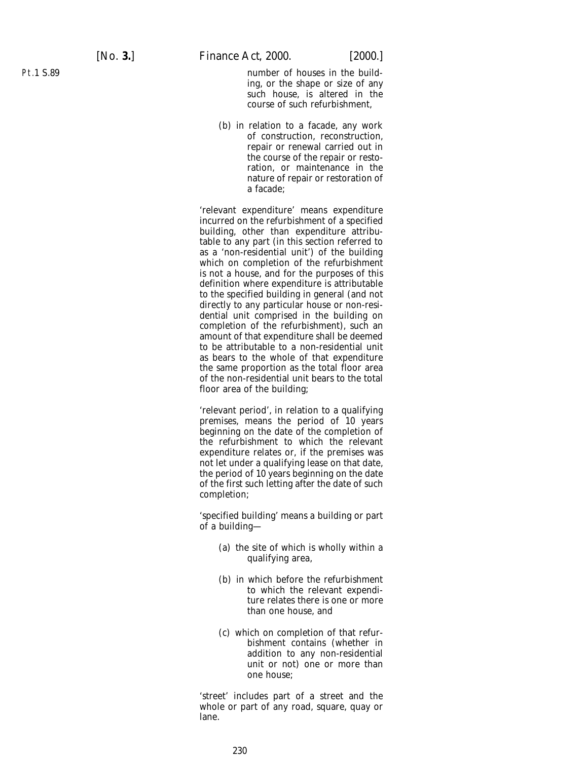number of houses in the building, or the shape or size of any such house, is altered in the course of such refurbishment,

( *b*) in relation to a facade, any work of construction, reconstruction, repair or renewal carried out in the course of the repair or restoration, or maintenance in the nature of repair or restoration of a facade;

'relevant expenditure' means expenditure incurred on the refurbishment of a specified building, other than expenditure attributable to any part (in this section referred to as a 'non-residential unit') of the building which on completion of the refurbishment is not a house, and for the purposes of this definition where expenditure is attributable to the specified building in general (and not directly to any particular house or non-residential unit comprised in the building on completion of the refurbishment), such an amount of that expenditure shall be deemed to be attributable to a non-residential unit as bears to the whole of that expenditure the same proportion as the total floor area of the non-residential unit bears to the total floor area of the building;

'relevant period', in relation to a qualifying premises, means the period of 10 years beginning on the date of the completion of the refurbishment to which the relevant expenditure relates or, if the premises was not let under a qualifying lease on that date, the period of 10 years beginning on the date of the first such letting after the date of such completion;

'specified building' means a building or part of a building—

- (*a*) the site of which is wholly within a qualifying area,
- ( *b*) in which before the refurbishment to which the relevant expenditure relates there is one or more than one house, and
- ( *c*) which on completion of that refurbishment contains (whether in addition to any non-residential unit or not) one or more than one house;

'street' includes part of a street and the whole or part of any road, square, quay or lane.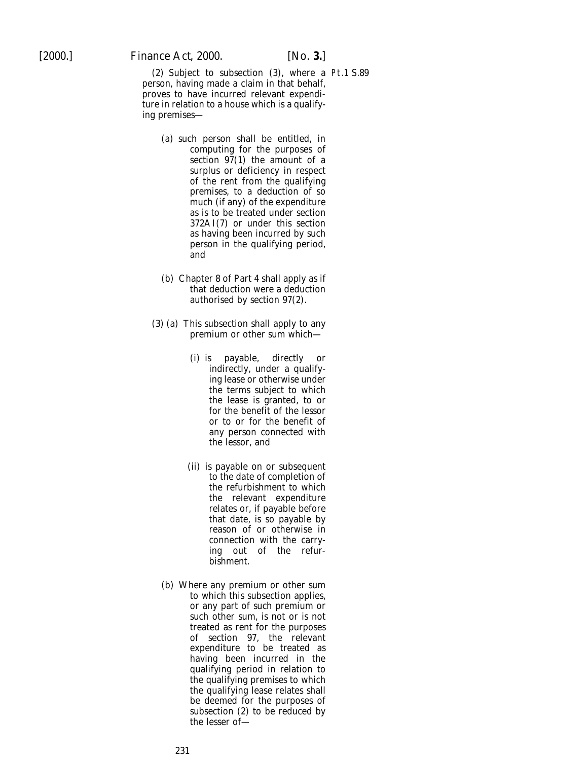(2) Subject to subsection (3), where a Pt.1 S.89 person, having made a claim in that behalf, proves to have incurred relevant expenditure in relation to a house which is a qualifying premises—

- (*a*) such person shall be entitled, in computing for the purposes of section 97(1) the amount of a surplus or deficiency in respect of the rent from the qualifying premises, to a deduction of so much (if any) of the expenditure as is to be treated under section 372AI(7) or under this section as having been incurred by such person in the qualifying period, and
- (*b*) Chapter 8 of Part 4 shall apply as if that deduction were a deduction authorised by section 97(2).
- (3) (*a*) This subsection shall apply to any premium or other sum which—
	- (i) is payable, directly or indirectly, under a qualifying lease or otherwise under the terms subject to which the lease is granted, to or for the benefit of the lessor or to or for the benefit of any person connected with the lessor, and
	- (ii) is payable on or subsequent to the date of completion of the refurbishment to which the relevant expenditure relates or, if payable before that date, is so payable by reason of or otherwise in connection with the carrying out of the refurbishment.
	- (*b*) Where any premium or other sum to which this subsection applies, or any part of such premium or such other sum, is not or is not treated as rent for the purposes of section 97, the relevant expenditure to be treated as having been incurred in the qualifying period in relation to the qualifying premises to which the qualifying lease relates shall be deemed for the purposes of subsection (2) to be reduced by the lesser of—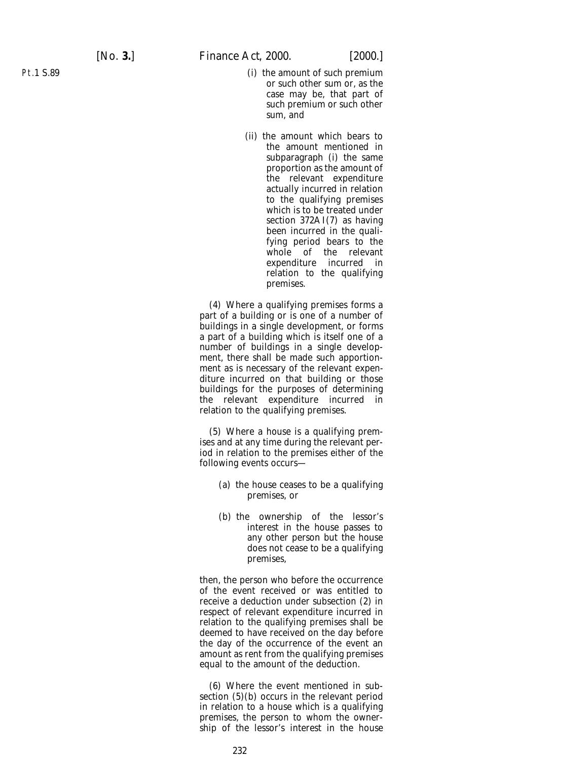- (i) the amount of such premium or such other sum or, as the case may be, that part of such premium or such other sum, and
- (ii) the amount which bears to the amount mentioned in subparagraph (i) the same proportion as the amount of the relevant expenditure actually incurred in relation to the qualifying premises which is to be treated under section 372AI(7) as having been incurred in the qualifying period bears to the whole of the relevant expenditure incurred in relation to the qualifying premises.

(4) Where a qualifying premises forms a part of a building or is one of a number of buildings in a single development, or forms a part of a building which is itself one of a number of buildings in a single development, there shall be made such apportionment as is necessary of the relevant expenditure incurred on that building or those buildings for the purposes of determining the relevant expenditure incurred in relation to the qualifying premises.

(5) Where a house is a qualifying premises and at any time during the relevant period in relation to the premises either of the following events occurs—

- (*a*) the house ceases to be a qualifying premises, or
- ( *b*) the ownership of the lessor's interest in the house passes to any other person but the house does not cease to be a qualifying premises,

then, the person who before the occurrence of the event received or was entitled to receive a deduction under subsection (2) in respect of relevant expenditure incurred in relation to the qualifying premises shall be deemed to have received on the day before the day of the occurrence of the event an amount as rent from the qualifying premises equal to the amount of the deduction.

(6) Where the event mentioned in subsection (5)(*b*) occurs in the relevant period in relation to a house which is a qualifying premises, the person to whom the ownership of the lessor's interest in the house

Pt.1 S.89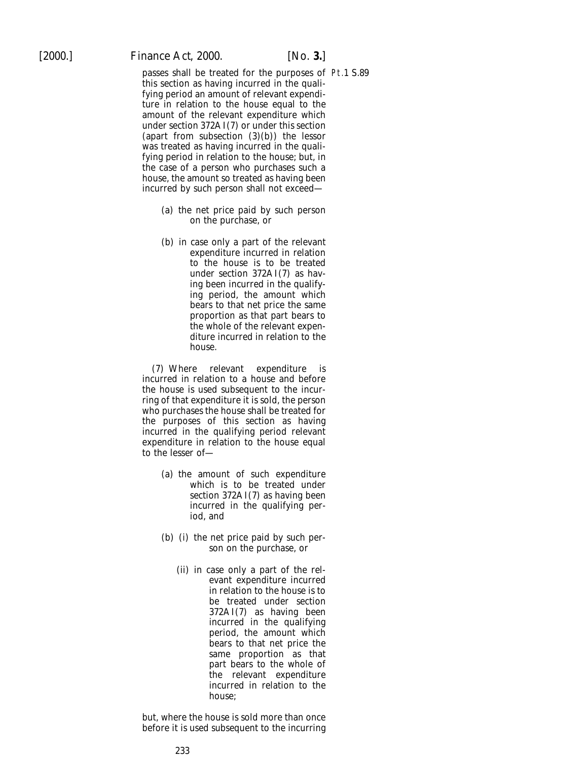passes shall be treated for the purposes of Pt.1 S.89 this section as having incurred in the qualifying period an amount of relevant expenditure in relation to the house equal to the amount of the relevant expenditure which under section 372AI(7) or under this section (apart from subsection  $(3)(b)$ ) the lessor was treated as having incurred in the qualifying period in relation to the house; but, in the case of a person who purchases such a house, the amount so treated as having been incurred by such person shall not exceed—

- (*a*) the net price paid by such person on the purchase, or
- (*b*) in case only a part of the relevant expenditure incurred in relation to the house is to be treated under section 372AI(7) as having been incurred in the qualifying period, the amount which bears to that net price the same proportion as that part bears to the whole of the relevant expenditure incurred in relation to the house.

(7) Where relevant expenditure is incurred in relation to a house and before the house is used subsequent to the incurring of that expenditure it is sold, the person who purchases the house shall be treated for the purposes of this section as having incurred in the qualifying period relevant expenditure in relation to the house equal to the lesser of—

- (*a*) the amount of such expenditure which is to be treated under section 372AI(7) as having been incurred in the qualifying period, and
- (*b*) (i) the net price paid by such person on the purchase, or
	- (ii) in case only a part of the relevant expenditure incurred in relation to the house is to be treated under section 372AI(7) as having been incurred in the qualifying period, the amount which bears to that net price the same proportion as that part bears to the whole of the relevant expenditure incurred in relation to the house;

but, where the house is sold more than once before it is used subsequent to the incurring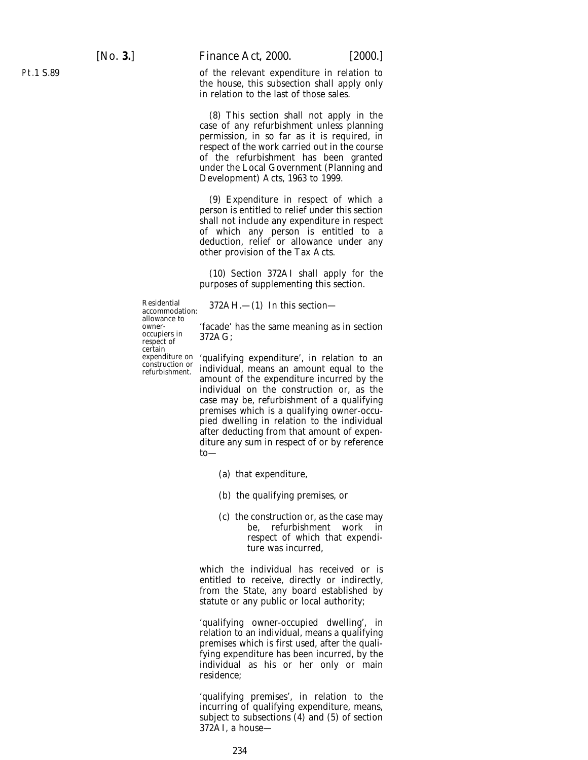Pt.1 S.89

[*No.* **3.**] *Finance Act,* 2000. [2000.]

of the relevant expenditure in relation to the house, this subsection shall apply only in relation to the last of those sales.

(8) This section shall not apply in the case of any refurbishment unless planning permission, in so far as it is required, in respect of the work carried out in the course of the refurbishment has been granted under the Local Government (Planning and Development) Acts, 1963 to 1999.

(9) Expenditure in respect of which a person is entitled to relief under this section shall not include any expenditure in respect of which any person is entitled to a deduction, relief or allowance under any other provision of the Tax Acts.

(10) Section 372AI shall apply for the purposes of supplementing this section.

allowance to certain<br>expenditure on

Residential 372AH.—(1) In this section— accommodation:

owner-<br>  $$\,$  'facade' has the same meaning as in section respect of  $$\,372\mbox{AG};$$ 

expenditure on 'qualifying expenditure', in relation to an construction or individual, means an amount equal to the amount of the expenditure incurred by the individual on the construction or, as the case may be, refurbishment of a qualifying premises which is a qualifying owner-occupied dwelling in relation to the individual after deducting from that amount of expenditure any sum in respect of or by reference to—

- (*a*) that expenditure,
- (*b*) the qualifying premises, or
- (*c*) the construction or, as the case may be, refurbishment work in respect of which that expenditure was incurred,

which the individual has received or is entitled to receive, directly or indirectly, from the State, any board established by statute or any public or local authority;

'qualifying owner-occupied dwelling', in relation to an individual, means a qualifying premises which is first used, after the qualifying expenditure has been incurred, by the individual as his or her only or main residence;

'qualifying premises', in relation to the incurring of qualifying expenditure, means, subject to subsections (4) and (5) of section 372AI, a house—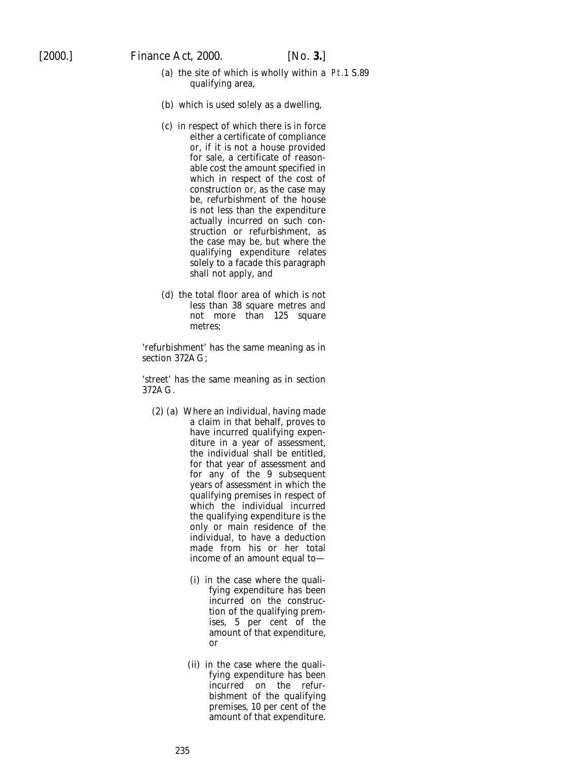- (*a*) the site of which is wholly within a Pt.1 S.89 qualifying area,
- (*b*) which is used solely as a dwelling,
- (*c*) in respect of which there is in force either a certificate of compliance or, if it is not a house provided for sale, a certificate of reasonable cost the amount specified in which in respect of the cost of construction or, as the case may be, refurbishment of the house is not less than the expenditure actually incurred on such construction or refurbishment, as the case may be, but where the qualifying expenditure relates solely to a facade this paragraph shall not apply, and
- (*d*) the total floor area of which is not less than 38 square metres and not more than 125 square metres;

'refurbishment' has the same meaning as in section 372AG;

'street' has the same meaning as in section 372AG.

- (2) (*a*) Where an individual, having made a claim in that behalf, proves to have incurred qualifying expenditure in a year of assessment, the individual shall be entitled, for that year of assessment and for any of the 9 subsequent years of assessment in which the qualifying premises in respect of which the individual incurred the qualifying expenditure is the only or main residence of the individual, to have a deduction made from his or her total income of an amount equal to—
	- (i) in the case where the qualifying expenditure has been incurred on the construction of the qualifying premises, 5 per cent of the amount of that expenditure, or
	- (ii) in the case where the qualifying expenditure has been incurred on the refurbishment of the qualifying premises, 10 per cent of the amount of that expenditure.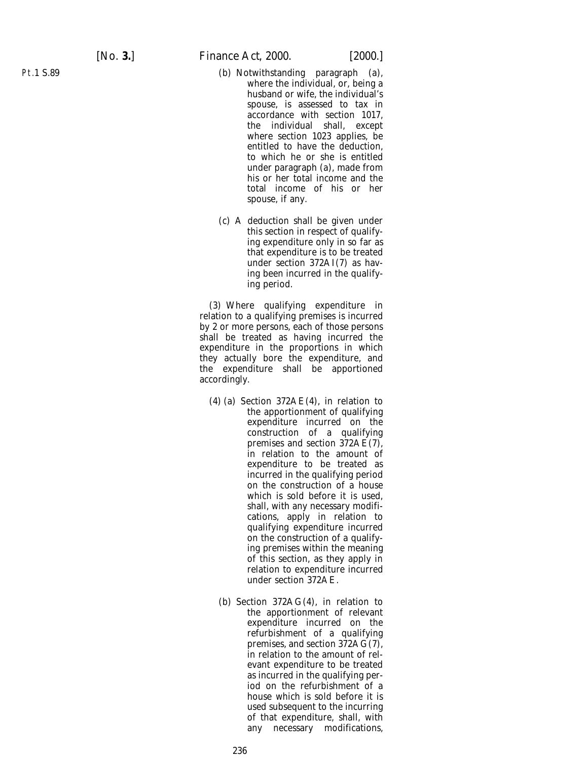- ( *b*) Notwithstanding paragraph ( *a*), where the individual, or, being a husband or wife, the individual's spouse, is assessed to tax in accordance with section 1017, the individual shall, except where section 1023 applies, be entitled to have the deduction, to which he or she is entitled under paragraph ( *a*), made from his or her total income and the total income of his or her spouse, if any.
- ( *c*) A deduction shall be given under this section in respect of qualifying expenditure only in so far as that expenditure is to be treated under section 372AI(7) as having been incurred in the qualifying period.

(3) Where qualifying expenditure in relation to a qualifying premises is incurred by 2 or more persons, each of those persons shall be treated as having incurred the expenditure in the proportions in which they actually bore the expenditure, and the expenditure shall be apportioned accordingly.

- (4) ( *a*) Section 372AE(4), in relation to the apportionment of qualifying expenditure incurred on the construction of a qualifying premises and section 372AE(7), in relation to the amount of expenditure to be treated as incurred in the qualifying period on the construction of a house which is sold before it is used, shall, with any necessary modifications, apply in relation to qualifying expenditure incurred on the construction of a qualifying premises within the meaning of this section, as they apply in relation to expenditure incurred under section 372AE.
	- ( *b*) Section 372AG(4), in relation to the apportionment of relevant expenditure incurred on the refurbishment of a qualifying premises, and section  $372AG(7)$ , in relation to the amount of relevant expenditure to be treated as incurred in the qualifying period on the refurbishment of a house which is sold before it is used subsequent to the incurring of that expenditure, shall, with any necessary modifications,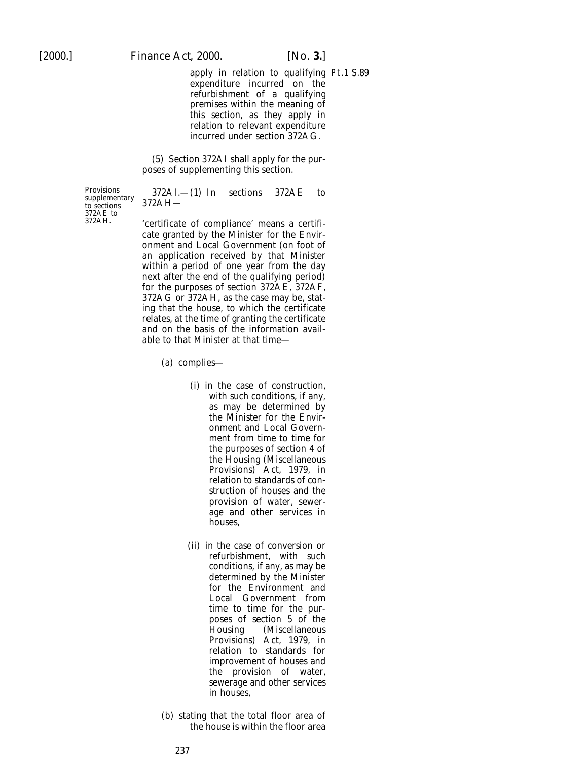apply in relation to qualifying Pt.1 S.89 expenditure incurred on the refurbishment of a qualifying premises within the meaning of this section, as they apply in relation to relevant expenditure incurred under section 372AG.

(5) Section 372AI shall apply for the purposes of supplementing this section.

to sections 372AE to<br>372AH.

Provisions  $372$ AI.—(1) In sections  $372$ AE to supplementary  $372$ AH—

'certificate of compliance' means a certificate granted by the Minister for the Environment and Local Government (on foot of an application received by that Minister within a period of one year from the day next after the end of the qualifying period) for the purposes of section 372AE, 372AF, 372AG or 372AH, as the case may be, stating that the house, to which the certificate relates, at the time of granting the certificate and on the basis of the information available to that Minister at that time—

(*a*) complies—

- (i) in the case of construction, with such conditions, if any, as may be determined by the Minister for the Environment and Local Government from time to time for the purposes of section 4 of the Housing (Miscellaneous Provisions) Act, 1979, in relation to standards of construction of houses and the provision of water, sewerage and other services in houses,
- (ii) in the case of conversion or refurbishment, with such conditions, if any, as may be determined by the Minister for the Environment and Local Government from time to time for the purposes of section 5 of the Housing (Miscellaneous Provisions) Act, 1979, in relation to standards for improvement of houses and the provision of water, sewerage and other services in houses,
- (*b*) stating that the total floor area of the house is within the floor area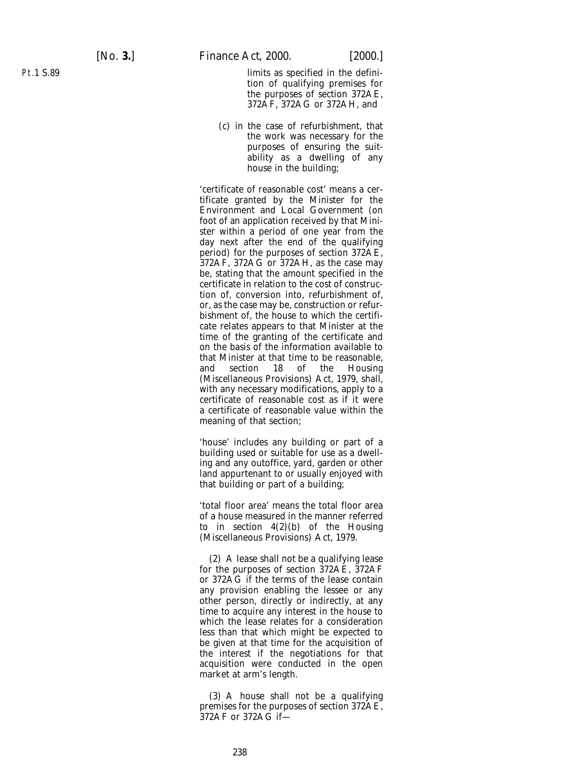limits as specified in the definition of qualifying premises for the purposes of section 372AE, 372AF, 372AG or 372AH, and

( *c*) in the case of refurbishment, that the work was necessary for the purposes of ensuring the suitability as a dwelling of any house in the building;

'certificate of reasonable cost' means a certificate granted by the Minister for the Environment and Local Government (on foot of an application received by that Minister within a period of one year from the day next after the end of the qualifying period) for the purposes of section 372AE, 372AF, 372AG or 372AH, as the case may be, stating that the amount specified in the certificate in relation to the cost of construction of, conversion into, refurbishment of, or, as the case may be, construction or refurbishment of, the house to which the certificate relates appears to that Minister at the time of the granting of the certificate and on the basis of the information available to that Minister at that time to be reasonable, and section 18 of the Housing (Miscellaneous Provisions) Act, 1979, shall, with any necessary modifications, apply to a certificate of reasonable cost as if it were a certificate of reasonable value within the meaning of that section;

'house' includes any building or part of a building used or suitable for use as a dwelling and any outoffice, yard, garden or other land appurtenant to or usually enjoyed with that building or part of a building;

'total floor area' means the total floor area of a house measured in the manner referred to in section 4(2)( *b*) of the Housing (Miscellaneous Provisions) Act, 1979.

(2) A lease shall not be a qualifying lease for the purposes of section 372AE, 372AF or 372AG if the terms of the lease contain any provision enabling the lessee or any other person, directly or indirectly, at any time to acquire any interest in the house to which the lease relates for a consideration less than that which might be expected to be given at that time for the acquisition of the interest if the negotiations for that acquisition were conducted in the open market at arm's length.

(3) A house shall not be a qualifying premises for the purposes of section 372AE, 372AF or 372AG if—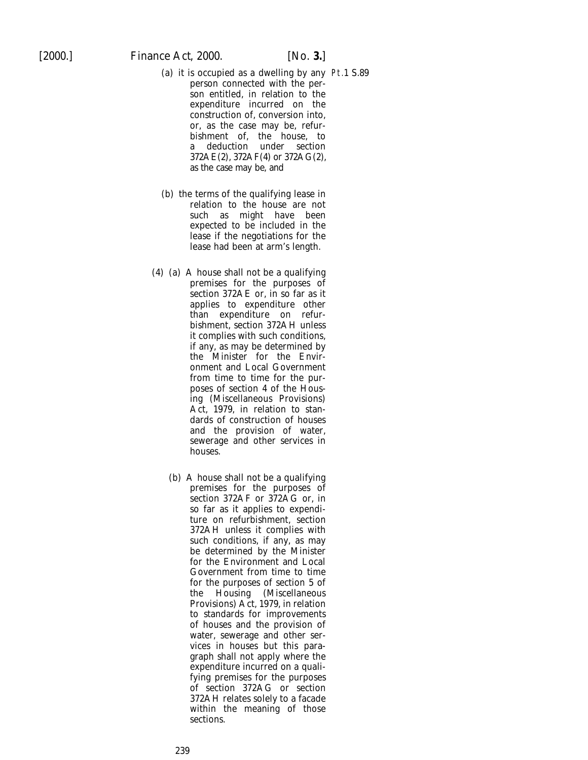- (*a*) it is occupied as a dwelling by any Pt.1 S.89 person connected with the person entitled, in relation to the expenditure incurred on the construction of, conversion into, or, as the case may be, refurbishment of, the house, to a deduction under section 372AE(2), 372AF(4) or 372AG(2), as the case may be, and
	- (*b*) the terms of the qualifying lease in relation to the house are not such as might have been expected to be included in the lease if the negotiations for the lease had been at arm's length.
- (4) (*a*) A house shall not be a qualifying premises for the purposes of section 372AE or, in so far as it applies to expenditure other than expenditure on refurbishment, section 372AH unless it complies with such conditions, if any, as may be determined by the Minister for the Environment and Local Government from time to time for the purposes of section 4 of the Housing (Miscellaneous Provisions) Act, 1979, in relation to standards of construction of houses and the provision of water, sewerage and other services in houses.
	- (*b*) A house shall not be a qualifying premises for the purposes of section 372AF or 372AG or, in so far as it applies to expenditure on refurbishment, section 372AH unless it complies with such conditions, if any, as may be determined by the Minister for the Environment and Local Government from time to time for the purposes of section 5 of the Housing (Miscellaneous Provisions) Act, 1979, in relation to standards for improvements of houses and the provision of water, sewerage and other services in houses but this paragraph shall not apply where the expenditure incurred on a qualifying premises for the purposes of section 372AG or section 372AH relates solely to a facade within the meaning of those sections.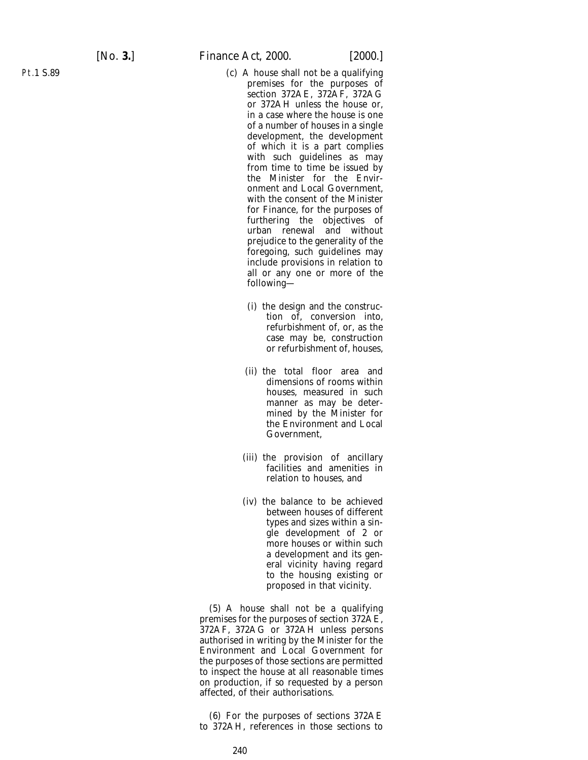- ( *c*) A house shall not be a qualifying premises for the purposes of section 372AE, 372AF, 372AG or 372AH unless the house or, in a case where the house is one of a number of houses in a single development, the development of which it is a part complies with such guidelines as may from time to time be issued by the Minister for the Environment and Local Government, with the consent of the Minister for Finance, for the purposes of furthering the objectives of urban renewal and without prejudice to the generality of the foregoing, such guidelines may include provisions in relation to all or any one or more of the following—
	- (i) the design and the construction of, conversion into, refurbishment of, or, as the case may be, construction or refurbishment of, houses,
	- (ii) the total floor area and dimensions of rooms within houses, measured in such manner as may be determined by the Minister for the Environment and Local Government,
	- (iii) the provision of ancillary facilities and amenities in relation to houses, and
	- (iv) the balance to be achieved between houses of different types and sizes within a single development of 2 or more houses or within such a development and its general vicinity having regard to the housing existing or proposed in that vicinity.

(5) A house shall not be a qualifying premises for the purposes of section 372AE, 372AF, 372AG or 372AH unless persons authorised in writing by the Minister for the Environment and Local Government for the purposes of those sections are permitted to inspect the house at all reasonable times on production, if so requested by a person affected, of their authorisations.

(6) For the purposes of sections 372AE to 372AH, references in those sections to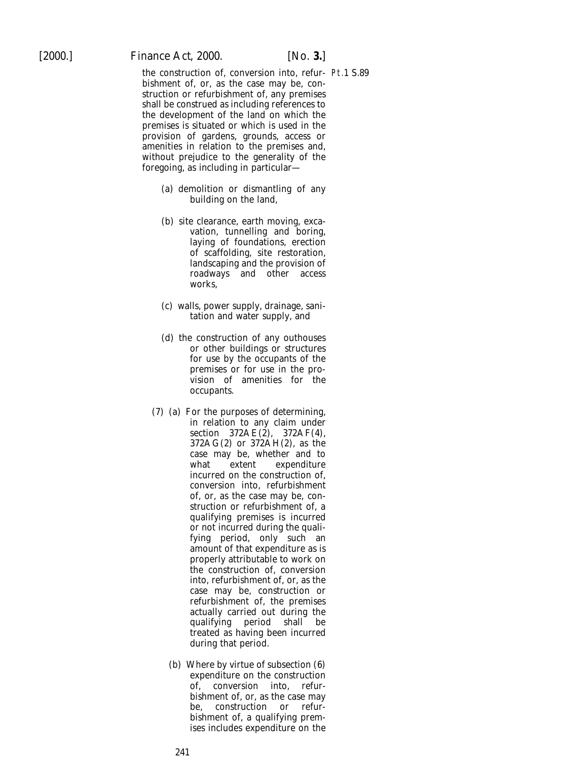the construction of, conversion into, refur- Pt.1 S.89 bishment of, or, as the case may be, construction or refurbishment of, any premises shall be construed as including references to the development of the land on which the premises is situated or which is used in the provision of gardens, grounds, access or amenities in relation to the premises and, without prejudice to the generality of the foregoing, as including in particular—

- (*a*) demolition or dismantling of any building on the land,
- (*b*) site clearance, earth moving, excavation, tunnelling and boring, laying of foundations, erection of scaffolding, site restoration, landscaping and the provision of roadways and other access works,
- (*c*) walls, power supply, drainage, sanitation and water supply, and
- (*d*) the construction of any outhouses or other buildings or structures for use by the occupants of the premises or for use in the provision of amenities for the occupants.
- (7) (*a*) For the purposes of determining, in relation to any claim under section 372AE(2), 372AF(4), 372AG(2) or 372AH(2), as the case may be, whether and to what extent expenditure incurred on the construction of, conversion into, refurbishment of, or, as the case may be, construction or refurbishment of, a qualifying premises is incurred or not incurred during the qualifying period, only such an amount of that expenditure as is properly attributable to work on the construction of, conversion into, refurbishment of, or, as the case may be, construction or refurbishment of, the premises actually carried out during the qualifying period shall be treated as having been incurred during that period.
	- (*b*) Where by virtue of subsection (6) expenditure on the construction<br>of, conversion into, refurconversion into, refurbishment of, or, as the case may be, construction or refurbishment of, a qualifying premises includes expenditure on the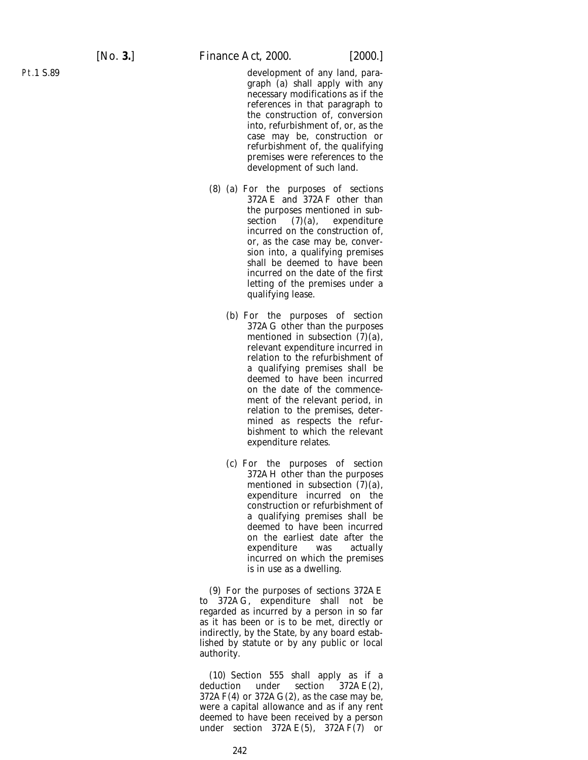development of any land, paragraph (*a*) shall apply with any necessary modifications as if the references in that paragraph to the construction of, conversion into, refurbishment of, or, as the case may be, construction or refurbishment of, the qualifying premises were references to the development of such land.

- (8) ( *a*) For the purposes of sections 372AE and 372AF other than the purposes mentioned in subsection (7)(*a*), expenditure incurred on the construction of, or, as the case may be, conversion into, a qualifying premises shall be deemed to have been incurred on the date of the first letting of the premises under a qualifying lease.
	- ( *b*) For the purposes of section 372AG other than the purposes mentioned in subsection (7)( *a*), relevant expenditure incurred in relation to the refurbishment of a qualifying premises shall be deemed to have been incurred on the date of the commencement of the relevant period, in relation to the premises, determined as respects the refurbishment to which the relevant expenditure relates.
	- ( *c*) For the purposes of section 372AH other than the purposes mentioned in subsection (7)( *a*), expenditure incurred on the construction or refurbishment of a qualifying premises shall be deemed to have been incurred on the earliest date after the<br>expenditure was actually expenditure was actually incurred on which the premises is in use as a dwelling.

(9) For the purposes of sections 372AE to 372AG, expenditure shall not be regarded as incurred by a person in so far as it has been or is to be met, directly or indirectly, by the State, by any board established by statute or by any public or local authority.

(10) Section 555 shall apply as if a deduction under section 372AE(2),  $372AF(4)$  or  $372AG(2)$ , as the case may be, were a capital allowance and as if any rent deemed to have been received by a person under section  $372AE(5)$ ,  $372AF(7)$  or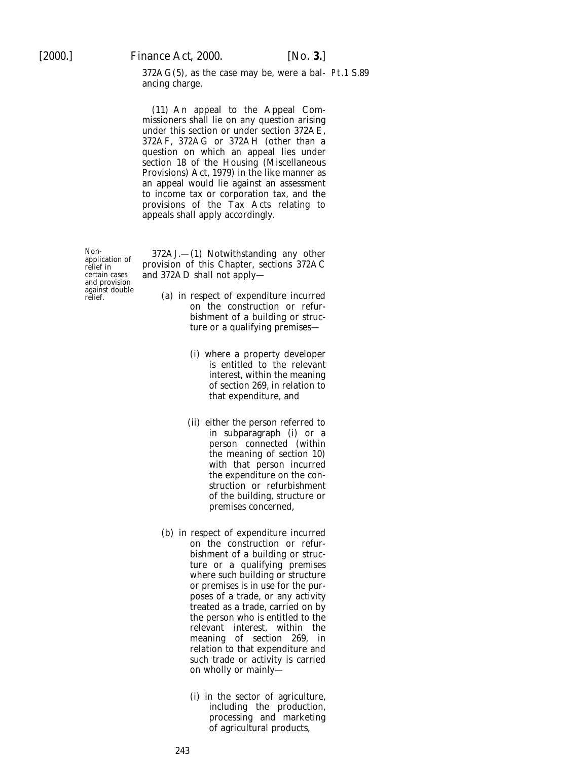# [2000.] *Finance Act,* 2000. [*No.* **3.**]

 $372AG(5)$ , as the case may be, were a bal- Pt.1 S.89 ancing charge.

(11) An appeal to the Appeal Commissioners shall lie on any question arising under this section or under section 372AE, 372AF, 372AG or 372AH (other than a question on which an appeal lies under section 18 of the Housing (Miscellaneous Provisions) Act, 1979) in the like manner as an appeal would lie against an assessment to income tax or corporation tax, and the provisions of the Tax Acts relating to appeals shall apply accordingly.

against double

Non-<br>
application of 372AJ.—(1) Notwithstanding any other<br>
relief in provision of this Chapter, sections 372AC application of provision of this Chapter, sections 372AC<br>relief in cases and 372AD shall not apply certain cases and 372AD shall not apply— and provision

- (*a*) in respect of expenditure incurred on the construction or refurbishment of a building or structure or a qualifying premises—
	- (i) where a property developer is entitled to the relevant interest, within the meaning of section 269, in relation to that expenditure, and
	- (ii) either the person referred to in subparagraph (i) or a person connected (within the meaning of section 10) with that person incurred the expenditure on the construction or refurbishment of the building, structure or premises concerned,
- (*b*) in respect of expenditure incurred on the construction or refurbishment of a building or structure or a qualifying premises where such building or structure or premises is in use for the purposes of a trade, or any activity treated as a trade, carried on by the person who is entitled to the relevant interest, within the meaning of section 269, in relation to that expenditure and such trade or activity is carried on wholly or mainly—
	- (i) in the sector of agriculture, including the production, processing and marketing of agricultural products,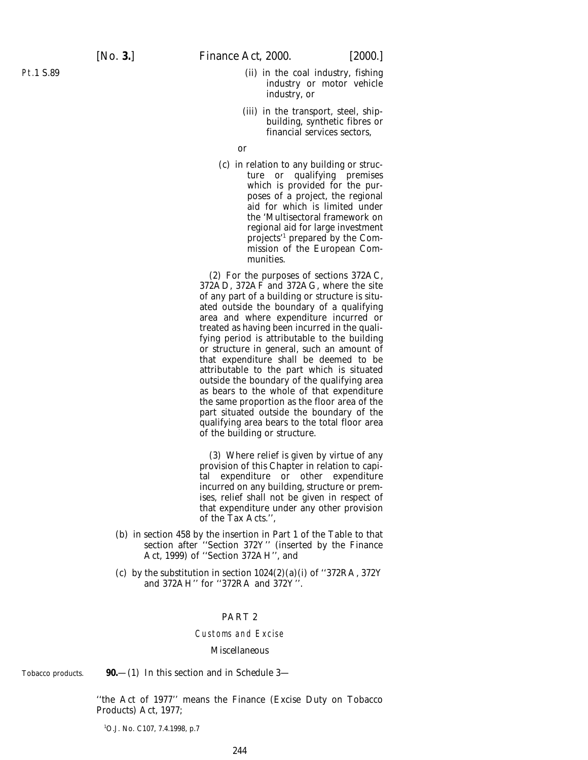- (ii) in the coal industry, fishing industry or motor vehicle industry, or
- (iii) in the transport, steel, shipbuilding, synthetic fibres or financial services sectors,
- or
- (*c*) in relation to any building or structure or qualifying premises which is provided for the purposes of a project, the regional aid for which is limited under the 'Multisectoral framework on regional aid for large investment projects'1 prepared by the Commission of the European Communities.

(2) For the purposes of sections 372AC, 372AD, 372AF and 372AG, where the site of any part of a building or structure is situated outside the boundary of a qualifying area and where expenditure incurred or treated as having been incurred in the qualifying period is attributable to the building or structure in general, such an amount of that expenditure shall be deemed to be attributable to the part which is situated outside the boundary of the qualifying area as bears to the whole of that expenditure the same proportion as the floor area of the part situated outside the boundary of the qualifying area bears to the total floor area of the building or structure.

(3) Where relief is given by virtue of any provision of this Chapter in relation to capital expenditure or other expenditure incurred on any building, structure or premises, relief shall not be given in respect of that expenditure under any other provision of the Tax Acts.'',

- (*b*) in section 458 by the insertion in Part 1 of the Table to that section after ''Section 372Y'' (inserted by the Finance Act, 1999) of ''Section 372AH'', and
- (*c*) by the substitution in section 1024(2)(*a*)(i) of ''372RA, 372Y and 372AH'' for ''372RA and 372Y''.

# PART 2

### Customs and Excise

#### *Miscellaneous*

Tobacco products.

**90.**—(1) In this section and in *Schedule 3*—

''the Act of 1977'' means the Finance (Excise Duty on Tobacco Products) Act, 1977;

1 O.J. No. C107, 7.4.1998, p.7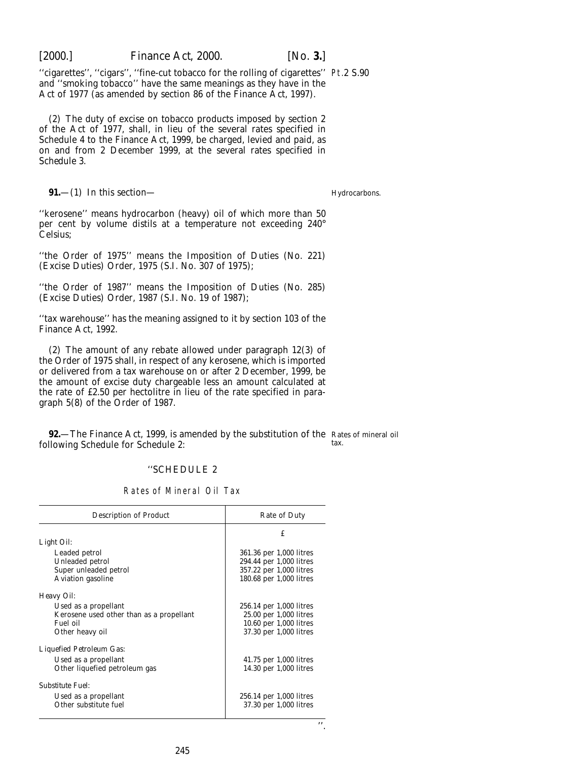"cigarettes", "cigars", "fine-cut tobacco for the rolling of cigarettes" Pt.2 S.90 and ''smoking tobacco'' have the same meanings as they have in the Act of 1977 (as amended by section 86 of the Finance Act, 1997).

(2) The duty of excise on tobacco products imposed by section 2 of the Act of 1977, shall, in lieu of the several rates specified in Schedule 4 to the Finance Act, 1999, be charged, levied and paid, as on and from 2 December 1999, at the several rates specified in *Schedule 3*.

**91.**—(1) In this section—

Hydrocarbons.

''kerosene'' means hydrocarbon (heavy) oil of which more than 50 per cent by volume distils at a temperature not exceeding 240° Celsius;

''the Order of 1975'' means the Imposition of Duties (No. 221) (Excise Duties) Order, 1975 (S.I. No. 307 of 1975);

''the Order of 1987'' means the Imposition of Duties (No. 285) (Excise Duties) Order, 1987 (S.I. No. 19 of 1987);

''tax warehouse'' has the meaning assigned to it by section 103 of the Finance Act, 1992.

(2) The amount of any rebate allowed under paragraph 12(3) of the Order of 1975 shall, in respect of any kerosene, which is imported or delivered from a tax warehouse on or after 2 December, 1999, be the amount of excise duty chargeable less an amount calculated at the rate of £2.50 per hectolitre in lieu of the rate specified in paragraph 5(8) of the Order of 1987.

**92.**—The Finance Act, 1999, is amended by the substitution of the Rates of mineral oil following Schedule for Schedule 2: tax.

# ''SCHEDULE 2

#### Rates of Mineral Oil Tax

| <b>Description of Product</b>                                                                   | Rate of Duty                                                                                             |
|-------------------------------------------------------------------------------------------------|----------------------------------------------------------------------------------------------------------|
| Light Oil:                                                                                      | £                                                                                                        |
| Leaded petrol<br>Unleaded petrol<br>Super unleaded petrol<br>Aviation gasoline                  | 361.36 per 1,000 litres<br>294.44 per 1,000 litres<br>357.22 per 1,000 litres<br>180.68 per 1,000 litres |
| Heavy Oil:                                                                                      |                                                                                                          |
| Used as a propellant<br>Kerosene used other than as a propellant<br>Fuel oil<br>Other heavy oil | 256.14 per 1,000 litres<br>25.00 per 1,000 litres<br>10.60 per 1,000 litres<br>37.30 per 1,000 litres    |
| Liquefied Petroleum Gas:                                                                        |                                                                                                          |
| Used as a propellant<br>Other liquefied petroleum gas                                           | 41.75 per 1,000 litres<br>14.30 per 1,000 litres                                                         |
| Substitute Fuel:<br>Used as a propellant<br>Other substitute fuel                               | 256.14 per 1,000 litres<br>37.30 per 1,000 litres                                                        |

245

''.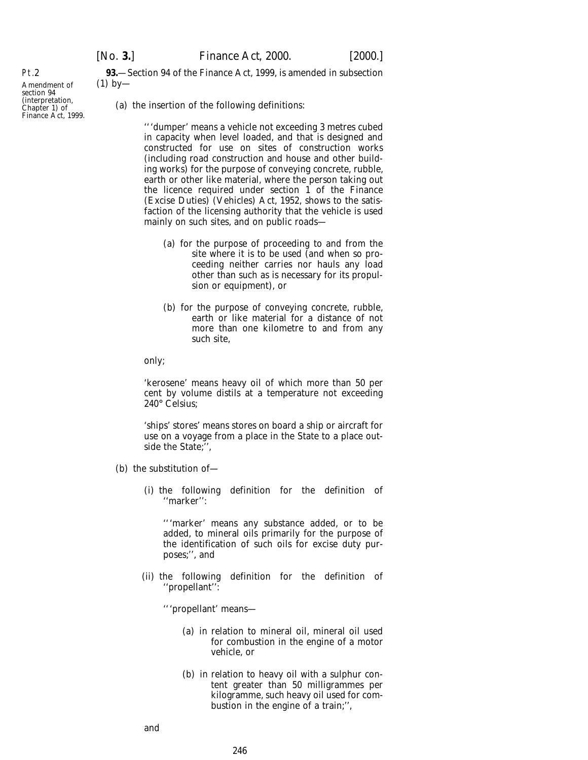[*No.* **3.**] *Finance Act,* 2000. [2000.]

Pt.2 Amendment of section 94 (interpretation, Chapter 1) of Finance Act, 1999.

**93.**—Section 94 of the Finance Act, 1999, is amended in subsection  $(1)$  by —

(*a*) the insertion of the following definitions:

'''dumper' means a vehicle not exceeding 3 metres cubed in capacity when level loaded, and that is designed and constructed for use on sites of construction works (including road construction and house and other building works) for the purpose of conveying concrete, rubble, earth or other like material, where the person taking out the licence required under section 1 of the Finance (Excise Duties) (Vehicles) Act, 1952, shows to the satisfaction of the licensing authority that the vehicle is used mainly on such sites, and on public roads—

- (*a*) for the purpose of proceeding to and from the site where it is to be used (and when so proceeding neither carries nor hauls any load other than such as is necessary for its propulsion or equipment), or
- (*b*) for the purpose of conveying concrete, rubble, earth or like material for a distance of not more than one kilometre to and from any such site,

#### only;

'kerosene' means heavy oil of which more than 50 per cent by volume distils at a temperature not exceeding 240° Celsius;

'ships' stores' means stores on board a ship or aircraft for use on a voyage from a place in the State to a place outside the State;'',

- (*b*) the substitution of—
	- (i) the following definition for the definition of ''marker'':

'''marker' means any substance added, or to be added, to mineral oils primarily for the purpose of the identification of such oils for excise duty purposes;'', and

(ii) the following definition for the definition of ''propellant'':

'''propellant' means—

- (*a*) in relation to mineral oil, mineral oil used for combustion in the engine of a motor vehicle, or
- (*b*) in relation to heavy oil with a sulphur content greater than 50 milligrammes per kilogramme, such heavy oil used for combustion in the engine of a train;'',

and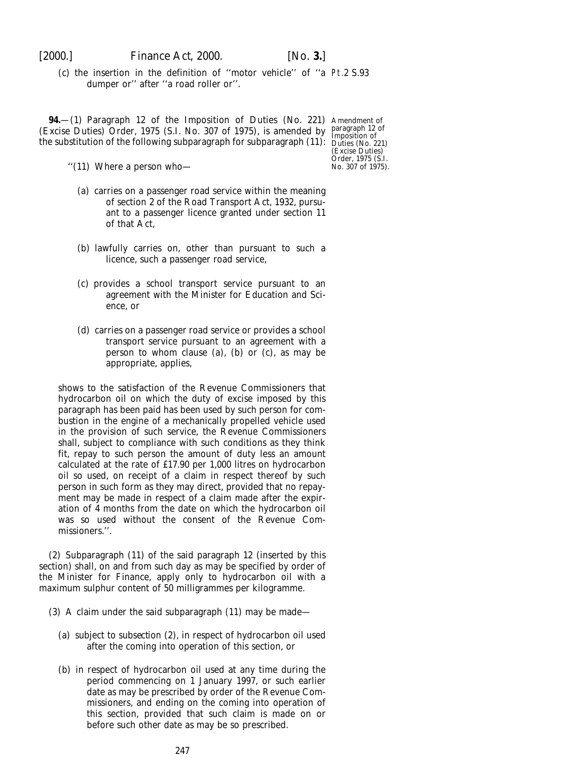[2000.] *Finance Act,* 2000. [*No.* **3.**]

(*c*) the insertion in the definition of ''motor vehicle'' of ''a Pt.2 S.93 dumper or'' after ''a road roller or''.

**94.**—(1) Paragraph 12 of the Imposition of Duties (No. 221) Amendment of (Excise Duties) Order, 1975 (S.I. No. 307 of 1975), is amended by the substitution of the following subparagraph for subparagraph (11):

- ''(11) Where a person who—
	- (*a*) carries on a passenger road service within the meaning of section 2 of the Road Transport Act, 1932, pursuant to a passenger licence granted under section 11 of that Act,
	- (*b*) lawfully carries on, other than pursuant to such a licence, such a passenger road service,
	- (*c*) provides a school transport service pursuant to an agreement with the Minister for Education and Science, or
	- (*d*) carries on a passenger road service or provides a school transport service pursuant to an agreement with a person to whom clause (*a*), (*b*) or (*c*), as may be appropriate, applies,

shows to the satisfaction of the Revenue Commissioners that hydrocarbon oil on which the duty of excise imposed by this paragraph has been paid has been used by such person for combustion in the engine of a mechanically propelled vehicle used in the provision of such service, the Revenue Commissioners shall, subject to compliance with such conditions as they think fit, repay to such person the amount of duty less an amount calculated at the rate of £17.90 per 1,000 litres on hydrocarbon oil so used, on receipt of a claim in respect thereof by such person in such form as they may direct, provided that no repayment may be made in respect of a claim made after the expiration of 4 months from the date on which the hydrocarbon oil was so used without the consent of the Revenue Commissioners.''.

(2) Subparagraph (11) of the said paragraph 12 (inserted by this section) shall, on and from such day as may be specified by order of the Minister for Finance, apply only to hydrocarbon oil with a maximum sulphur content of 50 milligrammes per kilogramme.

- (3) A claim under the said subparagraph (11) may be made—
	- (*a*) subject to *subsection (2)*, in respect of hydrocarbon oil used after the coming into operation of this section, or
	- (*b*) in respect of hydrocarbon oil used at any time during the period commencing on 1 January 1997, or such earlier date as may be prescribed by order of the Revenue Commissioners, and ending on the coming into operation of this section, provided that such claim is made on or before such other date as may be so prescribed.

paragraph 12 of Imposition of Duties (No. 221) (Excise Duties) Order, 1975 (S.I. No. 307 of 1975).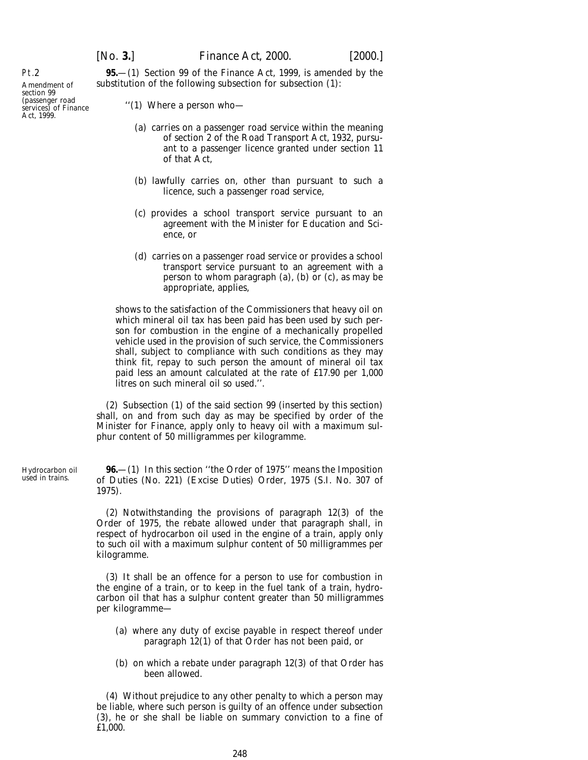Pt.2 Amendment of section 99 (passenger road services) of Finance Act, 1999.

**95.**—(1) Section 99 of the Finance Act, 1999, is amended by the substitution of the following subsection for subsection (1):

''(1) Where a person who—

- (*a*) carries on a passenger road service within the meaning of section 2 of the Road Transport Act, 1932, pursuant to a passenger licence granted under section 11 of that Act,
- (*b*) lawfully carries on, other than pursuant to such a licence, such a passenger road service,
- (*c*) provides a school transport service pursuant to an agreement with the Minister for Education and Science, or
- (*d*) carries on a passenger road service or provides a school transport service pursuant to an agreement with a person to whom paragraph (*a*), (*b*) or (*c*), as may be appropriate, applies,

shows to the satisfaction of the Commissioners that heavy oil on which mineral oil tax has been paid has been used by such person for combustion in the engine of a mechanically propelled vehicle used in the provision of such service, the Commissioners shall, subject to compliance with such conditions as they may think fit, repay to such person the amount of mineral oil tax paid less an amount calculated at the rate of £17.90 per 1,000 litres on such mineral oil so used.''.

(2) Subsection (1) of the said section 99 (inserted by this section) shall, on and from such day as may be specified by order of the Minister for Finance, apply only to heavy oil with a maximum sulphur content of 50 milligrammes per kilogramme.

**96.**—(1) In this section ''the Order of 1975'' means the Imposition of Duties (No. 221) (Excise Duties) Order, 1975 (S.I. No. 307 of 1975).

(2) Notwithstanding the provisions of paragraph 12(3) of the Order of 1975, the rebate allowed under that paragraph shall, in respect of hydrocarbon oil used in the engine of a train, apply only to such oil with a maximum sulphur content of 50 milligrammes per kilogramme.

(3) It shall be an offence for a person to use for combustion in the engine of a train, or to keep in the fuel tank of a train, hydrocarbon oil that has a sulphur content greater than 50 milligrammes per kilogramme—

- (*a*) where any duty of excise payable in respect thereof under paragraph 12(1) of that Order has not been paid, or
- (*b*) on which a rebate under paragraph 12(3) of that Order has been allowed.

(4) Without prejudice to any other penalty to which a person may be liable, where such person is guilty of an offence under *subsection (3)*, he or she shall be liable on summary conviction to a fine of £1,000.

Hydrocarbon oil used in trains.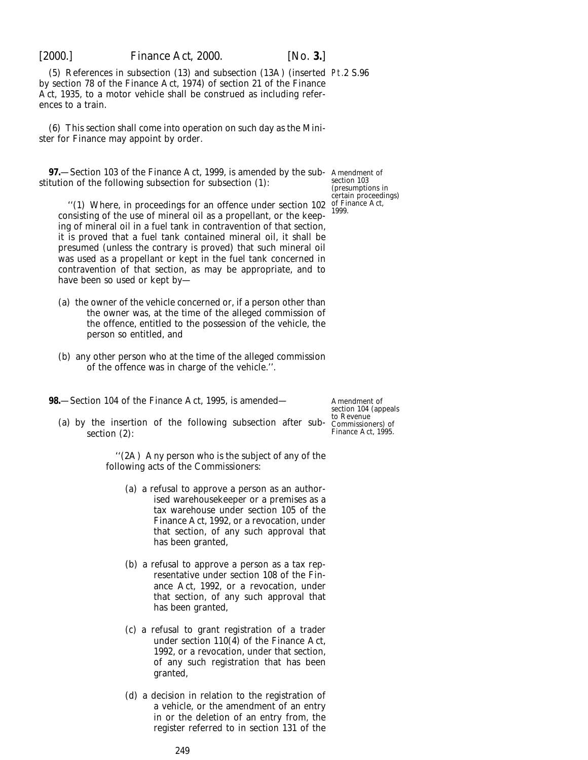(5) References in subsection (13) and subsection (13A) (inserted Pt.2 S.96 by section 78 of the Finance Act, 1974) of section 21 of the Finance Act, 1935, to a motor vehicle shall be construed as including references to a train.

(6) This section shall come into operation on such day as the Minister for Finance may appoint by order.

**97.**—Section 103 of the Finance Act, 1999, is amended by the sub-Amendment of stitution of the following subsection for subsection (1):

 $\cdot$  (1) Where, in proceedings for an offence under section 102 of Finance Act, consisting of the use of mineral oil as a propellant, or the keeping of mineral oil in a fuel tank in contravention of that section, it is proved that a fuel tank contained mineral oil, it shall be presumed (unless the contrary is proved) that such mineral oil was used as a propellant or kept in the fuel tank concerned in contravention of that section, as may be appropriate, and to have been so used or kept by—

- (*a*) the owner of the vehicle concerned or, if a person other than the owner was, at the time of the alleged commission of the offence, entitled to the possession of the vehicle, the person so entitled, and
- (*b*) any other person who at the time of the alleged commission of the offence was in charge of the vehicle.''.

**98.**—Section 104 of the Finance Act, 1995, is amended—

section 103 (presumptions in certain proceedings) 1999.

Amendment of section 104 (appeals to Revenue Commissioners) of Finance Act, 1995.

(*a*) by the insertion of the following subsection after subsection (2):

> ''(2A) Any person who is the subject of any of the following acts of the Commissioners:

- (*a*) a refusal to approve a person as an authorised warehousekeeper or a premises as a tax warehouse under section 105 of the Finance Act, 1992, or a revocation, under that section, of any such approval that has been granted,
- (*b*) a refusal to approve a person as a tax representative under section 108 of the Finance Act, 1992, or a revocation, under that section, of any such approval that has been granted,
- (*c*) a refusal to grant registration of a trader under section 110(4) of the Finance Act, 1992, or a revocation, under that section, of any such registration that has been granted,
- (*d*) a decision in relation to the registration of a vehicle, or the amendment of an entry in or the deletion of an entry from, the register referred to in section 131 of the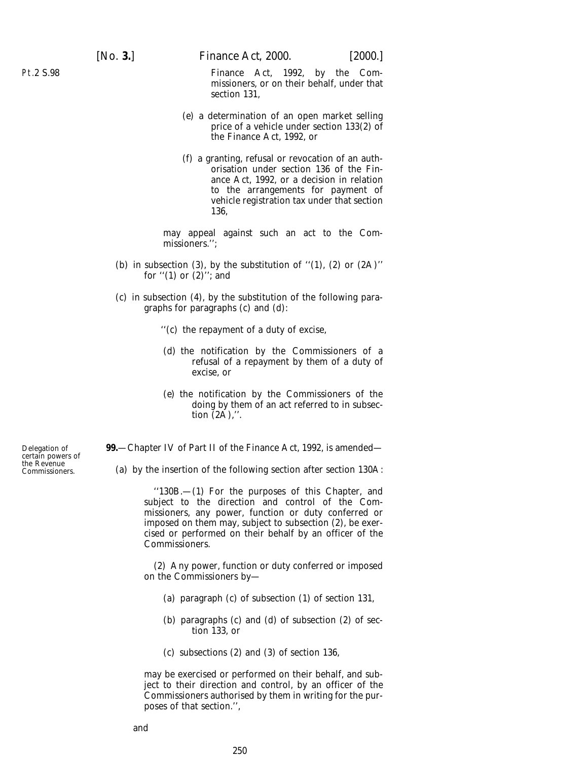Pt.2 S.98

[*No.* **3.**] *Finance Act,* 2000. [2000.]

Finance Act, 1992, by the Commissioners, or on their behalf, under that section 131,

- (*e*) a determination of an open market selling price of a vehicle under section 133(2) of the Finance Act, 1992, or
- (*f*) a granting, refusal or revocation of an authorisation under section 136 of the Finance Act, 1992, or a decision in relation to the arrangements for payment of vehicle registration tax under that section 136,

may appeal against such an act to the Commissioners.'';

- (*b*) in subsection (3), by the substitution of "(1), (2) or  $(2A)$ " for  $(1)$  or  $(2)$ "; and
- (*c*) in subsection (4), by the substitution of the following paragraphs for paragraphs (*c*) and (*d*):
	- ''(*c*) the repayment of a duty of excise,
	- (*d*) the notification by the Commissioners of a refusal of a repayment by them of a duty of excise, or
	- (*e*) the notification by the Commissioners of the doing by them of an act referred to in subsection  $(2A)$ ,".

**99.**—Chapter IV of Part II of the Finance Act, 1992, is amended—

(*a*) by the insertion of the following section after section 130A:

 $^{\prime\prime}$ 130B.—(1) For the purposes of this Chapter, and subject to the direction and control of the Commissioners, any power, function or duty conferred or imposed on them may, subject to subsection (2), be exercised or performed on their behalf by an officer of the Commissioners.

(2) Any power, function or duty conferred or imposed on the Commissioners by—

- (*a*) paragraph (*c*) of subsection (1) of section 131,
- (*b*) paragraphs (*c*) and (*d*) of subsection (2) of section 133, or
- (*c*) subsections (2) and (3) of section 136,

may be exercised or performed on their behalf, and subject to their direction and control, by an officer of the Commissioners authorised by them in writing for the purposes of that section.'',

Delegation of certain powers of the Revenue Commissioners.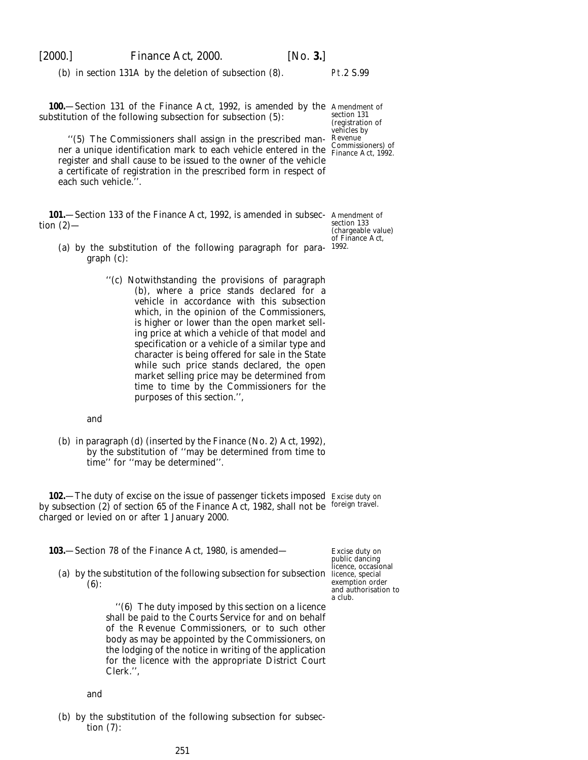(*b*) in section 131A by the deletion of subsection (8). Pt.2 S.99

**100.**—Section 131 of the Finance Act, 1992, is amended by the Amendment of substitution of the following subsection for subsection (5):

section 131 (registration of vehicles by

 $\cdot$  (5) The Commissioners shall assign in the prescribed man- Revenue ner a unique identification mark to each vehicle entered in the Commissioners) of Finance Act, 1992. register and shall cause to be issued to the owner of the vehicle a certificate of registration in the prescribed form in respect of each such vehicle.''.

**101.**—Section 133 of the Finance Act, 1992, is amended in subsec-Amendment of tion  $(2)$ —

section 133 (chargeable value) of Finance Act,

- (*a*) by the substitution of the following paragraph for para-1992. graph (*c*):
	- ''(*c*) Notwithstanding the provisions of paragraph (*b*), where a price stands declared for a vehicle in accordance with this subsection which, in the opinion of the Commissioners, is higher or lower than the open market selling price at which a vehicle of that model and specification or a vehicle of a similar type and character is being offered for sale in the State while such price stands declared, the open market selling price may be determined from time to time by the Commissioners for the purposes of this section.'',

and

(*b*) in paragraph (*d*) (inserted by the Finance (No. 2) Act, 1992), by the substitution of ''may be determined from time to time'' for ''may be determined''.

**102.**—The duty of excise on the issue of passenger tickets imposed Excise duty on by subsection (2) of section 65 of the Finance Act, 1982, shall not be foreign travel. charged or levied on or after 1 January 2000.

**103.**—Section 78 of the Finance Act, 1980, is amended—

(*a*) by the substitution of the following subsection for subsection licence, special (6):

> ''(6) The duty imposed by this section on a licence shall be paid to the Courts Service for and on behalf of the Revenue Commissioners, or to such other body as may be appointed by the Commissioners, on the lodging of the notice in writing of the application for the licence with the appropriate District Court Clerk.'',

and

(*b*) by the substitution of the following subsection for subsection (7):

Excise duty on public dancing licence, occasional exemption order and authorisation to

a club.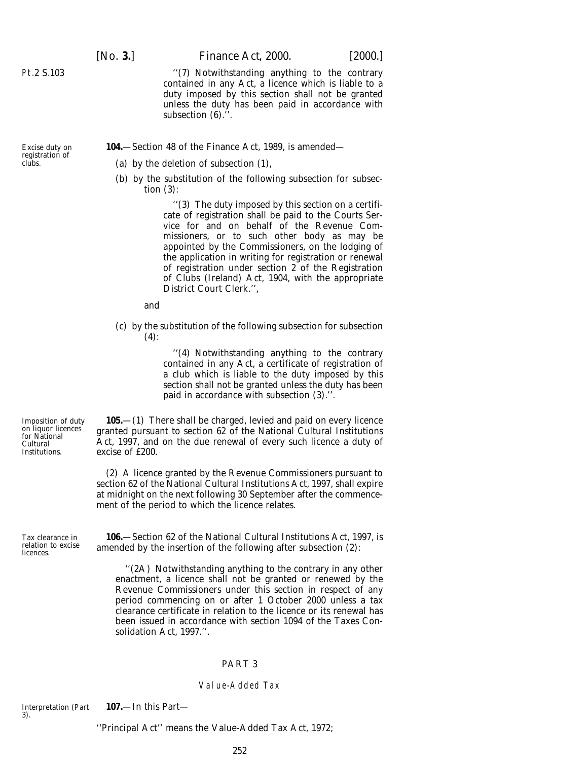''(7) Notwithstanding anything to the contrary contained in any Act, a licence which is liable to a duty imposed by this section shall not be granted unless the duty has been paid in accordance with subsection  $(6)$ .

Excise duty on registration of clubs.

Pt.2 S.103

- **104.**—Section 48 of the Finance Act, 1989, is amended—
	- (*a*) by the deletion of subsection (1),
	- (*b*) by the substitution of the following subsection for subsection (3):

''(3) The duty imposed by this section on a certificate of registration shall be paid to the Courts Service for and on behalf of the Revenue Commissioners, or to such other body as may be appointed by the Commissioners, on the lodging of the application in writing for registration or renewal of registration under section 2 of the Registration of Clubs (Ireland) Act, 1904, with the appropriate District Court Clerk.'',

and

(*c*) by the substitution of the following subsection for subsection  $(4)$ :

> ''(4) Notwithstanding anything to the contrary contained in any Act, a certificate of registration of a club which is liable to the duty imposed by this section shall not be granted unless the duty has been paid in accordance with subsection (3).''.

**105.**—(1) There shall be charged, levied and paid on every licence granted pursuant to section 62 of the National Cultural Institutions Act, 1997, and on the due renewal of every such licence a duty of excise of £200.

(2) A licence granted by the Revenue Commissioners pursuant to section 62 of the National Cultural Institutions Act, 1997, shall expire at midnight on the next following 30 September after the commencement of the period to which the licence relates.

Tax clearance in relation to excise licences.

Imposition of duty on liquor licences for National Cultural **Institutions** 

> **106.**—Section 62 of the National Cultural Institutions Act, 1997, is amended by the insertion of the following after subsection (2):

''(2A) Notwithstanding anything to the contrary in any other enactment, a licence shall not be granted or renewed by the Revenue Commissioners under this section in respect of any period commencing on or after 1 October 2000 unless a tax clearance certificate in relation to the licence or its renewal has been issued in accordance with section 1094 of the Taxes Consolidation Act, 1997.''.

# PART 3

# Value-Added Tax

Interpretation (*Part 3*). **107.**—In this Part—

''Principal Act'' means the Value-Added Tax Act, 1972;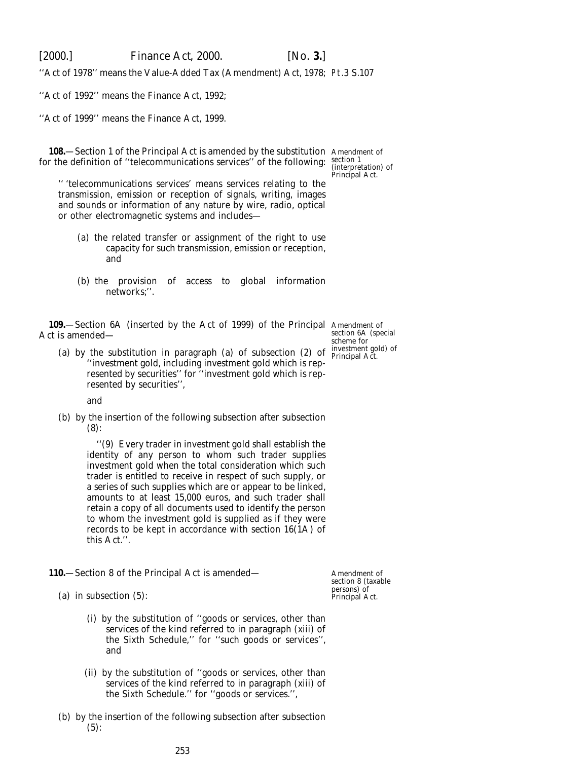[2000.] *Finance Act,* 2000. [*No.* **3.**]

''Act of 1978'' means the Value-Added Tax (Amendment) Act, 1978; Pt.3 S.107

''Act of 1992'' means the Finance Act, 1992;

''Act of 1999'' means the Finance Act, 1999.

**108.**—Section 1 of the Principal Act is amended by the substitution Amendment of for the definition of ''telecommunications services'' of the following:

section 1 (interpretation) of Principal Act.

'' 'telecommunications services' means services relating to the transmission, emission or reception of signals, writing, images and sounds or information of any nature by wire, radio, optical or other electromagnetic systems and includes—

- (*a*) the related transfer or assignment of the right to use capacity for such transmission, emission or reception, and
- (*b*) the provision of access to global information networks;''.

**109.**—Section 6A (inserted by the Act of 1999) of the Principal Amendment of Act is amended—

(*a*) by the substitution in paragraph (*a*) of subsection (2) of ''investment gold, including investment gold which is represented by securities'' for ''investment gold which is represented by securities'',

section 6A (special scheme for investment gold) of Principal Act.

and

(*b*) by the insertion of the following subsection after subsection (8):

> ''(9) Every trader in investment gold shall establish the identity of any person to whom such trader supplies investment gold when the total consideration which such trader is entitled to receive in respect of such supply, or a series of such supplies which are or appear to be linked, amounts to at least 15,000 euros, and such trader shall retain a copy of all documents used to identify the person to whom the investment gold is supplied as if they were records to be kept in accordance with section 16(1A) of this Act.''.

**110.**—Section 8 of the Principal Act is amended—

(*a*) in subsection (5):

- (i) by the substitution of ''goods or services, other than services of the kind referred to in paragraph (xiii) of the Sixth Schedule,'' for ''such goods or services'', and
- (ii) by the substitution of ''goods or services, other than services of the kind referred to in paragraph (xiii) of the Sixth Schedule.'' for ''goods or services.'',
- (*b*) by the insertion of the following subsection after subsection  $(5):$

Amendment of section 8 (taxable persons) of Principal Act.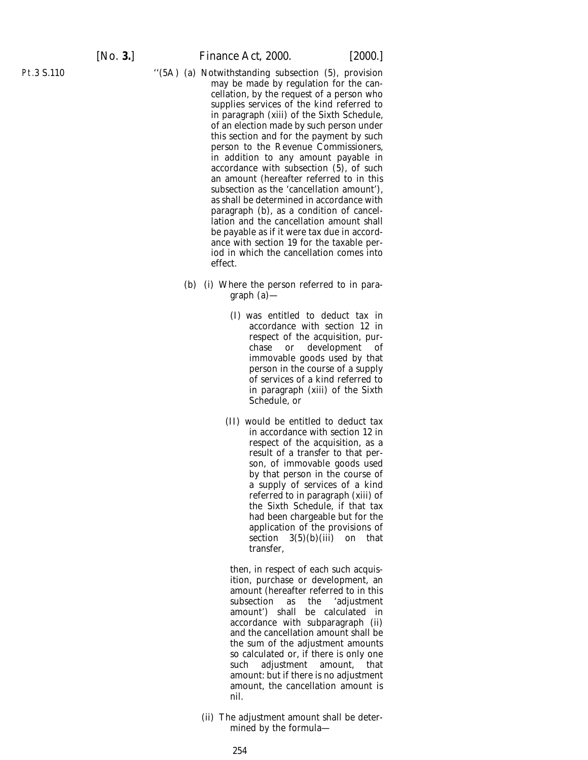Pt.3 S.110

- ''(5A) (*a*) Notwithstanding subsection (5), provision may be made by regulation for the cancellation, by the request of a person who supplies services of the kind referred to in paragraph (xiii) of the Sixth Schedule, of an election made by such person under this section and for the payment by such person to the Revenue Commissioners, in addition to any amount payable in accordance with subsection  $(5)$ , of such an amount (hereafter referred to in this subsection as the 'cancellation amount'), as shall be determined in accordance with paragraph (*b*), as a condition of cancellation and the cancellation amount shall be payable as if it were tax due in accordance with section 19 for the taxable period in which the cancellation comes into effect.
	- (*b*) (i) Where the person referred to in paragraph (*a*)—
		- (I) was entitled to deduct tax in accordance with section 12 in respect of the acquisition, purchase or development of immovable goods used by that person in the course of a supply of services of a kind referred to in paragraph (xiii) of the Sixth Schedule, or
		- (II) would be entitled to deduct tax in accordance with section 12 in respect of the acquisition, as a result of a transfer to that person, of immovable goods used by that person in the course of a supply of services of a kind referred to in paragraph (xiii) of the Sixth Schedule, if that tax had been chargeable but for the application of the provisions of section  $3(5)(b)(iii)$  on that transfer,

then, in respect of each such acquisition, purchase or development, an amount (hereafter referred to in this subsection as the 'adjustment amount') shall be calculated in accordance with subparagraph (ii) and the cancellation amount shall be the sum of the adjustment amounts so calculated or, if there is only one such adjustment amount, that amount: but if there is no adjustment amount, the cancellation amount is nil.

- (ii) The adjustment amount shall be determined by the formula—
	- 254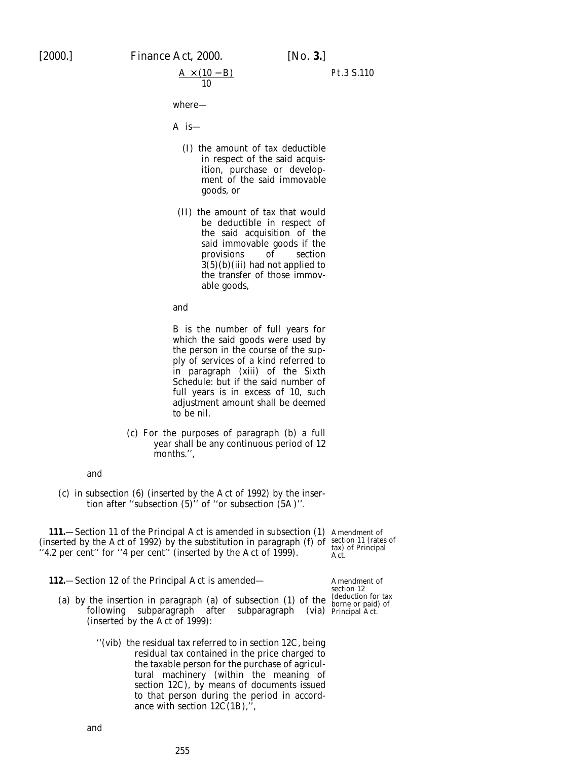where—

A is—

- (I) the amount of tax deductible in respect of the said acquisition, purchase or development of the said immovable goods, or
- (II) the amount of tax that would be deductible in respect of the said acquisition of the said immovable goods if the provisions of section  $3(5)(b)$ (iii) had not applied to the transfer of those immovable goods,

and

B is the number of full years for which the said goods were used by the person in the course of the supply of services of a kind referred to in paragraph (xiii) of the Sixth Schedule: but if the said number of full years is in excess of 10, such adjustment amount shall be deemed to be nil.

(*c*) For the purposes of paragraph (*b*) a full year shall be any continuous period of 12 months.'',

## and

(*c*) in subsection (6) (inserted by the Act of 1992) by the insertion after ''subsection (5)'' of ''or subsection (5A)''.

**111.**—Section 11 of the Principal Act is amended in subsection (1) Amendment of (inserted by the Act of 1992) by the substitution in paragraph (*f*) of section 11 (rates of "4.2 per cent" for "4 per cent" (inserted by the Act of 1999).

tax) of Principal Act.

**112.**—Section 12 of the Principal Act is amended—

- (*a*) by the insertion in paragraph (*a*) of subsection (1) of the  $\frac{\text{(deduction for tax)}}{\text{borne or paid}}$  of following subparagraph after subparagraph (vi*a*) Principal Act.(inserted by the Act of 1999):
	- ''(vi*b*) the residual tax referred to in section 12C, being residual tax contained in the price charged to the taxable person for the purchase of agricultural machinery (within the meaning of section 12C), by means of documents issued to that person during the period in accordance with section 12C(1B),'',

Amendment of section 12

and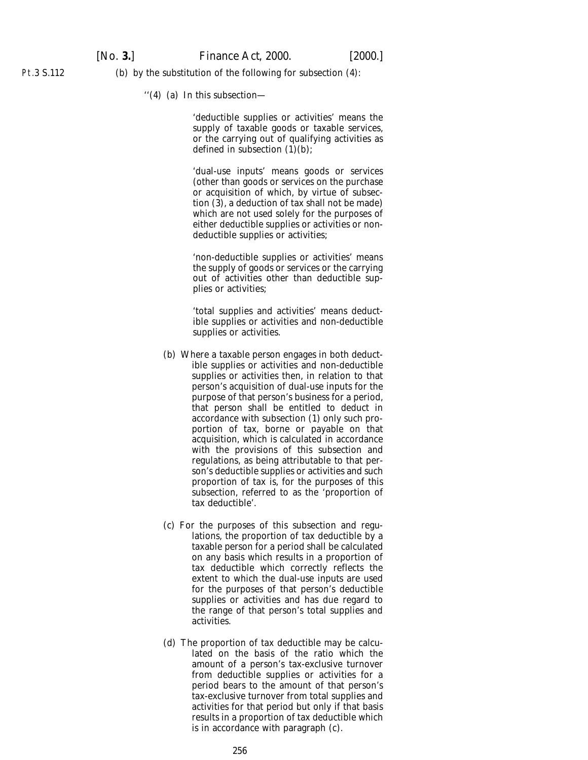[*No.* **3.**] *Finance Act,* 2000. [2000.]

Pt.3 S.112

- (*b*) by the substitution of the following for subsection (4):
	- ''(4) (*a*) In this subsection—

'deductible supplies or activities' means the supply of taxable goods or taxable services, or the carrying out of qualifying activities as defined in subsection (1)(*b*);

'dual-use inputs' means goods or services (other than goods or services on the purchase or acquisition of which, by virtue of subsection (3), a deduction of tax shall not be made) which are not used solely for the purposes of either deductible supplies or activities or nondeductible supplies or activities;

'non-deductible supplies or activities' means the supply of goods or services or the carrying out of activities other than deductible supplies or activities;

'total supplies and activities' means deductible supplies or activities and non-deductible supplies or activities.

- (*b*) Where a taxable person engages in both deductible supplies or activities and non-deductible supplies or activities then, in relation to that person's acquisition of dual-use inputs for the purpose of that person's business for a period, that person shall be entitled to deduct in accordance with subsection (1) only such proportion of tax, borne or payable on that acquisition, which is calculated in accordance with the provisions of this subsection and regulations, as being attributable to that person's deductible supplies or activities and such proportion of tax is, for the purposes of this subsection, referred to as the 'proportion of tax deductible'.
- (*c*) For the purposes of this subsection and regulations, the proportion of tax deductible by a taxable person for a period shall be calculated on any basis which results in a proportion of tax deductible which correctly reflects the extent to which the dual-use inputs are used for the purposes of that person's deductible supplies or activities and has due regard to the range of that person's total supplies and activities.
- (*d*) The proportion of tax deductible may be calculated on the basis of the ratio which the amount of a person's tax-exclusive turnover from deductible supplies or activities for a period bears to the amount of that person's tax-exclusive turnover from total supplies and activities for that period but only if that basis results in a proportion of tax deductible which is in accordance with paragraph (*c*).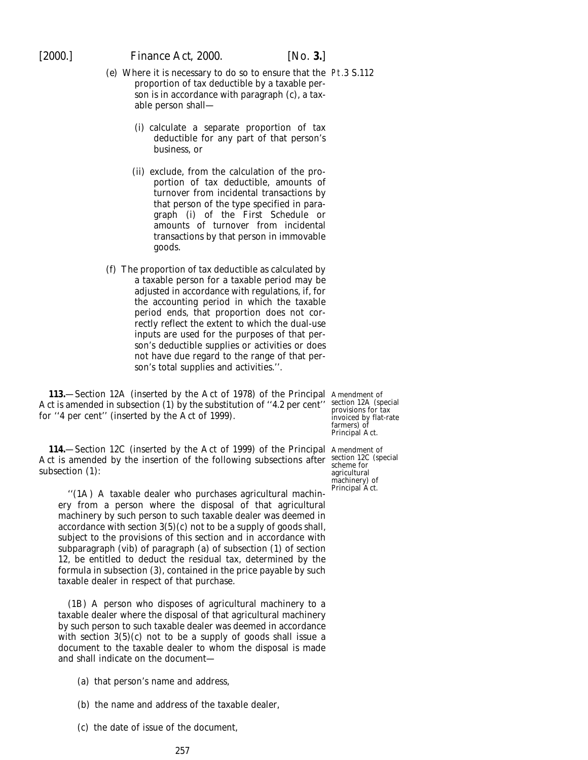[2000.] *Finance Act,* 2000. [*No.* **3.**]

- (*e*) Where it is necessary to do so to ensure that the Pt.3 S.112 proportion of tax deductible by a taxable person is in accordance with paragraph (*c*), a taxable person shall—
	- (i) calculate a separate proportion of tax deductible for any part of that person's business, or
	- (ii) exclude, from the calculation of the proportion of tax deductible, amounts of turnover from incidental transactions by that person of the type specified in paragraph (i) of the First Schedule or amounts of turnover from incidental transactions by that person in immovable goods.
- (*f*) The proportion of tax deductible as calculated by a taxable person for a taxable period may be adjusted in accordance with regulations, if, for the accounting period in which the taxable period ends, that proportion does not correctly reflect the extent to which the dual-use inputs are used for the purposes of that person's deductible supplies or activities or does not have due regard to the range of that person's total supplies and activities.''.

**113.**—Section 12A (inserted by the Act of 1978) of the Principal Amendment of Act is amended in subsection (1) by the substitution of "4.2 per cent" section 12A (special for ''4 per cent'' (inserted by the Act of 1999).

provisions for tax invoiced by flat-rate farmers) of Principal Act.

**114.**—Section 12C (inserted by the Act of 1999) of the Principal Amendment of Act is amended by the insertion of the following subsections after section 12C (special<br>
scheme for subsection (1):

''(1A) A taxable dealer who purchases agricultural machinery from a person where the disposal of that agricultural machinery by such person to such taxable dealer was deemed in accordance with section  $3(5)(c)$  not to be a supply of goods shall, subject to the provisions of this section and in accordance with subparagraph (vi*b*) of paragraph (*a*) of subsection (1) of section 12, be entitled to deduct the residual tax, determined by the formula in subsection (3), contained in the price payable by such taxable dealer in respect of that purchase.

(1B) A person who disposes of agricultural machinery to a taxable dealer where the disposal of that agricultural machinery by such person to such taxable dealer was deemed in accordance with section 3(5)(*c*) not to be a supply of goods shall issue a document to the taxable dealer to whom the disposal is made and shall indicate on the document—

- (*a*) that person's name and address,
- (*b*) the name and address of the taxable dealer,
- (*c*) the date of issue of the document,

agricultural machinery) of

Principal Act.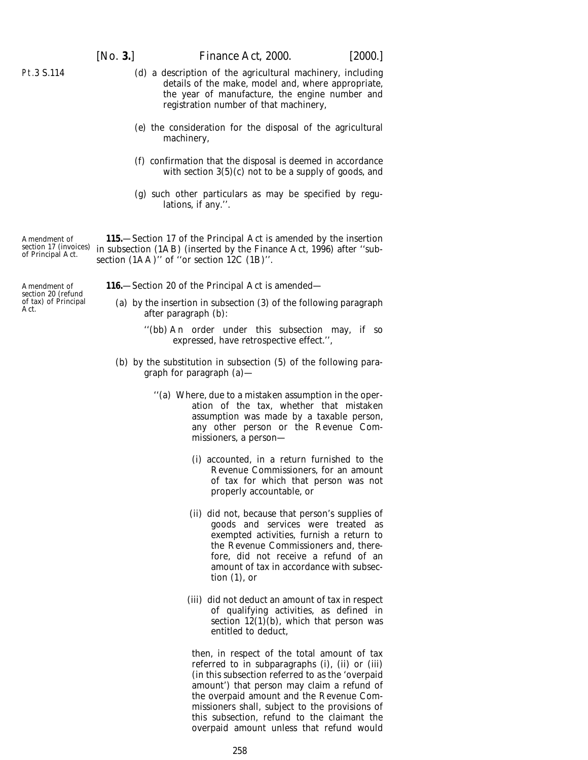- (*d*) a description of the agricultural machinery, including details of the make, model and, where appropriate, the year of manufacture, the engine number and registration number of that machinery,
- (*e*) the consideration for the disposal of the agricultural machinery,
- (*f*) confirmation that the disposal is deemed in accordance with section  $3(5)(c)$  not to be a supply of goods, and
- (*g*) such other particulars as may be specified by regulations, if any.''.

Amendment of section 17 (invoices) of Principal Act. **115.**—Section 17 of the Principal Act is amended by the insertion in subsection (1AB) (inserted by the Finance Act, 1996) after ''subsection (1AA)" of "or section 12C (1B)".

Amendment of section 20 (refund of tax) of Principal Act.

Pt.3 S.114

**116.**—Section 20 of the Principal Act is amended—

- (*a*) by the insertion in subsection (3) of the following paragraph after paragraph (*b*):
	- ''(*bb*) An order under this subsection may, if so expressed, have retrospective effect.'',
- (*b*) by the substitution in subsection (5) of the following paragraph for paragraph (*a*)—
	- ''(*a*) Where, due to a mistaken assumption in the operation of the tax, whether that mistaken assumption was made by a taxable person, any other person or the Revenue Commissioners, a person—
		- (i) accounted, in a return furnished to the Revenue Commissioners, for an amount of tax for which that person was not properly accountable, or
		- (ii) did not, because that person's supplies of goods and services were treated as exempted activities, furnish a return to the Revenue Commissioners and, therefore, did not receive a refund of an amount of tax in accordance with subsection (1), or
		- (iii) did not deduct an amount of tax in respect of qualifying activities, as defined in section  $12(1)(b)$ , which that person was entitled to deduct,

then, in respect of the total amount of tax referred to in subparagraphs (i), (ii) or (iii) (in this subsection referred to as the 'overpaid amount') that person may claim a refund of the overpaid amount and the Revenue Commissioners shall, subject to the provisions of this subsection, refund to the claimant the overpaid amount unless that refund would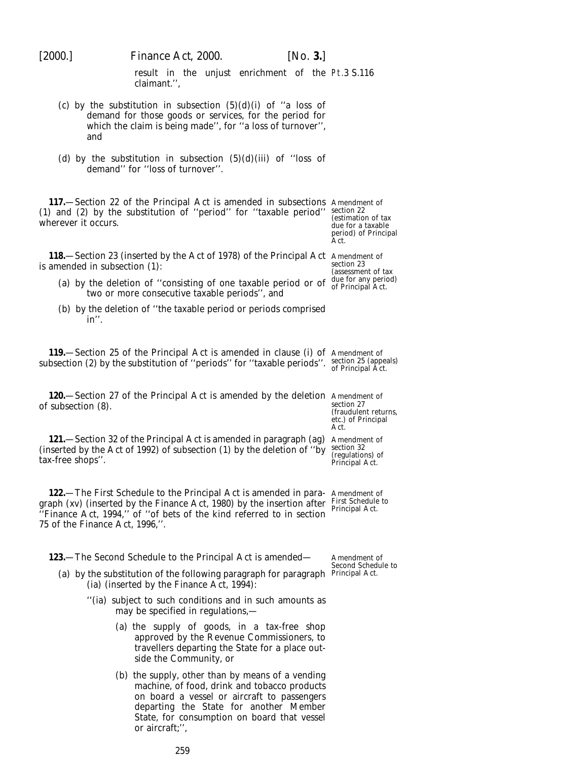259

[2000.] *Finance Act,* 2000. [*No.* **3.**]

result in the unjust enrichment of the Pt.3 S.116

- claimant.'',
- (*c*) by the substitution in subsection  $(5)(d)(i)$  of "a loss of demand for those goods or services, for the period for which the claim is being made'', for ''a loss of turnover'', and
- (*d*) by the substitution in subsection  $(5)(d)(iii)$  of "loss of demand'' for ''loss of turnover''.

**117.**—Section 22 of the Principal Act is amended in subsections Amendment of (1) and (2) by the substitution of "period" for "taxable period"  $\frac{\text{section 22}}{\text{(optimation)}}$ wherever it occurs. (estimation of tax

**118.**—Section 23 (inserted by the Act of 1978) of the Principal Act Amendment of is amended in subsection (1):

- (*a*) by the deletion of "consisting of one taxable period or of due for any period or of  $\frac{d}{dt}$ . two or more consecutive taxable periods'', and
- (*b*) by the deletion of ''the taxable period or periods comprised in''.

**119.**—Section 25 of the Principal Act is amended in clause (i) of Amendment of subsection (2) by the substitution of "periods" for "taxable periods". section 25 (appeals)

**120.**—Section 27 of the Principal Act is amended by the deletion Amendment of of subsection (8).

**121.**—Section 32 of the Principal Act is amended in paragraph (*ag*) Amendment of (inserted by the Act of 1992) of subsection (1) by the deletion of ''by tax-free shops''.

**122.**—The First Schedule to the Principal Act is amended in para-Amendment of graph (xv) (inserted by the Finance Act, 1980) by the insertion after First Schedule to ''Finance Act, 1994,'' of ''of bets of the kind referred to in section 75 of the Finance Act, 1996,''.

**123.**—The Second Schedule to the Principal Act is amended—

- (*a*) by the substitution of the following paragraph for paragraph Principal Act.(i*a*) (inserted by the Finance Act, 1994):
	- ''(i*a*) subject to such conditions and in such amounts as may be specified in regulations,—
		- (*a*) the supply of goods, in a tax-free shop approved by the Revenue Commissioners, to travellers departing the State for a place outside the Community, or
		- (*b*) the supply, other than by means of a vending machine, of food, drink and tobacco products on board a vessel or aircraft to passengers departing the State for another Member State, for consumption on board that vessel or aircraft;'',

due for a taxable period) of Principal Act. section 23

(assessment of tax due for any period)

of Principal Act.

section 27 (fraudulent returns, etc.) of Principal Act.

section 32 (regulations) of Principal Act.

Principal Act.

Amendment of Second Schedule to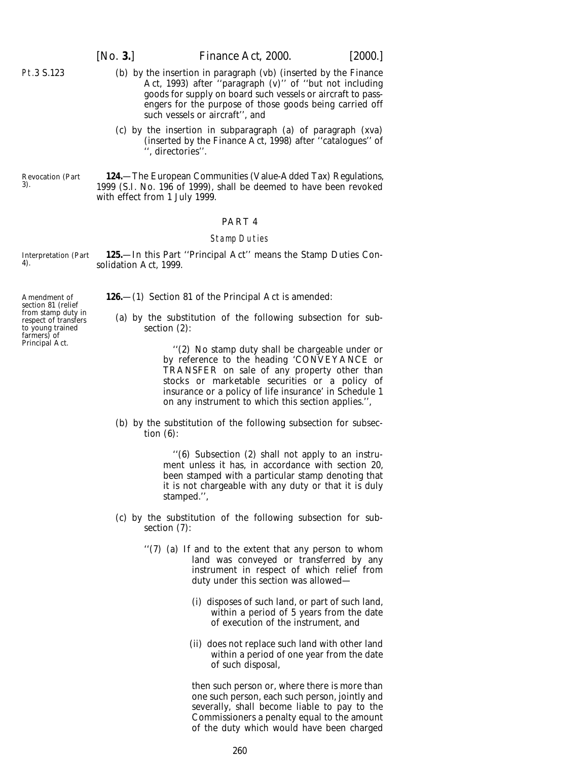- (*b*) by the insertion in paragraph (v*b*) (inserted by the Finance Act, 1993) after ''paragraph (v)'' of ''but not including goods for supply on board such vessels or aircraft to passengers for the purpose of those goods being carried off such vessels or aircraft'', and
- (*c*) by the insertion in subparagraph (*a*) of paragraph (xv*a*) (inserted by the Finance Act, 1998) after ''catalogues'' of '', directories''.

Revocation *(Part 3).*

Pt.3 S.123

**124.**—The European Communities (Value-Added Tax) Regulations, 1999 (S.I. No. 196 of 1999), shall be deemed to have been revoked with effect from 1 July 1999.

## PART 4

## Stamp Duties

Interpretation (*Part* **125.**—In this Part ''Principal Act'' means the Stamp Duties Consolidation Act, 1999.

Amendment of section 81 (relief from stamp duty in respect of transfers to young trained farmers) of Principal Act.

*4*).

**126.**—(1) Section 81 of the Principal Act is amended:

(*a*) by the substitution of the following subsection for subsection (2):

> ''(2) No stamp duty shall be chargeable under or by reference to the heading 'CONVEYANCE or TRANSFER on sale of any property other than stocks or marketable securities or a policy of insurance or a policy of life insurance' in Schedule 1 on any instrument to which this section applies.'',

(*b*) by the substitution of the following subsection for subsection (6):

> ''(6) Subsection (2) shall not apply to an instrument unless it has, in accordance with section 20, been stamped with a particular stamp denoting that it is not chargeable with any duty or that it is duly stamped.'',

- (*c*) by the substitution of the following subsection for subsection (7):
	- ''(7) (*a*) If and to the extent that any person to whom land was conveyed or transferred by any instrument in respect of which relief from duty under this section was allowed—
		- (i) disposes of such land, or part of such land, within a period of 5 years from the date of execution of the instrument, and
		- (ii) does not replace such land with other land within a period of one year from the date of such disposal,

then such person or, where there is more than one such person, each such person, jointly and severally, shall become liable to pay to the Commissioners a penalty equal to the amount of the duty which would have been charged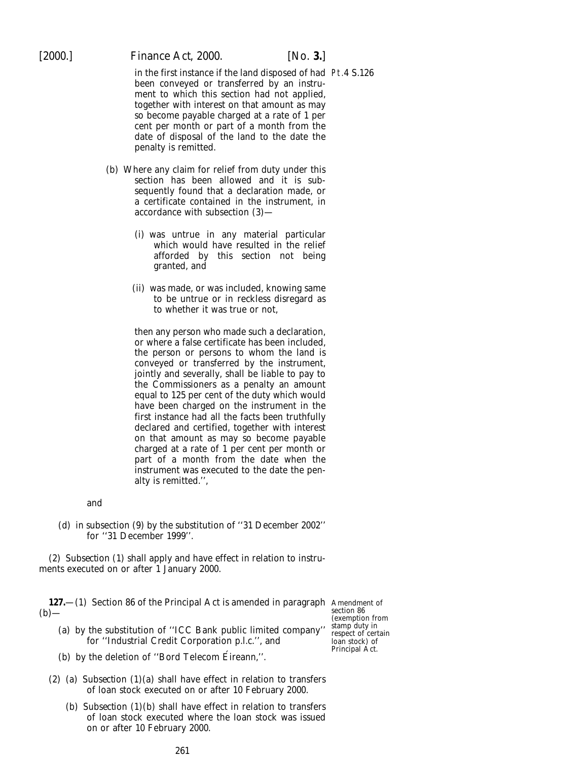[2000.] *Finance Act,* 2000. [*No.* **3.**]

in the first instance if the land disposed of had Pt.4 S.126 been conveyed or transferred by an instrument to which this section had not applied, together with interest on that amount as may so become payable charged at a rate of 1 per cent per month or part of a month from the date of disposal of the land to the date the penalty is remitted.

- (*b*) Where any claim for relief from duty under this section has been allowed and it is subsequently found that a declaration made, or a certificate contained in the instrument, in accordance with subsection (3)—
	- (i) was untrue in any material particular which would have resulted in the relief afforded by this section not being granted, and
	- (ii) was made, or was included, knowing same to be untrue or in reckless disregard as to whether it was true or not,

then any person who made such a declaration, or where a false certificate has been included, the person or persons to whom the land is conveyed or transferred by the instrument, jointly and severally, shall be liable to pay to the Commissioners as a penalty an amount equal to 125 per cent of the duty which would have been charged on the instrument in the first instance had all the facts been truthfully declared and certified, together with interest on that amount as may so become payable charged at a rate of 1 per cent per month or part of a month from the date when the instrument was executed to the date the penalty is remitted.'',

## and

(*d*) in subsection (9) by the substitution of ''31 December 2002'' for ''31 December 1999''.

(2) *Subsection (1)* shall apply and have effect in relation to instruments executed on or after 1 January 2000.

**127.**—(1) Section 86 of the Principal Act is amended in paragraph Amendment of  $(b)$ —

- (*a*) by the substitution of ''ICC Bank public limited company'' for ''Industrial Credit Corporation p.l.c.'', and
- (b) by the deletion of "Bord Telecom Eireann,".
- (2) (*a*) *Subsection (1)(a)* shall have effect in relation to transfers of loan stock executed on or after 10 February 2000.
	- (*b*) *Subsection (1)(b)* shall have effect in relation to transfers of loan stock executed where the loan stock was issued on or after 10 February 2000.

section 86 (exemption from stamp duty in respect of certain loan stock) of Principal Act.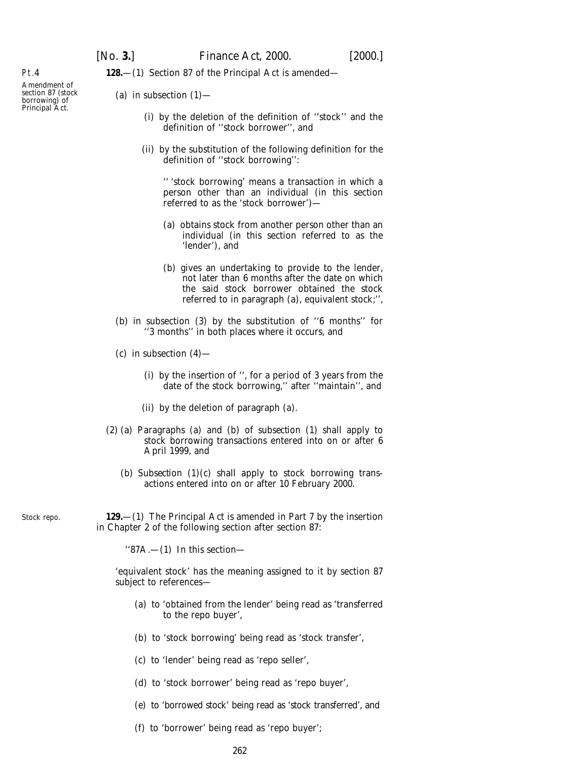**128.**—(1) Section 87 of the Principal Act is amended—

(*a*) in subsection  $(1)$ —

- (i) by the deletion of the definition of ''stock'' and the definition of ''stock borrower'', and
- (ii) by the substitution of the following definition for the definition of ''stock borrowing'':

'' 'stock borrowing' means a transaction in which a person other than an individual (in this section referred to as the 'stock borrower')—

- (*a*) obtains stock from another person other than an individual (in this section referred to as the 'lender'), and
- (*b*) gives an undertaking to provide to the lender, not later than 6 months after the date on which the said stock borrower obtained the stock referred to in paragraph (a), equivalent stock;'',
- (*b*) in subsection (3) by the substitution of ''6 months'' for ''3 months'' in both places where it occurs, and
- $(c)$  in subsection  $(4)$ 
	- (i) by the insertion of '', for a period of 3 years from the date of the stock borrowing,'' after ''maintain'', and
	- (ii) by the deletion of paragraph (*a*).
- (2) (*a*) *Paragraphs (a)* and *(b)* of *subsection (1)* shall apply to stock borrowing transactions entered into on or after 6 April 1999, and
	- (*b*) *Subsection (1)(c)* shall apply to stock borrowing transactions entered into on or after 10 February 2000.

**129.**—(1) The Principal Act is amended in Part 7 by the insertion in Chapter 2 of the following section after section 87:

 $"87A.$ —(1) In this section—

'equivalent stock' has the meaning assigned to it by section 87 subject to references—

- (*a*) to 'obtained from the lender' being read as 'transferred to the repo buyer',
- (*b*) to 'stock borrowing' being read as 'stock transfer',
- (*c*) to 'lender' being read as 'repo seller',
- (*d*) to 'stock borrower' being read as 'repo buyer',
- (*e*) to 'borrowed stock' being read as 'stock transferred', and
- (*f*) to 'borrower' being read as 'repo buyer';

Pt.4

Amendment of section 87 (stock borrowing) of Principal Act.

Stock repo.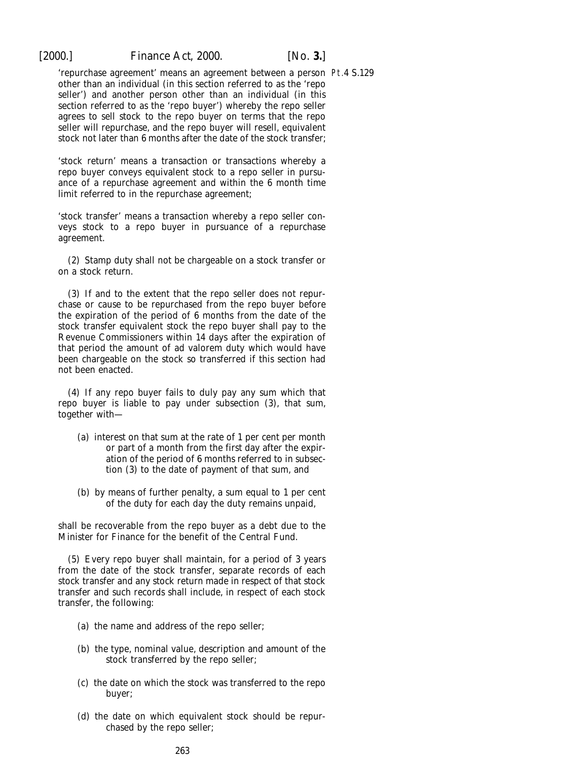'repurchase agreement' means an agreement between a person Pt.4 S.129 other than an individual (in this section referred to as the 'repo seller') and another person other than an individual (in this section referred to as the 'repo buyer') whereby the repo seller agrees to sell stock to the repo buyer on terms that the repo seller will repurchase, and the repo buyer will resell, equivalent stock not later than 6 months after the date of the stock transfer;

'stock return' means a transaction or transactions whereby a repo buyer conveys equivalent stock to a repo seller in pursuance of a repurchase agreement and within the 6 month time limit referred to in the repurchase agreement;

'stock transfer' means a transaction whereby a repo seller conveys stock to a repo buyer in pursuance of a repurchase agreement.

(2) Stamp duty shall not be chargeable on a stock transfer or on a stock return.

(3) If and to the extent that the repo seller does not repurchase or cause to be repurchased from the repo buyer before the expiration of the period of 6 months from the date of the stock transfer equivalent stock the repo buyer shall pay to the Revenue Commissioners within 14 days after the expiration of that period the amount of ad valorem duty which would have been chargeable on the stock so transferred if this section had not been enacted.

(4) If any repo buyer fails to duly pay any sum which that repo buyer is liable to pay under subsection (3), that sum, together with—

- (*a*) interest on that sum at the rate of 1 per cent per month or part of a month from the first day after the expiration of the period of 6 months referred to in subsection (3) to the date of payment of that sum, and
- (*b*) by means of further penalty, a sum equal to 1 per cent of the duty for each day the duty remains unpaid,

shall be recoverable from the repo buyer as a debt due to the Minister for Finance for the benefit of the Central Fund.

(5) Every repo buyer shall maintain, for a period of 3 years from the date of the stock transfer, separate records of each stock transfer and any stock return made in respect of that stock transfer and such records shall include, in respect of each stock transfer, the following:

- (*a*) the name and address of the repo seller;
- (*b*) the type, nominal value, description and amount of the stock transferred by the repo seller;
- (*c*) the date on which the stock was transferred to the repo buyer;
- (*d*) the date on which equivalent stock should be repurchased by the repo seller;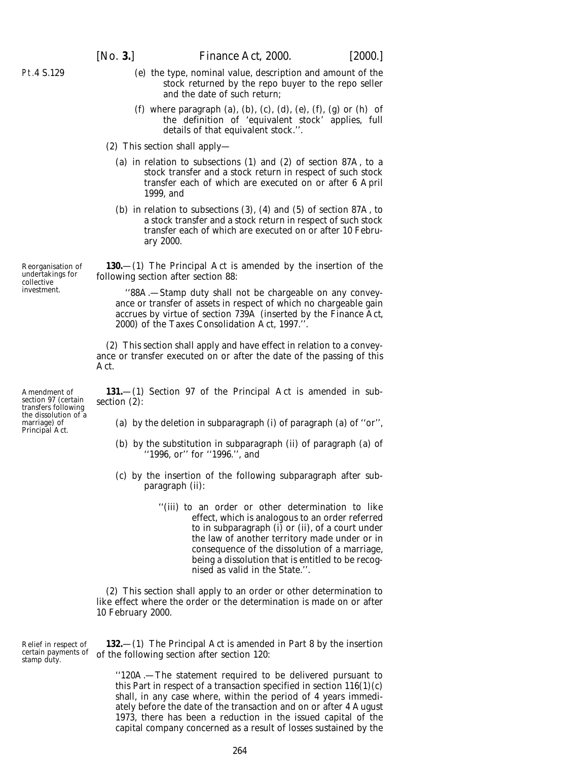- (*e*) the type, nominal value, description and amount of the stock returned by the repo buyer to the repo seller and the date of such return;
- (*f*) where paragraph (*a*), (*b*), (*c*), (*d*), (*e*), (*f*), (*g*) or (*h*) of the definition of 'equivalent stock' applies, full details of that equivalent stock.''.
- (2) This section shall apply—
	- (*a*) in relation to subsections (1) and (2) of section 87A, to a stock transfer and a stock return in respect of such stock transfer each of which are executed on or after 6 April 1999, and
	- (*b*) in relation to subsections (3), (4) and (5) of section 87A, to a stock transfer and a stock return in respect of such stock transfer each of which are executed on or after 10 February 2000.

**130.**—(1) The Principal Act is amended by the insertion of the following section after section 88:

''88A.—Stamp duty shall not be chargeable on any conveyance or transfer of assets in respect of which no chargeable gain accrues by virtue of section 739A (inserted by the *Finance Act, 2000*) of the Taxes Consolidation Act, 1997.''.

(2) This section shall apply and have effect in relation to a conveyance or transfer executed on or after the date of the passing of this Act.

**131.**—(1) Section 97 of the Principal Act is amended in subsection (2):

- (*a*) by the deletion in subparagraph (i) of paragraph (*a*) of ''or'',
- (*b*) by the substitution in subparagraph (ii) of paragraph (*a*) of ''1996, or'' for ''1996.'', and
- (*c*) by the insertion of the following subparagraph after subparagraph (ii):
	- ''(iii) to an order or other determination to like effect, which is analogous to an order referred to in subparagraph  $(i)$  or  $(ii)$ , of a court under the law of another territory made under or in consequence of the dissolution of a marriage, being a dissolution that is entitled to be recognised as valid in the State.''.

(2) This section shall apply to an order or other determination to like effect where the order or the determination is made on or after 10 February 2000.

Relief in respect of certain payments of stamp duty.

**132.**—(1) The Principal Act is amended in Part 8 by the insertion of the following section after section 120:

''120A.—The statement required to be delivered pursuant to this Part in respect of a transaction specified in section 116(1)(*c*) shall, in any case where, within the period of 4 years immediately before the date of the transaction and on or after 4 August 1973, there has been a reduction in the issued capital of the capital company concerned as a result of losses sustained by the

Amendment of section 97 (certain transfers following the dissolution of a marriage) of Principal Act.

Reorganisation of undertakings for collective investment.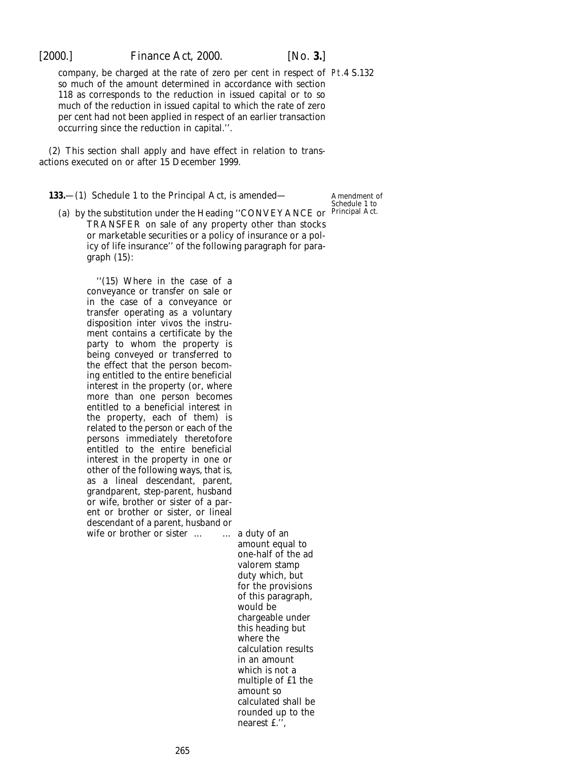[2000.] *Finance Act,* 2000. [*No.* **3.**]

company, be charged at the rate of zero per cent in respect of Pt.4 S.132 so much of the amount determined in accordance with section 118 as corresponds to the reduction in issued capital or to so much of the reduction in issued capital to which the rate of zero per cent had not been applied in respect of an earlier transaction occurring since the reduction in capital.''.

(2) This section shall apply and have effect in relation to transactions executed on or after 15 December 1999.

**133.**—(1) Schedule 1 to the Principal Act, is amended—

Amendment of Schedule 1 to

(a) by the substitution under the Heading "CONVEYANCE or Principal Act. TRANSFER on sale of any property other than stocks or marketable securities or a policy of insurance or a policy of life insurance'' of the following paragraph for paragraph (15):

''(15) Where in the case of a conveyance or transfer on sale or in the case of a conveyance or transfer operating as a voluntary disposition inter vivos the instrument contains a certificate by the party to whom the property is being conveyed or transferred to the effect that the person becoming entitled to the entire beneficial interest in the property (or, where more than one person becomes entitled to a beneficial interest in the property, each of them) is related to the person or each of the persons immediately theretofore entitled to the entire beneficial interest in the property in one or other of the following ways, that is, as a lineal descendant, parent, grandparent, step-parent, husband or wife, brother or sister of a parent or brother or sister, or lineal descendant of a parent, husband or wife or brother or sister ... ... a duty of an

amount equal to one-half of the ad valorem stamp duty which, but for the provisions of this paragraph, would be chargeable under this heading but where the calculation results in an amount which is not a multiple of £1 the amount so calculated shall be rounded up to the nearest £.'',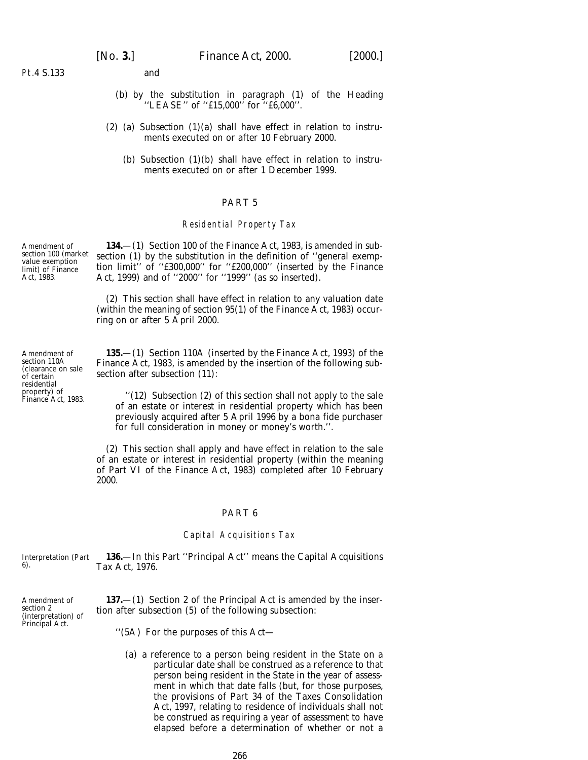and

- (2) (*a*) *Subsection (1)(a)* shall have effect in relation to instruments executed on or after 10 February 2000.
	- (*b*) *Subsection (1)(b)* shall have effect in relation to instruments executed on or after 1 December 1999.

## PART 5

## Residential Property Tax

**134.**—(1) Section 100 of the Finance Act, 1983, is amended in subsection (1) by the substitution in the definition of ''general exemption limit'' of ''£300,000'' for ''£200,000'' (inserted by the Finance Act, 1999) and of ''2000'' for ''1999'' (as so inserted).

(2) This section shall have effect in relation to any valuation date (within the meaning of section 95(1) of the Finance Act, 1983) occurring on or after 5 April 2000.

**135.**—(1) Section 110A (inserted by the Finance Act, 1993) of the Finance Act, 1983, is amended by the insertion of the following subsection after subsection (11):

''(12) Subsection (2) of this section shall not apply to the sale of an estate or interest in residential property which has been previously acquired after 5 April 1996 by a bona fide purchaser for full consideration in money or money's worth.''.

(2) This section shall apply and have effect in relation to the sale of an estate or interest in residential property (within the meaning of Part VI of the Finance Act, 1983) completed after 10 February 2000.

## PART 6

#### Capital Acquisitions Tax

Interpretation (*Part 6*).

**136.**—In this Part ''Principal Act'' means the Capital Acquisitions Tax Act, 1976.

Amendment of section 2 (interpretation) of Principal Act.

- **137.**—(1) Section 2 of the Principal Act is amended by the insertion after subsection (5) of the following subsection:
	- ''(5A) For the purposes of this Act—
		- (*a*) a reference to a person being resident in the State on a particular date shall be construed as a reference to that person being resident in the State in the year of assessment in which that date falls (but, for those purposes, the provisions of Part 34 of the Taxes Consolidation Act, 1997, relating to residence of individuals shall not be construed as requiring a year of assessment to have elapsed before a determination of whether or not a

Amendment of section 100 (market value exemption limit) of Finance Act, 1983.

Pt.4 S.133

Amendment of section 110A (clearance on sale of certain residential property) of Finance Act, 1983.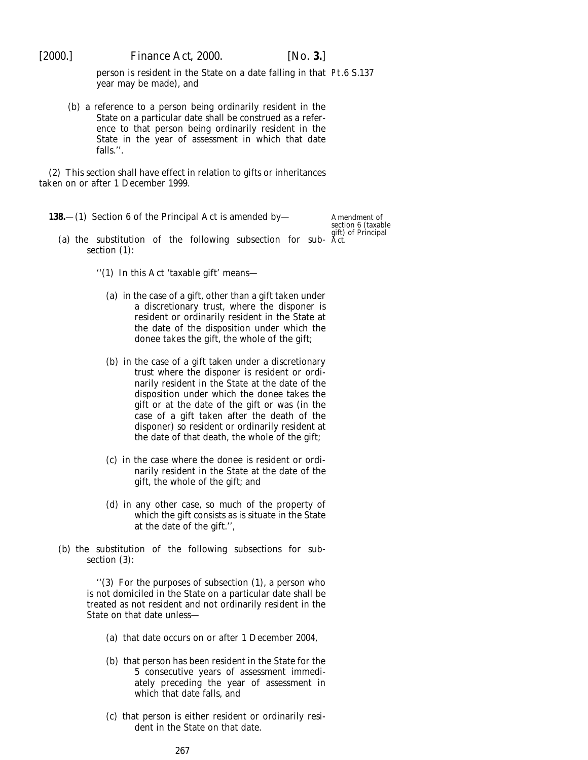person is resident in the State on a date falling in that Pt.6 S.137 year may be made), and

(*b*) a reference to a person being ordinarily resident in the State on a particular date shall be construed as a reference to that person being ordinarily resident in the State in the year of assessment in which that date falls.''.

(2) This section shall have effect in relation to gifts or inheritances taken on or after 1 December 1999.

**138.**—(1) Section 6 of the Principal Act is amended by—

Amendment of section 6 (taxable gift) of Principal

- (*a*) the substitution of the following subsection for sub-Act.section  $(1)$ :
	- ''(1) In this Act 'taxable gift' means—
		- (*a*) in the case of a gift, other than a gift taken under a discretionary trust, where the disponer is resident or ordinarily resident in the State at the date of the disposition under which the donee takes the gift, the whole of the gift;
		- (*b*) in the case of a gift taken under a discretionary trust where the disponer is resident or ordinarily resident in the State at the date of the disposition under which the donee takes the gift or at the date of the gift or was (in the case of a gift taken after the death of the disponer) so resident or ordinarily resident at the date of that death, the whole of the gift;
		- (*c*) in the case where the donee is resident or ordinarily resident in the State at the date of the gift, the whole of the gift; and
		- (*d*) in any other case, so much of the property of which the gift consists as is situate in the State at the date of the gift.'',
- (*b*) the substitution of the following subsections for subsection (3):

''(3) For the purposes of subsection (1), a person who is not domiciled in the State on a particular date shall be treated as not resident and not ordinarily resident in the State on that date unless—

- (*a*) that date occurs on or after 1 December 2004,
- (*b*) that person has been resident in the State for the 5 consecutive years of assessment immediately preceding the year of assessment in which that date falls, and
- (*c*) that person is either resident or ordinarily resident in the State on that date.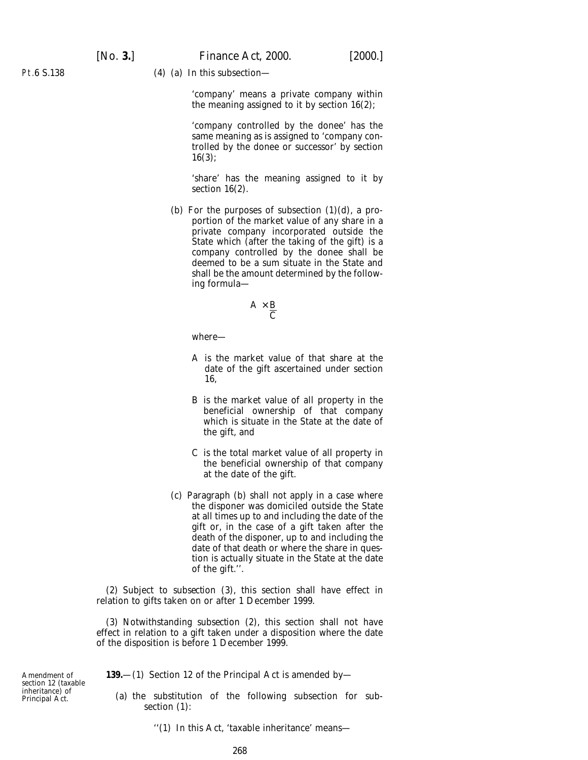Pt.6 S.138

(4) (*a*) In this subsection—

'company' means a private company within the meaning assigned to it by section 16(2);

'company controlled by the donee' has the same meaning as is assigned to 'company controlled by the donee or successor' by section 16(3);

'share' has the meaning assigned to it by section 16(2).

(*b*) For the purposes of subsection  $(1)(d)$ , a proportion of the market value of any share in a private company incorporated outside the State which (after the taking of the gift) is a company controlled by the donee shall be deemed to be a sum situate in the State and shall be the amount determined by the following formula—

$$
A \times \frac{B}{C}
$$

where—

- A is the market value of that share at the date of the gift ascertained under section 16,
- B is the market value of all property in the beneficial ownership of that company which is situate in the State at the date of the gift, and
- C is the total market value of all property in the beneficial ownership of that company at the date of the gift.
- (*c*) Paragraph (*b*) shall not apply in a case where the disponer was domiciled outside the State at all times up to and including the date of the gift or, in the case of a gift taken after the death of the disponer, up to and including the date of that death or where the share in question is actually situate in the State at the date of the gift.''.

(2) Subject to *subsection (3)*, this section shall have effect in relation to gifts taken on or after 1 December 1999.

(3) Notwithstanding *subsection (2)*, this section shall not have effect in relation to a gift taken under a disposition where the date of the disposition is before 1 December 1999.

Amendment of section 12 (taxable inheritance) of Principal Act.

**139.**—(1) Section 12 of the Principal Act is amended by—

(*a*) the substitution of the following subsection for subsection (1):

''(1) In this Act, 'taxable inheritance' means—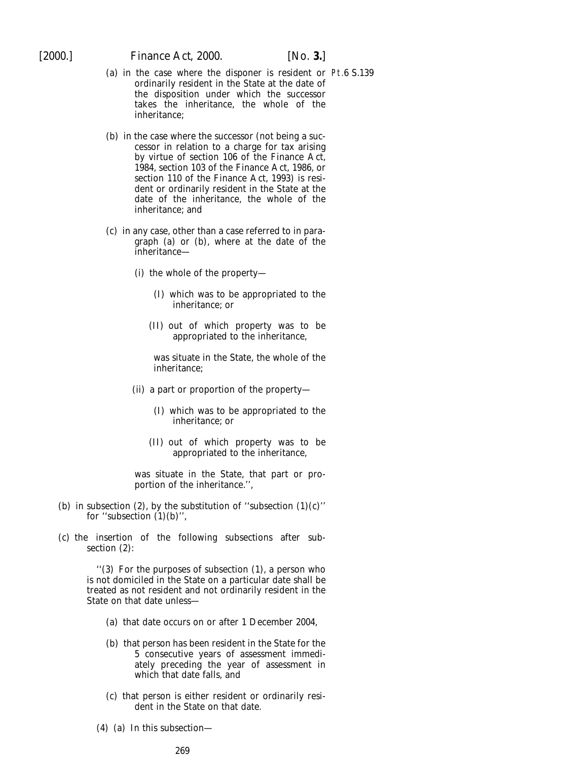- (*a*) in the case where the disponer is resident or Pt.6 S.139 ordinarily resident in the State at the date of the disposition under which the successor takes the inheritance, the whole of the inheritance;
- (*b*) in the case where the successor (not being a successor in relation to a charge for tax arising by virtue of section 106 of the Finance Act, 1984, section 103 of the Finance Act, 1986, or section 110 of the Finance Act, 1993) is resident or ordinarily resident in the State at the date of the inheritance, the whole of the inheritance; and
- (*c*) in any case, other than a case referred to in paragraph (*a*) or (*b*), where at the date of the inheritance—
	- (i) the whole of the property—
		- (I) which was to be appropriated to the inheritance; or
		- (II) out of which property was to be appropriated to the inheritance,

was situate in the State, the whole of the inheritance;

- (ii) a part or proportion of the property—
	- (I) which was to be appropriated to the inheritance; or
	- (II) out of which property was to be appropriated to the inheritance,

was situate in the State, that part or proportion of the inheritance.'',

- (*b*) in subsection (2), by the substitution of "subsection  $(1)(c)$ " for "subsection  $(1)(b)$ ",
- (*c*) the insertion of the following subsections after subsection (2):

''(3) For the purposes of subsection (1), a person who is not domiciled in the State on a particular date shall be treated as not resident and not ordinarily resident in the State on that date unless—

- (*a*) that date occurs on or after 1 December 2004,
- (*b*) that person has been resident in the State for the 5 consecutive years of assessment immediately preceding the year of assessment in which that date falls, and
- (*c*) that person is either resident or ordinarily resident in the State on that date.
- (4) (*a*) In this subsection—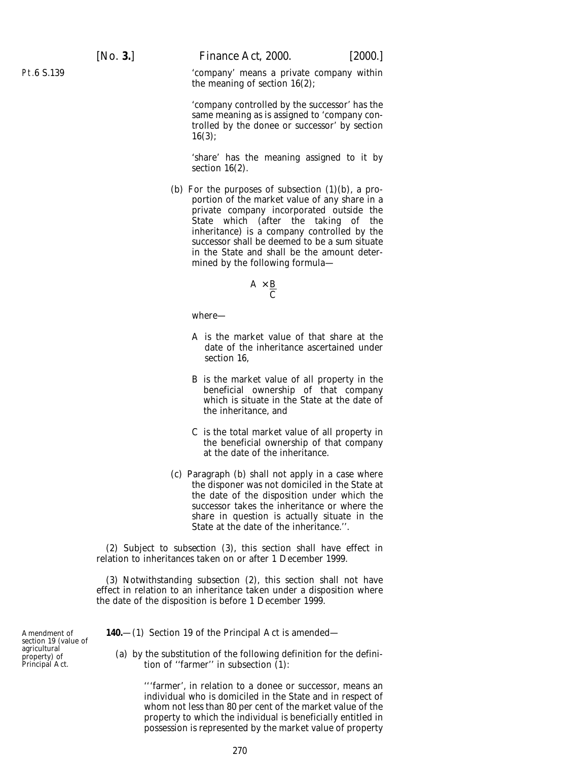[*No.* **3.**] *Finance Act,* 2000. [2000.]

'company' means a private company within the meaning of section 16(2);

'company controlled by the successor' has the same meaning as is assigned to 'company controlled by the donee or successor' by section 16(3);

'share' has the meaning assigned to it by section 16(2).

(*b*) For the purposes of subsection  $(1)(b)$ , a proportion of the market value of any share in a private company incorporated outside the State which (after the taking of the inheritance) is a company controlled by the successor shall be deemed to be a sum situate in the State and shall be the amount determined by the following formula—

$$
A \times \frac{B}{C}
$$

where—

- A is the market value of that share at the date of the inheritance ascertained under section 16,
- B is the market value of all property in the beneficial ownership of that company which is situate in the State at the date of the inheritance, and
- C is the total market value of all property in the beneficial ownership of that company at the date of the inheritance.
- (*c*) Paragraph (*b*) shall not apply in a case where the disponer was not domiciled in the State at the date of the disposition under which the successor takes the inheritance or where the share in question is actually situate in the State at the date of the inheritance.''.

(2) Subject to *subsection (3)*, this section shall have effect in relation to inheritances taken on or after 1 December 1999.

(3) Notwithstanding *subsection (2)*, this section shall not have effect in relation to an inheritance taken under a disposition where the date of the disposition is before 1 December 1999.

Amendment of section 19 (value of agricultural property) of Principal Act.

- **140.**—(1) Section 19 of the Principal Act is amended—
	- (*a*) by the substitution of the following definition for the definition of "farmer" in subsection  $(1)$ :

'''farmer', in relation to a donee or successor, means an individual who is domiciled in the State and in respect of whom not less than 80 per cent of the market value of the property to which the individual is beneficially entitled in possession is represented by the market value of property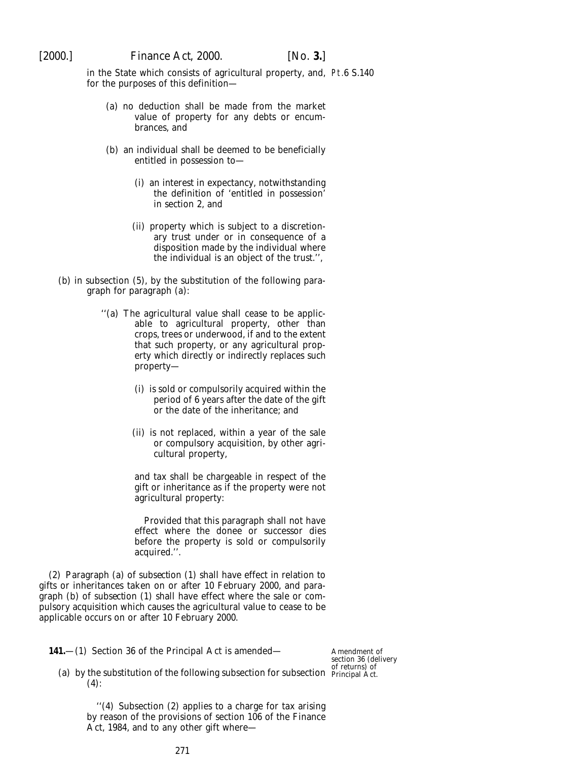in the State which consists of agricultural property, and, Pt.6 S.140 for the purposes of this definition—

- (*a*) no deduction shall be made from the market value of property for any debts or encumbrances, and
- (*b*) an individual shall be deemed to be beneficially entitled in possession to—
	- (i) an interest in expectancy, notwithstanding the definition of 'entitled in possession' in section 2, and
	- (ii) property which is subject to a discretionary trust under or in consequence of a disposition made by the individual where the individual is an object of the trust.'',
- (*b*) in subsection (5), by the substitution of the following paragraph for paragraph (*a*):
	- ''(*a*) The agricultural value shall cease to be applicable to agricultural property, other than crops, trees or underwood, if and to the extent that such property, or any agricultural property which directly or indirectly replaces such property—
		- (i) is sold or compulsorily acquired within the period of 6 years after the date of the gift or the date of the inheritance; and
		- (ii) is not replaced, within a year of the sale or compulsory acquisition, by other agricultural property,

and tax shall be chargeable in respect of the gift or inheritance as if the property were not agricultural property:

Provided that this paragraph shall not have effect where the donee or successor dies before the property is sold or compulsorily acquired.''.

(2) *Paragraph (a)* of *subsection (1)* shall have effect in relation to gifts or inheritances taken on or after 10 February 2000, and *paragraph (b)* of *subsection (1)* shall have effect where the sale or compulsory acquisition which causes the agricultural value to cease to be applicable occurs on or after 10 February 2000.

**141.**—(1) Section 36 of the Principal Act is amended—

Amendment of section 36 (delivery of returns) of

(*a*) by the substitution of the following subsection for subsection Principal Act. $(4):$ 

''(4) Subsection (2) applies to a charge for tax arising by reason of the provisions of section 106 of the Finance Act, 1984, and to any other gift where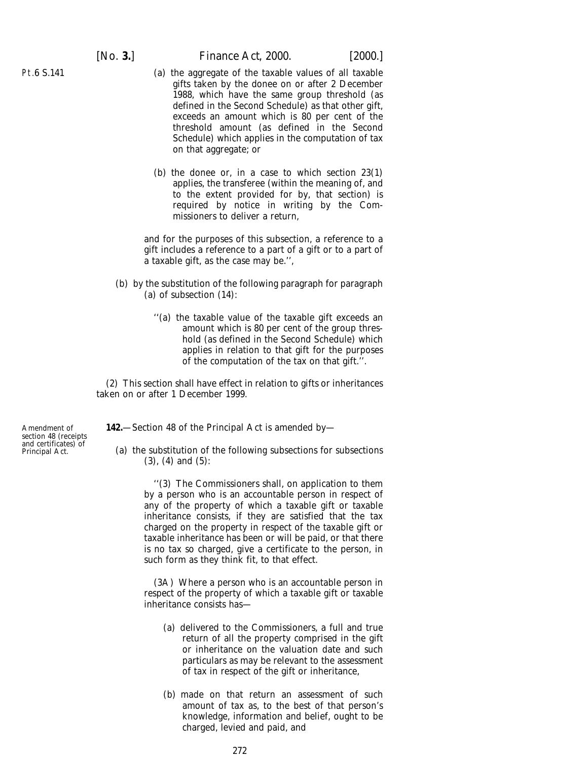Pt.6 S.141

## [*No.* **3.**] *Finance Act,* 2000. [2000.]

- (*a*) the aggregate of the taxable values of all taxable gifts taken by the donee on or after 2 December 1988, which have the same group threshold (as defined in the Second Schedule) as that other gift, exceeds an amount which is 80 per cent of the threshold amount (as defined in the Second Schedule) which applies in the computation of tax on that aggregate; or
- (*b*) the donee or, in a case to which section 23(1) applies, the transferee (within the meaning of, and to the extent provided for by, that section) is required by notice in writing by the Commissioners to deliver a return,

and for the purposes of this subsection, a reference to a gift includes a reference to a part of a gift or to a part of a taxable gift, as the case may be.'',

- (*b*) by the substitution of the following paragraph for paragraph (*a*) of subsection (14):
	- ''(*a*) the taxable value of the taxable gift exceeds an amount which is 80 per cent of the group threshold (as defined in the Second Schedule) which applies in relation to that gift for the purposes of the computation of the tax on that gift.''.

(2) This section shall have effect in relation to gifts or inheritances taken on or after 1 December 1999.

**142.**—Section 48 of the Principal Act is amended by—

(*a*) the substitution of the following subsections for subsections (3), (4) and (5):

> ''(3) The Commissioners shall, on application to them by a person who is an accountable person in respect of any of the property of which a taxable gift or taxable inheritance consists, if they are satisfied that the tax charged on the property in respect of the taxable gift or taxable inheritance has been or will be paid, or that there is no tax so charged, give a certificate to the person, in such form as they think fit, to that effect.

> (3A) Where a person who is an accountable person in respect of the property of which a taxable gift or taxable inheritance consists has—

- (*a*) delivered to the Commissioners, a full and true return of all the property comprised in the gift or inheritance on the valuation date and such particulars as may be relevant to the assessment of tax in respect of the gift or inheritance,
- (*b*) made on that return an assessment of such amount of tax as, to the best of that person's knowledge, information and belief, ought to be charged, levied and paid, and

Amendment of section 48 (receipts and certificates) of Principal Act.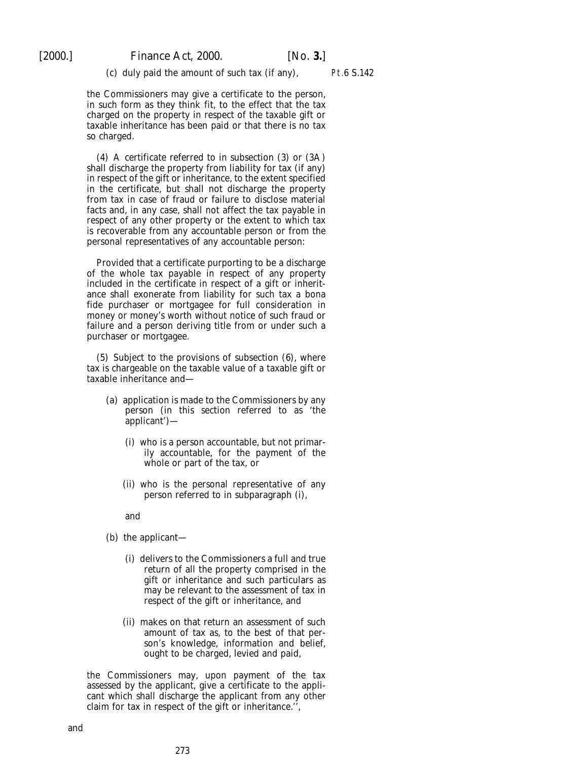(*c*) duly paid the amount of such tax (if any), Pt.6 S.142

the Commissioners may give a certificate to the person, in such form as they think fit, to the effect that the tax charged on the property in respect of the taxable gift or taxable inheritance has been paid or that there is no tax so charged.

(4) A certificate referred to in subsection (3) or (3A) shall discharge the property from liability for tax (if any) in respect of the gift or inheritance, to the extent specified in the certificate, but shall not discharge the property from tax in case of fraud or failure to disclose material facts and, in any case, shall not affect the tax payable in respect of any other property or the extent to which tax is recoverable from any accountable person or from the personal representatives of any accountable person:

Provided that a certificate purporting to be a discharge of the whole tax payable in respect of any property included in the certificate in respect of a gift or inheritance shall exonerate from liability for such tax a bona fide purchaser or mortgagee for full consideration in money or money's worth without notice of such fraud or failure and a person deriving title from or under such a purchaser or mortgagee.

(5) Subject to the provisions of subsection (6), where tax is chargeable on the taxable value of a taxable gift or taxable inheritance and—

- (*a*) application is made to the Commissioners by any person (in this section referred to as 'the applicant')—
	- (i) who is a person accountable, but not primarily accountable, for the payment of the whole or part of the tax, or
	- (ii) who is the personal representative of any person referred to in subparagraph (i),

and

- (*b*) the applicant—
	- (i) delivers to the Commissioners a full and true return of all the property comprised in the gift or inheritance and such particulars as may be relevant to the assessment of tax in respect of the gift or inheritance, and
	- (ii) makes on that return an assessment of such amount of tax as, to the best of that person's knowledge, information and belief, ought to be charged, levied and paid,

the Commissioners may, upon payment of the tax assessed by the applicant, give a certificate to the applicant which shall discharge the applicant from any other claim for tax in respect of the gift or inheritance.'',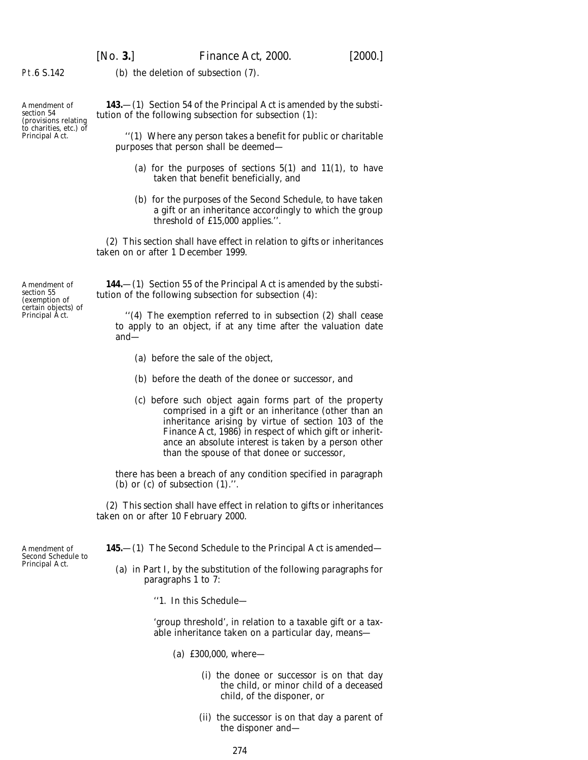[*No.* **3.**] *Finance Act,* 2000. [2000.]

Pt.6 S.142

Amendment of section 54 (provisions relating to charities, etc.) of Principal Act.

Amendment of section 55 (exemption of certain objects) of Principal Act.

**143.**—(1) Section 54 of the Principal Act is amended by the substitution of the following subsection for subsection (1):

(*b*) the deletion of subsection (7).

''(1) Where any person takes a benefit for public or charitable purposes that person shall be deemed—

- (*a*) for the purposes of sections  $5(1)$  and  $11(1)$ , to have taken that benefit beneficially, and
- (*b*) for the purposes of the Second Schedule, to have taken a gift or an inheritance accordingly to which the group threshold of £15,000 applies.''.

(2) This section shall have effect in relation to gifts or inheritances taken on or after 1 December 1999.

**144.**—(1) Section 55 of the Principal Act is amended by the substitution of the following subsection for subsection (4):

''(4) The exemption referred to in subsection (2) shall cease to apply to an object, if at any time after the valuation date and—

- (*a*) before the sale of the object,
- (*b*) before the death of the donee or successor, and
- (*c*) before such object again forms part of the property comprised in a gift or an inheritance (other than an inheritance arising by virtue of section 103 of the Finance Act, 1986) in respect of which gift or inheritance an absolute interest is taken by a person other than the spouse of that donee or successor,

there has been a breach of any condition specified in paragraph (*b*) or (*c*) of subsection (1).''.

(2) This section shall have effect in relation to gifts or inheritances taken on or after 10 February 2000.

Amendment of Second Schedule to Principal Act.

**145.**—(1) The Second Schedule to the Principal Act is amended—

(*a*) in Part I, by the substitution of the following paragraphs for paragraphs 1 to 7:

''1. In this Schedule—

'group threshold', in relation to a taxable gift or a taxable inheritance taken on a particular day, means—

- (*a*) £300,000, where—
	- (i) the donee or successor is on that day the child, or minor child of a deceased child, of the disponer, or
	- (ii) the successor is on that day a parent of the disponer and—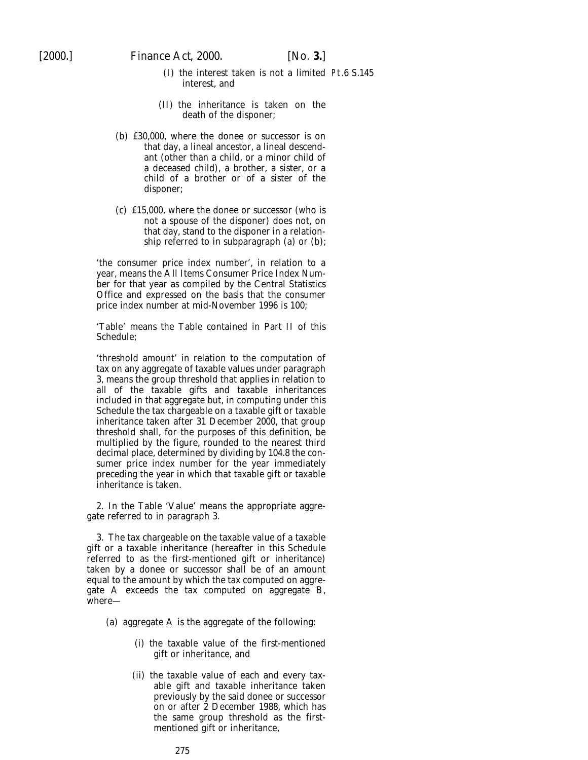- (I) the interest taken is not a limited Pt.6 S.145 interest, and
- (II) the inheritance is taken on the death of the disponer;
- (*b*) £30,000, where the donee or successor is on that day, a lineal ancestor, a lineal descendant (other than a child, or a minor child of a deceased child), a brother, a sister, or a child of a brother or of a sister of the disponer;
- (*c*) £15,000, where the donee or successor (who is not a spouse of the disponer) does not, on that day, stand to the disponer in a relationship referred to in subparagraph (*a*) or (*b*);

'the consumer price index number', in relation to a year, means the All Items Consumer Price Index Number for that year as compiled by the Central Statistics Office and expressed on the basis that the consumer price index number at mid-November 1996 is 100;

'Table' means the Table contained in Part II of this Schedule;

'threshold amount' in relation to the computation of tax on any aggregate of taxable values under paragraph 3, means the group threshold that applies in relation to all of the taxable gifts and taxable inheritances included in that aggregate but, in computing under this Schedule the tax chargeable on a taxable gift or taxable inheritance taken after 31 December 2000, that group threshold shall, for the purposes of this definition, be multiplied by the figure, rounded to the nearest third decimal place, determined by dividing by 104.8 the consumer price index number for the year immediately preceding the year in which that taxable gift or taxable inheritance is taken.

2. In the Table 'Value' means the appropriate aggregate referred to in paragraph 3.

3. The tax chargeable on the taxable value of a taxable gift or a taxable inheritance (hereafter in this Schedule referred to as the first-mentioned gift or inheritance) taken by a donee or successor shall be of an amount equal to the amount by which the tax computed on aggregate A exceeds the tax computed on aggregate B, where—

- (*a*) aggregate A is the aggregate of the following:
	- (i) the taxable value of the first-mentioned gift or inheritance, and
	- (ii) the taxable value of each and every taxable gift and taxable inheritance taken previously by the said donee or successor on or after 2 December 1988, which has the same group threshold as the firstmentioned gift or inheritance,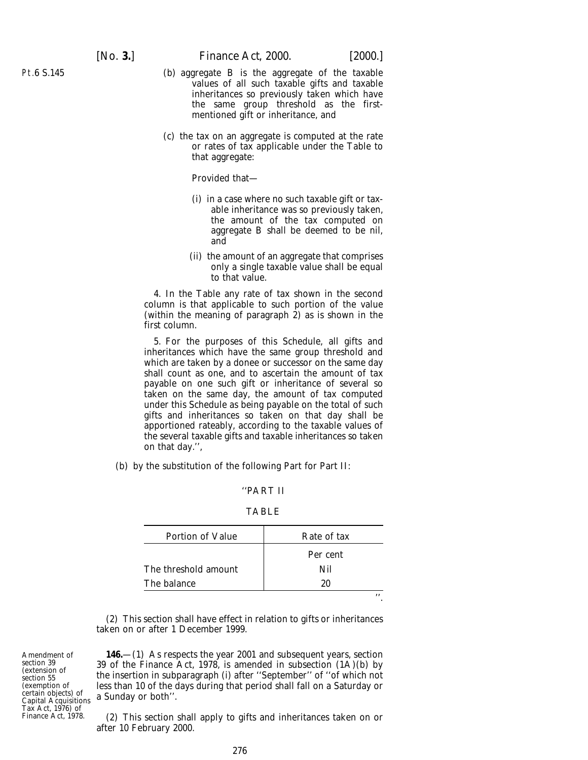Pt.6 S.145

- (*b*) aggregate B is the aggregate of the taxable values of all such taxable gifts and taxable inheritances so previously taken which have the same group threshold as the firstmentioned gift or inheritance, and
- (*c*) the tax on an aggregate is computed at the rate or rates of tax applicable under the Table to that aggregate:

Provided that—

- (i) in a case where no such taxable gift or taxable inheritance was so previously taken, the amount of the tax computed on aggregate B shall be deemed to be nil, and
- (ii) the amount of an aggregate that comprises only a single taxable value shall be equal to that value.

4. In the Table any rate of tax shown in the second column is that applicable to such portion of the value (within the meaning of paragraph  $\hat{z}$ ) as is shown in the first column.

5. For the purposes of this Schedule, all gifts and inheritances which have the same group threshold and which are taken by a donee or successor on the same day shall count as one, and to ascertain the amount of tax payable on one such gift or inheritance of several so taken on the same day, the amount of tax computed under this Schedule as being payable on the total of such gifts and inheritances so taken on that day shall be apportioned rateably, according to the taxable values of the several taxable gifts and taxable inheritances so taken on that day.'',

(*b*) by the substitution of the following Part for Part II:

# ''PART II

#### TABLE

| <b>Portion of Value</b> | Rate of tax |
|-------------------------|-------------|
|                         | Per cent    |
| The threshold amount    | Nil         |
| The balance             | 20          |
|                         | ,,          |

(2) This section shall have effect in relation to gifts or inheritances taken on or after 1 December 1999.

Amendment of section 39 (extension of section 55 (exemption of certain objects) of Capital Acquisitions Tax Act, 1976) of Finance Act, 1978.

**146.**—(1) As respects the year 2001 and subsequent years, section 39 of the Finance Act, 1978, is amended in subsection (1A)(*b*) by the insertion in subparagraph (i) after ''September'' of ''of which not less than 10 of the days during that period shall fall on a Saturday or a Sunday or both''.

(2) This section shall apply to gifts and inheritances taken on or after 10 February 2000.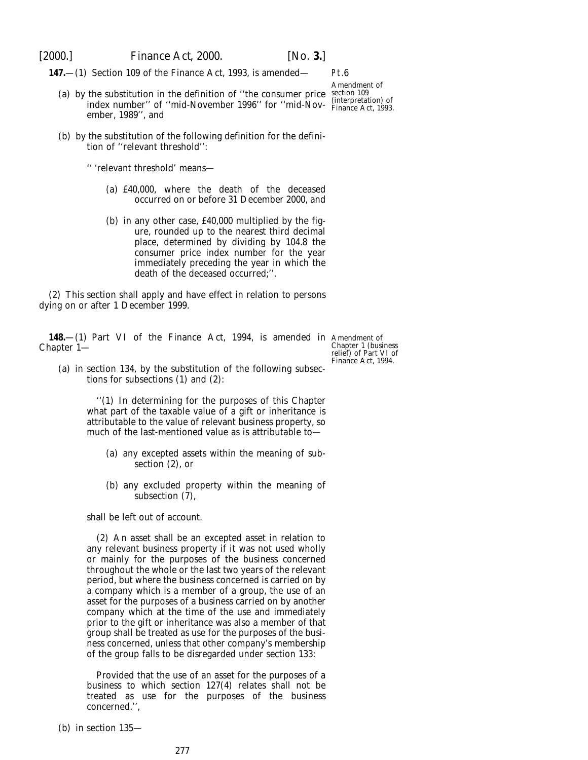**147.**—(1) Section 109 of the Finance Act, 1993, is amended—

## Pt.6

- (*a*) by the substitution in the definition of "the consumer price  $\frac{\text{section }109}}{\text{formation}}$ index number'' of ''mid-November 1996'' for ''mid-Nov-(interpretation) of Finance Act, 1993. ember, 1989'', and
- (*b*) by the substitution of the following definition for the definition of ''relevant threshold'':

'' 'relevant threshold' means—

- (*a*) £40,000, where the death of the deceased occurred on or before 31 December 2000, and
- (*b*) in any other case, £40,000 multiplied by the figure, rounded up to the nearest third decimal place, determined by dividing by 104.8 the consumer price index number for the year immediately preceding the year in which the death of the deceased occurred;''.

(2) This section shall apply and have effect in relation to persons dying on or after 1 December 1999.

**148.**—(1) Part VI of the Finance Act, 1994, is amended in Amendment of Chapter 1—

Chapter 1 (business relief) of Part VI of Finance Act, 1994.

(*a*) in section 134, by the substitution of the following subsections for subsections (1) and (2):

> ''(1) In determining for the purposes of this Chapter what part of the taxable value of a gift or inheritance is attributable to the value of relevant business property, so much of the last-mentioned value as is attributable to—

- (*a*) any excepted assets within the meaning of subsection (2), or
- (*b*) any excluded property within the meaning of subsection (7),

shall be left out of account.

(2) An asset shall be an excepted asset in relation to any relevant business property if it was not used wholly or mainly for the purposes of the business concerned throughout the whole or the last two years of the relevant period, but where the business concerned is carried on by a company which is a member of a group, the use of an asset for the purposes of a business carried on by another company which at the time of the use and immediately prior to the gift or inheritance was also a member of that group shall be treated as use for the purposes of the business concerned, unless that other company's membership of the group falls to be disregarded under section 133:

Provided that the use of an asset for the purposes of a business to which section 127(4) relates shall not be treated as use for the purposes of the business concerned.'',

(*b*) in section 135—

Amendment of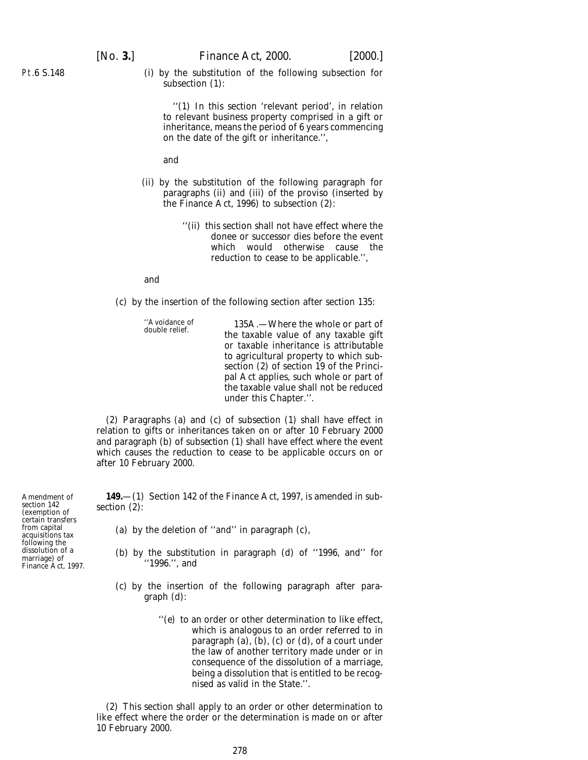Pt.6 S.148

(i) by the substitution of the following subsection for subsection (1):

''(1) In this section 'relevant period', in relation to relevant business property comprised in a gift or inheritance, means the period of 6 years commencing on the date of the gift or inheritance.'',

and

- (ii) by the substitution of the following paragraph for paragraphs (ii) and (iii) of the proviso (inserted by the Finance Act, 1996) to subsection (2):
	- ''(ii) this section shall not have effect where the donee or successor dies before the event which would otherwise cause the reduction to cease to be applicable.'',

and

(*c*) by the insertion of the following section after section 135:

''Avoidance of 135A.—Where the whole or part of double relief. the taxable value of any taxable gift or taxable inheritance is attributable to agricultural property to which subsection (2) of section 19 of the Principal Act applies, such whole or part of the taxable value shall not be reduced under this Chapter.''.

(2) *Paragraphs (a)* and *(c)* of *subsection (1)* shall have effect in relation to gifts or inheritances taken on or after 10 February 2000 and *paragraph (b)* of *subsection (1)* shall have effect where the event which causes the reduction to cease to be applicable occurs on or after 10 February 2000.

**149.**—(1) Section 142 of the Finance Act, 1997, is amended in subsection (2):

- (*a*) by the deletion of ''and'' in paragraph (*c*),
- (*b*) by the substitution in paragraph (*d*) of ''1996, and'' for ''1996.'', and
- (*c*) by the insertion of the following paragraph after paragraph (*d*):
	- ''(*e*) to an order or other determination to like effect, which is analogous to an order referred to in paragraph (*a*), (*b*), (*c*) or (*d*), of a court under the law of another territory made under or in consequence of the dissolution of a marriage, being a dissolution that is entitled to be recognised as valid in the State.''.

(2) This section shall apply to an order or other determination to like effect where the order or the determination is made on or after 10 February 2000.

Amendment of section 142 (exemption of certain transfers from capital acquisitions tax following the dissolution of a marriage) of Finance Act, 1997.

## 278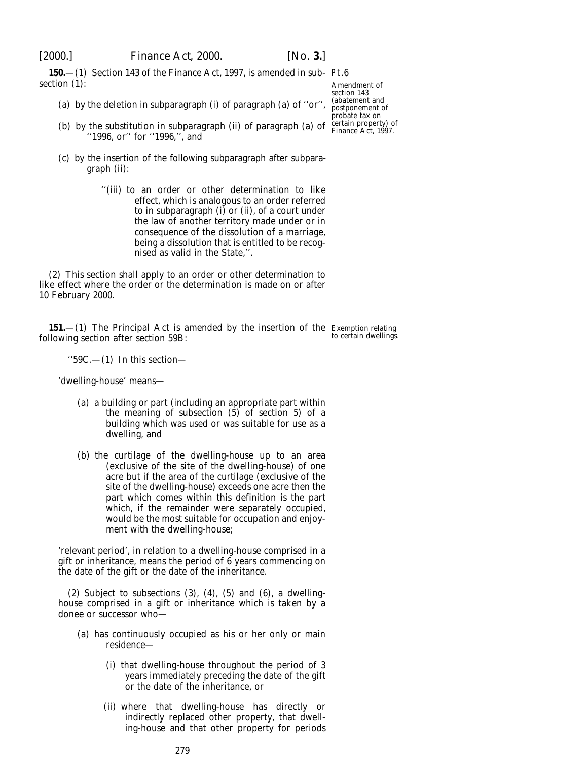150. (1) Section 143 of the Finance Act, 1997, is amended in sub- Pt.6 section (1):

(*a*) by the deletion in subparagraph (i) of paragraph (*a*) of ''or'',

- (*b*) by the substitution in subparagraph (ii) of paragraph (*a*) of  $\frac{\text{certain property}}{\text{Finance Act, 1997}}$ ''1996, or'' for ''1996,'', and
- (*c*) by the insertion of the following subparagraph after subparagraph (ii):
	- ''(iii) to an order or other determination to like effect, which is analogous to an order referred to in subparagraph (i) or (ii), of a court under the law of another territory made under or in consequence of the dissolution of a marriage, being a dissolution that is entitled to be recognised as valid in the State,''.

(2) This section shall apply to an order or other determination to like effect where the order or the determination is made on or after 10 February 2000.

**151.**—(1) The Principal Act is amended by the insertion of the Exemption relating following section after section 59B: to certain dwellings.

 $"59C.$ —(1) In this section—

'dwelling-house' means—

- (*a*) a building or part (including an appropriate part within the meaning of subsection  $(5)$  of section 5) of a building which was used or was suitable for use as a dwelling, and
- (*b*) the curtilage of the dwelling-house up to an area (exclusive of the site of the dwelling-house) of one acre but if the area of the curtilage (exclusive of the site of the dwelling-house) exceeds one acre then the part which comes within this definition is the part which, if the remainder were separately occupied, would be the most suitable for occupation and enjoyment with the dwelling-house;

'relevant period', in relation to a dwelling-house comprised in a gift or inheritance, means the period of  $\ddot{\textbf{6}}$  years commencing on the date of the gift or the date of the inheritance.

(2) Subject to subsections (3), (4), (5) and (6), a dwellinghouse comprised in a gift or inheritance which is taken by a donee or successor who—

- (*a*) has continuously occupied as his or her only or main residence—
	- (i) that dwelling-house throughout the period of 3 years immediately preceding the date of the gift or the date of the inheritance, or
	- (ii) where that dwelling-house has directly or indirectly replaced other property, that dwelling-house and that other property for periods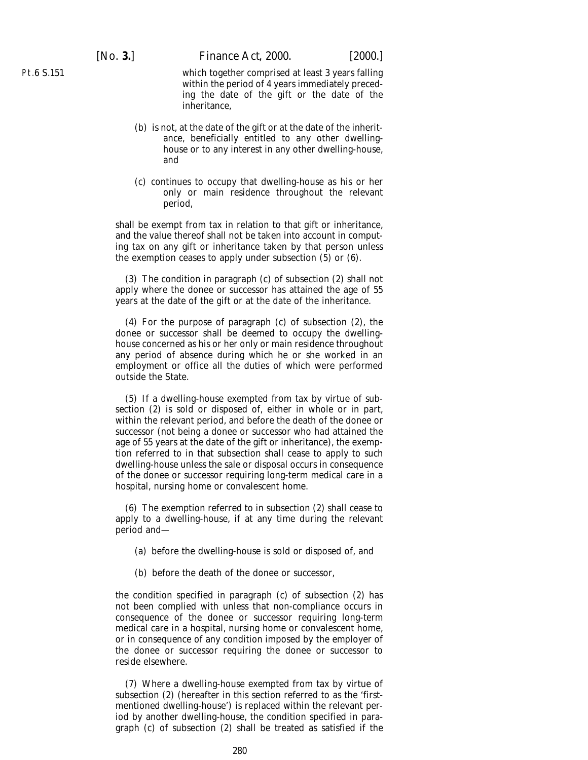Pt.6 S.151

[*No.* **3.**] *Finance Act,* 2000. [2000.]

which together comprised at least 3 years falling within the period of 4 years immediately preceding the date of the gift or the date of the inheritance,

- (*b*) is not, at the date of the gift or at the date of the inheritance, beneficially entitled to any other dwellinghouse or to any interest in any other dwelling-house, and
- (*c*) continues to occupy that dwelling-house as his or her only or main residence throughout the relevant period,

shall be exempt from tax in relation to that gift or inheritance, and the value thereof shall not be taken into account in computing tax on any gift or inheritance taken by that person unless the exemption ceases to apply under subsection (5) or (6).

(3) The condition in paragraph (*c*) of subsection (2) shall not apply where the donee or successor has attained the age of 55 years at the date of the gift or at the date of the inheritance.

(4) For the purpose of paragraph (*c*) of subsection (2), the donee or successor shall be deemed to occupy the dwellinghouse concerned as his or her only or main residence throughout any period of absence during which he or she worked in an employment or office all the duties of which were performed outside the State.

(5) If a dwelling-house exempted from tax by virtue of subsection (2) is sold or disposed of, either in whole or in part, within the relevant period, and before the death of the donee or successor (not being a donee or successor who had attained the age of 55 years at the date of the gift or inheritance), the exemption referred to in that subsection shall cease to apply to such dwelling-house unless the sale or disposal occurs in consequence of the donee or successor requiring long-term medical care in a hospital, nursing home or convalescent home.

(6) The exemption referred to in subsection (2) shall cease to apply to a dwelling-house, if at any time during the relevant period and—

- (*a*) before the dwelling-house is sold or disposed of, and
- (*b*) before the death of the donee or successor,

the condition specified in paragraph (*c*) of subsection (2) has not been complied with unless that non-compliance occurs in consequence of the donee or successor requiring long-term medical care in a hospital, nursing home or convalescent home, or in consequence of any condition imposed by the employer of the donee or successor requiring the donee or successor to reside elsewhere.

(7) Where a dwelling-house exempted from tax by virtue of subsection (2) (hereafter in this section referred to as the 'firstmentioned dwelling-house') is replaced within the relevant period by another dwelling-house, the condition specified in paragraph (*c*) of subsection (2) shall be treated as satisfied if the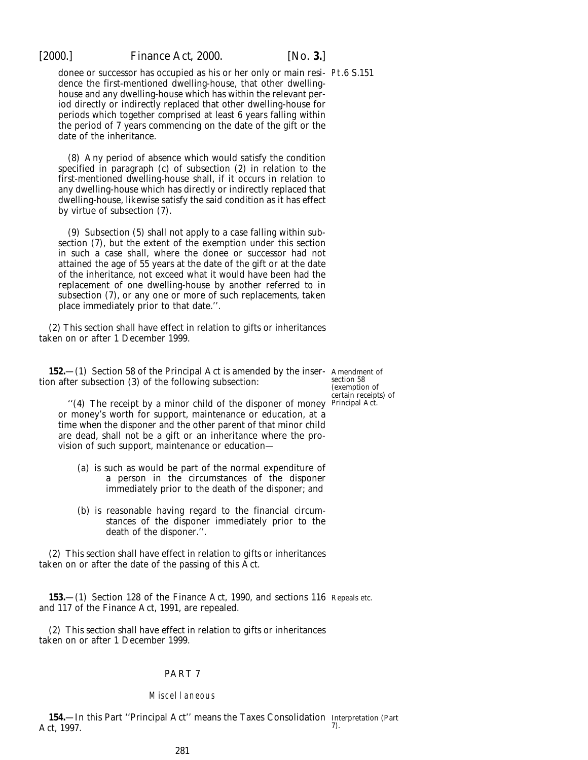donee or successor has occupied as his or her only or main resi- Pt.6 S.151 dence the first-mentioned dwelling-house, that other dwellinghouse and any dwelling-house which has within the relevant period directly or indirectly replaced that other dwelling-house for periods which together comprised at least 6 years falling within the period of 7 years commencing on the date of the gift or the date of the inheritance.

(8) Any period of absence which would satisfy the condition specified in paragraph (*c*) of subsection (2) in relation to the first-mentioned dwelling-house shall, if it occurs in relation to any dwelling-house which has directly or indirectly replaced that dwelling-house, likewise satisfy the said condition as it has effect by virtue of subsection (7).

(9) Subsection (5) shall not apply to a case falling within subsection (7), but the extent of the exemption under this section in such a case shall, where the donee or successor had not attained the age of 55 years at the date of the gift or at the date of the inheritance, not exceed what it would have been had the replacement of one dwelling-house by another referred to in subsection (7), or any one or more of such replacements, taken place immediately prior to that date.''.

(2) This section shall have effect in relation to gifts or inheritances taken on or after 1 December 1999.

**152.**—(1) Section 58 of the Principal Act is amended by the inser- Amendment of tion after subsection (3) of the following subsection:

section 58 (exemption of certain receipts) of

''(4) The receipt by a minor child of the disponer of money Principal Act. or money's worth for support, maintenance or education, at a time when the disponer and the other parent of that minor child are dead, shall not be a gift or an inheritance where the provision of such support, maintenance or education—

- (*a*) is such as would be part of the normal expenditure of a person in the circumstances of the disponer immediately prior to the death of the disponer; and
- (*b*) is reasonable having regard to the financial circumstances of the disponer immediately prior to the death of the disponer.''.

(2) This section shall have effect in relation to gifts or inheritances taken on or after the date of the passing of this Act.

**153.**—(1) Section 128 of the Finance Act, 1990, and sections 116 Repeals etc. and 117 of the Finance Act, 1991, are repealed.

(2) This section shall have effect in relation to gifts or inheritances taken on or after 1 December 1999.

## PART 7

#### Miscellaneous

**154.**—In this Part ''Principal Act'' means the Taxes Consolidation Interpretation (*Part* Act, 1997. *7*).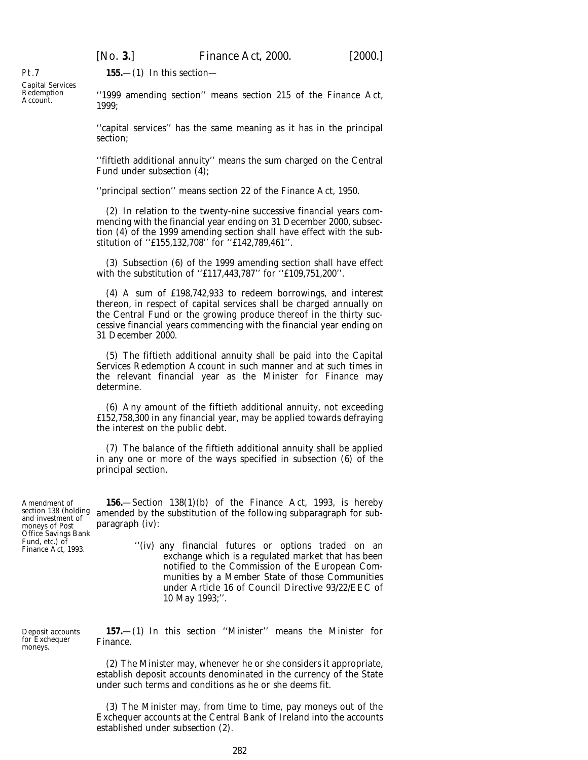**155.**—(1) In this section—

Pt.7 Capital Services Redemption Account.

"1999 amending section" means section 215 of the Finance Act, 1999;

''capital services'' has the same meaning as it has in the principal section;

''fiftieth additional annuity'' means the sum charged on the Central Fund under *subsection (4)*;

''principal section'' means section 22 of the Finance Act, 1950.

(2) In relation to the twenty-nine successive financial years commencing with the financial year ending on 31 December 2000, subsection (4) of the 1999 amending section shall have effect with the substitution of ''£155,132,708'' for ''£142,789,461''.

(3) Subsection (6) of the 1999 amending section shall have effect with the substitution of "£117,443,787" for "£109,751,200".

(4) A sum of £198,742,933 to redeem borrowings, and interest thereon, in respect of capital services shall be charged annually on the Central Fund or the growing produce thereof in the thirty successive financial years commencing with the financial year ending on 31 December 2000.

(5) The fiftieth additional annuity shall be paid into the Capital Services Redemption Account in such manner and at such times in the relevant financial year as the Minister for Finance may determine.

(6) Any amount of the fiftieth additional annuity, not exceeding £152,758,300 in any financial year, may be applied towards defraying the interest on the public debt.

(7) The balance of the fiftieth additional annuity shall be applied in any one or more of the ways specified in subsection (6) of the principal section.

Amendment of section 138 (holding and investment of moneys of Post Office Savings Bank Fund, etc.) of Finance Act, 1993.

**156.**—Section 138(1)(*b*) of the Finance Act, 1993, is hereby amended by the substitution of the following subparagraph for subparagraph (iv):

> ''(iv) any financial futures or options traded on an exchange which is a regulated market that has been notified to the Commission of the European Communities by a Member State of those Communities under Article 16 of Council Directive 93/22/EEC of 10 May 1993;''.

Deposit accounts for Exchequer moneys.

**157.**—(1) In this section ''Minister'' means the Minister for Finance.

(2) The Minister may, whenever he or she considers it appropriate, establish deposit accounts denominated in the currency of the State under such terms and conditions as he or she deems fit.

(3) The Minister may, from time to time, pay moneys out of the Exchequer accounts at the Central Bank of Ireland into the accounts established under *subsection (2)*.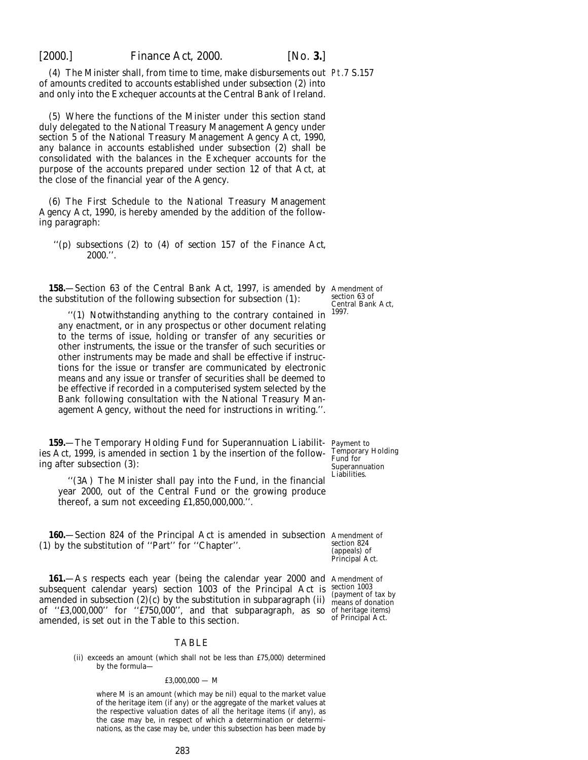(4) The Minister shall, from time to time, make disbursements out Pt.7 S.157 of amounts credited to accounts established under *subsection (2)* into and only into the Exchequer accounts at the Central Bank of Ireland.

(5) Where the functions of the Minister under this section stand duly delegated to the National Treasury Management Agency under section 5 of the National Treasury Management Agency Act, 1990, any balance in accounts established under *subsection (2)* shall be consolidated with the balances in the Exchequer accounts for the purpose of the accounts prepared under section 12 of that Act, at the close of the financial year of the Agency.

(6) The First Schedule to the National Treasury Management Agency Act, 1990, is hereby amended by the addition of the following paragraph:

''(*p*) *subsections (2)* to *(4)* of *section 157* of the *Finance Act, 2000*.''.

**158.**—Section 63 of the Central Bank Act, 1997, is amended by Amendment of the substitution of the following subsection for subsection (1):

''(1) Notwithstanding anything to the contrary contained in any enactment, or in any prospectus or other document relating to the terms of issue, holding or transfer of any securities or other instruments, the issue or the transfer of such securities or other instruments may be made and shall be effective if instructions for the issue or transfer are communicated by electronic means and any issue or transfer of securities shall be deemed to be effective if recorded in a computerised system selected by the Bank following consultation with the National Treasury Management Agency, without the need for instructions in writing.''.

**159.**—The Temporary Holding Fund for Superannuation Liabilit-Payment to ies Act, 1999, is amended in section 1 by the insertion of the following after subsection (3):

''(3A) The Minister shall pay into the Fund, in the financial year 2000, out of the Central Fund or the growing produce thereof, a sum not exceeding £1,850,000,000.''.

**160.**—Section 824 of the Principal Act is amended in subsection Amendment of (1) by the substitution of ''Part'' for ''Chapter''.

**161.**—As respects each year (being the calendar year 2000 and Amendment of subsequent calendar years) section 1003 of the Principal Act is amended in subsection  $(2)(c)$  by the substitution in subparagraph (ii) means of donation

#### TABLE

amended, is set out in the Table to this section.

(ii) exceeds an amount (which shall not be less than £75,000) determined by the formula—

#### $£3,000,000 - M$

where M is an amount (which may be nil) equal to the market value of the heritage item (if any) or the aggregate of the market values at the respective valuation dates of all the heritage items (if any), as the case may be, in respect of which a determination or determinations, as the case may be, under this subsection has been made by

section 63 of Central Bank Act, 1997.

Temporary Holding Fund for Superannuation Liabilities.

section 824 (appeals) of Principal Act.

of ''£3,000,000'' for ''£750,000'', and that subparagraph, as so of heritage items) section 1003 (payment of tax by of Principal Act.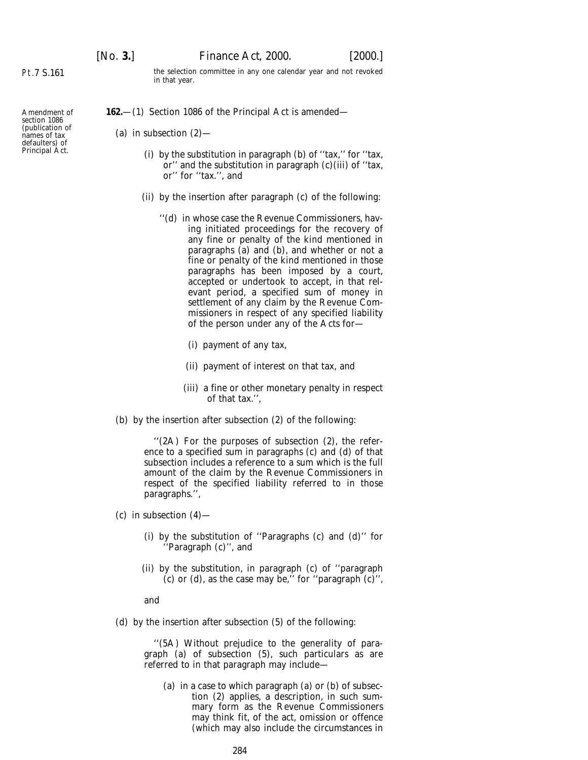the selection committee in any one calendar year and not revoked in that year.

Amendment of section 1086 (publication of names of tax defaulters) of Principal Act.

Pt.7 S.161

**162.**—(1) Section 1086 of the Principal Act is amended—

(*a*) in subsection (2)—

- (i) by the substitution in paragraph (*b*) of ''tax,'' for ''tax, or'' and the substitution in paragraph (*c*)(iii) of ''tax, or'' for ''tax.'', and
- (ii) by the insertion after paragraph (*c*) of the following:
	- ''(*d*) in whose case the Revenue Commissioners, having initiated proceedings for the recovery of any fine or penalty of the kind mentioned in paragraphs (*a*) and (*b*), and whether or not a fine or penalty of the kind mentioned in those paragraphs has been imposed by a court, accepted or undertook to accept, in that relevant period, a specified sum of money in settlement of any claim by the Revenue Commissioners in respect of any specified liability of the person under any of the Acts for—
		- (i) payment of any tax,
		- (ii) payment of interest on that tax, and
		- (iii) a fine or other monetary penalty in respect of that tax.'',
- (*b*) by the insertion after subsection (2) of the following:

''(2A) For the purposes of subsection (2), the reference to a specified sum in paragraphs (*c*) and (*d*) of that subsection includes a reference to a sum which is the full amount of the claim by the Revenue Commissioners in respect of the specified liability referred to in those paragraphs.'',

- (*c*) in subsection (4)—
	- (i) by the substitution of ''Paragraphs (*c*) and (*d*)'' for ''Paragraph (*c*)'', and
	- (ii) by the substitution, in paragraph (*c*) of ''paragraph (*c*) or (*d*), as the case may be," for "paragraph  $(c)$ ",

and

(*d*) by the insertion after subsection (5) of the following:

''(5A) Without prejudice to the generality of paragraph (*a*) of subsection (5), such particulars as are referred to in that paragraph may include—

(*a*) in a case to which paragraph (*a*) or (*b*) of subsection (2) applies, a description, in such summary form as the Revenue Commissioners may think fit, of the act, omission or offence (which may also include the circumstances in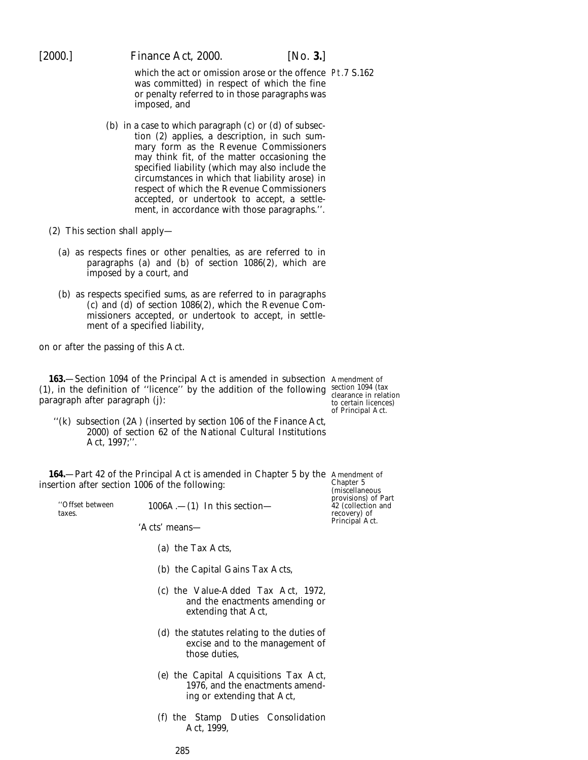[2000.] *Finance Act,* 2000. [*No.* **3.**]

which the act or omission arose or the offence Pt.7 S.162 was committed) in respect of which the fine or penalty referred to in those paragraphs was imposed, and

(*b*) in a case to which paragraph (*c*) or (*d*) of subsection (2) applies, a description, in such summary form as the Revenue Commissioners may think fit, of the matter occasioning the specified liability (which may also include the circumstances in which that liability arose) in respect of which the Revenue Commissioners accepted, or undertook to accept, a settlement, in accordance with those paragraphs.''.

- (*a*) as respects fines or other penalties, as are referred to in paragraphs (*a*) and (*b*) of section 1086(2), which are imposed by a court, and
- (*b*) as respects specified sums, as are referred to in paragraphs (*c*) and (*d*) of section 1086(2), which the Revenue Commissioners accepted, or undertook to accept, in settlement of a specified liability,

on or after the passing of this Act.

**163.**—Section 1094 of the Principal Act is amended in subsection Amendment of (1), in the definition of "licence" by the addition of the following section 1094 (tax<br>nanograph often negatively (A). paragraph after paragraph (*j*):

''(*k*) subsection (2A) (inserted by *section 106* of the *Finance Act, 2000*) of section 62 of the National Cultural Institutions Act, 1997;''.

**164.**—Part 42 of the Principal Act is amended in Chapter 5 by the Amendment of sertion after section 1006 of the following insertion after section 1006 of the following:

taxes.

''Offset between 1006A.—(1) In this section—

to certain licences) of Principal Act.

'Acts' means—

- (*a*) the Tax Acts,
- (*b*) the Capital Gains Tax Acts,
- (*c*) the Value-Added Tax Act, 1972, and the enactments amending or extending that Act,
- (*d*) the statutes relating to the duties of excise and to the management of those duties,
- (*e*) the Capital Acquisitions Tax Act, 1976, and the enactments amending or extending that Act,
- (*f*) the Stamp Duties Consolidation Act, 1999,

(miscellaneous provisions) of Part 42 (collection and recovery) of

Principal Act.

<sup>(2)</sup> This section shall apply—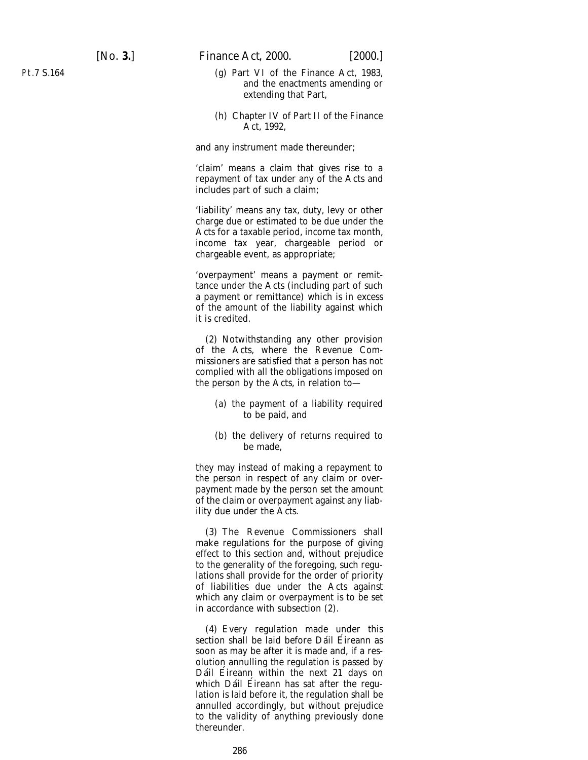- (*g*) Part VI of the Finance Act, 1983, and the enactments amending or extending that Part,
- (*h*) Chapter IV of Part II of the Finance Act, 1992,

and any instrument made thereunder;

'claim' means a claim that gives rise to a repayment of tax under any of the Acts and includes part of such a claim;

'liability' means any tax, duty, levy or other charge due or estimated to be due under the Acts for a taxable period, income tax month, income tax year, chargeable period or chargeable event, as appropriate;

'overpayment' means a payment or remittance under the Acts (including part of such a payment or remittance) which is in excess of the amount of the liability against which it is credited.

(2) Notwithstanding any other provision of the Acts, where the Revenue Commissioners are satisfied that a person has not complied with all the obligations imposed on the person by the Acts, in relation to—

- (*a*) the payment of a liability required to be paid, and
- (*b*) the delivery of returns required to be made,

they may instead of making a repayment to the person in respect of any claim or overpayment made by the person set the amount of the claim or overpayment against any liability due under the Acts.

(3) The Revenue Commissioners shall make regulations for the purpose of giving effect to this section and, without prejudice to the generality of the foregoing, such regulations shall provide for the order of priority of liabilities due under the Acts against which any claim or overpayment is to be set in accordance with subsection (2).

(4) Every regulation made under this section shall be laid before Dáil Éireann as soon as may be after it is made and, if a resolution annulling the regulation is passed by Dáil Éireann within the next 21 days on which Dáil Éireann has sat after the regulation is laid before it, the regulation shall be annulled accordingly, but without prejudice to the validity of anything previously done thereunder.

Pt.7 S.164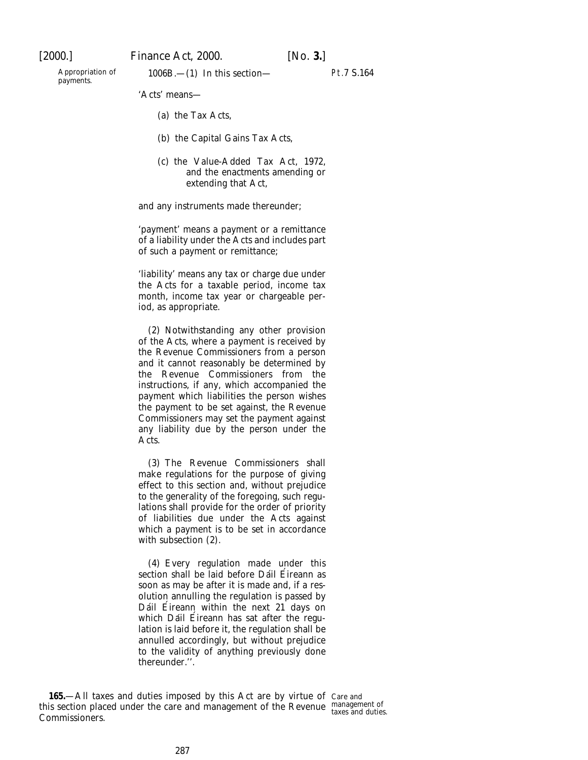[2000.] *Finance Act,* 2000. [*No.* **3.**]

payments.

Appropriation of  $1006B$ .  $- (1)$  In this section  $-$  Pt.7 S.164

'Acts' means—

- (*a*) the Tax Acts,
- (*b*) the Capital Gains Tax Acts,
- (*c*) the Value-Added Tax Act, 1972, and the enactments amending or extending that Act,

and any instruments made thereunder;

'payment' means a payment or a remittance of a liability under the Acts and includes part of such a payment or remittance;

'liability' means any tax or charge due under the Acts for a taxable period, income tax month, income tax year or chargeable period, as appropriate.

(2) Notwithstanding any other provision of the Acts, where a payment is received by the Revenue Commissioners from a person and it cannot reasonably be determined by the Revenue Commissioners from the instructions, if any, which accompanied the payment which liabilities the person wishes the payment to be set against, the Revenue Commissioners may set the payment against any liability due by the person under the Acts.

(3) The Revenue Commissioners shall make regulations for the purpose of giving effect to this section and, without prejudice to the generality of the foregoing, such regulations shall provide for the order of priority of liabilities due under the Acts against which a payment is to be set in accordance with subsection (2).

(4) Every regulation made under this section shall be laid before Dáil Éireann as soon as may be after it is made and, if a resolution annulling the regulation is passed by Dáil Éireann within the next 21 days on which Dáil Éireann has sat after the regulation is laid before it, the regulation shall be annulled accordingly, but without prejudice to the validity of anything previously done thereunder.''.

**165.**—All taxes and duties imposed by this Act are by virtue of Care and this section placed under the care and management of the Revenue management of the sex and duties. Commissioners.

287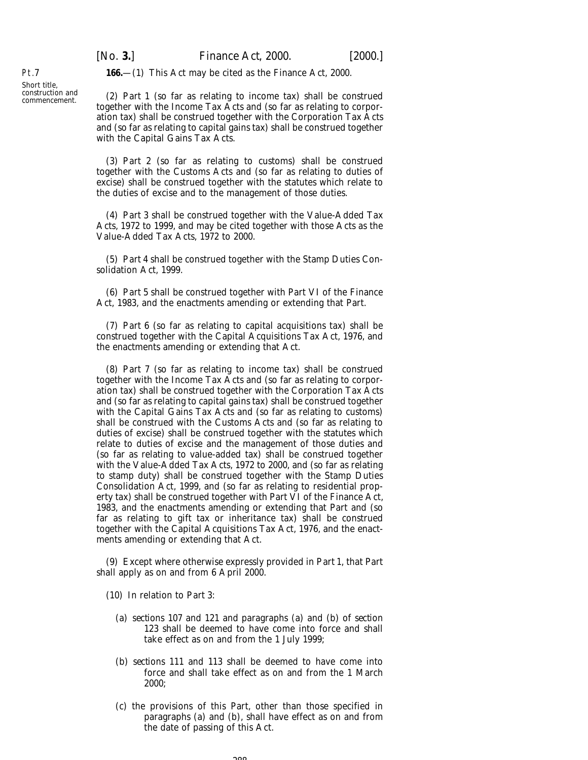[*No.* **3.**] *Finance Act,* 2000. [2000.]

Pt.7 Short title, construction and commencement.

**166.**—(1) This Act may be cited as the Finance Act, 2000.

(2) *Part 1* (so far as relating to income tax) shall be construed together with the Income Tax Acts and (so far as relating to corporation tax) shall be construed together with the Corporation Tax Acts and (so far as relating to capital gains tax) shall be construed together with the Capital Gains Tax Acts.

(3) *Part 2* (so far as relating to customs) shall be construed together with the Customs Acts and (so far as relating to duties of excise) shall be construed together with the statutes which relate to the duties of excise and to the management of those duties.

(4) *Part 3* shall be construed together with the Value-Added Tax Acts, 1972 to 1999, and may be cited together with those Acts as the Value-Added Tax Acts, 1972 to 2000.

(5) *Part 4* shall be construed together with the Stamp Duties Consolidation Act, 1999.

(6) *Part 5* shall be construed together with Part VI of the Finance Act, 1983, and the enactments amending or extending that Part.

(7) *Part 6* (so far as relating to capital acquisitions tax) shall be construed together with the Capital Acquisitions Tax Act, 1976, and the enactments amending or extending that Act.

(8) *Part 7* (so far as relating to income tax) shall be construed together with the Income Tax Acts and (so far as relating to corporation tax) shall be construed together with the Corporation Tax Acts and (so far as relating to capital gains tax) shall be construed together with the Capital Gains Tax Acts and (so far as relating to customs) shall be construed with the Customs Acts and (so far as relating to duties of excise) shall be construed together with the statutes which relate to duties of excise and the management of those duties and (so far as relating to value-added tax) shall be construed together with the Value-Added Tax Acts, 1972 to 2000, and (so far as relating to stamp duty) shall be construed together with the Stamp Duties Consolidation Act, 1999, and (so far as relating to residential property tax) shall be construed together with Part VI of the Finance Act, 1983, and the enactments amending or extending that Part and (so far as relating to gift tax or inheritance tax) shall be construed together with the Capital Acquisitions Tax Act, 1976, and the enactments amending or extending that Act.

(9) Except where otherwise expressly provided in *Part 1*, that Part shall apply as on and from 6 April 2000.

- (10) In relation to *Part 3*:
	- (*a*) *sections 107* and *121* and *paragraphs (a)* and *(b)* of *section 123* shall be deemed to have come into force and shall take effect as on and from the 1 July 1999;
	- (*b*) *sections 111* and *113* shall be deemed to have come into force and shall take effect as on and from the 1 March 2000;
	- (*c*) the provisions of this Part, other than those specified in *paragraphs (a)* and *(b)*, shall have effect as on and from the date of passing of this Act.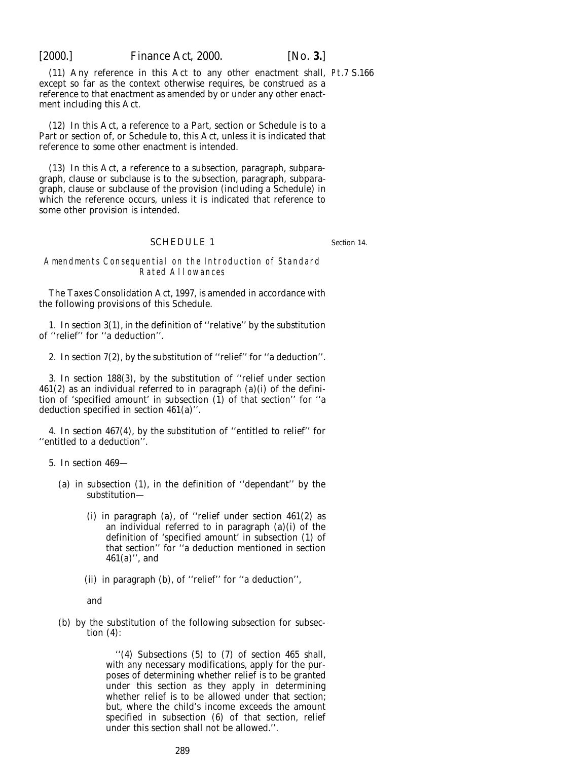(11) Any reference in this Act to any other enactment shall, Pt.7 S.166 except so far as the context otherwise requires, be construed as a reference to that enactment as amended by or under any other enactment including this Act.

(12) In this Act, a reference to a Part, section or Schedule is to a Part or section of, or Schedule to, this Act, unless it is indicated that reference to some other enactment is intended.

(13) In this Act, a reference to a subsection, paragraph, subparagraph, clause or subclause is to the subsection, paragraph, subparagraph, clause or subclause of the provision (including a Schedule) in which the reference occurs, unless it is indicated that reference to some other provision is intended.

### SCHEDULE 1

*Section 14*.

#### Amendments Consequential on the Introduction of Standard Rated Allowances

The Taxes Consolidation Act, 1997, is amended in accordance with the following provisions of this Schedule.

1. In section 3(1), in the definition of ''relative'' by the substitution of ''relief'' for ''a deduction''.

2. In section 7(2), by the substitution of ''relief'' for ''a deduction''.

3. In section 188(3), by the substitution of ''relief under section 461(2) as an individual referred to in paragraph (*a*)(i) of the definition of 'specified amount' in subsection (1) of that section'' for ''a deduction specified in section 461(*a*)''.

4. In section 467(4), by the substitution of ''entitled to relief'' for ''entitled to a deduction''.

- 5. In section 469—
	- (*a*) in subsection (1), in the definition of ''dependant'' by the substitution—
		- (i) in paragraph (*a*), of ''relief under section 461(2) as an individual referred to in paragraph (*a*)(i) of the definition of 'specified amount' in subsection (1) of that section'' for ''a deduction mentioned in section 461(*a*)'', and
		- (ii) in paragraph (*b*), of ''relief'' for ''a deduction'',

and

(*b*) by the substitution of the following subsection for subsection (4):

> ''(4) Subsections (5) to (7) of section 465 shall, with any necessary modifications, apply for the purposes of determining whether relief is to be granted under this section as they apply in determining whether relief is to be allowed under that section; but, where the child's income exceeds the amount specified in subsection (6) of that section, relief under this section shall not be allowed.''.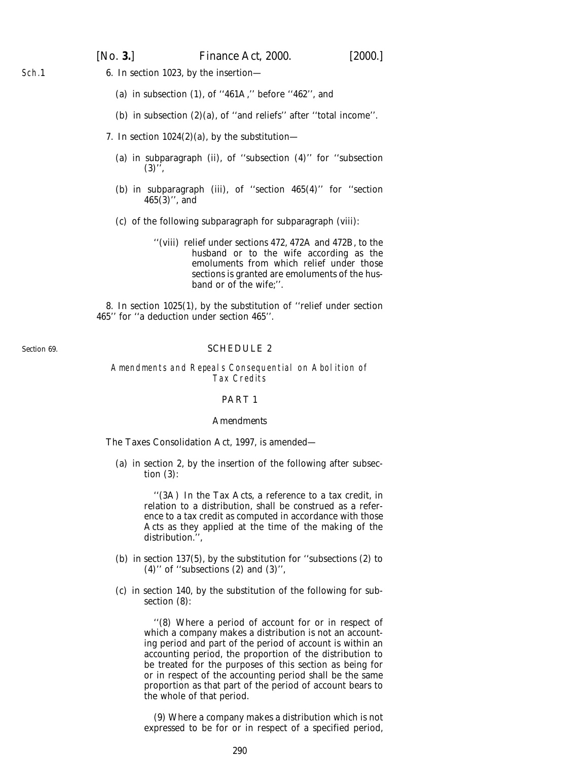- Sch.1 6. In section 1023, by the insertion—
	- (*a*) in subsection (1), of ''461A,'' before ''462'', and
	- (*b*) in subsection (2)(*a*), of ''and reliefs'' after ''total income''.
	- 7. In section  $1024(2)(a)$ , by the substitution-
		- (*a*) in subparagraph (ii), of ''subsection (4)'' for ''subsection  $(3)$ ",
		- (*b*) in subparagraph (iii), of ''section 465(4)'' for ''section  $465(3)$ ", and
		- (*c*) of the following subparagraph for subparagraph (viii):
			- ''(viii) relief under sections 472, 472A and 472B, to the husband or to the wife according as the emoluments from which relief under those sections is granted are emoluments of the husband or of the wife;''.

8. In section 1025(1), by the substitution of ''relief under section 465'' for ''a deduction under section 465''.

# SCHEDULE 2

#### Amendments and Repeals Consequential on Abolition of Tax Credits

## PART 1

#### *Amendments*

The Taxes Consolidation Act, 1997, is amended—

(*a*) in section 2, by the insertion of the following after subsection (3):

> ''(3A) In the Tax Acts, a reference to a tax credit, in relation to a distribution, shall be construed as a reference to a tax credit as computed in accordance with those Acts as they applied at the time of the making of the distribution.'',

- (*b*) in section 137(5), by the substitution for ''subsections (2) to  $(4)$ " of "subsections  $(2)$  and  $(3)$ ",
- (*c*) in section 140, by the substitution of the following for subsection (8):

''(8) Where a period of account for or in respect of which a company makes a distribution is not an accounting period and part of the period of account is within an accounting period, the proportion of the distribution to be treated for the purposes of this section as being for or in respect of the accounting period shall be the same proportion as that part of the period of account bears to the whole of that period.

(9) Where a company makes a distribution which is not expressed to be for or in respect of a specified period,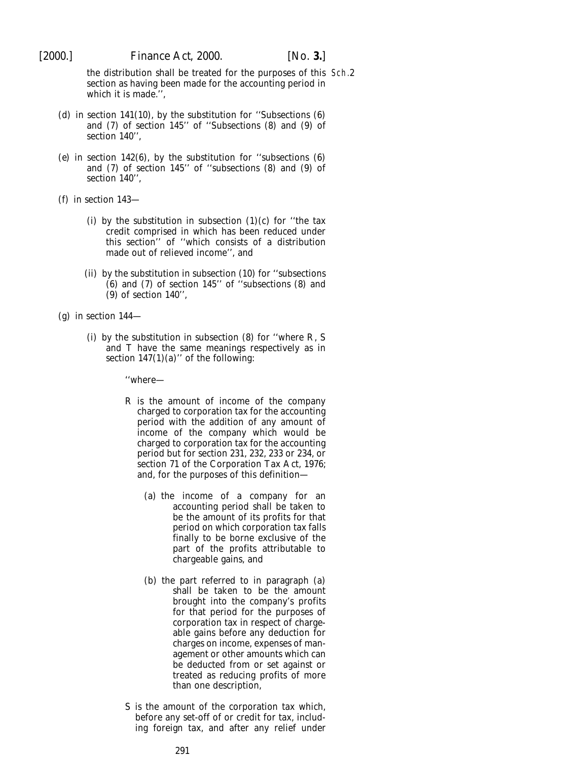the distribution shall be treated for the purposes of this Sch.2 section as having been made for the accounting period in which it is made.'',

- (*d*) in section 141(10), by the substitution for ''Subsections (6) and (7) of section 145'' of ''Subsections (8) and (9) of section 140'',
- (*e*) in section 142(6), by the substitution for ''subsections (6) and (7) of section 145'' of ''subsections (8) and (9) of section 140'',
- (*f*) in section 143—
	- (i) by the substitution in subsection  $(1)(c)$  for "the tax credit comprised in which has been reduced under this section'' of ''which consists of a distribution made out of relieved income'', and
	- (ii) by the substitution in subsection (10) for ''subsections (6) and (7) of section 145'' of ''subsections (8) and (9) of section 140'',

(*g*) in section 144—

(i) by the substitution in subsection (8) for ''where R, S and T have the same meanings respectively as in section  $147(1)(a)$ " of the following:

''where—

- R is the amount of income of the company charged to corporation tax for the accounting period with the addition of any amount of income of the company which would be charged to corporation tax for the accounting period but for section 231, 232, 233 or 234, or section 71 of the Corporation Tax Act, 1976; and, for the purposes of this definition—
	- (*a*) the income of a company for an accounting period shall be taken to be the amount of its profits for that period on which corporation tax falls finally to be borne exclusive of the part of the profits attributable to chargeable gains, and
	- (*b*) the part referred to in paragraph (*a*) shall be taken to be the amount brought into the company's profits for that period for the purposes of corporation tax in respect of chargeable gains before any deduction for charges on income, expenses of management or other amounts which can be deducted from or set against or treated as reducing profits of more than one description,
- S is the amount of the corporation tax which, before any set-off of or credit for tax, including foreign tax, and after any relief under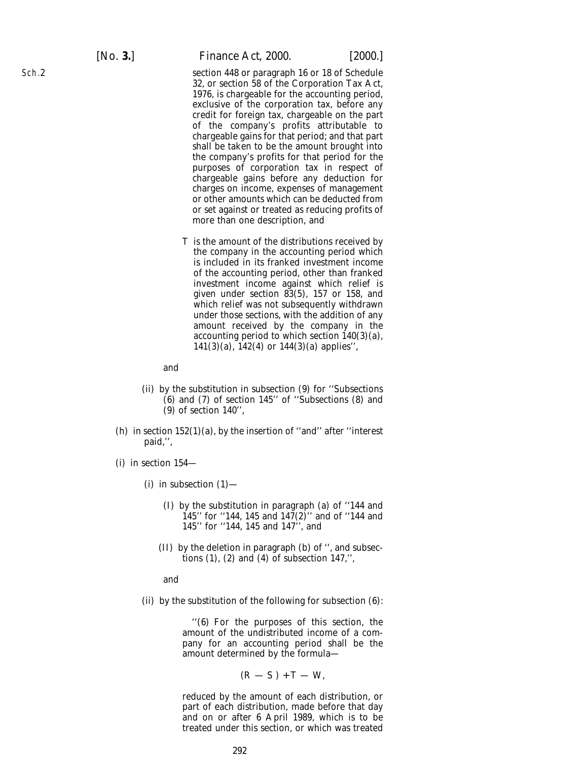[*No.* **3.**] *Finance Act,* 2000. [2000.]

section 448 or paragraph 16 or 18 of Schedule 32, or section 58 of the Corporation Tax Act, 1976, is chargeable for the accounting period, exclusive of the corporation tax, before any credit for foreign tax, chargeable on the part of the company's profits attributable to chargeable gains for that period; and that part shall be taken to be the amount brought into the company's profits for that period for the purposes of corporation tax in respect of chargeable gains before any deduction for charges on income, expenses of management or other amounts which can be deducted from or set against or treated as reducing profits of more than one description, and

T is the amount of the distributions received by the company in the accounting period which is included in its franked investment income of the accounting period, other than franked investment income against which relief is given under section 83(5), 157 or 158, and which relief was not subsequently withdrawn under those sections, with the addition of any amount received by the company in the accounting period to which section 140(3)(*a*), 141(3)(*a*), 142(4) or 144(3)(*a*) applies'',

and

- (ii) by the substitution in subsection (9) for ''Subsections (6) and (7) of section 145'' of ''Subsections (8) and (9) of section 140'',
- (*h*) in section  $152(1)(a)$ , by the insertion of "and" after "interest paid,'',
- (*i*) in section 154—
	- (i) in subsection  $(1)$ 
		- (I) by the substitution in paragraph (*a*) of ''144 and 145'' for ''144, 145 and 147(2)'' and of ''144 and 145'' for ''144, 145 and 147'', and
		- (II) by the deletion in paragraph (*b*) of '', and subsections  $(1)$ ,  $(2)$  and  $(4)$  of subsection 147,",

and

(ii) by the substitution of the following for subsection (6):

''(6) For the purposes of this section, the amount of the undistributed income of a company for an accounting period shall be the amount determined by the formula—

$$
(R - S) + T - W,
$$

reduced by the amount of each distribution, or part of each distribution, made before that day and on or after 6 April 1989, which is to be treated under this section, or which was treated

Sch.2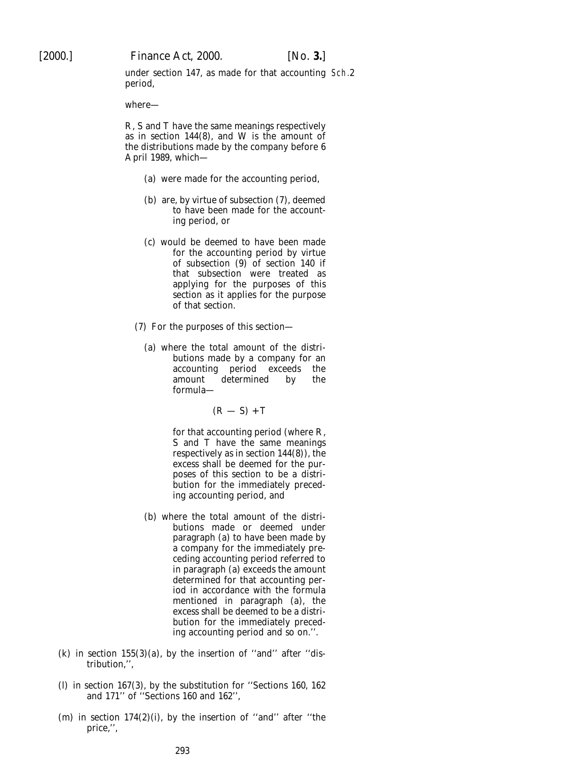[2000.] *Finance Act,* 2000. [*No.* **3.**]

under section 147, as made for that accounting Sch.2 period,

where—

R, S and T have the same meanings respectively as in section 144(8), and W is the amount of the distributions made by the company before 6 April 1989, which—

- (*a*) were made for the accounting period,
- (*b*) are, by virtue of subsection (7), deemed to have been made for the accounting period, or
- (*c*) would be deemed to have been made for the accounting period by virtue of subsection  $(9)$  of section 140 if that subsection were treated as applying for the purposes of this section as it applies for the purpose of that section.
- (7) For the purposes of this section—
	- (*a*) where the total amount of the distributions made by a company for an accounting period exceeds the amount determined by the formula—

$$
(R-S)+T
$$

for that accounting period (where R, S and T have the same meanings respectively as in section 144(8)), the excess shall be deemed for the purposes of this section to be a distribution for the immediately preceding accounting period, and

- (*b*) where the total amount of the distributions made or deemed under paragraph (*a*) to have been made by a company for the immediately preceding accounting period referred to in paragraph (*a*) exceeds the amount determined for that accounting period in accordance with the formula mentioned in paragraph (*a*), the excess shall be deemed to be a distribution for the immediately preceding accounting period and so on.''.
- $(k)$  in section 155(3)(*a*), by the insertion of "and" after "distribution,'',
- (*l*) in section 167(3), by the substitution for ''Sections 160, 162 and 171'' of ''Sections 160 and 162'',
- (*m*) in section 174(2)(i), by the insertion of ''and'' after ''the price,'',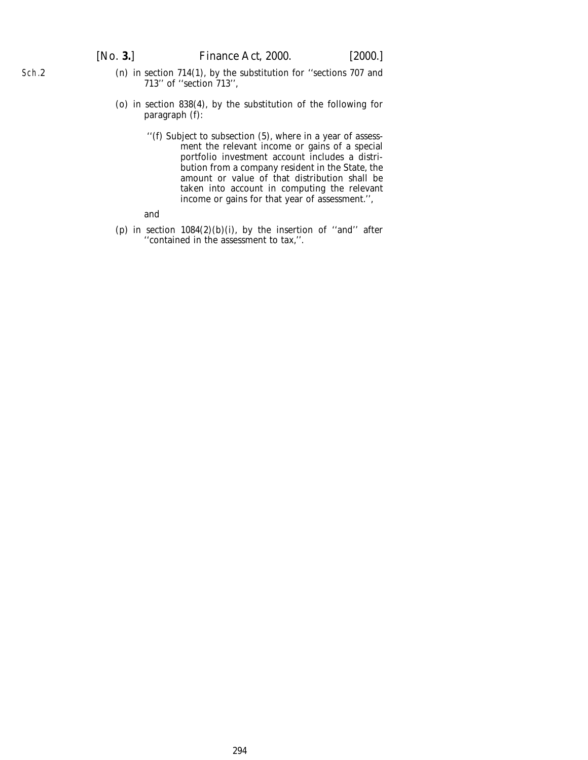- (*n*) in section 714(1), by the substitution for ''sections 707 and 713'' of ''section 713'',
- (*o*) in section 838(4), by the substitution of the following for paragraph (*f*):
	- ''(*f*) Subject to subsection (5), where in a year of assessment the relevant income or gains of a special portfolio investment account includes a distribution from a company resident in the State, the amount or value of that distribution shall be taken into account in computing the relevant income or gains for that year of assessment.'',

and

( $p$ ) in section 1084(2)( $b$ )(i), by the insertion of "and" after ''contained in the assessment to tax,''.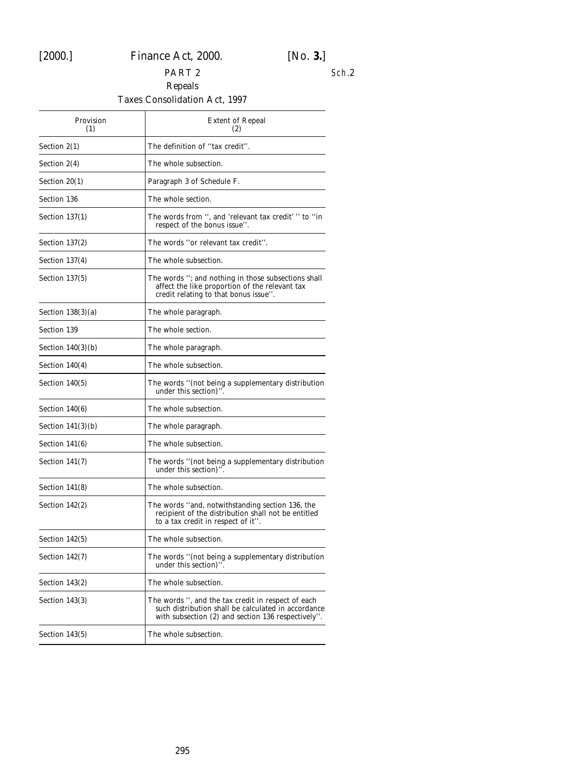[2000.] *Finance Act,* 2000. [*No.* **3.**]

PART 2 Sch.2

*Repeals* Taxes Consolidation Act, 1997

| Provision<br>(1)    | <b>Extent of Repeal</b><br>(2)                                                                                                                                  |  |  |  |
|---------------------|-----------------------------------------------------------------------------------------------------------------------------------------------------------------|--|--|--|
| Section $2(1)$      | The definition of "tax credit".                                                                                                                                 |  |  |  |
| Section $2(4)$      | The whole subsection.                                                                                                                                           |  |  |  |
| Section $20(1)$     | Paragraph 3 of Schedule F.                                                                                                                                      |  |  |  |
| Section 136         | The whole section.                                                                                                                                              |  |  |  |
| Section $137(1)$    | The words from ", and 'relevant tax credit' " to "in<br>respect of the bonus issue".                                                                            |  |  |  |
| Section $137(2)$    | The words "or relevant tax credit".                                                                                                                             |  |  |  |
| Section $137(4)$    | The whole subsection.                                                                                                                                           |  |  |  |
| Section $137(5)$    | The words "; and nothing in those subsections shall<br>affect the like proportion of the relevant tax<br>credit relating to that bonus issue".                  |  |  |  |
| Section $138(3)(a)$ | The whole paragraph.                                                                                                                                            |  |  |  |
| Section 139         | The whole section.                                                                                                                                              |  |  |  |
| Section $140(3)(b)$ | The whole paragraph.                                                                                                                                            |  |  |  |
| Section $140(4)$    | The whole subsection.                                                                                                                                           |  |  |  |
| Section $140(5)$    | The words "(not being a supplementary distribution<br>under this section)".                                                                                     |  |  |  |
| Section $140(6)$    | The whole subsection.                                                                                                                                           |  |  |  |
| Section $141(3)(b)$ | The whole paragraph.                                                                                                                                            |  |  |  |
| Section $141(6)$    | The whole subsection.                                                                                                                                           |  |  |  |
| Section $141(7)$    | The words "(not being a supplementary distribution<br>under this section)".                                                                                     |  |  |  |
| Section $141(8)$    | The whole subsection.                                                                                                                                           |  |  |  |
| Section $142(2)$    | The words "and, notwithstanding section 136, the<br>recipient of the distribution shall not be entitled<br>to a tax credit in respect of it".                   |  |  |  |
| Section $142(5)$    | The whole subsection.                                                                                                                                           |  |  |  |
| Section $142(7)$    | The words "(not being a supplementary distribution<br>under this section)".                                                                                     |  |  |  |
| Section $143(2)$    | The whole subsection.                                                                                                                                           |  |  |  |
| Section $143(3)$    | The words ", and the tax credit in respect of each<br>such distribution shall be calculated in accordance<br>with subsection (2) and section 136 respectively". |  |  |  |
| Section $143(5)$    | The whole subsection.                                                                                                                                           |  |  |  |
|                     |                                                                                                                                                                 |  |  |  |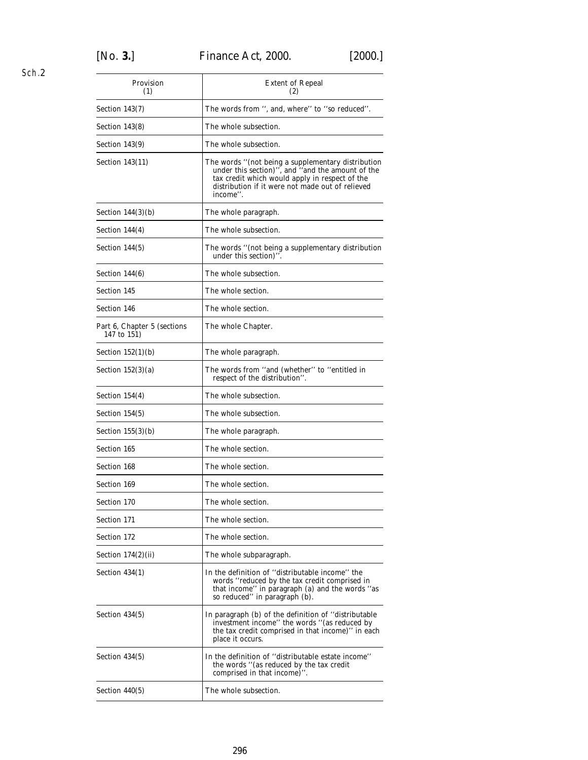| Provision<br>(1)                           | <b>Extent of Repeal</b><br>(2)                                                                                                                                                                                           |  |  |  |  |
|--------------------------------------------|--------------------------------------------------------------------------------------------------------------------------------------------------------------------------------------------------------------------------|--|--|--|--|
| Section 143(7)                             | The words from ", and, where" to "so reduced".                                                                                                                                                                           |  |  |  |  |
| Section 143(8)                             | The whole subsection.                                                                                                                                                                                                    |  |  |  |  |
| Section 143(9)                             | The whole subsection.                                                                                                                                                                                                    |  |  |  |  |
| Section $143(11)$                          | The words "(not being a supplementary distribution<br>under this section)", and "and the amount of the<br>tax credit which would apply in respect of the<br>distribution if it were not made out of relieved<br>income". |  |  |  |  |
| Section $144(3)(b)$                        | The whole paragraph.                                                                                                                                                                                                     |  |  |  |  |
| Section $144(4)$                           | The whole subsection.                                                                                                                                                                                                    |  |  |  |  |
| Section 144(5)                             | The words "(not being a supplementary distribution<br>under this section)".                                                                                                                                              |  |  |  |  |
| Section 144(6)                             | The whole subsection.                                                                                                                                                                                                    |  |  |  |  |
| Section 145                                | The whole section.                                                                                                                                                                                                       |  |  |  |  |
| Section 146                                | The whole section.                                                                                                                                                                                                       |  |  |  |  |
| Part 6, Chapter 5 (sections<br>147 to 151) | The whole Chapter.                                                                                                                                                                                                       |  |  |  |  |
| Section $152(1)(b)$                        | The whole paragraph.                                                                                                                                                                                                     |  |  |  |  |
| Section $152(3)(a)$                        | The words from "and (whether" to "entitled in<br>respect of the distribution".                                                                                                                                           |  |  |  |  |
| Section 154(4)                             | The whole subsection.                                                                                                                                                                                                    |  |  |  |  |
| Section 154(5)                             | The whole subsection.                                                                                                                                                                                                    |  |  |  |  |
| Section $155(3)(b)$                        | The whole paragraph.                                                                                                                                                                                                     |  |  |  |  |
| Section 165                                | The whole section.                                                                                                                                                                                                       |  |  |  |  |
| Section 168                                | The whole section.                                                                                                                                                                                                       |  |  |  |  |
| Section 169                                | The whole section.                                                                                                                                                                                                       |  |  |  |  |
| Section 170                                | The whole section.                                                                                                                                                                                                       |  |  |  |  |
| <b>Section 171</b>                         | The whole section.                                                                                                                                                                                                       |  |  |  |  |
| Section 172                                | The whole section.                                                                                                                                                                                                       |  |  |  |  |
| Section 174(2)(ii)                         | The whole subparagraph.                                                                                                                                                                                                  |  |  |  |  |
| Section $434(1)$                           | In the definition of "distributable income" the<br>words "reduced by the tax credit comprised in<br>that income" in paragraph (a) and the words "as<br>so reduced" in paragraph (b).                                     |  |  |  |  |
| Section $434(5)$                           | In paragraph $(b)$ of the definition of "distributable<br>investment income" the words "(as reduced by<br>the tax credit comprised in that income)" in each<br>place it occurs.                                          |  |  |  |  |
| Section 434(5)                             | In the definition of "distributable estate income"<br>the words "(as reduced by the tax credit<br>comprised in that income)".                                                                                            |  |  |  |  |
| Section $440(5)$                           | The whole subsection.                                                                                                                                                                                                    |  |  |  |  |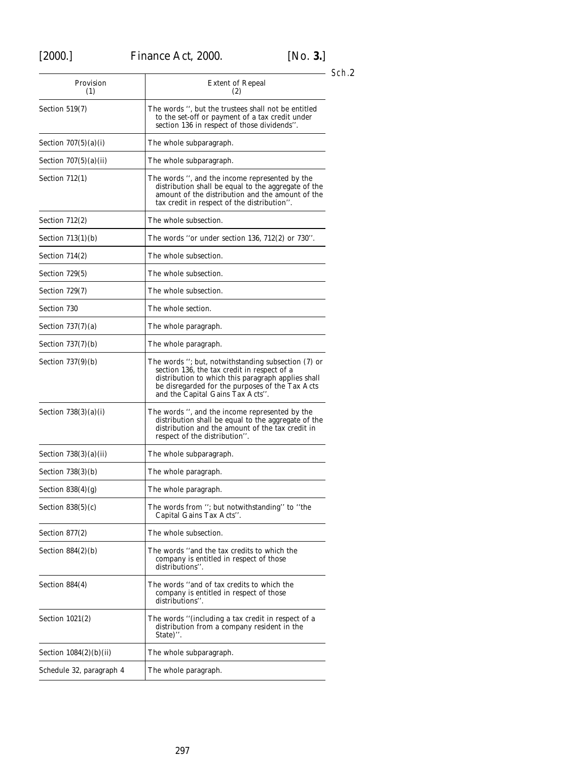| Provision<br>(1)         | <b>Extent of Repeal</b><br>(2)                                                                                                                                                                                                                  |  |  |  |  |
|--------------------------|-------------------------------------------------------------------------------------------------------------------------------------------------------------------------------------------------------------------------------------------------|--|--|--|--|
| Section $519(7)$         | The words ", but the trustees shall not be entitled<br>to the set-off or payment of a tax credit under<br>section 136 in respect of those dividends".                                                                                           |  |  |  |  |
| Section $707(5)(a)(i)$   | The whole subparagraph.                                                                                                                                                                                                                         |  |  |  |  |
| Section $707(5)(a)(ii)$  | The whole subparagraph.                                                                                                                                                                                                                         |  |  |  |  |
| Section $712(1)$         | The words ", and the income represented by the<br>distribution shall be equal to the aggregate of the<br>amount of the distribution and the amount of the<br>tax credit in respect of the distribution".                                        |  |  |  |  |
| Section $712(2)$         | The whole subsection.                                                                                                                                                                                                                           |  |  |  |  |
| Section $713(1)(b)$      | The words "or under section 136, $712(2)$ or $730$ ".                                                                                                                                                                                           |  |  |  |  |
| Section 714(2)           | The whole subsection.                                                                                                                                                                                                                           |  |  |  |  |
| Section $729(5)$         | The whole subsection.                                                                                                                                                                                                                           |  |  |  |  |
| Section 729(7)           | The whole subsection.                                                                                                                                                                                                                           |  |  |  |  |
| Section 730              | The whole section.                                                                                                                                                                                                                              |  |  |  |  |
| Section $737(7)(a)$      | The whole paragraph.                                                                                                                                                                                                                            |  |  |  |  |
| Section $737(7)(b)$      | The whole paragraph.                                                                                                                                                                                                                            |  |  |  |  |
| Section $737(9)(b)$      | The words "; but, notwithstanding subsection (7) or<br>section 136, the tax credit in respect of a<br>distribution to which this paragraph applies shall<br>be disregarded for the purposes of the Tax Acts<br>and the Capital Gains Tax Acts". |  |  |  |  |
| Section $738(3)(a)(i)$   | The words ", and the income represented by the<br>distribution shall be equal to the aggregate of the<br>distribution and the amount of the tax credit in<br>respect of the distribution".                                                      |  |  |  |  |
| Section $738(3)(a)(ii)$  | The whole subparagraph.                                                                                                                                                                                                                         |  |  |  |  |
| Section $738(3)(b)$      | The whole paragraph.                                                                                                                                                                                                                            |  |  |  |  |
| Section $838(4)(g)$      | The whole paragraph.                                                                                                                                                                                                                            |  |  |  |  |
| Section $838(5)(c)$      | The words from "; but notwithstanding" to "the<br>Capital Gains Tax Acts".                                                                                                                                                                      |  |  |  |  |
| Section $877(2)$         | The whole subsection.                                                                                                                                                                                                                           |  |  |  |  |
| Section $884(2)(b)$      | The words "and the tax credits to which the<br>company is entitled in respect of those<br>distributions".                                                                                                                                       |  |  |  |  |
| Section $884(4)$         | The words "and of tax credits to which the<br>company is entitled in respect of those<br>distributions".                                                                                                                                        |  |  |  |  |
| Section $1021(2)$        | The words "(including a tax credit in respect of a<br>distribution from a company resident in the<br>State)".                                                                                                                                   |  |  |  |  |
| Section $1084(2)(b)(ii)$ | The whole subparagraph.                                                                                                                                                                                                                         |  |  |  |  |
| Schedule 32, paragraph 4 | The whole paragraph.                                                                                                                                                                                                                            |  |  |  |  |